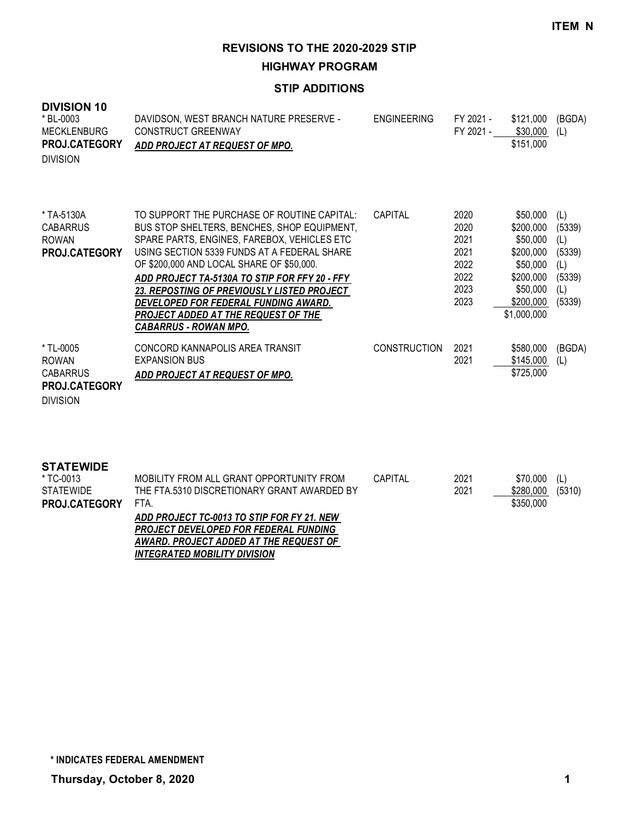**HIGHWAY PROGRAM**

#### **STIP ADDITIONS**

| <b>DIVISION 10</b><br>* BL-0003<br><b>MECKLENBURG</b><br>PROJ.CATEGORY<br><b>DIVISION</b> | DAVIDSON, WEST BRANCH NATURE PRESERVE -<br><b>CONSTRUCT GREENWAY</b><br>ADD PROJECT AT REQUEST OF MPO.                                                                                                                                                                                                                                                                                                                                                     | <b>ENGINEERING</b>  | FY 2021 -<br>FY 2021 -                                       | \$121,000<br>\$30,000<br>\$151,000                                                                              | (BGDA)<br>(L)                                                    |
|-------------------------------------------------------------------------------------------|------------------------------------------------------------------------------------------------------------------------------------------------------------------------------------------------------------------------------------------------------------------------------------------------------------------------------------------------------------------------------------------------------------------------------------------------------------|---------------------|--------------------------------------------------------------|-----------------------------------------------------------------------------------------------------------------|------------------------------------------------------------------|
| * TA-5130A<br><b>CABARRUS</b><br><b>ROWAN</b><br>PROJ.CATEGORY                            | TO SUPPORT THE PURCHASE OF ROUTINE CAPITAL:<br>BUS STOP SHELTERS, BENCHES, SHOP EQUIPMENT,<br>SPARE PARTS, ENGINES, FAREBOX, VEHICLES ETC<br>USING SECTION 5339 FUNDS AT A FEDERAL SHARE<br>OF \$200,000 AND LOCAL SHARE OF \$50,000.<br>ADD PROJECT TA-5130A TO STIP FOR FFY 20 - FFY<br><b>23. REPOSTING OF PREVIOUSLY LISTED PROJECT</b><br>DEVELOPED FOR FEDERAL FUNDING AWARD.<br>PROJECT ADDED AT THE REQUEST OF THE<br><b>CABARRUS - ROWAN MPO.</b> | CAPITAL             | 2020<br>2020<br>2021<br>2021<br>2022<br>2022<br>2023<br>2023 | \$50,000<br>\$200,000<br>\$50,000<br>\$200,000<br>\$50,000<br>\$200,000<br>\$50,000<br>\$200,000<br>\$1,000,000 | (L)<br>(5339)<br>(L)<br>(5339)<br>(L)<br>(5339)<br>(L)<br>(5339) |
| * TL-0005<br><b>ROWAN</b><br><b>CABARRUS</b><br>PROJ.CATEGORY<br><b>DIVISION</b>          | CONCORD KANNAPOLIS AREA TRANSIT<br><b>EXPANSION BUS</b><br>ADD PROJECT AT REQUEST OF MPO.                                                                                                                                                                                                                                                                                                                                                                  | <b>CONSTRUCTION</b> | 2021<br>2021                                                 | \$580,000<br>\$145,000<br>\$725,000                                                                             | (BGDA)<br>(L)                                                    |
| <b>STATEWIDE</b><br>* TC-0013<br><b>STATEWIDE</b><br>PROJ.CATEGORY                        | MOBILITY FROM ALL GRANT OPPORTUNITY FROM<br>THE FTA.5310 DISCRETIONARY GRANT AWARDED BY<br>FTA.<br>$\overline{AB}$ and if at to an $\overline{AB}$ at a fan fy at $\overline{AB}$                                                                                                                                                                                                                                                                          | CAPITAL             | 2021<br>2021                                                 | \$70,000<br>\$280,000<br>\$350,000                                                                              | (L)<br>(5310)                                                    |

*ADD PROJECT TC-0013 TO STIP FOR FY 21. NEW PROJECT DEVELOPED FOR FEDERAL FUNDING AWARD. PROJECT ADDED AT THE REQUEST OF INTEGRATED MOBILITY DIVISION*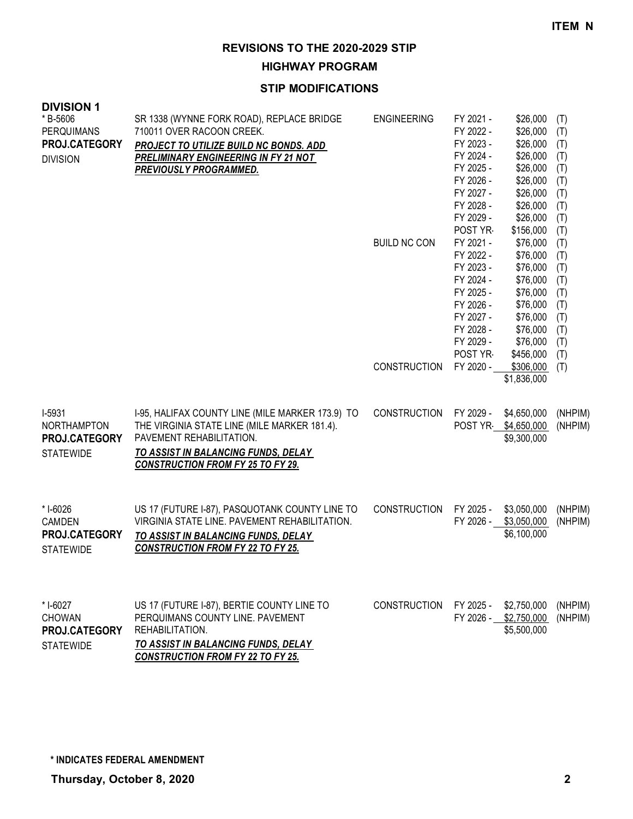**HIGHWAY PROGRAM**

#### **STIP MODIFICATIONS**

| <b>DIVISION 1</b><br>*B-5606<br><b>PERQUIMANS</b><br>PROJ.CATEGORY<br><b>DIVISION</b> | SR 1338 (WYNNE FORK ROAD), REPLACE BRIDGE<br>710011 OVER RACOON CREEK.<br>PROJECT TO UTILIZE BUILD NC BONDS. ADD<br><b>PRELIMINARY ENGINEERING IN FY 21 NOT</b><br>PREVIOUSLY PROGRAMMED.                       | <b>ENGINEERING</b><br><b>BUILD NC CON</b> | FY 2021 -<br>FY 2022 -<br>FY 2023 -<br>FY 2024 -<br>FY 2025 -<br>FY 2026 -<br>FY 2027 -<br>FY 2028 -<br>FY 2029 -<br>POST YR<br>FY 2021 -<br>FY 2022 -<br>FY 2023 -<br>FY 2024 -<br>FY 2025 -<br>FY 2026 -<br>FY 2027 -<br>FY 2028 -<br>FY 2029 - | \$26,000<br>\$26,000<br>\$26,000<br>\$26,000<br>\$26,000<br>\$26,000<br>\$26,000<br>\$26,000<br>\$26,000<br>\$156,000<br>\$76,000<br>\$76,000<br>\$76,000<br>\$76,000<br>\$76,000<br>\$76,000<br>\$76,000<br>\$76,000<br>\$76,000 | (T)<br>(T)<br>(T)<br>(T)<br>(T)<br>(T)<br>(T)<br>(T)<br>(T)<br>(T)<br>(T)<br>(T)<br>(T)<br>(T)<br>(T)<br>(T)<br>(T)<br>(T)<br>(T) |
|---------------------------------------------------------------------------------------|-----------------------------------------------------------------------------------------------------------------------------------------------------------------------------------------------------------------|-------------------------------------------|---------------------------------------------------------------------------------------------------------------------------------------------------------------------------------------------------------------------------------------------------|-----------------------------------------------------------------------------------------------------------------------------------------------------------------------------------------------------------------------------------|-----------------------------------------------------------------------------------------------------------------------------------|
|                                                                                       |                                                                                                                                                                                                                 | <b>CONSTRUCTION</b>                       | POST YR<br>FY 2020 -                                                                                                                                                                                                                              | \$456,000<br>\$306,000<br>\$1,836,000                                                                                                                                                                                             | (T)<br>(T)                                                                                                                        |
| I-5931<br>NORTHAMPTON<br>PROJ.CATEGORY<br><b>STATEWIDE</b>                            | I-95, HALIFAX COUNTY LINE (MILE MARKER 173.9) TO<br>THE VIRGINIA STATE LINE (MILE MARKER 181.4).<br>PAVEMENT REHABILITATION.<br>TO ASSIST IN BALANCING FUNDS, DELAY<br><b>CONSTRUCTION FROM FY 25 TO FY 29.</b> | CONSTRUCTION                              | FY 2029 -<br>POST YR                                                                                                                                                                                                                              | \$4,650,000<br>\$4,650,000<br>\$9,300,000                                                                                                                                                                                         | (NHPIM)<br>(NHPIM)                                                                                                                |
| * I-6026<br><b>CAMDEN</b><br>PROJ.CATEGORY<br><b>STATEWIDE</b>                        | US 17 (FUTURE I-87), PASQUOTANK COUNTY LINE TO<br>VIRGINIA STATE LINE. PAVEMENT REHABILITATION.<br>TO ASSIST IN BALANCING FUNDS, DELAY<br><b>CONSTRUCTION FROM FY 22 TO FY 25.</b>                              | <b>CONSTRUCTION</b>                       | FY 2025 -<br>FY 2026 -                                                                                                                                                                                                                            | \$3,050,000<br>\$3,050,000<br>\$6,100,000                                                                                                                                                                                         | (NHPIM)<br>(NHPIM)                                                                                                                |
| * I-6027<br><b>CHOWAN</b><br><b>PROJ.CATEGORY</b><br><b>STATEWIDE</b>                 | US 17 (FUTURE I-87), BERTIE COUNTY LINE TO<br>PERQUIMANS COUNTY LINE. PAVEMENT<br>REHABILITATION.<br>TO ASSIST IN BALANCING FUNDS, DELAY                                                                        | <b>CONSTRUCTION</b>                       | FY 2025 -                                                                                                                                                                                                                                         | \$2,750,000<br>FY 2026 - \$2,750,000<br>\$5,500,000                                                                                                                                                                               | (NHPIM)<br>(NHPIM)                                                                                                                |

*CONSTRUCTION FROM FY 22 TO FY 25.*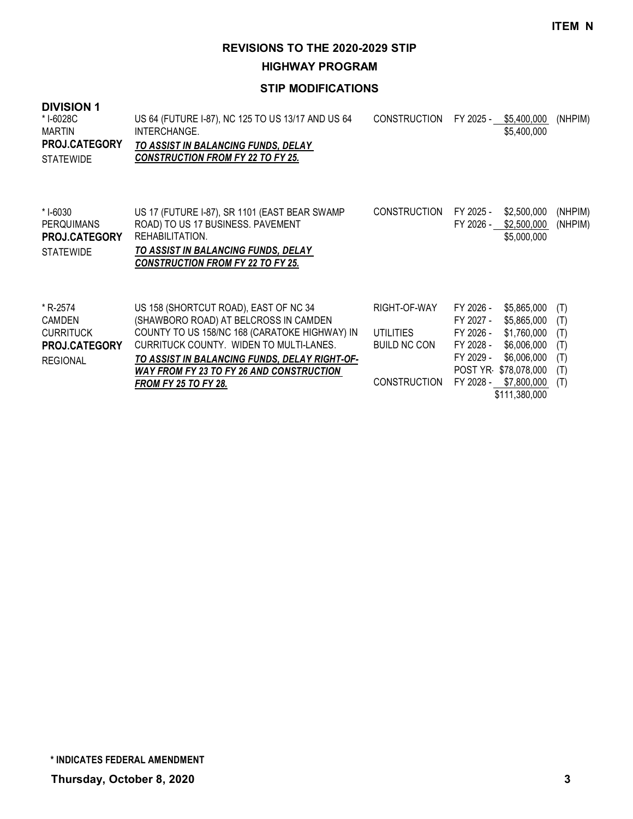**HIGHWAY PROGRAM**

#### **STIP MODIFICATIONS**

#### **DIVISION 1** US 64 (FUTURE I-87), NC 125 TO US 13/17 AND US 64 INTERCHANGE. *TO ASSIST IN BALANCING FUNDS, DELAY CONSTRUCTION FROM FY 22 TO FY 25.* CONSTRUCTION FY 2025 - \$5,400,000 (NHPIM) \$5,400,000 \* I-6028C MARTIN **STATEWIDE PROJ.CATEGORY** US 17 (FUTURE I-87), SR 1101 (EAST BEAR SWAMP ROAD) TO US 17 BUSINESS. PAVEMENT REHABILITATION. *TO ASSIST IN BALANCING FUNDS, DELAY CONSTRUCTION FROM FY 22 TO FY 25.* CONSTRUCTION FY 2025 - \$2,500,000 (NHPIM) FY 2026 - \$2,500,000 (NHPIM) \$5,000,000 \* I-6030 **PERQUIMANS STATEWIDE PROJ.CATEGORY** US 158 (SHORTCUT ROAD), EAST OF NC 34 (SHAWBORO ROAD) AT BELCROSS IN CAMDEN RIGHT-OF-WAY FY 2026 - \$5,865,000 (T) FY 2027 - \$5,865,000 (T) \* R-2574 CAMDEN

| V1 V1 V1 V1 V1 V1    | $\sim$                                        |                                        | . . <i>L</i> vl | vu.uuu.uuu                | $\cdots$ |
|----------------------|-----------------------------------------------|----------------------------------------|-----------------|---------------------------|----------|
| CURRITUCK            | COUNTY TO US 158/NC 168 (CARATOKE HIGHWAY) IN | UTILITIES                              | FY 2026 -       | \$1,760,000 (T)           |          |
| <b>PROJ.CATEGORY</b> | CURRITUCK COUNTY. WIDEN TO MULTI-LANES.       | BUILD NC CON                           |                 | FY 2028 - \$6,006,000 (T) |          |
| REGIONAL             | TO ASSIST IN BALANCING FUNDS, DELAY RIGHT-OF- |                                        |                 | FY 2029 - \$6,006,000 (T) |          |
|                      | WAY FROM FY 23 TO FY 26 AND CONSTRUCTION      |                                        |                 | POST YR \$78,078,000 (T)  |          |
|                      | <b>FROM FY 25 TO FY 28.</b>                   | CONSTRUCTION FY 2028 - \$7,800,000 (T) |                 |                           |          |
|                      |                                               |                                        |                 | \$111,380,000             |          |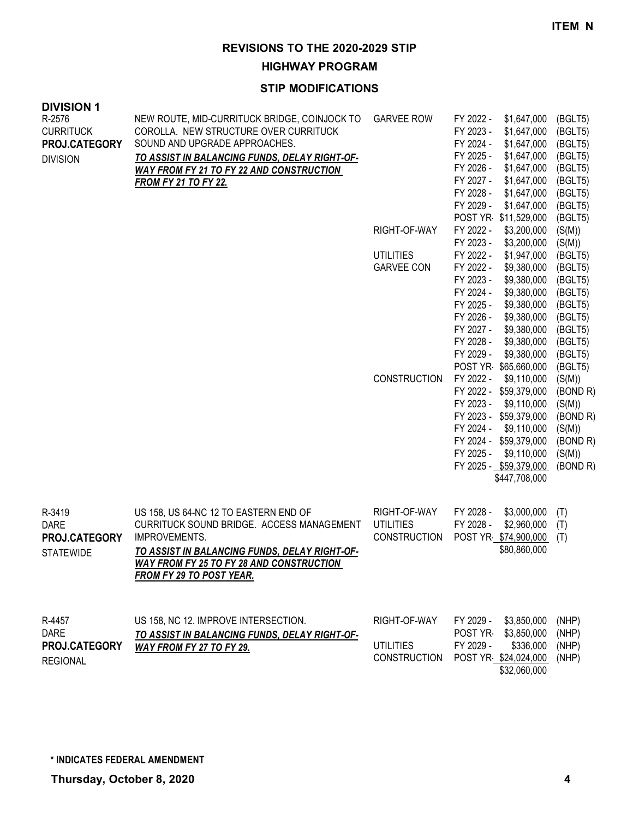**HIGHWAY PROGRAM**

| <b>DIVISION 1</b><br>R-2576<br><b>CURRITUCK</b><br>PROJ.CATEGORY<br><b>DIVISION</b> | NEW ROUTE, MID-CURRITUCK BRIDGE, COINJOCK TO<br>COROLLA. NEW STRUCTURE OVER CURRITUCK<br>SOUND AND UPGRADE APPROACHES.<br>TO ASSIST IN BALANCING FUNDS, DELAY RIGHT-OF-<br>WAY FROM FY 21 TO FY 22 AND CONSTRUCTION<br><b>FROM FY 21 TO FY 22.</b> | <b>GARVEE ROW</b>                                       | FY 2022 -<br>\$1,647,000<br>FY 2023 -<br>\$1,647,000<br>FY 2024 -<br>\$1,647,000<br>FY 2025 -<br>\$1,647,000<br>FY 2026 -<br>\$1,647,000<br>FY 2027 -<br>\$1,647,000<br>FY 2028 -<br>\$1,647,000<br>FY 2029 -<br>\$1,647,000                                                                                                                                     | (BGLT5)<br>(BGLT5)<br>(BGLT5)<br>(BGLT5)<br>(BGLT5)<br>(BGLT5)<br>(BGLT5)<br>(BGLT5)                                                      |
|-------------------------------------------------------------------------------------|----------------------------------------------------------------------------------------------------------------------------------------------------------------------------------------------------------------------------------------------------|---------------------------------------------------------|------------------------------------------------------------------------------------------------------------------------------------------------------------------------------------------------------------------------------------------------------------------------------------------------------------------------------------------------------------------|-------------------------------------------------------------------------------------------------------------------------------------------|
|                                                                                     |                                                                                                                                                                                                                                                    | RIGHT-OF-WAY<br><b>UTILITIES</b><br><b>GARVEE CON</b>   | POST YR \$11,529,000<br>FY 2022 -<br>\$3,200,000<br>FY 2023 -<br>\$3,200,000<br>FY 2022 -<br>\$1,947,000<br>FY 2022 -<br>\$9,380,000<br>FY 2023 -<br>\$9,380,000<br>FY 2024 -<br>\$9,380,000<br>FY 2025 -<br>\$9,380,000<br>FY 2026 -<br>\$9,380,000<br>FY 2027 -<br>\$9,380,000<br>FY 2028 -<br>\$9,380,000<br>FY 2029 -<br>\$9,380,000<br>POST YR \$65,660,000 | (BGLT5)<br>(S(M))<br>(S(M))<br>(BGLT5)<br>(BGLT5)<br>(BGLT5)<br>(BGLT5)<br>(BGLT5)<br>(BGLT5)<br>(BGLT5)<br>(BGLT5)<br>(BGLT5)<br>(BGLT5) |
|                                                                                     |                                                                                                                                                                                                                                                    | <b>CONSTRUCTION</b>                                     | FY 2022 -<br>\$9,110,000<br>FY 2022 - \$59,379,000<br>FY 2023 -<br>\$9,110,000<br>FY 2023 - \$59,379,000<br>FY 2024 -<br>\$9,110,000<br>FY 2024 - \$59,379,000<br>FY 2025 -<br>\$9,110,000<br>FY 2025 - \$59,379,000<br>\$447,708,000                                                                                                                            | (S(M))<br>(BOND R)<br>(S(M))<br>(BOND R)<br>(S(M))<br>(BOND R)<br>(S(M))<br>(BOND R)                                                      |
| R-3419<br><b>DARE</b><br>PROJ.CATEGORY<br><b>STATEWIDE</b>                          | US 158, US 64-NC 12 TO EASTERN END OF<br>CURRITUCK SOUND BRIDGE. ACCESS MANAGEMENT<br>IMPROVEMENTS.<br><u>TO ASSIST IN BALANCING FUNDS, DELAY RIGHT-OF-</u><br><b>WAY FROM FY 25 TO FY 28 AND CONSTRUCTION</b><br><b>FROM FY 29 TO POST YEAR.</b>  | RIGHT-OF-WAY<br><b>UTILITIES</b><br><b>CONSTRUCTION</b> | FY 2028 -<br>\$3,000,000<br>FY 2028 -<br>\$2,960,000<br>POST YR \$74,900,000<br>\$80,860,000                                                                                                                                                                                                                                                                     | (T)<br>(T)<br>(T)                                                                                                                         |
| R-4457<br><b>DARE</b><br>PROJ.CATEGORY<br><b>REGIONAL</b>                           | US 158, NC 12. IMPROVE INTERSECTION.<br><u>TO ASSIST IN BALANCING FUNDS, DELAY RIGHT-OF-</u><br>WAY FROM FY 27 TO FY 29.                                                                                                                           | RIGHT-OF-WAY<br>UTILITIES<br><b>CONSTRUCTION</b>        | FY 2029 -<br>\$3,850,000<br>\$3,850,000<br>POST YR-<br>\$336,000<br>FY 2029 -<br>POST YR \$24,024,000<br>\$32,060,000                                                                                                                                                                                                                                            | (NHP)<br>(NHP)<br>(NHP)<br>(NHP)                                                                                                          |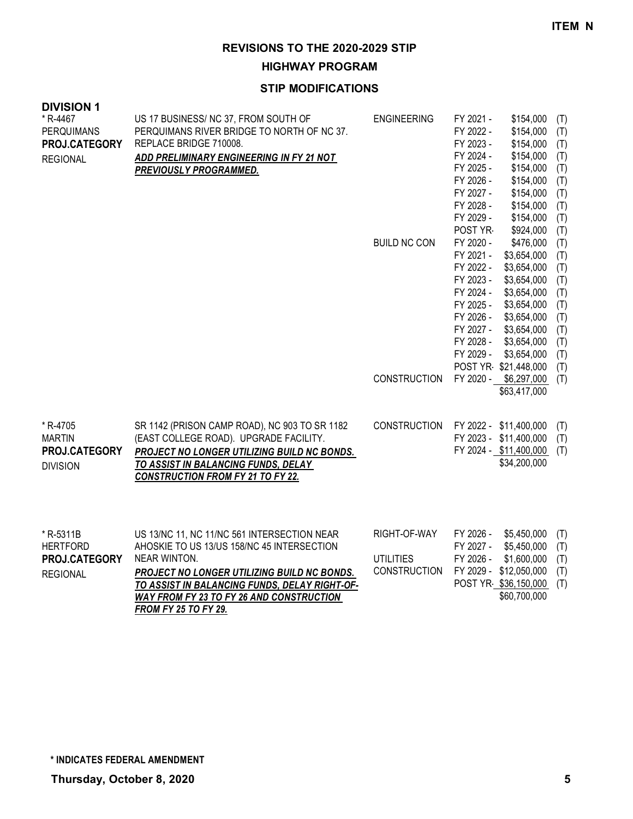**HIGHWAY PROGRAM**

| <b>DIVISION 1</b><br>* R-4467<br><b>PERQUIMANS</b><br>PROJ.CATEGORY<br><b>REGIONAL</b> | US 17 BUSINESS/ NC 37, FROM SOUTH OF<br>PERQUIMANS RIVER BRIDGE TO NORTH OF NC 37.<br>REPLACE BRIDGE 710008.<br>ADD PRELIMINARY ENGINEERING IN FY 21 NOT<br><b>PREVIOUSLY PROGRAMMED.</b>                                                                                            | <b>ENGINEERING</b><br><b>BUILD NC CON</b>               | FY 2021 -<br>FY 2022 -<br>FY 2023 -<br>FY 2024 -<br>FY 2025 -<br>FY 2026 -<br>FY 2027 -<br>FY 2028 -<br>FY 2029 -<br>POST YR<br>FY 2020 -<br>FY 2021 -<br>FY 2022 -<br>FY 2023 -<br>FY 2024 -<br>FY 2025 -<br>FY 2026 -<br>FY 2027 -<br>FY 2028 -<br>FY 2029 - | \$154,000<br>\$154,000<br>\$154,000<br>\$154,000<br>\$154,000<br>\$154,000<br>\$154,000<br>\$154,000<br>\$154,000<br>\$924,000<br>\$476,000<br>\$3,654,000<br>\$3,654,000<br>\$3,654,000<br>\$3,654,000<br>\$3,654,000<br>\$3,654,000<br>\$3,654,000<br>\$3,654,000<br>\$3,654,000 | (T)<br>(T)<br>(T)<br>(T)<br>(T)<br>(T)<br>(T)<br>(T)<br>(T)<br>(T)<br>(T)<br>(T)<br>(T)<br>(T)<br>(T)<br>(T)<br>(T)<br>(T)<br>(T)<br>(T) |
|----------------------------------------------------------------------------------------|--------------------------------------------------------------------------------------------------------------------------------------------------------------------------------------------------------------------------------------------------------------------------------------|---------------------------------------------------------|----------------------------------------------------------------------------------------------------------------------------------------------------------------------------------------------------------------------------------------------------------------|------------------------------------------------------------------------------------------------------------------------------------------------------------------------------------------------------------------------------------------------------------------------------------|------------------------------------------------------------------------------------------------------------------------------------------|
|                                                                                        |                                                                                                                                                                                                                                                                                      | <b>CONSTRUCTION</b>                                     |                                                                                                                                                                                                                                                                | POST YR \$21,448,000<br>FY 2020 - \$6,297,000<br>\$63,417,000                                                                                                                                                                                                                      | (T)<br>(T)                                                                                                                               |
| * R-4705<br><b>MARTIN</b><br>PROJ.CATEGORY<br><b>DIVISION</b>                          | SR 1142 (PRISON CAMP ROAD), NC 903 TO SR 1182<br>(EAST COLLEGE ROAD). UPGRADE FACILITY.<br><b>PROJECT NO LONGER UTILIZING BUILD NC BONDS.</b><br>TO ASSIST IN BALANCING FUNDS, DELAY<br><b>CONSTRUCTION FROM FY 21 TO FY 22.</b>                                                     | CONSTRUCTION                                            |                                                                                                                                                                                                                                                                | FY 2022 - \$11,400,000<br>FY 2023 - \$11,400,000<br>FY 2024 - \$11,400,000<br>\$34,200,000                                                                                                                                                                                         | (T)<br>(T)<br>(T)                                                                                                                        |
| * R-5311B<br><b>HERTFORD</b><br>PROJ.CATEGORY<br><b>REGIONAL</b>                       | US 13/NC 11, NC 11/NC 561 INTERSECTION NEAR<br>AHOSKIE TO US 13/US 158/NC 45 INTERSECTION<br>NEAR WINTON.<br>PROJECT NO LONGER UTILIZING BUILD NC BONDS.<br>TO ASSIST IN BALANCING FUNDS, DELAY RIGHT-OF-<br>WAY FROM FY 23 TO FY 26 AND CONSTRUCTION<br><b>FROM FY 25 TO FY 29.</b> | RIGHT-OF-WAY<br><b>UTILITIES</b><br><b>CONSTRUCTION</b> | FY 2026 -<br>FY 2027 -<br>FY 2026 -                                                                                                                                                                                                                            | \$5,450,000<br>\$5,450,000<br>\$1,600,000<br>FY 2029 - \$12,050,000<br>POST YR \$36,150,000<br>\$60,700,000                                                                                                                                                                        | (T)<br>(T)<br>(T)<br>(T)<br>(T)                                                                                                          |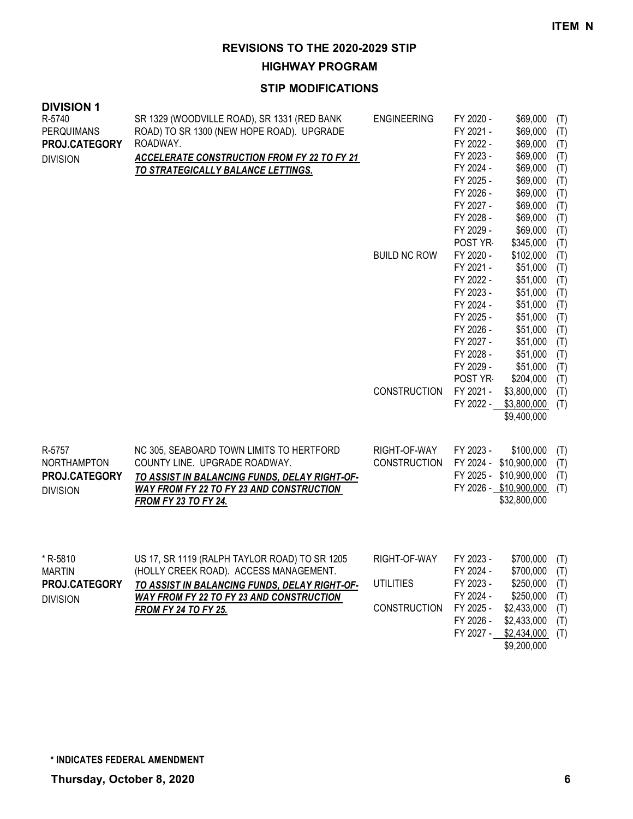**HIGHWAY PROGRAM**

| <b>DIVISION 1</b><br>R-5740 | SR 1329 (WOODVILLE ROAD), SR 1331 (RED BANK                                                     | <b>ENGINEERING</b>  | FY 2020 -              | \$69,000                 | (T)        |
|-----------------------------|-------------------------------------------------------------------------------------------------|---------------------|------------------------|--------------------------|------------|
| PERQUIMANS                  | ROAD) TO SR 1300 (NEW HOPE ROAD). UPGRADE                                                       |                     | FY 2021 -              | \$69,000                 | (T)        |
| PROJ.CATEGORY               | ROADWAY.                                                                                        |                     | FY 2022 -<br>FY 2023 - | \$69,000<br>\$69,000     | (T)<br>(T) |
| <b>DIVISION</b>             | <b>ACCELERATE CONSTRUCTION FROM FY 22 TO FY 21</b><br><b>TO STRATEGICALLY BALANCE LETTINGS.</b> |                     | FY 2024 -              | \$69,000                 | (T)        |
|                             |                                                                                                 |                     | FY 2025 -              | \$69,000                 | (T)        |
|                             |                                                                                                 |                     | FY 2026 -              | \$69,000                 | (T)        |
|                             |                                                                                                 |                     | FY 2027 -              | \$69,000                 | (T)        |
|                             |                                                                                                 |                     | FY 2028 -              | \$69,000                 | (T)        |
|                             |                                                                                                 |                     | FY 2029 -              | \$69,000                 | (T)        |
|                             |                                                                                                 |                     | POST YR                | \$345,000                | (T)        |
|                             |                                                                                                 | <b>BUILD NC ROW</b> | FY 2020 -<br>FY 2021 - | \$102,000<br>\$51,000    | (T)<br>(T) |
|                             |                                                                                                 |                     | FY 2022 -              | \$51,000                 | (T)        |
|                             |                                                                                                 |                     | FY 2023 -              | \$51,000                 | (T)        |
|                             |                                                                                                 |                     | FY 2024 -              | \$51,000                 | (T)        |
|                             |                                                                                                 |                     | FY 2025 -              | \$51,000                 | (T)        |
|                             |                                                                                                 |                     | FY 2026 -              | \$51,000                 | (T)        |
|                             |                                                                                                 |                     | FY 2027 -              | \$51,000                 | (T)        |
|                             |                                                                                                 |                     | FY 2028 -              | \$51,000                 | (T)        |
|                             |                                                                                                 |                     | FY 2029 -              | \$51,000                 | (T)        |
|                             |                                                                                                 | <b>CONSTRUCTION</b> | POST YR<br>FY 2021 -   | \$204,000<br>\$3,800,000 | (T)<br>(T) |
|                             |                                                                                                 |                     | FY 2022 -              | \$3,800,000              | (T)        |
|                             |                                                                                                 |                     |                        | \$9,400,000              |            |
|                             |                                                                                                 |                     |                        |                          |            |
| R-5757                      | NC 305, SEABOARD TOWN LIMITS TO HERTFORD                                                        | RIGHT-OF-WAY        | FY 2023 -              | \$100,000                | (T)        |
| NORTHAMPTON                 | COUNTY LINE. UPGRADE ROADWAY.                                                                   | <b>CONSTRUCTION</b> | FY 2024 - \$10,900,000 |                          | (T)        |
| PROJ.CATEGORY               | TO ASSIST IN BALANCING FUNDS, DELAY RIGHT-OF-                                                   |                     | FY 2025 - \$10,900,000 |                          | (T)        |
| <b>DIVISION</b>             | <b>WAY FROM FY 22 TO FY 23 AND CONSTRUCTION</b>                                                 |                     | FY 2026 - \$10,900,000 |                          | (T)        |
|                             | <b>FROM FY 23 TO FY 24.</b>                                                                     |                     |                        | \$32,800,000             |            |
|                             |                                                                                                 |                     |                        |                          |            |
|                             |                                                                                                 | RIGHT-OF-WAY        |                        | \$700,000                |            |
| * R-5810<br><b>MARTIN</b>   | US 17, SR 1119 (RALPH TAYLOR ROAD) TO SR 1205<br>(HOLLY CREEK ROAD). ACCESS MANAGEMENT.         |                     | FY 2023 -<br>FY 2024 - | \$700,000                | (T)<br>(T) |
| PROJ.CATEGORY               | TO ASSIST IN BALANCING FUNDS, DELAY RIGHT-OF-                                                   | <b>UTILITIES</b>    | FY 2023 -              | \$250,000                | (T)        |
| <b>DIVISION</b>             | <b>WAY FROM FY 22 TO FY 23 AND CONSTRUCTION</b>                                                 |                     | FY 2024 -              | \$250,000                | (T)        |
|                             | <b>FROM FY 24 TO FY 25.</b>                                                                     | <b>CONSTRUCTION</b> | FY 2025 -              | \$2,433,000              | (T)        |
|                             |                                                                                                 |                     | FY 2026 -              | \$2,433,000              | (T)        |
|                             |                                                                                                 |                     | FY 2027 -              | \$2,434,000              | (T)        |
|                             |                                                                                                 |                     |                        | \$9,200,000              |            |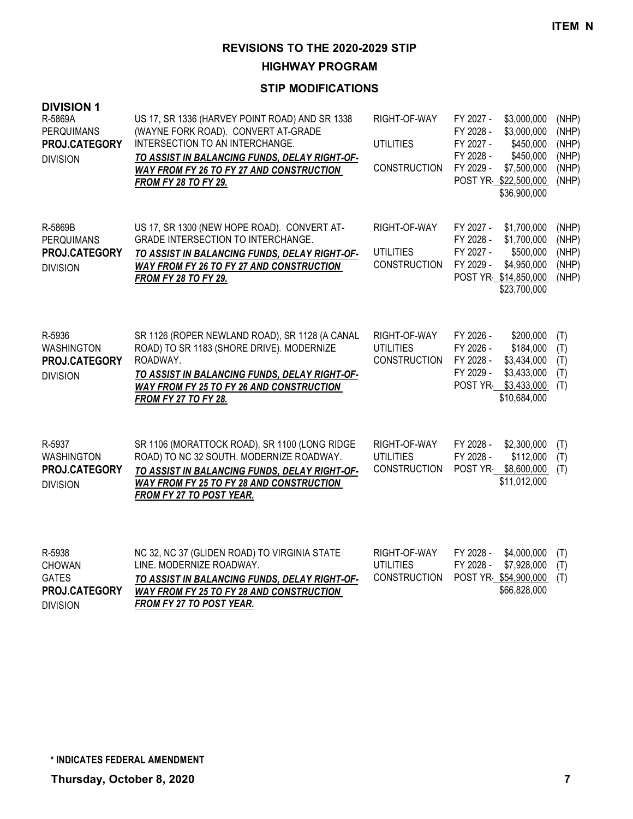**HIGHWAY PROGRAM**

| <b>DIVISION 1</b><br>R-5869A<br>PERQUIMANS<br>PROJ.CATEGORY<br><b>DIVISION</b> | US 17, SR 1336 (HARVEY POINT ROAD) AND SR 1338<br>(WAYNE FORK ROAD). CONVERT AT-GRADE<br>INTERSECTION TO AN INTERCHANGE.<br>TO ASSIST IN BALANCING FUNDS, DELAY RIGHT-OF-<br><b>WAY FROM FY 26 TO FY 27 AND CONSTRUCTION</b><br><b>FROM FY 28 TO FY 29.</b> | RIGHT-OF-WAY<br><b>UTILITIES</b><br><b>CONSTRUCTION</b> | FY 2027 -<br>\$3,000,000<br>\$3,000,000<br>FY 2028 -<br>FY 2027 -<br>\$450,000<br>FY 2028 -<br>\$450,000<br>FY 2029 -<br>\$7,500,000<br>POST YR \$22,500,000<br>\$36,900,000 | (NHP)<br>(NHP)<br>(NHP)<br>(NHP)<br>(NHP)<br>(NHP) |
|--------------------------------------------------------------------------------|-------------------------------------------------------------------------------------------------------------------------------------------------------------------------------------------------------------------------------------------------------------|---------------------------------------------------------|------------------------------------------------------------------------------------------------------------------------------------------------------------------------------|----------------------------------------------------|
| R-5869B<br>PERQUIMANS<br>PROJ.CATEGORY<br><b>DIVISION</b>                      | US 17, SR 1300 (NEW HOPE ROAD). CONVERT AT-<br>GRADE INTERSECTION TO INTERCHANGE.<br>TO ASSIST IN BALANCING FUNDS, DELAY RIGHT-OF-<br><b>WAY FROM FY 26 TO FY 27 AND CONSTRUCTION</b><br><b>FROM FY 28 TO FY 29.</b>                                        | RIGHT-OF-WAY<br><b>UTILITIES</b><br><b>CONSTRUCTION</b> | FY 2027 -<br>\$1,700,000<br>FY 2028 -<br>\$1,700,000<br>FY 2027 -<br>\$500,000<br>FY 2029 -<br>\$4,950,000<br>POST YR \$14,850,000<br>\$23,700,000                           | (NHP)<br>(NHP)<br>(NHP)<br>(NHP)<br>(NHP)          |
| R-5936<br><b>WASHINGTON</b><br>PROJ.CATEGORY<br><b>DIVISION</b>                | SR 1126 (ROPER NEWLAND ROAD), SR 1128 (A CANAL<br>ROAD) TO SR 1183 (SHORE DRIVE). MODERNIZE<br>ROADWAY.<br>TO ASSIST IN BALANCING FUNDS, DELAY RIGHT-OF-<br><b>WAY FROM FY 25 TO FY 26 AND CONSTRUCTION</b><br><b>FROM FY 27 TO FY 28.</b>                  | RIGHT-OF-WAY<br><b>UTILITIES</b><br><b>CONSTRUCTION</b> | FY 2026 -<br>\$200,000<br>FY 2026 -<br>\$184,000<br>FY 2028 -<br>\$3,434,000<br>FY 2029 -<br>\$3,433,000<br>POST YR<br>\$3,433,000<br>\$10,684,000                           | (T)<br>(T)<br>(T)<br>(T)<br>(T)                    |
| R-5937<br><b>WASHINGTON</b><br>PROJ.CATEGORY<br><b>DIVISION</b>                | SR 1106 (MORATTOCK ROAD), SR 1100 (LONG RIDGE<br>ROAD) TO NC 32 SOUTH. MODERNIZE ROADWAY.<br>TO ASSIST IN BALANCING FUNDS, DELAY RIGHT-OF-<br><b>WAY FROM FY 25 TO FY 28 AND CONSTRUCTION</b><br>FROM FY 27 TO POST YEAR.                                   | RIGHT-OF-WAY<br><b>UTILITIES</b><br><b>CONSTRUCTION</b> | FY 2028 -<br>\$2,300,000<br>FY 2028 -<br>\$112,000<br>\$8,600,000<br>POST YR-<br>\$11,012,000                                                                                | (T)<br>(T)<br>(T)                                  |
| R-5938<br><b>CHOWAN</b><br><b>GATES</b><br>PROJ.CATEGORY<br><b>DIVISION</b>    | NC 32, NC 37 (GLIDEN ROAD) TO VIRGINIA STATE<br>LINE. MODERNIZE ROADWAY.<br>TO ASSIST IN BALANCING FUNDS, DELAY RIGHT-OF-<br><b>WAY FROM FY 25 TO FY 28 AND CONSTRUCTION</b><br><b>FROM FY 27 TO POST YEAR.</b>                                             | RIGHT-OF-WAY<br><b>UTILITIES</b><br><b>CONSTRUCTION</b> | FY 2028 -<br>\$4,000,000<br>FY 2028 -<br>\$7,928,000<br>POST YR \$54,900,000<br>\$66,828,000                                                                                 | (T)<br>(T)<br>(T)                                  |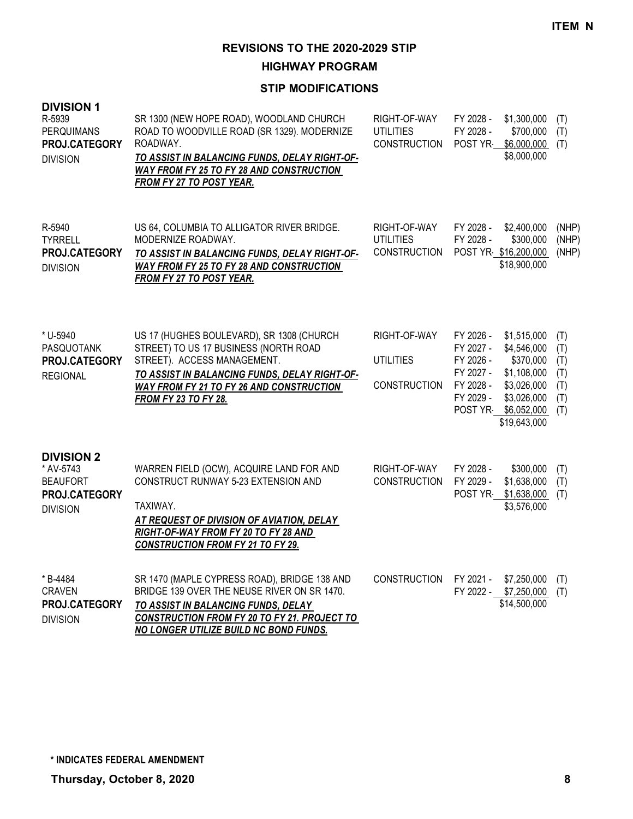**HIGHWAY PROGRAM**

| <b>DIVISION 1</b><br>R-5939<br>PERQUIMANS<br>PROJ.CATEGORY<br><b>DIVISION</b>         | SR 1300 (NEW HOPE ROAD), WOODLAND CHURCH<br>ROAD TO WOODVILLE ROAD (SR 1329). MODERNIZE<br>ROADWAY.<br>TO ASSIST IN BALANCING FUNDS, DELAY RIGHT-OF-<br><b>WAY FROM FY 25 TO FY 28 AND CONSTRUCTION</b><br>FROM FY 27 TO POST YEAR.                  | RIGHT-OF-WAY<br><b>UTILITIES</b><br><b>CONSTRUCTION</b> | FY 2028 -<br>FY 2028 -<br>POST YR                                                     | \$1,300,000<br>\$700,000<br>\$6,000,000<br>\$8,000,000                                                              | (T)<br>(T)<br>(T)                             |
|---------------------------------------------------------------------------------------|------------------------------------------------------------------------------------------------------------------------------------------------------------------------------------------------------------------------------------------------------|---------------------------------------------------------|---------------------------------------------------------------------------------------|---------------------------------------------------------------------------------------------------------------------|-----------------------------------------------|
| R-5940<br><b>TYRRELL</b><br>PROJ.CATEGORY<br><b>DIVISION</b>                          | US 64, COLUMBIA TO ALLIGATOR RIVER BRIDGE.<br>MODERNIZE ROADWAY.<br>TO ASSIST IN BALANCING FUNDS, DELAY RIGHT-OF-<br>WAY FROM FY 25 TO FY 28 AND CONSTRUCTION<br><b>FROM FY 27 TO POST YEAR.</b>                                                     | RIGHT-OF-WAY<br><b>UTILITIES</b><br><b>CONSTRUCTION</b> | FY 2028 -<br>FY 2028 -<br>POST YR \$16,200,000                                        | \$2,400,000<br>\$300,000<br>\$18,900,000                                                                            | (NHP)<br>(NHP)<br>(NHP)                       |
| * U-5940<br>PASQUOTANK<br>PROJ.CATEGORY<br><b>REGIONAL</b>                            | US 17 (HUGHES BOULEVARD), SR 1308 (CHURCH<br>STREET) TO US 17 BUSINESS (NORTH ROAD<br>STREET). ACCESS MANAGEMENT.<br>TO ASSIST IN BALANCING FUNDS, DELAY RIGHT-OF-<br><b>WAY FROM FY 21 TO FY 26 AND CONSTRUCTION</b><br><b>FROM FY 23 TO FY 28.</b> | RIGHT-OF-WAY<br><b>UTILITIES</b><br><b>CONSTRUCTION</b> | FY 2026 -<br>FY 2027 -<br>FY 2026 -<br>FY 2027 -<br>FY 2028 -<br>FY 2029 -<br>POST YR | \$1,515,000<br>\$4,546,000<br>\$370,000<br>\$1,108,000<br>\$3,026,000<br>\$3,026,000<br>\$6,052,000<br>\$19,643,000 | (T)<br>(T)<br>(T)<br>(T)<br>(T)<br>(T)<br>(T) |
| <b>DIVISION 2</b><br>* AV-5743<br><b>BEAUFORT</b><br>PROJ.CATEGORY<br><b>DIVISION</b> | WARREN FIELD (OCW), ACQUIRE LAND FOR AND<br><b>CONSTRUCT RUNWAY 5-23 EXTENSION AND</b><br>TAXIWAY.<br>AT REQUEST OF DIVISION OF AVIATION, DELAY<br>RIGHT-OF-WAY FROM FY 20 TO FY 28 AND<br><b>CONSTRUCTION FROM FY 21 TO FY 29.</b>                  | RIGHT-OF-WAY<br><b>CONSTRUCTION</b>                     | FY 2028 -<br>FY 2029 -<br>POST YR-                                                    | \$300,000<br>\$1,638,000<br>\$1,638,000<br>\$3,576,000                                                              | (T)<br>(T)<br>(T)                             |
| * B-4484<br><b>CRAVEN</b><br>PROJ.CATEGORY<br><b>DIVISION</b>                         | SR 1470 (MAPLE CYPRESS ROAD), BRIDGE 138 AND<br>BRIDGE 139 OVER THE NEUSE RIVER ON SR 1470.<br>TO ASSIST IN BALANCING FUNDS, DELAY<br><b>CONSTRUCTION FROM FY 20 TO FY 21. PROJECT TO</b><br>NO LONGER UTILIZE BUILD NC BOND FUNDS.                  | <b>CONSTRUCTION</b>                                     | FY 2021 -<br>FY 2022 - \$7,250,000                                                    | \$7,250,000<br>\$14,500,000                                                                                         | (T)<br>(T)                                    |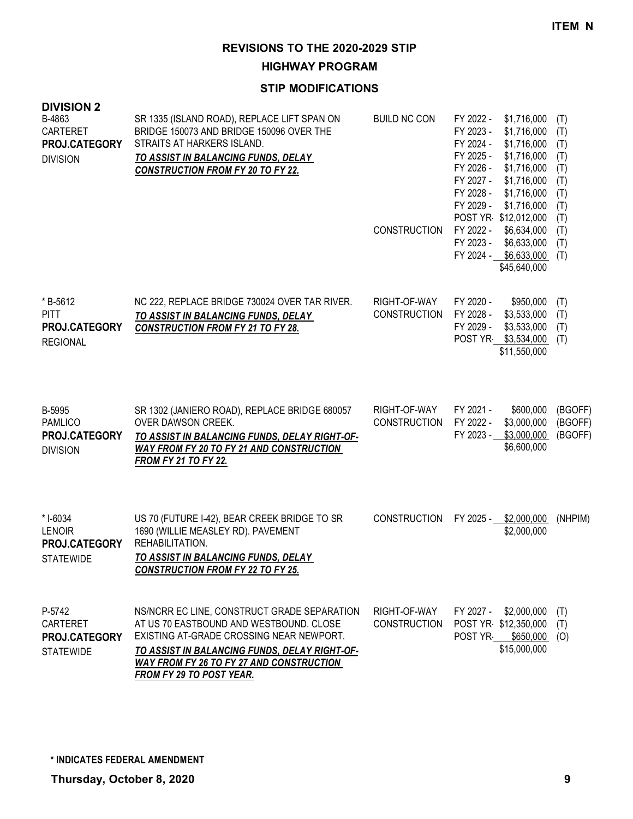**HIGHWAY PROGRAM**

| <b>DIVISION 2</b><br>B-4863                                       | SR 1335 (ISLAND ROAD), REPLACE LIFT SPAN ON                                                                                                                                                                                                                        | <b>BUILD NC CON</b>                 | FY 2022 -<br>\$1,716,000                                                                                                                                                                                                 |                                                             |
|-------------------------------------------------------------------|--------------------------------------------------------------------------------------------------------------------------------------------------------------------------------------------------------------------------------------------------------------------|-------------------------------------|--------------------------------------------------------------------------------------------------------------------------------------------------------------------------------------------------------------------------|-------------------------------------------------------------|
| CARTERET<br>PROJ.CATEGORY<br><b>DIVISION</b>                      | BRIDGE 150073 AND BRIDGE 150096 OVER THE<br>STRAITS AT HARKERS ISLAND.<br>TO ASSIST IN BALANCING FUNDS, DELAY<br><b>CONSTRUCTION FROM FY 20 TO FY 22.</b>                                                                                                          |                                     | FY 2023 -<br>\$1,716,000<br>FY 2024 -<br>\$1,716,000<br>FY 2025 -<br>\$1,716,000<br>FY 2026 -<br>\$1,716,000<br>FY 2027 -<br>\$1,716,000<br>FY 2028 -<br>\$1,716,000<br>FY 2029 -<br>\$1,716,000<br>POST YR \$12,012,000 | (T)<br>(T)<br>(T)<br>(T)<br>(T)<br>(T)<br>(T)<br>(T)<br>(T) |
|                                                                   |                                                                                                                                                                                                                                                                    | <b>CONSTRUCTION</b>                 | FY 2022 -<br>\$6,634,000<br>FY 2023 -<br>\$6,633,000<br>FY 2024 - \$6,633,000<br>\$45,640,000                                                                                                                            | (T)<br>(T)<br>(T)                                           |
| *B-5612<br><b>PITT</b><br><b>PROJ.CATEGORY</b><br><b>REGIONAL</b> | NC 222, REPLACE BRIDGE 730024 OVER TAR RIVER.<br>TO ASSIST IN BALANCING FUNDS, DELAY<br><b>CONSTRUCTION FROM FY 21 TO FY 28.</b>                                                                                                                                   | RIGHT-OF-WAY<br><b>CONSTRUCTION</b> | FY 2020 -<br>\$950,000<br>FY 2028 -<br>\$3,533,000<br>FY 2029 -<br>\$3,533,000<br>POST YR \$3,534,000<br>\$11,550,000                                                                                                    | (T)<br>(T)<br>(T)<br>(T)                                    |
| B-5995<br><b>PAMLICO</b><br>PROJ.CATEGORY<br><b>DIVISION</b>      | SR 1302 (JANIERO ROAD), REPLACE BRIDGE 680057<br>OVER DAWSON CREEK.<br>TO ASSIST IN BALANCING FUNDS, DELAY RIGHT-OF-<br><b>WAY FROM FY 20 TO FY 21 AND CONSTRUCTION</b><br><b>FROM FY 21 TO FY 22.</b>                                                             | RIGHT-OF-WAY<br><b>CONSTRUCTION</b> | FY 2021 -<br>\$600,000<br>FY 2022 -<br>\$3,000,000<br>FY 2023 -<br>\$3,000,000<br>\$6,600,000                                                                                                                            | (BGOFF)<br>(BGOFF)<br>(BGOFF)                               |
| * I-6034<br><b>LENOIR</b><br>PROJ.CATEGORY<br><b>STATEWIDE</b>    | US 70 (FUTURE 1-42), BEAR CREEK BRIDGE TO SR<br>1690 (WILLIE MEASLEY RD). PAVEMENT<br>REHABILITATION.<br>TO ASSIST IN BALANCING FUNDS, DELAY<br><b>CONSTRUCTION FROM FY 22 TO FY 25.</b>                                                                           | <b>CONSTRUCTION</b>                 | FY 2025 - \$2,000,000<br>\$2,000,000                                                                                                                                                                                     | (NHPIM)                                                     |
| P-5742<br>CARTERET<br><b>PROJ.CATEGORY</b><br><b>STATEWIDE</b>    | NS/NCRR EC LINE, CONSTRUCT GRADE SEPARATION<br>AT US 70 EASTBOUND AND WESTBOUND, CLOSE<br>EXISTING AT-GRADE CROSSING NEAR NEWPORT.<br>TO ASSIST IN BALANCING FUNDS, DELAY RIGHT-OF-<br><b>WAY FROM FY 26 TO FY 27 AND CONSTRUCTION</b><br>FROM FY 29 TO POST YEAR. | RIGHT-OF-WAY<br><b>CONSTRUCTION</b> | FY 2027 -<br>\$2,000,000<br>POST YR \$12,350,000<br>POST YR<br>\$650,000<br>\$15,000,000                                                                                                                                 | (T)<br>(T)<br>(O)                                           |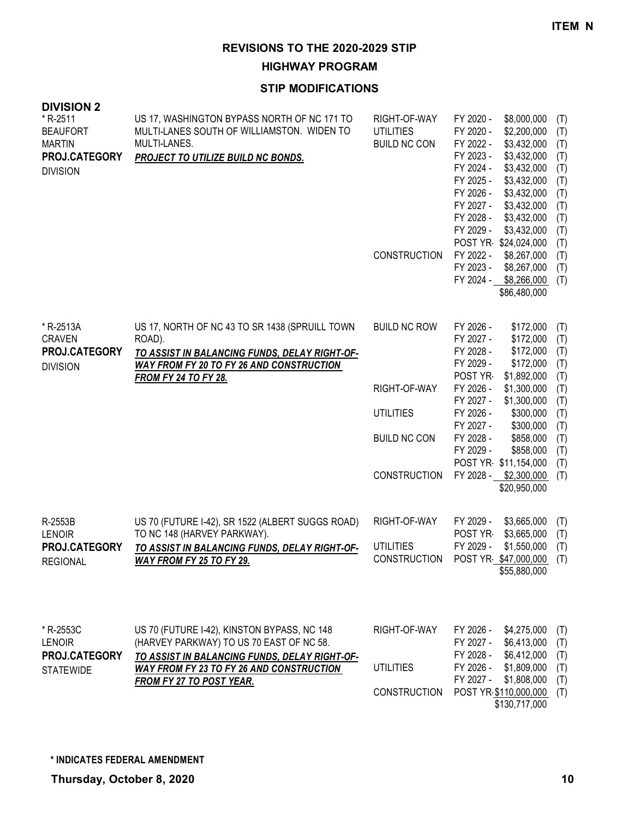**HIGHWAY PROGRAM**

| <b>DIVISION 2</b><br>*R-2511<br><b>BEAUFORT</b><br><b>MARTIN</b><br>PROJ.CATEGORY<br><b>DIVISION</b> | US 17, WASHINGTON BYPASS NORTH OF NC 171 TO<br>MULTI-LANES SOUTH OF WILLIAMSTON. WIDEN TO<br>MULTI-LANES.<br>PROJECT TO UTILIZE BUILD NC BONDS.                                                                                | RIGHT-OF-WAY<br><b>UTILITIES</b><br><b>BUILD NC CON</b><br><b>CONSTRUCTION</b>                        | FY 2020 -<br>\$8,000,000<br>(T)<br>\$2,200,000<br>FY 2020 -<br>(T)<br>FY 2022 -<br>\$3,432,000<br>(T)<br>FY 2023 -<br>\$3,432,000<br>(T)<br>FY 2024 -<br>\$3,432,000<br>(T)<br>\$3,432,000<br>FY 2025 -<br>(T)<br>FY 2026 -<br>\$3,432,000<br>(T)<br>FY 2027 -<br>\$3,432,000<br>(T)<br>FY 2028 -<br>\$3,432,000<br>(T)<br>FY 2029 -<br>\$3,432,000<br>(T)<br>POST YR \$24,024,000<br>(T)<br>FY 2022 -<br>\$8,267,000<br>(T)<br>FY 2023 -<br>\$8,267,000<br>(T)<br>\$8,266,000<br>FY 2024 -<br>(T)<br>\$86,480,000 |
|------------------------------------------------------------------------------------------------------|--------------------------------------------------------------------------------------------------------------------------------------------------------------------------------------------------------------------------------|-------------------------------------------------------------------------------------------------------|--------------------------------------------------------------------------------------------------------------------------------------------------------------------------------------------------------------------------------------------------------------------------------------------------------------------------------------------------------------------------------------------------------------------------------------------------------------------------------------------------------------------|
| * R-2513A<br><b>CRAVEN</b><br>PROJ.CATEGORY<br><b>DIVISION</b>                                       | US 17, NORTH OF NC 43 TO SR 1438 (SPRUILL TOWN<br>ROAD).<br>TO ASSIST IN BALANCING FUNDS, DELAY RIGHT-OF-<br><b>WAY FROM FY 20 TO FY 26 AND CONSTRUCTION</b><br><b>FROM FY 24 TO FY 28.</b>                                    | <b>BUILD NC ROW</b><br>RIGHT-OF-WAY<br><b>UTILITIES</b><br><b>BUILD NC CON</b><br><b>CONSTRUCTION</b> | FY 2026 -<br>\$172,000<br>(T)<br>FY 2027 -<br>\$172,000<br>(T)<br>FY 2028 -<br>\$172,000<br>(T)<br>FY 2029 -<br>\$172,000<br>(T)<br>POST YR<br>\$1,892,000<br>(T)<br>FY 2026 -<br>\$1,300,000<br>(T)<br>FY 2027 -<br>\$1,300,000<br>(T)<br>FY 2026 -<br>\$300,000<br>(T)<br>FY 2027 -<br>\$300,000<br>(T)<br>FY 2028 -<br>\$858,000<br>(T)<br>FY 2029 -<br>\$858,000<br>(T)<br>POST YR \$11,154,000<br>(T)<br>FY 2028 -<br>\$2,300,000<br>(T)<br>\$20,950,000                                                      |
| R-2553B<br><b>LENOIR</b><br>PROJ.CATEGORY<br><b>REGIONAL</b>                                         | US 70 (FUTURE I-42), SR 1522 (ALBERT SUGGS ROAD)<br>TO NC 148 (HARVEY PARKWAY).<br>TO ASSIST IN BALANCING FUNDS, DELAY RIGHT-OF-<br>WAY FROM FY 25 TO FY 29.                                                                   | RIGHT-OF-WAY<br><b>UTILITIES</b><br><b>CONSTRUCTION</b>                                               | FY 2029 -<br>\$3,665,000<br>(T)<br>POST YR-<br>\$3,665,000<br>(T)<br>FY 2029 -<br>\$1,550,000<br>(T)<br>POST YR \$47,000,000<br>(T)<br>\$55,880,000                                                                                                                                                                                                                                                                                                                                                                |
| * R-2553C<br><b>LENOIR</b><br>PROJ.CATEGORY<br><b>STATEWIDE</b>                                      | US 70 (FUTURE I-42), KINSTON BYPASS, NC 148<br>(HARVEY PARKWAY) TO US 70 EAST OF NC 58.<br>TO ASSIST IN BALANCING FUNDS, DELAY RIGHT-OF-<br><b>WAY FROM FY 23 TO FY 26 AND CONSTRUCTION</b><br><b>FROM FY 27 TO POST YEAR.</b> | RIGHT-OF-WAY<br><b>UTILITIES</b><br>CONSTRUCTION                                                      | FY 2026 -<br>\$4,275,000<br>(T)<br>FY 2027 -<br>\$6,413,000<br>(T)<br>\$6,412,000<br>FY 2028 -<br>(T)<br>FY 2026 -<br>\$1,809,000<br>(T)<br>FY 2027 -<br>\$1,808,000<br>(T)<br>POST YR \$110,000,000<br>(T)<br>\$130,717,000                                                                                                                                                                                                                                                                                       |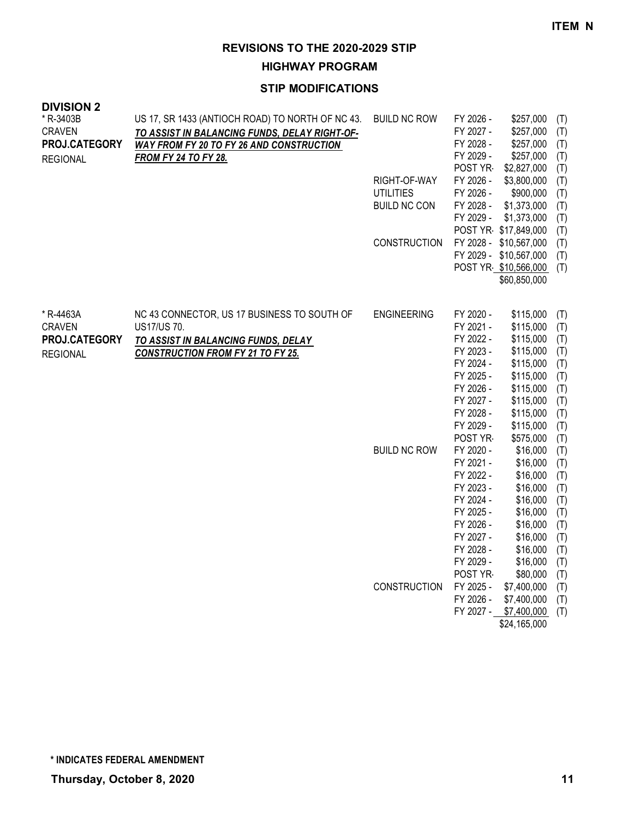**HIGHWAY PROGRAM**

| <b>DIVISION 2</b> |                                                  |                     |                      |                        |            |
|-------------------|--------------------------------------------------|---------------------|----------------------|------------------------|------------|
| * R-3403B         | US 17, SR 1433 (ANTIOCH ROAD) TO NORTH OF NC 43. | <b>BUILD NC ROW</b> | FY 2026 -            | \$257,000              | (T)        |
| <b>CRAVEN</b>     | TO ASSIST IN BALANCING FUNDS, DELAY RIGHT-OF-    |                     | FY 2027 -            | \$257,000              | (T)        |
| PROJ.CATEGORY     | <b>WAY FROM FY 20 TO FY 26 AND CONSTRUCTION</b>  |                     | FY 2028 -            | \$257,000              | (T)        |
| <b>REGIONAL</b>   | <b>FROM FY 24 TO FY 28.</b>                      |                     | FY 2029 -            | \$257,000              | (T)        |
|                   |                                                  |                     | POST YR-             | \$2,827,000            | (T)        |
|                   |                                                  | RIGHT-OF-WAY        | FY 2026 -            | \$3,800,000            | (T)        |
|                   |                                                  | <b>UTILITIES</b>    | FY 2026 -            | \$900,000              | (T)        |
|                   |                                                  | <b>BUILD NC CON</b> | FY 2028 -            | \$1,373,000            | (T)        |
|                   |                                                  |                     | FY 2029 -            | \$1,373,000            | (T)        |
|                   |                                                  |                     |                      | POST YR \$17,849,000   | (T)        |
|                   |                                                  | <b>CONSTRUCTION</b> |                      | FY 2028 - \$10,567,000 | (T)        |
|                   |                                                  |                     |                      | FY 2029 - \$10,567,000 | (T)        |
|                   |                                                  |                     |                      | POST YR \$10,566,000   | (T)        |
|                   |                                                  |                     |                      | \$60,850,000           |            |
|                   |                                                  |                     |                      |                        |            |
| * R-4463A         | NC 43 CONNECTOR, US 17 BUSINESS TO SOUTH OF      | <b>ENGINEERING</b>  | FY 2020 -            | \$115,000              | (T)        |
| <b>CRAVEN</b>     | US17/US 70.                                      |                     | FY 2021 -            | \$115,000              | (T)        |
| PROJ.CATEGORY     | TO ASSIST IN BALANCING FUNDS, DELAY              |                     | FY 2022 -            | \$115,000              | (T)        |
| <b>REGIONAL</b>   | <b>CONSTRUCTION FROM FY 21 TO FY 25.</b>         |                     | FY 2023 -            | \$115,000              | (T)        |
|                   |                                                  |                     | FY 2024 -            | \$115,000              | (T)        |
|                   |                                                  |                     | FY 2025 -            | \$115,000              | (T)        |
|                   |                                                  |                     | FY 2026 -            | \$115,000              | (T)        |
|                   |                                                  |                     | FY 2027 -            | \$115,000              | (T)        |
|                   |                                                  |                     | FY 2028 -            | \$115,000              | (T)        |
|                   |                                                  |                     | FY 2029 -            | \$115,000              | (T)        |
|                   |                                                  | <b>BUILD NC ROW</b> | POST YR<br>FY 2020 - | \$575,000<br>\$16,000  | (T)        |
|                   |                                                  |                     | FY 2021 -            | \$16,000               | (T)<br>(T) |
|                   |                                                  |                     | FY 2022 -            | \$16,000               | (T)        |
|                   |                                                  |                     | FY 2023 -            | \$16,000               | (T)        |
|                   |                                                  |                     | FY 2024 -            | \$16,000               | (T)        |
|                   |                                                  |                     | FY 2025 -            | \$16,000               | (T)        |
|                   |                                                  |                     | FY 2026 -            | \$16,000               | (T)        |
|                   |                                                  |                     | FY 2027 -            | \$16,000               | (T)        |
|                   |                                                  |                     | FY 2028 -            | \$16,000               | (T)        |
|                   |                                                  |                     | FY 2029 -            | \$16,000               | (T)        |
|                   |                                                  |                     | POST YR              | \$80,000               | (T)        |
|                   |                                                  | <b>CONSTRUCTION</b> | FY 2025 -            | \$7,400,000            | (T)        |
|                   |                                                  |                     | FY 2026 -            | \$7,400,000            | (T)        |
|                   |                                                  |                     | FY 2027 -            | \$7,400,000            | (T)        |
|                   |                                                  |                     |                      | \$24,165,000           |            |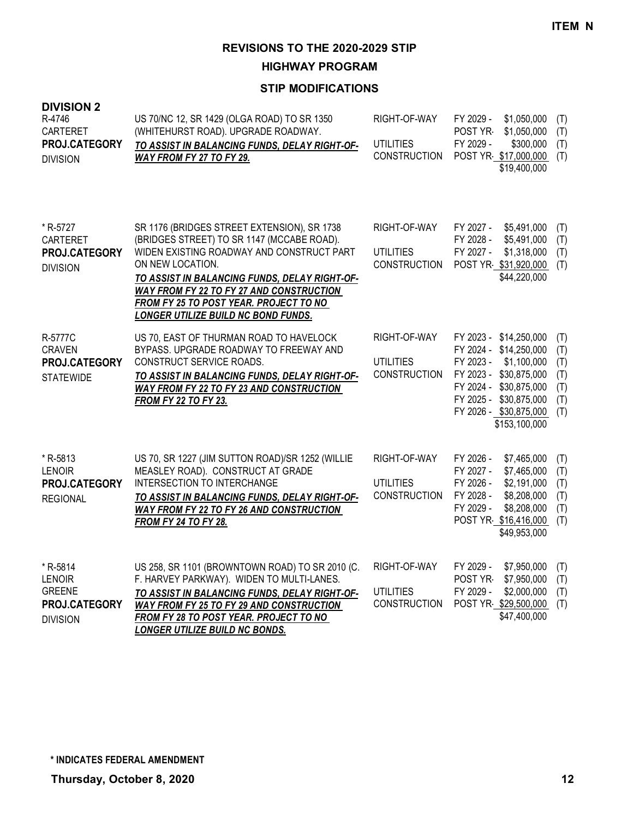**HIGHWAY PROGRAM**

| <b>DIVISION 2</b><br>R-4746<br>CARTERET<br>PROJ.CATEGORY<br><b>DIVISION</b>    | US 70/NC 12, SR 1429 (OLGA ROAD) TO SR 1350<br>(WHITEHURST ROAD). UPGRADE ROADWAY.<br>TO ASSIST IN BALANCING FUNDS, DELAY RIGHT-OF-<br>WAY FROM FY 27 TO FY 29.                                                                                                                                                                                 | RIGHT-OF-WAY<br><b>UTILITIES</b><br><b>CONSTRUCTION</b> | FY 2029 -<br>\$1,050,000<br><b>POST YR-</b><br>\$1,050,000<br>FY 2029 -<br>\$300,000<br>POST YR \$17,000,000<br>\$19,400,000                                                                          | (T)<br>(T)<br>(T)<br>(T)                      |
|--------------------------------------------------------------------------------|-------------------------------------------------------------------------------------------------------------------------------------------------------------------------------------------------------------------------------------------------------------------------------------------------------------------------------------------------|---------------------------------------------------------|-------------------------------------------------------------------------------------------------------------------------------------------------------------------------------------------------------|-----------------------------------------------|
| * R-5727<br><b>CARTERET</b><br>PROJ.CATEGORY<br><b>DIVISION</b>                | SR 1176 (BRIDGES STREET EXTENSION), SR 1738<br>(BRIDGES STREET) TO SR 1147 (MCCABE ROAD).<br>WIDEN EXISTING ROADWAY AND CONSTRUCT PART<br>ON NEW LOCATION.<br>TO ASSIST IN BALANCING FUNDS, DELAY RIGHT-OF-<br>WAY FROM FY 22 TO FY 27 AND CONSTRUCTION<br><b>FROM FY 25 TO POST YEAR. PROJECT TO NO</b><br>LONGER UTILIZE BUILD NC BOND FUNDS. | RIGHT-OF-WAY<br><b>UTILITIES</b><br><b>CONSTRUCTION</b> | FY 2027 -<br>\$5,491,000<br>FY 2028 -<br>\$5,491,000<br>FY 2027 -<br>\$1,318,000<br>POST YR \$31,920,000<br>\$44,220,000                                                                              | (T)<br>(T)<br>(T)<br>(T)                      |
| R-5777C<br><b>CRAVEN</b><br>PROJ.CATEGORY<br><b>STATEWIDE</b>                  | US 70, EAST OF THURMAN ROAD TO HAVELOCK<br>BYPASS. UPGRADE ROADWAY TO FREEWAY AND<br>CONSTRUCT SERVICE ROADS.<br>TO ASSIST IN BALANCING FUNDS, DELAY RIGHT-OF-<br>WAY FROM FY 22 TO FY 23 AND CONSTRUCTION<br><b>FROM FY 22 TO FY 23.</b>                                                                                                       | RIGHT-OF-WAY<br><b>UTILITIES</b><br><b>CONSTRUCTION</b> | FY 2023 - \$14,250,000<br>FY 2024 - \$14,250,000<br>FY 2023 -<br>\$1,100,000<br>FY 2023 - \$30,875,000<br>FY 2024 - \$30,875,000<br>FY 2025 - \$30,875,000<br>FY 2026 - \$30,875,000<br>\$153,100,000 | (T)<br>(T)<br>(T)<br>(T)<br>(T)<br>(T)<br>(T) |
| * R-5813<br><b>LENOIR</b><br>PROJ.CATEGORY<br><b>REGIONAL</b>                  | US 70, SR 1227 (JIM SUTTON ROAD)/SR 1252 (WILLIE<br>MEASLEY ROAD). CONSTRUCT AT GRADE<br>INTERSECTION TO INTERCHANGE<br>TO ASSIST IN BALANCING FUNDS, DELAY RIGHT-OF-<br>WAY FROM FY 22 TO FY 26 AND CONSTRUCTION<br><b>FROM FY 24 TO FY 28.</b>                                                                                                | RIGHT-OF-WAY<br><b>UTILITIES</b><br><b>CONSTRUCTION</b> | FY 2026 -<br>\$7,465,000<br>FY 2027 -<br>\$7,465,000<br>FY 2026 -<br>\$2,191,000<br>FY 2028 -<br>\$8,208,000<br>FY 2029 -<br>\$8,208,000<br>POST YR \$16,416,000<br>\$49,953,000                      | (T)<br>(T)<br>(T)<br>(T)<br>(T)<br>(T)        |
| * R-5814<br><b>LENOIR</b><br><b>GREENE</b><br>PROJ.CATEGORY<br><b>DIVISION</b> | US 258, SR 1101 (BROWNTOWN ROAD) TO SR 2010 (C.<br>F. HARVEY PARKWAY). WIDEN TO MULTI-LANES.<br>TO ASSIST IN BALANCING FUNDS, DELAY RIGHT-OF-<br>WAY FROM FY 25 TO FY 29 AND CONSTRUCTION<br>FROM FY 28 TO POST YEAR. PROJECT TO NO<br><b>LONGER UTILIZE BUILD NC BONDS.</b>                                                                    | RIGHT-OF-WAY<br><b>UTILITIES</b><br><b>CONSTRUCTION</b> | \$7,950,000<br>FY 2029 -<br>POST YR-<br>\$7,950,000<br>FY 2029 -<br>\$2,000,000<br>POST YR \$29,500,000<br>\$47,400,000                                                                               | (T)<br>(T)<br>(T)<br>(T)                      |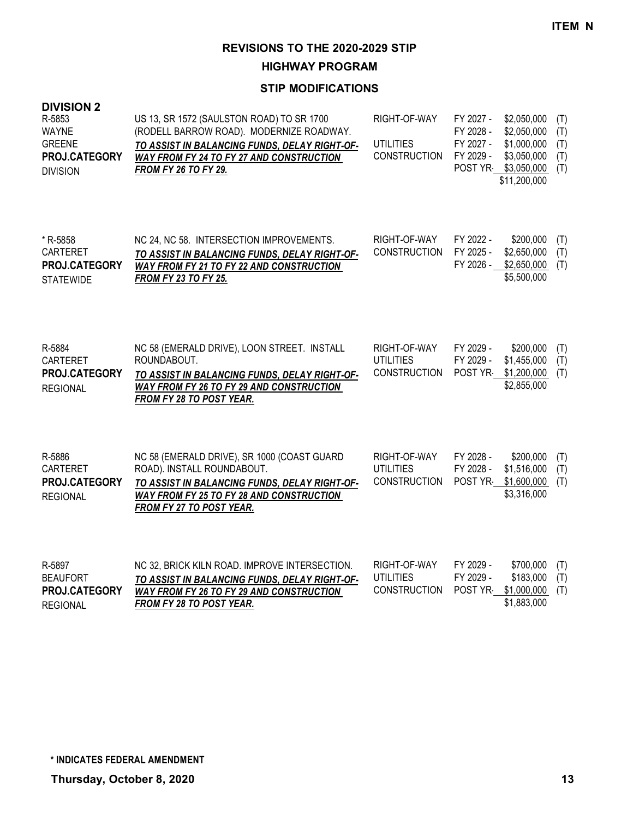**HIGHWAY PROGRAM**

| <b>DIVISION 2</b><br>R-5853<br><b>WAYNE</b><br><b>GREENE</b><br>PROJ.CATEGORY<br><b>DIVISION</b> | US 13, SR 1572 (SAULSTON ROAD) TO SR 1700<br>(RODELL BARROW ROAD). MODERNIZE ROADWAY.<br>TO ASSIST IN BALANCING FUNDS, DELAY RIGHT-OF-<br>WAY FROM FY 24 TO FY 27 AND CONSTRUCTION<br><b>FROM FY 26 TO FY 29.</b> | RIGHT-OF-WAY<br><b>UTILITIES</b><br><b>CONSTRUCTION</b> | FY 2027 -<br>FY 2028 -<br>FY 2027 -<br>FY 2029 -<br>POST YR- | \$2,050,000<br>\$2,050,000<br>\$1,000,000<br>\$3,050,000<br>\$3,050,000<br>\$11,200,000 | (T)<br>(T)<br>(T)<br>(T)<br>(T) |
|--------------------------------------------------------------------------------------------------|-------------------------------------------------------------------------------------------------------------------------------------------------------------------------------------------------------------------|---------------------------------------------------------|--------------------------------------------------------------|-----------------------------------------------------------------------------------------|---------------------------------|
| * R-5858<br><b>CARTERET</b><br><b>PROJ.CATEGORY</b><br><b>STATEWIDE</b>                          | NC 24, NC 58. INTERSECTION IMPROVEMENTS.<br>TO ASSIST IN BALANCING FUNDS, DELAY RIGHT-OF-<br>WAY FROM FY 21 TO FY 22 AND CONSTRUCTION<br><b>FROM FY 23 TO FY 25.</b>                                              | RIGHT-OF-WAY<br><b>CONSTRUCTION</b>                     | FY 2022 -<br>FY 2025 -<br>FY 2026 -                          | \$200,000<br>\$2,650,000<br>\$2,650,000<br>\$5,500,000                                  | (T)<br>(T)<br>(T)               |
| R-5884<br>CARTERET<br>PROJ.CATEGORY<br><b>REGIONAL</b>                                           | NC 58 (EMERALD DRIVE), LOON STREET. INSTALL<br>ROUNDABOUT.<br>TO ASSIST IN BALANCING FUNDS, DELAY RIGHT-OF-<br>WAY FROM FY 26 TO FY 29 AND CONSTRUCTION<br>FROM FY 28 TO POST YEAR.                               | RIGHT-OF-WAY<br><b>UTILITIES</b><br><b>CONSTRUCTION</b> | FY 2029 -<br>FY 2029 -<br>POST YR                            | \$200,000<br>\$1,455,000<br>\$1,200,000<br>\$2,855,000                                  | (T)<br>(T)<br>(T)               |
| R-5886<br>CARTERET<br>PROJ.CATEGORY<br><b>REGIONAL</b>                                           | NC 58 (EMERALD DRIVE), SR 1000 (COAST GUARD<br>ROAD). INSTALL ROUNDABOUT.<br>TO ASSIST IN BALANCING FUNDS, DELAY RIGHT-OF-<br>WAY FROM FY 25 TO FY 28 AND CONSTRUCTION<br>FROM FY 27 TO POST YEAR.                | RIGHT-OF-WAY<br><b>UTILITIES</b><br><b>CONSTRUCTION</b> | FY 2028 -<br>FY 2028 -<br>POST YR                            | \$200,000<br>\$1,516,000<br>\$1,600,000<br>\$3,316,000                                  | (T)<br>(T)<br>(T)               |
| R-5897<br><b>BEAUFORT</b><br>PROJ.CATEGORY<br><b>REGIONAL</b>                                    | NC 32, BRICK KILN ROAD. IMPROVE INTERSECTION.<br>TO ASSIST IN BALANCING FUNDS, DELAY RIGHT-OF-<br>WAY FROM FY 26 TO FY 29 AND CONSTRUCTION<br><b>FROM FY 28 TO POST YEAR.</b>                                     | RIGHT-OF-WAY<br><b>UTILITIES</b><br><b>CONSTRUCTION</b> | FY 2029 -<br>FY 2029 -<br>POST YR-                           | \$700,000<br>\$183,000<br>\$1,000,000<br>\$1,883,000                                    | (T)<br>(T)<br>(T)               |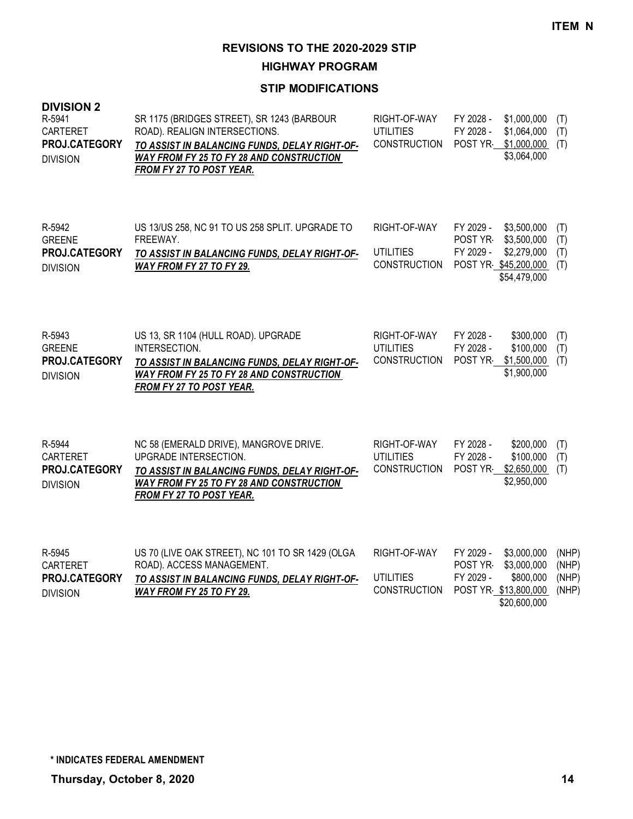**HIGHWAY PROGRAM**

| <b>DIVISION 2</b><br>R-5941<br>CARTERET<br>PROJ.CATEGORY<br><b>DIVISION</b> | SR 1175 (BRIDGES STREET), SR 1243 (BARBOUR<br>ROAD). REALIGN INTERSECTIONS.<br>TO ASSIST IN BALANCING FUNDS, DELAY RIGHT-OF-<br>WAY FROM FY 25 TO FY 28 AND CONSTRUCTION<br>FROM FY 27 TO POST YEAR. | RIGHT-OF-WAY<br><b>UTILITIES</b><br><b>CONSTRUCTION</b> | FY 2028 -<br>\$1,000,000<br>FY 2028 -<br>\$1,064,000<br>\$1,000,000<br>POST YR<br>\$3,064,000                          | (T)<br>(T)<br>(T)                |
|-----------------------------------------------------------------------------|------------------------------------------------------------------------------------------------------------------------------------------------------------------------------------------------------|---------------------------------------------------------|------------------------------------------------------------------------------------------------------------------------|----------------------------------|
| R-5942<br><b>GREENE</b><br>PROJ.CATEGORY<br><b>DIVISION</b>                 | US 13/US 258, NC 91 TO US 258 SPLIT. UPGRADE TO<br>FREEWAY.<br>TO ASSIST IN BALANCING FUNDS, DELAY RIGHT-OF-<br><b>WAY FROM FY 27 TO FY 29.</b>                                                      | RIGHT-OF-WAY<br><b>UTILITIES</b><br><b>CONSTRUCTION</b> | FY 2029 -<br>\$3,500,000<br>POST YR<br>\$3,500,000<br>FY 2029 -<br>\$2,279,000<br>POST YR \$45,200,000<br>\$54,479,000 | (T)<br>(T)<br>(T)<br>(T)         |
| R-5943<br><b>GREENE</b><br>PROJ.CATEGORY<br><b>DIVISION</b>                 | US 13, SR 1104 (HULL ROAD). UPGRADE<br>INTERSECTION.<br>TO ASSIST IN BALANCING FUNDS, DELAY RIGHT-OF-<br>WAY FROM FY 25 TO FY 28 AND CONSTRUCTION<br>FROM FY 27 TO POST YEAR.                        | RIGHT-OF-WAY<br><b>UTILITIES</b><br>CONSTRUCTION        | FY 2028 -<br>\$300,000<br>FY 2028 -<br>\$100,000<br>\$1,500,000<br>POST YR<br>\$1,900,000                              | (T)<br>(T)<br>(T)                |
| R-5944<br>CARTERET<br>PROJ.CATEGORY<br><b>DIVISION</b>                      | NC 58 (EMERALD DRIVE), MANGROVE DRIVE.<br>UPGRADE INTERSECTION.<br>TO ASSIST IN BALANCING FUNDS, DELAY RIGHT-OF-<br>WAY FROM FY 25 TO FY 28 AND CONSTRUCTION<br>FROM FY 27 TO POST YEAR.             | RIGHT-OF-WAY<br><b>UTILITIES</b><br><b>CONSTRUCTION</b> | FY 2028 -<br>\$200,000<br>\$100,000<br>FY 2028 -<br>POST YR<br>\$2,650,000<br>\$2,950,000                              | (T)<br>(T)<br>(T)                |
| R-5945<br>CARTERET<br>PROJ.CATEGORY<br><b>DIVISION</b>                      | US 70 (LIVE OAK STREET), NC 101 TO SR 1429 (OLGA<br>ROAD). ACCESS MANAGEMENT.<br>TO ASSIST IN BALANCING FUNDS, DELAY RIGHT-OF-<br>WAY FROM FY 25 TO FY 29.                                           | RIGHT-OF-WAY<br><b>UTILITIES</b><br><b>CONSTRUCTION</b> | FY 2029 -<br>\$3,000,000<br>POST YR-<br>\$3,000,000<br>FY 2029 -<br>\$800,000<br>POST YR \$13,800,000<br>\$20,600,000  | (NHP)<br>(NHP)<br>(NHP)<br>(NHP) |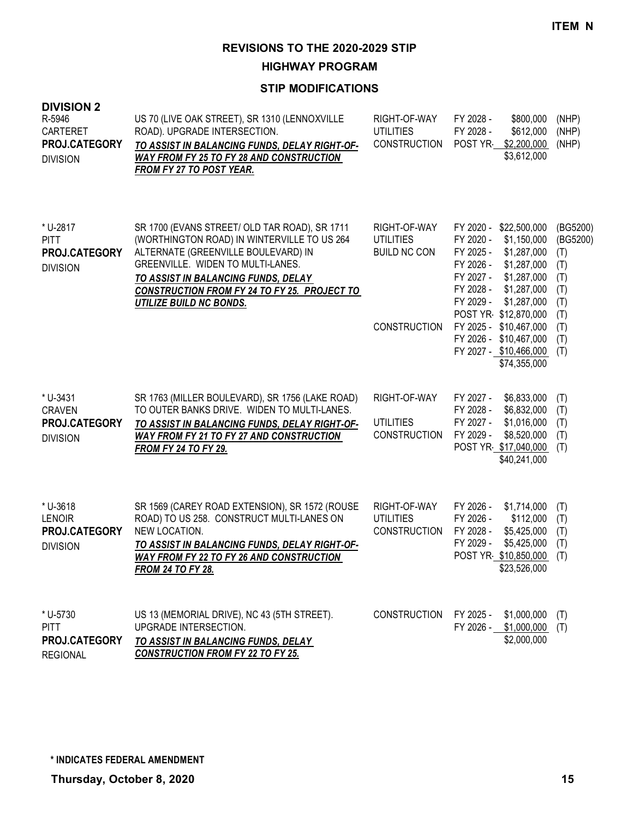**HIGHWAY PROGRAM**

| <b>DIVISION 2</b><br>R-5946<br>CARTERET<br>PROJ.CATEGORY<br><b>DIVISION</b> | US 70 (LIVE OAK STREET), SR 1310 (LENNOXVILLE<br>ROAD). UPGRADE INTERSECTION.<br>TO ASSIST IN BALANCING FUNDS, DELAY RIGHT-OF-<br><b>WAY FROM FY 25 TO FY 28 AND CONSTRUCTION</b><br>FROM FY 27 TO POST YEAR.                                                                                            | RIGHT-OF-WAY<br><b>UTILITIES</b><br><b>CONSTRUCTION</b>                        | FY 2028 -<br>\$800,000<br>FY 2028 -<br>\$612,000<br>POST YR-<br>\$2,200,000<br>\$3,612,000                                                                                                                                                                                                                                 | (NHP)<br>(NHP)<br>(NHP)                                                             |
|-----------------------------------------------------------------------------|----------------------------------------------------------------------------------------------------------------------------------------------------------------------------------------------------------------------------------------------------------------------------------------------------------|--------------------------------------------------------------------------------|----------------------------------------------------------------------------------------------------------------------------------------------------------------------------------------------------------------------------------------------------------------------------------------------------------------------------|-------------------------------------------------------------------------------------|
| * U-2817<br><b>PITT</b><br>PROJ.CATEGORY<br><b>DIVISION</b>                 | SR 1700 (EVANS STREET/ OLD TAR ROAD), SR 1711<br>(WORTHINGTON ROAD) IN WINTERVILLE TO US 264<br>ALTERNATE (GREENVILLE BOULEVARD) IN<br>GREENVILLE. WIDEN TO MULTI-LANES.<br>TO ASSIST IN BALANCING FUNDS, DELAY<br><b>CONSTRUCTION FROM FY 24 TO FY 25. PROJECT TO</b><br><b>UTILIZE BUILD NC BONDS.</b> | RIGHT-OF-WAY<br><b>UTILITIES</b><br><b>BUILD NC CON</b><br><b>CONSTRUCTION</b> | FY 2020 -<br>\$22,500,000<br>FY 2020 -<br>\$1,150,000<br>FY 2025 -<br>\$1,287,000<br>FY 2026 -<br>\$1,287,000<br>FY 2027 -<br>\$1,287,000<br>FY 2028 -<br>\$1,287,000<br>FY 2029 -<br>\$1,287,000<br>POST YR \$12,870,000<br>FY 2025 - \$10,467,000<br>FY 2026 -<br>\$10,467,000<br>FY 2027 - \$10,466,000<br>\$74,355,000 | (BG5200)<br>(BG5200)<br>(T)<br>(T)<br>(T)<br>(T)<br>(T)<br>(T)<br>(T)<br>(T)<br>(T) |
| * U-3431<br><b>CRAVEN</b><br><b>PROJ.CATEGORY</b><br><b>DIVISION</b>        | SR 1763 (MILLER BOULEVARD), SR 1756 (LAKE ROAD)<br>TO OUTER BANKS DRIVE. WIDEN TO MULTI-LANES.<br>TO ASSIST IN BALANCING FUNDS, DELAY RIGHT-OF-<br><b>WAY FROM FY 21 TO FY 27 AND CONSTRUCTION</b><br><b>FROM FY 24 TO FY 29.</b>                                                                        | RIGHT-OF-WAY<br><b>UTILITIES</b><br><b>CONSTRUCTION</b>                        | FY 2027 -<br>\$6,833,000<br>FY 2028 -<br>\$6,832,000<br>FY 2027 -<br>\$1,016,000<br>FY 2029 -<br>\$8,520,000<br>POST YR \$17,040,000<br>\$40,241,000                                                                                                                                                                       | (T)<br>(T)<br>(T)<br>(T)<br>(T)                                                     |
| * U-3618<br><b>LENOIR</b><br><b>PROJ.CATEGORY</b><br><b>DIVISION</b>        | SR 1569 (CAREY ROAD EXTENSION), SR 1572 (ROUSE<br>ROAD) TO US 258. CONSTRUCT MULTI-LANES ON<br>NEW LOCATION.<br>TO ASSIST IN BALANCING FUNDS, DELAY RIGHT-OF-<br><b>WAY FROM FY 22 TO FY 26 AND CONSTRUCTION</b><br><b>FROM 24 TO FY 28.</b>                                                             | RIGHT-OF-WAY<br><b>UTILITIES</b><br><b>CONSTRUCTION</b>                        | FY 2026 -<br>\$1,714,000<br>FY 2026 -<br>\$112,000<br>FY 2028 -<br>\$5,425,000<br>FY 2029 -<br>\$5,425,000<br>POST YR \$10,850,000<br>\$23,526,000                                                                                                                                                                         | (T)<br>(T)<br>(T)<br>(T)<br>(T)                                                     |
| * U-5730<br><b>PITT</b><br>PROJ.CATEGORY<br><b>REGIONAL</b>                 | US 13 (MEMORIAL DRIVE), NC 43 (5TH STREET).<br>UPGRADE INTERSECTION.<br>TO ASSIST IN BALANCING FUNDS, DELAY<br><b>CONSTRUCTION FROM FY 22 TO FY 25.</b>                                                                                                                                                  | <b>CONSTRUCTION</b>                                                            | FY 2025 -<br>\$1,000,000<br>FY 2026 -<br>\$1,000,000<br>\$2,000,000                                                                                                                                                                                                                                                        | (T)<br>(T)                                                                          |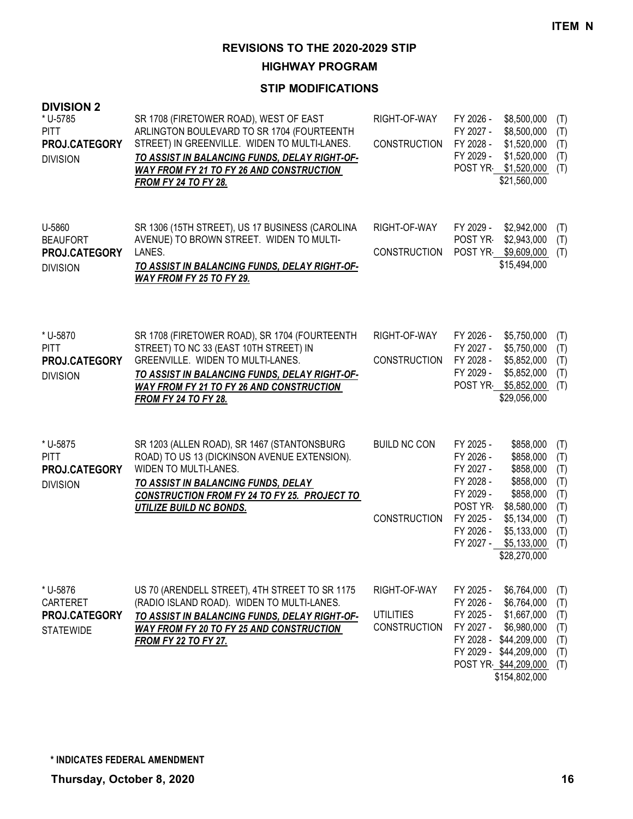**HIGHWAY PROGRAM**

| <b>DIVISION 2</b><br>* U-5785<br><b>PITT</b><br>PROJ.CATEGORY<br><b>DIVISION</b> | SR 1708 (FIRETOWER ROAD), WEST OF EAST<br>ARLINGTON BOULEVARD TO SR 1704 (FOURTEENTH<br>STREET) IN GREENVILLE. WIDEN TO MULTI-LANES.<br>TO ASSIST IN BALANCING FUNDS, DELAY RIGHT-OF-<br><b>WAY FROM FY 21 TO FY 26 AND CONSTRUCTION</b><br><b>FROM FY 24 TO FY 28.</b> | RIGHT-OF-WAY<br><b>CONSTRUCTION</b>                     | \$8,500,000<br>FY 2026 -<br>FY 2027 -<br>\$8,500,000<br>FY 2028 -<br>\$1,520,000<br>FY 2029 -<br>\$1,520,000<br>POST YR \$1,520,000<br>\$21,560,000                                                                                                          | (T)<br>(T)<br>(T)<br>(T)<br>(T)                             |
|----------------------------------------------------------------------------------|-------------------------------------------------------------------------------------------------------------------------------------------------------------------------------------------------------------------------------------------------------------------------|---------------------------------------------------------|--------------------------------------------------------------------------------------------------------------------------------------------------------------------------------------------------------------------------------------------------------------|-------------------------------------------------------------|
| U-5860<br><b>BEAUFORT</b><br>PROJ.CATEGORY<br><b>DIVISION</b>                    | SR 1306 (15TH STREET), US 17 BUSINESS (CAROLINA<br>AVENUE) TO BROWN STREET. WIDEN TO MULTI-<br>LANES.<br>TO ASSIST IN BALANCING FUNDS, DELAY RIGHT-OF-<br><b>WAY FROM FY 25 TO FY 29.</b>                                                                               | RIGHT-OF-WAY<br><b>CONSTRUCTION</b>                     | FY 2029 -<br>\$2,942,000<br>POST YR-<br>\$2,943,000<br>POST YR \$9,609,000<br>\$15,494,000                                                                                                                                                                   | (T)<br>(T)<br>(T)                                           |
| * U-5870<br><b>PITT</b><br>PROJ.CATEGORY<br><b>DIVISION</b>                      | SR 1708 (FIRETOWER ROAD), SR 1704 (FOURTEENTH<br>STREET) TO NC 33 (EAST 10TH STREET) IN<br>GREENVILLE. WIDEN TO MULTI-LANES.<br>TO ASSIST IN BALANCING FUNDS, DELAY RIGHT-OF-<br><b>WAY FROM FY 21 TO FY 26 AND CONSTRUCTION</b><br><b>FROM FY 24 TO FY 28.</b>         | RIGHT-OF-WAY<br><b>CONSTRUCTION</b>                     | FY 2026 -<br>\$5,750,000<br>FY 2027 -<br>\$5,750,000<br>FY 2028 -<br>\$5,852,000<br>FY 2029 -<br>\$5,852,000<br>POST YR \$5,852,000<br>\$29,056,000                                                                                                          | (T)<br>(T)<br>(T)<br>(T)<br>(T)                             |
| * U-5875<br><b>PITT</b><br>PROJ.CATEGORY<br><b>DIVISION</b>                      | SR 1203 (ALLEN ROAD), SR 1467 (STANTONSBURG<br>ROAD) TO US 13 (DICKINSON AVENUE EXTENSION).<br>WIDEN TO MULTI-LANES.<br><b>TO ASSIST IN BALANCING FUNDS, DELAY</b><br><b>CONSTRUCTION FROM FY 24 TO FY 25. PROJECT TO</b><br><b>UTILIZE BUILD NC BONDS.</b>             | <b>BUILD NC CON</b><br><b>CONSTRUCTION</b>              | FY 2025 -<br>\$858,000<br>FY 2026 -<br>\$858,000<br>FY 2027 -<br>\$858,000<br>FY 2028 -<br>\$858,000<br>FY 2029 -<br>\$858,000<br>POST YR<br>\$8,580,000<br>FY 2025 -<br>\$5,134,000<br>FY 2026 -<br>\$5,133,000<br>FY 2027 -<br>\$5,133,000<br>\$28,270,000 | (T)<br>(T)<br>(T)<br>(T)<br>(T)<br>(T)<br>(T)<br>(T)<br>(T) |
| * U-5876<br>CARTERET<br>PROJ.CATEGORY<br><b>STATEWIDE</b>                        | US 70 (ARENDELL STREET), 4TH STREET TO SR 1175<br>(RADIO ISLAND ROAD). WIDEN TO MULTI-LANES.<br>TO ASSIST IN BALANCING FUNDS, DELAY RIGHT-OF-<br>WAY FROM FY 20 TO FY 25 AND CONSTRUCTION<br><b>FROM FY 22 TO FY 27.</b>                                                | RIGHT-OF-WAY<br><b>UTILITIES</b><br><b>CONSTRUCTION</b> | FY 2025 -<br>\$6,764,000<br>FY 2026 -<br>\$6,764,000<br>\$1,667,000<br>FY 2025 -<br>FY 2027 -<br>\$6,980,000<br>FY 2028 - \$44,209,000<br>FY 2029 - \$44,209,000<br>POST YR \$44,209,000<br>\$154,802,000                                                    | (T)<br>(T)<br>(T)<br>(T)<br>(T)<br>(T)<br>(T)               |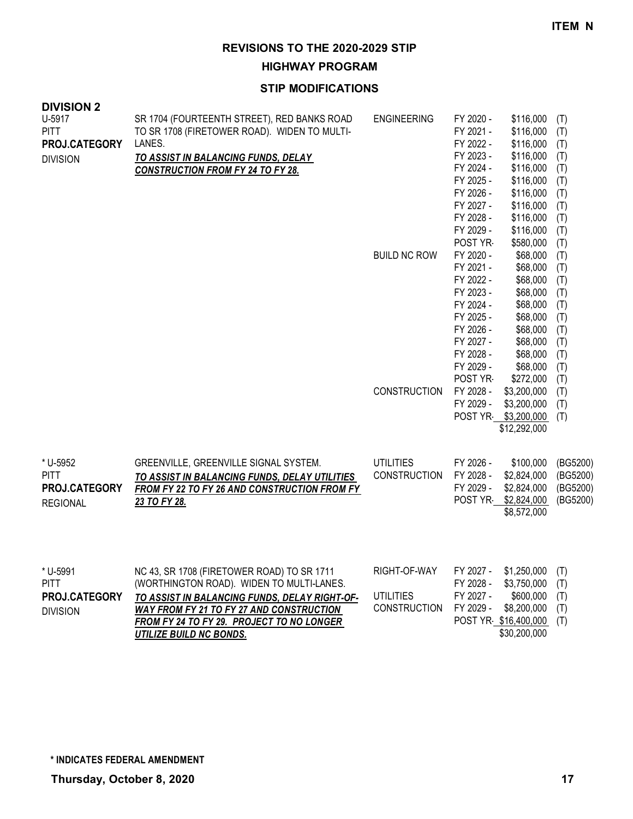**HIGHWAY PROGRAM**

| <b>DIVISION 2</b><br>U-5917<br><b>PITT</b><br>PROJ.CATEGORY<br><b>DIVISION</b> | SR 1704 (FOURTEENTH STREET), RED BANKS ROAD<br>TO SR 1708 (FIRETOWER ROAD). WIDEN TO MULTI-<br>LANES.<br>TO ASSIST IN BALANCING FUNDS, DELAY<br><b>CONSTRUCTION FROM FY 24 TO FY 28.</b>                                                                     | <b>ENGINEERING</b>                                      | FY 2020 -<br>\$116,000<br>FY 2021 -<br>\$116,000<br>FY 2022 -<br>\$116,000<br>FY 2023 -<br>\$116,000<br>FY 2024 -<br>\$116,000<br>FY 2025 -<br>\$116,000<br>FY 2026 -<br>\$116,000<br>FY 2027 -<br>\$116,000<br>FY 2028 -<br>\$116,000<br>FY 2029 -<br>\$116,000<br>POST YR<br>\$580,000 | (T)<br>(T)<br>(T)<br>(T)<br>(T)<br>(T)<br>(T)<br>(T)<br>(T)<br>(T)<br>(T)                                                                                                                         |
|--------------------------------------------------------------------------------|--------------------------------------------------------------------------------------------------------------------------------------------------------------------------------------------------------------------------------------------------------------|---------------------------------------------------------|------------------------------------------------------------------------------------------------------------------------------------------------------------------------------------------------------------------------------------------------------------------------------------------|---------------------------------------------------------------------------------------------------------------------------------------------------------------------------------------------------|
|                                                                                |                                                                                                                                                                                                                                                              | <b>BUILD NC ROW</b>                                     | FY 2020 -<br>FY 2021 -<br>FY 2022 -<br>FY 2023 -<br>FY 2024 -<br>FY 2025 -<br>FY 2026 -<br>FY 2027 -<br>FY 2028 -<br>FY 2029 -<br>POST YR<br>\$272,000                                                                                                                                   | \$68,000<br>(T)<br>\$68,000<br>(T)<br>\$68,000<br>(T)<br>\$68,000<br>(T)<br>\$68,000<br>(T)<br>\$68,000<br>(T)<br>\$68,000<br>(T)<br>\$68,000<br>(T)<br>\$68,000<br>(T)<br>\$68,000<br>(T)<br>(T) |
|                                                                                |                                                                                                                                                                                                                                                              | <b>CONSTRUCTION</b>                                     | FY 2028 -<br>\$3,200,000<br>\$3,200,000<br>FY 2029 -<br>POST YR \$3,200,000<br>\$12,292,000                                                                                                                                                                                              | (T)<br>(T)<br>(T)                                                                                                                                                                                 |
| * U-5952<br><b>PITT</b><br>PROJ.CATEGORY<br><b>REGIONAL</b>                    | GREENVILLE, GREENVILLE SIGNAL SYSTEM.<br>TO ASSIST IN BALANCING FUNDS, DELAY UTILITIES<br><b>FROM FY 22 TO FY 26 AND CONSTRUCTION FROM FY</b><br>23 TO FY 28.                                                                                                | <b>UTILITIES</b><br><b>CONSTRUCTION</b>                 | FY 2026 -<br>\$100,000<br>FY 2028 -<br>\$2,824,000<br>FY 2029 -<br>\$2,824,000<br>POST YR \$2,824,000<br>\$8,572,000                                                                                                                                                                     | (BG5200)<br>(BG5200)<br>(BG5200)<br>(BG5200)                                                                                                                                                      |
| * U-5991<br><b>PITT</b><br>PROJ.CATEGORY<br><b>DIVISION</b>                    | NC 43, SR 1708 (FIRETOWER ROAD) TO SR 1711<br>(WORTHINGTON ROAD). WIDEN TO MULTI-LANES.<br>TO ASSIST IN BALANCING FUNDS, DELAY RIGHT-OF-<br>WAY FROM FY 21 TO FY 27 AND CONSTRUCTION<br>FROM FY 24 TO FY 29. PROJECT TO NO LONGER<br>UTILIZE BUILD NC BONDS. | RIGHT-OF-WAY<br><b>UTILITIES</b><br><b>CONSTRUCTION</b> | FY 2027 -<br>\$1,250,000<br>FY 2028 -<br>\$3,750,000<br>FY 2027 -<br>\$600,000<br>FY 2029 -<br>\$8,200,000<br>POST YR \$16,400,000<br>\$30,200,000                                                                                                                                       | (T)<br>(T)<br>(T)<br>(T)<br>(T)                                                                                                                                                                   |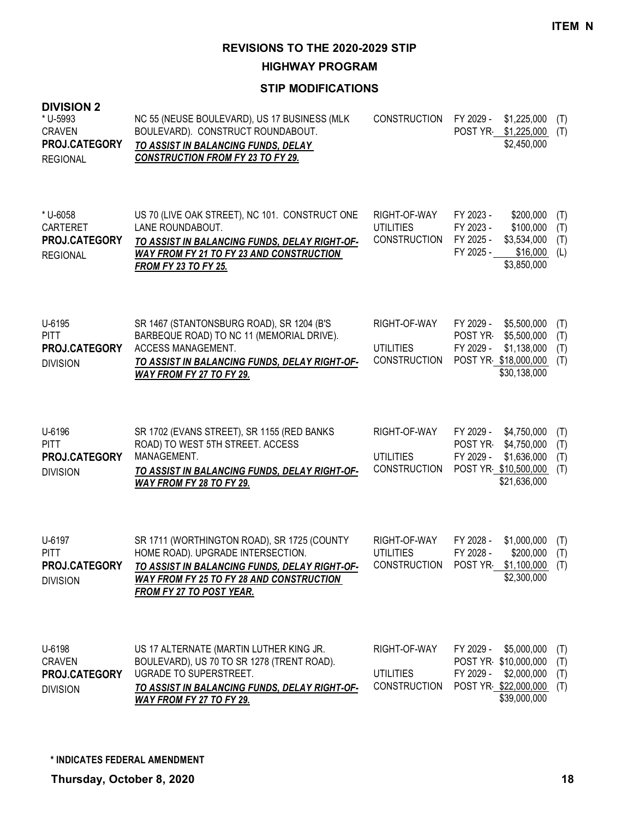**HIGHWAY PROGRAM**

| <b>DIVISION 2</b><br>* U-5993<br><b>CRAVEN</b><br>PROJ.CATEGORY<br><b>REGIONAL</b> | NC 55 (NEUSE BOULEVARD), US 17 BUSINESS (MLK<br>BOULEVARD). CONSTRUCT ROUNDABOUT.<br>TO ASSIST IN BALANCING FUNDS, DELAY<br><b>CONSTRUCTION FROM FY 23 TO FY 29.</b>                                             | <b>CONSTRUCTION</b>                                     | FY 2029 -<br>\$1,225,000<br>POST YR<br>\$1,225,000<br>\$2,450,000                                                       | (T)<br>(T)               |
|------------------------------------------------------------------------------------|------------------------------------------------------------------------------------------------------------------------------------------------------------------------------------------------------------------|---------------------------------------------------------|-------------------------------------------------------------------------------------------------------------------------|--------------------------|
| * U-6058<br>CARTERET<br>PROJ.CATEGORY<br><b>REGIONAL</b>                           | US 70 (LIVE OAK STREET), NC 101. CONSTRUCT ONE<br>LANE ROUNDABOUT.<br>TO ASSIST IN BALANCING FUNDS, DELAY RIGHT-OF-<br><b>WAY FROM FY 21 TO FY 23 AND CONSTRUCTION</b><br><b>FROM FY 23 TO FY 25.</b>            | RIGHT-OF-WAY<br><b>UTILITIES</b><br><b>CONSTRUCTION</b> | FY 2023 -<br>\$200,000<br>\$100,000<br>FY 2023 -<br>FY 2025 -<br>\$3,534,000<br>FY 2025 -<br>\$16,000<br>\$3,850,000    | (T)<br>(T)<br>(T)<br>(L) |
| U-6195<br><b>PITT</b><br>PROJ.CATEGORY<br><b>DIVISION</b>                          | SR 1467 (STANTONSBURG ROAD), SR 1204 (B'S<br>BARBEQUE ROAD) TO NC 11 (MEMORIAL DRIVE).<br>ACCESS MANAGEMENT.<br>TO ASSIST IN BALANCING FUNDS, DELAY RIGHT-OF-<br>WAY FROM FY 27 TO FY 29.                        | RIGHT-OF-WAY<br><b>UTILITIES</b><br><b>CONSTRUCTION</b> | \$5,500,000<br>FY 2029 -<br>POST YR-<br>\$5,500,000<br>FY 2029 -<br>\$1,138,000<br>POST YR \$18,000,000<br>\$30,138,000 | (T)<br>(T)<br>(T)<br>(T) |
| U-6196<br><b>PITT</b><br>PROJ.CATEGORY<br><b>DIVISION</b>                          | SR 1702 (EVANS STREET), SR 1155 (RED BANKS<br>ROAD) TO WEST 5TH STREET. ACCESS<br>MANAGEMENT.<br>TO ASSIST IN BALANCING FUNDS, DELAY RIGHT-OF-<br><b>WAY FROM FY 28 TO FY 29.</b>                                | RIGHT-OF-WAY<br><b>UTILITIES</b><br><b>CONSTRUCTION</b> | FY 2029 -<br>\$4,750,000<br>POST YR-<br>\$4,750,000<br>FY 2029 -<br>\$1,636,000<br>POST YR \$10,500,000<br>\$21,636,000 | (T)<br>(T)<br>(T)<br>(T) |
| U-6197<br><b>PITT</b><br>PROJ.CATEGORY<br><b>DIVISION</b>                          | SR 1711 (WORTHINGTON ROAD), SR 1725 (COUNTY<br>HOME ROAD). UPGRADE INTERSECTION.<br>TO ASSIST IN BALANCING FUNDS, DELAY RIGHT-OF-<br>WAY FROM FY 25 TO FY 28 AND CONSTRUCTION<br><b>FROM FY 27 TO POST YEAR.</b> | RIGHT-OF-WAY<br><b>UTILITIES</b><br><b>CONSTRUCTION</b> | \$1,000,000<br>FY 2028 -<br>FY 2028 -<br>\$200,000<br>POST YR<br>$$1,100,000$ (T)<br>\$2,300,000                        | (T)<br>(T)               |
| U-6198<br><b>CRAVEN</b><br>PROJ.CATEGORY<br><b>DIVISION</b>                        | US 17 ALTERNATE (MARTIN LUTHER KING JR.<br>BOULEVARD), US 70 TO SR 1278 (TRENT ROAD).<br>UGRADE TO SUPERSTREET.<br>TO ASSIST IN BALANCING FUNDS, DELAY RIGHT-OF-<br>WAY FROM FY 27 TO FY 29.                     | RIGHT-OF-WAY<br><b>UTILITIES</b><br><b>CONSTRUCTION</b> | FY 2029 -<br>\$5,000,000<br>POST YR \$10,000,000<br>FY 2029 -<br>\$2,000,000<br>POST YR \$22,000,000<br>\$39,000,000    | (T)<br>(T)<br>(T)<br>(T) |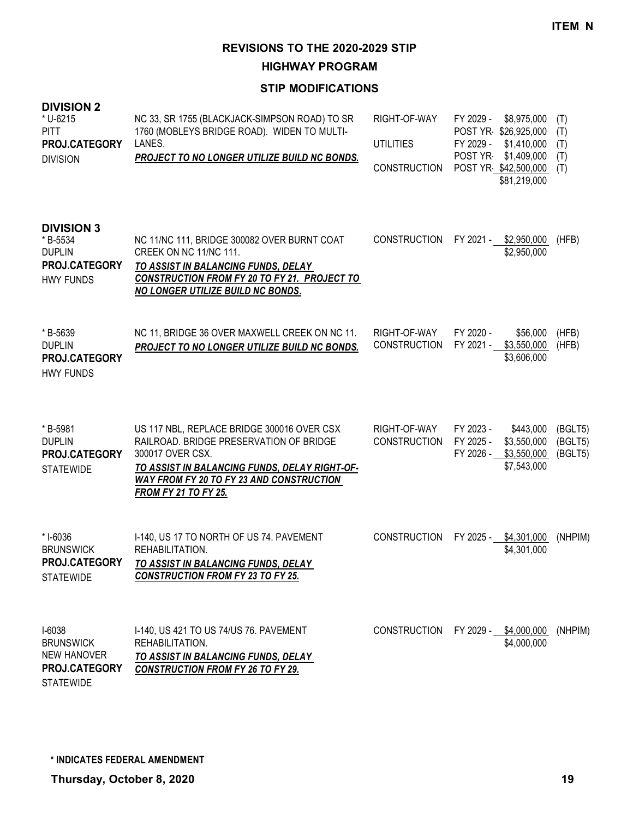**HIGHWAY PROGRAM**

| <b>DIVISION 2</b><br>* U-6215<br><b>PITT</b><br>PROJ.CATEGORY<br><b>DIVISION</b>        | NC 33, SR 1755 (BLACKJACK-SIMPSON ROAD) TO SR<br>1760 (MOBLEYS BRIDGE ROAD). WIDEN TO MULTI-<br>LANES.<br>PROJECT TO NO LONGER UTILIZE BUILD NC BONDS.                                                                                       | RIGHT-OF-WAY<br><b>UTILITIES</b><br><b>CONSTRUCTION</b> | FY 2029 -<br>FY 2029 -<br>POST YR- | \$8,975,000<br>POST YR \$26,925,000<br>\$1,410,000<br>\$1,409,000<br>POST YR \$42,500,000<br>\$81,219,000 | (T)<br>(T)<br>(T)<br>(T)<br>(T) |
|-----------------------------------------------------------------------------------------|----------------------------------------------------------------------------------------------------------------------------------------------------------------------------------------------------------------------------------------------|---------------------------------------------------------|------------------------------------|-----------------------------------------------------------------------------------------------------------|---------------------------------|
| <b>DIVISION 3</b><br>* B-5534<br><b>DUPLIN</b><br>PROJ.CATEGORY<br><b>HWY FUNDS</b>     | NC 11/NC 111, BRIDGE 300082 OVER BURNT COAT<br>CREEK ON NC 11/NC 111.<br>TO ASSIST IN BALANCING FUNDS, DELAY<br><b>CONSTRUCTION FROM FY 20 TO FY 21. PROJECT TO</b><br><b>NO LONGER UTILIZE BUILD NC BONDS.</b>                              | <b>CONSTRUCTION</b>                                     |                                    | FY 2021 - \$2,950,000<br>\$2,950,000                                                                      | (HFB)                           |
| *B-5639<br><b>DUPLIN</b><br>PROJ.CATEGORY<br><b>HWY FUNDS</b>                           | NC 11, BRIDGE 36 OVER MAXWELL CREEK ON NC 11.<br>PROJECT TO NO LONGER UTILIZE BUILD NC BONDS.                                                                                                                                                | RIGHT-OF-WAY<br><b>CONSTRUCTION</b>                     | FY 2020 -<br>FY 2021 -             | \$56,000<br>\$3,550,000<br>\$3,606,000                                                                    | (HFB)<br>(HFB)                  |
| *B-5981<br><b>DUPLIN</b><br>PROJ.CATEGORY<br><b>STATEWIDE</b>                           | US 117 NBL, REPLACE BRIDGE 300016 OVER CSX<br>RAILROAD. BRIDGE PRESERVATION OF BRIDGE<br>300017 OVER CSX.<br>TO ASSIST IN BALANCING FUNDS, DELAY RIGHT-OF-<br><b>WAY FROM FY 20 TO FY 23 AND CONSTRUCTION</b><br><b>FROM FY 21 TO FY 25.</b> | RIGHT-OF-WAY<br><b>CONSTRUCTION</b>                     | FY 2023 -<br>FY 2025 -             | \$443,000<br>\$3,550,000<br>FY 2026 - \$3,550,000<br>\$7,543,000                                          | (BGLT5)<br>(BGLT5)<br>(BGLT5)   |
| * I-6036<br><b>BRUNSWICK</b><br>PROJ.CATEGORY<br><b>STATEWIDE</b>                       | I-140, US 17 TO NORTH OF US 74. PAVEMENT<br>REHABILITATION.<br><b>TO ASSIST IN BALANCING FUNDS, DELAY</b><br><b>CONSTRUCTION FROM FY 23 TO FY 25.</b>                                                                                        | <b>CONSTRUCTION</b>                                     |                                    | FY 2025 - \$4,301,000<br>\$4,301,000                                                                      | (NHPIM)                         |
| $I-6038$<br><b>BRUNSWICK</b><br><b>NEW HANOVER</b><br>PROJ.CATEGORY<br><b>STATEWIDE</b> | I-140, US 421 TO US 74/US 76. PAVEMENT<br>REHABILITATION.<br>TO ASSIST IN BALANCING FUNDS, DELAY<br><b>CONSTRUCTION FROM FY 26 TO FY 29.</b>                                                                                                 | <b>CONSTRUCTION</b>                                     | FY 2029 - \$4,000,000              | \$4,000,000                                                                                               | (NHPIM)                         |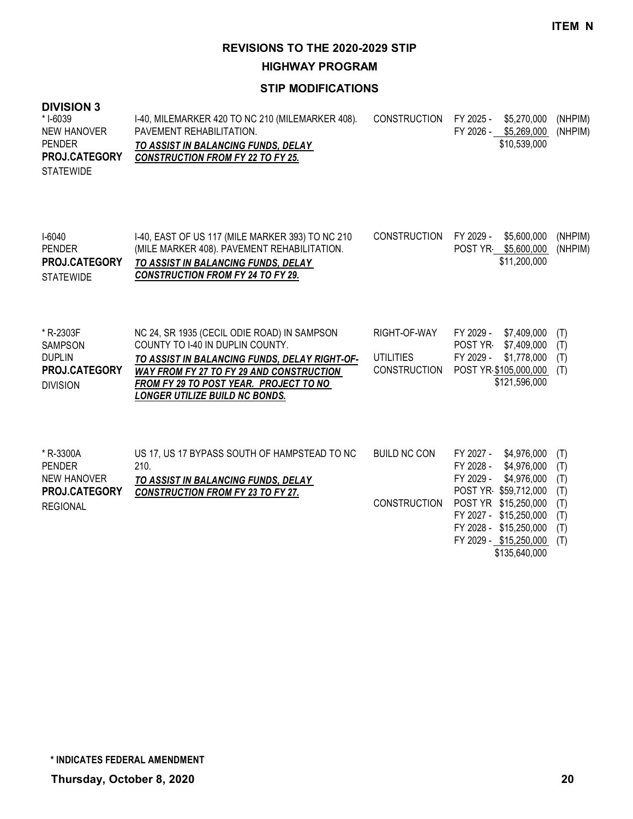**HIGHWAY PROGRAM**

#### **STIP MODIFICATIONS**

## **DIVISION 3**

| (NHPIM) |
|---------|
|         |
|         |
|         |
|         |
|         |

| $1-6040$             | 1-40, EAST OF US 117 (MILE MARKER 393) TO NC 210 | CONSTRUCTION FY 2029 - \$5,600,000 (NHPIM) |                       |         |
|----------------------|--------------------------------------------------|--------------------------------------------|-----------------------|---------|
| <b>PENDER</b>        | (MILE MARKER 408). PAVEMENT REHABILITATION.      |                                            | POST YR \$5,600,000 / | (NHPIM) |
| <b>PROJ.CATEGORY</b> | TO ASSIST IN BALANCING FUNDS, DELAY              |                                            | \$11,200,000          |         |
| <b>STATEWIDE</b>     | <b>CONSTRUCTION FROM FY 24 TO FY 29.</b>         |                                            |                       |         |
|                      |                                                  |                                            |                       |         |

| * R-2303F            | NC 24, SR 1935 (CECIL ODIE ROAD) IN SAMPSON     | RIGHT-OF-WAY | FY 2029 - \$7,409,000 (T) |  |
|----------------------|-------------------------------------------------|--------------|---------------------------|--|
| <b>SAMPSON</b>       | COUNTY TO 1-40 IN DUPLIN COUNTY.                |              | POST YR \$7,409,000 (T)   |  |
| <b>DUPLIN</b>        | TO ASSIST IN BALANCING FUNDS, DELAY RIGHT-OF-   | UTILITIES    | FY 2029 - \$1,778,000 (T) |  |
| <b>PROJ.CATEGORY</b> | <b>WAY FROM FY 27 TO FY 29 AND CONSTRUCTION</b> | CONSTRUCTION | POST YR \$105,000,000 (T) |  |
| <b>DIVISION</b>      | FROM FY 29 TO POST YEAR. PROJECT TO NO          |              | \$121,596,000             |  |
|                      | LONGER UTILIZE BUILD NC BONDS.                  |              |                           |  |

| * R-3300A       | US 17, US 17 BYPASS SOUTH OF HAMPSTEAD TO NC | BUILD NC CON        | FY 2027 - | \$4.976.000            | (T) |
|-----------------|----------------------------------------------|---------------------|-----------|------------------------|-----|
| <b>PENDER</b>   | 210.                                         |                     | FY 2028 - | \$4,976,000            | (T) |
| NEW HANOVER     | TO ASSIST IN BALANCING FUNDS, DELAY          |                     | FY 2029 - | \$4,976,000            | (T) |
| PROJ.CATEGORY   | <b>CONSTRUCTION FROM FY 23 TO FY 27.</b>     |                     |           | POST YR \$59,712,000   | (T) |
| <b>REGIONAL</b> |                                              | <b>CONSTRUCTION</b> |           | POST YR \$15,250,000   | (T) |
|                 |                                              |                     |           | FY 2027 - \$15,250,000 | (T) |
|                 |                                              |                     |           | FY 2028 - \$15,250,000 | (T) |
|                 |                                              |                     |           | FY 2029 - \$15,250,000 | (T) |

\$135,640,000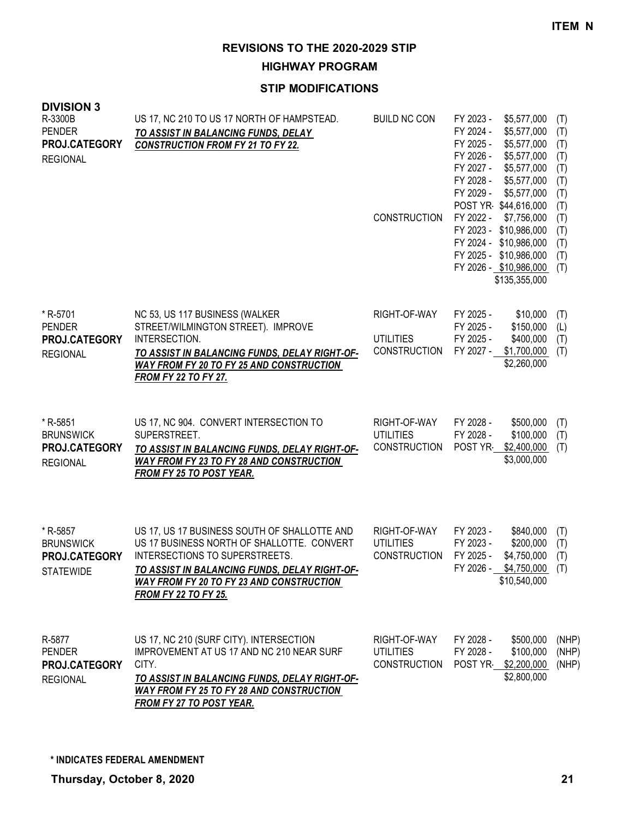**HIGHWAY PROGRAM**

| <b>DIVISION 3</b><br>R-3300B<br><b>PENDER</b><br>PROJ.CATEGORY<br><b>REGIONAL</b> | US 17, NC 210 TO US 17 NORTH OF HAMPSTEAD.<br>TO ASSIST IN BALANCING FUNDS, DELAY<br><b>CONSTRUCTION FROM FY 21 TO FY 22.</b>                                                                                                                                          | <b>BUILD NC CON</b><br><b>CONSTRUCTION</b>              | FY 2023 -<br>\$5,577,000<br>FY 2024 -<br>\$5,577,000<br>FY 2025 -<br>\$5,577,000<br>FY 2026 -<br>\$5,577,000<br>FY 2027 -<br>\$5,577,000<br>FY 2028 -<br>\$5,577,000<br>FY 2029 -<br>\$5,577,000<br>POST YR \$44,616,000<br>FY 2022 -<br>\$7,756,000<br>FY 2023 -<br>\$10,986,000<br>FY 2024 - \$10,986,000<br>FY 2025 - \$10,986,000<br>FY 2026 - \$10,986,000<br>\$135,355,000 | (T)<br>(T)<br>(T)<br>(T)<br>(T)<br>(T)<br>(T)<br>(T)<br>(T)<br>(T)<br>(T)<br>(T)<br>(T) |
|-----------------------------------------------------------------------------------|------------------------------------------------------------------------------------------------------------------------------------------------------------------------------------------------------------------------------------------------------------------------|---------------------------------------------------------|----------------------------------------------------------------------------------------------------------------------------------------------------------------------------------------------------------------------------------------------------------------------------------------------------------------------------------------------------------------------------------|-----------------------------------------------------------------------------------------|
| * R-5701<br><b>PENDER</b><br>PROJ.CATEGORY<br><b>REGIONAL</b>                     | NC 53, US 117 BUSINESS (WALKER<br>STREET/WILMINGTON STREET). IMPROVE<br>INTERSECTION.<br>TO ASSIST IN BALANCING FUNDS, DELAY RIGHT-OF-<br>WAY FROM FY 20 TO FY 25 AND CONSTRUCTION<br><b>FROM FY 22 TO FY 27.</b>                                                      | RIGHT-OF-WAY<br><b>UTILITIES</b><br><b>CONSTRUCTION</b> | FY 2025 -<br>\$10,000<br>FY 2025 -<br>\$150,000<br>FY 2025 -<br>\$400,000<br>FY 2027 -<br>\$1,700,000<br>\$2,260,000                                                                                                                                                                                                                                                             | (T)<br>(L)<br>(T)<br>(T)                                                                |
| * R-5851<br><b>BRUNSWICK</b><br>PROJ.CATEGORY<br><b>REGIONAL</b>                  | US 17, NC 904. CONVERT INTERSECTION TO<br>SUPERSTREET.<br>TO ASSIST IN BALANCING FUNDS, DELAY RIGHT-OF-<br><b>WAY FROM FY 23 TO FY 28 AND CONSTRUCTION</b><br><b>FROM FY 25 TO POST YEAR.</b>                                                                          | RIGHT-OF-WAY<br><b>UTILITIES</b><br><b>CONSTRUCTION</b> | FY 2028 -<br>\$500,000<br>FY 2028 -<br>\$100,000<br>POST YR<br>\$2,400,000<br>\$3,000,000                                                                                                                                                                                                                                                                                        | (T)<br>(T)<br>(T)                                                                       |
| * R-5857<br><b>BRUNSWICK</b><br>PROJ.CATEGORY<br><b>STATEWIDE</b>                 | US 17, US 17 BUSINESS SOUTH OF SHALLOTTE AND<br>US 17 BUSINESS NORTH OF SHALLOTTE. CONVERT<br>INTERSECTIONS TO SUPERSTREETS.<br><u>TO ASSIST IN BALANCING FUNDS, DELAY RIGHT-OF-</u><br><b>WAY FROM FY 20 TO FY 23 AND CONSTRUCTION</b><br><b>FROM FY 22 TO FY 25.</b> | RIGHT-OF-WAY<br><b>UTILITIES</b><br>CONSTRUCTION        | FY 2023 -<br>\$840,000<br>FY 2023 -<br>\$200,000<br>FY 2025 -<br>\$4,750,000<br>FY 2026 - \$4,750,000 (T)<br>\$10,540,000                                                                                                                                                                                                                                                        | (T)<br>(T)<br>(T)                                                                       |
| R-5877<br><b>PENDER</b><br>PROJ.CATEGORY<br><b>REGIONAL</b>                       | US 17, NC 210 (SURF CITY). INTERSECTION<br>IMPROVEMENT AT US 17 AND NC 210 NEAR SURF<br>CITY.<br>TO ASSIST IN BALANCING FUNDS, DELAY RIGHT-OF-<br><b>WAY FROM FY 25 TO FY 28 AND CONSTRUCTION</b><br><b>FROM FY 27 TO POST YEAR.</b>                                   | RIGHT-OF-WAY<br><b>UTILITIES</b><br><b>CONSTRUCTION</b> | FY 2028 -<br>\$500,000<br>FY 2028 -<br>\$100,000<br>POST YR \$2,200,000<br>\$2,800,000                                                                                                                                                                                                                                                                                           | (NHP)<br>(NHP)<br>(NHP)                                                                 |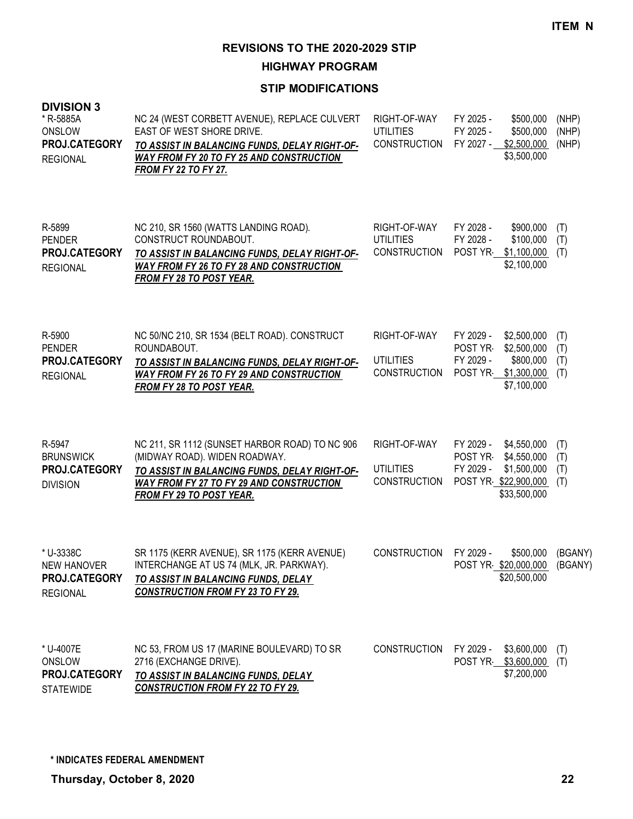**HIGHWAY PROGRAM**

| <b>DIVISION 3</b><br>* R-5885A<br>ONSLOW<br>PROJ.CATEGORY<br><b>REGIONAL</b> | NC 24 (WEST CORBETT AVENUE), REPLACE CULVERT<br>EAST OF WEST SHORE DRIVE.<br>TO ASSIST IN BALANCING FUNDS, DELAY RIGHT-OF-<br><b>WAY FROM FY 20 TO FY 25 AND CONSTRUCTION</b><br><b>FROM FY 22 TO FY 27.</b>    | RIGHT-OF-WAY<br><b>UTILITIES</b><br><b>CONSTRUCTION</b> | FY 2025 -<br>\$500,000<br>FY 2025 -<br>\$500,000<br>FY 2027 -<br>\$2,500,000<br>\$3,500,000                             | (NHP)<br>(NHP)<br>(NHP)  |
|------------------------------------------------------------------------------|-----------------------------------------------------------------------------------------------------------------------------------------------------------------------------------------------------------------|---------------------------------------------------------|-------------------------------------------------------------------------------------------------------------------------|--------------------------|
| R-5899<br><b>PENDER</b><br>PROJ.CATEGORY<br><b>REGIONAL</b>                  | NC 210, SR 1560 (WATTS LANDING ROAD).<br>CONSTRUCT ROUNDABOUT.<br>TO ASSIST IN BALANCING FUNDS, DELAY RIGHT-OF-<br>WAY FROM FY 26 TO FY 28 AND CONSTRUCTION<br><b>FROM FY 28 TO POST YEAR.</b>                  | RIGHT-OF-WAY<br><b>UTILITIES</b><br><b>CONSTRUCTION</b> | FY 2028 -<br>\$900,000<br>FY 2028 -<br>\$100,000<br>POST YR<br>\$1,100,000<br>\$2,100,000                               | (T)<br>(T)<br>(T)        |
| R-5900<br><b>PENDER</b><br>PROJ.CATEGORY<br><b>REGIONAL</b>                  | NC 50/NC 210, SR 1534 (BELT ROAD). CONSTRUCT<br>ROUNDABOUT.<br>TO ASSIST IN BALANCING FUNDS, DELAY RIGHT-OF-<br><b>WAY FROM FY 26 TO FY 29 AND CONSTRUCTION</b><br><b>FROM FY 28 TO POST YEAR.</b>              | RIGHT-OF-WAY<br><b>UTILITIES</b><br><b>CONSTRUCTION</b> | \$2,500,000<br>FY 2029 -<br>POST YR<br>\$2,500,000<br>FY 2029 -<br>\$800,000<br>\$1,300,000<br>POST YR<br>\$7,100,000   | (T)<br>(T)<br>(T)<br>(T) |
| R-5947<br><b>BRUNSWICK</b><br>PROJ.CATEGORY<br><b>DIVISION</b>               | NC 211, SR 1112 (SUNSET HARBOR ROAD) TO NC 906<br>(MIDWAY ROAD). WIDEN ROADWAY.<br>TO ASSIST IN BALANCING FUNDS, DELAY RIGHT-OF-<br><b>WAY FROM FY 27 TO FY 29 AND CONSTRUCTION</b><br>FROM FY 29 TO POST YEAR. | RIGHT-OF-WAY<br><b>UTILITIES</b><br><b>CONSTRUCTION</b> | FY 2029 -<br>\$4,550,000<br>\$4,550,000<br>POST YR-<br>FY 2029 -<br>\$1,500,000<br>POST YR \$22,900,000<br>\$33,500,000 | (T)<br>(T)<br>(T)<br>(T) |
| * U-3338C<br><b>NEW HANOVER</b><br>PROJ.CATEGORY<br><b>REGIONAL</b>          | SR 1175 (KERR AVENUE), SR 1175 (KERR AVENUE)<br>INTERCHANGE AT US 74 (MLK, JR. PARKWAY).<br>TO ASSIST IN BALANCING FUNDS, DELAY<br><b>CONSTRUCTION FROM FY 23 TO FY 29.</b>                                     | <b>CONSTRUCTION</b>                                     | \$500,000<br>FY 2029 -<br>POST YR \$20,000,000 (BGANY)<br>\$20,500,000                                                  | (BGANY)                  |
| * U-4007E<br>ONSLOW<br>PROJ.CATEGORY<br><b>STATEWIDE</b>                     | NC 53, FROM US 17 (MARINE BOULEVARD) TO SR<br>2716 (EXCHANGE DRIVE).<br>TO ASSIST IN BALANCING FUNDS, DELAY<br><b>CONSTRUCTION FROM FY 22 TO FY 29.</b>                                                         | <b>CONSTRUCTION</b>                                     | FY 2029 -<br>\$3,600,000<br>POST YR \$3,600,000<br>\$7,200,000                                                          | (T)<br>(T)               |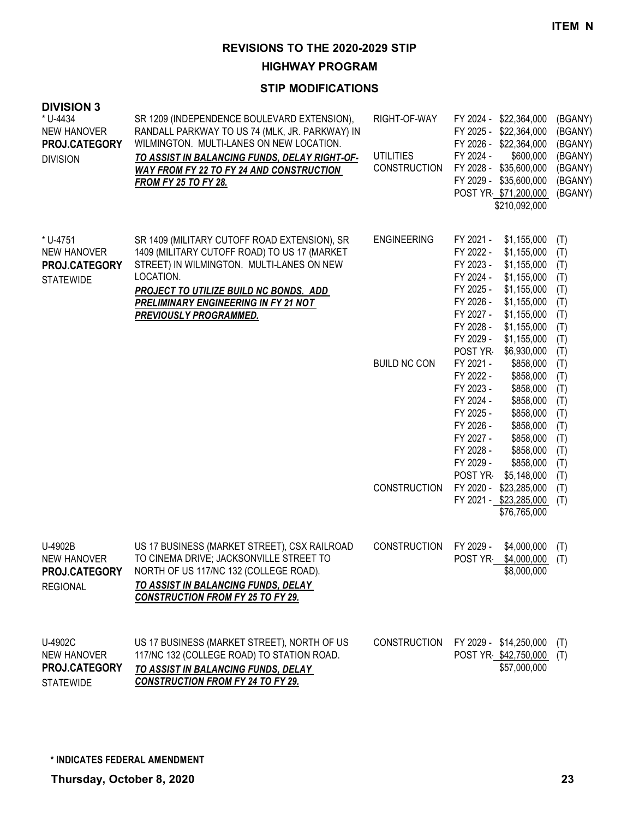**HIGHWAY PROGRAM**

| <b>DIVISION 3</b><br>* U-4434<br><b>NEW HANOVER</b><br>PROJ.CATEGORY<br><b>DIVISION</b> | SR 1209 (INDEPENDENCE BOULEVARD EXTENSION),<br>RANDALL PARKWAY TO US 74 (MLK, JR. PARKWAY) IN<br>WILMINGTON. MULTI-LANES ON NEW LOCATION.<br>TO ASSIST IN BALANCING FUNDS, DELAY RIGHT-OF-<br><b>WAY FROM FY 22 TO FY 24 AND CONSTRUCTION</b><br><b>FROM FY 25 TO FY 28.</b>     | RIGHT-OF-WAY<br><b>UTILITIES</b><br>CONSTRUCTION | FY 2024 - \$22,364,000<br>FY 2025 - \$22,364,000<br>FY 2026 - \$22,364,000<br>FY 2024 -<br>\$600,000<br>FY 2028 - \$35,600,000<br>FY 2029 - \$35,600,000<br>POST YR \$71,200,000<br>\$210,092,000                                                                | (BGANY)<br>(BGANY)<br>(BGANY)<br>(BGANY)<br>(BGANY)<br>(BGANY)<br>(BGANY) |
|-----------------------------------------------------------------------------------------|----------------------------------------------------------------------------------------------------------------------------------------------------------------------------------------------------------------------------------------------------------------------------------|--------------------------------------------------|------------------------------------------------------------------------------------------------------------------------------------------------------------------------------------------------------------------------------------------------------------------|---------------------------------------------------------------------------|
| * U-4751<br><b>NEW HANOVER</b><br>PROJ.CATEGORY<br><b>STATEWIDE</b>                     | SR 1409 (MILITARY CUTOFF ROAD EXTENSION), SR<br>1409 (MILITARY CUTOFF ROAD) TO US 17 (MARKET<br>STREET) IN WILMINGTON. MULTI-LANES ON NEW<br>LOCATION.<br><b>PROJECT TO UTILIZE BUILD NC BONDS. ADD</b><br><b>PRELIMINARY ENGINEERING IN FY 21 NOT</b><br>PREVIOUSLY PROGRAMMED. | <b>ENGINEERING</b>                               | FY 2021 -<br>\$1,155,000<br>FY 2022 -<br>\$1,155,000<br>FY 2023 -<br>\$1,155,000<br>FY 2024 -<br>\$1,155,000<br>FY 2025 -<br>\$1,155,000<br>FY 2026 -<br>\$1,155,000<br>FY 2027 -<br>\$1,155,000<br>FY 2028 -<br>\$1,155,000<br>FY 2029 -<br>\$1,155,000         | (T)<br>(T)<br>(T)<br>(T)<br>(T)<br>(T)<br>(T)<br>(T)<br>(T)               |
|                                                                                         |                                                                                                                                                                                                                                                                                  | <b>BUILD NC CON</b>                              | POST YR<br>\$6,930,000<br>FY 2021 -<br>\$858,000<br>FY 2022 -<br>\$858,000<br>FY 2023 -<br>\$858,000<br>FY 2024 -<br>\$858,000<br>FY 2025 -<br>\$858,000<br>FY 2026 -<br>\$858,000<br>FY 2027 -<br>\$858,000<br>FY 2028 -<br>\$858,000<br>FY 2029 -<br>\$858,000 | (T)<br>(T)<br>(T)<br>(T)<br>(T)<br>(T)<br>(T)<br>(T)<br>(T)<br>(T)        |
|                                                                                         |                                                                                                                                                                                                                                                                                  | <b>CONSTRUCTION</b>                              | POST YR<br>\$5,148,000<br>FY 2020 - \$23,285,000<br>FY 2021 - \$23,285,000<br>\$76,765,000                                                                                                                                                                       | (T)<br>(T)<br>(T)                                                         |
| U-4902B<br>NEW HANOVER<br>PROJ.CATEGORY<br><b>REGIONAL</b>                              | US 17 BUSINESS (MARKET STREET), CSX RAILROAD<br>TO CINEMA DRIVE; JACKSONVILLE STREET TO<br>NORTH OF US 117/NC 132 (COLLEGE ROAD).<br>TO ASSIST IN BALANCING FUNDS, DELAY<br><b>CONSTRUCTION FROM FY 25 TO FY 29.</b>                                                             | <b>CONSTRUCTION</b>                              | FY 2029 -<br>\$4,000,000<br>POST YR-<br>$$4,000,000$ (T)<br>\$8,000,000                                                                                                                                                                                          | (T)                                                                       |
| U-4902C<br><b>NEW HANOVER</b><br>PROJ.CATEGORY<br><b>STATEWIDE</b>                      | US 17 BUSINESS (MARKET STREET), NORTH OF US<br>117/NC 132 (COLLEGE ROAD) TO STATION ROAD.<br>TO ASSIST IN BALANCING FUNDS, DELAY<br><b>CONSTRUCTION FROM FY 24 TO FY 29.</b>                                                                                                     | <b>CONSTRUCTION</b>                              | FY 2029 - \$14,250,000<br>POST YR \$42,750,000<br>\$57,000,000                                                                                                                                                                                                   | (1)<br>(T)                                                                |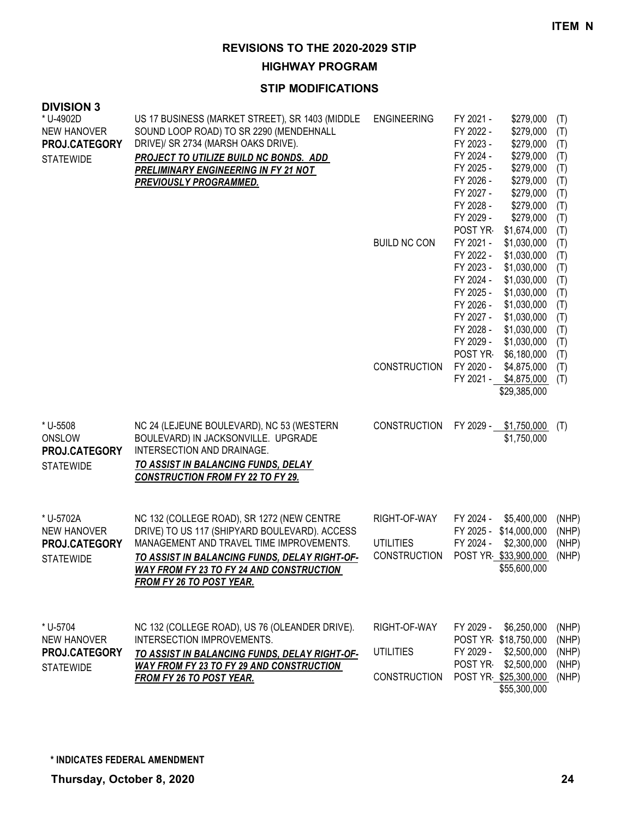**HIGHWAY PROGRAM**

| <b>DIVISION 3</b>                                       |                                                                                                                                                                                                          |                     |                                                                            |                   |
|---------------------------------------------------------|----------------------------------------------------------------------------------------------------------------------------------------------------------------------------------------------------------|---------------------|----------------------------------------------------------------------------|-------------------|
| * U-4902D<br><b>NEW HANOVER</b><br>PROJ.CATEGORY        | US 17 BUSINESS (MARKET STREET), SR 1403 (MIDDLE<br>SOUND LOOP ROAD) TO SR 2290 (MENDEHNALL<br>DRIVE)/ SR 2734 (MARSH OAKS DRIVE).                                                                        | <b>ENGINEERING</b>  | FY 2021 -<br>\$279,000<br>FY 2022 -<br>\$279,000<br>FY 2023 -<br>\$279,000 | (T)<br>(T)<br>(T) |
| <b>STATEWIDE</b>                                        | PROJECT TO UTILIZE BUILD NC BONDS. ADD                                                                                                                                                                   |                     | FY 2024 -<br>\$279,000                                                     | (T)               |
|                                                         | PRELIMINARY ENGINEERING IN FY 21 NOT                                                                                                                                                                     |                     | FY 2025 -<br>\$279,000                                                     | (T)               |
|                                                         | <b>PREVIOUSLY PROGRAMMED.</b>                                                                                                                                                                            |                     | FY 2026 -<br>\$279,000<br>FY 2027 -<br>\$279,000                           | (T)               |
|                                                         |                                                                                                                                                                                                          |                     | FY 2028 -<br>\$279,000                                                     | (T)<br>(T)        |
|                                                         |                                                                                                                                                                                                          |                     | FY 2029 -<br>\$279,000                                                     | (T)               |
|                                                         |                                                                                                                                                                                                          |                     | POST YR<br>\$1,674,000                                                     | (T)               |
|                                                         |                                                                                                                                                                                                          | <b>BUILD NC CON</b> | FY 2021 -<br>\$1,030,000                                                   | (T)               |
|                                                         |                                                                                                                                                                                                          |                     | FY 2022 -<br>\$1,030,000                                                   | (T)               |
|                                                         |                                                                                                                                                                                                          |                     | FY 2023 -<br>\$1,030,000                                                   | (T)               |
|                                                         |                                                                                                                                                                                                          |                     | FY 2024 -<br>\$1,030,000<br>FY 2025 -                                      | (T)               |
|                                                         |                                                                                                                                                                                                          |                     | \$1,030,000<br>FY 2026 -<br>\$1,030,000                                    | (T)<br>(T)        |
|                                                         |                                                                                                                                                                                                          |                     | FY 2027 -<br>\$1,030,000                                                   | (T)               |
|                                                         |                                                                                                                                                                                                          |                     | FY 2028 -<br>\$1,030,000                                                   | (T)               |
|                                                         |                                                                                                                                                                                                          |                     | FY 2029 -<br>\$1,030,000                                                   | (T)               |
|                                                         |                                                                                                                                                                                                          |                     | POST YR<br>\$6,180,000                                                     | (T)               |
|                                                         |                                                                                                                                                                                                          | CONSTRUCTION        | FY 2020 -<br>\$4,875,000                                                   | (T)               |
|                                                         |                                                                                                                                                                                                          |                     | FY 2021 - \$4,875,000                                                      | (T)               |
|                                                         |                                                                                                                                                                                                          |                     | \$29,385,000                                                               |                   |
| * U-5508<br>ONSLOW<br>PROJ.CATEGORY<br><b>STATEWIDE</b> | NC 24 (LEJEUNE BOULEVARD), NC 53 (WESTERN<br>BOULEVARD) IN JACKSONVILLE. UPGRADE<br>INTERSECTION AND DRAINAGE.<br><b>TO ASSIST IN BALANCING FUNDS, DELAY</b><br><b>CONSTRUCTION FROM FY 22 TO FY 29.</b> | <b>CONSTRUCTION</b> | FY 2029 -<br>\$1,750,000<br>\$1,750,000                                    | (T)               |
| * U-5702A                                               | NC 132 (COLLEGE ROAD), SR 1272 (NEW CENTRE                                                                                                                                                               | RIGHT-OF-WAY        | FY 2024 -<br>\$5,400,000                                                   | (NHP)             |
| <b>NEW HANOVER</b>                                      | DRIVE) TO US 117 (SHIPYARD BOULEVARD). ACCESS                                                                                                                                                            |                     | FY 2025 - \$14,000,000                                                     | (NHP)             |
| PROJ.CATEGORY                                           | MANAGEMENT AND TRAVEL TIME IMPROVEMENTS.                                                                                                                                                                 | <b>UTILITIES</b>    | FY 2024 -<br>\$2,300,000                                                   | (NHP)             |
| <b>STATEWIDE</b>                                        | TO ASSIST IN BALANCING FUNDS, DELAY RIGHT-OF-                                                                                                                                                            | <b>CONSTRUCTION</b> | POST YR \$33,900,000                                                       | (NHP)             |
|                                                         | <b>WAY FROM FY 23 TO FY 24 AND CONSTRUCTION</b><br>FROM FY 26 TO POST YEAR.                                                                                                                              |                     | \$55,600,000                                                               |                   |
|                                                         |                                                                                                                                                                                                          |                     |                                                                            |                   |
| * U-5704                                                | NC 132 (COLLEGE ROAD), US 76 (OLEANDER DRIVE).                                                                                                                                                           | RIGHT-OF-WAY        | FY 2029 -<br>\$6,250,000                                                   | (NHP)             |
| <b>NEW HANOVER</b>                                      | INTERSECTION IMPROVEMENTS.                                                                                                                                                                               |                     | POST YR \$18,750,000                                                       | (NHP)             |
| PROJ.CATEGORY                                           | TO ASSIST IN BALANCING FUNDS, DELAY RIGHT-OF-                                                                                                                                                            | <b>UTILITIES</b>    | FY 2029 -<br>\$2,500,000                                                   | (NHP)             |
| <b>STATEWIDE</b>                                        | <b>WAY FROM FY 23 TO FY 29 AND CONSTRUCTION</b>                                                                                                                                                          |                     | POST YR<br>\$2,500,000                                                     | (NHP)             |
|                                                         | <b>FROM FY 26 TO POST YEAR.</b>                                                                                                                                                                          | CONSTRUCTION        | POST YR \$25,300,000<br>\$55,300,000                                       | (NHP)             |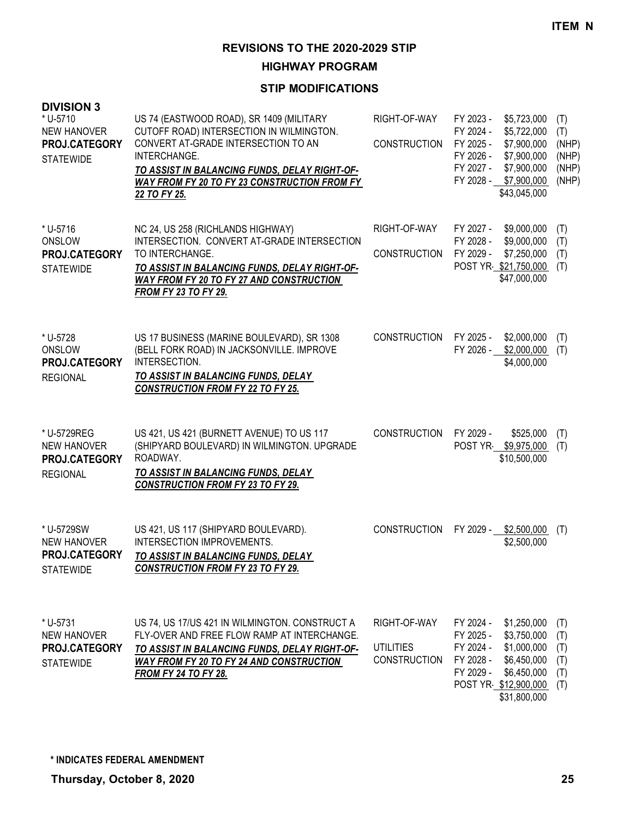**HIGHWAY PROGRAM**

| <b>DIVISION 3</b><br>* U-5710<br><b>NEW HANOVER</b><br>PROJ.CATEGORY<br><b>STATEWIDE</b> | US 74 (EASTWOOD ROAD), SR 1409 (MILITARY<br>CUTOFF ROAD) INTERSECTION IN WILMINGTON.<br>CONVERT AT-GRADE INTERSECTION TO AN<br>INTERCHANGE.<br>TO ASSIST IN BALANCING FUNDS, DELAY RIGHT-OF-<br>WAY FROM FY 20 TO FY 23 CONSTRUCTION FROM FY<br>22 TO FY 25. | RIGHT-OF-WAY<br><b>CONSTRUCTION</b>                     | FY 2023 -<br>\$5,723,000<br>FY 2024 -<br>\$5,722,000<br>FY 2025 -<br>\$7,900,000<br>FY 2026 -<br>\$7,900,000<br>FY 2027 -<br>\$7,900,000<br>FY 2028 -<br>\$7,900,000<br>\$43,045,000 | (T)<br>(T)<br>(NHP)<br>(NHP)<br>(NHP)<br>(NHP) |
|------------------------------------------------------------------------------------------|--------------------------------------------------------------------------------------------------------------------------------------------------------------------------------------------------------------------------------------------------------------|---------------------------------------------------------|--------------------------------------------------------------------------------------------------------------------------------------------------------------------------------------|------------------------------------------------|
| * U-5716<br>ONSLOW<br>PROJ.CATEGORY<br><b>STATEWIDE</b>                                  | NC 24, US 258 (RICHLANDS HIGHWAY)<br>INTERSECTION. CONVERT AT-GRADE INTERSECTION<br>TO INTERCHANGE.<br>TO ASSIST IN BALANCING FUNDS, DELAY RIGHT-OF-<br>WAY FROM FY 20 TO FY 27 AND CONSTRUCTION<br><b>FROM FY 23 TO FY 29.</b>                              | RIGHT-OF-WAY<br><b>CONSTRUCTION</b>                     | FY 2027 -<br>\$9,000,000<br>FY 2028 -<br>\$9,000,000<br>FY 2029 -<br>\$7,250,000<br>POST YR \$21,750,000<br>\$47,000,000                                                             | (T)<br>(T)<br>(T)<br>(T)                       |
| * U-5728<br>ONSLOW<br>PROJ.CATEGORY<br><b>REGIONAL</b>                                   | US 17 BUSINESS (MARINE BOULEVARD), SR 1308<br>(BELL FORK ROAD) IN JACKSONVILLE. IMPROVE<br>INTERSECTION.<br>TO ASSIST IN BALANCING FUNDS, DELAY<br><b>CONSTRUCTION FROM FY 22 TO FY 25.</b>                                                                  | CONSTRUCTION                                            | FY 2025 -<br>\$2,000,000<br>\$2,000,000<br>FY 2026 -<br>\$4,000,000                                                                                                                  | (T)<br>(T)                                     |
| * U-5729REG<br><b>NEW HANOVER</b><br>PROJ.CATEGORY<br><b>REGIONAL</b>                    | US 421, US 421 (BURNETT AVENUE) TO US 117<br>(SHIPYARD BOULEVARD) IN WILMINGTON. UPGRADE<br>ROADWAY.<br>TO ASSIST IN BALANCING FUNDS, DELAY<br><b>CONSTRUCTION FROM FY 23 TO FY 29.</b>                                                                      | <b>CONSTRUCTION</b>                                     | FY 2029 -<br>\$525,000<br>POST YR<br>\$9,975,000<br>\$10,500,000                                                                                                                     | (T)<br>(T)                                     |
| * U-5729SW<br><b>NEW HANOVER</b><br>PROJ.CATEGORY<br><b>STATEWIDE</b>                    | US 421, US 117 (SHIPYARD BOULEVARD).<br>INTERSECTION IMPROVEMENTS.<br>TO ASSIST IN BALANCING FUNDS, DELAY<br><b>CONSTRUCTION FROM FY 23 TO FY 29.</b>                                                                                                        | <b>CONSTRUCTION</b>                                     | FY 2029 - \$2,500,000<br>\$2,500,000                                                                                                                                                 | (T)                                            |
| * U-5731<br>NEW HANOVER<br><b>PROJ.CATEGORY</b><br><b>STATEWIDE</b>                      | US 74, US 17/US 421 IN WILMINGTON. CONSTRUCT A<br>FLY-OVER AND FREE FLOW RAMP AT INTERCHANGE.<br>TO ASSIST IN BALANCING FUNDS, DELAY RIGHT-OF-<br>WAY FROM FY 20 TO FY 24 AND CONSTRUCTION<br><b>FROM FY 24 TO FY 28.</b>                                    | RIGHT-OF-WAY<br><b>UTILITIES</b><br><b>CONSTRUCTION</b> | FY 2024 -<br>\$1,250,000<br>\$3,750,000<br>FY 2025 -<br>FY 2024 -<br>\$1,000,000<br>FY 2028 -<br>\$6,450,000<br>FY 2029 -<br>\$6,450,000<br>POST YR \$12,900,000<br>\$31,800,000     | (T)<br>(T)<br>(T)<br>(T)<br>(T)<br>(T)         |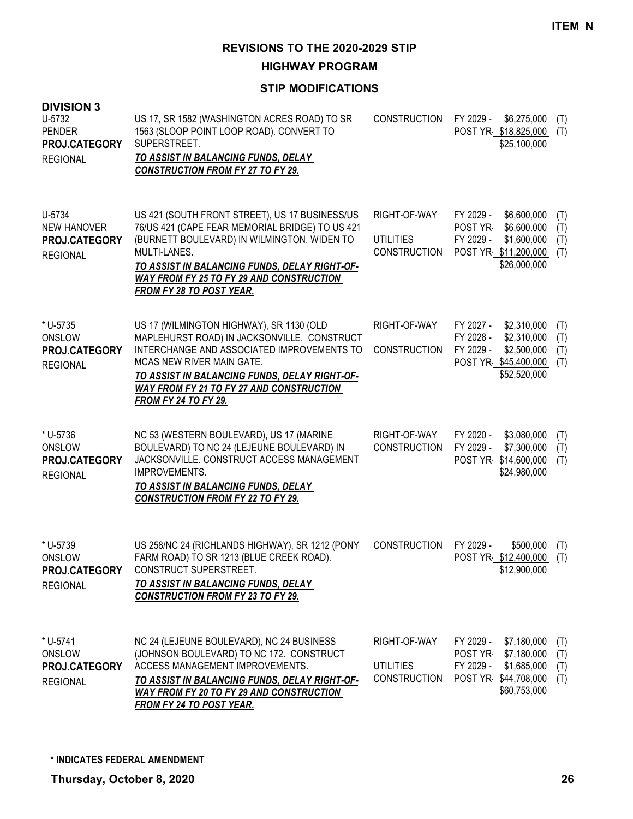**HIGHWAY PROGRAM**

| <b>DIVISION 3</b><br>U-5732<br><b>PENDER</b><br><b>PROJ.CATEGORY</b><br><b>REGIONAL</b> | US 17, SR 1582 (WASHINGTON ACRES ROAD) TO SR<br>1563 (SLOOP POINT LOOP ROAD). CONVERT TO<br>SUPERSTREET.<br><b>TO ASSIST IN BALANCING FUNDS, DELAY</b><br><b>CONSTRUCTION FROM FY 27 TO FY 29.</b>                                                                                                      | <b>CONSTRUCTION</b>                                     | FY 2029 -<br>\$6,275,000<br>POST YR \$18,825,000<br>\$25,100,000                                                         | (T)<br>(T)               |
|-----------------------------------------------------------------------------------------|---------------------------------------------------------------------------------------------------------------------------------------------------------------------------------------------------------------------------------------------------------------------------------------------------------|---------------------------------------------------------|--------------------------------------------------------------------------------------------------------------------------|--------------------------|
| U-5734<br><b>NEW HANOVER</b><br><b>PROJ.CATEGORY</b><br><b>REGIONAL</b>                 | US 421 (SOUTH FRONT STREET), US 17 BUSINESS/US<br>76/US 421 (CAPE FEAR MEMORIAL BRIDGE) TO US 421<br>(BURNETT BOULEVARD) IN WILMINGTON. WIDEN TO<br>MULTI-LANES.<br>TO ASSIST IN BALANCING FUNDS, DELAY RIGHT-OF-<br><b>WAY FROM FY 25 TO FY 29 AND CONSTRUCTION</b><br><b>FROM FY 28 TO POST YEAR.</b> | RIGHT-OF-WAY<br><b>UTILITIES</b><br><b>CONSTRUCTION</b> | FY 2029 -<br>\$6,600,000<br>POST YR-<br>\$6,600,000<br>FY 2029 -<br>\$1,600,000<br>POST YR \$11,200,000<br>\$26,000,000  | (T)<br>(T)<br>(T)<br>(T) |
| * U-5735<br>ONSLOW<br>PROJ.CATEGORY<br><b>REGIONAL</b>                                  | US 17 (WILMINGTON HIGHWAY), SR 1130 (OLD<br>MAPLEHURST ROAD) IN JACKSONVILLE. CONSTRUCT<br>INTERCHANGE AND ASSOCIATED IMPROVEMENTS TO<br>MCAS NEW RIVER MAIN GATE.<br>TO ASSIST IN BALANCING FUNDS, DELAY RIGHT-OF-<br><b>WAY FROM FY 21 TO FY 27 AND CONSTRUCTION</b><br><b>FROM FY 24 TO FY 29.</b>   | RIGHT-OF-WAY<br><b>CONSTRUCTION</b>                     | FY 2027 -<br>\$2,310,000<br>FY 2028 -<br>\$2,310,000<br>FY 2029 -<br>\$2,500,000<br>POST YR \$45,400,000<br>\$52,520,000 | (T)<br>(T)<br>(T)<br>(T) |
| * U-5736<br>ONSLOW<br><b>PROJ.CATEGORY</b><br><b>REGIONAL</b>                           | NC 53 (WESTERN BOULEVARD), US 17 (MARINE<br>BOULEVARD) TO NC 24 (LEJEUNE BOULEVARD) IN<br>JACKSONVILLE. CONSTRUCT ACCESS MANAGEMENT<br>IMPROVEMENTS.<br>TO ASSIST IN BALANCING FUNDS, DELAY<br><b>CONSTRUCTION FROM FY 22 TO FY 29.</b>                                                                 | RIGHT-OF-WAY<br><b>CONSTRUCTION</b>                     | FY 2020 -<br>\$3,080,000<br>FY 2029 -<br>\$7,300,000<br>POST YR \$14,600,000<br>\$24,980,000                             | (T)<br>(T)<br>(T)        |
| * U-5739<br>ONSLOW<br><b>PROJ.CATEGORY</b><br><b>REGIONAL</b>                           | US 258/NC 24 (RICHLANDS HIGHWAY), SR 1212 (PONY<br>FARM ROAD) TO SR 1213 (BLUE CREEK ROAD).<br>CONSTRUCT SUPERSTREET.<br>TO ASSIST IN BALANCING FUNDS, DELAY<br><b>CONSTRUCTION FROM FY 23 TO FY 29.</b>                                                                                                | <b>CONSTRUCTION</b>                                     | FY 2029 -<br>\$500,000<br>POST YR \$12,400,000<br>\$12,900,000                                                           | (T)<br>(T)               |
| * U-5741<br>ONSLOW<br>PROJ.CATEGORY<br><b>REGIONAL</b>                                  | NC 24 (LEJEUNE BOULEVARD), NC 24 BUSINESS<br>(JOHNSON BOULEVARD) TO NC 172. CONSTRUCT<br>ACCESS MANAGEMENT IMPROVEMENTS.<br>TO ASSIST IN BALANCING FUNDS, DELAY RIGHT-OF-<br><b>WAY FROM FY 20 TO FY 29 AND CONSTRUCTION</b><br><b>FROM FY 24 TO POST YEAR.</b>                                         | RIGHT-OF-WAY<br><b>UTILITIES</b><br><b>CONSTRUCTION</b> | \$7,180,000<br>FY 2029 -<br>\$7,180,000<br>POST YR<br>\$1,685,000<br>FY 2029 -<br>POST YR \$44,708,000<br>\$60,753,000   | (T)<br>(T)<br>(T)<br>(T) |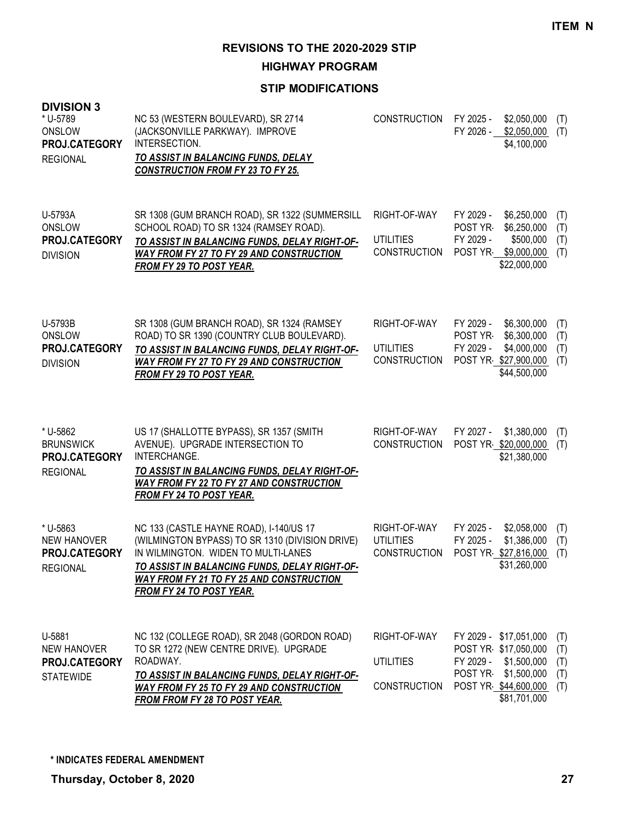**HIGHWAY PROGRAM**

| <b>DIVISION 3</b><br>* U-5789<br>ONSLOW<br>PROJ.CATEGORY<br><b>REGIONAL</b> | NC 53 (WESTERN BOULEVARD), SR 2714<br>(JACKSONVILLE PARKWAY). IMPROVE<br>INTERSECTION.<br><b>TO ASSIST IN BALANCING FUNDS, DELAY</b><br><b>CONSTRUCTION FROM FY 23 TO FY 25.</b>                                                                                         | <b>CONSTRUCTION</b>                                     | FY 2025 -<br>FY 2026 -                                                                         | \$2,050,000<br>\$2,050,000<br>\$4,100,000                              | (T)<br>(T)                      |
|-----------------------------------------------------------------------------|--------------------------------------------------------------------------------------------------------------------------------------------------------------------------------------------------------------------------------------------------------------------------|---------------------------------------------------------|------------------------------------------------------------------------------------------------|------------------------------------------------------------------------|---------------------------------|
| U-5793A<br>ONSLOW<br>PROJ.CATEGORY<br><b>DIVISION</b>                       | SR 1308 (GUM BRANCH ROAD), SR 1322 (SUMMERSILL<br>SCHOOL ROAD) TO SR 1324 (RAMSEY ROAD).<br>TO ASSIST IN BALANCING FUNDS, DELAY RIGHT-OF-<br>WAY FROM FY 27 TO FY 29 AND CONSTRUCTION<br><b>FROM FY 29 TO POST YEAR.</b>                                                 | RIGHT-OF-WAY<br><b>UTILITIES</b><br><b>CONSTRUCTION</b> | FY 2029 -<br>POST YR-<br>FY 2029 -<br>POST YR                                                  | \$6,250,000<br>\$6,250,000<br>\$500,000<br>\$9,000,000<br>\$22,000,000 | (T)<br>(T)<br>(T)<br>(T)        |
| U-5793B<br>ONSLOW<br>PROJ.CATEGORY<br><b>DIVISION</b>                       | SR 1308 (GUM BRANCH ROAD), SR 1324 (RAMSEY<br>ROAD) TO SR 1390 (COUNTRY CLUB BOULEVARD).<br>TO ASSIST IN BALANCING FUNDS, DELAY RIGHT-OF-<br>WAY FROM FY 27 TO FY 29 AND CONSTRUCTION<br><b>FROM FY 29 TO POST YEAR.</b>                                                 | RIGHT-OF-WAY<br><b>UTILITIES</b><br><b>CONSTRUCTION</b> | FY 2029 -<br>POST YR<br>FY 2029 -<br>POST YR \$27,900,000                                      | \$6,300,000<br>\$6,300,000<br>\$4,000,000<br>\$44,500,000              | (T)<br>(T)<br>(T)<br>(T)        |
| * U-5862<br><b>BRUNSWICK</b><br>PROJ.CATEGORY<br><b>REGIONAL</b>            | US 17 (SHALLOTTE BYPASS), SR 1357 (SMITH<br>AVENUE). UPGRADE INTERSECTION TO<br>INTERCHANGE.<br>TO ASSIST IN BALANCING FUNDS, DELAY RIGHT-OF-<br><b>WAY FROM FY 22 TO FY 27 AND CONSTRUCTION</b><br>FROM FY 24 TO POST YEAR.                                             | RIGHT-OF-WAY<br><b>CONSTRUCTION</b>                     | FY 2027 -<br>POST YR \$20,000,000                                                              | \$1,380,000<br>\$21,380,000                                            | (T)<br>(T)                      |
| * U-5863<br><b>NEW HANOVER</b><br>PROJ.CATEGORY<br><b>REGIONAL</b>          | NC 133 (CASTLE HAYNE ROAD), I-140/US 17<br>(WILMINGTON BYPASS) TO SR 1310 (DIVISION DRIVE)<br>IN WILMINGTON. WIDEN TO MULTI-LANES<br>TO ASSIST IN BALANCING FUNDS, DELAY RIGHT-OF-<br><b>WAY FROM FY 21 TO FY 25 AND CONSTRUCTION</b><br><b>FROM FY 24 TO POST YEAR.</b> | RIGHT-OF-WAY<br><b>UTILITIES</b><br>CONSTRUCTION        | FY 2025 -<br>FY 2025 -<br>POST YR \$27,816,000                                                 | \$2,058,000<br>\$1,386,000<br>\$31,260,000                             | (T)<br>(T)<br>(T)               |
| U-5881<br><b>NEW HANOVER</b><br>PROJ.CATEGORY<br><b>STATEWIDE</b>           | NC 132 (COLLEGE ROAD), SR 2048 (GORDON ROAD)<br>TO SR 1272 (NEW CENTRE DRIVE). UPGRADE<br>ROADWAY.<br>TO ASSIST IN BALANCING FUNDS, DELAY RIGHT-OF-<br><b>WAY FROM FY 25 TO FY 29 AND CONSTRUCTION</b><br>FROM FROM FY 28 TO POST YEAR.                                  | RIGHT-OF-WAY<br><b>UTILITIES</b><br><b>CONSTRUCTION</b> | FY 2029 - \$17,051,000<br>POST YR \$17,050,000<br>FY 2029 -<br>POST YR<br>POST YR \$44,600,000 | \$1,500,000<br>\$1,500,000<br>\$81,701,000                             | (T)<br>(T)<br>(T)<br>(T)<br>(T) |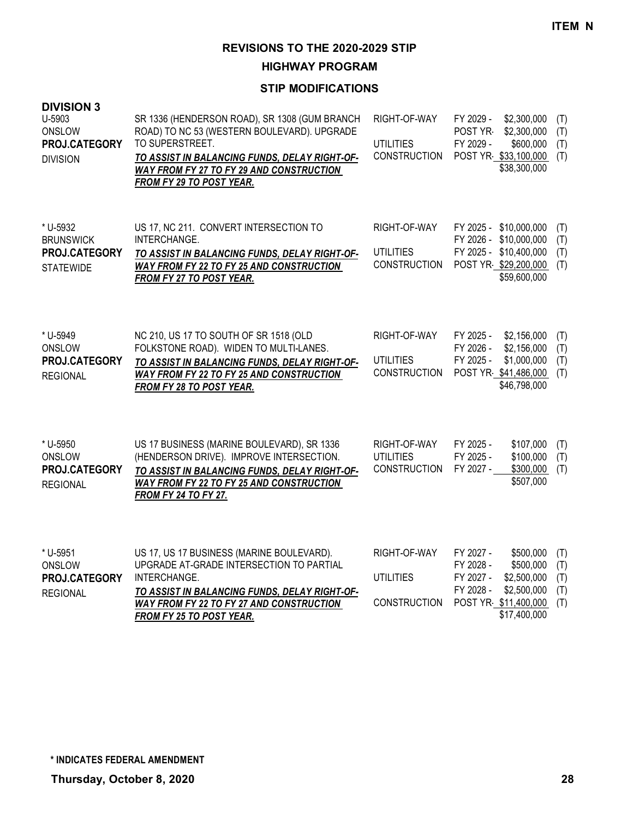**HIGHWAY PROGRAM**

| <b>DIVISION 3</b><br>U-5903<br>ONSLOW<br>PROJ.CATEGORY<br><b>DIVISION</b> | SR 1336 (HENDERSON ROAD), SR 1308 (GUM BRANCH<br>ROAD) TO NC 53 (WESTERN BOULEVARD). UPGRADE<br>TO SUPERSTREET.<br>TO ASSIST IN BALANCING FUNDS, DELAY RIGHT-OF-<br>WAY FROM FY 27 TO FY 29 AND CONSTRUCTION<br>FROM FY 29 TO POST YEAR. | RIGHT-OF-WAY<br><b>UTILITIES</b><br><b>CONSTRUCTION</b> | \$2,300,000<br>FY 2029 -<br>(T)<br>POST YR-<br>\$2,300,000<br>(T)<br>\$600,000<br>FY 2029 -<br>(T)<br>POST YR \$33,100,000<br>(T)<br>\$38,300,000                                   |
|---------------------------------------------------------------------------|------------------------------------------------------------------------------------------------------------------------------------------------------------------------------------------------------------------------------------------|---------------------------------------------------------|-------------------------------------------------------------------------------------------------------------------------------------------------------------------------------------|
| * U-5932<br><b>BRUNSWICK</b><br>PROJ.CATEGORY<br><b>STATEWIDE</b>         | US 17, NC 211. CONVERT INTERSECTION TO<br>INTERCHANGE.<br>TO ASSIST IN BALANCING FUNDS, DELAY RIGHT-OF-<br>WAY FROM FY 22 TO FY 25 AND CONSTRUCTION<br>FROM FY 27 TO POST YEAR.                                                          | RIGHT-OF-WAY<br><b>UTILITIES</b><br><b>CONSTRUCTION</b> | FY 2025 - \$10,000,000<br>(T)<br>FY 2026 - \$10,000,000<br>(T)<br>FY 2025 - \$10,400,000<br>(T)<br>POST YR \$29,200,000<br>(T)<br>\$59,600,000                                      |
| * U-5949<br>ONSLOW<br>PROJ.CATEGORY<br><b>REGIONAL</b>                    | NC 210, US 17 TO SOUTH OF SR 1518 (OLD<br>FOLKSTONE ROAD). WIDEN TO MULTI-LANES.<br>TO ASSIST IN BALANCING FUNDS, DELAY RIGHT-OF-<br><b>WAY FROM FY 22 TO FY 25 AND CONSTRUCTION</b><br><b>FROM FY 28 TO POST YEAR.</b>                  | RIGHT-OF-WAY<br><b>UTILITIES</b><br><b>CONSTRUCTION</b> | FY 2025 -<br>\$2,156,000<br>(T)<br>\$2,156,000<br>FY 2026 -<br>(T)<br>FY 2025 -<br>\$1,000,000<br>(T)<br>POST YR \$41,486,000<br>(T)<br>\$46,798,000                                |
| * U-5950<br>ONSLOW<br>PROJ.CATEGORY<br><b>REGIONAL</b>                    | US 17 BUSINESS (MARINE BOULEVARD), SR 1336<br>(HENDERSON DRIVE). IMPROVE INTERSECTION.<br>TO ASSIST IN BALANCING FUNDS, DELAY RIGHT-OF-<br><b>WAY FROM FY 22 TO FY 25 AND CONSTRUCTION</b><br><b>FROM FY 24 TO FY 27.</b>                | RIGHT-OF-WAY<br><b>UTILITIES</b><br><b>CONSTRUCTION</b> | FY 2025 -<br>\$107,000<br>(T)<br>FY 2025 -<br>\$100,000<br>(T)<br>FY 2027 -<br>\$300,000<br>(T)<br>\$507,000                                                                        |
| * U-5951<br>ONSLOW<br>PROJ.CATEGORY<br><b>REGIONAL</b>                    | US 17, US 17 BUSINESS (MARINE BOULEVARD).<br>UPGRADE AT-GRADE INTERSECTION TO PARTIAL<br>INTERCHANGE.<br>TO ASSIST IN BALANCING FUNDS, DELAY RIGHT-OF-<br><b>WAY FROM FY 22 TO FY 27 AND CONSTRUCTION</b><br>FROM FY 25 TO POST YEAR.    | RIGHT-OF-WAY<br><b>UTILITIES</b><br><b>CONSTRUCTION</b> | FY 2027 -<br>\$500,000<br>(T)<br>\$500,000<br>FY 2028 -<br>(T)<br>FY 2027 -<br>\$2,500,000<br>(T)<br>FY 2028 -<br>\$2,500,000<br>(T)<br>POST YR \$11,400,000<br>(T)<br>\$17,400,000 |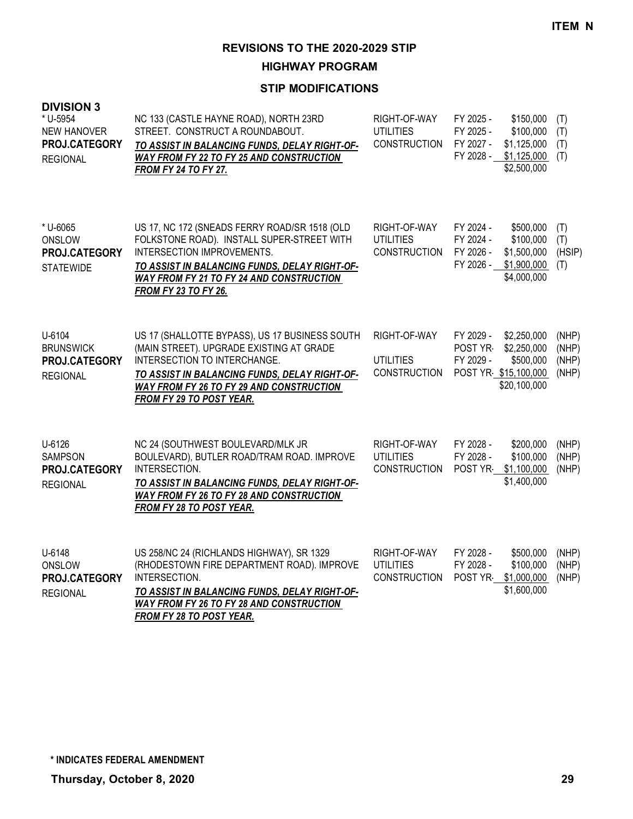**HIGHWAY PROGRAM**

| <b>DIVISION 3</b><br>* U-5954<br><b>NEW HANOVER</b><br><b>PROJ.CATEGORY</b><br><b>REGIONAL</b> | NC 133 (CASTLE HAYNE ROAD), NORTH 23RD<br>STREET. CONSTRUCT A ROUNDABOUT.<br>TO ASSIST IN BALANCING FUNDS, DELAY RIGHT-OF-<br>WAY FROM FY 22 TO FY 25 AND CONSTRUCTION<br><b>FROM FY 24 TO FY 27.</b>                                                                    | RIGHT-OF-WAY<br><b>UTILITIES</b><br><b>CONSTRUCTION</b> | FY 2025 -<br>\$150,000<br>FY 2025 -<br>\$100,000<br>FY 2027 -<br>\$1,125,000<br>FY 2028 -<br>\$1,125,000<br>\$2,500,000 | (T)<br>(T)<br>(T)<br>(T)         |
|------------------------------------------------------------------------------------------------|--------------------------------------------------------------------------------------------------------------------------------------------------------------------------------------------------------------------------------------------------------------------------|---------------------------------------------------------|-------------------------------------------------------------------------------------------------------------------------|----------------------------------|
| * U-6065<br>ONSLOW<br>PROJ.CATEGORY<br><b>STATEWIDE</b>                                        | US 17, NC 172 (SNEADS FERRY ROAD/SR 1518 (OLD<br>FOLKSTONE ROAD). INSTALL SUPER-STREET WITH<br>INTERSECTION IMPROVEMENTS.<br>TO ASSIST IN BALANCING FUNDS, DELAY RIGHT-OF-<br>WAY FROM FY 21 TO FY 24 AND CONSTRUCTION<br><b>FROM FY 23 TO FY 26.</b>                    | RIGHT-OF-WAY<br><b>UTILITIES</b><br><b>CONSTRUCTION</b> | FY 2024 -<br>\$500,000<br>FY 2024 -<br>\$100,000<br>FY 2026 -<br>\$1,500,000<br>\$1,900,000<br>FY 2026 -<br>\$4,000,000 | (T)<br>(T)<br>(HSIP)<br>(T)      |
| U-6104<br><b>BRUNSWICK</b><br>PROJ.CATEGORY<br><b>REGIONAL</b>                                 | US 17 (SHALLOTTE BYPASS), US 17 BUSINESS SOUTH<br>(MAIN STREET). UPGRADE EXISTING AT GRADE<br><b>INTERSECTION TO INTERCHANGE.</b><br>TO ASSIST IN BALANCING FUNDS, DELAY RIGHT-OF-<br><b>WAY FROM FY 26 TO FY 29 AND CONSTRUCTION</b><br><b>FROM FY 29 TO POST YEAR.</b> | RIGHT-OF-WAY<br><b>UTILITIES</b><br><b>CONSTRUCTION</b> | \$2,250,000<br>FY 2029 -<br>\$2,250,000<br>POST YR-<br>FY 2029 -<br>\$500,000<br>POST YR \$15,100,000<br>\$20,100,000   | (NHP)<br>(NHP)<br>(NHP)<br>(NHP) |
| U-6126<br><b>SAMPSON</b><br>PROJ.CATEGORY<br><b>REGIONAL</b>                                   | NC 24 (SOUTHWEST BOULEVARD/MLK JR<br>BOULEVARD), BUTLER ROAD/TRAM ROAD. IMPROVE<br>INTERSECTION.<br>TO ASSIST IN BALANCING FUNDS, DELAY RIGHT-OF-<br>WAY FROM FY 26 TO FY 28 AND CONSTRUCTION<br>FROM FY 28 TO POST YEAR.                                                | RIGHT-OF-WAY<br><b>UTILITIES</b><br><b>CONSTRUCTION</b> | FY 2028 -<br>\$200,000<br>FY 2028 -<br>\$100,000<br>\$1,100,000<br>POST YR<br>\$1,400,000                               | (NHP)<br>(NHP)<br>(NHP)          |
| U-6148<br>ONSLOW<br>PROJ.CATEGORY<br><b>REGIONAL</b>                                           | US 258/NC 24 (RICHLANDS HIGHWAY), SR 1329<br>(RHODESTOWN FIRE DEPARTMENT ROAD). IMPROVE<br>INTERSECTION.<br>TO ASSIST IN BALANCING FUNDS, DELAY RIGHT-OF-<br><b>WAY FROM FY 26 TO FY 28 AND CONSTRUCTION</b><br><b>FROM FY 28 TO POST YEAR.</b>                          | RIGHT-OF-WAY<br><b>UTILITIES</b><br><b>CONSTRUCTION</b> | FY 2028 -<br>\$500,000<br>FY 2028 -<br>\$100,000<br>\$1,000,000<br>POST YR<br>\$1,600,000                               | (NHP)<br>(NHP)<br>(NHP)          |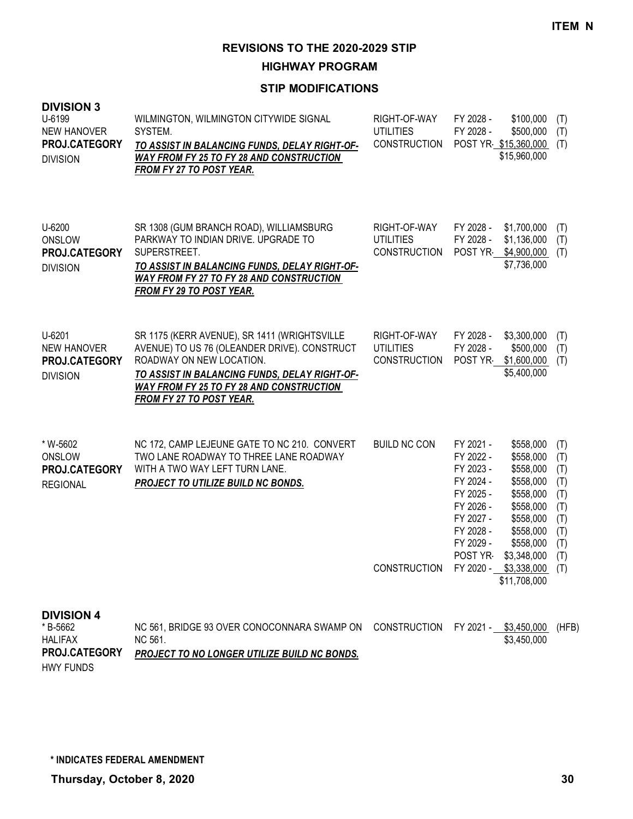**HIGHWAY PROGRAM**

### **STIP MODIFICATIONS**

| <b>DIVISION 3</b><br>U-6199<br><b>NEW HANOVER</b><br>PROJ.CATEGORY<br><b>DIVISION</b> | WILMINGTON, WILMINGTON CITYWIDE SIGNAL<br>SYSTEM.<br>TO ASSIST IN BALANCING FUNDS, DELAY RIGHT-OF-<br><b>WAY FROM FY 25 TO FY 28 AND CONSTRUCTION</b><br>FROM FY 27 TO POST YEAR.                                                                        | RIGHT-OF-WAY<br><b>UTILITIES</b><br><b>CONSTRUCTION</b> | FY 2028 -<br>\$100,000<br>FY 2028 -<br>\$500,000<br>POST YR \$15,360,000<br>\$15,960,000                                                                                                                                                                          | (T)<br>(T)<br>(T)                                                  |
|---------------------------------------------------------------------------------------|----------------------------------------------------------------------------------------------------------------------------------------------------------------------------------------------------------------------------------------------------------|---------------------------------------------------------|-------------------------------------------------------------------------------------------------------------------------------------------------------------------------------------------------------------------------------------------------------------------|--------------------------------------------------------------------|
| U-6200<br>ONSLOW<br>PROJ.CATEGORY<br><b>DIVISION</b>                                  | SR 1308 (GUM BRANCH ROAD), WILLIAMSBURG<br>PARKWAY TO INDIAN DRIVE, UPGRADE TO<br>SUPERSTREET.<br>TO ASSIST IN BALANCING FUNDS, DELAY RIGHT-OF-<br><b>WAY FROM FY 27 TO FY 28 AND CONSTRUCTION</b><br><b>FROM FY 29 TO POST YEAR.</b>                    | RIGHT-OF-WAY<br><b>UTILITIES</b><br><b>CONSTRUCTION</b> | FY 2028 -<br>\$1,700,000<br>FY 2028 -<br>\$1,136,000<br>POST YR \$4,900,000<br>\$7,736,000                                                                                                                                                                        | (T)<br>(T)<br>(T)                                                  |
| U-6201<br><b>NEW HANOVER</b><br>PROJ.CATEGORY<br><b>DIVISION</b>                      | SR 1175 (KERR AVENUE), SR 1411 (WRIGHTSVILLE<br>AVENUE) TO US 76 (OLEANDER DRIVE). CONSTRUCT<br>ROADWAY ON NEW LOCATION.<br>TO ASSIST IN BALANCING FUNDS, DELAY RIGHT-OF-<br><b>WAY FROM FY 25 TO FY 28 AND CONSTRUCTION</b><br>FROM FY 27 TO POST YEAR. | RIGHT-OF-WAY<br><b>UTILITIES</b><br><b>CONSTRUCTION</b> | FY 2028 -<br>\$3,300,000<br>FY 2028 -<br>\$500,000<br>POST YR \$1,600,000<br>\$5,400,000                                                                                                                                                                          | (T)<br>(T)<br>(T)                                                  |
| * W-5602<br>ONSLOW<br>PROJ.CATEGORY<br><b>REGIONAL</b>                                | NC 172, CAMP LEJEUNE GATE TO NC 210. CONVERT<br>TWO LANE ROADWAY TO THREE LANE ROADWAY<br>WITH A TWO WAY LEFT TURN LANE.<br><b>PROJECT TO UTILIZE BUILD NC BONDS.</b>                                                                                    | <b>BUILD NC CON</b>                                     | FY 2021 -<br>\$558,000<br>FY 2022 -<br>\$558,000<br>FY 2023 -<br>\$558,000<br>FY 2024 -<br>\$558,000<br>FY 2025 -<br>\$558,000<br>FY 2026 -<br>\$558,000<br>FY 2027 -<br>\$558,000<br>FY 2028 -<br>\$558,000<br>FY 2029 -<br>\$558,000<br>POST YR-<br>\$3,348,000 | (T)<br>(T)<br>(T)<br>(T)<br>(T)<br>(T)<br>(T)<br>(T)<br>(T)<br>(T) |
|                                                                                       |                                                                                                                                                                                                                                                          |                                                         | CONSTRUCTION FY 2020 - \$3,338,000 (T)<br>\$11,708,000                                                                                                                                                                                                            |                                                                    |
| <b>DIVISION 4</b><br>*B-5662<br><b>HALIFAX</b><br>PROJ.CATEGORY                       | NC 561, BRIDGE 93 OVER CONOCONNARA SWAMP ON<br>NC 561.<br>PROJECT TO NO LONGER UTILIZE BUILD NC BONDS.                                                                                                                                                   | <b>CONSTRUCTION</b>                                     | FY 2021 - \$3,450,000<br>\$3,450,000                                                                                                                                                                                                                              | (HFB)                                                              |

HWY FUNDS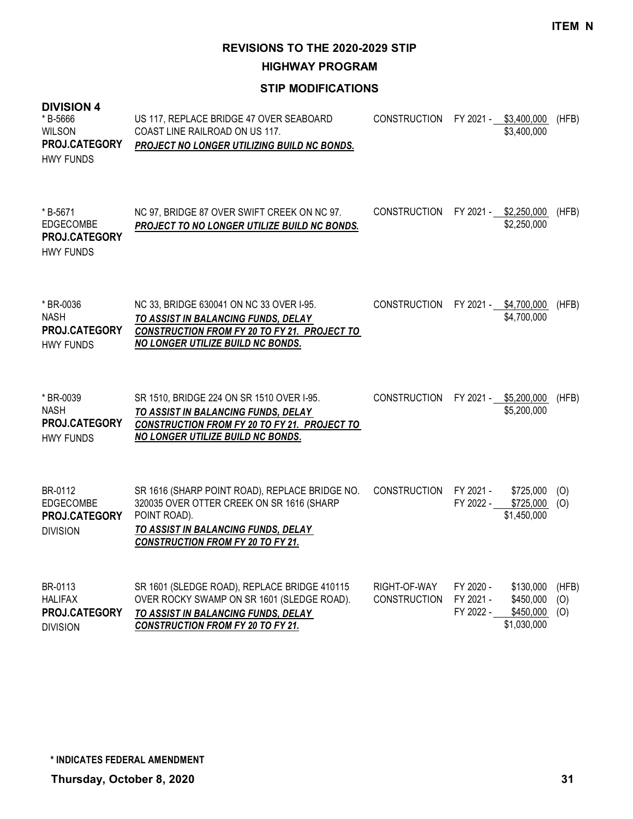**HIGHWAY PROGRAM**

| <b>DIVISION 4</b><br>* B-5666<br><b>WILSON</b><br>PROJ.CATEGORY<br><b>HWY FUNDS</b> | US 117, REPLACE BRIDGE 47 OVER SEABOARD<br>COAST LINE RAILROAD ON US 117.<br>PROJECT NO LONGER UTILIZING BUILD NC BONDS.                                                                       | <b>CONSTRUCTION</b>                 |                                     | FY 2021 - \$3,400,000<br>\$3,400,000               | (HFB)               |
|-------------------------------------------------------------------------------------|------------------------------------------------------------------------------------------------------------------------------------------------------------------------------------------------|-------------------------------------|-------------------------------------|----------------------------------------------------|---------------------|
| * B-5671<br>EDGECOMBE<br><b>PROJ.CATEGORY</b><br><b>HWY FUNDS</b>                   | NC 97, BRIDGE 87 OVER SWIFT CREEK ON NC 97.<br>PROJECT TO NO LONGER UTILIZE BUILD NC BONDS.                                                                                                    | <b>CONSTRUCTION</b>                 |                                     | FY 2021 - \$2,250,000<br>\$2,250,000               | (HFB)               |
| * BR-0036<br><b>NASH</b><br>PROJ.CATEGORY<br><b>HWY FUNDS</b>                       | NC 33, BRIDGE 630041 ON NC 33 OVER I-95.<br>TO ASSIST IN BALANCING FUNDS, DELAY<br>CONSTRUCTION FROM FY 20 TO FY 21. PROJECT TO<br><b>NO LONGER UTILIZE BUILD NC BONDS.</b>                    | <b>CONSTRUCTION</b>                 |                                     | FY 2021 - \$4,700,000<br>\$4,700,000               | (HFB)               |
| * BR-0039<br><b>NASH</b><br>PROJ.CATEGORY<br><b>HWY FUNDS</b>                       | SR 1510, BRIDGE 224 ON SR 1510 OVER I-95.<br>TO ASSIST IN BALANCING FUNDS, DELAY<br>CONSTRUCTION FROM FY 20 TO FY 21. PROJECT TO<br>NO LONGER UTILIZE BUILD NC BONDS.                          | <b>CONSTRUCTION</b>                 | FY 2021 -                           | \$5,200,000<br>\$5,200,000                         | (HFB)               |
| BR-0112<br><b>EDGECOMBE</b><br>PROJ.CATEGORY<br><b>DIVISION</b>                     | SR 1616 (SHARP POINT ROAD), REPLACE BRIDGE NO.<br>320035 OVER OTTER CREEK ON SR 1616 (SHARP<br>POINT ROAD).<br>TO ASSIST IN BALANCING FUNDS, DELAY<br><b>CONSTRUCTION FROM FY 20 TO FY 21.</b> | <b>CONSTRUCTION</b>                 | FY 2021 -<br>FY 2022 -              | \$725,000<br>\$725,000<br>\$1,450,000              | (O)<br>(O)          |
| BR-0113<br><b>HALIFAX</b><br>PROJ.CATEGORY<br><b>DIVISION</b>                       | SR 1601 (SLEDGE ROAD), REPLACE BRIDGE 410115<br>OVER ROCKY SWAMP ON SR 1601 (SLEDGE ROAD).<br>TO ASSIST IN BALANCING FUNDS, DELAY<br><b>CONSTRUCTION FROM FY 20 TO FY 21.</b>                  | RIGHT-OF-WAY<br><b>CONSTRUCTION</b> | FY 2020 -<br>FY 2021 -<br>FY 2022 - | \$130,000<br>\$450,000<br>\$450,000<br>\$1,030,000 | (HFB)<br>(O)<br>(O) |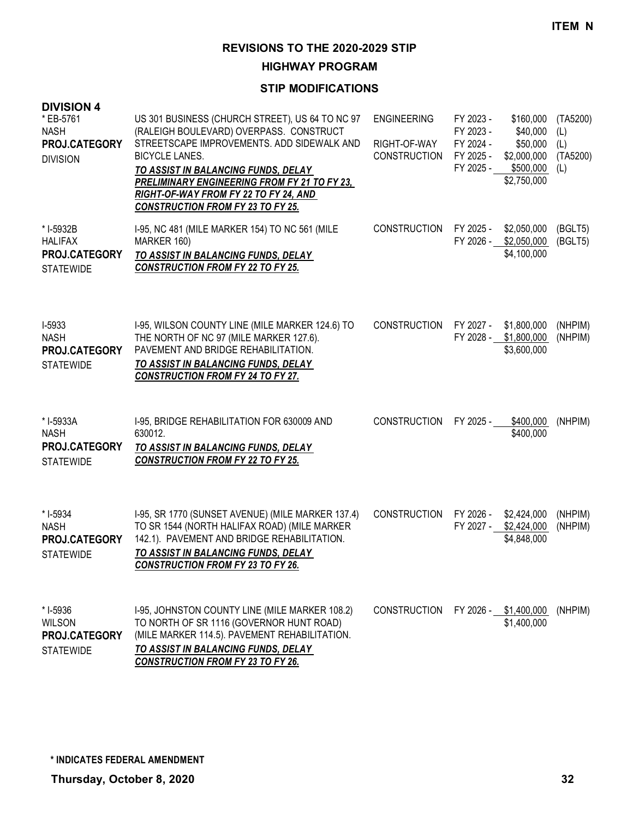**HIGHWAY PROGRAM**

| <b>DIVISION 4</b><br>* EB-5761<br><b>NASH</b><br>PROJ.CATEGORY<br><b>DIVISION</b> | US 301 BUSINESS (CHURCH STREET), US 64 TO NC 97<br>(RALEIGH BOULEVARD) OVERPASS. CONSTRUCT<br>STREETSCAPE IMPROVEMENTS. ADD SIDEWALK AND<br><b>BICYCLE LANES.</b><br>TO ASSIST IN BALANCING FUNDS, DELAY<br>PRELIMINARY ENGINEERING FROM FY 21 TO FY 23,<br>RIGHT-OF-WAY FROM FY 22 TO FY 24, AND<br><b>CONSTRUCTION FROM FY 23 TO FY 25.</b> | <b>ENGINEERING</b><br>RIGHT-OF-WAY<br><b>CONSTRUCTION</b> | FY 2023 -<br>FY 2023 -<br>FY 2024 -<br>FY 2025 - | \$160,000<br>\$40,000<br>\$50,000<br>\$2,000,000<br>FY 2025 - \$500,000<br>\$2,750,000 | (TA5200)<br>(L)<br>(L)<br>(TA5200)<br>(L) |
|-----------------------------------------------------------------------------------|-----------------------------------------------------------------------------------------------------------------------------------------------------------------------------------------------------------------------------------------------------------------------------------------------------------------------------------------------|-----------------------------------------------------------|--------------------------------------------------|----------------------------------------------------------------------------------------|-------------------------------------------|
| * I-5932B<br><b>HALIFAX</b><br>PROJ.CATEGORY<br><b>STATEWIDE</b>                  | 1-95, NC 481 (MILE MARKER 154) TO NC 561 (MILE<br>MARKER 160)<br>TO ASSIST IN BALANCING FUNDS, DELAY<br><b>CONSTRUCTION FROM FY 22 TO FY 25.</b>                                                                                                                                                                                              | <b>CONSTRUCTION</b>                                       | FY 2025 -<br>FY 2026 -                           | \$2,050,000<br>\$2,050,000<br>\$4,100,000                                              | (BGLT5)<br>(BGLT5)                        |
| I-5933<br><b>NASH</b><br>PROJ.CATEGORY<br><b>STATEWIDE</b>                        | I-95, WILSON COUNTY LINE (MILE MARKER 124.6) TO<br>THE NORTH OF NC 97 (MILE MARKER 127.6).<br>PAVEMENT AND BRIDGE REHABILITATION.<br>TO ASSIST IN BALANCING FUNDS, DELAY<br><b>CONSTRUCTION FROM FY 24 TO FY 27.</b>                                                                                                                          | <b>CONSTRUCTION</b>                                       | FY 2027 -<br>FY 2028 -                           | \$1,800,000<br>\$1,800,000<br>\$3,600,000                                              | (NHPIM)<br>(NHPIM)                        |
| * I-5933A<br><b>NASH</b><br>PROJ.CATEGORY<br><b>STATEWIDE</b>                     | I-95, BRIDGE REHABILITATION FOR 630009 AND<br>630012.<br>TO ASSIST IN BALANCING FUNDS, DELAY<br><b>CONSTRUCTION FROM FY 22 TO FY 25.</b>                                                                                                                                                                                                      | <b>CONSTRUCTION</b>                                       | FY 2025 -                                        | \$400,000<br>\$400,000                                                                 | (NHPIM)                                   |
| $*$ 1-5934<br><b>NASH</b><br>PROJ.CATEGORY<br><b>STATEWIDE</b>                    | I-95, SR 1770 (SUNSET AVENUE) (MILE MARKER 137.4)<br>TO SR 1544 (NORTH HALIFAX ROAD) (MILE MARKER<br>142.1). PAVEMENT AND BRIDGE REHABILITATION.<br>TO ASSIST IN BALANCING FUNDS, DELAY<br><b>CONSTRUCTION FROM FY 23 TO FY 26.</b>                                                                                                           | <b>CONSTRUCTION</b>                                       | FY 2026 -<br>FY 2027 -                           | \$2,424,000<br>\$2,424,000<br>\$4,848,000                                              | (NHPIM)<br>(NHPIM)                        |
| * I-5936<br><b>WILSON</b><br><b>PROJ.CATEGORY</b><br><b>STATEWIDE</b>             | I-95, JOHNSTON COUNTY LINE (MILE MARKER 108.2)<br>TO NORTH OF SR 1116 (GOVERNOR HUNT ROAD)<br>(MILE MARKER 114.5). PAVEMENT REHABILITATION.<br>TO ASSIST IN BALANCING FUNDS, DELAY<br><b>CONSTRUCTION FROM FY 23 TO FY 26.</b>                                                                                                                | <b>CONSTRUCTION</b>                                       |                                                  | FY 2026 - \$1,400,000<br>\$1,400,000                                                   | (NHPIM)                                   |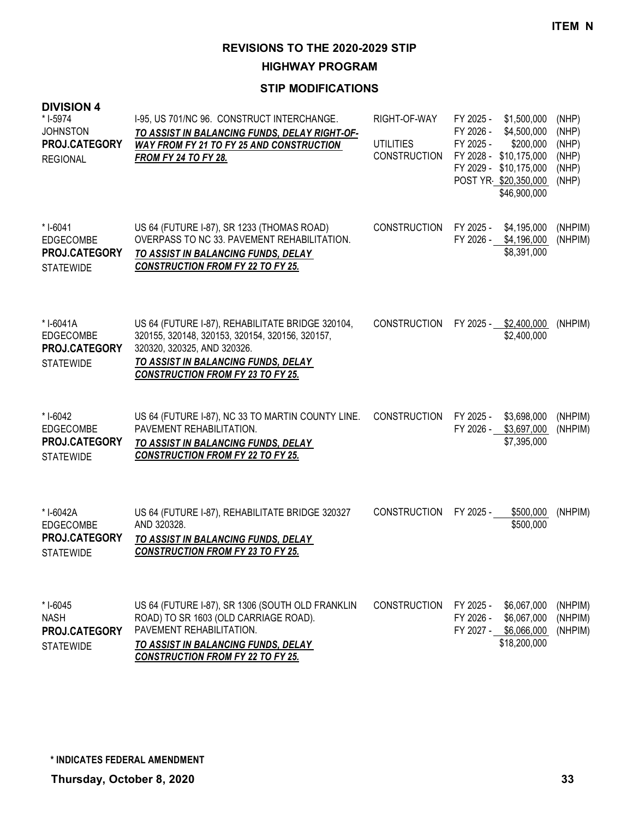**HIGHWAY PROGRAM**

## **STIP MODIFICATIONS**

| <b>DIVISION 4</b><br>* I-5974<br><b>JOHNSTON</b><br>PROJ.CATEGORY<br><b>REGIONAL</b> | I-95, US 701/NC 96. CONSTRUCT INTERCHANGE.<br>TO ASSIST IN BALANCING FUNDS, DELAY RIGHT-OF-<br><b>WAY FROM FY 21 TO FY 25 AND CONSTRUCTION</b><br><b>FROM FY 24 TO FY 28.</b>                                         | RIGHT-OF-WAY<br><b>UTILITIES</b><br>CONSTRUCTION | FY 2025 -<br>\$1,500,000<br>FY 2026 -<br>\$4,500,000<br>FY 2025 -<br>\$200,000<br>FY 2028 -<br>\$10,175,000<br>FY 2029 -<br>\$10,175,000<br>POST YR \$20,350,000<br>\$46,900,000 | (NHP)<br>(NHP)<br>(NHP)<br>(NHP)<br>(NHP)<br>(NHP) |
|--------------------------------------------------------------------------------------|-----------------------------------------------------------------------------------------------------------------------------------------------------------------------------------------------------------------------|--------------------------------------------------|----------------------------------------------------------------------------------------------------------------------------------------------------------------------------------|----------------------------------------------------|
| * I-6041<br><b>EDGECOMBE</b><br>PROJ.CATEGORY<br><b>STATEWIDE</b>                    | US 64 (FUTURE I-87), SR 1233 (THOMAS ROAD)<br>OVERPASS TO NC 33. PAVEMENT REHABILITATION.<br>TO ASSIST IN BALANCING FUNDS, DELAY<br><b>CONSTRUCTION FROM FY 22 TO FY 25.</b>                                          | <b>CONSTRUCTION</b>                              | FY 2025 -<br>\$4,195,000<br>FY 2026 -<br>\$4,196,000<br>\$8,391,000                                                                                                              | (NHPIM)<br>(NHPIM)                                 |
| *I-6041A<br><b>EDGECOMBE</b><br>PROJ.CATEGORY<br><b>STATEWIDE</b>                    | US 64 (FUTURE I-87), REHABILITATE BRIDGE 320104,<br>320155, 320148, 320153, 320154, 320156, 320157,<br>320320, 320325, AND 320326.<br>TO ASSIST IN BALANCING FUNDS, DELAY<br><b>CONSTRUCTION FROM FY 23 TO FY 25.</b> | <b>CONSTRUCTION</b>                              | FY 2025 - \$2,400,000<br>\$2,400,000                                                                                                                                             | (NHPIM)                                            |
| * I-6042<br>EDGECOMBE<br>PROJ.CATEGORY<br><b>STATEWIDE</b>                           | US 64 (FUTURE I-87), NC 33 TO MARTIN COUNTY LINE.<br>PAVEMENT REHABILITATION.<br>TO ASSIST IN BALANCING FUNDS, DELAY<br><b>CONSTRUCTION FROM FY 22 TO FY 25.</b>                                                      | <b>CONSTRUCTION</b>                              | FY 2025 -<br>\$3,698,000<br>FY 2026 -<br>\$3,697,000<br>\$7,395,000                                                                                                              | (NHPIM)<br>(NHPIM)                                 |
| *I-6042A<br><b>EDGECOMBE</b><br>PROJ.CATEGORY<br><b>STATEWIDE</b>                    | US 64 (FUTURE I-87), REHABILITATE BRIDGE 320327<br>AND 320328.<br>TO ASSIST IN BALANCING FUNDS, DELAY<br><b>CONSTRUCTION FROM FY 23 TO FY 25.</b>                                                                     | <b>CONSTRUCTION</b>                              | \$500,000<br>FY 2025 -<br>\$500,000                                                                                                                                              | (NHPIM)                                            |
| $*$ I-6045<br><b>NASH</b><br>PROJ.CATEGORY<br><b>STATEWIDE</b>                       | US 64 (FUTURE I-87), SR 1306 (SOUTH OLD FRANKLIN<br>ROAD) TO SR 1603 (OLD CARRIAGE ROAD).<br>PAVEMENT REHABILITATION.<br><u>TO ASSIST IN BALANCING FUNDS, DELAY</u>                                                   | <b>CONSTRUCTION</b>                              | FY 2025 -<br>\$6,067,000<br>FY 2026 -<br>\$6,067,000<br>FY 2027 - \$6,066,000<br>\$18,200,000                                                                                    | (NHPIM)<br>(NHPIM)<br>(NHPIM)                      |

*CONSTRUCTION FROM FY 22 TO FY 25.*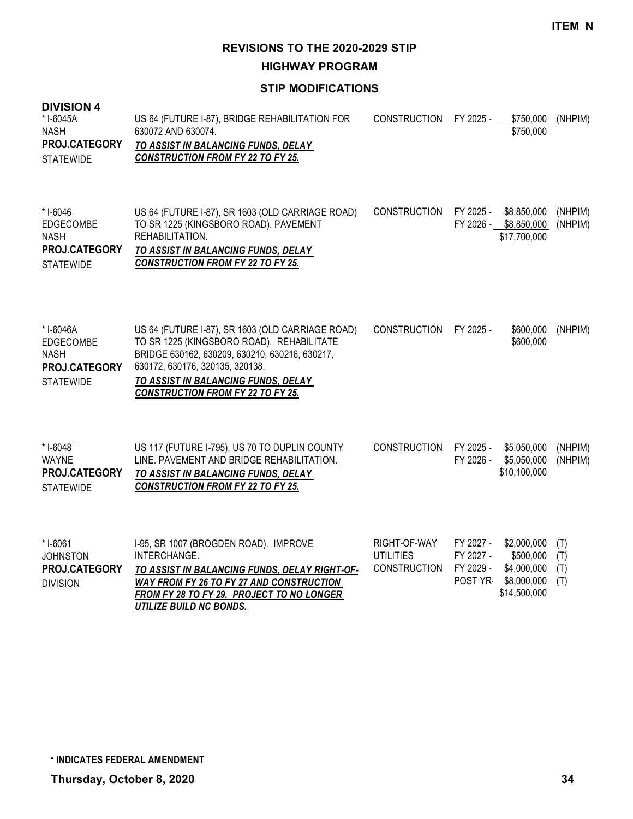**HIGHWAY PROGRAM**

#### **STIP MODIFICATIONS**

#### **DIVISION 4** US 64 (FUTURE I-87), BRIDGE REHABILITATION FOR 630072 AND 630074. *TO ASSIST IN BALANCING FUNDS, DELAY CONSTRUCTION FROM FY 22 TO FY 25.* CONSTRUCTION FY 2025 - \$750,000 (NHPIM) \$750,000 \* I-6045A NASH **STATEWIDE PROJ.CATEGORY** US 64 (FUTURE I-87), SR 1603 (OLD CARRIAGE ROAD) TO SR 1225 (KINGSBORO ROAD). PAVEMENT REHABILITATION. *TO ASSIST IN BALANCING FUNDS, DELAY CONSTRUCTION FROM FY 22 TO FY 25.* CONSTRUCTION FY 2025 - \$8,850,000 (NHPIM) FY 2026 - \$8,850,000 (NHPIM) \$17,700,000 \* I-6046 EDGECOMBE NASH **STATEWIDE PROJ.CATEGORY** US 64 (FUTURE I-87), SR 1603 (OLD CARRIAGE ROAD) TO SR 1225 (KINGSBORO ROAD). REHABILITATE BRIDGE 630162, 630209, 630210, 630216, 630217, 630172, 630176, 320135, 320138. *TO ASSIST IN BALANCING FUNDS, DELAY CONSTRUCTION FROM FY 22 TO FY 25.* CONSTRUCTION FY 2025 - \$600,000 (NHPIM) \$600,000 \* I-6046A EDGECOMBE NASH **STATEWIDE PROJ.CATEGORY** US 117 (FUTURE I-795), US 70 TO DUPLIN COUNTY LINE. PAVEMENT AND BRIDGE REHABILITATION. *TO ASSIST IN BALANCING FUNDS, DELAY CONSTRUCTION FROM FY 22 TO FY 25.* CONSTRUCTION FY 2025 - \$5,050,000 (NHPIM) FY 2026 - \$5,050,000 (NHPIM) \$10,100,000 \* I-6048 WAYNE **STATEWIDE PROJ.CATEGORY** I-95, SR 1007 (BROGDEN ROAD). IMPROVE INTERCHANGE. *TO ASSIST IN BALANCING FUNDS, DELAY RIGHT-OF-WAY FROM FY 26 TO FY 27 AND CONSTRUCTION FROM FY 28 TO FY 29. PROJECT TO NO LONGER*  RIGHT-OF-WAY FY 2027 - \$2,000,000 (T) UTILITIES FY 2027 - \$500,000 (T) CONSTRUCTION FY 2029 - \$4,000,000 (T) POST YR- \$8,000,000 (T) \$14,500,000 \* I-6061 **JOHNSTON** DIVISION **PROJ.CATEGORY**

*UTILIZE BUILD NC BONDS.*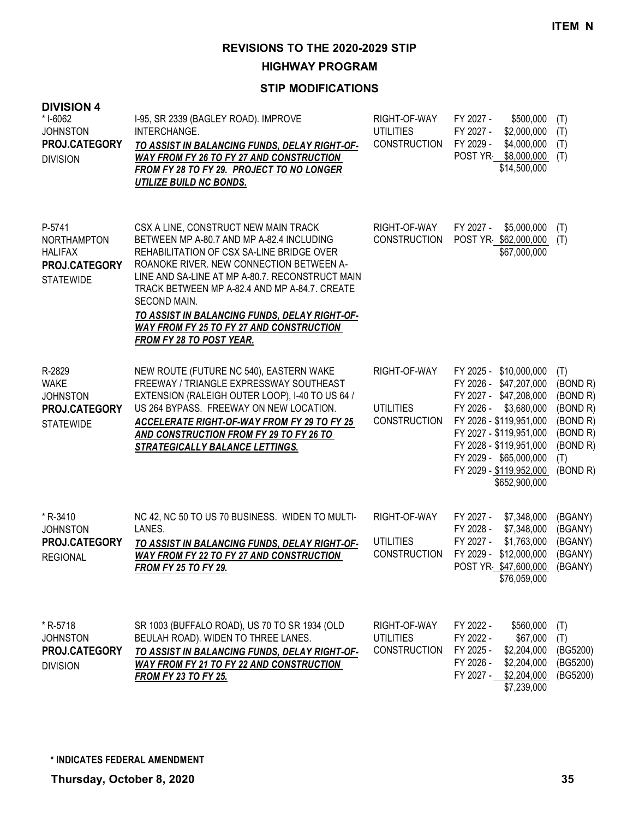**HIGHWAY PROGRAM**

| <b>DIVISION 4</b><br>* I-6062<br><b>JOHNSTON</b><br>PROJ.CATEGORY<br><b>DIVISION</b> | I-95, SR 2339 (BAGLEY ROAD). IMPROVE<br>INTERCHANGE.<br>TO ASSIST IN BALANCING FUNDS, DELAY RIGHT-OF-<br><b>WAY FROM FY 26 TO FY 27 AND CONSTRUCTION</b><br>FROM FY 28 TO FY 29. PROJECT TO NO LONGER<br><b>UTILIZE BUILD NC BONDS.</b>                                                                                                                                                                                                      | RIGHT-OF-WAY<br><b>UTILITIES</b><br><b>CONSTRUCTION</b> | FY 2027 -<br>\$500,000<br>FY 2027 -<br>\$2,000,000<br>FY 2029 -<br>\$4,000,000<br>POST YR \$8,000,000<br>\$14,500,000                                                                                                                                         | (T)<br>(T)<br>(T)<br>(T)                                                                       |
|--------------------------------------------------------------------------------------|----------------------------------------------------------------------------------------------------------------------------------------------------------------------------------------------------------------------------------------------------------------------------------------------------------------------------------------------------------------------------------------------------------------------------------------------|---------------------------------------------------------|---------------------------------------------------------------------------------------------------------------------------------------------------------------------------------------------------------------------------------------------------------------|------------------------------------------------------------------------------------------------|
| P-5741<br><b>NORTHAMPTON</b><br><b>HALIFAX</b><br>PROJ.CATEGORY<br><b>STATEWIDE</b>  | CSX A LINE, CONSTRUCT NEW MAIN TRACK<br>BETWEEN MP A-80.7 AND MP A-82.4 INCLUDING<br>REHABILITATION OF CSX SA-LINE BRIDGE OVER<br>ROANOKE RIVER. NEW CONNECTION BETWEEN A-<br>LINE AND SA-LINE AT MP A-80.7. RECONSTRUCT MAIN<br>TRACK BETWEEN MP A-82.4 AND MP A-84.7. CREATE<br>SECOND MAIN.<br><u>TO ASSIST IN BALANCING FUNDS, DELAY RIGHT-OF-</u><br><b>WAY FROM FY 25 TO FY 27 AND CONSTRUCTION</b><br><b>FROM FY 28 TO POST YEAR.</b> | RIGHT-OF-WAY<br><b>CONSTRUCTION</b>                     | FY 2027 -<br>\$5,000,000<br>POST YR \$62,000,000<br>\$67,000,000                                                                                                                                                                                              | (T)<br>(T)                                                                                     |
| R-2829<br><b>WAKE</b><br><b>JOHNSTON</b><br>PROJ.CATEGORY<br><b>STATEWIDE</b>        | NEW ROUTE (FUTURE NC 540), EASTERN WAKE<br>FREEWAY / TRIANGLE EXPRESSWAY SOUTHEAST<br>EXTENSION (RALEIGH OUTER LOOP), I-40 TO US 64 /<br>US 264 BYPASS. FREEWAY ON NEW LOCATION.<br>ACCELERATE RIGHT-OF-WAY FROM FY 29 TO FY 25<br>AND CONSTRUCTION FROM FY 29 TO FY 26 TO<br><b>STRATEGICALLY BALANCE LETTINGS.</b>                                                                                                                         | RIGHT-OF-WAY<br><b>UTILITIES</b><br><b>CONSTRUCTION</b> | FY 2025 - \$10,000,000<br>FY 2026 - \$47,207,000<br>FY 2027 - \$47,208,000<br>\$3,680,000<br>FY 2026 -<br>FY 2026 - \$119,951,000<br>FY 2027 - \$119,951,000<br>FY 2028 - \$119,951,000<br>FY 2029 - \$65,000,000<br>FY 2029 - \$119,952,000<br>\$652,900,000 | (T)<br>(BOND R)<br>(BOND R)<br>(BOND R)<br>(BOND R)<br>(BOND R)<br>(BOND R)<br>(T)<br>(BOND R) |
| * R-3410<br><b>JOHNSTON</b><br>PROJ.CATEGORY<br><b>REGIONAL</b>                      | NC 42, NC 50 TO US 70 BUSINESS. WIDEN TO MULTI-<br>LANES.<br>TO ASSIST IN BALANCING FUNDS, DELAY RIGHT-OF-<br><b>WAY FROM FY 22 TO FY 27 AND CONSTRUCTION</b><br><b>FROM FY 25 TO FY 29.</b>                                                                                                                                                                                                                                                 | RIGHT-OF-WAY<br><b>UTILITIES</b><br><b>CONSTRUCTION</b> | \$7,348,000<br>FY 2027 -<br>FY 2028 -<br>\$7,348,000<br>FY 2027 -<br>\$1,763,000<br>FY 2029 - \$12,000,000<br>POST YR \$47,600,000<br>\$76,059,000                                                                                                            | (BGANY)<br>(BGANY)<br>(BGANY)<br>(BGANY)<br>(BGANY)                                            |
| * R-5718<br><b>JOHNSTON</b><br>PROJ.CATEGORY<br><b>DIVISION</b>                      | SR 1003 (BUFFALO ROAD), US 70 TO SR 1934 (OLD<br>BEULAH ROAD). WIDEN TO THREE LANES.<br><u>TO ASSIST IN BALANCING FUNDS, DELAY RIGHT-OF-</u><br>WAY FROM FY 21 TO FY 22 AND CONSTRUCTION<br><b>FROM FY 23 TO FY 25.</b>                                                                                                                                                                                                                      | RIGHT-OF-WAY<br><b>UTILITIES</b><br><b>CONSTRUCTION</b> | FY 2022 -<br>\$560,000<br>FY 2022 -<br>\$67,000<br>FY 2025 -<br>\$2,204,000<br>FY 2026 -<br>\$2,204,000<br>FY 2027 -<br>\$2,204,000<br>\$7,239,000                                                                                                            | (T)<br>(T)<br>(BG5200)<br>(BG5200)<br>(BG5200)                                                 |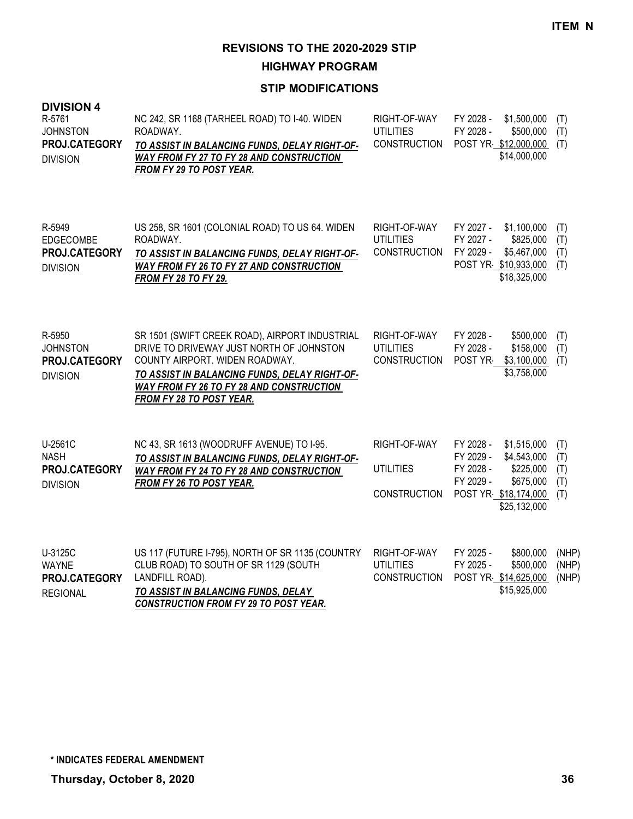**HIGHWAY PROGRAM**

| <b>DIVISION 4</b><br>R-5761<br><b>JOHNSTON</b><br>PROJ.CATEGORY<br><b>DIVISION</b> | NC 242, SR 1168 (TARHEEL ROAD) TO I-40. WIDEN<br>ROADWAY.<br>TO ASSIST IN BALANCING FUNDS, DELAY RIGHT-OF-<br>WAY FROM FY 27 TO FY 28 AND CONSTRUCTION<br>FROM FY 29 TO POST YEAR.                                                                           | RIGHT-OF-WAY<br><b>UTILITIES</b><br><b>CONSTRUCTION</b> | FY 2028 -<br>\$1,500,000<br>FY 2028 -<br>\$500,000<br>POST YR \$12,000,000<br>\$14,000,000                                                       | (T)<br>(T)<br>(T)               |
|------------------------------------------------------------------------------------|--------------------------------------------------------------------------------------------------------------------------------------------------------------------------------------------------------------------------------------------------------------|---------------------------------------------------------|--------------------------------------------------------------------------------------------------------------------------------------------------|---------------------------------|
| R-5949<br><b>EDGECOMBE</b><br>PROJ.CATEGORY<br><b>DIVISION</b>                     | US 258, SR 1601 (COLONIAL ROAD) TO US 64. WIDEN<br>ROADWAY.<br>TO ASSIST IN BALANCING FUNDS, DELAY RIGHT-OF-<br><b>WAY FROM FY 26 TO FY 27 AND CONSTRUCTION</b><br><b>FROM FY 28 TO FY 29.</b>                                                               | RIGHT-OF-WAY<br><b>UTILITIES</b><br><b>CONSTRUCTION</b> | \$1,100,000<br>FY 2027 -<br>FY 2027 -<br>\$825,000<br>FY 2029 -<br>\$5,467,000<br>POST YR \$10,933,000<br>\$18,325,000                           | (T)<br>(T)<br>(T)<br>(T)        |
| R-5950<br><b>JOHNSTON</b><br>PROJ.CATEGORY<br><b>DIVISION</b>                      | SR 1501 (SWIFT CREEK ROAD), AIRPORT INDUSTRIAL<br>DRIVE TO DRIVEWAY JUST NORTH OF JOHNSTON<br>COUNTY AIRPORT. WIDEN ROADWAY.<br>TO ASSIST IN BALANCING FUNDS, DELAY RIGHT-OF-<br><b>WAY FROM FY 26 TO FY 28 AND CONSTRUCTION</b><br>FROM FY 28 TO POST YEAR. | RIGHT-OF-WAY<br><b>UTILITIES</b><br><b>CONSTRUCTION</b> | FY 2028 -<br>\$500,000<br>FY 2028 -<br>\$158,000<br>POST YR<br>\$3,100,000<br>\$3,758,000                                                        | (T)<br>(T)<br>(T)               |
| U-2561C<br><b>NASH</b><br>PROJ.CATEGORY<br><b>DIVISION</b>                         | NC 43, SR 1613 (WOODRUFF AVENUE) TO I-95.<br>TO ASSIST IN BALANCING FUNDS, DELAY RIGHT-OF-<br>WAY FROM FY 24 TO FY 28 AND CONSTRUCTION<br>FROM FY 26 TO POST YEAR.                                                                                           | RIGHT-OF-WAY<br><b>UTILITIES</b><br><b>CONSTRUCTION</b> | FY 2028 -<br>\$1,515,000<br>FY 2029 -<br>\$4,543,000<br>FY 2028 -<br>\$225,000<br>FY 2029 -<br>\$675,000<br>POST YR \$18,174,000<br>\$25,132,000 | (T)<br>(T)<br>(T)<br>(T)<br>(T) |
| U-3125C<br><b>WAYNE</b><br>PROJ.CATEGORY<br><b>REGIONAL</b>                        | US 117 (FUTURE I-795), NORTH OF SR 1135 (COUNTRY<br>CLUB ROAD) TO SOUTH OF SR 1129 (SOUTH<br>LANDFILL ROAD).<br>TO ASSIST IN BALANCING FUNDS, DELAY<br><b>CONSTRUCTION FROM FY 29 TO POST YEAR.</b>                                                          | RIGHT-OF-WAY<br><b>UTILITIES</b><br><b>CONSTRUCTION</b> | FY 2025 -<br>\$800,000<br>FY 2025 -<br>\$500,000<br>POST YR \$14,625,000<br>\$15,925,000                                                         | (NHP)<br>(NHP)<br>(NHP)         |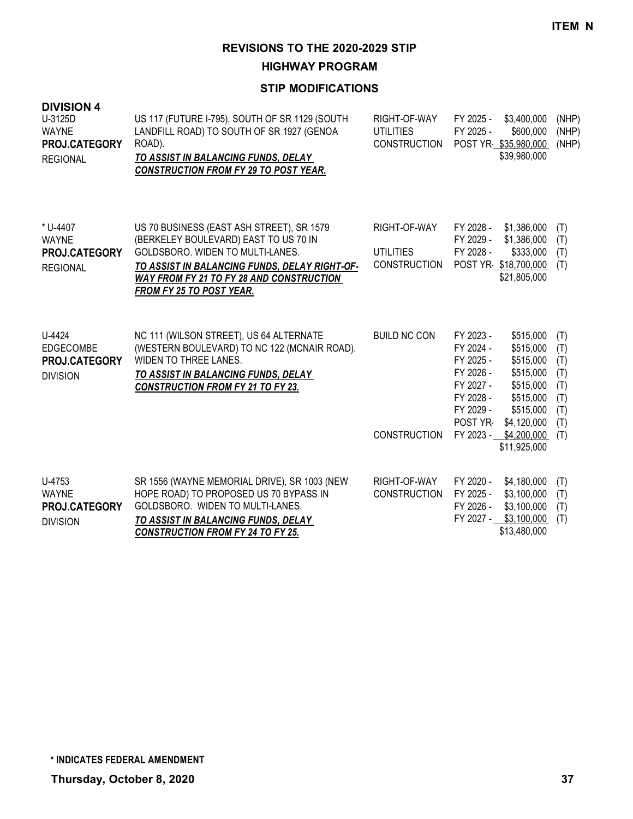**HIGHWAY PROGRAM**

| <b>DIVISION 4</b><br>U-3125D<br><b>WAYNE</b><br>PROJ.CATEGORY<br><b>REGIONAL</b> | US 117 (FUTURE I-795), SOUTH OF SR 1129 (SOUTH<br>LANDFILL ROAD) TO SOUTH OF SR 1927 (GENOA<br>ROAD).<br>TO ASSIST IN BALANCING FUNDS, DELAY<br><b>CONSTRUCTION FROM FY 29 TO POST YEAR.</b>                                                                  | RIGHT-OF-WAY<br><b>UTILITIES</b><br><b>CONSTRUCTION</b> | FY 2025 -<br>\$3,400,000<br>FY 2025 -<br>\$600,000<br>POST YR \$35,980,000<br>\$39,980,000                                                                                                                                                                | (NHP)<br>(NHP)<br>(NHP)                                     |
|----------------------------------------------------------------------------------|---------------------------------------------------------------------------------------------------------------------------------------------------------------------------------------------------------------------------------------------------------------|---------------------------------------------------------|-----------------------------------------------------------------------------------------------------------------------------------------------------------------------------------------------------------------------------------------------------------|-------------------------------------------------------------|
| * U-4407<br><b>WAYNE</b><br><b>PROJ.CATEGORY</b><br><b>REGIONAL</b>              | US 70 BUSINESS (EAST ASH STREET), SR 1579<br>(BERKELEY BOULEVARD) EAST TO US 70 IN<br>GOLDSBORO, WIDEN TO MULTI-LANES.<br>TO ASSIST IN BALANCING FUNDS, DELAY RIGHT-OF-<br><b>WAY FROM FY 21 TO FY 28 AND CONSTRUCTION</b><br><b>FROM FY 25 TO POST YEAR.</b> | RIGHT-OF-WAY<br><b>UTILITIES</b><br><b>CONSTRUCTION</b> | FY 2028 -<br>\$1,386,000<br>FY 2029 -<br>\$1,386,000<br>FY 2028 -<br>\$333,000<br>POST YR \$18,700,000<br>\$21,805,000                                                                                                                                    | (T)<br>(T)<br>(T)<br>(T)                                    |
| U-4424<br><b>EDGECOMBE</b><br><b>PROJ.CATEGORY</b><br><b>DIVISION</b>            | NC 111 (WILSON STREET), US 64 ALTERNATE<br>(WESTERN BOULEVARD) TO NC 122 (MCNAIR ROAD).<br><b>WIDEN TO THREE LANES.</b><br>TO ASSIST IN BALANCING FUNDS, DELAY<br><b>CONSTRUCTION FROM FY 21 TO FY 23.</b>                                                    | <b>BUILD NC CON</b><br><b>CONSTRUCTION</b>              | FY 2023 -<br>\$515,000<br>FY 2024 -<br>\$515,000<br>FY 2025 -<br>\$515,000<br>FY 2026 -<br>\$515,000<br>FY 2027 -<br>\$515,000<br>FY 2028 -<br>\$515,000<br>FY 2029 -<br>\$515,000<br>POST YR-<br>\$4,120,000<br>FY 2023 -<br>\$4,200,000<br>\$11,925,000 | (T)<br>(T)<br>(T)<br>(T)<br>(T)<br>(T)<br>(T)<br>(T)<br>(T) |
| U-4753<br><b>WAYNE</b><br>PROJ.CATEGORY<br><b>DIVISION</b>                       | SR 1556 (WAYNE MEMORIAL DRIVE), SR 1003 (NEW<br>HOPE ROAD) TO PROPOSED US 70 BYPASS IN<br>GOLDSBORO. WIDEN TO MULTI-LANES.<br>TO ASSIST IN BALANCING FUNDS, DELAY<br><b>CONSTRUCTION FROM FY 24 TO FY 25.</b>                                                 | RIGHT-OF-WAY<br><b>CONSTRUCTION</b>                     | FY 2020 -<br>\$4,180,000<br>FY 2025 -<br>\$3,100,000<br>FY 2026 -<br>\$3,100,000<br>FY 2027 -<br>\$3,100,000<br>\$13,480,000                                                                                                                              | (T)<br>(T)<br>(T)<br>(T)                                    |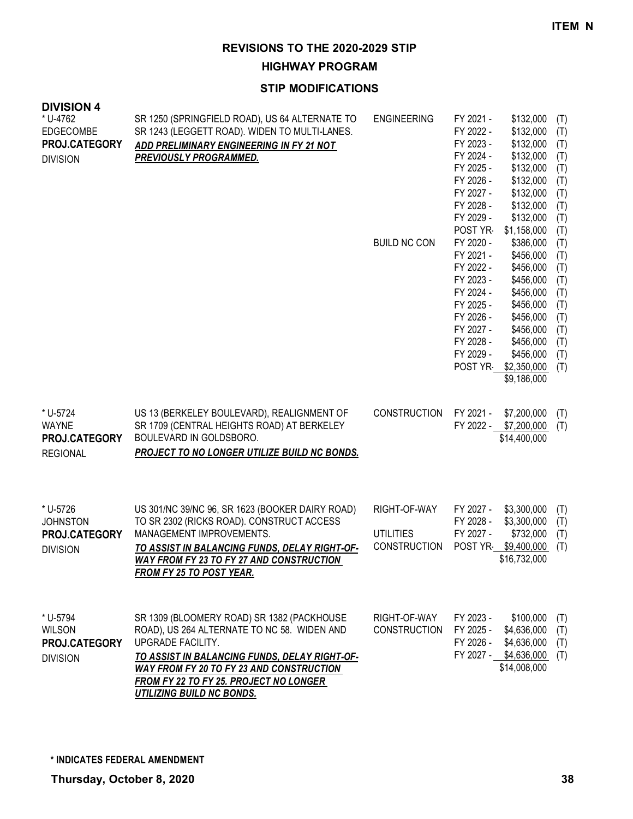**HIGHWAY PROGRAM**

| <b>DIVISION 4</b><br>* U-4762<br><b>EDGECOMBE</b><br>PROJ.CATEGORY<br><b>DIVISION</b> | SR 1250 (SPRINGFIELD ROAD), US 64 ALTERNATE TO<br>SR 1243 (LEGGETT ROAD). WIDEN TO MULTI-LANES.<br>ADD PRELIMINARY ENGINEERING IN FY 21 NOT<br><b>PREVIOUSLY PROGRAMMED.</b>                                                                                                                            | <b>ENGINEERING</b><br><b>BUILD NC CON</b>               | FY 2021 -<br>\$132,000<br>(T)<br>FY 2022 -<br>\$132,000<br>(T)<br>FY 2023 -<br>\$132,000<br>(T)<br>FY 2024 -<br>\$132,000<br>(T)<br>FY 2025 -<br>\$132,000<br>(T)<br>FY 2026 -<br>\$132,000<br>(T)<br>FY 2027 -<br>\$132,000<br>(T)<br>FY 2028 -<br>\$132,000<br>(T)<br>FY 2029 -<br>\$132,000<br>(T)<br>POST YR<br>\$1,158,000<br>(T)<br>FY 2020 -<br>\$386,000<br>(T)<br>FY 2021 -<br>\$456,000<br>(T)<br>FY 2022 -<br>\$456,000<br>(T)<br>FY 2023 -<br>\$456,000<br>(T)<br>FY 2024 -<br>\$456,000<br>(T)<br>FY 2025 -<br>\$456,000<br>(T)<br>FY 2026 -<br>\$456,000<br>(T)<br>FY 2027 -<br>\$456,000<br>(T)<br>FY 2028 -<br>\$456,000<br>(T)<br>FY 2029 -<br>\$456,000<br>(T)<br>POST YR<br>\$2,350,000<br>(T)<br>\$9,186,000 |
|---------------------------------------------------------------------------------------|---------------------------------------------------------------------------------------------------------------------------------------------------------------------------------------------------------------------------------------------------------------------------------------------------------|---------------------------------------------------------|----------------------------------------------------------------------------------------------------------------------------------------------------------------------------------------------------------------------------------------------------------------------------------------------------------------------------------------------------------------------------------------------------------------------------------------------------------------------------------------------------------------------------------------------------------------------------------------------------------------------------------------------------------------------------------------------------------------------------------|
| * U-5724<br><b>WAYNE</b><br>PROJ.CATEGORY<br><b>REGIONAL</b>                          | US 13 (BERKELEY BOULEVARD), REALIGNMENT OF<br>SR 1709 (CENTRAL HEIGHTS ROAD) AT BERKELEY<br>BOULEVARD IN GOLDSBORO.<br><b>PROJECT TO NO LONGER UTILIZE BUILD NC BONDS.</b>                                                                                                                              | <b>CONSTRUCTION</b>                                     | FY 2021 -<br>\$7,200,000<br>(T)<br>FY 2022 -<br>\$7,200,000<br>(T)<br>\$14,400,000                                                                                                                                                                                                                                                                                                                                                                                                                                                                                                                                                                                                                                               |
| * U-5726<br><b>JOHNSTON</b><br>PROJ.CATEGORY<br><b>DIVISION</b>                       | US 301/NC 39/NC 96, SR 1623 (BOOKER DAIRY ROAD)<br>TO SR 2302 (RICKS ROAD). CONSTRUCT ACCESS<br>MANAGEMENT IMPROVEMENTS.<br><u>TO ASSIST IN BALANCING FUNDS, DELAY RIGHT-OF-</u><br><b>WAY FROM FY 23 TO FY 27 AND CONSTRUCTION</b><br>FROM FY 25 TO POST YEAR.                                         | RIGHT-OF-WAY<br><b>UTILITIES</b><br><b>CONSTRUCTION</b> | FY 2027 -<br>\$3,300,000<br>(T)<br>\$3,300,000<br>FY 2028 -<br>(T)<br>FY 2027 -<br>\$732,000<br>(T)<br>POST YR<br>\$9,400,000<br>(T)<br>\$16,732,000                                                                                                                                                                                                                                                                                                                                                                                                                                                                                                                                                                             |
| * U-5794<br><b>WILSON</b><br>PROJ.CATEGORY<br><b>DIVISION</b>                         | SR 1309 (BLOOMERY ROAD) SR 1382 (PACKHOUSE<br>ROAD), US 264 ALTERNATE TO NC 58. WIDEN AND<br>UPGRADE FACILITY.<br>TO ASSIST IN BALANCING FUNDS, DELAY RIGHT-OF-<br><b>WAY FROM FY 20 TO FY 23 AND CONSTRUCTION</b><br><b>FROM FY 22 TO FY 25. PROJECT NO LONGER</b><br><b>UTILIZING BUILD NC BONDS.</b> | RIGHT-OF-WAY<br><b>CONSTRUCTION</b>                     | FY 2023 -<br>\$100,000<br>(T)<br>FY 2025 -<br>\$4,636,000<br>(T)<br>FY 2026 -<br>(T)<br>\$4,636,000<br>FY 2027 - \$4,636,000<br>(T)<br>\$14,008,000                                                                                                                                                                                                                                                                                                                                                                                                                                                                                                                                                                              |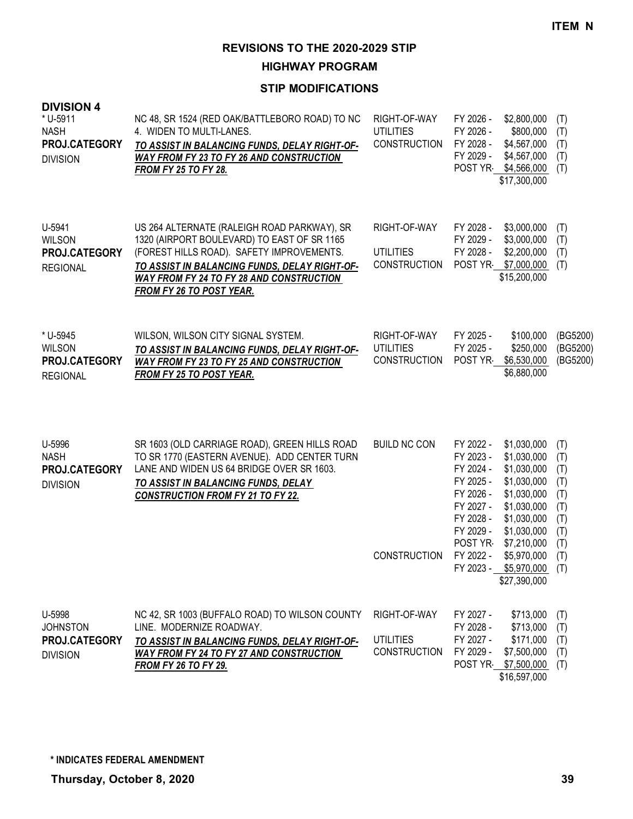**HIGHWAY PROGRAM**

| <b>DIVISION 4</b><br>* U-5911<br><b>NASH</b><br>PROJ.CATEGORY<br><b>DIVISION</b> | NC 48, SR 1524 (RED OAK/BATTLEBORO ROAD) TO NC<br>4. WIDEN TO MULTI-LANES.<br>TO ASSIST IN BALANCING FUNDS, DELAY RIGHT-OF-<br><b>WAY FROM FY 23 TO FY 26 AND CONSTRUCTION</b><br><b>FROM FY 25 TO FY 28.</b>                                                                  | RIGHT-OF-WAY<br><b>UTILITIES</b><br><b>CONSTRUCTION</b> | FY 2026 -<br>\$2,800,000<br>FY 2026 -<br>\$800,000<br>FY 2028 -<br>\$4,567,000<br>FY 2029 -<br>\$4,567,000<br>\$4,566,000<br>POST YR<br>\$17,300,000                                                                                                                                                                         | (T)<br>(T)<br>(T)<br>(T)<br>(T)                                           |
|----------------------------------------------------------------------------------|--------------------------------------------------------------------------------------------------------------------------------------------------------------------------------------------------------------------------------------------------------------------------------|---------------------------------------------------------|------------------------------------------------------------------------------------------------------------------------------------------------------------------------------------------------------------------------------------------------------------------------------------------------------------------------------|---------------------------------------------------------------------------|
| U-5941<br><b>WILSON</b><br>PROJ.CATEGORY<br><b>REGIONAL</b>                      | US 264 ALTERNATE (RALEIGH ROAD PARKWAY), SR<br>1320 (AIRPORT BOULEVARD) TO EAST OF SR 1165<br>(FOREST HILLS ROAD). SAFETY IMPROVEMENTS.<br>TO ASSIST IN BALANCING FUNDS, DELAY RIGHT-OF-<br><b>WAY FROM FY 24 TO FY 28 AND CONSTRUCTION</b><br><b>FROM FY 26 TO POST YEAR.</b> | RIGHT-OF-WAY<br><b>UTILITIES</b><br><b>CONSTRUCTION</b> | FY 2028 -<br>\$3,000,000<br>FY 2029 -<br>\$3,000,000<br>FY 2028 -<br>\$2,200,000<br>POST YR \$7,000,000<br>\$15,200,000                                                                                                                                                                                                      | (T)<br>(T)<br>(T)<br>(T)                                                  |
| * U-5945<br><b>WILSON</b><br>PROJ.CATEGORY<br><b>REGIONAL</b>                    | WILSON, WILSON CITY SIGNAL SYSTEM.<br>TO ASSIST IN BALANCING FUNDS, DELAY RIGHT-OF-<br><b>WAY FROM FY 23 TO FY 25 AND CONSTRUCTION</b><br><b>FROM FY 25 TO POST YEAR.</b>                                                                                                      | RIGHT-OF-WAY<br><b>UTILITIES</b><br><b>CONSTRUCTION</b> | FY 2025 -<br>\$100,000<br>FY 2025 -<br>\$250,000<br>POST YR<br>\$6,530,000<br>\$6,880,000                                                                                                                                                                                                                                    | (BG5200)<br>(BG5200)<br>(BG5200)                                          |
| U-5996<br><b>NASH</b><br>PROJ.CATEGORY<br><b>DIVISION</b>                        | SR 1603 (OLD CARRIAGE ROAD), GREEN HILLS ROAD<br>TO SR 1770 (EASTERN AVENUE). ADD CENTER TURN<br>LANE AND WIDEN US 64 BRIDGE OVER SR 1603.<br>TO ASSIST IN BALANCING FUNDS, DELAY<br><b>CONSTRUCTION FROM FY 21 TO FY 22.</b>                                                  | <b>BUILD NC CON</b><br><b>CONSTRUCTION</b>              | FY 2022 -<br>\$1,030,000<br>FY 2023 -<br>\$1,030,000<br>FY 2024 -<br>\$1,030,000<br>FY 2025 -<br>\$1,030,000<br>FY 2026 -<br>\$1,030,000<br>FY 2027 -<br>\$1,030,000<br>FY 2028 -<br>\$1,030,000<br>FY 2029 -<br>\$1,030,000<br>POST YR-<br>\$7,210,000<br>FY 2022 -<br>\$5,970,000<br>FY 2023 - \$5,970,000<br>\$27,390,000 | (T)<br>(T)<br>(T)<br>(T)<br>(T)<br>(T)<br>(T)<br>(T)<br>(T)<br>(T)<br>(T) |
| U-5998<br><b>JOHNSTON</b><br>PROJ.CATEGORY<br><b>DIVISION</b>                    | NC 42, SR 1003 (BUFFALO ROAD) TO WILSON COUNTY<br>LINE. MODERNIZE ROADWAY.<br>TO ASSIST IN BALANCING FUNDS, DELAY RIGHT-OF-<br><b>WAY FROM FY 24 TO FY 27 AND CONSTRUCTION</b><br><b>FROM FY 26 TO FY 29.</b>                                                                  | RIGHT-OF-WAY<br><b>UTILITIES</b><br><b>CONSTRUCTION</b> | FY 2027 -<br>\$713,000<br>FY 2028 -<br>\$713,000<br>FY 2027 -<br>\$171,000<br>FY 2029 -<br>\$7,500,000<br>POST YR \$7,500,000<br>\$16,597,000                                                                                                                                                                                | (T)<br>(T)<br>(T)<br>(T)<br>(T)                                           |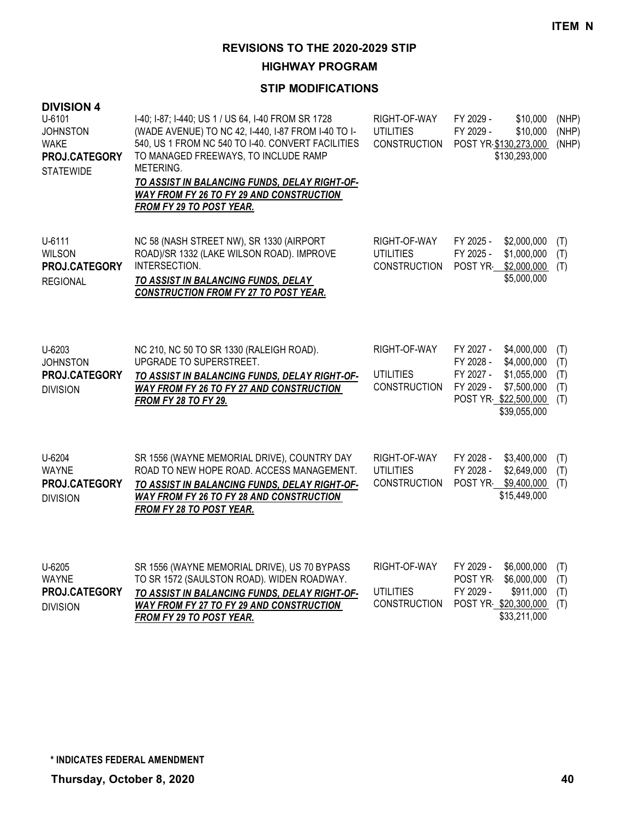**HIGHWAY PROGRAM**

| <b>DIVISION 4</b><br>U-6101<br><b>JOHNSTON</b><br><b>WAKE</b><br>PROJ.CATEGORY<br><b>STATEWIDE</b> | I-40; I-87; I-440; US 1 / US 64, I-40 FROM SR 1728<br>(WADE AVENUE) TO NC 42, I-440, I-87 FROM I-40 TO I-<br>540, US 1 FROM NC 540 TO I-40. CONVERT FACILITIES<br>TO MANAGED FREEWAYS, TO INCLUDE RAMP<br>METERING.<br>TO ASSIST IN BALANCING FUNDS, DELAY RIGHT-OF-<br>WAY FROM FY 26 TO FY 29 AND CONSTRUCTION<br><b>FROM FY 29 TO POST YEAR.</b> | RIGHT-OF-WAY<br><b>UTILITIES</b><br><b>CONSTRUCTION</b> | FY 2029 -<br>\$10,000<br>FY 2029 -<br>\$10,000<br>POST YR \$130,273,000<br>\$130,293,000                                                             | (NHP)<br>(NHP)<br>(NHP)         |
|----------------------------------------------------------------------------------------------------|-----------------------------------------------------------------------------------------------------------------------------------------------------------------------------------------------------------------------------------------------------------------------------------------------------------------------------------------------------|---------------------------------------------------------|------------------------------------------------------------------------------------------------------------------------------------------------------|---------------------------------|
| U-6111<br><b>WILSON</b><br>PROJ.CATEGORY<br><b>REGIONAL</b>                                        | NC 58 (NASH STREET NW), SR 1330 (AIRPORT<br>ROAD)/SR 1332 (LAKE WILSON ROAD). IMPROVE<br>INTERSECTION.<br><b>TO ASSIST IN BALANCING FUNDS, DELAY</b><br><b>CONSTRUCTION FROM FY 27 TO POST YEAR.</b>                                                                                                                                                | RIGHT-OF-WAY<br><b>UTILITIES</b><br><b>CONSTRUCTION</b> | FY 2025 -<br>\$2,000,000<br>FY 2025 -<br>\$1,000,000<br>POST YR<br>\$2,000,000<br>\$5,000,000                                                        | (T)<br>(T)<br>(T)               |
| U-6203<br><b>JOHNSTON</b><br>PROJ.CATEGORY<br><b>DIVISION</b>                                      | NC 210, NC 50 TO SR 1330 (RALEIGH ROAD).<br>UPGRADE TO SUPERSTREET.<br>TO ASSIST IN BALANCING FUNDS, DELAY RIGHT-OF-<br>WAY FROM FY 26 TO FY 27 AND CONSTRUCTION<br><b>FROM FY 28 TO FY 29.</b>                                                                                                                                                     | RIGHT-OF-WAY<br><b>UTILITIES</b><br>CONSTRUCTION        | FY 2027 -<br>\$4,000,000<br>FY 2028 -<br>\$4,000,000<br>FY 2027 -<br>\$1,055,000<br>FY 2029 -<br>\$7,500,000<br>POST YR \$22,500,000<br>\$39,055,000 | (T)<br>(T)<br>(T)<br>(T)<br>(T) |
| U-6204<br><b>WAYNE</b><br>PROJ.CATEGORY<br><b>DIVISION</b>                                         | SR 1556 (WAYNE MEMORIAL DRIVE), COUNTRY DAY<br>ROAD TO NEW HOPE ROAD. ACCESS MANAGEMENT.<br>TO ASSIST IN BALANCING FUNDS, DELAY RIGHT-OF-<br><b>WAY FROM FY 26 TO FY 28 AND CONSTRUCTION</b><br><b>FROM FY 28 TO POST YEAR.</b>                                                                                                                     | RIGHT-OF-WAY<br><b>UTILITIES</b><br><b>CONSTRUCTION</b> | FY 2028 -<br>\$3,400,000<br>FY 2028 -<br>\$2,649,000<br>POST YR<br>\$9,400,000<br>\$15,449,000                                                       | (T)<br>(T)<br>(T)               |
| U-6205<br><b>WAYNE</b><br>PROJ.CATEGORY<br><b>DIVISION</b>                                         | SR 1556 (WAYNE MEMORIAL DRIVE), US 70 BYPASS<br>TO SR 1572 (SAULSTON ROAD). WIDEN ROADWAY.<br>TO ASSIST IN BALANCING FUNDS, DELAY RIGHT-OF-<br><b>WAY FROM FY 27 TO FY 29 AND CONSTRUCTION</b><br><b>FROM FY 29 TO POST YEAR.</b>                                                                                                                   | RIGHT-OF-WAY<br><b>UTILITIES</b><br><b>CONSTRUCTION</b> | FY 2029 -<br>\$6,000,000<br>POST YR-<br>\$6,000,000<br>FY 2029 -<br>\$911,000<br>POST YR \$20,300,000<br>\$33,211,000                                | (T)<br>(T)<br>(T)<br>(T)        |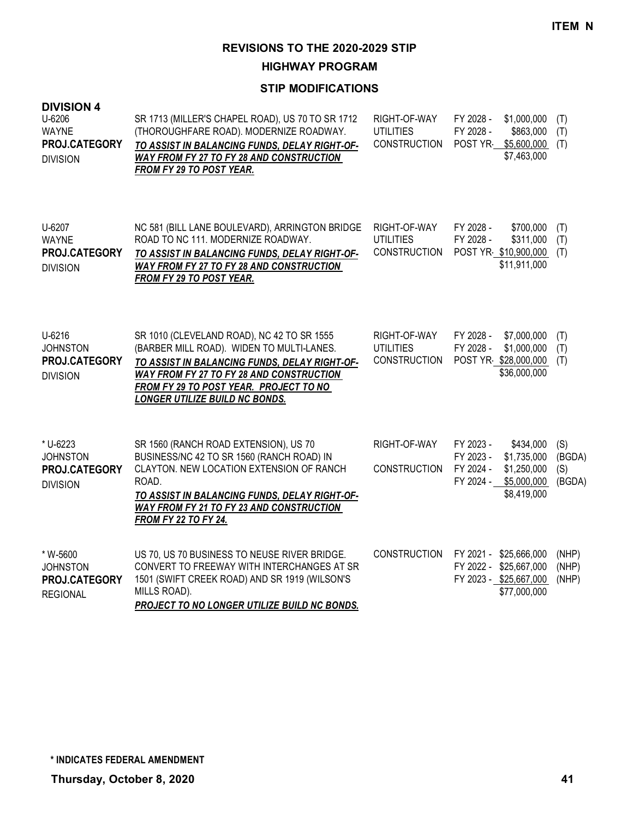**HIGHWAY PROGRAM**

| <b>DIVISION 4</b><br>U-6206<br><b>WAYNE</b><br>PROJ.CATEGORY<br><b>DIVISION</b> | SR 1713 (MILLER'S CHAPEL ROAD), US 70 TO SR 1712<br>(THOROUGHFARE ROAD). MODERNIZE ROADWAY.<br>TO ASSIST IN BALANCING FUNDS, DELAY RIGHT-OF-<br>WAY FROM FY 27 TO FY 28 AND CONSTRUCTION<br>FROM FY 29 TO POST YEAR.                                                           | RIGHT-OF-WAY<br><b>UTILITIES</b><br><b>CONSTRUCTION</b> | FY 2028 -<br>FY 2028 -<br>POST YR                | \$1,000,000<br>\$863,000<br>\$5,600,000<br>\$7,463,000                           | (T)<br>(T)<br>(T)              |
|---------------------------------------------------------------------------------|--------------------------------------------------------------------------------------------------------------------------------------------------------------------------------------------------------------------------------------------------------------------------------|---------------------------------------------------------|--------------------------------------------------|----------------------------------------------------------------------------------|--------------------------------|
| U-6207<br><b>WAYNE</b><br>PROJ.CATEGORY<br><b>DIVISION</b>                      | NC 581 (BILL LANE BOULEVARD), ARRINGTON BRIDGE<br>ROAD TO NC 111. MODERNIZE ROADWAY.<br>TO ASSIST IN BALANCING FUNDS, DELAY RIGHT-OF-<br><b>WAY FROM FY 27 TO FY 28 AND CONSTRUCTION</b><br><b>FROM FY 29 TO POST YEAR.</b>                                                    | RIGHT-OF-WAY<br><b>UTILITIES</b><br><b>CONSTRUCTION</b> | FY 2028 -<br>FY 2028 -                           | \$700,000<br>\$311,000<br>POST YR \$10,900,000<br>\$11,911,000                   | (T)<br>(T)<br>(T)              |
| U-6216<br><b>JOHNSTON</b><br>PROJ.CATEGORY<br><b>DIVISION</b>                   | SR 1010 (CLEVELAND ROAD), NC 42 TO SR 1555<br>(BARBER MILL ROAD). WIDEN TO MULTI-LANES.<br>TO ASSIST IN BALANCING FUNDS, DELAY RIGHT-OF-<br>WAY FROM FY 27 TO FY 28 AND CONSTRUCTION<br><b>FROM FY 29 TO POST YEAR. PROJECT TO NO</b><br><b>LONGER UTILIZE BUILD NC BONDS.</b> | RIGHT-OF-WAY<br><b>UTILITIES</b><br><b>CONSTRUCTION</b> | FY 2028 -<br>FY 2028 -                           | \$7,000,000<br>\$1,000,000<br>POST YR \$28,000,000<br>\$36,000,000               | (T)<br>(T)<br>(T)              |
| * U-6223<br><b>JOHNSTON</b><br>PROJ.CATEGORY<br><b>DIVISION</b>                 | SR 1560 (RANCH ROAD EXTENSION), US 70<br>BUSINESS/NC 42 TO SR 1560 (RANCH ROAD) IN<br>CLAYTON. NEW LOCATION EXTENSION OF RANCH<br>ROAD.<br>TO ASSIST IN BALANCING FUNDS, DELAY RIGHT-OF-<br>WAY FROM FY 21 TO FY 23 AND CONSTRUCTION<br><b>FROM FY 22 TO FY 24.</b>            | RIGHT-OF-WAY<br><b>CONSTRUCTION</b>                     | FY 2023 -<br>FY 2023 -<br>FY 2024 -<br>FY 2024 - | \$434,000<br>\$1,735,000<br>\$1,250,000<br>\$5,000,000<br>\$8,419,000            | (S)<br>(BGDA)<br>(S)<br>(BGDA) |
| * W-5600<br><b>JOHNSTON</b><br>PROJ.CATEGORY<br><b>REGIONAL</b>                 | US 70, US 70 BUSINESS TO NEUSE RIVER BRIDGE.<br>CONVERT TO FREEWAY WITH INTERCHANGES AT SR<br>1501 (SWIFT CREEK ROAD) AND SR 1919 (WILSON'S<br>MILLS ROAD).<br><b>PROJECT TO NO LONGER UTILIZE BUILD NC BONDS.</b>                                                             | <b>CONSTRUCTION</b>                                     | FY 2021 -                                        | \$25,666,000<br>FY 2022 - \$25,667,000<br>FY 2023 - \$25,667,000<br>\$77,000,000 | (NHP)<br>(NHP)<br>(NHP)        |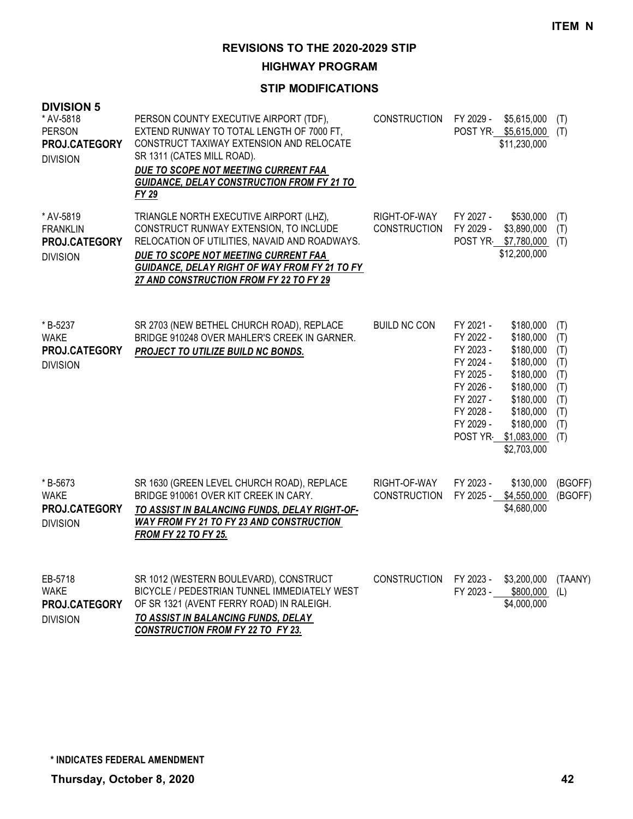**HIGHWAY PROGRAM**

### **STIP MODIFICATIONS**

| <b>DIVISION 5</b><br>* AV-5818<br><b>PERSON</b><br>PROJ.CATEGORY<br><b>DIVISION</b> | PERSON COUNTY EXECUTIVE AIRPORT (TDF),<br>EXTEND RUNWAY TO TOTAL LENGTH OF 7000 FT,<br>CONSTRUCT TAXIWAY EXTENSION AND RELOCATE<br>SR 1311 (CATES MILL ROAD).<br>DUE TO SCOPE NOT MEETING CURRENT FAA<br><b>GUIDANCE, DELAY CONSTRUCTION FROM FY 21 TO</b><br>FY 29    | <b>CONSTRUCTION</b>                 | FY 2029 -                                                                                                         | \$5,615,000<br>POST YR \$5,615,000<br>\$11,230,000                                                                                                      | (T)<br>(T)                                                         |
|-------------------------------------------------------------------------------------|------------------------------------------------------------------------------------------------------------------------------------------------------------------------------------------------------------------------------------------------------------------------|-------------------------------------|-------------------------------------------------------------------------------------------------------------------|---------------------------------------------------------------------------------------------------------------------------------------------------------|--------------------------------------------------------------------|
| * AV-5819<br><b>FRANKLIN</b><br>PROJ.CATEGORY<br><b>DIVISION</b>                    | TRIANGLE NORTH EXECUTIVE AIRPORT (LHZ),<br>CONSTRUCT RUNWAY EXTENSION, TO INCLUDE<br>RELOCATION OF UTILITIES, NAVAID AND ROADWAYS.<br>DUE TO SCOPE NOT MEETING CURRENT FAA<br>GUIDANCE, DELAY RIGHT OF WAY FROM FY 21 TO FY<br>27 AND CONSTRUCTION FROM FY 22 TO FY 29 | RIGHT-OF-WAY<br><b>CONSTRUCTION</b> | FY 2027 -<br>FY 2029 -                                                                                            | \$530,000<br>\$3,890,000<br>POST YR \$7,780,000<br>\$12,200,000                                                                                         | (T)<br>(T)<br>(T)                                                  |
| *B-5237<br>WAKE<br>PROJ.CATEGORY<br><b>DIVISION</b>                                 | SR 2703 (NEW BETHEL CHURCH ROAD), REPLACE<br>BRIDGE 910248 OVER MAHLER'S CREEK IN GARNER.<br>PROJECT TO UTILIZE BUILD NC BONDS.                                                                                                                                        | <b>BUILD NC CON</b>                 | FY 2021 -<br>FY 2022 -<br>FY 2023 -<br>FY 2024 -<br>FY 2025 -<br>FY 2026 -<br>FY 2027 -<br>FY 2028 -<br>FY 2029 - | \$180,000<br>\$180,000<br>\$180,000<br>\$180,000<br>\$180,000<br>\$180,000<br>\$180,000<br>\$180,000<br>\$180,000<br>POST YR \$1,083,000<br>\$2,703,000 | (T)<br>(T)<br>(T)<br>(T)<br>(T)<br>(T)<br>(T)<br>(T)<br>(T)<br>(T) |
| *B-5673<br><b>WAKE</b><br>PROJ.CATEGORY<br><b>DIVISION</b>                          | SR 1630 (GREEN LEVEL CHURCH ROAD), REPLACE<br>BRIDGE 910061 OVER KIT CREEK IN CARY.<br>TO ASSIST IN BALANCING FUNDS, DELAY RIGHT-OF-<br><b>WAY FROM FY 21 TO FY 23 AND CONSTRUCTION</b><br><b>FROM FY 22 TO FY 25.</b>                                                 | RIGHT-OF-WAY<br><b>CONSTRUCTION</b> | FY 2023 -<br>FY 2025 -                                                                                            | \$130,000<br>\$4,550,000<br>\$4,680,000                                                                                                                 | (BGOFF)<br>(BGOFF)                                                 |
| EB-5718<br><b>WAKE</b><br>PROJ.CATEGORY<br><b>DIVISION</b>                          | SR 1012 (WESTERN BOULEVARD), CONSTRUCT<br>BICYCLE / PEDESTRIAN TUNNEL IMMEDIATELY WEST<br>OF SR 1321 (AVENT FERRY ROAD) IN RALEIGH.<br>TO ASSIST IN BALANCING FUNDS, DELAY                                                                                             | <b>CONSTRUCTION</b>                 | FY 2023 -<br>FY 2023 -                                                                                            | \$3,200,000<br>\$800,000<br>\$4,000,000                                                                                                                 | (TAANY)<br>(L)                                                     |

*CONSTRUCTION FROM FY 22 TO FY 23.*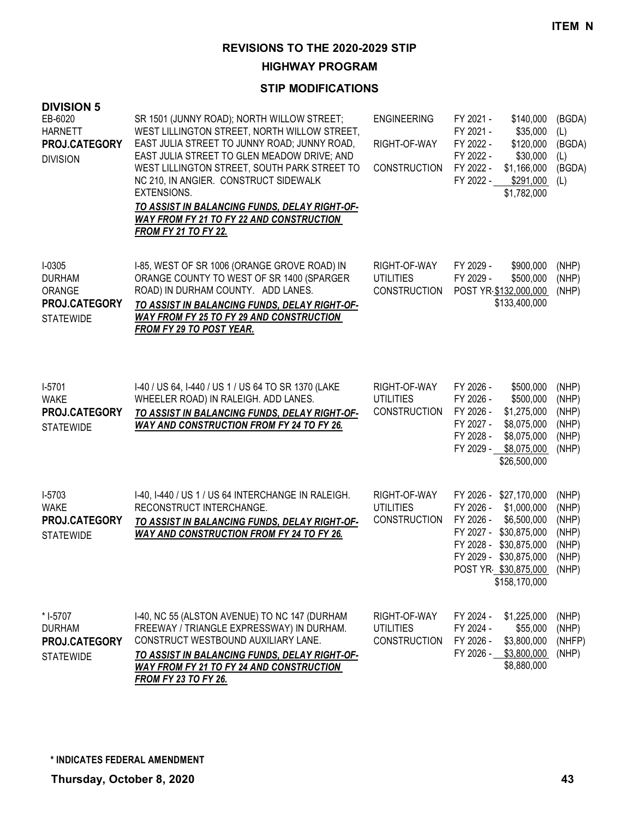**HIGHWAY PROGRAM**

### **STIP MODIFICATIONS**

| <b>DIVISION 5</b><br>EB-6020<br><b>HARNETT</b><br>PROJ.CATEGORY<br><b>DIVISION</b> | SR 1501 (JUNNY ROAD); NORTH WILLOW STREET;<br>WEST LILLINGTON STREET, NORTH WILLOW STREET,<br>EAST JULIA STREET TO JUNNY ROAD; JUNNY ROAD,<br>EAST JULIA STREET TO GLEN MEADOW DRIVE; AND<br>WEST LILLINGTON STREET, SOUTH PARK STREET TO<br>NC 210, IN ANGIER. CONSTRUCT SIDEWALK<br>EXTENSIONS.<br><u>TO ASSIST IN BALANCING FUNDS, DELAY RIGHT-OF-</u><br><b>WAY FROM FY 21 TO FY 22 AND CONSTRUCTION</b><br><b>FROM FY 21 TO FY 22.</b> | <b>ENGINEERING</b><br>RIGHT-OF-WAY<br><b>CONSTRUCTION</b> | FY 2021 -<br>FY 2021 -<br>FY 2022 -<br>FY 2022 -<br>FY 2022 -<br>FY 2022 - | \$140,000<br>\$35,000<br>\$120,000<br>\$30,000<br>\$1,166,000<br>\$291,000<br>\$1,782,000                                           | (BGDA)<br>(L)<br>(BGDA)<br>(L)<br>(BGDA)<br>(L)             |
|------------------------------------------------------------------------------------|---------------------------------------------------------------------------------------------------------------------------------------------------------------------------------------------------------------------------------------------------------------------------------------------------------------------------------------------------------------------------------------------------------------------------------------------|-----------------------------------------------------------|----------------------------------------------------------------------------|-------------------------------------------------------------------------------------------------------------------------------------|-------------------------------------------------------------|
| $I-0305$<br><b>DURHAM</b><br>ORANGE<br>PROJ.CATEGORY<br><b>STATEWIDE</b>           | I-85, WEST OF SR 1006 (ORANGE GROVE ROAD) IN<br>ORANGE COUNTY TO WEST OF SR 1400 (SPARGER<br>ROAD) IN DURHAM COUNTY. ADD LANES.<br>TO ASSIST IN BALANCING FUNDS, DELAY RIGHT-OF-<br>WAY FROM FY 25 TO FY 29 AND CONSTRUCTION<br>FROM FY 29 TO POST YEAR.                                                                                                                                                                                    | RIGHT-OF-WAY<br><b>UTILITIES</b><br><b>CONSTRUCTION</b>   | FY 2029 -<br>FY 2029 -                                                     | \$900,000<br>\$500,000<br>POST YR \$132,000,000<br>\$133,400,000                                                                    | (NHP)<br>(NHP)<br>(NHP)                                     |
| $I-5701$<br><b>WAKE</b><br>PROJ.CATEGORY<br><b>STATEWIDE</b>                       | I-40 / US 64, I-440 / US 1 / US 64 TO SR 1370 (LAKE<br>WHEELER ROAD) IN RALEIGH. ADD LANES.<br>TO ASSIST IN BALANCING FUNDS, DELAY RIGHT-OF-<br><b>WAY AND CONSTRUCTION FROM FY 24 TO FY 26.</b>                                                                                                                                                                                                                                            | RIGHT-OF-WAY<br><b>UTILITIES</b><br><b>CONSTRUCTION</b>   | FY 2026 -<br>FY 2026 -<br>FY 2026 -<br>FY 2027 -<br>FY 2028 -<br>FY 2029 - | \$500,000<br>\$500,000<br>\$1,275,000<br>\$8,075,000<br>\$8,075,000<br>\$8,075,000<br>\$26,500,000                                  | (NHP)<br>(NHP)<br>(NHP)<br>(NHP)<br>(NHP)<br>(NHP)          |
| I-5703<br><b>WAKE</b><br>PROJ.CATEGORY<br><b>STATEWIDE</b>                         | I-40, I-440 / US 1 / US 64 INTERCHANGE IN RALEIGH.<br>RECONSTRUCT INTERCHANGE.<br>TO ASSIST IN BALANCING FUNDS, DELAY RIGHT-OF-<br><b>WAY AND CONSTRUCTION FROM FY 24 TO FY 26.</b>                                                                                                                                                                                                                                                         | RIGHT-OF-WAY<br><b>UTILITIES</b><br><b>CONSTRUCTION</b>   | FY 2026 -<br>FY 2026 -<br>FY 2026 -<br>FY 2027 -<br>FY 2028 -<br>FY 2029 - | \$27,170,000<br>\$1,000,000<br>\$6,500,000<br>\$30,875,000<br>\$30,875,000<br>\$30,875,000<br>POST YR \$30,875,000<br>\$158,170,000 | (NHP)<br>(NHP)<br>(NHP)<br>(NHP)<br>(NHP)<br>(NHP)<br>(NHP) |
| * I-5707<br><b>DURHAM</b><br>PROJ.CATEGORY<br><b>STATEWIDE</b>                     | I-40, NC 55 (ALSTON AVENUE) TO NC 147 (DURHAM<br>FREEWAY / TRIANGLE EXPRESSWAY) IN DURHAM.<br>CONSTRUCT WESTBOUND AUXILIARY LANE.<br><u>TO ASSIST IN BALANCING FUNDS, DELAY RIGHT-OF-</u><br><b>WAY FROM FY 21 TO FY 24 AND CONSTRUCTION</b>                                                                                                                                                                                                | RIGHT-OF-WAY<br><b>UTILITIES</b><br><b>CONSTRUCTION</b>   | FY 2024 -<br>FY 2024 -<br>FY 2026 -<br>FY 2026 -                           | \$1,225,000<br>\$55,000<br>\$3,800,000<br>\$3,800,000<br>\$8,880,000                                                                | (NHP)<br>(NHP)<br>(NHFP)<br>(NHP)                           |

*FROM FY 23 TO FY 26.*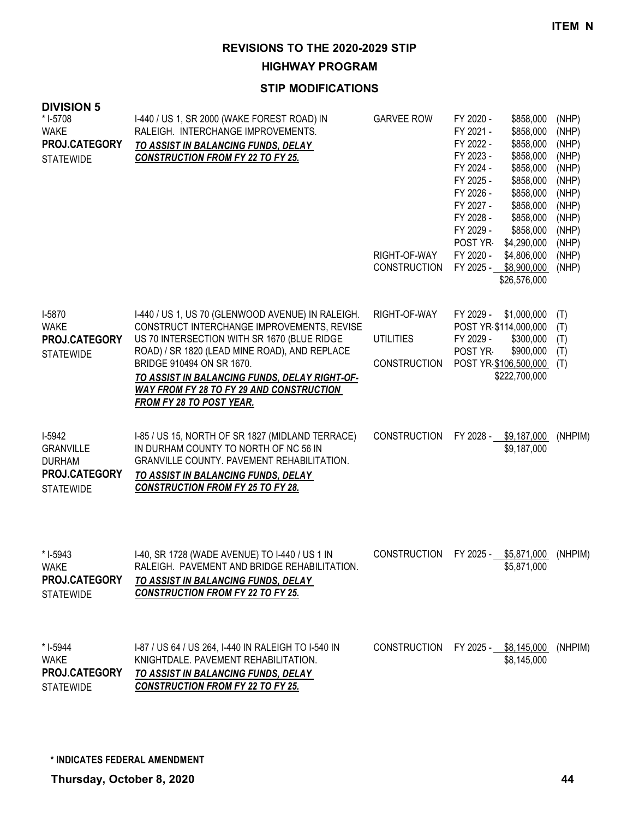**HIGHWAY PROGRAM**

| <b>DIVISION 5</b><br>* I-5708<br><b>WAKE</b><br>PROJ.CATEGORY<br><b>STATEWIDE</b>       | 1-440 / US 1, SR 2000 (WAKE FOREST ROAD) IN<br>RALEIGH. INTERCHANGE IMPROVEMENTS.<br>TO ASSIST IN BALANCING FUNDS, DELAY<br><b>CONSTRUCTION FROM FY 22 TO FY 25.</b>                                                                                                                                                                                         | <b>GARVEE ROW</b><br>RIGHT-OF-WAY<br><b>CONSTRUCTION</b> | FY 2020 -<br>FY 2021 -<br>FY 2022 -<br>FY 2023 -<br>FY 2024 -<br>FY 2025 -<br>FY 2026 -<br>FY 2027 -<br>FY 2028 -<br>FY 2029 -<br>POST YR<br>FY 2020 -<br>FY 2025 - | \$858,000<br>\$858,000<br>\$858,000<br>\$858,000<br>\$858,000<br>\$858,000<br>\$858,000<br>\$858,000<br>\$858,000<br>\$858,000<br>\$4,290,000<br>\$4,806,000<br>\$8,900,000<br>\$26,576,000 | (NHP)<br>(NHP)<br>(NHP)<br>(NHP)<br>(NHP)<br>(NHP)<br>(NHP)<br>(NHP)<br>(NHP)<br>(NHP)<br>(NHP)<br>(NHP)<br>(NHP) |
|-----------------------------------------------------------------------------------------|--------------------------------------------------------------------------------------------------------------------------------------------------------------------------------------------------------------------------------------------------------------------------------------------------------------------------------------------------------------|----------------------------------------------------------|---------------------------------------------------------------------------------------------------------------------------------------------------------------------|---------------------------------------------------------------------------------------------------------------------------------------------------------------------------------------------|-------------------------------------------------------------------------------------------------------------------|
| I-5870<br><b>WAKE</b><br><b>PROJ.CATEGORY</b><br><b>STATEWIDE</b>                       | I-440 / US 1, US 70 (GLENWOOD AVENUE) IN RALEIGH.<br>CONSTRUCT INTERCHANGE IMPROVEMENTS, REVISE<br>US 70 INTERSECTION WITH SR 1670 (BLUE RIDGE<br>ROAD) / SR 1820 (LEAD MINE ROAD), AND REPLACE<br>BRIDGE 910494 ON SR 1670.<br>TO ASSIST IN BALANCING FUNDS, DELAY RIGHT-OF-<br><b>WAY FROM FY 28 TO FY 29 AND CONSTRUCTION</b><br>FROM FY 28 TO POST YEAR. | RIGHT-OF-WAY<br><b>UTILITIES</b><br><b>CONSTRUCTION</b>  | FY 2029 -<br>POST YR \$114,000,000<br>FY 2029 -<br>POST YR                                                                                                          | \$1,000,000<br>\$300,000<br>\$900,000<br>POST YR \$106,500,000<br>\$222,700,000                                                                                                             | (T)<br>(T)<br>(T)<br>(T)<br>(T)                                                                                   |
| I-5942<br><b>GRANVILLE</b><br><b>DURHAM</b><br><b>PROJ.CATEGORY</b><br><b>STATEWIDE</b> | I-85 / US 15, NORTH OF SR 1827 (MIDLAND TERRACE)<br>IN DURHAM COUNTY TO NORTH OF NC 56 IN<br>GRANVILLE COUNTY. PAVEMENT REHABILITATION.<br>TO ASSIST IN BALANCING FUNDS, DELAY<br><b>CONSTRUCTION FROM FY 25 TO FY 28.</b>                                                                                                                                   | <b>CONSTRUCTION</b>                                      | FY 2028 -                                                                                                                                                           | \$9,187,000<br>\$9,187,000                                                                                                                                                                  | (NHPIM)                                                                                                           |
| * I-5943<br>WAKE<br><b>PROJ.CATEGORY</b><br><b>STATEWIDE</b>                            | I-40, SR 1728 (WADE AVENUE) TO I-440 / US 1 IN<br>RALEIGH. PAVEMENT AND BRIDGE REHABILITATION.<br>TO ASSIST IN BALANCING FUNDS, DELAY<br><b>CONSTRUCTION FROM FY 22 TO FY 25.</b>                                                                                                                                                                            | <b>CONSTRUCTION</b>                                      | FY 2025 - \$5,871,000                                                                                                                                               | \$5,871,000                                                                                                                                                                                 | (NHPIM)                                                                                                           |
| * I-5944<br>WAKE<br>PROJ.CATEGORY<br><b>STATEWIDE</b>                                   | 1-87 / US 64 / US 264, 1-440 IN RALEIGH TO 1-540 IN<br>KNIGHTDALE. PAVEMENT REHABILITATION.<br>TO ASSIST IN BALANCING FUNDS, DELAY<br><b>CONSTRUCTION FROM FY 22 TO FY 25.</b>                                                                                                                                                                               | CONSTRUCTION FY 2025 - \$8,145,000                       |                                                                                                                                                                     | \$8,145,000                                                                                                                                                                                 | (NHPIM)                                                                                                           |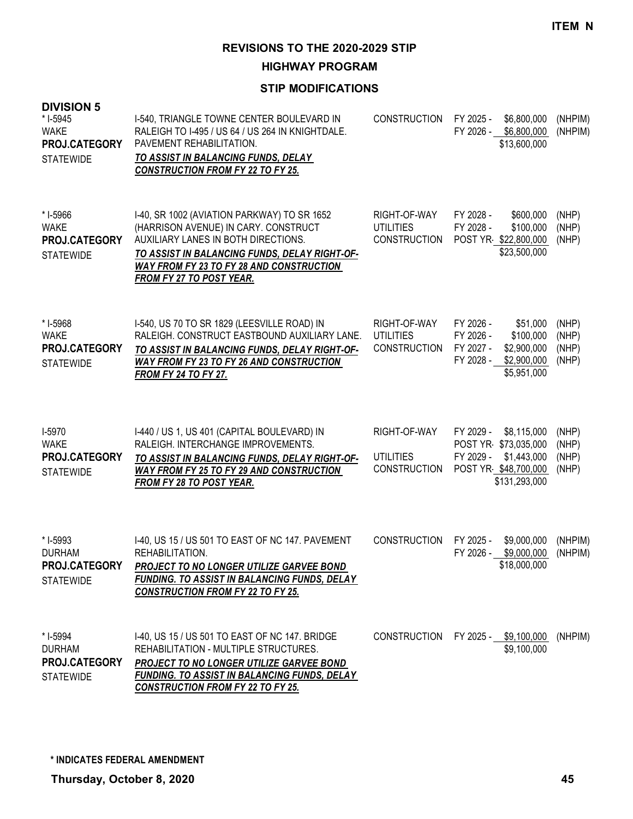**HIGHWAY PROGRAM**

| <b>DIVISION 5</b><br>* I-5945<br><b>WAKE</b><br>PROJ.CATEGORY<br><b>STATEWIDE</b> | I-540, TRIANGLE TOWNE CENTER BOULEVARD IN<br>RALEIGH TO I-495 / US 64 / US 264 IN KNIGHTDALE.<br>PAVEMENT REHABILITATION.<br>TO ASSIST IN BALANCING FUNDS, DELAY<br><b>CONSTRUCTION FROM FY 22 TO FY 25.</b>                                                      | <b>CONSTRUCTION</b>                                     | FY 2025 -<br>\$6,800,000<br>FY 2026 - \$6,800,000<br>\$13,600,000                                                      | (NHPIM)<br>(NHPIM)               |
|-----------------------------------------------------------------------------------|-------------------------------------------------------------------------------------------------------------------------------------------------------------------------------------------------------------------------------------------------------------------|---------------------------------------------------------|------------------------------------------------------------------------------------------------------------------------|----------------------------------|
| * I-5966<br><b>WAKE</b><br>PROJ.CATEGORY<br><b>STATEWIDE</b>                      | I-40, SR 1002 (AVIATION PARKWAY) TO SR 1652<br>(HARRISON AVENUE) IN CARY. CONSTRUCT<br>AUXILIARY LANES IN BOTH DIRECTIONS.<br>TO ASSIST IN BALANCING FUNDS, DELAY RIGHT-OF-<br><b>WAY FROM FY 23 TO FY 28 AND CONSTRUCTION</b><br><b>FROM FY 27 TO POST YEAR.</b> | RIGHT-OF-WAY<br><b>UTILITIES</b><br><b>CONSTRUCTION</b> | FY 2028 -<br>\$600,000<br>FY 2028 -<br>\$100,000<br>POST YR \$22,800,000<br>\$23,500,000                               | (NHP)<br>(NHP)<br>(NHP)          |
| * I-5968<br><b>WAKE</b><br>PROJ.CATEGORY<br><b>STATEWIDE</b>                      | I-540, US 70 TO SR 1829 (LEESVILLE ROAD) IN<br>RALEIGH, CONSTRUCT EASTBOUND AUXILIARY LANE.<br>TO ASSIST IN BALANCING FUNDS, DELAY RIGHT-OF-<br>WAY FROM FY 23 TO FY 26 AND CONSTRUCTION<br><b>FROM FY 24 TO FY 27.</b>                                           | RIGHT-OF-WAY<br><b>UTILITIES</b><br><b>CONSTRUCTION</b> | FY 2026 -<br>\$51,000<br>FY 2026 -<br>\$100,000<br>FY 2027 -<br>\$2,900,000<br>FY 2028 -<br>\$2,900,000<br>\$5,951,000 | (NHP)<br>(NHP)<br>(NHP)<br>(NHP) |
| I-5970<br><b>WAKE</b><br>PROJ.CATEGORY<br><b>STATEWIDE</b>                        | I-440 / US 1, US 401 (CAPITAL BOULEVARD) IN<br>RALEIGH. INTERCHANGE IMPROVEMENTS.<br>TO ASSIST IN BALANCING FUNDS, DELAY RIGHT-OF-<br><b>WAY FROM FY 25 TO FY 29 AND CONSTRUCTION</b><br>FROM FY 28 TO POST YEAR.                                                 | RIGHT-OF-WAY<br><b>UTILITIES</b><br><b>CONSTRUCTION</b> | FY 2029 -<br>\$8,115,000<br>POST YR \$73,035,000<br>FY 2029 -<br>\$1,443,000<br>POST YR \$48,700,000<br>\$131,293,000  | (NHP)<br>(NHP)<br>(NHP)<br>(NHP) |
| * I-5993<br><b>DURHAM</b><br>PROJ.CATEGORY<br><b>STATEWIDE</b>                    | I-40, US 15 / US 501 TO EAST OF NC 147. PAVEMENT<br>REHABILITATION.<br>PROJECT TO NO LONGER UTILIZE GARVEE BOND<br><b>FUNDING. TO ASSIST IN BALANCING FUNDS, DELAY</b><br><b>CONSTRUCTION FROM FY 22 TO FY 25.</b>                                                | <b>CONSTRUCTION</b>                                     | FY 2025 -<br>\$9,000,000<br>FY 2026 - \$9,000,000<br>\$18,000,000                                                      | (NHPIM)<br>(NHPIM)               |
| * I-5994<br><b>DURHAM</b><br>PROJ.CATEGORY<br><b>STATEWIDE</b>                    | 1-40, US 15 / US 501 TO EAST OF NC 147. BRIDGE<br>REHABILITATION - MULTIPLE STRUCTURES.<br><b>PROJECT TO NO LONGER UTILIZE GARVEE BOND</b><br><b>FUNDING. TO ASSIST IN BALANCING FUNDS, DELAY</b><br><b>CONSTRUCTION FROM FY 22 TO FY 25.</b>                     |                                                         | CONSTRUCTION FY 2025 - \$9,100,000<br>\$9,100,000                                                                      | (NHPIM)                          |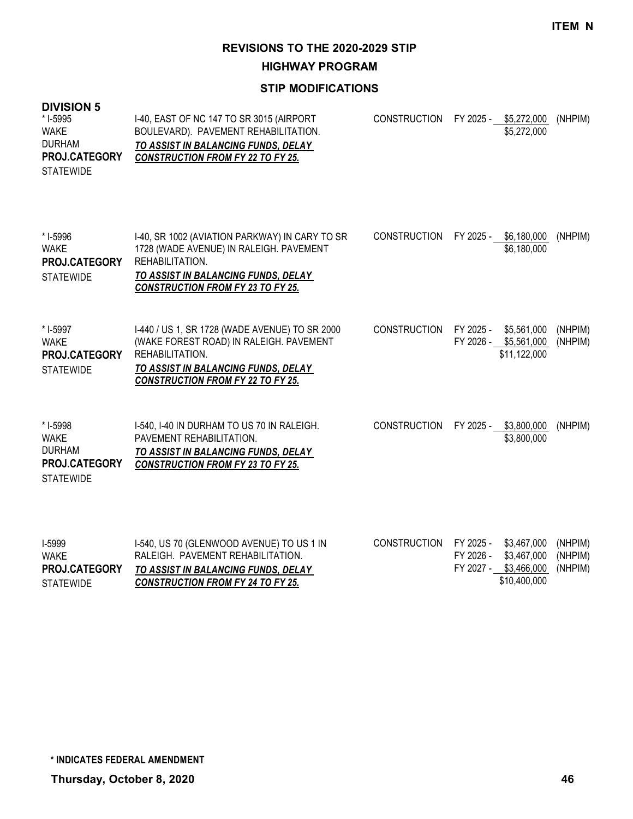**HIGHWAY PROGRAM**

### **STIP MODIFICATIONS**

| <b>DIVISION 5</b><br>* I-5995<br><b>WAKE</b><br><b>DURHAM</b><br>PROJ.CATEGORY<br><b>STATEWIDE</b> | I-40, EAST OF NC 147 TO SR 3015 (AIRPORT<br>BOULEVARD). PAVEMENT REHABILITATION.<br>TO ASSIST IN BALANCING FUNDS, DELAY<br><b>CONSTRUCTION FROM FY 22 TO FY 25.</b>                             | <b>CONSTRUCTION</b> | FY 2025 - \$5,272,000<br>\$5,272,000                                                             | (NHPIM)                       |
|----------------------------------------------------------------------------------------------------|-------------------------------------------------------------------------------------------------------------------------------------------------------------------------------------------------|---------------------|--------------------------------------------------------------------------------------------------|-------------------------------|
| * I-5996<br><b>WAKE</b><br>PROJ.CATEGORY<br><b>STATEWIDE</b>                                       | I-40, SR 1002 (AVIATION PARKWAY) IN CARY TO SR<br>1728 (WADE AVENUE) IN RALEIGH. PAVEMENT<br>REHABILITATION.<br>TO ASSIST IN BALANCING FUNDS, DELAY<br><b>CONSTRUCTION FROM FY 23 TO FY 25.</b> | <b>CONSTRUCTION</b> | FY 2025 - \$6,180,000<br>\$6,180,000                                                             | (NHPIM)                       |
| * I-5997<br><b>WAKE</b><br>PROJ.CATEGORY<br><b>STATEWIDE</b>                                       | I-440 / US 1, SR 1728 (WADE AVENUE) TO SR 2000<br>(WAKE FOREST ROAD) IN RALEIGH. PAVEMENT<br>REHABILITATION.<br>TO ASSIST IN BALANCING FUNDS, DELAY<br><b>CONSTRUCTION FROM FY 22 TO FY 25.</b> | <b>CONSTRUCTION</b> | FY 2025 -<br>\$5,561,000<br>FY 2026 - \$5,561,000<br>\$11,122,000                                | (NHPIM)<br>(NHPIM)            |
| * I-5998<br><b>WAKE</b><br><b>DURHAM</b><br>PROJ.CATEGORY<br><b>STATEWIDE</b>                      | I-540, I-40 IN DURHAM TO US 70 IN RALEIGH.<br>PAVEMENT REHABILITATION.<br>TO ASSIST IN BALANCING FUNDS, DELAY<br><b>CONSTRUCTION FROM FY 23 TO FY 25.</b>                                       | <b>CONSTRUCTION</b> | FY 2025 -<br>\$3,800,000<br>\$3,800,000                                                          | (NHPIM)                       |
| I-5999<br><b>WAKE</b><br>PROJ.CATEGORY<br><b>STATEWIDE</b>                                         | I-540, US 70 (GLENWOOD AVENUE) TO US 1 IN<br>RALEIGH. PAVEMENT REHABILITATION.<br>TO ASSIST IN BALANCING FUNDS, DELAY<br><b>CONSTRUCTION FROM FY 24 TO FY 25.</b>                               | <b>CONSTRUCTION</b> | FY 2025 -<br>\$3,467,000<br>FY 2026 -<br>\$3,467,000<br>\$3,466,000<br>FY 2027 -<br>\$10,400,000 | (NHPIM)<br>(NHPIM)<br>(NHPIM) |

**Thursday, October 8, 2020 46 \* INDICATES FEDERAL AMENDMENT**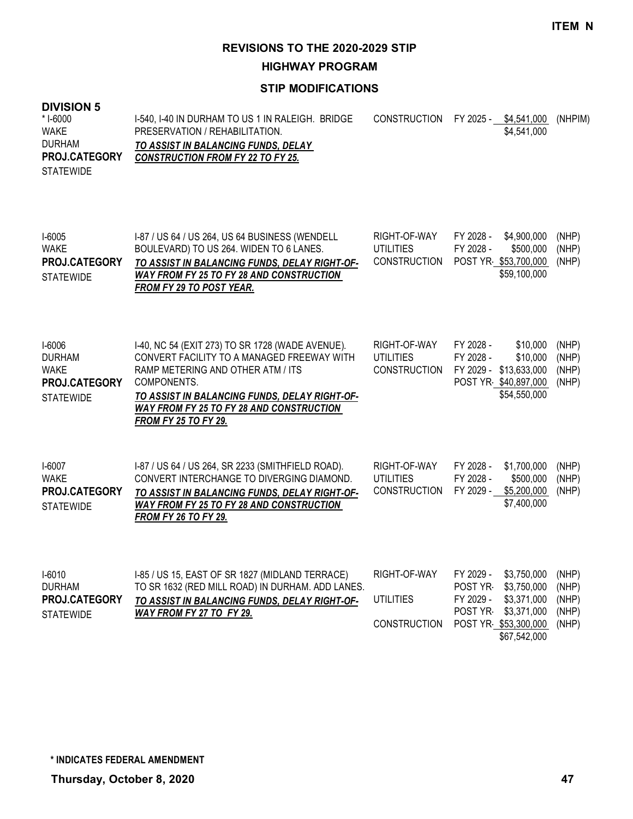**HIGHWAY PROGRAM**

### **STIP MODIFICATIONS**

### **DIVISION 5**

| * I-6000             | 1-540. 1-40 IN DURHAM TO US 1 IN RALEIGH. BRIDGE | CONSTRUCTION FY 2025 - \$4,541,000 |             | (NHPIM) |
|----------------------|--------------------------------------------------|------------------------------------|-------------|---------|
| WAKE                 | PRESERVATION / REHABILITATION.                   |                                    | \$4.541.000 |         |
| <b>DURHAM</b>        | TO ASSIST IN BALANCING FUNDS. DELAY              |                                    |             |         |
| <b>PROJ.CATEGORY</b> | <b>CONSTRUCTION FROM FY 22 TO FY 25.</b>         |                                    |             |         |
| <b>STATEWIDE</b>     |                                                  |                                    |             |         |

| $I-6005$<br><b>WAKE</b><br>PROJ.CATEGORY<br><b>STATEWIDE</b>                       | 1-87 / US 64 / US 264, US 64 BUSINESS (WENDELL<br>BOULEVARD) TO US 264. WIDEN TO 6 LANES.<br>TO ASSIST IN BALANCING FUNDS, DELAY RIGHT-OF-<br><b>WAY FROM FY 25 TO FY 28 AND CONSTRUCTION</b><br>FROM FY 29 TO POST YEAR.                                                      | RIGHT-OF-WAY<br>UTILITIES<br>CONSTRUCTION               | FY 2028 -<br>FY 2028 - | \$4,900,000<br>\$500,000<br>POST YR \$53,700,000<br>\$59,100,000                       | (NHP)<br>(NHP)<br>(NHP)          |
|------------------------------------------------------------------------------------|--------------------------------------------------------------------------------------------------------------------------------------------------------------------------------------------------------------------------------------------------------------------------------|---------------------------------------------------------|------------------------|----------------------------------------------------------------------------------------|----------------------------------|
| 1-6006<br><b>DURHAM</b><br><b>WAKE</b><br><b>PROJ.CATEGORY</b><br><b>STATEWIDE</b> | I-40, NC 54 (EXIT 273) TO SR 1728 (WADE AVENUE).<br>CONVERT FACILITY TO A MANAGED FREEWAY WITH<br>RAMP METERING AND OTHER ATM / ITS<br>COMPONENTS.<br>TO ASSIST IN BALANCING FUNDS. DELAY RIGHT-OF-<br>WAY FROM FY 25 TO FY 28 AND CONSTRUCTION<br><b>FROM FY 25 TO FY 29.</b> | RIGHT-OF-WAY<br><b>UTILITIES</b><br><b>CONSTRUCTION</b> | FY 2028 -<br>FY 2028 - | \$10,000<br>\$10,000<br>FY 2029 - \$13,633,000<br>POST YR \$40,897,000<br>\$54,550,000 | (NHP)<br>(NHP)<br>(NHP)<br>(NHP) |
| I-6007<br>WAKE                                                                     | I-87 / US 64 / US 264, SR 2233 (SMITHFIELD ROAD).<br>CONVERT INTERCHANGE TO DIVERGING DIAMOND.                                                                                                                                                                                 | RIGHT-OF-WAY<br>UTILITIES                               | FY 2028 -<br>FY 2028 - | \$1,700,000<br>\$500,000                                                               | (NHP)<br>(NHP)                   |

| <b>WAKE</b>          | CONVERT INTERCHANGE TO DIVERGING DIAMOND.     | UTILITIES    | FY 2028 - | \$500.000                   | (NHP) |
|----------------------|-----------------------------------------------|--------------|-----------|-----------------------------|-------|
| <b>PROJ.CATEGORY</b> | TO ASSIST IN BALANCING FUNDS, DELAY RIGHT-OF- | CONSTRUCTION |           | FY 2029 - \$5.200.000 (NHP) |       |
| <b>STATEWIDE</b>     | WAY FROM FY 25 TO FY 28 AND CONSTRUCTION      |              |           | \$7.400.000                 |       |
|                      | <b>FROM FY 26 TO FY 29.</b>                   |              |           |                             |       |

| I-6010               | 1-85 / US 15, EAST OF SR 1827 (MIDLAND TERRACE)         | RIGHT-OF-WAY                            | FY 2029 - \$3,750,000 (NHP) |  |
|----------------------|---------------------------------------------------------|-----------------------------------------|-----------------------------|--|
| DURHAM               | TO SR 1632 (RED MILL ROAD) IN DURHAM. ADD LANES.        |                                         | POST YR \$3,750,000 (NHP)   |  |
| <b>PROJ.CATEGORY</b> | TO ASSIST IN BALANCING FUNDS, DELAY RIGHT-OF- UTILITIES |                                         | FY 2029 - \$3,371,000 (NHP) |  |
| STATEWIDE            | WAY FROM FY 27 TO FY 29.                                |                                         | POST YR \$3,371,000 (NHP)   |  |
|                      |                                                         | CONSTRUCTION POST YR \$53,300,000 (NHP) |                             |  |
|                      |                                                         |                                         | \$67,542,000                |  |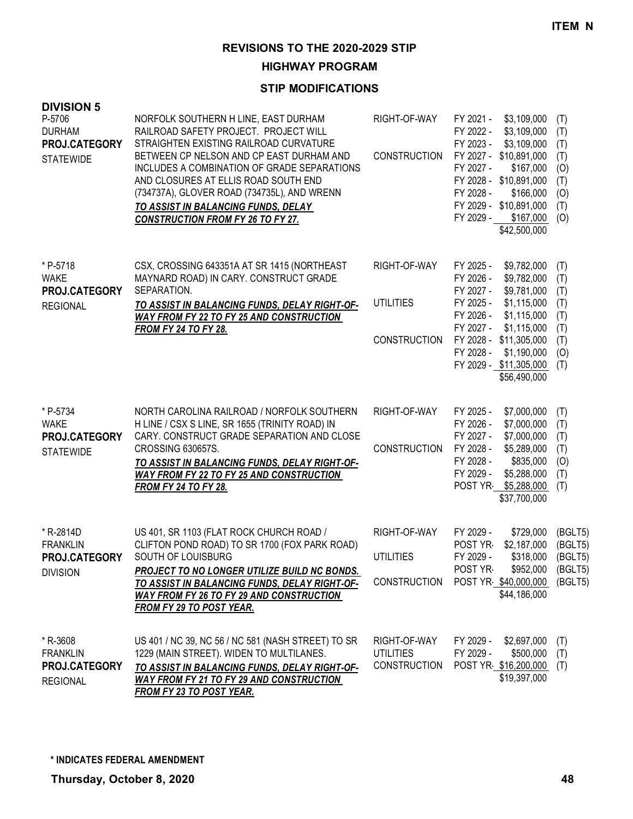**HIGHWAY PROGRAM**

| <b>DIVISION 5</b><br>P-5706<br><b>DURHAM</b><br>PROJ.CATEGORY<br><b>STATEWIDE</b> | NORFOLK SOUTHERN H LINE, EAST DURHAM<br>RAILROAD SAFETY PROJECT. PROJECT WILL<br>STRAIGHTEN EXISTING RAILROAD CURVATURE<br>BETWEEN CP NELSON AND CP EAST DURHAM AND<br>INCLUDES A COMBINATION OF GRADE SEPARATIONS<br>AND CLOSURES AT ELLIS ROAD SOUTH END<br>(734737A), GLOVER ROAD (734735L), AND WRENN<br>TO ASSIST IN BALANCING FUNDS, DELAY<br><b>CONSTRUCTION FROM FY 26 TO FY 27.</b> | RIGHT-OF-WAY<br><b>CONSTRUCTION</b>                     | FY 2021 -<br>FY 2022 -<br>FY 2023 -<br>FY 2027 -<br>FY 2028 -<br>FY 2029 -              | \$3,109,000<br>\$3,109,000<br>\$3,109,000<br>FY 2027 - \$10,891,000<br>\$167,000<br>FY 2028 - \$10,891,000<br>\$166,000<br>FY 2029 - \$10,891,000<br>\$167,000<br>\$42,500,000 | (T)<br>(T)<br>(T)<br>(T)<br>(O)<br>(T)<br>(O)<br>(T)<br>(O) |
|-----------------------------------------------------------------------------------|----------------------------------------------------------------------------------------------------------------------------------------------------------------------------------------------------------------------------------------------------------------------------------------------------------------------------------------------------------------------------------------------|---------------------------------------------------------|-----------------------------------------------------------------------------------------|--------------------------------------------------------------------------------------------------------------------------------------------------------------------------------|-------------------------------------------------------------|
| * P-5718<br><b>WAKE</b><br>PROJ.CATEGORY<br><b>REGIONAL</b>                       | CSX, CROSSING 643351A AT SR 1415 (NORTHEAST<br>MAYNARD ROAD) IN CARY. CONSTRUCT GRADE<br>SEPARATION.<br>TO ASSIST IN BALANCING FUNDS, DELAY RIGHT-OF-<br><b>WAY FROM FY 22 TO FY 25 AND CONSTRUCTION</b><br><b>FROM FY 24 TO FY 28.</b>                                                                                                                                                      | RIGHT-OF-WAY<br><b>UTILITIES</b><br><b>CONSTRUCTION</b> | FY 2025 -<br>FY 2026 -<br>FY 2027 -<br>FY 2025 -<br>FY 2026 -<br>FY 2027 -<br>FY 2028 - | \$9,782,000<br>\$9,782,000<br>\$9,781,000<br>\$1,115,000<br>\$1,115,000<br>\$1,115,000<br>FY 2028 - \$11,305,000<br>\$1,190,000<br>FY 2029 - \$11,305,000<br>\$56,490,000      | (T)<br>(T)<br>(T)<br>(T)<br>(T)<br>(T)<br>(T)<br>(0)<br>(T) |
| * P-5734<br><b>WAKE</b><br>PROJ.CATEGORY<br><b>STATEWIDE</b>                      | NORTH CAROLINA RAILROAD / NORFOLK SOUTHERN<br>H LINE / CSX S LINE, SR 1655 (TRINITY ROAD) IN<br>CARY. CONSTRUCT GRADE SEPARATION AND CLOSE<br>CROSSING 630657S.<br>TO ASSIST IN BALANCING FUNDS, DELAY RIGHT-OF-<br><b>WAY FROM FY 22 TO FY 25 AND CONSTRUCTION</b><br><b>FROM FY 24 TO FY 28.</b>                                                                                           | RIGHT-OF-WAY<br><b>CONSTRUCTION</b>                     | FY 2025 -<br>FY 2026 -<br>FY 2027 -<br>FY 2028 -<br>FY 2028 -<br>FY 2029 -              | \$7,000,000<br>\$7,000,000<br>\$7,000,000<br>\$5,289,000<br>\$835,000<br>\$5,288,000<br>POST YR \$5,288,000<br>\$37,700,000                                                    | (T)<br>(T)<br>(T)<br>(T)<br>(O)<br>(T)<br>(T)               |
| * R-2814D<br><b>FRANKLIN</b><br>PROJ.CATEGORY<br><b>DIVISION</b>                  | US 401, SR 1103 (FLAT ROCK CHURCH ROAD /<br>CLIFTON POND ROAD) TO SR 1700 (FOX PARK ROAD)<br>SOUTH OF LOUISBURG<br>PROJECT TO NO LONGER UTILIZE BUILD NC BONDS.<br>TO ASSIST IN BALANCING FUNDS, DELAY RIGHT-OF-<br><b>WAY FROM FY 26 TO FY 29 AND CONSTRUCTION</b><br>FROM FY 29 TO POST YEAR.                                                                                              | RIGHT-OF-WAY<br><b>UTILITIES</b><br>CONSTRUCTION        | FY 2029 -<br>POST YR<br>FY 2029 -<br>POST YR                                            | \$729,000<br>\$2,187,000<br>\$318,000<br>\$952,000<br>POST YR \$40,000,000<br>\$44,186,000                                                                                     | (BGLT5)<br>(BGLT5)<br>(BGLT5)<br>(BGLT5)<br>(BGLT5)         |
| * R-3608<br><b>FRANKLIN</b><br>PROJ.CATEGORY<br><b>REGIONAL</b>                   | US 401 / NC 39, NC 56 / NC 581 (NASH STREET) TO SR<br>1229 (MAIN STREET). WIDEN TO MULTILANES.<br>TO ASSIST IN BALANCING FUNDS, DELAY RIGHT-OF-<br><b>WAY FROM FY 21 TO FY 29 AND CONSTRUCTION</b><br>FROM FY 23 TO POST YEAR.                                                                                                                                                               | RIGHT-OF-WAY<br><b>UTILITIES</b><br><b>CONSTRUCTION</b> | FY 2029 -<br>FY 2029 -                                                                  | \$2,697,000<br>\$500,000<br>POST YR \$16,200,000<br>\$19,397,000                                                                                                               | (T)<br>(T)<br>(T)                                           |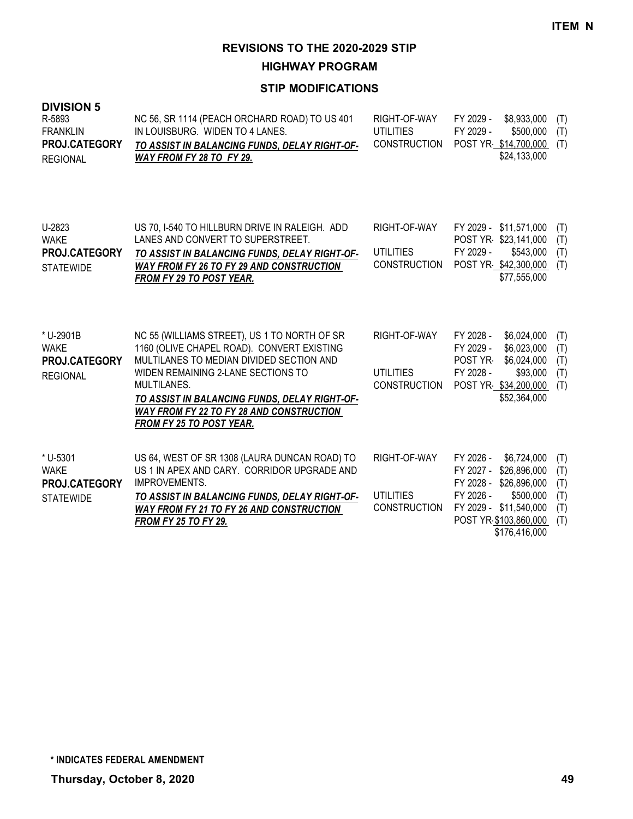**HIGHWAY PROGRAM**

| <b>DIVISION 5</b><br>R-5893<br><b>FRANKLIN</b><br>PROJ.CATEGORY<br><b>REGIONAL</b> | NC 56, SR 1114 (PEACH ORCHARD ROAD) TO US 401<br>IN LOUISBURG. WIDEN TO 4 LANES.<br>TO ASSIST IN BALANCING FUNDS, DELAY RIGHT-OF-<br>WAY FROM FY 28 TO FY 29.                                                                                                                                                               | RIGHT-OF-WAY<br><b>UTILITIES</b><br><b>CONSTRUCTION</b> | FY 2029 -<br>\$8,933,000<br>FY 2029 -<br>\$500,000<br>POST YR \$14,700,000<br>\$24,133,000                                                                                    | (T)<br>(T)<br>(T)                      |
|------------------------------------------------------------------------------------|-----------------------------------------------------------------------------------------------------------------------------------------------------------------------------------------------------------------------------------------------------------------------------------------------------------------------------|---------------------------------------------------------|-------------------------------------------------------------------------------------------------------------------------------------------------------------------------------|----------------------------------------|
| U-2823<br><b>WAKE</b><br>PROJ.CATEGORY<br><b>STATEWIDE</b>                         | US 70, I-540 TO HILLBURN DRIVE IN RALEIGH. ADD<br>LANES AND CONVERT TO SUPERSTREET.<br>TO ASSIST IN BALANCING FUNDS, DELAY RIGHT-OF-<br><b>WAY FROM FY 26 TO FY 29 AND CONSTRUCTION</b><br><b>FROM FY 29 TO POST YEAR.</b>                                                                                                  | RIGHT-OF-WAY<br><b>UTILITIES</b><br><b>CONSTRUCTION</b> | FY 2029 - \$11,571,000<br>POST YR \$23,141,000<br>FY 2029 -<br>\$543,000<br>POST YR \$42,300,000<br>\$77,555,000                                                              | (T)<br>(T)<br>(T)<br>(T)               |
| * U-2901B<br><b>WAKE</b><br>PROJ.CATEGORY<br><b>REGIONAL</b>                       | NC 55 (WILLIAMS STREET), US 1 TO NORTH OF SR<br>1160 (OLIVE CHAPEL ROAD). CONVERT EXISTING<br>MULTILANES TO MEDIAN DIVIDED SECTION AND<br>WIDEN REMAINING 2-LANE SECTIONS TO<br>MULTILANES.<br>TO ASSIST IN BALANCING FUNDS, DELAY RIGHT-OF-<br><b>WAY FROM FY 22 TO FY 28 AND CONSTRUCTION</b><br>FROM FY 25 TO POST YEAR. | RIGHT-OF-WAY<br><b>UTILITIES</b><br><b>CONSTRUCTION</b> | FY 2028 -<br>\$6,024,000<br>FY 2029 -<br>\$6,023,000<br>\$6,024,000<br>POST YR<br>FY 2028 -<br>\$93,000<br>POST YR \$34,200,000<br>\$52,364,000                               | (T)<br>(T)<br>(T)<br>(T)<br>(T)        |
| * U-5301<br><b>WAKE</b><br>PROJ.CATEGORY<br><b>STATEWIDE</b>                       | US 64, WEST OF SR 1308 (LAURA DUNCAN ROAD) TO<br>US 1 IN APEX AND CARY. CORRIDOR UPGRADE AND<br>IMPROVEMENTS.<br>TO ASSIST IN BALANCING FUNDS, DELAY RIGHT-OF-<br><b>WAY FROM FY 21 TO FY 26 AND CONSTRUCTION</b><br><b>FROM FY 25 TO FY 29.</b>                                                                            | RIGHT-OF-WAY<br><b>UTILITIES</b><br><b>CONSTRUCTION</b> | FY 2026 -<br>\$6,724,000<br>FY 2027 -<br>\$26,896,000<br>FY 2028 - \$26,896,000<br>FY 2026 -<br>\$500,000<br>FY 2029 - \$11,540,000<br>POST YR \$103,860,000<br>\$176,416,000 | (T)<br>(T)<br>(T)<br>(T)<br>(T)<br>(T) |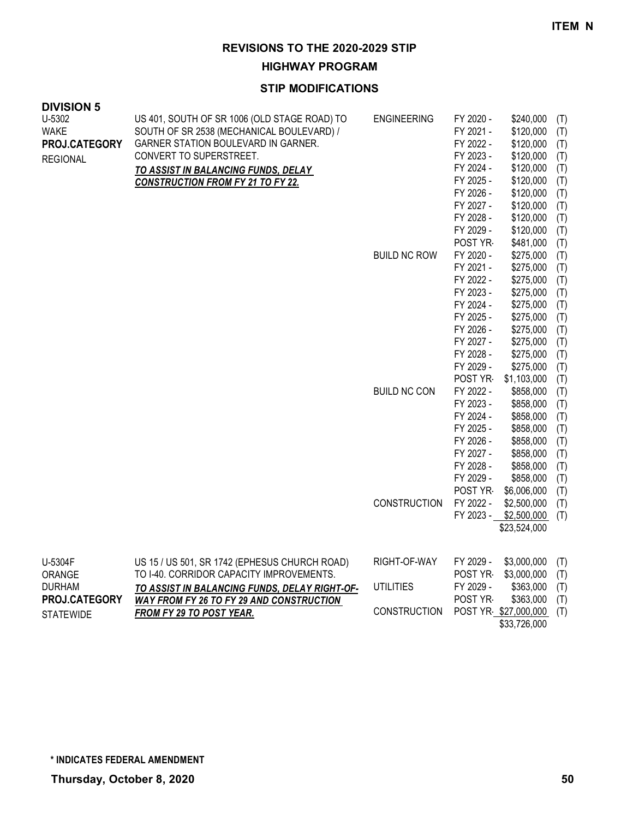**HIGHWAY PROGRAM**

### **STIP MODIFICATIONS**

| <b>DIVISION 5</b><br>U-5302<br><b>WAKE</b><br>PROJ.CATEGORY<br><b>REGIONAL</b> | US 401, SOUTH OF SR 1006 (OLD STAGE ROAD) TO<br>SOUTH OF SR 2538 (MECHANICAL BOULEVARD) /<br>GARNER STATION BOULEVARD IN GARNER.<br>CONVERT TO SUPERSTREET.<br>TO ASSIST IN BALANCING FUNDS, DELAY<br><b>CONSTRUCTION FROM FY 21 TO FY 22.</b> | <b>ENGINEERING</b><br><b>BUILD NC ROW</b>  | FY 2020 -<br>FY 2021 -<br>FY 2022 -<br>FY 2023 -<br>FY 2024 -<br>FY 2025 -<br>FY 2026 -<br>FY 2027 -<br>FY 2028 -<br>FY 2029 -<br>POST YR<br>FY 2020 -<br>FY 2021 -<br>FY 2022 -<br>FY 2023 -<br>FY 2024 -<br>FY 2025 -<br>FY 2026 -<br>FY 2027 - | \$240,000<br>\$120,000<br>\$120,000<br>\$120,000<br>\$120,000<br>\$120,000<br>\$120,000<br>\$120,000<br>\$120,000<br>\$120,000<br>\$481,000<br>\$275,000<br>\$275,000<br>\$275,000<br>\$275,000<br>\$275,000<br>\$275,000<br>\$275,000<br>\$275,000 | (T)<br>(T)<br>(T)<br>(T)<br>(T)<br>(T)<br>(T)<br>(T)<br>(T)<br>(T)<br>(T)<br>(T)<br>(T)<br>(T)<br>(T)<br>(T)<br>(T)<br>(T)<br>(T) |
|--------------------------------------------------------------------------------|------------------------------------------------------------------------------------------------------------------------------------------------------------------------------------------------------------------------------------------------|--------------------------------------------|---------------------------------------------------------------------------------------------------------------------------------------------------------------------------------------------------------------------------------------------------|-----------------------------------------------------------------------------------------------------------------------------------------------------------------------------------------------------------------------------------------------------|-----------------------------------------------------------------------------------------------------------------------------------|
|                                                                                |                                                                                                                                                                                                                                                | <b>BUILD NC CON</b><br><b>CONSTRUCTION</b> | FY 2028 -<br>FY 2029 -<br>POST YR-<br>FY 2022 -<br>FY 2023 -<br>FY 2024 -<br>FY 2025 -<br>FY 2026 -<br>FY 2027 -<br>FY 2028 -<br>FY 2029 -<br>POST YR<br>FY 2022 -<br>FY 2023 -                                                                   | \$275,000<br>\$275,000<br>\$1,103,000<br>\$858,000<br>\$858,000<br>\$858,000<br>\$858,000<br>\$858,000<br>\$858,000<br>\$858,000<br>\$858,000<br>\$6,006,000<br>\$2,500,000<br>\$2,500,000<br>\$23,524,000                                          | (T)<br>(T)<br>(T)<br>(T)<br>(T)<br>(T)<br>(T)<br>(T)<br>(T)<br>(T)<br>(T)<br>(T)<br>(T)<br>(T)                                    |
| U-5304F<br>ORANGE<br><b>DURHAM</b><br>PROJ.CATEGORY                            | US 15 / US 501, SR 1742 (EPHESUS CHURCH ROAD)<br>TO I-40. CORRIDOR CAPACITY IMPROVEMENTS.<br><u>TO ASSIST IN BALANCING FUNDS, DELAY RIGHT-OF-</u><br><b>WAY FROM FY 26 TO FY 29 AND CONSTRUCTION</b>                                           | RIGHT-OF-WAY<br><b>UTILITIES</b>           | FY 2029 -<br>POST YR<br>FY 2029 -<br>POST YR                                                                                                                                                                                                      | \$3,000,000<br>\$3,000,000<br>\$363,000<br>\$363,000                                                                                                                                                                                                | (T)<br>(T)<br>(T)<br>(T)                                                                                                          |

CONSTRUCTION POST YR- \$27,000,000 (T) \$33,726,000

*FROM FY 29 TO POST YEAR.*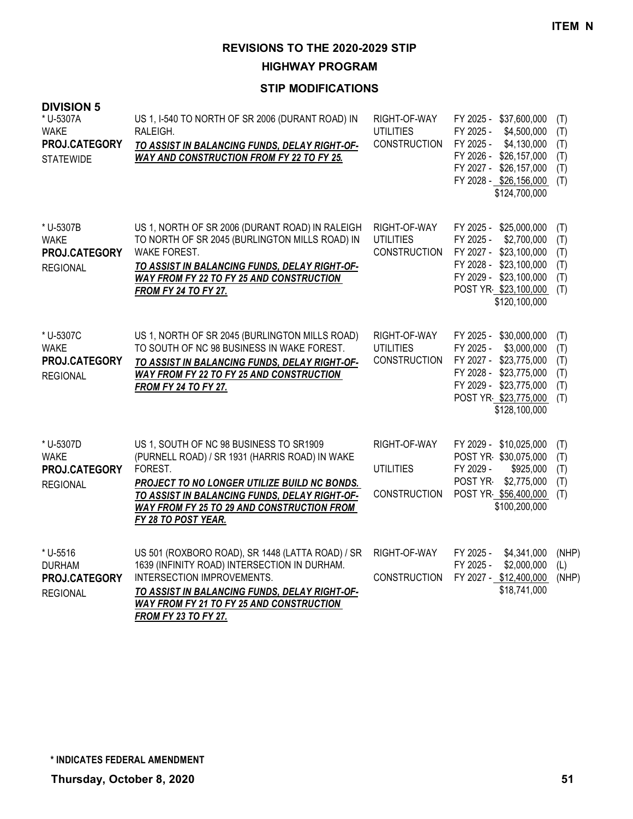**HIGHWAY PROGRAM**

| <b>DIVISION 5</b><br>* U-5307A<br><b>WAKE</b><br>PROJ.CATEGORY<br><b>STATEWIDE</b> | US 1, I-540 TO NORTH OF SR 2006 (DURANT ROAD) IN<br>RALEIGH.<br>TO ASSIST IN BALANCING FUNDS, DELAY RIGHT-OF-<br><b>WAY AND CONSTRUCTION FROM FY 22 TO FY 25.</b>                                                                                                                        | RIGHT-OF-WAY<br><b>UTILITIES</b><br><b>CONSTRUCTION</b> | FY 2025 - \$37,600,000<br>FY 2025 -<br>\$4,500,000<br>FY 2025 -<br>\$4,130,000<br>FY 2026 -<br>\$26,157,000<br>\$26,157,000<br>FY 2027 -<br>FY 2028 - \$26,156,000<br>\$124,700,000 | (T)<br>(T)<br>(T)<br>(T)<br>(T)<br>(T) |
|------------------------------------------------------------------------------------|------------------------------------------------------------------------------------------------------------------------------------------------------------------------------------------------------------------------------------------------------------------------------------------|---------------------------------------------------------|-------------------------------------------------------------------------------------------------------------------------------------------------------------------------------------|----------------------------------------|
| * U-5307B<br><b>WAKE</b><br>PROJ.CATEGORY<br><b>REGIONAL</b>                       | US 1, NORTH OF SR 2006 (DURANT ROAD) IN RALEIGH<br>TO NORTH OF SR 2045 (BURLINGTON MILLS ROAD) IN<br>WAKE FOREST.<br>TO ASSIST IN BALANCING FUNDS, DELAY RIGHT-OF-<br><b>WAY FROM FY 22 TO FY 25 AND CONSTRUCTION</b><br><b>FROM FY 24 TO FY 27.</b>                                     | RIGHT-OF-WAY<br><b>UTILITIES</b><br><b>CONSTRUCTION</b> | FY 2025 - \$25,000,000<br>FY 2025 -<br>\$2,700,000<br>FY 2027 -<br>\$23,100,000<br>FY 2028 - \$23,100,000<br>FY 2029 - \$23,100,000<br>POST YR \$23,100,000<br>\$120,100,000        | (T)<br>(T)<br>(T)<br>(T)<br>(T)<br>(T) |
| * U-5307C<br><b>WAKE</b><br>PROJ.CATEGORY<br><b>REGIONAL</b>                       | US 1, NORTH OF SR 2045 (BURLINGTON MILLS ROAD)<br>TO SOUTH OF NC 98 BUSINESS IN WAKE FOREST.<br>TO ASSIST IN BALANCING FUNDS, DELAY RIGHT-OF-<br><b>WAY FROM FY 22 TO FY 25 AND CONSTRUCTION</b><br><b>FROM FY 24 TO FY 27.</b>                                                          | RIGHT-OF-WAY<br><b>UTILITIES</b><br><b>CONSTRUCTION</b> | FY 2025 -<br>\$30,000,000<br>\$3,000,000<br>FY 2025 -<br>FY 2027 -<br>\$23,775,000<br>FY 2028 - \$23,775,000<br>FY 2029 - \$23,775,000<br>POST YR \$23,775,000<br>\$128,100,000     | (T)<br>(T)<br>(T)<br>(T)<br>(T)<br>(T) |
| * U-5307D<br><b>WAKE</b><br>PROJ.CATEGORY<br><b>REGIONAL</b>                       | US 1, SOUTH OF NC 98 BUSINESS TO SR1909<br>(PURNELL ROAD) / SR 1931 (HARRIS ROAD) IN WAKE<br>FOREST.<br><b>PROJECT TO NO LONGER UTILIZE BUILD NC BONDS.</b><br>TO ASSIST IN BALANCING FUNDS, DELAY RIGHT-OF-<br><b>WAY FROM FY 25 TO 29 AND CONSTRUCTION FROM</b><br>FY 28 TO POST YEAR. | RIGHT-OF-WAY<br><b>UTILITIES</b><br><b>CONSTRUCTION</b> | FY 2029 - \$10,025,000<br>POST YR \$30,075,000<br>FY 2029 -<br>\$925,000<br>POST YR-<br>\$2,775,000<br>POST YR \$56,400,000<br>\$100,200,000                                        | (T)<br>(T)<br>(T)<br>(T)<br>(T)        |
| * U-5516<br><b>DURHAM</b><br>PROJ.CATEGORY<br><b>REGIONAL</b>                      | US 501 (ROXBORO ROAD), SR 1448 (LATTA ROAD) / SR<br>1639 (INFINITY ROAD) INTERSECTION IN DURHAM.<br>INTERSECTION IMPROVEMENTS.<br>TO ASSIST IN BALANCING FUNDS, DELAY RIGHT-OF-<br><b>WAY FROM FY 21 TO FY 25 AND CONSTRUCTION</b><br><b>FROM FY 23 TO FY 27.</b>                        | RIGHT-OF-WAY<br><b>CONSTRUCTION</b>                     | FY 2025 -<br>\$4,341,000<br>FY 2025 -<br>\$2,000,000<br>FY 2027 - \$12,400,000<br>\$18,741,000                                                                                      | (NHP)<br>(L)<br>(NHP)                  |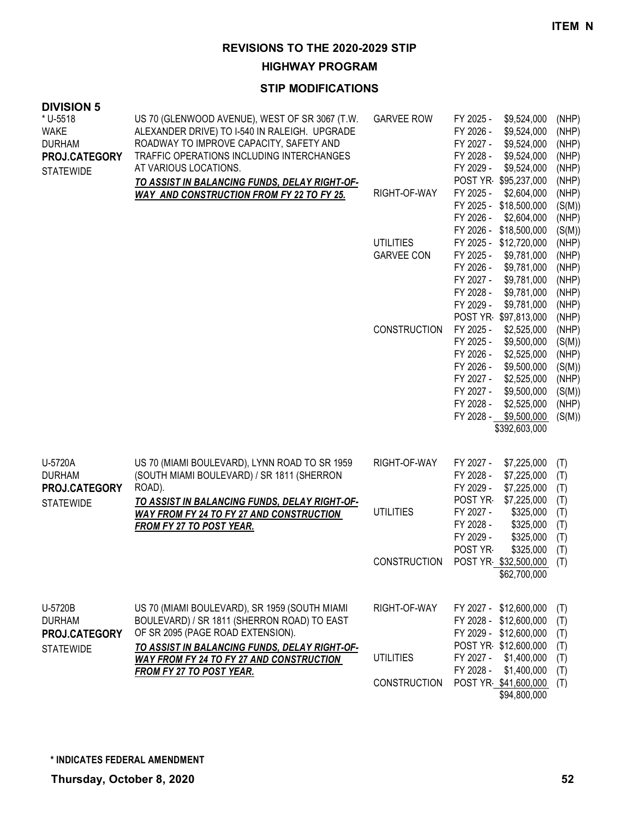**HIGHWAY PROGRAM**

| <b>DIVISION 5</b>              |                                                                                                 |                     |                                                      |                 |
|--------------------------------|-------------------------------------------------------------------------------------------------|---------------------|------------------------------------------------------|-----------------|
| * U-5518<br><b>WAKE</b>        | US 70 (GLENWOOD AVENUE), WEST OF SR 3067 (T.W.<br>ALEXANDER DRIVE) TO I-540 IN RALEIGH. UPGRADE | <b>GARVEE ROW</b>   | FY 2025 -<br>\$9,524,000<br>FY 2026 -<br>\$9,524,000 | (NHP)<br>(NHP)  |
| <b>DURHAM</b><br>PROJ.CATEGORY | ROADWAY TO IMPROVE CAPACITY, SAFETY AND<br>TRAFFIC OPERATIONS INCLUDING INTERCHANGES            |                     | FY 2027 -<br>\$9,524,000<br>FY 2028 -<br>\$9,524,000 | (NHP)<br>(NHP)  |
|                                | AT VARIOUS LOCATIONS.                                                                           |                     | FY 2029 -<br>\$9,524,000                             | (NHP)           |
| <b>STATEWIDE</b>               | TO ASSIST IN BALANCING FUNDS, DELAY RIGHT-OF-                                                   |                     | POST YR \$95,237,000                                 | (NHP)           |
|                                | WAY AND CONSTRUCTION FROM FY 22 TO FY 25.                                                       | RIGHT-OF-WAY        | FY 2025 -<br>\$2,604,000                             | (NHP)           |
|                                |                                                                                                 |                     | FY 2025 - \$18,500,000                               | (S(M))          |
|                                |                                                                                                 |                     | FY 2026 -<br>\$2,604,000                             | (NHP)           |
|                                |                                                                                                 |                     | FY 2026 - \$18,500,000                               | (S(M))          |
|                                |                                                                                                 | <b>UTILITIES</b>    | FY 2025 - \$12,720,000                               | (NHP)           |
|                                |                                                                                                 | <b>GARVEE CON</b>   | FY 2025 -<br>\$9,781,000                             | (NHP)           |
|                                |                                                                                                 |                     | FY 2026 -<br>\$9,781,000<br>FY 2027 -<br>\$9,781,000 | (NHP)           |
|                                |                                                                                                 |                     | FY 2028 -<br>\$9,781,000                             | (NHP)<br>(NHP)  |
|                                |                                                                                                 |                     | FY 2029 -<br>\$9,781,000                             | (NHP)           |
|                                |                                                                                                 |                     | POST YR \$97,813,000                                 | (NHP)           |
|                                |                                                                                                 | <b>CONSTRUCTION</b> | FY 2025 -<br>\$2,525,000                             | (NHP)           |
|                                |                                                                                                 |                     | FY 2025 -<br>\$9,500,000                             | (S(M))          |
|                                |                                                                                                 |                     | FY 2026 -<br>\$2,525,000                             | (NHP)           |
|                                |                                                                                                 |                     | FY 2026 -<br>\$9,500,000                             | (S(M))          |
|                                |                                                                                                 |                     | FY 2027 -<br>\$2,525,000                             | (NHP)           |
|                                |                                                                                                 |                     | FY 2027 -<br>\$9,500,000                             | (S(M))          |
|                                |                                                                                                 |                     | FY 2028 -<br>\$2,525,000<br>FY 2028 -<br>\$9,500,000 | (NHP)<br>(S(M)) |
|                                |                                                                                                 |                     | \$392,603,000                                        |                 |
|                                |                                                                                                 |                     |                                                      |                 |
| U-5720A                        | US 70 (MIAMI BOULEVARD), LYNN ROAD TO SR 1959                                                   | RIGHT-OF-WAY        | FY 2027 -<br>\$7,225,000                             | (T)             |
| <b>DURHAM</b>                  | (SOUTH MIAMI BOULEVARD) / SR 1811 (SHERRON                                                      |                     | FY 2028 -<br>\$7,225,000                             | (T)             |
| PROJ.CATEGORY                  | ROAD).                                                                                          |                     | FY 2029 -<br>\$7,225,000                             | (T)             |
| <b>STATEWIDE</b>               | TO ASSIST IN BALANCING FUNDS, DELAY RIGHT-OF-                                                   |                     | POST YR-<br>\$7,225,000                              | (T)             |
|                                | <b>WAY FROM FY 24 TO FY 27 AND CONSTRUCTION</b>                                                 | <b>UTILITIES</b>    | FY 2027 -<br>\$325,000                               | (T)             |
|                                | FROM FY 27 TO POST YEAR.                                                                        |                     | FY 2028 -<br>\$325,000<br>FY 2029 -<br>\$325,000     | (T)             |
|                                |                                                                                                 |                     | POST YR-<br>\$325,000                                | (T)<br>(T)      |
|                                |                                                                                                 | <b>CONSTRUCTION</b> | POST YR \$32,500,000                                 | (T)             |
|                                |                                                                                                 |                     | \$62,700,000                                         |                 |
|                                |                                                                                                 |                     |                                                      |                 |
| U-5720B                        | US 70 (MIAMI BOULEVARD), SR 1959 (SOUTH MIAMI                                                   | RIGHT-OF-WAY        | FY 2027 - \$12,600,000                               | (T)             |
| <b>DURHAM</b>                  | BOULEVARD) / SR 1811 (SHERRON ROAD) TO EAST                                                     |                     | FY 2028 - \$12,600,000                               | (T)             |
| PROJ.CATEGORY                  | OF SR 2095 (PAGE ROAD EXTENSION).                                                               |                     | FY 2029 - \$12,600,000                               | (T)             |
| <b>STATEWIDE</b>               | TO ASSIST IN BALANCING FUNDS, DELAY RIGHT-OF-                                                   |                     | POST YR \$12,600,000<br>FY 2027 -                    | (T)             |
|                                | <b>WAY FROM FY 24 TO FY 27 AND CONSTRUCTION</b>                                                 | <b>UTILITIES</b>    | \$1,400,000<br>FY 2028 -<br>\$1,400,000              | (T)             |
|                                | FROM FY 27 TO POST YEAR.                                                                        | <b>CONSTRUCTION</b> | POST YR \$41,600,000                                 | (T)<br>(T)      |
|                                |                                                                                                 |                     | \$94,800,000                                         |                 |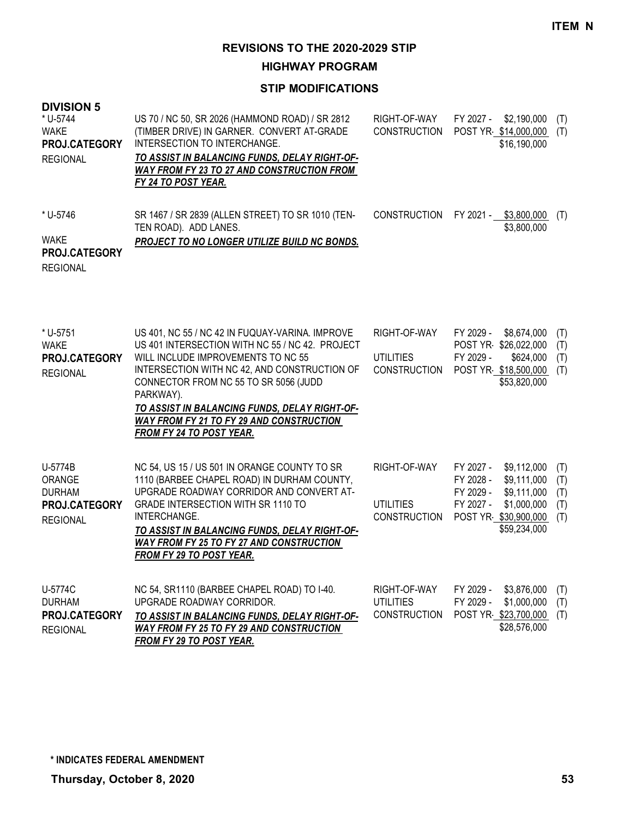**HIGHWAY PROGRAM**

| <b>DIVISION 5</b><br>* U-5744<br><b>WAKE</b><br>PROJ.CATEGORY<br><b>REGIONAL</b> | US 70 / NC 50, SR 2026 (HAMMOND ROAD) / SR 2812<br>(TIMBER DRIVE) IN GARNER. CONVERT AT-GRADE<br>INTERSECTION TO INTERCHANGE.<br>TO ASSIST IN BALANCING FUNDS, DELAY RIGHT-OF-<br><b>WAY FROM FY 23 TO 27 AND CONSTRUCTION FROM</b><br>FY 24 TO POST YEAR.                                                                                                                            | RIGHT-OF-WAY<br><b>CONSTRUCTION</b>                     | FY 2027 -<br>\$2,190,000<br>(T)<br>POST YR \$14,000,000<br>(T)<br>\$16,190,000                                                                                                          |
|----------------------------------------------------------------------------------|---------------------------------------------------------------------------------------------------------------------------------------------------------------------------------------------------------------------------------------------------------------------------------------------------------------------------------------------------------------------------------------|---------------------------------------------------------|-----------------------------------------------------------------------------------------------------------------------------------------------------------------------------------------|
| * U-5746<br>WAKE<br>PROJ.CATEGORY<br><b>REGIONAL</b>                             | SR 1467 / SR 2839 (ALLEN STREET) TO SR 1010 (TEN-<br>TEN ROAD). ADD LANES.<br>PROJECT TO NO LONGER UTILIZE BUILD NC BONDS.                                                                                                                                                                                                                                                            | <b>CONSTRUCTION</b>                                     | FY 2021 -<br>\$3,800,000<br>(T)<br>\$3,800,000                                                                                                                                          |
| * U-5751<br><b>WAKE</b><br>PROJ.CATEGORY<br><b>REGIONAL</b>                      | US 401, NC 55 / NC 42 IN FUQUAY-VARINA. IMPROVE<br>US 401 INTERSECTION WITH NC 55 / NC 42. PROJECT<br>WILL INCLUDE IMPROVEMENTS TO NC 55<br>INTERSECTION WITH NC 42, AND CONSTRUCTION OF<br>CONNECTOR FROM NC 55 TO SR 5056 (JUDD<br>PARKWAY).<br>TO ASSIST IN BALANCING FUNDS, DELAY RIGHT-OF-<br><b>WAY FROM FY 21 TO FY 29 AND CONSTRUCTION</b><br><b>FROM FY 24 TO POST YEAR.</b> | RIGHT-OF-WAY<br><b>UTILITIES</b><br><b>CONSTRUCTION</b> | FY 2029 -<br>\$8,674,000<br>(T)<br>POST YR \$26,022,000<br>(T)<br>FY 2029 -<br>\$624,000<br>(T)<br>POST YR \$18,500,000<br>(T)<br>\$53,820,000                                          |
| U-5774B<br>ORANGE<br><b>DURHAM</b><br>PROJ.CATEGORY<br><b>REGIONAL</b>           | NC 54, US 15 / US 501 IN ORANGE COUNTY TO SR<br>1110 (BARBEE CHAPEL ROAD) IN DURHAM COUNTY,<br>UPGRADE ROADWAY CORRIDOR AND CONVERT AT-<br>GRADE INTERSECTION WITH SR 1110 TO<br>INTERCHANGE.<br>TO ASSIST IN BALANCING FUNDS, DELAY RIGHT-OF-<br><b>WAY FROM FY 25 TO FY 27 AND CONSTRUCTION</b><br>FROM FY 29 TO POST YEAR.                                                         | RIGHT-OF-WAY<br><b>UTILITIES</b><br><b>CONSTRUCTION</b> | FY 2027 -<br>\$9,112,000<br>(T)<br>FY 2028 -<br>\$9,111,000<br>(T)<br>FY 2029 -<br>\$9,111,000<br>(T)<br>FY 2027 -<br>\$1,000,000<br>(T)<br>POST YR \$30,900,000<br>(T)<br>\$59,234,000 |
| U-5774C<br><b>DURHAM</b><br>PROJ.CATEGORY<br><b>REGIONAL</b>                     | NC 54, SR1110 (BARBEE CHAPEL ROAD) TO I-40.<br>UPGRADE ROADWAY CORRIDOR.<br>TO ASSIST IN BALANCING FUNDS, DELAY RIGHT-OF-<br><b>WAY FROM FY 25 TO FY 29 AND CONSTRUCTION</b><br>FROM FY 29 TO POST YEAR.                                                                                                                                                                              | RIGHT-OF-WAY<br><b>UTILITIES</b><br><b>CONSTRUCTION</b> | FY 2029 -<br>\$3,876,000<br>(T)<br>FY 2029 -<br>\$1,000,000<br>(T)<br>POST YR \$23,700,000<br>(T)<br>\$28,576,000                                                                       |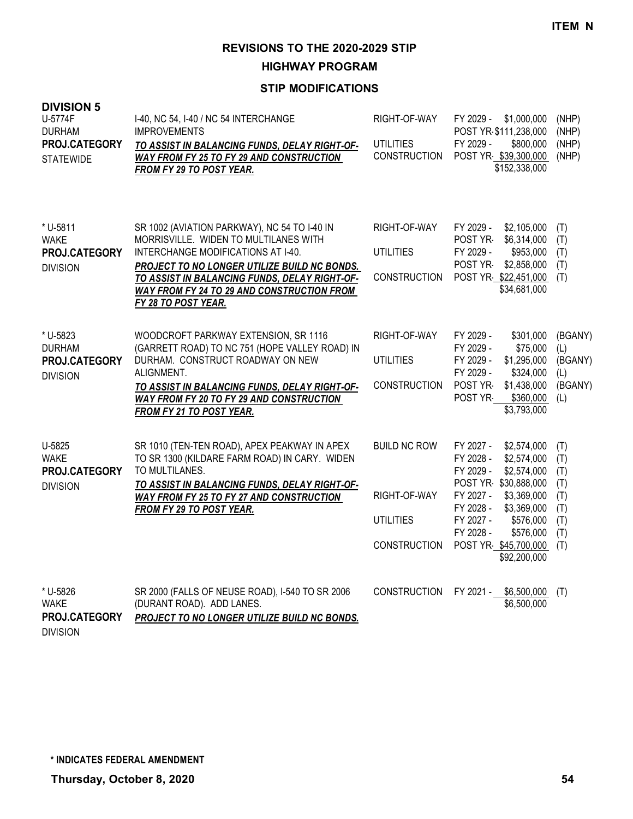**HIGHWAY PROGRAM**

# **STIP MODIFICATIONS**

| <b>DIVISION 5</b><br>U-5774F<br><b>DURHAM</b><br>PROJ.CATEGORY<br><b>STATEWIDE</b> | I-40, NC 54, I-40 / NC 54 INTERCHANGE<br><b>IMPROVEMENTS</b><br>TO ASSIST IN BALANCING FUNDS, DELAY RIGHT-OF-<br>WAY FROM FY 25 TO FY 29 AND CONSTRUCTION<br>FROM FY 29 TO POST YEAR.                                                                                                                           | RIGHT-OF-WAY<br><b>UTILITIES</b><br><b>CONSTRUCTION</b>                        | FY 2029 -<br>\$1,000,000<br>POST YR \$111,238,000<br>FY 2029 -<br>\$800,000<br>POST YR \$39,300,000<br>\$152,338,000                                                                                                                                         | (NHP)<br>(NHP)<br>(NHP)<br>(NHP)                            |
|------------------------------------------------------------------------------------|-----------------------------------------------------------------------------------------------------------------------------------------------------------------------------------------------------------------------------------------------------------------------------------------------------------------|--------------------------------------------------------------------------------|--------------------------------------------------------------------------------------------------------------------------------------------------------------------------------------------------------------------------------------------------------------|-------------------------------------------------------------|
| * U-5811<br><b>WAKE</b><br>PROJ.CATEGORY<br><b>DIVISION</b>                        | SR 1002 (AVIATION PARKWAY), NC 54 TO I-40 IN<br>MORRISVILLE. WIDEN TO MULTILANES WITH<br>INTERCHANGE MODIFICATIONS AT 1-40.<br>PROJECT TO NO LONGER UTILIZE BUILD NC BONDS.<br>TO ASSIST IN BALANCING FUNDS, DELAY RIGHT-OF-<br><b>WAY FROM FY 24 TO 29 AND CONSTRUCTION FROM</b><br><b>FY 28 TO POST YEAR.</b> | RIGHT-OF-WAY<br><b>UTILITIES</b><br><b>CONSTRUCTION</b>                        | FY 2029 -<br>\$2,105,000<br>POST YR-<br>\$6,314,000<br>FY 2029 -<br>\$953,000<br>POST YR-<br>\$2,858,000<br>POST YR \$22,451,000<br>\$34,681,000                                                                                                             | (T)<br>(T)<br>(T)<br>(T)<br>(T)                             |
| * U-5823<br><b>DURHAM</b><br>PROJ.CATEGORY<br><b>DIVISION</b>                      | WOODCROFT PARKWAY EXTENSION, SR 1116<br>(GARRETT ROAD) TO NC 751 (HOPE VALLEY ROAD) IN<br>DURHAM. CONSTRUCT ROADWAY ON NEW<br>ALIGNMENT.<br>TO ASSIST IN BALANCING FUNDS, DELAY RIGHT-OF-<br>WAY FROM FY 20 TO FY 29 AND CONSTRUCTION<br>FROM FY 21 TO POST YEAR.                                               | RIGHT-OF-WAY<br><b>UTILITIES</b><br><b>CONSTRUCTION</b>                        | FY 2029 -<br>\$301,000<br>FY 2029 -<br>\$75,000<br>FY 2029 -<br>\$1,295,000<br>FY 2029 -<br>\$324,000<br>POST YR-<br>\$1,438,000<br>POST YR-<br>\$360,000<br>\$3,793,000                                                                                     | (BGANY)<br>(L)<br>(BGANY)<br>(L)<br>(BGANY)<br>(L)          |
| U-5825<br><b>WAKE</b><br>PROJ.CATEGORY<br><b>DIVISION</b>                          | SR 1010 (TEN-TEN ROAD), APEX PEAKWAY IN APEX<br>TO SR 1300 (KILDARE FARM ROAD) IN CARY. WIDEN<br>TO MULTILANES.<br>TO ASSIST IN BALANCING FUNDS, DELAY RIGHT-OF-<br><b>WAY FROM FY 25 TO FY 27 AND CONSTRUCTION</b><br>FROM FY 29 TO POST YEAR.                                                                 | <b>BUILD NC ROW</b><br>RIGHT-OF-WAY<br><b>UTILITIES</b><br><b>CONSTRUCTION</b> | FY 2027 -<br>\$2,574,000<br>FY 2028 -<br>\$2,574,000<br>FY 2029 -<br>\$2,574,000<br>POST YR \$30,888,000<br>FY 2027 -<br>\$3,369,000<br>FY 2028 -<br>\$3,369,000<br>FY 2027 -<br>\$576,000<br>FY 2028 -<br>\$576,000<br>POST YR \$45,700,000<br>\$92,200,000 | (T)<br>(T)<br>(T)<br>(T)<br>(T)<br>(T)<br>(T)<br>(T)<br>(T) |
| * U-5826<br><b>WAKE</b><br>PROJ.CATEGORY                                           | SR 2000 (FALLS OF NEUSE ROAD), I-540 TO SR 2006<br>(DURANT ROAD). ADD LANES.<br>PROJECT TO NO LONGER UTILIZE BUILD NC BONDS.                                                                                                                                                                                    | <b>CONSTRUCTION</b>                                                            | FY 2021 -<br>\$6,500,000<br>\$6,500,000                                                                                                                                                                                                                      | (T)                                                         |

DIVISION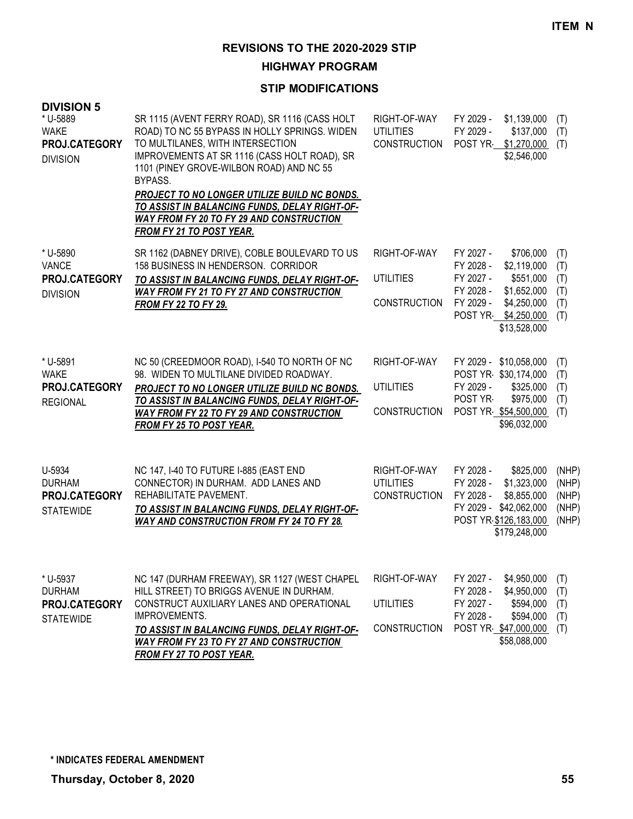**HIGHWAY PROGRAM**

### **STIP MODIFICATIONS**

| <b>DIVISION 5</b><br>* U-5889<br><b>WAKE</b><br>PROJ.CATEGORY<br><b>DIVISION</b> | SR 1115 (AVENT FERRY ROAD), SR 1116 (CASS HOLT<br>ROAD) TO NC 55 BYPASS IN HOLLY SPRINGS. WIDEN<br>TO MULTILANES, WITH INTERSECTION<br>IMPROVEMENTS AT SR 1116 (CASS HOLT ROAD), SR<br>1101 (PINEY GROVE-WILBON ROAD) AND NC 55<br>BYPASS.<br>PROJECT TO NO LONGER UTILIZE BUILD NC BONDS.<br>TO ASSIST IN BALANCING FUNDS, DELAY RIGHT-OF-<br><b>WAY FROM FY 20 TO FY 29 AND CONSTRUCTION</b><br>FROM FY 21 TO POST YEAR. | RIGHT-OF-WAY<br><b>UTILITIES</b><br><b>CONSTRUCTION</b> | FY 2029 -<br>\$1,139,000<br>FY 2029 -<br>\$137,000<br>POST YR \$1,270,000<br>\$2,546,000                                                                                    | (T)<br>(T)<br>(T)                         |
|----------------------------------------------------------------------------------|----------------------------------------------------------------------------------------------------------------------------------------------------------------------------------------------------------------------------------------------------------------------------------------------------------------------------------------------------------------------------------------------------------------------------|---------------------------------------------------------|-----------------------------------------------------------------------------------------------------------------------------------------------------------------------------|-------------------------------------------|
| * U-5890<br>VANCE<br>PROJ.CATEGORY<br><b>DIVISION</b>                            | SR 1162 (DABNEY DRIVE), COBLE BOULEVARD TO US<br>158 BUSINESS IN HENDERSON. CORRIDOR<br>TO ASSIST IN BALANCING FUNDS, DELAY RIGHT-OF-<br><b>WAY FROM FY 21 TO FY 27 AND CONSTRUCTION</b><br><b>FROM FY 22 TO FY 29.</b>                                                                                                                                                                                                    | RIGHT-OF-WAY<br><b>UTILITIES</b><br><b>CONSTRUCTION</b> | FY 2027 -<br>\$706,000<br>FY 2028 -<br>\$2,119,000<br>FY 2027 -<br>\$551,000<br>FY 2028 -<br>\$1,652,000<br>FY 2029 -<br>\$4,250,000<br>POST YR \$4,250,000<br>\$13,528,000 | (T)<br>(T)<br>(T)<br>(T)<br>(T)<br>(T)    |
| * U-5891<br><b>WAKE</b><br>PROJ.CATEGORY<br><b>REGIONAL</b>                      | NC 50 (CREEDMOOR ROAD), I-540 TO NORTH OF NC<br>98. WIDEN TO MULTILANE DIVIDED ROADWAY.<br>PROJECT TO NO LONGER UTILIZE BUILD NC BONDS.<br>TO ASSIST IN BALANCING FUNDS, DELAY RIGHT-OF-<br><b>WAY FROM FY 22 TO FY 29 AND CONSTRUCTION</b><br><b>FROM FY 25 TO POST YEAR.</b>                                                                                                                                             | RIGHT-OF-WAY<br><b>UTILITIES</b><br><b>CONSTRUCTION</b> | FY 2029 - \$10,058,000<br>POST YR \$30,174,000<br>FY 2029 -<br>\$325,000<br>POST YR<br>\$975,000<br>POST YR \$54,500,000<br>\$96,032,000                                    | (T)<br>(T)<br>(T)<br>(T)<br>(T)           |
| U-5934<br><b>DURHAM</b><br>PROJ.CATEGORY<br><b>STATEWIDE</b>                     | NC 147, I-40 TO FUTURE I-885 (EAST END<br>CONNECTOR) IN DURHAM. ADD LANES AND<br>REHABILITATE PAVEMENT.<br>TO ASSIST IN BALANCING FUNDS, DELAY RIGHT-OF-<br><b>WAY AND CONSTRUCTION FROM FY 24 TO FY 28.</b>                                                                                                                                                                                                               | RIGHT-OF-WAY<br><b>UTILITIES</b><br><b>CONSTRUCTION</b> | FY 2028 -<br>\$825,000<br>FY 2028 -<br>\$1,323,000<br>FY 2028 -<br>\$8,855,000<br>FY 2029 - \$42,062,000<br>POST YR \$126,183,000<br>\$179,248,000                          | (NHP)<br>(NHP)<br>(NHP)<br>(NHP)<br>(NHP) |
| * U-5937<br><b>DURHAM</b><br>PROJ.CATEGORY<br><b>STATEWIDE</b>                   | NC 147 (DURHAM FREEWAY), SR 1127 (WEST CHAPEL<br>HILL STREET) TO BRIGGS AVENUE IN DURHAM.<br>CONSTRUCT AUXILIARY LANES AND OPERATIONAL<br>IMPROVEMENTS.<br>TO ASSIST IN BALANCING FUNDS, DELAY RIGHT-OF-<br>WAY FROM FY 23 TO FY 27 AND CONSTRUCTION                                                                                                                                                                       | RIGHT-OF-WAY<br><b>UTILITIES</b><br><b>CONSTRUCTION</b> | FY 2027 -<br>\$4,950,000<br>FY 2028 -<br>\$4,950,000<br>FY 2027 -<br>\$594,000<br>FY 2028 -<br>\$594,000<br>POST YR \$47,000,000<br>\$58,088,000                            | (T)<br>(T)<br>(T)<br>(T)<br>(T)           |

*FROM FY 27 TO POST YEAR.*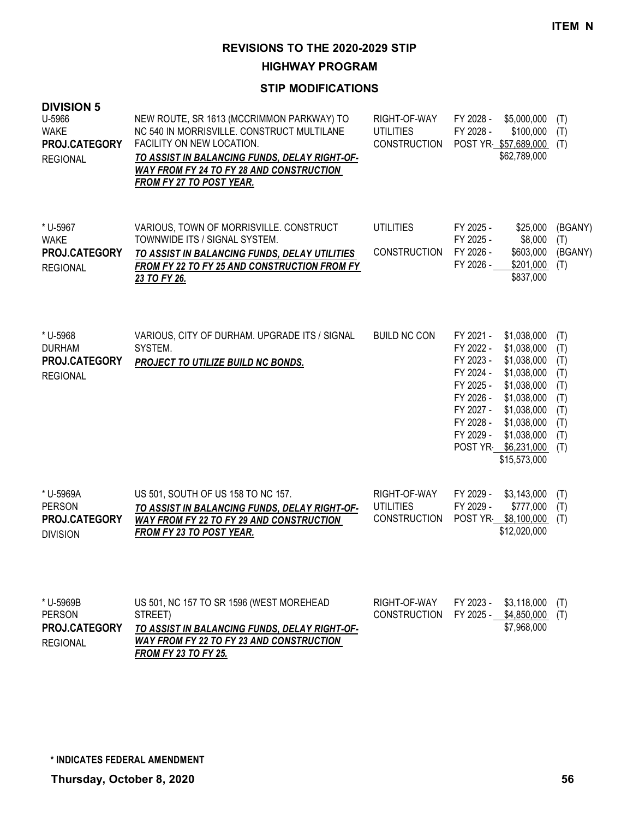**HIGHWAY PROGRAM**

### **STIP MODIFICATIONS**

| <b>DIVISION 5</b><br>U-5966<br><b>WAKE</b><br>PROJ.CATEGORY<br><b>REGIONAL</b> | NEW ROUTE, SR 1613 (MCCRIMMON PARKWAY) TO<br>NC 540 IN MORRISVILLE. CONSTRUCT MULTILANE<br>FACILITY ON NEW LOCATION.<br>TO ASSIST IN BALANCING FUNDS, DELAY RIGHT-OF-<br><b>WAY FROM FY 24 TO FY 28 AND CONSTRUCTION</b><br>FROM FY 27 TO POST YEAR. | RIGHT-OF-WAY<br><b>UTILITIES</b><br>CONSTRUCTION        | FY 2028 -<br>\$5,000,000<br>FY 2028 -<br>\$100,000<br>POST YR \$57,689,000<br>\$62,789,000                                                                                                                                                                                                      | (T)<br>(T)<br>(T)                                                  |
|--------------------------------------------------------------------------------|------------------------------------------------------------------------------------------------------------------------------------------------------------------------------------------------------------------------------------------------------|---------------------------------------------------------|-------------------------------------------------------------------------------------------------------------------------------------------------------------------------------------------------------------------------------------------------------------------------------------------------|--------------------------------------------------------------------|
| * U-5967<br><b>WAKE</b><br>PROJ.CATEGORY<br><b>REGIONAL</b>                    | VARIOUS, TOWN OF MORRISVILLE. CONSTRUCT<br>TOWNWIDE ITS / SIGNAL SYSTEM.<br>TO ASSIST IN BALANCING FUNDS, DELAY UTILITIES<br><b>FROM FY 22 TO FY 25 AND CONSTRUCTION FROM FY</b><br>23 TO FY 26.                                                     | <b>UTILITIES</b><br>CONSTRUCTION                        | FY 2025 -<br>\$25,000<br>FY 2025 -<br>\$8,000<br>FY 2026 -<br>\$603,000<br>FY 2026 -<br>\$201,000<br>\$837,000                                                                                                                                                                                  | (BGANY)<br>(T)<br>(BGANY)<br>(T)                                   |
| * U-5968<br><b>DURHAM</b><br>PROJ.CATEGORY<br><b>REGIONAL</b>                  | VARIOUS, CITY OF DURHAM. UPGRADE ITS / SIGNAL<br>SYSTEM.<br>PROJECT TO UTILIZE BUILD NC BONDS.                                                                                                                                                       | <b>BUILD NC CON</b>                                     | FY 2021 -<br>\$1,038,000<br>FY 2022 -<br>\$1,038,000<br>FY 2023 -<br>\$1,038,000<br>FY 2024 -<br>\$1,038,000<br>FY 2025 -<br>\$1,038,000<br>FY 2026 -<br>\$1,038,000<br>FY 2027 -<br>\$1,038,000<br>FY 2028 -<br>\$1,038,000<br>FY 2029 -<br>\$1,038,000<br>POST YR \$6,231,000<br>\$15,573,000 | (T)<br>(T)<br>(T)<br>(T)<br>(T)<br>(T)<br>(T)<br>(T)<br>(T)<br>(T) |
| * U-5969A<br><b>PERSON</b><br>PROJ.CATEGORY<br><b>DIVISION</b>                 | US 501, SOUTH OF US 158 TO NC 157.<br>TO ASSIST IN BALANCING FUNDS, DELAY RIGHT-OF-<br><b>WAY FROM FY 22 TO FY 29 AND CONSTRUCTION</b><br>FROM FY 23 TO POST YEAR.                                                                                   | RIGHT-OF-WAY<br><b>UTILITIES</b><br><b>CONSTRUCTION</b> | FY 2029 -<br>\$3,143,000<br>FY 2029 -<br>\$777,000<br>POST YR \$8,100,000<br>\$12,020,000                                                                                                                                                                                                       | (T)<br>(T)<br>(T)                                                  |
| * U-5969B<br><b>PERSON</b><br>PROJ.CATEGORY<br><b>REGIONAL</b>                 | US 501, NC 157 TO SR 1596 (WEST MOREHEAD<br>STREET)<br>TO ASSIST IN BALANCING FUNDS, DELAY RIGHT-OF-<br><b>WAY FROM FY 22 TO FY 23 AND CONSTRUCTION</b>                                                                                              | RIGHT-OF-WAY<br><b>CONSTRUCTION</b>                     | FY 2023 -<br>\$3,118,000<br>FY 2025 - \$4,850,000<br>\$7,968,000                                                                                                                                                                                                                                | (T)<br>(T)                                                         |

*FROM FY 23 TO FY 25.*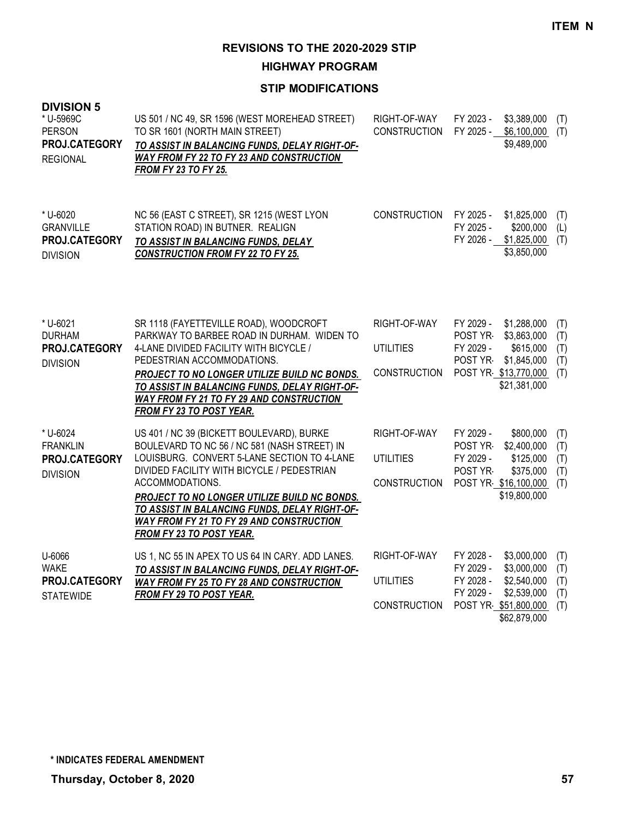**HIGHWAY PROGRAM**

| <b>DIVISION 5</b><br>* U-5969C<br><b>PERSON</b><br>PROJ.CATEGORY<br><b>REGIONAL</b> | US 501 / NC 49, SR 1596 (WEST MOREHEAD STREET)<br>TO SR 1601 (NORTH MAIN STREET)<br>TO ASSIST IN BALANCING FUNDS, DELAY RIGHT-OF-<br>WAY FROM FY 22 TO FY 23 AND CONSTRUCTION<br><b>FROM FY 23 TO FY 25.</b>                                                                                                                                                                              | RIGHT-OF-WAY<br><b>CONSTRUCTION</b>                     | FY 2023 -<br>\$3,389,000<br>(T)<br>FY 2025 -<br>\$6,100,000<br>(T)<br>\$9,489,000                                                                                                         |
|-------------------------------------------------------------------------------------|-------------------------------------------------------------------------------------------------------------------------------------------------------------------------------------------------------------------------------------------------------------------------------------------------------------------------------------------------------------------------------------------|---------------------------------------------------------|-------------------------------------------------------------------------------------------------------------------------------------------------------------------------------------------|
| * U-6020<br><b>GRANVILLE</b><br>PROJ.CATEGORY<br><b>DIVISION</b>                    | NC 56 (EAST C STREET), SR 1215 (WEST LYON<br>STATION ROAD) IN BUTNER. REALIGN<br>TO ASSIST IN BALANCING FUNDS, DELAY<br><b>CONSTRUCTION FROM FY 22 TO FY 25.</b>                                                                                                                                                                                                                          | <b>CONSTRUCTION</b>                                     | FY 2025 -<br>\$1,825,000<br>(T)<br>FY 2025 -<br>\$200,000<br>(L)<br>FY 2026 -<br>\$1,825,000<br>(T)<br>\$3,850,000                                                                        |
| * U-6021<br><b>DURHAM</b><br>PROJ.CATEGORY<br><b>DIVISION</b>                       | SR 1118 (FAYETTEVILLE ROAD), WOODCROFT<br>PARKWAY TO BARBEE ROAD IN DURHAM. WIDEN TO<br>4-LANE DIVIDED FACILITY WITH BICYCLE /<br>PEDESTRIAN ACCOMMODATIONS.<br>PROJECT TO NO LONGER UTILIZE BUILD NC BONDS.<br>TO ASSIST IN BALANCING FUNDS, DELAY RIGHT-OF-<br><b>WAY FROM FY 21 TO FY 29 AND CONSTRUCTION</b><br>FROM FY 23 TO POST YEAR.                                              | RIGHT-OF-WAY<br><b>UTILITIES</b><br><b>CONSTRUCTION</b> | FY 2029 -<br>\$1,288,000<br>(T)<br>\$3,863,000<br>POST YR<br>(T)<br>FY 2029 -<br>\$615,000<br>(T)<br>\$1,845,000<br><b>POST YR-</b><br>(T)<br>POST YR \$13,770,000<br>(T)<br>\$21,381,000 |
| * U-6024<br><b>FRANKLIN</b><br>PROJ.CATEGORY<br><b>DIVISION</b>                     | US 401 / NC 39 (BICKETT BOULEVARD), BURKE<br>BOULEVARD TO NC 56 / NC 581 (NASH STREET) IN<br>LOUISBURG. CONVERT 5-LANE SECTION TO 4-LANE<br>DIVIDED FACILITY WITH BICYCLE / PEDESTRIAN<br>ACCOMMODATIONS.<br>PROJECT TO NO LONGER UTILIZE BUILD NC BONDS.<br>TO ASSIST IN BALANCING FUNDS, DELAY RIGHT-OF-<br>WAY FROM FY 21 TO FY 29 AND CONSTRUCTION<br><b>FROM FY 23 TO POST YEAR.</b> | RIGHT-OF-WAY<br><b>UTILITIES</b><br><b>CONSTRUCTION</b> | FY 2029 -<br>\$800,000<br>(T)<br>POST YR-<br>\$2,400,000<br>(T)<br>FY 2029 -<br>\$125,000<br>(T)<br>POST YR<br>\$375,000<br>(T)<br>POST YR \$16,100,000<br>(T)<br>\$19,800,000            |
| U-6066<br><b>WAKE</b><br>PROJ.CATEGORY<br><b>STATEWIDE</b>                          | US 1, NC 55 IN APEX TO US 64 IN CARY. ADD LANES.<br>TO ASSIST IN BALANCING FUNDS, DELAY RIGHT-OF-<br>WAY FROM FY 25 TO FY 28 AND CONSTRUCTION<br>FROM FY 29 TO POST YEAR.                                                                                                                                                                                                                 | RIGHT-OF-WAY<br><b>UTILITIES</b><br><b>CONSTRUCTION</b> | FY 2028 -<br>\$3,000,000<br>(T)<br>FY 2029 -<br>\$3,000,000<br>(T)<br>FY 2028 -<br>\$2,540,000<br>(T)<br>FY 2029 -<br>\$2,539,000<br>(T)<br>POST YR \$51,800,000<br>(T)<br>\$62,879,000   |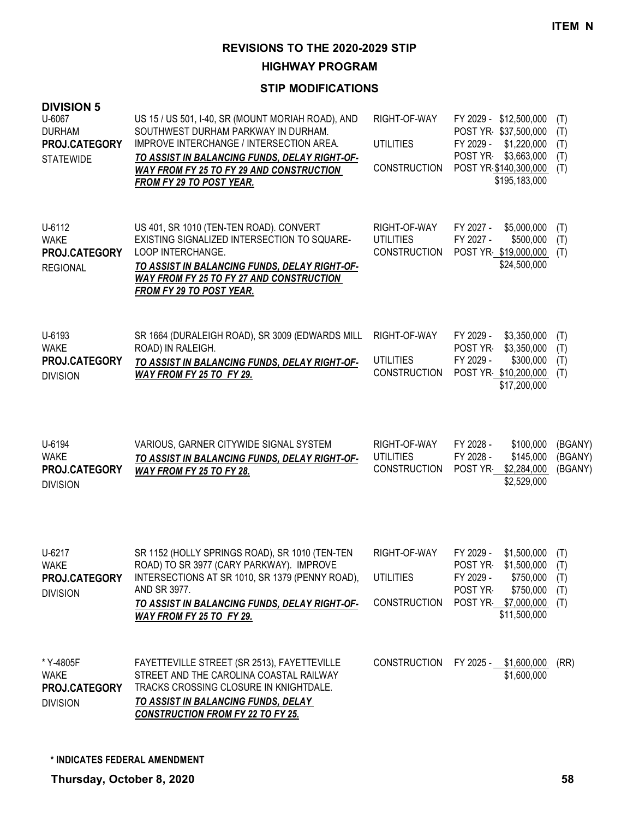**HIGHWAY PROGRAM**

| <b>DIVISION 5</b><br>U-6067<br><b>DURHAM</b><br>PROJ.CATEGORY<br><b>STATEWIDE</b> | US 15 / US 501, I-40, SR (MOUNT MORIAH ROAD), AND<br>SOUTHWEST DURHAM PARKWAY IN DURHAM.<br>IMPROVE INTERCHANGE / INTERSECTION AREA.<br>TO ASSIST IN BALANCING FUNDS, DELAY RIGHT-OF-<br><b>WAY FROM FY 25 TO FY 29 AND CONSTRUCTION</b><br>FROM FY 29 TO POST YEAR. | RIGHT-OF-WAY<br><b>UTILITIES</b><br><b>CONSTRUCTION</b> | FY 2029 - \$12,500,000<br>POST YR \$37,500,000<br>FY 2029 - \$1,220,000<br>POST YR \$3,663,000<br>POST YR \$140,300,000<br>\$195,183,000     | (T)<br>(T)<br>(T)<br>(T)<br>(T) |
|-----------------------------------------------------------------------------------|----------------------------------------------------------------------------------------------------------------------------------------------------------------------------------------------------------------------------------------------------------------------|---------------------------------------------------------|----------------------------------------------------------------------------------------------------------------------------------------------|---------------------------------|
| U-6112<br><b>WAKE</b><br>PROJ.CATEGORY<br><b>REGIONAL</b>                         | US 401, SR 1010 (TEN-TEN ROAD). CONVERT<br>EXISTING SIGNALIZED INTERSECTION TO SQUARE-<br>LOOP INTERCHANGE.<br>TO ASSIST IN BALANCING FUNDS, DELAY RIGHT-OF-<br><b>WAY FROM FY 25 TO FY 27 AND CONSTRUCTION</b><br><b>FROM FY 29 TO POST YEAR.</b>                   | RIGHT-OF-WAY<br><b>UTILITIES</b><br><b>CONSTRUCTION</b> | \$5,000,000<br>FY 2027 -<br>FY 2027 -<br>\$500,000<br>POST YR \$19,000,000<br>\$24,500,000                                                   | (T)<br>(T)<br>(T)               |
| U-6193<br><b>WAKE</b><br>PROJ.CATEGORY<br><b>DIVISION</b>                         | SR 1664 (DURALEIGH ROAD), SR 3009 (EDWARDS MILL<br>ROAD) IN RALEIGH.<br>TO ASSIST IN BALANCING FUNDS, DELAY RIGHT-OF-<br>WAY FROM FY 25 TO FY 29.                                                                                                                    | RIGHT-OF-WAY<br><b>UTILITIES</b><br><b>CONSTRUCTION</b> | \$3,350,000<br>FY 2029 -<br>POST YR<br>\$3,350,000<br>FY 2029 -<br>\$300,000<br>POST YR \$10,200,000<br>\$17,200,000                         | (T)<br>(T)<br>(T)<br>(T)        |
| U-6194<br><b>WAKE</b><br>PROJ.CATEGORY<br><b>DIVISION</b>                         | VARIOUS, GARNER CITYWIDE SIGNAL SYSTEM<br>TO ASSIST IN BALANCING FUNDS, DELAY RIGHT-OF-<br>WAY FROM FY 25 TO FY 28.                                                                                                                                                  | RIGHT-OF-WAY<br><b>UTILITIES</b><br><b>CONSTRUCTION</b> | FY 2028 -<br>\$100,000<br>FY 2028 -<br>\$145,000<br>POST YR<br>\$2,284,000<br>\$2,529,000                                                    | (BGANY)<br>(BGANY)<br>(BGANY)   |
| U-6217<br>WAKE<br>PROJ.CATEGORY<br><b>DIVISION</b>                                | SR 1152 (HOLLY SPRINGS ROAD), SR 1010 (TEN-TEN<br>ROAD) TO SR 3977 (CARY PARKWAY). IMPROVE<br>INTERSECTIONS AT SR 1010, SR 1379 (PENNY ROAD),<br>AND SR 3977.<br>TO ASSIST IN BALANCING FUNDS, DELAY RIGHT-OF-<br><b>WAY FROM FY 25 TO FY 29.</b>                    | RIGHT-OF-WAY<br><b>UTILITIES</b><br><b>CONSTRUCTION</b> | \$1,500,000<br>FY 2029 -<br>POST YR \$1,500,000 (T)<br>FY 2029 -<br>\$750,000<br>POST YR<br>\$750,000<br>POST YR \$7,000,000<br>\$11,500,000 | (T)<br>(T)<br>(T)<br>(T)        |
| * Y-4805F<br><b>WAKE</b><br>PROJ.CATEGORY<br><b>DIVISION</b>                      | FAYETTEVILLE STREET (SR 2513), FAYETTEVILLE<br>STREET AND THE CAROLINA COASTAL RAILWAY<br>TRACKS CROSSING CLOSURE IN KNIGHTDALE.<br>TO ASSIST IN BALANCING FUNDS, DELAY<br><b>CONSTRUCTION FROM FY 22 TO FY 25.</b>                                                  |                                                         | CONSTRUCTION FY 2025 - \$1,600,000<br>\$1,600,000                                                                                            | (RR)                            |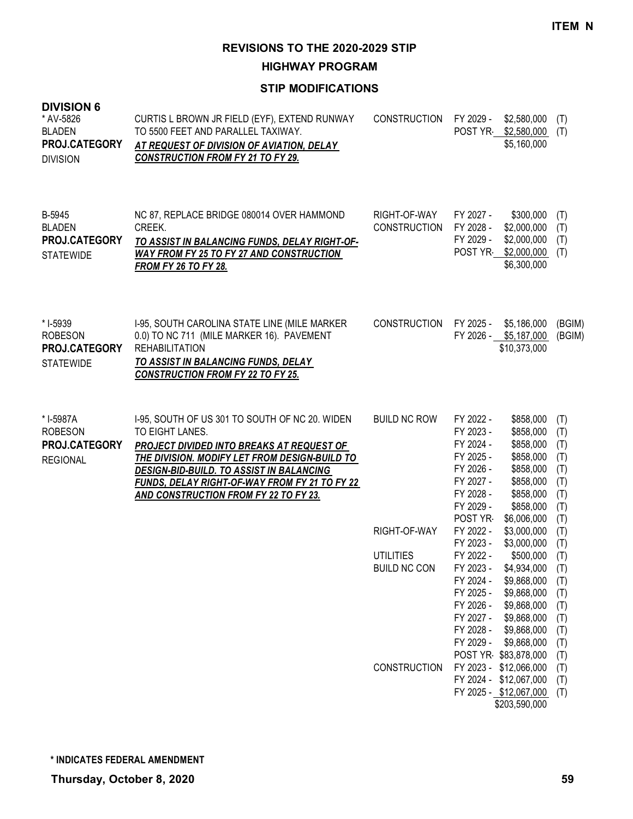**HIGHWAY PROGRAM**

| <b>DIVISION 6</b><br>* AV-5826<br><b>BLADEN</b><br>PROJ.CATEGORY<br><b>DIVISION</b> | CURTIS L BROWN JR FIELD (EYF), EXTEND RUNWAY<br>TO 5500 FEET AND PARALLEL TAXIWAY.<br>AT REQUEST OF DIVISION OF AVIATION, DELAY<br><b>CONSTRUCTION FROM FY 21 TO FY 29.</b>                                                                                                                                         | <b>CONSTRUCTION</b>                 | FY 2029 -                                                                                                       | \$2,580,000<br>POST YR \$2,580,000<br>\$5,160,000                                                                                                    | (T)<br>(T)                                                  |
|-------------------------------------------------------------------------------------|---------------------------------------------------------------------------------------------------------------------------------------------------------------------------------------------------------------------------------------------------------------------------------------------------------------------|-------------------------------------|-----------------------------------------------------------------------------------------------------------------|------------------------------------------------------------------------------------------------------------------------------------------------------|-------------------------------------------------------------|
| B-5945<br><b>BLADEN</b><br>PROJ.CATEGORY<br><b>STATEWIDE</b>                        | NC 87, REPLACE BRIDGE 080014 OVER HAMMOND<br>CREEK.<br>TO ASSIST IN BALANCING FUNDS, DELAY RIGHT-OF-<br><b>WAY FROM FY 25 TO FY 27 AND CONSTRUCTION</b><br><b>FROM FY 26 TO FY 28.</b>                                                                                                                              | RIGHT-OF-WAY<br><b>CONSTRUCTION</b> | FY 2027 -<br>FY 2028 -<br>FY 2029 -                                                                             | \$300,000<br>\$2,000,000<br>\$2,000,000<br>POST YR \$2,000,000<br>\$6,300,000                                                                        | (T)<br>(T)<br>(T)<br>(T)                                    |
| * I-5939<br><b>ROBESON</b><br>PROJ.CATEGORY<br><b>STATEWIDE</b>                     | I-95, SOUTH CAROLINA STATE LINE (MILE MARKER<br>0.0) TO NC 711 (MILE MARKER 16). PAVEMENT<br><b>REHABILITATION</b><br>TO ASSIST IN BALANCING FUNDS, DELAY<br><b>CONSTRUCTION FROM FY 22 TO FY 25.</b>                                                                                                               | CONSTRUCTION                        | FY 2025 -                                                                                                       | \$5,186,000<br>FY 2026 - \$5,187,000<br>\$10,373,000                                                                                                 | (BGIM)<br>(BGIM)                                            |
| * I-5987A<br><b>ROBESON</b><br>PROJ.CATEGORY<br><b>REGIONAL</b>                     | 1-95, SOUTH OF US 301 TO SOUTH OF NC 20. WIDEN<br>TO EIGHT LANES.<br>PROJECT DIVIDED INTO BREAKS AT REQUEST OF<br>THE DIVISION. MODIFY LET FROM DESIGN-BUILD TO<br>DESIGN-BID-BUILD. TO ASSIST IN BALANCING<br><b>FUNDS, DELAY RIGHT-OF-WAY FROM FY 21 TO FY 22</b><br><b>AND CONSTRUCTION FROM FY 22 TO FY 23.</b> | <b>BUILD NC ROW</b>                 | FY 2022 -<br>FY 2023 -<br>FY 2024 -<br>FY 2025 -<br>FY 2026 -<br>FY 2027 -<br>FY 2028 -<br>FY 2029 -<br>POST YR | \$858,000<br>\$858,000<br>\$858,000<br>\$858,000<br>\$858,000<br>\$858,000<br>\$858,000<br>\$858,000<br>\$6,006,000                                  | (T)<br>(T)<br>(T)<br>(T)<br>(T)<br>(T)<br>(T)<br>(T)<br>(T) |
|                                                                                     |                                                                                                                                                                                                                                                                                                                     | RIGHT-OF-WAY                        | FY 2022 -<br>FY 2023 -                                                                                          | \$3,000,000<br>\$3,000,000                                                                                                                           | (T)<br>(T)                                                  |
|                                                                                     |                                                                                                                                                                                                                                                                                                                     | <b>UTILITIES</b><br>BUILD NC CON    | FY 2022 -<br>FY 2024 -<br>FY 2025 -<br>FY 2026 -<br>FY 2027 -<br>FY 2028 -<br>FY 2029 -                         | \$500,000<br>FY 2023 - \$4,934,000<br>\$9,868,000<br>\$9,868,000<br>\$9,868,000<br>\$9,868,000<br>\$9,868,000<br>\$9,868,000<br>POST YR \$83,878,000 | (T)<br>(T)<br>(T)<br>(T)<br>(T)<br>(T)<br>(T)<br>(T)<br>(T) |
|                                                                                     |                                                                                                                                                                                                                                                                                                                     | <b>CONSTRUCTION</b>                 | FY 2023 -                                                                                                       | \$12,066,000<br>FY 2024 - \$12,067,000<br>FY 2025 - \$12,067,000<br>\$203,590,000                                                                    | (T)<br>(T)<br>(T)                                           |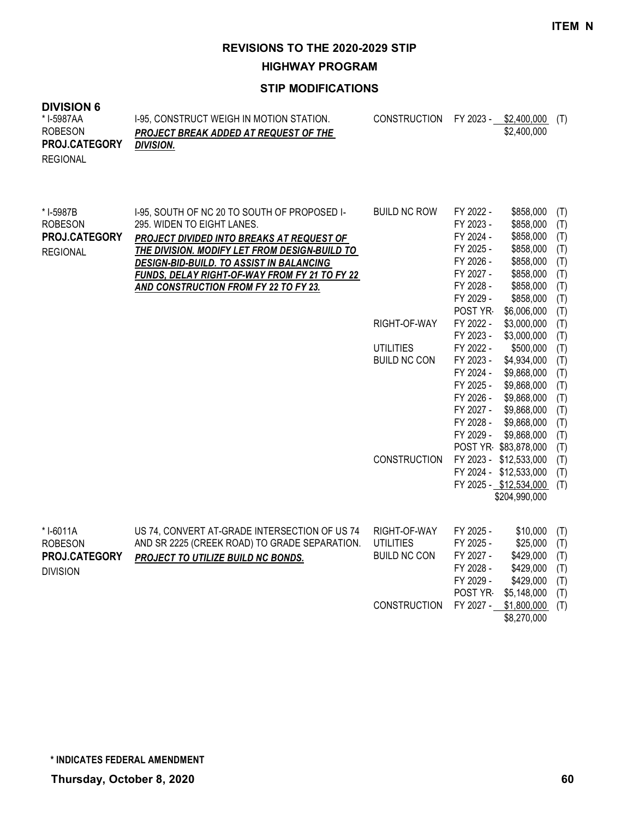**HIGHWAY PROGRAM**

| <b>DIVISION 6</b><br>* I-5987AA<br><b>ROBESON</b><br>PROJ.CATEGORY<br><b>REGIONAL</b> | I-95, CONSTRUCT WEIGH IN MOTION STATION.<br><b>PROJECT BREAK ADDED AT REQUEST OF THE</b><br><b>DIVISION.</b>                                                                                                                                                                                                   | <b>CONSTRUCTION</b> |                                                                                                                  | FY 2023 - \$2,400,000 (T)<br>\$2,400,000                                                                            |                                                             |
|---------------------------------------------------------------------------------------|----------------------------------------------------------------------------------------------------------------------------------------------------------------------------------------------------------------------------------------------------------------------------------------------------------------|---------------------|------------------------------------------------------------------------------------------------------------------|---------------------------------------------------------------------------------------------------------------------|-------------------------------------------------------------|
| * I-5987B<br><b>ROBESON</b><br>PROJ.CATEGORY<br><b>REGIONAL</b>                       | I-95, SOUTH OF NC 20 TO SOUTH OF PROPOSED I-<br>295. WIDEN TO EIGHT LANES.<br>PROJECT DIVIDED INTO BREAKS AT REQUEST OF<br>THE DIVISION. MODIFY LET FROM DESIGN-BUILD TO<br>DESIGN-BID-BUILD. TO ASSIST IN BALANCING<br>FUNDS, DELAY RIGHT-OF-WAY FROM FY 21 TO FY 22<br>AND CONSTRUCTION FROM FY 22 TO FY 23. | <b>BUILD NC ROW</b> | FY 2022 -<br>FY 2023 -<br>FY 2024 -<br>FY 2025 -<br>FY 2026 -<br>FY 2027 -<br>FY 2028 -<br>FY 2029 -<br>POST YR- | \$858,000<br>\$858,000<br>\$858,000<br>\$858,000<br>\$858,000<br>\$858,000<br>\$858,000<br>\$858,000<br>\$6,006,000 | (T)<br>(T)<br>(T)<br>(T)<br>(T)<br>(T)<br>(T)<br>(T)<br>(T) |
|                                                                                       |                                                                                                                                                                                                                                                                                                                | RIGHT-OF-WAY        | FY 2022 -<br>FY 2023 -                                                                                           | \$3,000,000                                                                                                         | (T)                                                         |
|                                                                                       |                                                                                                                                                                                                                                                                                                                | <b>UTILITIES</b>    | FY 2022 -                                                                                                        | \$3,000,000<br>\$500,000                                                                                            | (T)<br>(T)                                                  |
|                                                                                       |                                                                                                                                                                                                                                                                                                                | <b>BUILD NC CON</b> | FY 2023 -                                                                                                        | \$4,934,000                                                                                                         | (T)                                                         |
|                                                                                       |                                                                                                                                                                                                                                                                                                                |                     | FY 2024 -                                                                                                        | \$9,868,000                                                                                                         | (T)                                                         |
|                                                                                       |                                                                                                                                                                                                                                                                                                                |                     | FY 2025 -                                                                                                        | \$9,868,000                                                                                                         | (T)                                                         |
|                                                                                       |                                                                                                                                                                                                                                                                                                                |                     | FY 2026 -                                                                                                        | \$9,868,000                                                                                                         | (T)                                                         |
|                                                                                       |                                                                                                                                                                                                                                                                                                                |                     | FY 2027 -                                                                                                        | \$9,868,000                                                                                                         | (T)                                                         |
|                                                                                       |                                                                                                                                                                                                                                                                                                                |                     | FY 2028 -                                                                                                        | \$9,868,000                                                                                                         | (T)                                                         |
|                                                                                       |                                                                                                                                                                                                                                                                                                                |                     | FY 2029 -                                                                                                        | \$9,868,000                                                                                                         | (T)                                                         |
|                                                                                       |                                                                                                                                                                                                                                                                                                                |                     |                                                                                                                  | POST YR \$83,878,000                                                                                                | (T)                                                         |
|                                                                                       |                                                                                                                                                                                                                                                                                                                | <b>CONSTRUCTION</b> |                                                                                                                  | FY 2023 - \$12,533,000                                                                                              | (T)                                                         |
|                                                                                       |                                                                                                                                                                                                                                                                                                                |                     |                                                                                                                  | FY 2024 - \$12,533,000                                                                                              | (T)                                                         |
|                                                                                       |                                                                                                                                                                                                                                                                                                                |                     |                                                                                                                  | FY 2025 - \$12,534,000                                                                                              | (T)                                                         |
|                                                                                       |                                                                                                                                                                                                                                                                                                                |                     |                                                                                                                  | \$204,990,000                                                                                                       |                                                             |
| * I-6011A                                                                             | US 74, CONVERT AT-GRADE INTERSECTION OF US 74                                                                                                                                                                                                                                                                  | RIGHT-OF-WAY        | FY 2025 -                                                                                                        | \$10,000                                                                                                            | (T)                                                         |
| <b>ROBESON</b>                                                                        | AND SR 2225 (CREEK ROAD) TO GRADE SEPARATION.                                                                                                                                                                                                                                                                  | <b>UTILITIES</b>    | FY 2025 -                                                                                                        | \$25,000                                                                                                            | (T)                                                         |
| PROJ.CATEGORY                                                                         | PROJECT TO UTILIZE BUILD NC BONDS.                                                                                                                                                                                                                                                                             | <b>BUILD NC CON</b> | FY 2027 -                                                                                                        | \$429,000                                                                                                           | (T)                                                         |
| <b>DIVISION</b>                                                                       |                                                                                                                                                                                                                                                                                                                |                     | FY 2028 -                                                                                                        | \$429,000                                                                                                           | (T)                                                         |
|                                                                                       |                                                                                                                                                                                                                                                                                                                |                     | FY 2029 -                                                                                                        | \$429,000                                                                                                           | (T)                                                         |
|                                                                                       |                                                                                                                                                                                                                                                                                                                |                     | POST YR                                                                                                          | \$5,148,000                                                                                                         | (T)                                                         |
|                                                                                       |                                                                                                                                                                                                                                                                                                                | <b>CONSTRUCTION</b> | FY 2027 -                                                                                                        | \$1,800,000                                                                                                         | (T)                                                         |
|                                                                                       |                                                                                                                                                                                                                                                                                                                |                     |                                                                                                                  | \$8,270,000                                                                                                         |                                                             |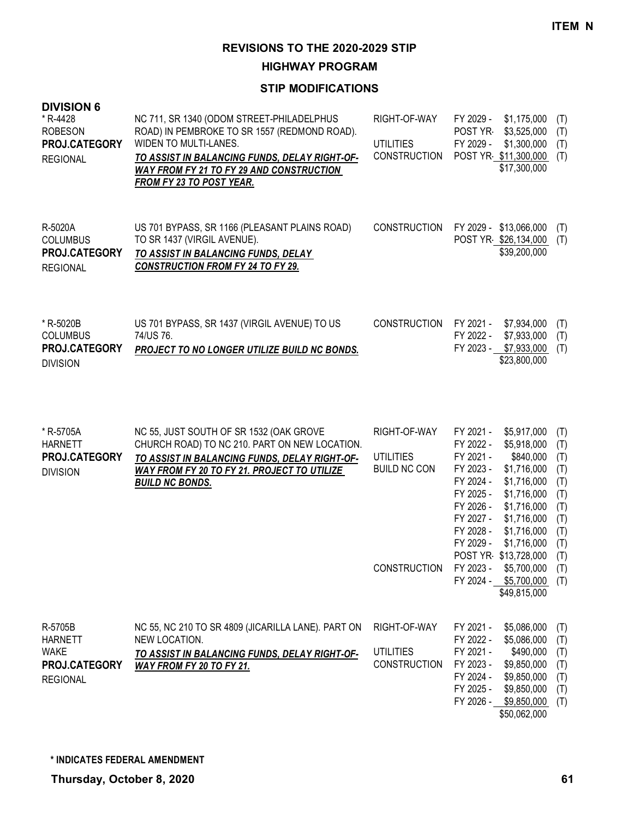**HIGHWAY PROGRAM**

| <b>DIVISION 6</b><br>* R-4428<br><b>ROBESON</b><br><b>PROJ.CATEGORY</b><br><b>REGIONAL</b> | NC 711, SR 1340 (ODOM STREET-PHILADELPHUS<br>ROAD) IN PEMBROKE TO SR 1557 (REDMOND ROAD).<br>WIDEN TO MULTI-LANES.<br>TO ASSIST IN BALANCING FUNDS, DELAY RIGHT-OF-<br>WAY FROM FY 21 TO FY 29 AND CONSTRUCTION<br><b>FROM FY 23 TO POST YEAR.</b> | RIGHT-OF-WAY<br>UTILITIES<br><b>CONSTRUCTION</b> | FY 2029 -<br>POST YR<br>FY 2029 - | \$1,175,000<br>\$3,525,000<br>\$1,300,000<br>POST YR \$11,300,000<br>\$17,300,000 | (T)<br>(T)<br>(T)<br>(T) |
|--------------------------------------------------------------------------------------------|----------------------------------------------------------------------------------------------------------------------------------------------------------------------------------------------------------------------------------------------------|--------------------------------------------------|-----------------------------------|-----------------------------------------------------------------------------------|--------------------------|
| R-5020A<br><b>COLUMBUS</b><br><b>PROJ.CATEGORY</b><br><b>REGIONAL</b>                      | US 701 BYPASS, SR 1166 (PLEASANT PLAINS ROAD)<br>TO SR 1437 (VIRGIL AVENUE).<br>TO ASSIST IN BALANCING FUNDS, DELAY<br><b>CONSTRUCTION FROM FY 24 TO FY 29.</b>                                                                                    | <b>CONSTRUCTION</b>                              | FY 2029 -                         | \$13,066,000<br>POST YR \$26,134,000<br>\$39,200,000                              | (T)<br>(T)               |

| * R-5020B            | US 701 BYPASS, SR 1437 (VIRGIL AVENUE) TO US        | CONSTRUCTION FY 2021 - \$7,934,000 (T) |                             |  |
|----------------------|-----------------------------------------------------|----------------------------------------|-----------------------------|--|
| <b>COLUMBUS</b>      | 74/US 76.                                           |                                        | FY 2022 - \$7,933,000 (T)   |  |
| <b>PROJ.CATEGORY</b> | <b>PROJECT TO NO LONGER UTILIZE BUILD NC BONDS.</b> |                                        | $FY$ 2023 - \$7,933,000 (T) |  |
| <b>DIVISION</b>      |                                                     |                                        | \$23,800,000                |  |

| * R-5705A<br><b>HARNETT</b><br>PROJ.CATEGORY<br><b>DIVISION</b>              | NC 55, JUST SOUTH OF SR 1532 (OAK GROVE<br>CHURCH ROAD) TO NC 210. PART ON NEW LOCATION.<br>TO ASSIST IN BALANCING FUNDS, DELAY RIGHT-OF-<br>WAY FROM FY 20 TO FY 21. PROJECT TO UTILIZE<br><b>BUILD NC BONDS.</b> | RIGHT-OF-WAY<br><b>UTILITIES</b><br><b>BUILD NC CON</b> | FY 2021 -<br>FY 2022 -<br>FY 2021 -<br>FY 2023 -<br>FY 2024 -<br>FY 2025 -<br>FY 2026 -<br>FY 2027 -<br>FY 2028 -<br>FY 2029 - | \$5,917,000<br>\$5,918,000<br>\$840,000<br>\$1,716,000<br>\$1,716,000<br>\$1,716,000<br>\$1,716,000<br>\$1,716,000<br>\$1,716,000<br>\$1,716,000 | (T)<br>(T)<br>(T)<br>(T)<br>(T)<br>(T)<br>(T)<br>(T)<br>(T)<br>(T) |
|------------------------------------------------------------------------------|--------------------------------------------------------------------------------------------------------------------------------------------------------------------------------------------------------------------|---------------------------------------------------------|--------------------------------------------------------------------------------------------------------------------------------|--------------------------------------------------------------------------------------------------------------------------------------------------|--------------------------------------------------------------------|
|                                                                              |                                                                                                                                                                                                                    | <b>CONSTRUCTION</b>                                     | FY 2023 -<br>FY 2024 -                                                                                                         | POST YR \$13,728,000<br>\$5,700,000<br>\$5,700,000<br>\$49,815,000                                                                               | (T)<br>(T)<br>(T)                                                  |
| R-5705B<br><b>HARNETT</b><br><b>WAKE</b><br>PROJ.CATEGORY<br><b>REGIONAL</b> | NC 55, NC 210 TO SR 4809 (JICARILLA LANE). PART ON<br>NEW LOCATION.<br>TO ASSIST IN BALANCING FUNDS, DELAY RIGHT-OF-<br>WAY FROM FY 20 TO FY 21.                                                                   | RIGHT-OF-WAY<br><b>UTILITIES</b><br><b>CONSTRUCTION</b> | FY 2021 -<br>FY 2022 -<br>FY 2021 -<br>FY 2023 -<br>FY 2024 -<br>FY 2025 -<br>FY 2026 -                                        | \$5,086,000<br>\$5,086,000<br>\$490,000<br>\$9,850,000<br>\$9,850,000<br>\$9,850,000<br>\$9,850,000<br>\$50,062,000                              | (T)<br>(T)<br>(T)<br>(T)<br>(T)<br>(T)<br>(T)                      |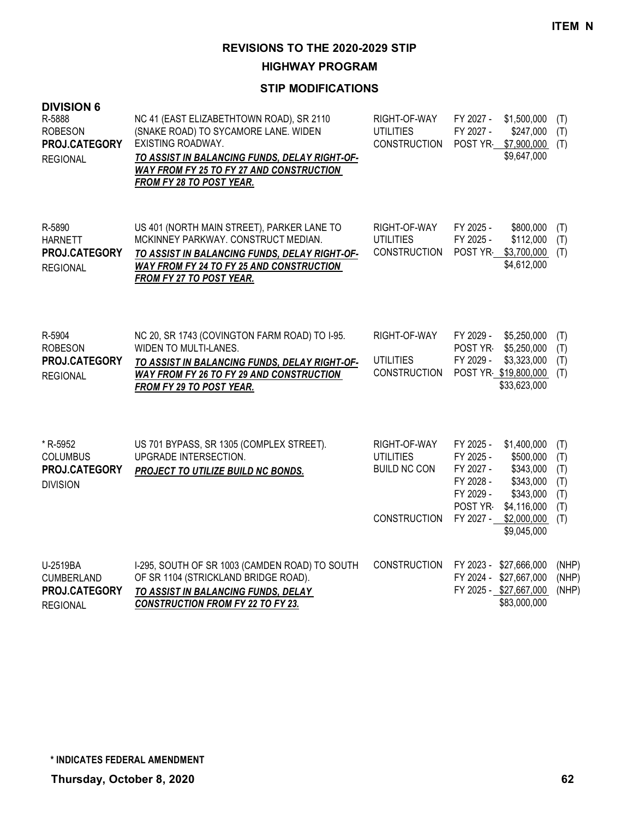**HIGHWAY PROGRAM**

| <b>DIVISION 6</b><br>R-5888<br><b>ROBESON</b><br>PROJ.CATEGORY<br><b>REGIONAL</b> | NC 41 (EAST ELIZABETHTOWN ROAD), SR 2110<br>(SNAKE ROAD) TO SYCAMORE LANE. WIDEN<br>EXISTING ROADWAY.<br>TO ASSIST IN BALANCING FUNDS, DELAY RIGHT-OF-<br><b>WAY FROM FY 25 TO FY 27 AND CONSTRUCTION</b><br>FROM FY 28 TO POST YEAR. | RIGHT-OF-WAY<br><b>UTILITIES</b><br><b>CONSTRUCTION</b>                        | FY 2027 -<br>\$1,500,000<br>\$247,000<br>FY 2027 -<br>POST YR-<br>\$7,900,000<br>\$9,647,000                                                                                                           | (T)<br>(T)<br>(T)                             |
|-----------------------------------------------------------------------------------|---------------------------------------------------------------------------------------------------------------------------------------------------------------------------------------------------------------------------------------|--------------------------------------------------------------------------------|--------------------------------------------------------------------------------------------------------------------------------------------------------------------------------------------------------|-----------------------------------------------|
| R-5890<br><b>HARNETT</b><br>PROJ.CATEGORY<br><b>REGIONAL</b>                      | US 401 (NORTH MAIN STREET), PARKER LANE TO<br>MCKINNEY PARKWAY. CONSTRUCT MEDIAN.<br>TO ASSIST IN BALANCING FUNDS, DELAY RIGHT-OF-<br><b>WAY FROM FY 24 TO FY 25 AND CONSTRUCTION</b><br><b>FROM FY 27 TO POST YEAR.</b>              | RIGHT-OF-WAY<br><b>UTILITIES</b><br><b>CONSTRUCTION</b>                        | FY 2025 -<br>\$800,000<br>FY 2025 -<br>\$112,000<br>POST YR<br>\$3,700,000<br>\$4,612,000                                                                                                              | (T)<br>(T)<br>(T)                             |
| R-5904<br><b>ROBESON</b><br>PROJ.CATEGORY<br><b>REGIONAL</b>                      | NC 20, SR 1743 (COVINGTON FARM ROAD) TO I-95.<br><b>WIDEN TO MULTI-LANES.</b><br>TO ASSIST IN BALANCING FUNDS, DELAY RIGHT-OF-<br><b>WAY FROM FY 26 TO FY 29 AND CONSTRUCTION</b><br><b>FROM FY 29 TO POST YEAR.</b>                  | RIGHT-OF-WAY<br><b>UTILITIES</b><br><b>CONSTRUCTION</b>                        | FY 2029 -<br>\$5,250,000<br>\$5,250,000<br>POST YR-<br>FY 2029 -<br>\$3,323,000<br>POST YR \$19,800,000<br>\$33,623,000                                                                                | (T)<br>(T)<br>(T)<br>(T)                      |
| * R-5952<br><b>COLUMBUS</b><br>PROJ.CATEGORY<br><b>DIVISION</b>                   | US 701 BYPASS, SR 1305 (COMPLEX STREET).<br>UPGRADE INTERSECTION.<br>PROJECT TO UTILIZE BUILD NC BONDS.                                                                                                                               | RIGHT-OF-WAY<br><b>UTILITIES</b><br><b>BUILD NC CON</b><br><b>CONSTRUCTION</b> | FY 2025 -<br>\$1,400,000<br>FY 2025 -<br>\$500,000<br>FY 2027 -<br>\$343,000<br>FY 2028 -<br>\$343,000<br>FY 2029 -<br>\$343,000<br>POST YR-<br>\$4,116,000<br>FY 2027 -<br>\$2,000,000<br>\$9,045,000 | (T)<br>(T)<br>(T)<br>(T)<br>(T)<br>(T)<br>(T) |
| U-2519BA<br>CUMBERLAND<br>PROJ.CATEGORY<br><b>REGIONAL</b>                        | I-295, SOUTH OF SR 1003 (CAMDEN ROAD) TO SOUTH<br>OF SR 1104 (STRICKLAND BRIDGE ROAD).<br>TO ASSIST IN BALANCING FUNDS, DELAY<br><b>CONSTRUCTION FROM FY 22 TO FY 23.</b>                                                             | <b>CONSTRUCTION</b>                                                            | FY 2023 -<br>\$27,666,000<br>FY 2024 -<br>\$27,667,000<br>FY 2025 - \$27,667,000<br>\$83,000,000                                                                                                       | (NHP)<br>(NHP)<br>(NHP)                       |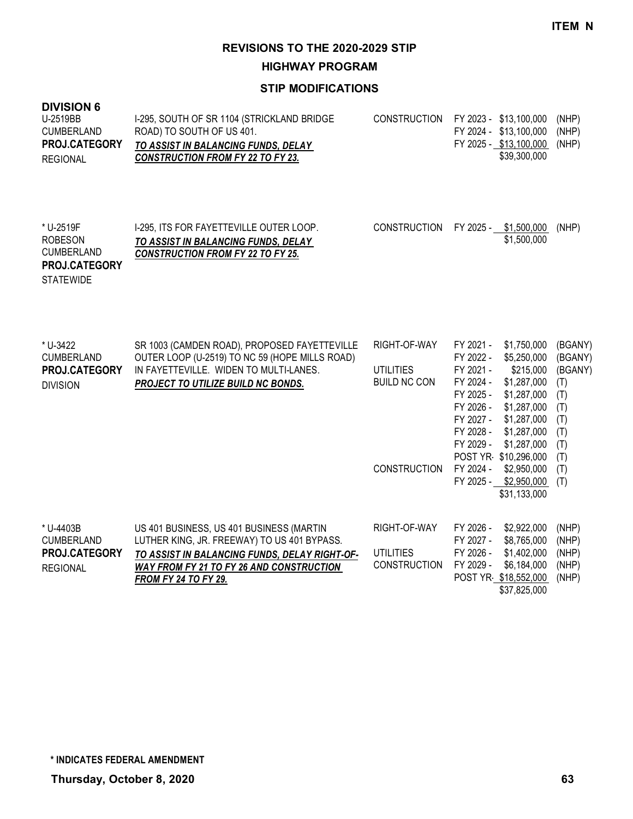**HIGHWAY PROGRAM**

| <b>DIVISION 6</b><br>U-2519BB<br><b>CUMBERLAND</b><br>PROJ.CATEGORY<br><b>REGIONAL</b> | I-295, SOUTH OF SR 1104 (STRICKLAND BRIDGE<br>ROAD) TO SOUTH OF US 401.<br>TO ASSIST IN BALANCING FUNDS, DELAY<br><b>CONSTRUCTION FROM FY 22 TO FY 23.</b>                                                                 | <b>CONSTRUCTION</b>                                                            | FY 2023 - \$13,100,000<br>FY 2024 - \$13,100,000<br>FY 2025 - \$13,100,000<br>\$39,300,000                                                                                                                                                                                                                                                             | (NHP)<br>(NHP)<br>(NHP)                                                                      |
|----------------------------------------------------------------------------------------|----------------------------------------------------------------------------------------------------------------------------------------------------------------------------------------------------------------------------|--------------------------------------------------------------------------------|--------------------------------------------------------------------------------------------------------------------------------------------------------------------------------------------------------------------------------------------------------------------------------------------------------------------------------------------------------|----------------------------------------------------------------------------------------------|
| * U-2519F<br><b>ROBESON</b><br><b>CUMBERLAND</b><br>PROJ.CATEGORY<br><b>STATEWIDE</b>  | I-295, ITS FOR FAYETTEVILLE OUTER LOOP.<br><b>TO ASSIST IN BALANCING FUNDS, DELAY</b><br><b>CONSTRUCTION FROM FY 22 TO FY 25.</b>                                                                                          | <b>CONSTRUCTION</b>                                                            | FY 2025 - \$1,500,000<br>\$1,500,000                                                                                                                                                                                                                                                                                                                   | (NHP)                                                                                        |
| * U-3422<br><b>CUMBERLAND</b><br>PROJ.CATEGORY<br><b>DIVISION</b>                      | SR 1003 (CAMDEN ROAD), PROPOSED FAYETTEVILLE<br>OUTER LOOP (U-2519) TO NC 59 (HOPE MILLS ROAD)<br>IN FAYETTEVILLE. WIDEN TO MULTI-LANES.<br>PROJECT TO UTILIZE BUILD NC BONDS.                                             | RIGHT-OF-WAY<br><b>UTILITIES</b><br><b>BUILD NC CON</b><br><b>CONSTRUCTION</b> | FY 2021 -<br>\$1,750,000<br>FY 2022 -<br>\$5,250,000<br>FY 2021 -<br>\$215,000<br>FY 2024 -<br>\$1,287,000<br>FY 2025 -<br>\$1,287,000<br>FY 2026 -<br>\$1,287,000<br>FY 2027 -<br>\$1,287,000<br>FY 2028 -<br>\$1,287,000<br>FY 2029 -<br>\$1,287,000<br>POST YR \$10,296,000<br>FY 2024 -<br>\$2,950,000<br>FY 2025 -<br>\$2,950,000<br>\$31,133,000 | (BGANY)<br>(BGANY)<br>(BGANY)<br>(T)<br>(T)<br>(T)<br>(T)<br>(T)<br>(T)<br>(T)<br>(T)<br>(T) |
| * U-4403B<br><b>CUMBERLAND</b><br>PROJ.CATEGORY<br><b>REGIONAL</b>                     | US 401 BUSINESS, US 401 BUSINESS (MARTIN<br>LUTHER KING, JR. FREEWAY) TO US 401 BYPASS.<br>TO ASSIST IN BALANCING FUNDS, DELAY RIGHT-OF-<br><b>WAY FROM FY 21 TO FY 26 AND CONSTRUCTION</b><br><b>FROM FY 24 TO FY 29.</b> | RIGHT-OF-WAY<br><b>UTILITIES</b><br><b>CONSTRUCTION</b>                        | FY 2026 -<br>\$2,922,000<br>FY 2027 -<br>\$8,765,000<br>FY 2026 -<br>\$1,402,000<br>FY 2029 -<br>\$6,184,000<br>POST YR \$18,552,000<br>\$37,825,000                                                                                                                                                                                                   | (NHP)<br>(NHP)<br>(NHP)<br>(NHP)<br>(NHP)                                                    |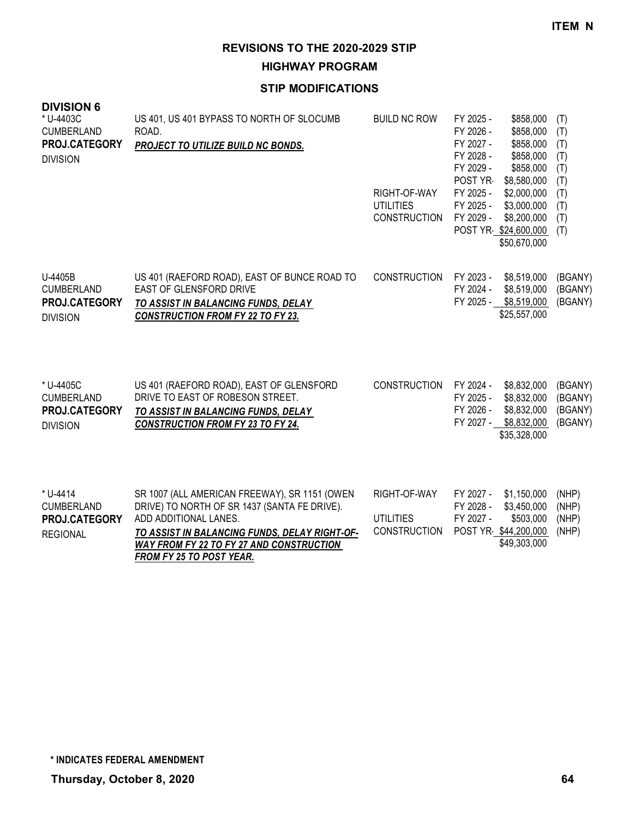**HIGHWAY PROGRAM**

#### **STIP MODIFICATIONS**

| <b>DIVISION 6</b><br>* U-4403C<br><b>CUMBERLAND</b><br>PROJ.CATEGORY<br><b>DIVISION</b> | US 401, US 401 BYPASS TO NORTH OF SLOCUMB<br>ROAD.<br>PROJECT TO UTILIZE BUILD NC BONDS.                                                                                | <b>BUILD NC ROW</b><br>RIGHT-OF-WAY<br><b>UTILITIES</b><br><b>CONSTRUCTION</b> | FY 2025 -<br>\$858,000<br>FY 2026 -<br>\$858,000<br>FY 2027 -<br>\$858,000<br>FY 2028 -<br>\$858,000<br>FY 2029 -<br>\$858,000<br>POST YR-<br>\$8,580,000<br>FY 2025 -<br>\$2,000,000<br>\$3,000,000<br>FY 2025 -<br>FY 2029 -<br>\$8,200,000<br>POST YR \$24,600,000 | (T)<br>(T)<br>(T)<br>(T)<br>(T)<br>(T)<br>(T)<br>(T)<br>(T)<br>(T) |
|-----------------------------------------------------------------------------------------|-------------------------------------------------------------------------------------------------------------------------------------------------------------------------|--------------------------------------------------------------------------------|-----------------------------------------------------------------------------------------------------------------------------------------------------------------------------------------------------------------------------------------------------------------------|--------------------------------------------------------------------|
| U-4405B<br><b>CUMBERLAND</b><br><b>PROJ.CATEGORY</b><br><b>DIVISION</b>                 | US 401 (RAEFORD ROAD), EAST OF BUNCE ROAD TO<br>EAST OF GLENSFORD DRIVE<br>TO ASSIST IN BALANCING FUNDS, DELAY<br><b>CONSTRUCTION FROM FY 22 TO FY 23.</b>              | <b>CONSTRUCTION</b>                                                            | \$50,670,000<br>FY 2023 -<br>\$8,519,000<br>FY 2024 -<br>\$8,519,000<br>FY 2025 - \$8,519,000<br>\$25,557,000                                                                                                                                                         | (BGANY)<br>(BGANY)<br>(BGANY)                                      |
| * U-4405C<br><b>CUMBERLAND</b><br>PROJ.CATEGORY<br><b>DIVISION</b>                      | US 401 (RAEFORD ROAD), EAST OF GLENSFORD<br>DRIVE TO EAST OF ROBESON STREET.<br>TO ASSIST IN BALANCING FUNDS, DELAY<br><b>CONSTRUCTION FROM FY 23 TO FY 24.</b>         | <b>CONSTRUCTION</b>                                                            | FY 2024 -<br>\$8,832,000<br>FY 2025 -<br>\$8,832,000<br>FY 2026 -<br>\$8,832,000<br>FY 2027 -<br>\$8,832,000<br>\$35,328,000                                                                                                                                          | (BGANY)<br>(BGANY)<br>(BGANY)<br>(BGANY)                           |
| * U-4414<br><b>CUMBERLAND</b><br>PROJ.CATEGORY<br><b>REGIONAL</b>                       | SR 1007 (ALL AMERICAN FREEWAY), SR 1151 (OWEN<br>DRIVE) TO NORTH OF SR 1437 (SANTA FE DRIVE).<br>ADD ADDITIONAL LANES.<br>TO ASSIST IN BALANCING FUNDS, DELAY RIGHT-OF- | RIGHT-OF-WAY<br><b>UTILITIES</b><br><b>CONSTRUCTION</b>                        | FY 2027 -<br>\$1,150,000<br>FY 2028 -<br>\$3,450,000<br>FY 2027 -<br>\$503,000<br>POST YR \$44,200,000                                                                                                                                                                | (NHP)<br>(NHP)<br>(NHP)<br>(NHP)                                   |

*WAY FROM FY 22 TO FY 27 AND CONSTRUCTION FROM FY 25 TO POST YEAR.*

\$49,303,000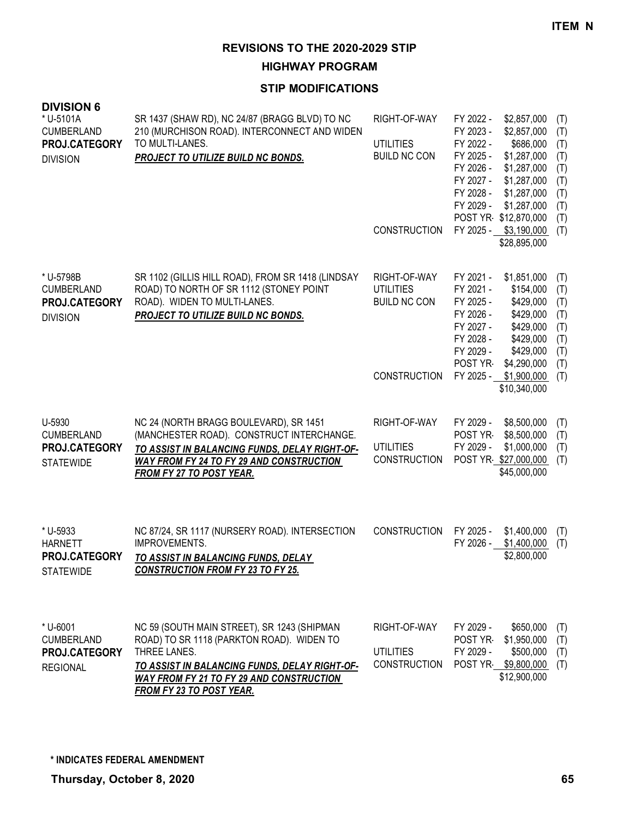**HIGHWAY PROGRAM**

| <b>DIVISION 6</b><br>* U-5101A     |                                                                                                                   |                                         |                                                                                |                   |
|------------------------------------|-------------------------------------------------------------------------------------------------------------------|-----------------------------------------|--------------------------------------------------------------------------------|-------------------|
| <b>CUMBERLAND</b><br>PROJ.CATEGORY | SR 1437 (SHAW RD), NC 24/87 (BRAGG BLVD) TO NC<br>210 (MURCHISON ROAD). INTERCONNECT AND WIDEN<br>TO MULTI-LANES. | RIGHT-OF-WAY<br><b>UTILITIES</b>        | FY 2022 -<br>\$2,857,000<br>FY 2023 -<br>\$2,857,000<br>FY 2022 -<br>\$686,000 | (T)<br>(T)<br>(T) |
| <b>DIVISION</b>                    | PROJECT TO UTILIZE BUILD NC BONDS.                                                                                | <b>BUILD NC CON</b>                     | FY 2025 -<br>\$1,287,000<br>FY 2026 -<br>\$1,287,000                           | (T)<br>(T)        |
|                                    |                                                                                                                   |                                         | FY 2027 -<br>\$1,287,000<br>FY 2028 -<br>\$1,287,000                           | (T)<br>(T)        |
|                                    |                                                                                                                   |                                         | FY 2029 -<br>\$1,287,000<br>POST YR \$12,870,000                               | (T)               |
|                                    |                                                                                                                   | <b>CONSTRUCTION</b>                     | FY 2025 - \$3,190,000                                                          | (T)<br>(T)        |
|                                    |                                                                                                                   |                                         | \$28,895,000                                                                   |                   |
| * U-5798B<br><b>CUMBERLAND</b>     | SR 1102 (GILLIS HILL ROAD), FROM SR 1418 (LINDSAY<br>ROAD) TO NORTH OF SR 1112 (STONEY POINT                      | RIGHT-OF-WAY<br><b>UTILITIES</b>        | FY 2021 -<br>\$1,851,000<br>FY 2021 -<br>\$154,000                             | (T)<br>(T)        |
| PROJ.CATEGORY                      | ROAD). WIDEN TO MULTI-LANES.                                                                                      | <b>BUILD NC CON</b>                     | FY 2025 -<br>\$429,000                                                         | (T)               |
| <b>DIVISION</b>                    | PROJECT TO UTILIZE BUILD NC BONDS.                                                                                |                                         | FY 2026 -<br>\$429,000<br>FY 2027 -<br>\$429,000                               | (T)<br>(T)        |
|                                    |                                                                                                                   |                                         | FY 2028 -<br>\$429,000<br>FY 2029 -<br>\$429,000                               | (T)<br>(T)        |
|                                    |                                                                                                                   |                                         | POST YR<br>\$4,290,000                                                         | (T)               |
|                                    |                                                                                                                   | <b>CONSTRUCTION</b>                     | FY 2025 -<br>\$1,900,000<br>\$10,340,000                                       | (T)               |
|                                    |                                                                                                                   |                                         |                                                                                |                   |
| U-5930<br><b>CUMBERLAND</b>        | NC 24 (NORTH BRAGG BOULEVARD), SR 1451<br>(MANCHESTER ROAD). CONSTRUCT INTERCHANGE.                               | RIGHT-OF-WAY                            | FY 2029 -<br>\$8,500,000<br>POST YR-<br>\$8,500,000                            | (T)<br>(T)        |
| PROJ.CATEGORY                      | TO ASSIST IN BALANCING FUNDS, DELAY RIGHT-OF-<br><b>WAY FROM FY 24 TO FY 29 AND CONSTRUCTION</b>                  | <b>UTILITIES</b><br><b>CONSTRUCTION</b> | FY 2029 -<br>\$1,000,000<br>POST YR \$27,000,000                               | (T)<br>(T)        |
| <b>STATEWIDE</b>                   | <b>FROM FY 27 TO POST YEAR.</b>                                                                                   |                                         | \$45,000,000                                                                   |                   |
|                                    |                                                                                                                   |                                         |                                                                                |                   |
| * U-5933                           | NC 87/24, SR 1117 (NURSERY ROAD). INTERSECTION                                                                    | <b>CONSTRUCTION</b>                     | FY 2025 -<br>\$1,400,000                                                       | (T)               |
| <b>HARNETT</b>                     | IMPROVEMENTS.                                                                                                     |                                         | FY 2026 -<br>\$1,400,000                                                       | (T)               |
| PROJ.CATEGORY<br><b>STATEWIDE</b>  | TO ASSIST IN BALANCING FUNDS, DELAY<br><b>CONSTRUCTION FROM FY 23 TO FY 25.</b>                                   |                                         | \$2,800,000                                                                    |                   |
|                                    |                                                                                                                   |                                         |                                                                                |                   |
| * U-6001                           | NC 59 (SOUTH MAIN STREET), SR 1243 (SHIPMAN                                                                       | RIGHT-OF-WAY                            | FY 2029 -<br>\$650,000                                                         | (T)               |
| <b>CUMBERLAND</b>                  | ROAD) TO SR 1118 (PARKTON ROAD). WIDEN TO<br>THREE LANES.                                                         |                                         | \$1,950,000<br>POST YR                                                         | (T)               |
| PROJ.CATEGORY<br><b>REGIONAL</b>   | TO ASSIST IN BALANCING FUNDS, DELAY RIGHT-OF-                                                                     | <b>UTILITIES</b><br><b>CONSTRUCTION</b> | FY 2029 -<br>\$500,000<br>POST YR \$9,800,000                                  | (T)<br>(T)        |
|                                    | <b>WAY FROM FY 21 TO FY 29 AND CONSTRUCTION</b><br><b>FROM FY 23 TO POST YEAR.</b>                                |                                         | \$12,900,000                                                                   |                   |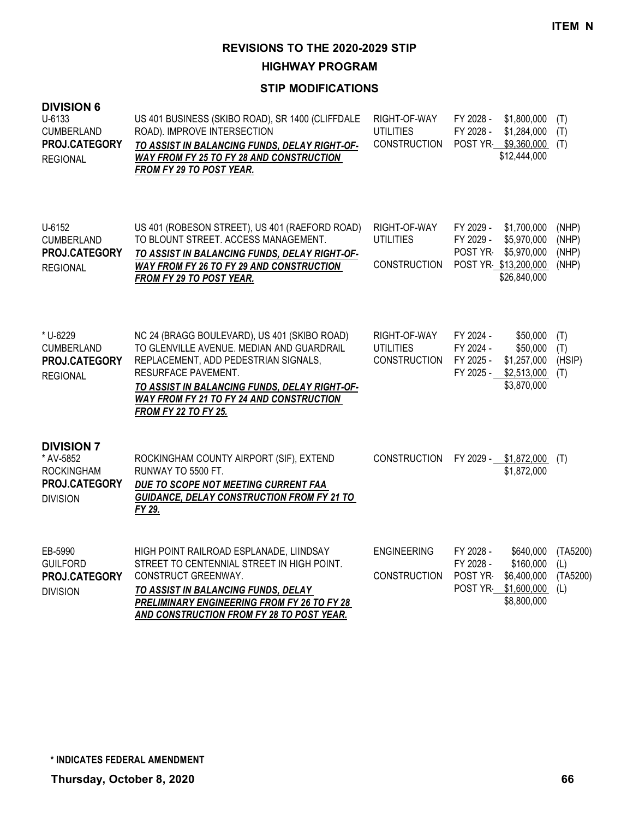**HIGHWAY PROGRAM**

| <b>DIVISION 6</b><br>U-6133<br><b>CUMBERLAND</b><br>PROJ.CATEGORY<br><b>REGIONAL</b>    | US 401 BUSINESS (SKIBO ROAD), SR 1400 (CLIFFDALE<br>ROAD). IMPROVE INTERSECTION<br>TO ASSIST IN BALANCING FUNDS, DELAY RIGHT-OF-<br><b>WAY FROM FY 25 TO FY 28 AND CONSTRUCTION</b><br>FROM FY 29 TO POST YEAR.                                                                             | RIGHT-OF-WAY<br><b>UTILITIES</b><br><b>CONSTRUCTION</b> | FY 2028 -<br>FY 2028 -                        | \$1,800,000<br>\$1,284,000<br>POST YR \$9,360,000<br>\$12,444,000                 | (T)<br>(T)<br>(T)                  |
|-----------------------------------------------------------------------------------------|---------------------------------------------------------------------------------------------------------------------------------------------------------------------------------------------------------------------------------------------------------------------------------------------|---------------------------------------------------------|-----------------------------------------------|-----------------------------------------------------------------------------------|------------------------------------|
| U-6152<br><b>CUMBERLAND</b><br>PROJ.CATEGORY<br><b>REGIONAL</b>                         | US 401 (ROBESON STREET), US 401 (RAEFORD ROAD)<br>TO BLOUNT STREET. ACCESS MANAGEMENT.<br>TO ASSIST IN BALANCING FUNDS, DELAY RIGHT-OF-<br>WAY FROM FY 26 TO FY 29 AND CONSTRUCTION<br><b>FROM FY 29 TO POST YEAR.</b>                                                                      | RIGHT-OF-WAY<br><b>UTILITIES</b><br><b>CONSTRUCTION</b> | FY 2029 -<br>FY 2029 -<br>POST YR             | \$1,700,000<br>\$5,970,000<br>\$5,970,000<br>POST YR \$13,200,000<br>\$26,840,000 | (NHP)<br>(NHP)<br>(NHP)<br>(NHP)   |
| * U-6229<br><b>CUMBERLAND</b><br>PROJ.CATEGORY<br><b>REGIONAL</b>                       | NC 24 (BRAGG BOULEVARD), US 401 (SKIBO ROAD)<br>TO GLENVILLE AVENUE. MEDIAN AND GUARDRAIL<br>REPLACEMENT, ADD PEDESTRIAN SIGNALS,<br>RESURFACE PAVEMENT.<br>TO ASSIST IN BALANCING FUNDS, DELAY RIGHT-OF-<br><b>WAY FROM FY 21 TO FY 24 AND CONSTRUCTION</b><br><b>FROM FY 22 TO FY 25.</b> | RIGHT-OF-WAY<br><b>UTILITIES</b><br><b>CONSTRUCTION</b> | FY 2024 -<br>FY 2024 -<br>FY 2025 -           | \$50,000<br>\$50,000<br>\$1,257,000<br>FY 2025 - \$2,513,000<br>\$3,870,000       | (T)<br>(T)<br>(HSIP)<br>(T)        |
| <b>DIVISION 7</b><br>* AV-5852<br><b>ROCKINGHAM</b><br>PROJ.CATEGORY<br><b>DIVISION</b> | ROCKINGHAM COUNTY AIRPORT (SIF), EXTEND<br>RUNWAY TO 5500 FT.<br>DUE TO SCOPE NOT MEETING CURRENT FAA<br><b>GUIDANCE, DELAY CONSTRUCTION FROM FY 21 TO</b><br>FY 29.                                                                                                                        | <b>CONSTRUCTION</b>                                     |                                               | FY 2029 - \$1,872,000<br>\$1,872,000                                              | (T)                                |
| EB-5990<br><b>GUILFORD</b><br>PROJ.CATEGORY<br><b>DIVISION</b>                          | HIGH POINT RAILROAD ESPLANADE, LIINDSAY<br>STREET TO CENTENNIAL STREET IN HIGH POINT.<br>CONSTRUCT GREENWAY.<br>TO ASSIST IN BALANCING FUNDS, DELAY<br><b>PRELIMINARY ENGINEERING FROM FY 26 TO FY 28</b><br>AND CONSTRUCTION FROM FY 28 TO POST YEAR.                                      | <b>ENGINEERING</b><br><b>CONSTRUCTION</b>               | FY 2028 -<br>FY 2028 -<br>POST YR-<br>POST YR | \$640,000<br>\$160,000<br>\$6,400,000<br>\$1,600,000<br>\$8,800,000               | (TA5200)<br>(L)<br>(TA5200)<br>(L) |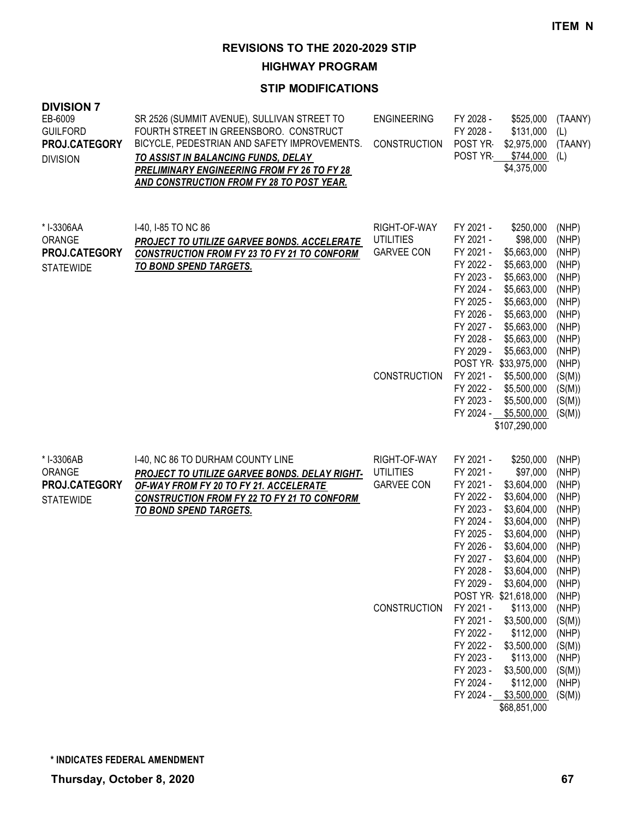**HIGHWAY PROGRAM**

| <b>DIVISION 7</b><br>EB-6009<br><b>GUILFORD</b><br>PROJ.CATEGORY<br><b>DIVISION</b> | SR 2526 (SUMMIT AVENUE), SULLIVAN STREET TO<br>FOURTH STREET IN GREENSBORO. CONSTRUCT<br>BICYCLE, PEDESTRIAN AND SAFETY IMPROVEMENTS.<br>TO ASSIST IN BALANCING FUNDS, DELAY<br>PRELIMINARY ENGINEERING FROM FY 26 TO FY 28<br>AND CONSTRUCTION FROM FY 28 TO POST YEAR. | <b>ENGINEERING</b><br><b>CONSTRUCTION</b>                                    | FY 2028 -<br>FY 2028 -<br>POST YR<br>POST YR                                                                                                                                       | \$525,000<br>\$131,000<br>\$2,975,000<br>\$744,000<br>\$4,375,000                                                                                                                                                                 | (TAANY)<br>(L)<br>(TAANY)<br>(L)                                                                                                       |
|-------------------------------------------------------------------------------------|--------------------------------------------------------------------------------------------------------------------------------------------------------------------------------------------------------------------------------------------------------------------------|------------------------------------------------------------------------------|------------------------------------------------------------------------------------------------------------------------------------------------------------------------------------|-----------------------------------------------------------------------------------------------------------------------------------------------------------------------------------------------------------------------------------|----------------------------------------------------------------------------------------------------------------------------------------|
| *I-3306AA<br>ORANGE<br>PROJ.CATEGORY<br><b>STATEWIDE</b>                            | I-40, I-85 TO NC 86<br>PROJECT TO UTILIZE GARVEE BONDS. ACCELERATE<br><b>CONSTRUCTION FROM FY 23 TO FY 21 TO CONFORM</b><br><b>TO BOND SPEND TARGETS.</b>                                                                                                                | RIGHT-OF-WAY<br><b>UTILITIES</b><br><b>GARVEE CON</b><br><b>CONSTRUCTION</b> | FY 2021 -<br>FY 2021 -<br>FY 2021 -<br>FY 2022 -<br>FY 2023 -<br>FY 2024 -<br>FY 2025 -<br>FY 2026 -<br>FY 2027 -<br>FY 2028 -<br>FY 2029 -<br>FY 2021 -<br>FY 2022 -<br>FY 2023 - | \$250,000<br>\$98,000<br>\$5,663,000<br>\$5,663,000<br>\$5,663,000<br>\$5,663,000<br>\$5,663,000<br>\$5,663,000<br>\$5,663,000<br>\$5,663,000<br>\$5,663,000<br>POST YR \$33,975,000<br>\$5,500,000<br>\$5,500,000<br>\$5,500,000 | (NHP)<br>(NHP)<br>(NHP)<br>(NHP)<br>(NHP)<br>(NHP)<br>(NHP)<br>(NHP)<br>(NHP)<br>(NHP)<br>(NHP)<br>(NHP)<br>(S(M))<br>(S(M))<br>(S(M)) |
|                                                                                     |                                                                                                                                                                                                                                                                          |                                                                              | FY 2024 -                                                                                                                                                                          | \$5,500,000<br>\$107,290,000                                                                                                                                                                                                      | (S(M))                                                                                                                                 |
| * I-3306AB<br>ORANGE<br>PROJ.CATEGORY<br><b>STATEWIDE</b>                           | I-40, NC 86 TO DURHAM COUNTY LINE<br>PROJECT TO UTILIZE GARVEE BONDS. DELAY RIGHT-<br>OF-WAY FROM FY 20 TO FY 21. ACCELERATE<br><b>CONSTRUCTION FROM FY 22 TO FY 21 TO CONFORM</b><br>TO BOND SPEND TARGETS.                                                             | RIGHT-OF-WAY<br><b>UTILITIES</b><br><b>GARVEE CON</b>                        | FY 2021 -<br>FY 2021 -<br>FY 2021 -<br>FY 2022 -<br>FY 2023 -<br>FY 2024 -<br>FY 2025 -<br>FY 2026 -<br>FY 2027 -<br>FY 2028 -<br>FY 2029 -                                        | \$250,000<br>\$97,000<br>\$3,604,000<br>\$3,604,000<br>\$3,604,000<br>\$3,604,000<br>\$3,604,000<br>\$3,604,000<br>\$3,604,000<br>\$3,604,000<br>\$3,604,000                                                                      | (NHP)<br>(NHP)<br>(NHP)<br>(NHP)<br>(NHP)<br>(NHP)<br>(NHP)<br>(NHP)<br>(NHP)<br>(NHP)<br>(NHP)                                        |
|                                                                                     |                                                                                                                                                                                                                                                                          | CONSTRUCTION                                                                 | FY 2021 -<br>FY 2021 -<br>FY 2022 -<br>FY 2022 -<br>FY 2023 -<br>FY 2023 -<br>FY 2024 -<br>FY 2024 -                                                                               | POST YR \$21,618,000<br>\$113,000<br>\$3,500,000<br>\$112,000<br>\$3,500,000<br>\$113,000<br>\$3,500,000<br>\$112,000<br>\$3,500,000<br>\$68,851,000                                                                              | (NHP)<br>(NHP)<br>(S(M))<br>(NHP)<br>(S(M))<br>(NHP)<br>(S(M))<br>(NHP)<br>(S(M))                                                      |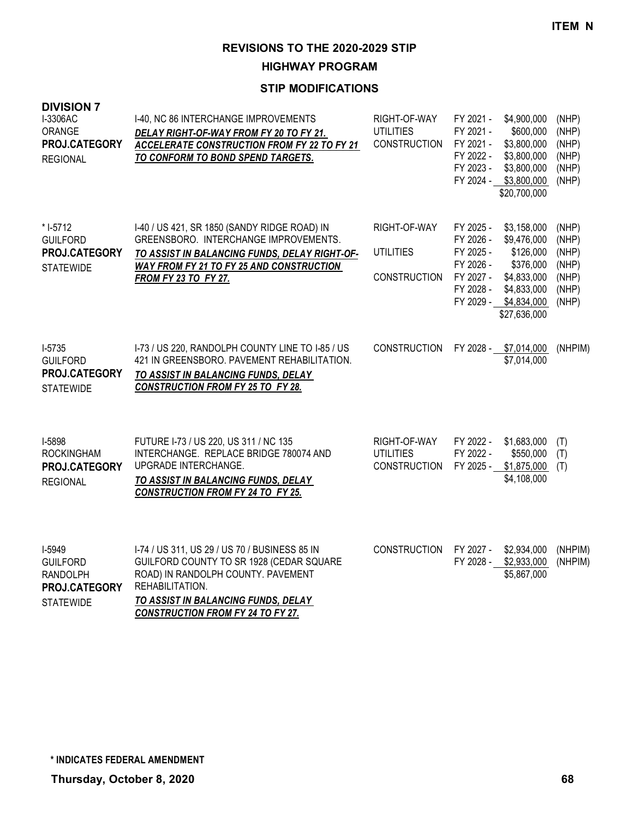**HIGHWAY PROGRAM**

| <b>DIVISION 7</b><br>I-3306AC<br>ORANGE<br>PROJ.CATEGORY<br><b>REGIONAL</b>       | I-40, NC 86 INTERCHANGE IMPROVEMENTS<br>DELAY RIGHT-OF-WAY FROM FY 20 TO FY 21.<br><b>ACCELERATE CONSTRUCTION FROM FY 22 TO FY 21</b><br>TO CONFORM TO BOND SPEND TARGETS.                                                            | RIGHT-OF-WAY<br><b>UTILITIES</b><br><b>CONSTRUCTION</b> | FY 2021 -<br>FY 2021 -<br>FY 2021 -<br>FY 2022 -<br>FY 2023 -<br>FY 2024 -              | \$4,900,000<br>\$600,000<br>\$3,800,000<br>\$3,800,000<br>\$3,800,000<br>\$3,800,000<br>\$20,700,000              | (NHP)<br>(NHP)<br>(NHP)<br>(NHP)<br>(NHP)<br>(NHP)          |
|-----------------------------------------------------------------------------------|---------------------------------------------------------------------------------------------------------------------------------------------------------------------------------------------------------------------------------------|---------------------------------------------------------|-----------------------------------------------------------------------------------------|-------------------------------------------------------------------------------------------------------------------|-------------------------------------------------------------|
| * I-5712<br><b>GUILFORD</b><br>PROJ.CATEGORY<br><b>STATEWIDE</b>                  | 1-40 / US 421, SR 1850 (SANDY RIDGE ROAD) IN<br>GREENSBORO. INTERCHANGE IMPROVEMENTS.<br>TO ASSIST IN BALANCING FUNDS, DELAY RIGHT-OF-<br><b>WAY FROM FY 21 TO FY 25 AND CONSTRUCTION</b><br><b>FROM FY 23 TO FY 27.</b>              | RIGHT-OF-WAY<br><b>UTILITIES</b><br><b>CONSTRUCTION</b> | FY 2025 -<br>FY 2026 -<br>FY 2025 -<br>FY 2026 -<br>FY 2027 -<br>FY 2028 -<br>FY 2029 - | \$3,158,000<br>\$9,476,000<br>\$126,000<br>\$376,000<br>\$4,833,000<br>\$4,833,000<br>\$4,834,000<br>\$27,636,000 | (NHP)<br>(NHP)<br>(NHP)<br>(NHP)<br>(NHP)<br>(NHP)<br>(NHP) |
| $I-5735$<br><b>GUILFORD</b><br>PROJ.CATEGORY<br><b>STATEWIDE</b>                  | I-73 / US 220, RANDOLPH COUNTY LINE TO I-85 / US<br>421 IN GREENSBORO. PAVEMENT REHABILITATION.<br>TO ASSIST IN BALANCING FUNDS, DELAY<br><b>CONSTRUCTION FROM FY 25 TO FY 28.</b>                                                    | <b>CONSTRUCTION</b>                                     |                                                                                         | FY 2028 - \$7,014,000<br>\$7,014,000                                                                              | (NHPIM)                                                     |
| I-5898<br><b>ROCKINGHAM</b><br>PROJ.CATEGORY<br><b>REGIONAL</b>                   | FUTURE I-73 / US 220, US 311 / NC 135<br>INTERCHANGE. REPLACE BRIDGE 780074 AND<br>UPGRADE INTERCHANGE.<br>TO ASSIST IN BALANCING FUNDS, DELAY<br><b>CONSTRUCTION FROM FY 24 TO FY 25.</b>                                            | RIGHT-OF-WAY<br><b>UTILITIES</b><br><b>CONSTRUCTION</b> | FY 2022 -<br>FY 2022 -<br>FY 2025 -                                                     | \$1,683,000<br>\$550,000<br>\$1,875,000<br>\$4,108,000                                                            | (T)<br>(T)<br>(T)                                           |
| I-5949<br><b>GUILFORD</b><br><b>RANDOLPH</b><br>PROJ.CATEGORY<br><b>STATEWIDE</b> | I-74 / US 311, US 29 / US 70 / BUSINESS 85 IN<br>GUILFORD COUNTY TO SR 1928 (CEDAR SQUARE<br>ROAD) IN RANDOLPH COUNTY. PAVEMENT<br>REHABILITATION.<br>TO ASSIST IN BALANCING FUNDS, DELAY<br><b>CONSTRUCTION FROM FY 24 TO FY 27.</b> | <b>CONSTRUCTION</b>                                     | FY 2027 -<br>FY 2028 -                                                                  | \$2,934,000<br>\$2,933,000<br>\$5,867,000                                                                         | (NHPIM)<br>(NHPIM)                                          |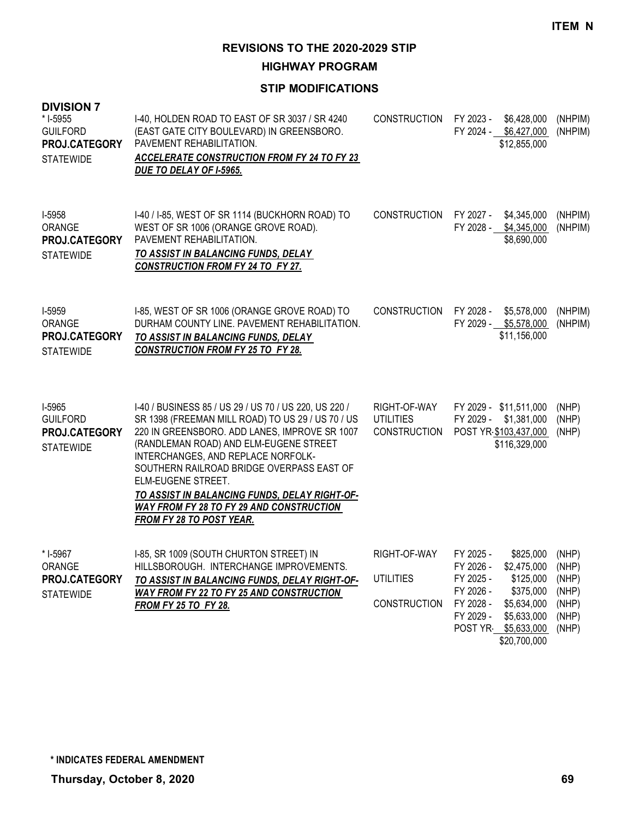**HIGHWAY PROGRAM**

| <b>DIVISION 7</b><br>* I-5955<br><b>GUILFORD</b><br>PROJ.CATEGORY<br><b>STATEWIDE</b> | I-40, HOLDEN ROAD TO EAST OF SR 3037 / SR 4240<br>(EAST GATE CITY BOULEVARD) IN GREENSBORO.<br>PAVEMENT REHABILITATION.<br><b>ACCELERATE CONSTRUCTION FROM FY 24 TO FY 23</b><br>DUE TO DELAY OF I-5965.                                                                                                                                                                                                                                       | <b>CONSTRUCTION</b>                                     | FY 2023 - \$6,428,000<br>FY 2024 - \$6,427,000<br>\$12,855,000                                                                                                                                        | (NHPIM)<br>(NHPIM)                                          |
|---------------------------------------------------------------------------------------|------------------------------------------------------------------------------------------------------------------------------------------------------------------------------------------------------------------------------------------------------------------------------------------------------------------------------------------------------------------------------------------------------------------------------------------------|---------------------------------------------------------|-------------------------------------------------------------------------------------------------------------------------------------------------------------------------------------------------------|-------------------------------------------------------------|
| I-5958<br>ORANGE<br>PROJ.CATEGORY<br><b>STATEWIDE</b>                                 | I-40 / I-85, WEST OF SR 1114 (BUCKHORN ROAD) TO<br>WEST OF SR 1006 (ORANGE GROVE ROAD).<br>PAVEMENT REHABILITATION.<br>TO ASSIST IN BALANCING FUNDS, DELAY<br><b>CONSTRUCTION FROM FY 24 TO FY 27.</b>                                                                                                                                                                                                                                         | <b>CONSTRUCTION</b>                                     | FY 2027 - \$4,345,000<br>FY 2028 - \$4,345,000<br>\$8,690,000                                                                                                                                         | (NHPIM)<br>(NHPIM)                                          |
| I-5959<br>ORANGE<br>PROJ.CATEGORY<br><b>STATEWIDE</b>                                 | I-85, WEST OF SR 1006 (ORANGE GROVE ROAD) TO<br>DURHAM COUNTY LINE, PAVEMENT REHABILITATION.<br>TO ASSIST IN BALANCING FUNDS, DELAY<br><b>CONSTRUCTION FROM FY 25 TO FY 28.</b>                                                                                                                                                                                                                                                                | <b>CONSTRUCTION</b>                                     | FY 2028 -<br>\$5,578,000<br>FY 2029 - \$5,578,000<br>\$11,156,000                                                                                                                                     | (NHPIM)<br>(NHPIM)                                          |
| I-5965<br><b>GUILFORD</b><br>PROJ.CATEGORY<br><b>STATEWIDE</b>                        | I-40 / BUSINESS 85 / US 29 / US 70 / US 220, US 220 /<br>SR 1398 (FREEMAN MILL ROAD) TO US 29 / US 70 / US<br>220 IN GREENSBORO. ADD LANES, IMPROVE SR 1007<br>(RANDLEMAN ROAD) AND ELM-EUGENE STREET<br>INTERCHANGES, AND REPLACE NORFOLK-<br>SOUTHERN RAILROAD BRIDGE OVERPASS EAST OF<br>ELM-EUGENE STREET.<br>TO ASSIST IN BALANCING FUNDS, DELAY RIGHT-OF-<br><b>WAY FROM FY 28 TO FY 29 AND CONSTRUCTION</b><br>FROM FY 28 TO POST YEAR. | RIGHT-OF-WAY<br><b>UTILITIES</b><br><b>CONSTRUCTION</b> | FY 2029 - \$11,511,000<br>FY 2029 -<br>\$1,381,000<br>POST YR \$103,437,000<br>\$116,329,000                                                                                                          | (NHP)<br>(NHP)<br>(NHP)                                     |
| * I-5967<br>ORANGE<br>PROJ.CATEGORY<br><b>STATEWIDE</b>                               | I-85, SR 1009 (SOUTH CHURTON STREET) IN<br>HILLSBOROUGH. INTERCHANGE IMPROVEMENTS.<br>TO ASSIST IN BALANCING FUNDS, DELAY RIGHT-OF-<br><b>WAY FROM FY 22 TO FY 25 AND CONSTRUCTION</b><br><b>FROM FY 25 TO FY 28.</b>                                                                                                                                                                                                                          | RIGHT-OF-WAY<br><b>UTILITIES</b><br><b>CONSTRUCTION</b> | FY 2025 -<br>\$825,000<br>FY 2026 -<br>\$2,475,000<br>\$125,000<br>FY 2025 -<br>FY 2026 -<br>\$375,000<br>FY 2028 -<br>\$5,634,000<br>FY 2029 -<br>\$5,633,000<br>POST YR \$5,633,000<br>\$20,700,000 | (NHP)<br>(NHP)<br>(NHP)<br>(NHP)<br>(NHP)<br>(NHP)<br>(NHP) |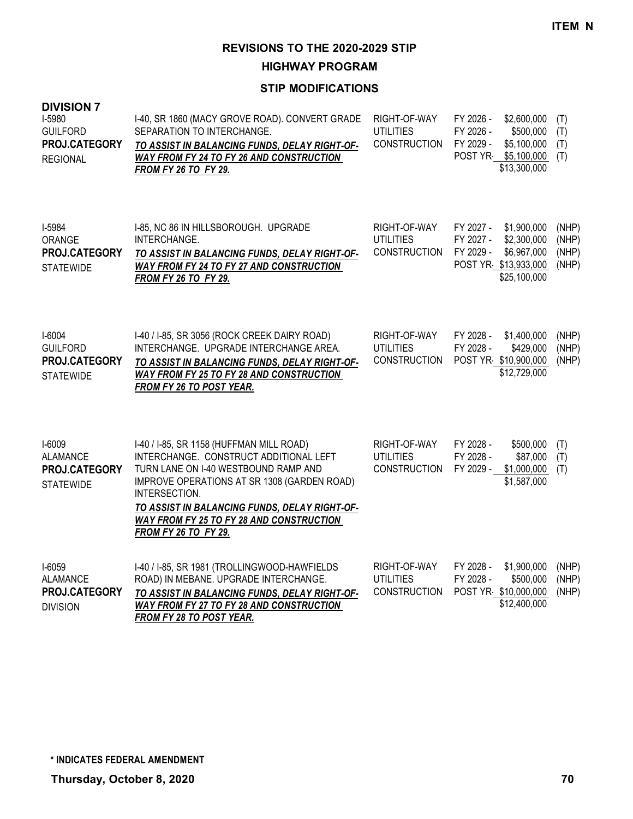**HIGHWAY PROGRAM**

| <b>DIVISION 7</b><br>I-5980<br><b>GUILFORD</b><br>PROJ.CATEGORY<br><b>REGIONAL</b> | I-40, SR 1860 (MACY GROVE ROAD). CONVERT GRADE<br>SEPARATION TO INTERCHANGE.<br>TO ASSIST IN BALANCING FUNDS, DELAY RIGHT-OF-<br>WAY FROM FY 24 TO FY 26 AND CONSTRUCTION<br>FROM FY 26 TO FY 29.                                                                                                               | RIGHT-OF-WAY<br><b>UTILITIES</b><br><b>CONSTRUCTION</b> | FY 2026 -<br>\$2,600,000<br>FY 2026 -<br>\$500,000<br>FY 2029 -<br>\$5,100,000<br>POST YR \$5,100,000<br>\$13,300,000    | (T)<br>(T)<br>(T)<br>(T)         |
|------------------------------------------------------------------------------------|-----------------------------------------------------------------------------------------------------------------------------------------------------------------------------------------------------------------------------------------------------------------------------------------------------------------|---------------------------------------------------------|--------------------------------------------------------------------------------------------------------------------------|----------------------------------|
| I-5984<br>ORANGE<br>PROJ.CATEGORY<br><b>STATEWIDE</b>                              | I-85, NC 86 IN HILLSBOROUGH. UPGRADE<br>INTERCHANGE.<br>TO ASSIST IN BALANCING FUNDS, DELAY RIGHT-OF-<br><b>WAY FROM FY 24 TO FY 27 AND CONSTRUCTION</b><br><b>FROM FY 26 TO FY 29.</b>                                                                                                                         | RIGHT-OF-WAY<br><b>UTILITIES</b><br>CONSTRUCTION        | FY 2027 -<br>\$1,900,000<br>FY 2027 -<br>\$2,300,000<br>FY 2029 -<br>\$6,967,000<br>POST YR \$13,933,000<br>\$25,100,000 | (NHP)<br>(NHP)<br>(NHP)<br>(NHP) |
| I-6004<br><b>GUILFORD</b><br>PROJ.CATEGORY<br><b>STATEWIDE</b>                     | I-40 / I-85, SR 3056 (ROCK CREEK DAIRY ROAD)<br>INTERCHANGE. UPGRADE INTERCHANGE AREA.<br>TO ASSIST IN BALANCING FUNDS, DELAY RIGHT-OF-<br><b>WAY FROM FY 25 TO FY 28 AND CONSTRUCTION</b><br><b>FROM FY 26 TO POST YEAR.</b>                                                                                   | RIGHT-OF-WAY<br><b>UTILITIES</b><br><b>CONSTRUCTION</b> | FY 2028 -<br>\$1,400,000<br>FY 2028 -<br>\$429,000<br>POST YR \$10,900,000<br>\$12,729,000                               | (NHP)<br>(NHP)<br>(NHP)          |
| I-6009<br><b>ALAMANCE</b><br>PROJ.CATEGORY<br><b>STATEWIDE</b>                     | I-40 / I-85, SR 1158 (HUFFMAN MILL ROAD)<br>INTERCHANGE. CONSTRUCT ADDITIONAL LEFT<br>TURN LANE ON I-40 WESTBOUND RAMP AND<br>IMPROVE OPERATIONS AT SR 1308 (GARDEN ROAD)<br>INTERSECTION.<br>TO ASSIST IN BALANCING FUNDS, DELAY RIGHT-OF-<br>WAY FROM FY 25 TO FY 28 AND CONSTRUCTION<br>FROM FY 26 TO FY 29. | RIGHT-OF-WAY<br><b>UTILITIES</b><br><b>CONSTRUCTION</b> | FY 2028 -<br>\$500,000<br>FY 2028 -<br>\$87,000<br>FY 2029 -<br>\$1,000,000<br>\$1,587,000                               | (T)<br>(T)<br>(T)                |
| I-6059<br><b>ALAMANCE</b><br>PROJ.CATEGORY<br><b>DIVISION</b>                      | I-40 / I-85, SR 1981 (TROLLINGWOOD-HAWFIELDS<br>ROAD) IN MEBANE. UPGRADE INTERCHANGE.<br>TO ASSIST IN BALANCING FUNDS, DELAY RIGHT-OF-<br><b>WAY FROM FY 27 TO FY 28 AND CONSTRUCTION</b><br><b>FROM FY 28 TO POST YEAR.</b>                                                                                    | RIGHT-OF-WAY<br><b>UTILITIES</b><br><b>CONSTRUCTION</b> | FY 2028 -<br>\$1,900,000<br>FY 2028 -<br>\$500,000<br>POST YR \$10,000,000<br>\$12,400,000                               | (NHP)<br>(NHP)<br>(NHP)          |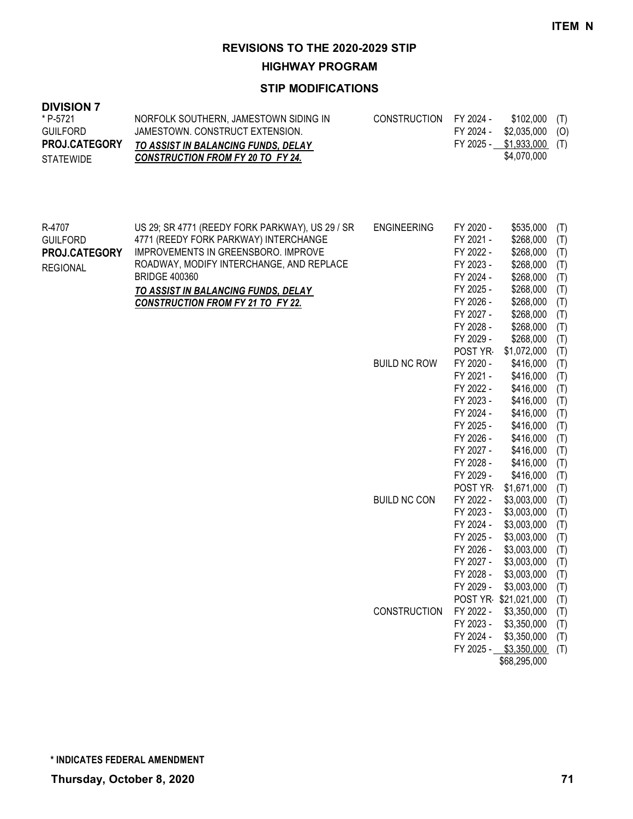**HIGHWAY PROGRAM**

| <b>DIVISION 7</b><br>* P-5721<br><b>GUILFORD</b><br>PROJ.CATEGORY<br><b>STATEWIDE</b> | NORFOLK SOUTHERN, JAMESTOWN SIDING IN<br>JAMESTOWN. CONSTRUCT EXTENSION.<br>TO ASSIST IN BALANCING FUNDS, DELAY<br><b>CONSTRUCTION FROM FY 20 TO FY 24.</b>                                                                                                                                   | <b>CONSTRUCTION</b> | FY 2024 -<br>FY 2024 -<br>FY 2025 -                                                                                                       | \$102,000<br>\$2,035,000<br>\$1,933,000<br>\$4,070,000                                                                                                      | (T)<br>(O)<br>(T)                                                         |
|---------------------------------------------------------------------------------------|-----------------------------------------------------------------------------------------------------------------------------------------------------------------------------------------------------------------------------------------------------------------------------------------------|---------------------|-------------------------------------------------------------------------------------------------------------------------------------------|-------------------------------------------------------------------------------------------------------------------------------------------------------------|---------------------------------------------------------------------------|
| R-4707<br><b>GUILFORD</b><br>PROJ.CATEGORY<br><b>REGIONAL</b>                         | US 29; SR 4771 (REEDY FORK PARKWAY), US 29 / SR<br>4771 (REEDY FORK PARKWAY) INTERCHANGE<br>IMPROVEMENTS IN GREENSBORO. IMPROVE<br>ROADWAY, MODIFY INTERCHANGE, AND REPLACE<br><b>BRIDGE 400360</b><br><u>TO ASSIST IN BALANCING FUNDS, DELAY</u><br><b>CONSTRUCTION FROM FY 21 TO FY 22.</b> | <b>ENGINEERING</b>  | FY 2020 -<br>FY 2021 -<br>FY 2022 -<br>FY 2023 -<br>FY 2024 -<br>FY 2025 -<br>FY 2026 -<br>FY 2027 -<br>FY 2028 -<br>FY 2029 -<br>POST YR | \$535,000<br>\$268,000<br>\$268,000<br>\$268,000<br>\$268,000<br>\$268,000<br>\$268,000<br>\$268,000<br>\$268,000<br>\$268,000<br>\$1,072,000               | (T)<br>(T)<br>(T)<br>(T)<br>(T)<br>(T)<br>(T)<br>(T)<br>(T)<br>(T)<br>(T) |
|                                                                                       |                                                                                                                                                                                                                                                                                               | <b>BUILD NC ROW</b> | FY 2020 -<br>FY 2021 -<br>FY 2022 -<br>FY 2023 -<br>FY 2024 -<br>FY 2025 -<br>FY 2026 -<br>FY 2027 -<br>FY 2028 -<br>FY 2029 -<br>POST YR | \$416,000<br>\$416,000<br>\$416,000<br>\$416,000<br>\$416,000<br>\$416,000<br>\$416,000<br>\$416,000<br>\$416,000<br>\$416,000                              | (T)<br>(T)<br>(T)<br>(T)<br>(T)<br>(T)<br>(T)<br>(T)<br>(T)<br>(T)        |
|                                                                                       |                                                                                                                                                                                                                                                                                               | <b>BUILD NC CON</b> | FY 2022 -<br>FY 2023 -<br>FY 2024 -<br>FY 2025 -<br>FY 2026 -<br>FY 2027 -<br>FY 2028 -<br>FY 2029 -                                      | \$1,671,000<br>\$3,003,000<br>\$3,003,000<br>\$3,003,000<br>\$3,003,000<br>\$3,003,000<br>\$3,003,000<br>\$3,003,000<br>\$3,003,000<br>POST YR \$21,021,000 | (T)<br>(T)<br>(T)<br>(T)<br>(T)<br>(T)<br>(T)<br>(T)<br>(T)<br>(T)        |
|                                                                                       |                                                                                                                                                                                                                                                                                               | <b>CONSTRUCTION</b> | FY 2022 -<br>FY 2023 -<br>FY 2024 -                                                                                                       | \$3,350,000<br>\$3,350,000<br>\$3,350,000<br>FY 2025 - \$3,350,000<br>\$68,295,000                                                                          | (T)<br>(T)<br>(T)<br>(T)                                                  |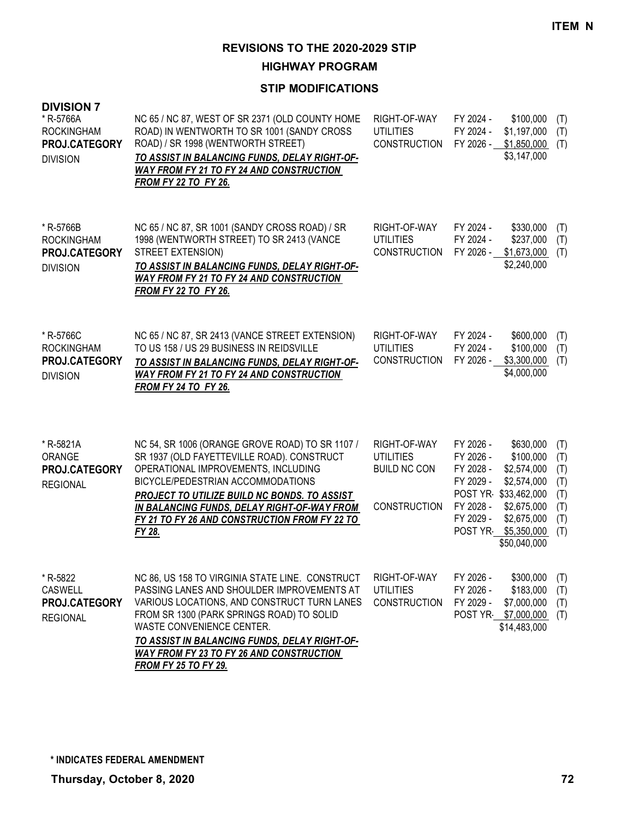**HIGHWAY PROGRAM**

| <b>DIVISION 7</b><br>* R-5766A<br><b>ROCKINGHAM</b><br><b>PROJ.CATEGORY</b><br><b>DIVISION</b> | NC 65 / NC 87, WEST OF SR 2371 (OLD COUNTY HOME<br>ROAD) IN WENTWORTH TO SR 1001 (SANDY CROSS<br>ROAD) / SR 1998 (WENTWORTH STREET)<br>TO ASSIST IN BALANCING FUNDS, DELAY RIGHT-OF-<br><b>WAY FROM FY 21 TO FY 24 AND CONSTRUCTION</b><br>FROM FY 22 TO FY 26.                                                                             | RIGHT-OF-WAY<br><b>UTILITIES</b><br><b>CONSTRUCTION</b>                        | FY 2024 -<br>FY 2024 -<br>FY 2026 -                                        | \$100,000<br>\$1,197,000<br>\$1,850,000<br>\$3,147,000                                                                                            | (T)<br>(T)<br>(T)                                    |
|------------------------------------------------------------------------------------------------|---------------------------------------------------------------------------------------------------------------------------------------------------------------------------------------------------------------------------------------------------------------------------------------------------------------------------------------------|--------------------------------------------------------------------------------|----------------------------------------------------------------------------|---------------------------------------------------------------------------------------------------------------------------------------------------|------------------------------------------------------|
| * R-5766B<br><b>ROCKINGHAM</b><br><b>PROJ.CATEGORY</b><br><b>DIVISION</b>                      | NC 65 / NC 87, SR 1001 (SANDY CROSS ROAD) / SR<br>1998 (WENTWORTH STREET) TO SR 2413 (VANCE<br>STREET EXTENSION)<br>TO ASSIST IN BALANCING FUNDS, DELAY RIGHT-OF-<br><b>WAY FROM FY 21 TO FY 24 AND CONSTRUCTION</b><br><b>FROM FY 22 TO FY 26.</b>                                                                                         | RIGHT-OF-WAY<br><b>UTILITIES</b><br><b>CONSTRUCTION</b>                        | FY 2024 -<br>FY 2024 -                                                     | \$330,000<br>\$237,000<br>FY 2026 - \$1,673,000<br>\$2,240,000                                                                                    | (T)<br>(T)<br>(T)                                    |
| * R-5766C<br><b>ROCKINGHAM</b><br><b>PROJ.CATEGORY</b><br><b>DIVISION</b>                      | NC 65 / NC 87, SR 2413 (VANCE STREET EXTENSION)<br>TO US 158 / US 29 BUSINESS IN REIDSVILLE<br>TO ASSIST IN BALANCING FUNDS, DELAY RIGHT-OF-<br>WAY FROM FY 21 TO FY 24 AND CONSTRUCTION<br><b>FROM FY 24 TO FY 26.</b>                                                                                                                     | RIGHT-OF-WAY<br><b>UTILITIES</b><br><b>CONSTRUCTION</b>                        | FY 2024 -<br>FY 2024 -<br>FY 2026 -                                        | \$600,000<br>\$100,000<br>\$3,300,000<br>\$4,000,000                                                                                              | (T)<br>(T)<br>(T)                                    |
| * R-5821A<br>ORANGE<br><b>PROJ.CATEGORY</b><br><b>REGIONAL</b>                                 | NC 54, SR 1006 (ORANGE GROVE ROAD) TO SR 1107 /<br>SR 1937 (OLD FAYETTEVILLE ROAD). CONSTRUCT<br>OPERATIONAL IMPROVEMENTS, INCLUDING<br>BICYCLE/PEDESTRIAN ACCOMMODATIONS<br>PROJECT TO UTILIZE BUILD NC BONDS. TO ASSIST<br>IN BALANCING FUNDS, DELAY RIGHT-OF-WAY FROM<br>FY 21 TO FY 26 AND CONSTRUCTION FROM FY 22 TO<br>FY 28.         | RIGHT-OF-WAY<br><b>UTILITIES</b><br><b>BUILD NC CON</b><br><b>CONSTRUCTION</b> | FY 2026 -<br>FY 2026 -<br>FY 2028 -<br>FY 2029 -<br>FY 2028 -<br>FY 2029 - | \$630,000<br>\$100,000<br>\$2,574,000<br>\$2,574,000<br>POST YR \$33,462,000<br>\$2,675,000<br>\$2,675,000<br>POST YR \$5,350,000<br>\$50,040,000 | (T)<br>(T)<br>(T)<br>(T)<br>(T)<br>(T)<br>(T)<br>(T) |
| * R-5822<br><b>CASWELL</b><br>PROJ.CATEGORY<br><b>REGIONAL</b>                                 | NC 86, US 158 TO VIRGINIA STATE LINE. CONSTRUCT<br>PASSING LANES AND SHOULDER IMPROVEMENTS AT<br>VARIOUS LOCATIONS, AND CONSTRUCT TURN LANES<br>FROM SR 1300 (PARK SPRINGS ROAD) TO SOLID<br>WASTE CONVENIENCE CENTER.<br>TO ASSIST IN BALANCING FUNDS, DELAY RIGHT-OF-<br>WAY FROM FY 23 TO FY 26 AND CONSTRUCTION<br>FROM FY 25 TO FY 29. | RIGHT-OF-WAY<br><b>UTILITIES</b><br><b>CONSTRUCTION</b>                        | FY 2026 -<br>FY 2026 -<br>FY 2029 -                                        | \$300,000<br>\$183,000<br>\$7,000,000<br>POST YR \$7,000,000<br>\$14,483,000                                                                      | (T)<br>(T)<br>(T)<br>(T)                             |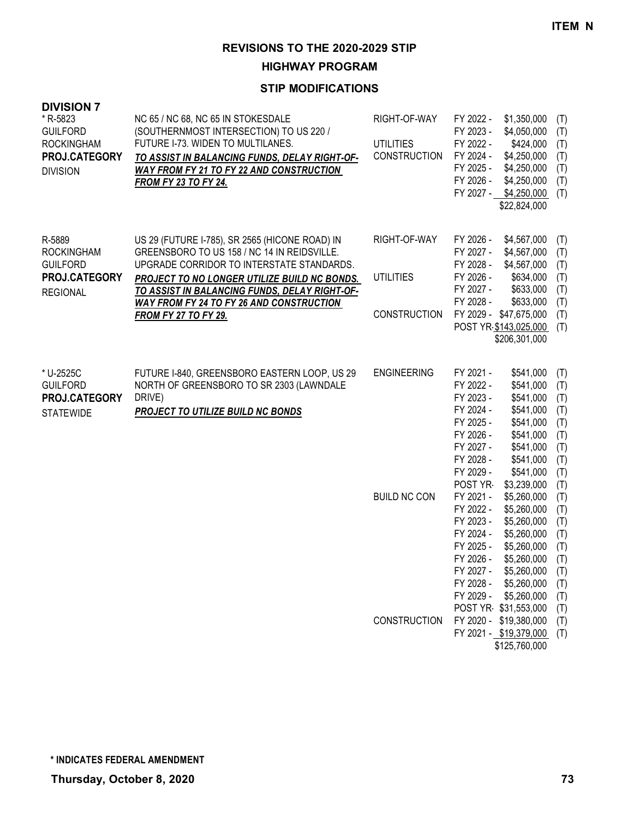**HIGHWAY PROGRAM**

| <b>DIVISION 7</b><br>* R-5823<br><b>GUILFORD</b><br><b>ROCKINGHAM</b><br>PROJ.CATEGORY<br><b>DIVISION</b> | NC 65 / NC 68, NC 65 IN STOKESDALE<br>(SOUTHERNMOST INTERSECTION) TO US 220 /<br>FUTURE I-73. WIDEN TO MULTILANES.<br>TO ASSIST IN BALANCING FUNDS, DELAY RIGHT-OF-<br><b>WAY FROM FY 21 TO FY 22 AND CONSTRUCTION</b><br><b>FROM FY 23 TO FY 24.</b> | RIGHT-OF-WAY<br><b>UTILITIES</b><br><b>CONSTRUCTION</b> | FY 2022 -<br>\$1,350,000<br>FY 2023 -<br>\$4,050,000<br>FY 2022 -<br>\$424,000<br>FY 2024 -<br>\$4,250,000<br>FY 2025 -<br>\$4,250,000<br>FY 2026 -<br>\$4,250,000<br>FY 2027 - \$4,250,000<br>\$22,824,000                                                                                                | (T)<br>(T)<br>(T)<br>(T)<br>(T)<br>(T)<br>(T)                             |
|-----------------------------------------------------------------------------------------------------------|-------------------------------------------------------------------------------------------------------------------------------------------------------------------------------------------------------------------------------------------------------|---------------------------------------------------------|------------------------------------------------------------------------------------------------------------------------------------------------------------------------------------------------------------------------------------------------------------------------------------------------------------|---------------------------------------------------------------------------|
| R-5889<br><b>ROCKINGHAM</b><br><b>GUILFORD</b><br>PROJ.CATEGORY<br><b>REGIONAL</b>                        | US 29 (FUTURE I-785), SR 2565 (HICONE ROAD) IN<br>GREENSBORO TO US 158 / NC 14 IN REIDSVILLE.<br>UPGRADE CORRIDOR TO INTERSTATE STANDARDS.<br>PROJECT TO NO LONGER UTILIZE BUILD NC BONDS.<br>TO ASSIST IN BALANCING FUNDS, DELAY RIGHT-OF-           | RIGHT-OF-WAY<br><b>UTILITIES</b>                        | FY 2026 -<br>\$4,567,000<br>FY 2027 -<br>\$4,567,000<br>FY 2028 -<br>\$4,567,000<br>FY 2026 -<br>\$634,000<br>FY 2027 -<br>\$633,000                                                                                                                                                                       | (T)<br>(T)<br>(T)<br>(T)<br>(T)                                           |
|                                                                                                           | <b>WAY FROM FY 24 TO FY 26 AND CONSTRUCTION</b><br><b>FROM FY 27 TO FY 29.</b>                                                                                                                                                                        | <b>CONSTRUCTION</b>                                     | FY 2028 -<br>\$633,000<br>FY 2029 - \$47,675,000<br>POST YR \$143,025,000<br>\$206,301,000                                                                                                                                                                                                                 | (T)<br>(T)<br>(T)                                                         |
| * U-2525C<br><b>GUILFORD</b><br>PROJ.CATEGORY<br><b>STATEWIDE</b>                                         | FUTURE I-840, GREENSBORO EASTERN LOOP, US 29<br>NORTH OF GREENSBORO TO SR 2303 (LAWNDALE<br>DRIVE)<br><b>PROJECT TO UTILIZE BUILD NC BONDS</b>                                                                                                        | <b>ENGINEERING</b>                                      | FY 2021 -<br>\$541,000<br>FY 2022 -<br>\$541,000<br>FY 2023 -<br>\$541,000<br>FY 2024 -<br>\$541,000<br>FY 2025 -<br>\$541,000<br>FY 2026 -<br>\$541,000<br>FY 2027 -<br>\$541,000<br>FY 2028 -<br>\$541,000<br>FY 2029 -<br>\$541,000                                                                     | (T)<br>(T)<br>(T)<br>(T)<br>(T)<br>(T)<br>(T)<br>(T)<br>(T)               |
|                                                                                                           |                                                                                                                                                                                                                                                       | <b>BUILD NC CON</b>                                     | POST YR<br>\$3,239,000<br>FY 2021 -<br>\$5,260,000<br>FY 2022 -<br>\$5,260,000<br>FY 2023 -<br>\$5,260,000<br>FY 2024 -<br>\$5,260,000<br>FY 2025 -<br>\$5,260,000<br>FY 2026 -<br>\$5,260,000<br>FY 2027 -<br>\$5,260,000<br>FY 2028 -<br>\$5,260,000<br>FY 2029 -<br>\$5,260,000<br>POST YR \$31,553,000 | (T)<br>(T)<br>(T)<br>(T)<br>(T)<br>(T)<br>(T)<br>(T)<br>(T)<br>(T)<br>(T) |
|                                                                                                           |                                                                                                                                                                                                                                                       | <b>CONSTRUCTION</b>                                     | FY 2020 - \$19,380,000<br>FY 2021 - \$19,379,000<br>\$125,760,000                                                                                                                                                                                                                                          | (T)<br>(T)                                                                |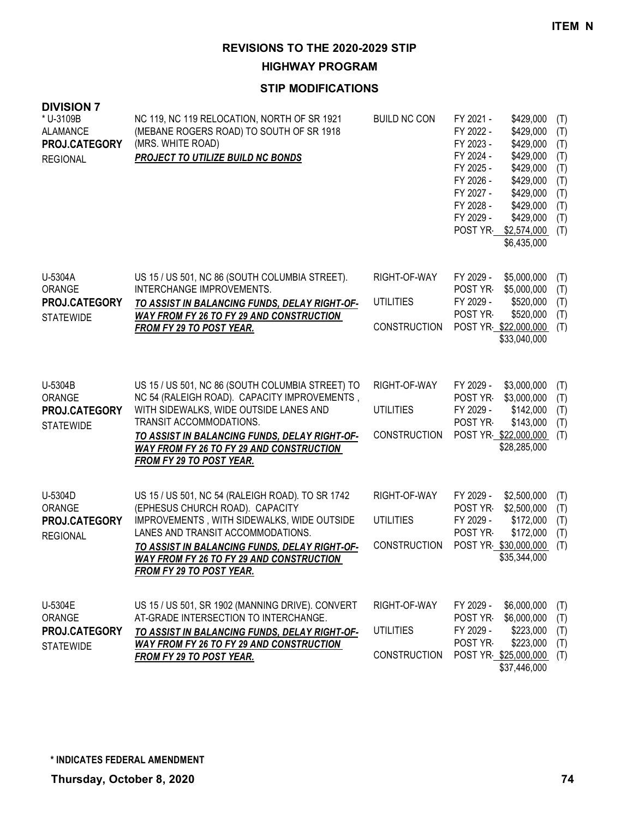**HIGHWAY PROGRAM**

| <b>DIVISION 7</b><br>* U-3109B<br><b>ALAMANCE</b><br>PROJ.CATEGORY<br><b>REGIONAL</b> | NC 119, NC 119 RELOCATION, NORTH OF SR 1921<br>(MEBANE ROGERS ROAD) TO SOUTH OF SR 1918<br>(MRS. WHITE ROAD)<br>PROJECT TO UTILIZE BUILD NC BONDS                                                                                                                                                            | <b>BUILD NC CON</b>                                     | FY 2021 -<br>\$429,000<br>(T)<br>FY 2022 -<br>\$429,000<br>(T)<br>FY 2023 -<br>\$429,000<br>(T)<br>FY 2024 -<br>\$429,000<br>(T)<br>FY 2025 -<br>\$429,000<br>(T)<br>FY 2026 -<br>\$429,000<br>(T)<br>FY 2027 -<br>\$429,000<br>(T)<br>FY 2028 -<br>\$429,000<br>(T)<br>FY 2029 -<br>\$429,000<br>(T)<br>POST YR-<br>\$2,574,000<br>(T)<br>\$6,435,000 |
|---------------------------------------------------------------------------------------|--------------------------------------------------------------------------------------------------------------------------------------------------------------------------------------------------------------------------------------------------------------------------------------------------------------|---------------------------------------------------------|--------------------------------------------------------------------------------------------------------------------------------------------------------------------------------------------------------------------------------------------------------------------------------------------------------------------------------------------------------|
| U-5304A<br>ORANGE<br>PROJ.CATEGORY<br><b>STATEWIDE</b>                                | US 15 / US 501, NC 86 (SOUTH COLUMBIA STREET).<br>INTERCHANGE IMPROVEMENTS.<br>TO ASSIST IN BALANCING FUNDS, DELAY RIGHT-OF-<br><b>WAY FROM FY 26 TO FY 29 AND CONSTRUCTION</b><br><b>FROM FY 29 TO POST YEAR.</b>                                                                                           | RIGHT-OF-WAY<br><b>UTILITIES</b><br><b>CONSTRUCTION</b> | FY 2029 -<br>\$5,000,000<br>(T)<br>POST YR<br>\$5,000,000<br>(T)<br>FY 2029 -<br>\$520,000<br>(T)<br>POST YR-<br>\$520,000<br>(T)<br>POST YR \$22,000,000<br>(T)<br>\$33,040,000                                                                                                                                                                       |
| U-5304B<br><b>ORANGE</b><br>PROJ.CATEGORY<br><b>STATEWIDE</b>                         | US 15 / US 501, NC 86 (SOUTH COLUMBIA STREET) TO<br>NC 54 (RALEIGH ROAD). CAPACITY IMPROVEMENTS,<br>WITH SIDEWALKS, WIDE OUTSIDE LANES AND<br>TRANSIT ACCOMMODATIONS.<br>TO ASSIST IN BALANCING FUNDS, DELAY RIGHT-OF-<br><b>WAY FROM FY 26 TO FY 29 AND CONSTRUCTION</b><br><b>FROM FY 29 TO POST YEAR.</b> | RIGHT-OF-WAY<br><b>UTILITIES</b><br><b>CONSTRUCTION</b> | FY 2029 -<br>\$3,000,000<br>(T)<br>POST YR-<br>\$3,000,000<br>(T)<br>FY 2029 -<br>\$142,000<br>(T)<br>POST YR-<br>\$143,000<br>(T)<br>POST YR \$22,000,000<br>(T)<br>\$28,285,000                                                                                                                                                                      |
| U-5304D<br>ORANGE<br>PROJ.CATEGORY<br><b>REGIONAL</b>                                 | US 15 / US 501, NC 54 (RALEIGH ROAD). TO SR 1742<br>(EPHESUS CHURCH ROAD). CAPACITY<br>IMPROVEMENTS, WITH SIDEWALKS, WIDE OUTSIDE<br>LANES AND TRANSIT ACCOMMODATIONS.<br>TO ASSIST IN BALANCING FUNDS, DELAY RIGHT-OF-<br><b>WAY FROM FY 26 TO FY 29 AND CONSTRUCTION</b><br>FROM FY 29 TO POST YEAR.       | RIGHT-OF-WAY<br><b>UTILITIES</b><br>CONSTRUCTION        | \$2,500,000<br>FY 2029 -<br>(T)<br>POST YR<br>\$2,500,000<br>(T)<br>FY 2029 -<br>\$172,000<br>(T)<br>POST YR-<br>\$172,000<br>(T)<br>POST YR \$30,000,000<br>(T)<br>\$35,344,000                                                                                                                                                                       |
| U-5304E<br>ORANGE<br>PROJ.CATEGORY<br><b>STATEWIDE</b>                                | US 15 / US 501, SR 1902 (MANNING DRIVE). CONVERT<br>AT-GRADE INTERSECTION TO INTERCHANGE.<br>TO ASSIST IN BALANCING FUNDS, DELAY RIGHT-OF-<br><b>WAY FROM FY 26 TO FY 29 AND CONSTRUCTION</b><br>FROM FY 29 TO POST YEAR.                                                                                    | RIGHT-OF-WAY<br><b>UTILITIES</b><br><b>CONSTRUCTION</b> | FY 2029 -<br>\$6,000,000<br>(T)<br>POST YR<br>\$6,000,000<br>(T)<br>FY 2029 -<br>\$223,000<br>(T)<br>POST YR<br>\$223,000<br>(T)<br>POST YR \$25,000,000<br>(T)<br>\$37,446,000                                                                                                                                                                        |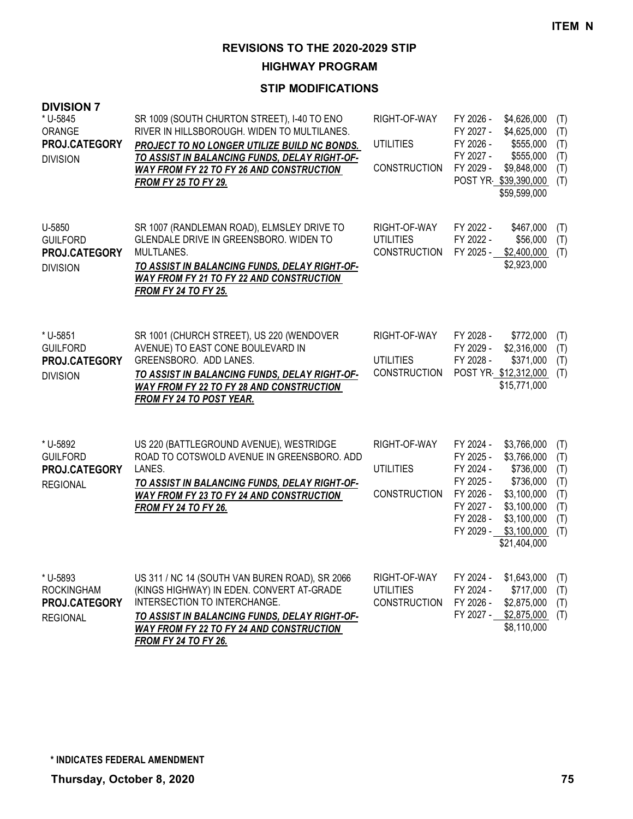**HIGHWAY PROGRAM**

| <b>DIVISION 7</b><br>* U-5845<br>ORANGE<br>PROJ.CATEGORY<br><b>DIVISION</b> | SR 1009 (SOUTH CHURTON STREET), I-40 TO ENO<br>RIVER IN HILLSBOROUGH. WIDEN TO MULTILANES.<br>PROJECT TO NO LONGER UTILIZE BUILD NC BONDS.<br>TO ASSIST IN BALANCING FUNDS, DELAY RIGHT-OF-<br>WAY FROM FY 22 TO FY 26 AND CONSTRUCTION<br><b>FROM FY 25 TO FY 29.</b> | RIGHT-OF-WAY<br><b>UTILITIES</b><br><b>CONSTRUCTION</b> | FY 2026 -<br>FY 2027 -<br>FY 2026 -<br>FY 2027 -<br>FY 2029 -                                        | \$4,626,000<br>\$4,625,000<br>\$555,000<br>\$555,000<br>\$9,848,000<br>POST YR \$39,390,000<br>\$59,599,000                      | (T)<br>(T)<br>(T)<br>(T)<br>(T)<br>(T)               |
|-----------------------------------------------------------------------------|------------------------------------------------------------------------------------------------------------------------------------------------------------------------------------------------------------------------------------------------------------------------|---------------------------------------------------------|------------------------------------------------------------------------------------------------------|----------------------------------------------------------------------------------------------------------------------------------|------------------------------------------------------|
| U-5850<br><b>GUILFORD</b><br>PROJ.CATEGORY<br><b>DIVISION</b>               | SR 1007 (RANDLEMAN ROAD), ELMSLEY DRIVE TO<br>GLENDALE DRIVE IN GREENSBORO. WIDEN TO<br>MULTLANES.<br>TO ASSIST IN BALANCING FUNDS, DELAY RIGHT-OF-<br><b>WAY FROM FY 21 TO FY 22 AND CONSTRUCTION</b><br><b>FROM FY 24 TO FY 25.</b>                                  | RIGHT-OF-WAY<br><b>UTILITIES</b><br><b>CONSTRUCTION</b> | FY 2022 -<br>FY 2022 -<br>FY 2025 -                                                                  | \$467,000<br>\$56,000<br>\$2,400,000<br>\$2,923,000                                                                              | (T)<br>(T)<br>(T)                                    |
| * U-5851<br><b>GUILFORD</b><br>PROJ.CATEGORY<br><b>DIVISION</b>             | SR 1001 (CHURCH STREET), US 220 (WENDOVER<br>AVENUE) TO EAST CONE BOULEVARD IN<br>GREENSBORO. ADD LANES.<br>TO ASSIST IN BALANCING FUNDS, DELAY RIGHT-OF-<br>WAY FROM FY 22 TO FY 28 AND CONSTRUCTION<br><b>FROM FY 24 TO POST YEAR.</b>                               | RIGHT-OF-WAY<br><b>UTILITIES</b><br><b>CONSTRUCTION</b> | FY 2028 -<br>FY 2029 -<br>FY 2028 -                                                                  | \$772,000<br>\$2,316,000<br>\$371,000<br>POST YR \$12,312,000<br>\$15,771,000                                                    | (T)<br>(T)<br>(T)<br>(T)                             |
| * U-5892<br><b>GUILFORD</b><br>PROJ.CATEGORY<br><b>REGIONAL</b>             | US 220 (BATTLEGROUND AVENUE), WESTRIDGE<br>ROAD TO COTSWOLD AVENUE IN GREENSBORO. ADD<br>LANES.<br>TO ASSIST IN BALANCING FUNDS, DELAY RIGHT-OF-<br>WAY FROM FY 23 TO FY 24 AND CONSTRUCTION<br><b>FROM FY 24 TO FY 26.</b>                                            | RIGHT-OF-WAY<br><b>UTILITIES</b><br><b>CONSTRUCTION</b> | FY 2024 -<br>FY 2025 -<br>FY 2024 -<br>FY 2025 -<br>FY 2026 -<br>FY 2027 -<br>FY 2028 -<br>FY 2029 - | \$3,766,000<br>\$3,766,000<br>\$736,000<br>\$736,000<br>\$3,100,000<br>\$3,100,000<br>\$3,100,000<br>\$3,100,000<br>\$21,404,000 | (T)<br>(T)<br>(T)<br>(T)<br>(T)<br>(T)<br>(T)<br>(T) |
| * U-5893<br><b>ROCKINGHAM</b><br>PROJ.CATEGORY<br><b>REGIONAL</b>           | US 311 / NC 14 (SOUTH VAN BUREN ROAD), SR 2066<br>(KINGS HIGHWAY) IN EDEN. CONVERT AT-GRADE<br>INTERSECTION TO INTERCHANGE.<br>TO ASSIST IN BALANCING FUNDS, DELAY RIGHT-OF-<br><b>WAY FROM FY 22 TO FY 24 AND CONSTRUCTION</b><br><b>FROM FY 24 TO FY 26.</b>         | RIGHT-OF-WAY<br><b>UTILITIES</b><br><b>CONSTRUCTION</b> | FY 2024 -<br>FY 2024 -<br>FY 2026 -<br>FY 2027 -                                                     | \$1,643,000<br>\$717,000<br>\$2,875,000<br>\$2,875,000<br>\$8,110,000                                                            | (T)<br>(T)<br>(T)<br>(T)                             |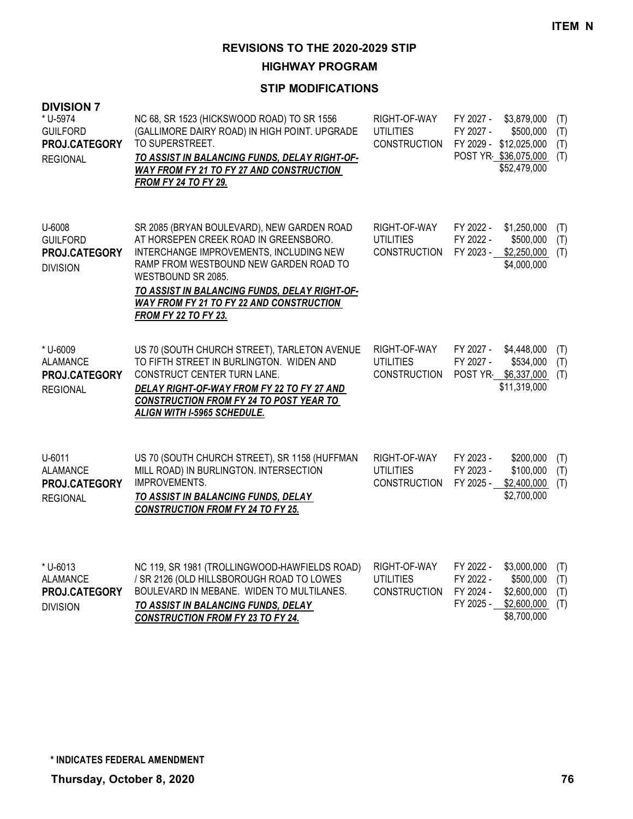**HIGHWAY PROGRAM**

| <b>DIVISION 7</b><br>* U-5974<br><b>GUILFORD</b><br>PROJ.CATEGORY<br><b>REGIONAL</b> | NC 68, SR 1523 (HICKSWOOD ROAD) TO SR 1556<br>(GALLIMORE DAIRY ROAD) IN HIGH POINT. UPGRADE<br>TO SUPERSTREET.<br>TO ASSIST IN BALANCING FUNDS, DELAY RIGHT-OF-<br>WAY FROM FY 21 TO FY 27 AND CONSTRUCTION<br><b>FROM FY 24 TO FY 29.</b>                                                                                        | RIGHT-OF-WAY<br><b>UTILITIES</b><br><b>CONSTRUCTION</b> | FY 2027 -<br>\$3,879,000<br>(T)<br>FY 2027 -<br>\$500,000<br>(T)<br>FY 2029 - \$12,025,000<br>(T)<br>POST YR \$36,075,000<br>(T)<br>\$52,479,000      |
|--------------------------------------------------------------------------------------|-----------------------------------------------------------------------------------------------------------------------------------------------------------------------------------------------------------------------------------------------------------------------------------------------------------------------------------|---------------------------------------------------------|-------------------------------------------------------------------------------------------------------------------------------------------------------|
| U-6008<br><b>GUILFORD</b><br>PROJ.CATEGORY<br><b>DIVISION</b>                        | SR 2085 (BRYAN BOULEVARD), NEW GARDEN ROAD<br>AT HORSEPEN CREEK ROAD IN GREENSBORO.<br>INTERCHANGE IMPROVEMENTS, INCLUDING NEW<br>RAMP FROM WESTBOUND NEW GARDEN ROAD TO<br>WESTBOUND SR 2085.<br>TO ASSIST IN BALANCING FUNDS, DELAY RIGHT-OF-<br><b>WAY FROM FY 21 TO FY 22 AND CONSTRUCTION</b><br><b>FROM FY 22 TO FY 23.</b> | RIGHT-OF-WAY<br><b>UTILITIES</b><br><b>CONSTRUCTION</b> | FY 2022 -<br>\$1,250,000<br>(T)<br>FY 2022 -<br>\$500,000<br>(T)<br>FY 2023 -<br>\$2,250,000<br>(T)<br>\$4,000,000                                    |
| * U-6009<br><b>ALAMANCE</b><br>PROJ.CATEGORY<br><b>REGIONAL</b>                      | US 70 (SOUTH CHURCH STREET), TARLETON AVENUE<br>TO FIFTH STREET IN BURLINGTON. WIDEN AND<br>CONSTRUCT CENTER TURN LANE.<br>DELAY RIGHT-OF-WAY FROM FY 22 TO FY 27 AND<br><b>CONSTRUCTION FROM FY 24 TO POST YEAR TO</b><br>ALIGN WITH I-5965 SCHEDULE.                                                                            | RIGHT-OF-WAY<br><b>UTILITIES</b><br><b>CONSTRUCTION</b> | FY 2027 -<br>\$4,448,000<br>(T)<br>FY 2027 -<br>\$534,000<br>(T)<br>POST YR \$6,337,000<br>(T)<br>\$11,319,000                                        |
| U-6011<br><b>ALAMANCE</b><br>PROJ.CATEGORY<br><b>REGIONAL</b>                        | US 70 (SOUTH CHURCH STREET), SR 1158 (HUFFMAN<br>MILL ROAD) IN BURLINGTON. INTERSECTION<br>IMPROVEMENTS.<br>TO ASSIST IN BALANCING FUNDS, DELAY<br><b>CONSTRUCTION FROM FY 24 TO FY 25.</b>                                                                                                                                       | RIGHT-OF-WAY<br><b>UTILITIES</b><br><b>CONSTRUCTION</b> | FY 2023 -<br>\$200,000<br>(T)<br>FY 2023 -<br>\$100,000<br>(T)<br>FY 2025 -<br>\$2,400,000<br>(T)<br>\$2,700,000                                      |
| * U-6013<br><b>ALAMANCE</b><br>PROJ.CATEGORY<br><b>DIVISION</b>                      | NC 119, SR 1981 (TROLLINGWOOD-HAWFIELDS ROAD)<br>/ SR 2126 (OLD HILLSBOROUGH ROAD TO LOWES<br>BOULEVARD IN MEBANE. WIDEN TO MULTILANES.<br>TO ASSIST IN BALANCING FUNDS, DELAY<br><b>CONSTRUCTION FROM FY 23 TO FY 24.</b>                                                                                                        | RIGHT-OF-WAY<br><b>UTILITIES</b><br><b>CONSTRUCTION</b> | \$3,000,000<br>FY 2022 -<br>(T)<br>FY 2022 -<br>\$500,000<br>(T)<br>FY 2024 -<br>\$2,600,000<br>(T)<br>FY 2025 -<br>\$2,600,000<br>(T)<br>\$8,700,000 |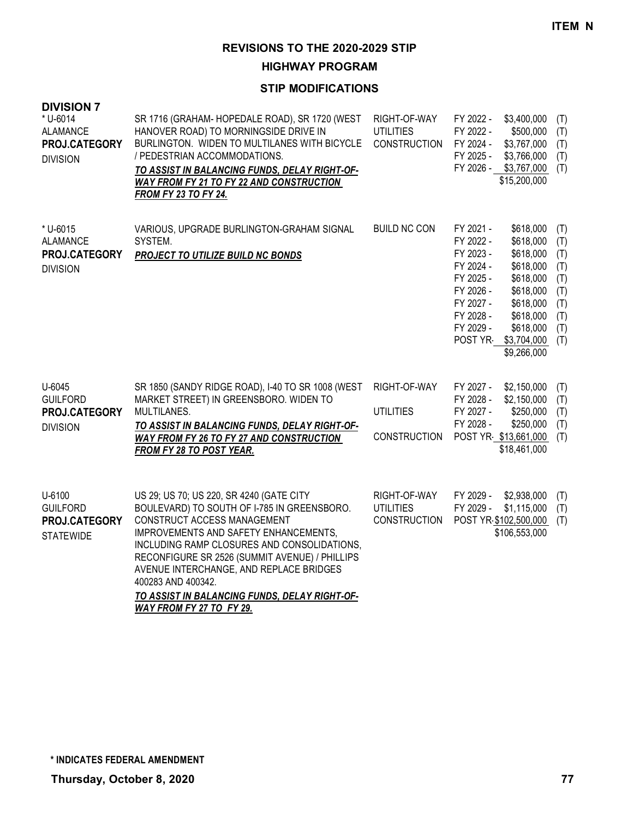**HIGHWAY PROGRAM**

| <b>DIVISION 7</b><br>* U-6014<br><b>ALAMANCE</b><br>PROJ.CATEGORY<br><b>DIVISION</b> | SR 1716 (GRAHAM-HOPEDALE ROAD), SR 1720 (WEST<br>HANOVER ROAD) TO MORNINGSIDE DRIVE IN<br>BURLINGTON. WIDEN TO MULTILANES WITH BICYCLE<br>/ PEDESTRIAN ACCOMMODATIONS.<br>TO ASSIST IN BALANCING FUNDS, DELAY RIGHT-OF-<br><b>WAY FROM FY 21 TO FY 22 AND CONSTRUCTION</b><br><b>FROM FY 23 TO FY 24.</b>                                                                                                      | RIGHT-OF-WAY<br><b>UTILITIES</b><br><b>CONSTRUCTION</b> | FY 2022 -<br>\$3,400,000<br>(T)<br>FY 2022 -<br>\$500,000<br>(T)<br>FY 2024 -<br>\$3,767,000<br>(T)<br>FY 2025 -<br>\$3,766,000<br>(T)<br>FY 2026 - \$3,767,000<br>(T)<br>\$15,200,000                                                                                                                                                                |
|--------------------------------------------------------------------------------------|----------------------------------------------------------------------------------------------------------------------------------------------------------------------------------------------------------------------------------------------------------------------------------------------------------------------------------------------------------------------------------------------------------------|---------------------------------------------------------|-------------------------------------------------------------------------------------------------------------------------------------------------------------------------------------------------------------------------------------------------------------------------------------------------------------------------------------------------------|
| * U-6015<br><b>ALAMANCE</b><br>PROJ.CATEGORY<br><b>DIVISION</b>                      | VARIOUS, UPGRADE BURLINGTON-GRAHAM SIGNAL<br>SYSTEM.<br><b>PROJECT TO UTILIZE BUILD NC BONDS</b>                                                                                                                                                                                                                                                                                                               | <b>BUILD NC CON</b>                                     | FY 2021 -<br>\$618,000<br>(T)<br>FY 2022 -<br>\$618,000<br>(T)<br>FY 2023 -<br>\$618,000<br>(T)<br>FY 2024 -<br>\$618,000<br>(T)<br>FY 2025 -<br>\$618,000<br>(T)<br>FY 2026 -<br>\$618,000<br>(T)<br>FY 2027 -<br>\$618,000<br>(T)<br>FY 2028 -<br>\$618,000<br>(T)<br>FY 2029 -<br>\$618,000<br>(T)<br>POST YR<br>\$3,704,000<br>(T)<br>\$9,266,000 |
| U-6045<br><b>GUILFORD</b><br>PROJ.CATEGORY<br><b>DIVISION</b>                        | SR 1850 (SANDY RIDGE ROAD), I-40 TO SR 1008 (WEST<br>MARKET STREET) IN GREENSBORO. WIDEN TO<br>MULTILANES.<br>TO ASSIST IN BALANCING FUNDS, DELAY RIGHT-OF-<br><b>WAY FROM FY 26 TO FY 27 AND CONSTRUCTION</b><br>FROM FY 28 TO POST YEAR.                                                                                                                                                                     | RIGHT-OF-WAY<br><b>UTILITIES</b><br><b>CONSTRUCTION</b> | FY 2027 -<br>\$2,150,000<br>(T)<br>FY 2028 -<br>\$2,150,000<br>(T)<br>FY 2027 -<br>\$250,000<br>(T)<br>FY 2028 -<br>\$250,000<br>(T)<br>POST YR \$13,661,000<br>(T)<br>\$18,461,000                                                                                                                                                                   |
| U-6100<br><b>GUILFORD</b><br>PROJ.CATEGORY<br><b>STATEWIDE</b>                       | US 29; US 70; US 220, SR 4240 (GATE CITY<br>BOULEVARD) TO SOUTH OF I-785 IN GREENSBORO.<br>CONSTRUCT ACCESS MANAGEMENT<br>IMPROVEMENTS AND SAFETY ENHANCEMENTS,<br>INCLUDING RAMP CLOSURES AND CONSOLIDATIONS,<br>RECONFIGURE SR 2526 (SUMMIT AVENUE) / PHILLIPS<br>AVENUE INTERCHANGE, AND REPLACE BRIDGES<br>400283 AND 400342.<br>TO ASSIST IN BALANCING FUNDS, DELAY RIGHT-OF-<br>WAY FROM FY 27 TO FY 29. | RIGHT-OF-WAY<br><b>UTILITIES</b><br><b>CONSTRUCTION</b> | \$2,938,000<br>FY 2029 -<br>(T)<br>FY 2029 -<br>\$1,115,000<br>(T)<br>POST YR \$102,500,000<br>(T)<br>\$106,553,000                                                                                                                                                                                                                                   |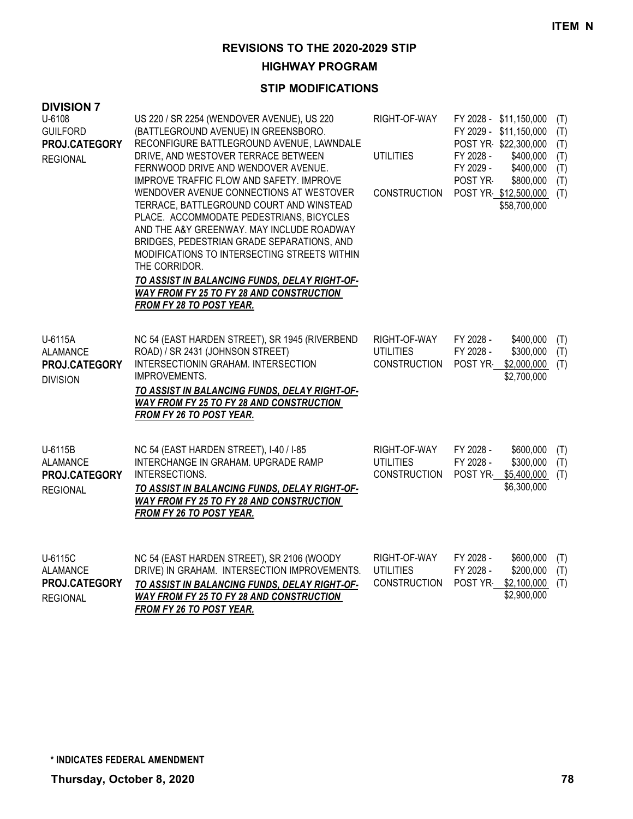**HIGHWAY PROGRAM**

| <b>DIVISION 7</b><br>U-6108<br><b>GUILFORD</b><br>PROJ.CATEGORY<br><b>REGIONAL</b> | US 220 / SR 2254 (WENDOVER AVENUE), US 220<br>(BATTLEGROUND AVENUE) IN GREENSBORO.<br>RECONFIGURE BATTLEGROUND AVENUE, LAWNDALE<br>DRIVE, AND WESTOVER TERRACE BETWEEN<br>FERNWOOD DRIVE AND WENDOVER AVENUE.<br>IMPROVE TRAFFIC FLOW AND SAFETY. IMPROVE<br>WENDOVER AVENUE CONNECTIONS AT WESTOVER<br>TERRACE, BATTLEGROUND COURT AND WINSTEAD<br>PLACE. ACCOMMODATE PEDESTRIANS, BICYCLES<br>AND THE A&Y GREENWAY. MAY INCLUDE ROADWAY<br>BRIDGES, PEDESTRIAN GRADE SEPARATIONS, AND<br>MODIFICATIONS TO INTERSECTING STREETS WITHIN<br>THE CORRIDOR.<br>TO ASSIST IN BALANCING FUNDS, DELAY RIGHT-OF-<br><b>WAY FROM FY 25 TO FY 28 AND CONSTRUCTION</b><br><b>FROM FY 28 TO POST YEAR.</b> | RIGHT-OF-WAY<br><b>UTILITIES</b><br><b>CONSTRUCTION</b> | FY 2028 -<br>FY 2029 -<br>POST YR- | FY 2028 - \$11,150,000<br>FY 2029 - \$11,150,000<br>POST YR \$22,300,000<br>\$400,000<br>\$400,000<br>\$800,000<br>POST YR \$12,500,000<br>\$58,700,000 | (T)<br>(T)<br>(T)<br>(T)<br>(T)<br>(T)<br>(T) |
|------------------------------------------------------------------------------------|-------------------------------------------------------------------------------------------------------------------------------------------------------------------------------------------------------------------------------------------------------------------------------------------------------------------------------------------------------------------------------------------------------------------------------------------------------------------------------------------------------------------------------------------------------------------------------------------------------------------------------------------------------------------------------------------------|---------------------------------------------------------|------------------------------------|---------------------------------------------------------------------------------------------------------------------------------------------------------|-----------------------------------------------|
| U-6115A<br><b>ALAMANCE</b><br>PROJ.CATEGORY<br><b>DIVISION</b>                     | NC 54 (EAST HARDEN STREET), SR 1945 (RIVERBEND<br>ROAD) / SR 2431 (JOHNSON STREET)<br>INTERSECTIONIN GRAHAM. INTERSECTION<br>IMPROVEMENTS.<br>TO ASSIST IN BALANCING FUNDS, DELAY RIGHT-OF-<br><b>WAY FROM FY 25 TO FY 28 AND CONSTRUCTION</b><br>FROM FY 26 TO POST YEAR.                                                                                                                                                                                                                                                                                                                                                                                                                      | RIGHT-OF-WAY<br><b>UTILITIES</b><br><b>CONSTRUCTION</b> | FY 2028 -<br>FY 2028 -<br>POST YR  | \$400,000<br>\$300,000<br>\$2,000,000<br>\$2,700,000                                                                                                    | (T)<br>(T)<br>(T)                             |
| U-6115B<br><b>ALAMANCE</b><br>PROJ.CATEGORY<br><b>REGIONAL</b>                     | NC 54 (EAST HARDEN STREET), I-40 / I-85<br>INTERCHANGE IN GRAHAM. UPGRADE RAMP<br>INTERSECTIONS.<br>TO ASSIST IN BALANCING FUNDS, DELAY RIGHT-OF-<br><b>WAY FROM FY 25 TO FY 28 AND CONSTRUCTION</b><br>FROM FY 26 TO POST YEAR.                                                                                                                                                                                                                                                                                                                                                                                                                                                                | RIGHT-OF-WAY<br><b>UTILITIES</b><br><b>CONSTRUCTION</b> | FY 2028 -<br>FY 2028 -<br>POST YR  | \$600,000<br>\$300,000<br>\$5,400,000<br>\$6,300,000                                                                                                    | (T)<br>(T)<br>(T)                             |
| U-6115C<br><b>ALAMANCE</b><br>PROJ.CATEGORY<br><b>REGIONAL</b>                     | NC 54 (EAST HARDEN STREET), SR 2106 (WOODY<br>DRIVE) IN GRAHAM. INTERSECTION IMPROVEMENTS.<br>TO ASSIST IN BALANCING FUNDS, DELAY RIGHT-OF-<br><b>WAY FROM FY 25 TO FY 28 AND CONSTRUCTION</b><br><b>FROM FY 26 TO POST YEAR.</b>                                                                                                                                                                                                                                                                                                                                                                                                                                                               | RIGHT-OF-WAY<br><b>UTILITIES</b><br><b>CONSTRUCTION</b> | FY 2028 -<br>FY 2028 -<br>POST YR  | \$600,000<br>\$200,000<br>\$2,100,000<br>\$2,900,000                                                                                                    | (T)<br>(T)<br>(T)                             |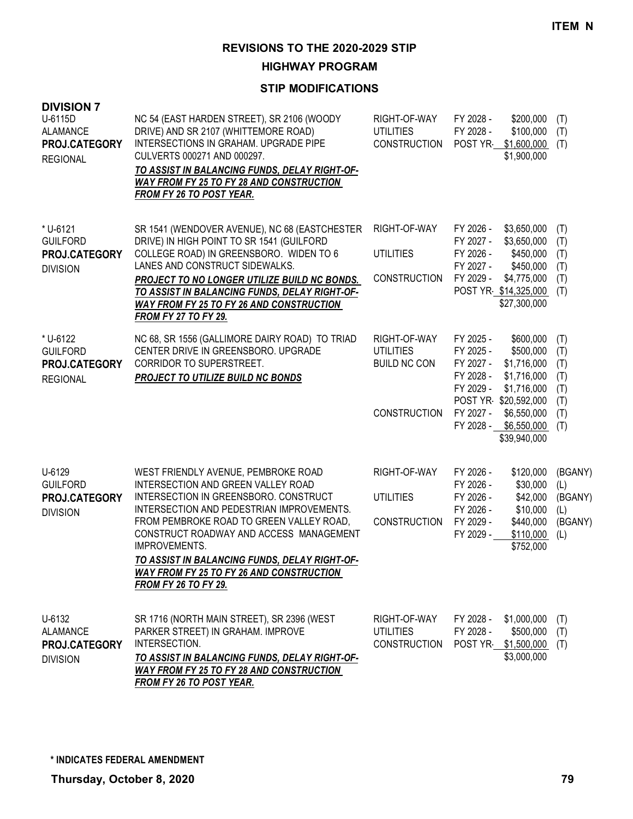**HIGHWAY PROGRAM**

| <b>DIVISION 7</b><br>U-6115D<br><b>ALAMANCE</b><br>PROJ.CATEGORY<br><b>REGIONAL</b> | NC 54 (EAST HARDEN STREET), SR 2106 (WOODY<br>DRIVE) AND SR 2107 (WHITTEMORE ROAD)<br>INTERSECTIONS IN GRAHAM. UPGRADE PIPE<br>CULVERTS 000271 AND 000297.<br>TO ASSIST IN BALANCING FUNDS, DELAY RIGHT-OF-<br><b>WAY FROM FY 25 TO FY 28 AND CONSTRUCTION</b><br><b>FROM FY 26 TO POST YEAR.</b>                                                                                                          | RIGHT-OF-WAY<br><b>UTILITIES</b><br><b>CONSTRUCTION</b>                        | FY 2028 -<br>\$200,000<br>FY 2028 -<br>\$100,000<br>POST YR<br>\$1,600,000<br>\$1,900,000                                                                                                                                         | (T)<br>(T)<br>(T)                                    |
|-------------------------------------------------------------------------------------|------------------------------------------------------------------------------------------------------------------------------------------------------------------------------------------------------------------------------------------------------------------------------------------------------------------------------------------------------------------------------------------------------------|--------------------------------------------------------------------------------|-----------------------------------------------------------------------------------------------------------------------------------------------------------------------------------------------------------------------------------|------------------------------------------------------|
| * U-6121<br><b>GUILFORD</b><br>PROJ.CATEGORY<br><b>DIVISION</b>                     | SR 1541 (WENDOVER AVENUE), NC 68 (EASTCHESTER<br>DRIVE) IN HIGH POINT TO SR 1541 (GUILFORD<br>COLLEGE ROAD) IN GREENSBORO. WIDEN TO 6<br>LANES AND CONSTRUCT SIDEWALKS.<br>PROJECT TO NO LONGER UTILIZE BUILD NC BONDS.<br>TO ASSIST IN BALANCING FUNDS, DELAY RIGHT-OF-<br><b>WAY FROM FY 25 TO FY 26 AND CONSTRUCTION</b><br><b>FROM FY 27 TO FY 29.</b>                                                 | RIGHT-OF-WAY<br><b>UTILITIES</b><br><b>CONSTRUCTION</b>                        | FY 2026 -<br>\$3,650,000<br>\$3,650,000<br>FY 2027 -<br>FY 2026 -<br>\$450,000<br>FY 2027 -<br>\$450,000<br>FY 2029 -<br>\$4,775,000<br>POST YR \$14,325,000<br>\$27,300,000                                                      | (T)<br>(T)<br>(T)<br>(T)<br>(T)<br>(T)               |
| * U-6122<br><b>GUILFORD</b><br>PROJ.CATEGORY<br><b>REGIONAL</b>                     | NC 68, SR 1556 (GALLIMORE DAIRY ROAD) TO TRIAD<br>CENTER DRIVE IN GREENSBORO. UPGRADE<br>CORRIDOR TO SUPERSTREET.<br><b>PROJECT TO UTILIZE BUILD NC BONDS</b>                                                                                                                                                                                                                                              | RIGHT-OF-WAY<br><b>UTILITIES</b><br><b>BUILD NC CON</b><br><b>CONSTRUCTION</b> | FY 2025 -<br>\$600,000<br>\$500,000<br>FY 2025 -<br>\$1,716,000<br>FY 2027 -<br>FY 2028 -<br>\$1,716,000<br>FY 2029 -<br>\$1,716,000<br>POST YR \$20,592,000<br>FY 2027 -<br>\$6,550,000<br>FY 2028 - \$6,550,000<br>\$39,940,000 | (T)<br>(T)<br>(T)<br>(T)<br>(T)<br>(T)<br>(T)<br>(T) |
| U-6129<br><b>GUILFORD</b><br>PROJ.CATEGORY<br><b>DIVISION</b>                       | WEST FRIENDLY AVENUE, PEMBROKE ROAD<br>INTERSECTION AND GREEN VALLEY ROAD<br>INTERSECTION IN GREENSBORO. CONSTRUCT<br>INTERSECTION AND PEDESTRIAN IMPROVEMENTS.<br>FROM PEMBROKE ROAD TO GREEN VALLEY ROAD,<br>CONSTRUCT ROADWAY AND ACCESS MANAGEMENT<br>IMPROVEMENTS.<br>TO ASSIST IN BALANCING FUNDS, DELAY RIGHT-OF-<br><b>WAY FROM FY 25 TO FY 26 AND CONSTRUCTION</b><br><b>FROM FY 26 TO FY 29.</b> | RIGHT-OF-WAY<br><b>UTILITIES</b><br><b>CONSTRUCTION</b>                        | FY 2026 -<br>\$120,000<br>\$30,000<br>FY 2026 -<br>FY 2026 -<br>\$42,000<br>FY 2026 -<br>\$10,000<br>FY 2029 -<br>\$440,000<br>FY 2029 -<br>\$110,000<br>\$752,000                                                                | (BGANY)<br>(L)<br>(BGANY)<br>(L)<br>(BGANY)<br>(L)   |
| U-6132<br>ALAMANCE<br>PROJ.CATEGORY<br><b>DIVISION</b>                              | SR 1716 (NORTH MAIN STREET), SR 2396 (WEST<br>PARKER STREET) IN GRAHAM. IMPROVE<br>INTERSECTION.<br>TO ASSIST IN BALANCING FUNDS, DELAY RIGHT-OF-<br><b>WAY FROM FY 25 TO FY 28 AND CONSTRUCTION</b><br>FROM FY 26 TO POST YEAR.                                                                                                                                                                           | RIGHT-OF-WAY<br><b>UTILITIES</b><br><b>CONSTRUCTION</b>                        | FY 2028 -<br>\$1,000,000<br>FY 2028 -<br>\$500,000<br>POST YR \$1,500,000<br>\$3,000,000                                                                                                                                          | (T)<br>(T)<br>(T)                                    |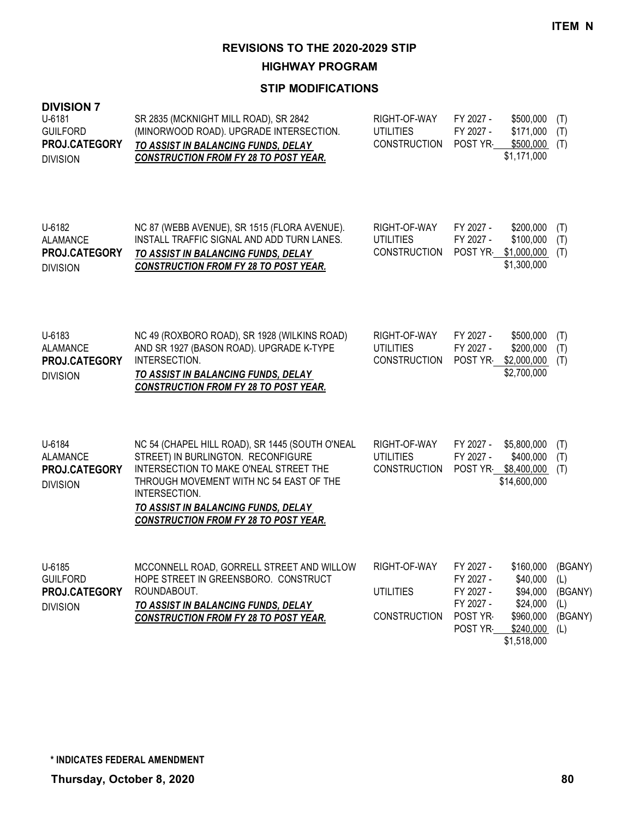**HIGHWAY PROGRAM**

| <b>DIVISION 7</b><br>U-6181<br><b>GUILFORD</b><br>PROJ.CATEGORY<br><b>DIVISION</b> | SR 2835 (MCKNIGHT MILL ROAD), SR 2842<br>(MINORWOOD ROAD). UPGRADE INTERSECTION.<br>TO ASSIST IN BALANCING FUNDS, DELAY<br><b>CONSTRUCTION FROM FY 28 TO POST YEAR.</b>                                                                                                            | RIGHT-OF-WAY<br><b>UTILITIES</b><br><b>CONSTRUCTION</b> | FY 2027 -<br>FY 2027 -<br>POST YR                                       | \$500,000<br>\$171,000<br>\$500,000<br>\$1,171,000                                             | (T)<br>(T)<br>(T)                       |
|------------------------------------------------------------------------------------|------------------------------------------------------------------------------------------------------------------------------------------------------------------------------------------------------------------------------------------------------------------------------------|---------------------------------------------------------|-------------------------------------------------------------------------|------------------------------------------------------------------------------------------------|-----------------------------------------|
| U-6182<br><b>ALAMANCE</b><br>PROJ.CATEGORY<br><b>DIVISION</b>                      | NC 87 (WEBB AVENUE), SR 1515 (FLORA AVENUE).<br>INSTALL TRAFFIC SIGNAL AND ADD TURN LANES.<br>TO ASSIST IN BALANCING FUNDS, DELAY<br><b>CONSTRUCTION FROM FY 28 TO POST YEAR.</b>                                                                                                  | RIGHT-OF-WAY<br><b>UTILITIES</b><br><b>CONSTRUCTION</b> | FY 2027 -<br>FY 2027 -<br>POST YR-                                      | \$200,000<br>\$100,000<br>\$1,000,000<br>\$1,300,000                                           | (T)<br>(T)<br>(T)                       |
| U-6183<br><b>ALAMANCE</b><br>PROJ.CATEGORY<br><b>DIVISION</b>                      | NC 49 (ROXBORO ROAD), SR 1928 (WILKINS ROAD)<br>AND SR 1927 (BASON ROAD). UPGRADE K-TYPE<br>INTERSECTION.<br>TO ASSIST IN BALANCING FUNDS, DELAY<br><b>CONSTRUCTION FROM FY 28 TO POST YEAR.</b>                                                                                   | RIGHT-OF-WAY<br><b>UTILITIES</b><br><b>CONSTRUCTION</b> | FY 2027 -<br>FY 2027 -<br>POST YR                                       | \$500,000<br>\$200,000<br>\$2,000,000<br>\$2,700,000                                           | (T)<br>(T)<br>(T)                       |
| U-6184<br><b>ALAMANCE</b><br>PROJ.CATEGORY<br><b>DIVISION</b>                      | NC 54 (CHAPEL HILL ROAD), SR 1445 (SOUTH O'NEAL<br>STREET) IN BURLINGTON. RECONFIGURE<br>INTERSECTION TO MAKE O'NEAL STREET THE<br>THROUGH MOVEMENT WITH NC 54 EAST OF THE<br>INTERSECTION.<br>TO ASSIST IN BALANCING FUNDS, DELAY<br><b>CONSTRUCTION FROM FY 28 TO POST YEAR.</b> | RIGHT-OF-WAY<br><b>UTILITIES</b><br><b>CONSTRUCTION</b> | FY 2027 -<br>FY 2027 -<br>POST YR \$8,400,000                           | \$5,800,000<br>\$400,000<br>\$14,600,000                                                       | (T)<br>(T)<br>(T)                       |
| U-6185<br><b>GUILFORD</b><br>PROJ.CATEGORY<br><b>DIVISION</b>                      | MCCONNELL ROAD, GORRELL STREET AND WILLOW<br>HOPE STREET IN GREENSBORO. CONSTRUCT<br>ROUNDABOUT.<br>TO ASSIST IN BALANCING FUNDS, DELAY<br><b>CONSTRUCTION FROM FY 28 TO POST YEAR.</b>                                                                                            | RIGHT-OF-WAY<br><b>UTILITIES</b><br><b>CONSTRUCTION</b> | FY 2027 -<br>FY 2027 -<br>FY 2027 -<br>FY 2027 -<br>POST YR-<br>POST YR | \$160,000 (BGANY)<br>\$40,000<br>\$94,000<br>\$24,000<br>\$960,000<br>\$240,000<br>\$1,518,000 | (L)<br>(BGANY)<br>(L)<br>(BGANY)<br>(L) |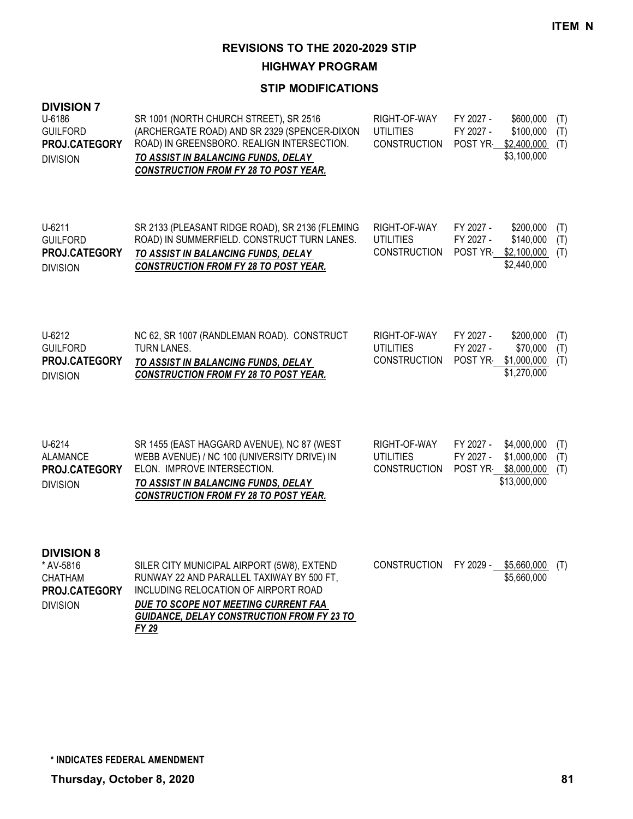**HIGHWAY PROGRAM**

### **STIP MODIFICATIONS**

| <b>DIVISION 7</b><br>U-6186<br><b>GUILFORD</b><br>PROJ.CATEGORY<br><b>DIVISION</b>   | SR 1001 (NORTH CHURCH STREET), SR 2516<br>(ARCHERGATE ROAD) AND SR 2329 (SPENCER-DIXON<br>ROAD) IN GREENSBORO. REALIGN INTERSECTION.<br>TO ASSIST IN BALANCING FUNDS, DELAY<br><b>CONSTRUCTION FROM FY 28 TO POST YEAR.</b> | RIGHT-OF-WAY<br><b>UTILITIES</b><br><b>CONSTRUCTION</b> | FY 2027 -<br>FY 2027 -<br>POST YR             | \$600,000<br>\$100,000<br>\$2,400,000<br>\$3,100,000 | (T)<br>(T)<br>(T) |
|--------------------------------------------------------------------------------------|-----------------------------------------------------------------------------------------------------------------------------------------------------------------------------------------------------------------------------|---------------------------------------------------------|-----------------------------------------------|------------------------------------------------------|-------------------|
| U-6211<br><b>GUILFORD</b><br>PROJ.CATEGORY<br><b>DIVISION</b>                        | SR 2133 (PLEASANT RIDGE ROAD), SR 2136 (FLEMING<br>ROAD) IN SUMMERFIELD. CONSTRUCT TURN LANES.<br>TO ASSIST IN BALANCING FUNDS, DELAY<br><b>CONSTRUCTION FROM FY 28 TO POST YEAR.</b>                                       | RIGHT-OF-WAY<br><b>UTILITIES</b><br><b>CONSTRUCTION</b> | FY 2027 -<br>FY 2027 -<br>POST YR             | \$200,000<br>\$140,000<br>\$2,100,000<br>\$2,440,000 | (T)<br>(T)<br>(T) |
| U-6212<br><b>GUILFORD</b><br>PROJ.CATEGORY<br><b>DIVISION</b>                        | NC 62, SR 1007 (RANDLEMAN ROAD). CONSTRUCT<br><b>TURN LANES.</b><br>TO ASSIST IN BALANCING FUNDS, DELAY<br><b>CONSTRUCTION FROM FY 28 TO POST YEAR.</b>                                                                     | RIGHT-OF-WAY<br><b>UTILITIES</b><br><b>CONSTRUCTION</b> | FY 2027 -<br>FY 2027 -<br>POST YR             | \$200,000<br>\$70,000<br>\$1,000,000<br>\$1,270,000  | (T)<br>(T)<br>(T) |
| U-6214<br><b>ALAMANCE</b><br>PROJ.CATEGORY<br><b>DIVISION</b>                        | SR 1455 (EAST HAGGARD AVENUE), NC 87 (WEST<br>WEBB AVENUE) / NC 100 (UNIVERSITY DRIVE) IN<br>ELON. IMPROVE INTERSECTION.<br>TO ASSIST IN BALANCING FUNDS, DELAY<br><b>CONSTRUCTION FROM FY 28 TO POST YEAR.</b>             | RIGHT-OF-WAY<br><b>UTILITIES</b><br><b>CONSTRUCTION</b> | FY 2027 -<br>FY 2027 -<br>POST YR \$8,000,000 | \$4,000,000<br>\$1,000,000<br>\$13,000,000           | (T)<br>(T)<br>(T) |
| <b>DIVISION 8</b><br>* AV-5816<br><b>CHATHAM</b><br>PROJ.CATEGORY<br><b>DIVISION</b> | SILER CITY MUNICIPAL AIRPORT (5W8), EXTEND<br>RUNWAY 22 AND PARALLEL TAXIWAY BY 500 FT,<br>INCLUDING RELOCATION OF AIRPORT ROAD<br>DUE TO SCOPE NOT MEETING CURRENT FAA                                                     | <b>CONSTRUCTION</b>                                     | FY 2029 -                                     | \$5,660,000<br>\$5,660,000                           | (T)               |

*GUIDANCE, DELAY CONSTRUCTION FROM FY 23 TO* 

*FY 29*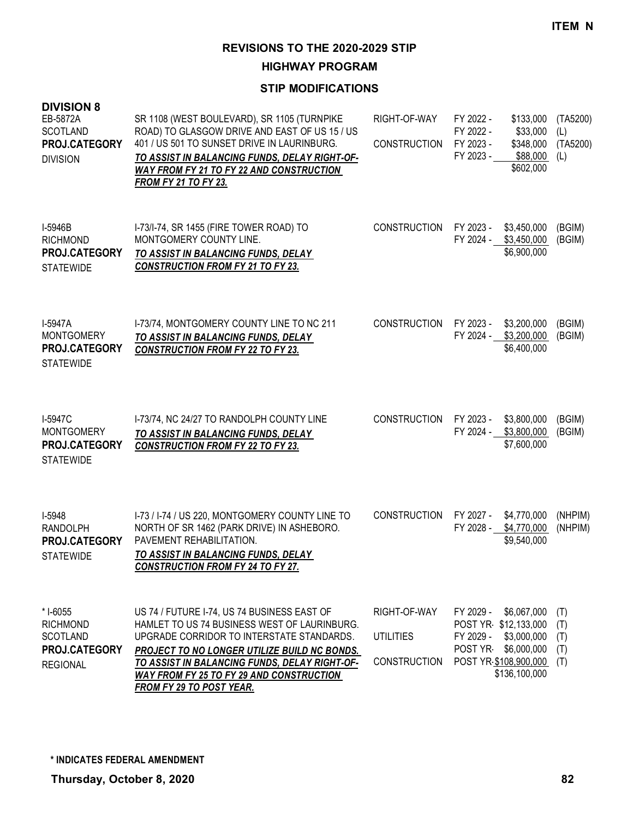**HIGHWAY PROGRAM**

| <b>DIVISION 8</b><br>EB-5872A<br><b>SCOTLAND</b><br>PROJ.CATEGORY<br><b>DIVISION</b> | SR 1108 (WEST BOULEVARD), SR 1105 (TURNPIKE<br>ROAD) TO GLASGOW DRIVE AND EAST OF US 15 / US<br>401 / US 501 TO SUNSET DRIVE IN LAURINBURG.<br>TO ASSIST IN BALANCING FUNDS, DELAY RIGHT-OF-<br><b>WAY FROM FY 21 TO FY 22 AND CONSTRUCTION</b><br>FROM FY 21 TO FY 23.                                                  | RIGHT-OF-WAY<br><b>CONSTRUCTION</b>              | FY 2022 -<br>\$133,000<br>FY 2022 -<br>\$33,000<br>FY 2023 -<br>\$348,000<br>FY 2023 -<br>\$88,000<br>\$602,000                                  | (TA5200)<br>(L)<br>(TA5200)<br>(L) |
|--------------------------------------------------------------------------------------|--------------------------------------------------------------------------------------------------------------------------------------------------------------------------------------------------------------------------------------------------------------------------------------------------------------------------|--------------------------------------------------|--------------------------------------------------------------------------------------------------------------------------------------------------|------------------------------------|
| I-5946B<br><b>RICHMOND</b><br>PROJ.CATEGORY<br><b>STATEWIDE</b>                      | I-73/I-74, SR 1455 (FIRE TOWER ROAD) TO<br>MONTGOMERY COUNTY LINE.<br>TO ASSIST IN BALANCING FUNDS, DELAY<br><b>CONSTRUCTION FROM FY 21 TO FY 23.</b>                                                                                                                                                                    | <b>CONSTRUCTION</b>                              | FY 2023 -<br>\$3,450,000<br>FY 2024 - \$3,450,000<br>\$6,900,000                                                                                 | (BGIM)<br>(BGIM)                   |
| I-5947A<br><b>MONTGOMERY</b><br>PROJ.CATEGORY<br><b>STATEWIDE</b>                    | I-73/74, MONTGOMERY COUNTY LINE TO NC 211<br>TO ASSIST IN BALANCING FUNDS, DELAY<br><b>CONSTRUCTION FROM FY 22 TO FY 23.</b>                                                                                                                                                                                             | <b>CONSTRUCTION</b>                              | FY 2023 -<br>\$3,200,000<br>FY 2024 - \$3,200,000<br>\$6,400,000                                                                                 | (BGIM)<br>(BGIM)                   |
| I-5947C<br><b>MONTGOMERY</b><br>PROJ.CATEGORY<br><b>STATEWIDE</b>                    | I-73/74, NC 24/27 TO RANDOLPH COUNTY LINE<br>TO ASSIST IN BALANCING FUNDS, DELAY<br><b>CONSTRUCTION FROM FY 22 TO FY 23.</b>                                                                                                                                                                                             | <b>CONSTRUCTION</b>                              | FY 2023 -<br>\$3,800,000<br>FY 2024 -<br>\$3,800,000<br>\$7,600,000                                                                              | (BGIM)<br>(BGIM)                   |
| I-5948<br>RANDOLPH<br>PROJ.CATEGORY<br><b>STATEWIDE</b>                              | I-73 / I-74 / US 220, MONTGOMERY COUNTY LINE TO<br>NORTH OF SR 1462 (PARK DRIVE) IN ASHEBORO.<br>PAVEMENT REHABILITATION.<br>TO ASSIST IN BALANCING FUNDS, DELAY<br><b>CONSTRUCTION FROM FY 24 TO FY 27.</b>                                                                                                             | <b>CONSTRUCTION</b>                              | FY 2027 -<br>\$4,770,000<br>FY 2028 -<br>\$4,770,000<br>\$9,540,000                                                                              | (NHPIM)<br>(NHPIM)                 |
| * I-6055<br><b>RICHMOND</b><br><b>SCOTLAND</b><br>PROJ.CATEGORY<br><b>REGIONAL</b>   | US 74 / FUTURE I-74, US 74 BUSINESS EAST OF<br>HAMLET TO US 74 BUSINESS WEST OF LAURINBURG.<br>UPGRADE CORRIDOR TO INTERSTATE STANDARDS.<br>PROJECT TO NO LONGER UTILIZE BUILD NC BONDS.<br>TO ASSIST IN BALANCING FUNDS, DELAY RIGHT-OF-<br>WAY FROM FY 25 TO FY 29 AND CONSTRUCTION<br><b>FROM FY 29 TO POST YEAR.</b> | RIGHT-OF-WAY<br>UTILITIES<br><b>CONSTRUCTION</b> | FY 2029 -<br>\$6,067,000<br>POST YR \$12,133,000<br>FY 2029 -<br>\$3,000,000<br>POST YR<br>\$6,000,000<br>POST YR \$108,900,000<br>\$136,100,000 | (T)<br>(T)<br>(T)<br>(T)<br>(T)    |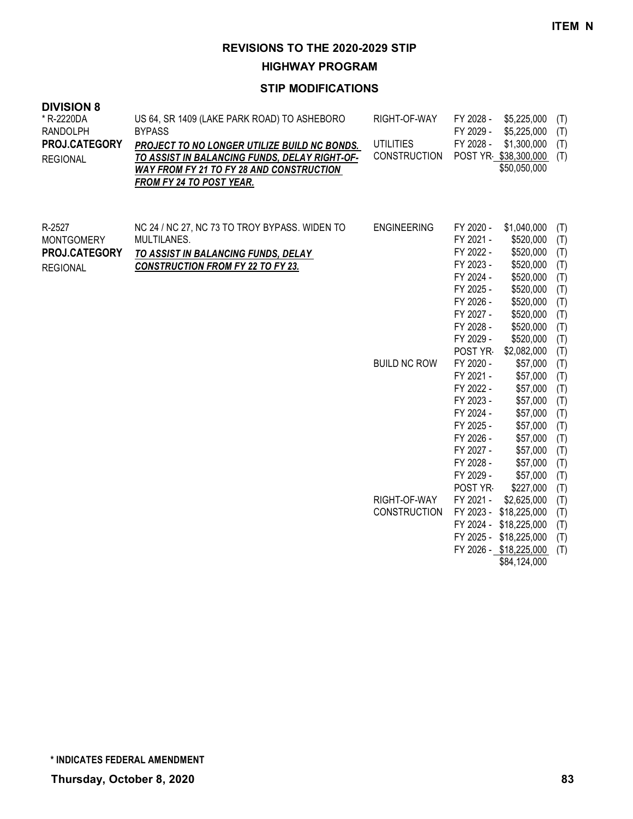**HIGHWAY PROGRAM**

| <b>DIVISION 8</b><br>* R-2220DA<br><b>RANDOLPH</b><br>PROJ.CATEGORY<br><b>REGIONAL</b> | US 64, SR 1409 (LAKE PARK ROAD) TO ASHEBORO<br><b>BYPASS</b><br><b>PROJECT TO NO LONGER UTILIZE BUILD NC BONDS.</b><br>TO ASSIST IN BALANCING FUNDS, DELAY RIGHT-OF-<br>WAY FROM FY 21 TO FY 28 AND CONSTRUCTION<br><b>FROM FY 24 TO POST YEAR.</b> | RIGHT-OF-WAY<br><b>UTILITIES</b><br><b>CONSTRUCTION</b> | FY 2028 -<br>FY 2029 -<br>FY 2028 -                                                                                                                                                                                                                                         | \$5,225,000<br>\$5,225,000<br>\$1,300,000<br>POST YR \$38,300,000<br>\$50,050,000                                                                                                                                                                                       | (T)<br>(T)<br>(T)<br>(T)                                                                                                                        |
|----------------------------------------------------------------------------------------|-----------------------------------------------------------------------------------------------------------------------------------------------------------------------------------------------------------------------------------------------------|---------------------------------------------------------|-----------------------------------------------------------------------------------------------------------------------------------------------------------------------------------------------------------------------------------------------------------------------------|-------------------------------------------------------------------------------------------------------------------------------------------------------------------------------------------------------------------------------------------------------------------------|-------------------------------------------------------------------------------------------------------------------------------------------------|
| R-2527<br><b>MONTGOMERY</b><br>PROJ.CATEGORY<br><b>REGIONAL</b>                        | NC 24 / NC 27, NC 73 TO TROY BYPASS. WIDEN TO<br>MULTILANES.<br>TO ASSIST IN BALANCING FUNDS, DELAY<br><b>CONSTRUCTION FROM FY 22 TO FY 23.</b>                                                                                                     | <b>ENGINEERING</b><br><b>BUILD NC ROW</b>               | FY 2020 -<br>FY 2021 -<br>FY 2022 -<br>FY 2023 -<br>FY 2024 -<br>FY 2025 -<br>FY 2026 -<br>FY 2027 -<br>FY 2028 -<br>FY 2029 -<br>POST YR<br>FY 2020 -<br>FY 2021 -<br>FY 2022 -<br>FY 2023 -<br>FY 2024 -<br>FY 2025 -<br>FY 2026 -<br>FY 2027 -<br>FY 2028 -<br>FY 2029 - | \$1,040,000<br>\$520,000<br>\$520,000<br>\$520,000<br>\$520,000<br>\$520,000<br>\$520,000<br>\$520,000<br>\$520,000<br>\$520,000<br>\$2,082,000<br>\$57,000<br>\$57,000<br>\$57,000<br>\$57,000<br>\$57,000<br>\$57,000<br>\$57,000<br>\$57,000<br>\$57,000<br>\$57,000 | (T)<br>(T)<br>(T)<br>(T)<br>(T)<br>(T)<br>(T)<br>(T)<br>(T)<br>(T)<br>(T)<br>(T)<br>(T)<br>(T)<br>(T)<br>(T)<br>(T)<br>(T)<br>(T)<br>(T)<br>(T) |
|                                                                                        |                                                                                                                                                                                                                                                     | RIGHT-OF-WAY<br><b>CONSTRUCTION</b>                     | POST YR<br>FY 2021 -                                                                                                                                                                                                                                                        | \$227,000<br>\$2,625,000<br>FY 2023 - \$18,225,000<br>FY 2024 - \$18,225,000<br>FY 2025 - \$18,225,000<br>FY 2026 - \$18,225,000<br>\$84,124,000                                                                                                                        | (T)<br>(T)<br>(T)<br>(T)<br>(T)<br>(T)                                                                                                          |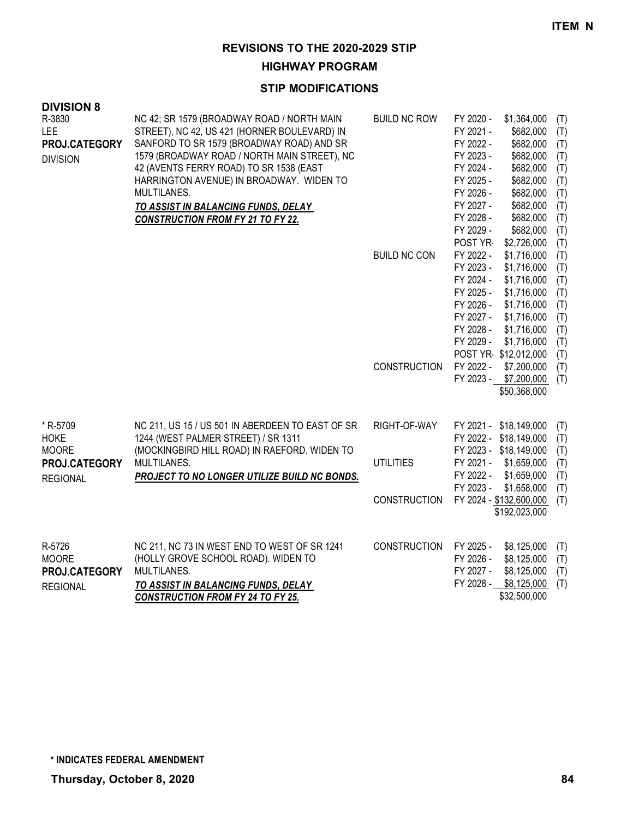**HIGHWAY PROGRAM**

| <b>DIVISION 8</b> |                                                  |                     |                        |                            |            |
|-------------------|--------------------------------------------------|---------------------|------------------------|----------------------------|------------|
| R-3830            | NC 42; SR 1579 (BROADWAY ROAD / NORTH MAIN       | <b>BUILD NC ROW</b> | FY 2020 -              | \$1,364,000                | (T)        |
| LEE               | STREET), NC 42, US 421 (HORNER BOULEVARD) IN     |                     | FY 2021 -              | \$682,000                  | (T)        |
| PROJ.CATEGORY     | SANFORD TO SR 1579 (BROADWAY ROAD) AND SR        |                     | FY 2022 -              | \$682,000                  | (T)        |
| <b>DIVISION</b>   | 1579 (BROADWAY ROAD / NORTH MAIN STREET), NC     |                     | FY 2023 -              | \$682,000                  | (T)        |
|                   | 42 (AVENTS FERRY ROAD) TO SR 1538 (EAST          |                     | FY 2024 -              | \$682,000                  | (T)        |
|                   | HARRINGTON AVENUE) IN BROADWAY. WIDEN TO         |                     | FY 2025 -              | \$682,000                  | (T)        |
|                   | MULTILANES.                                      |                     | FY 2026 -              | \$682,000                  | (T)        |
|                   | TO ASSIST IN BALANCING FUNDS, DELAY              |                     | FY 2027 -              | \$682,000                  | (T)        |
|                   | <b>CONSTRUCTION FROM FY 21 TO FY 22.</b>         |                     | FY 2028 -              | \$682,000                  | (T)        |
|                   |                                                  |                     | FY 2029 -              | \$682,000                  | (T)        |
|                   |                                                  |                     | POST YR                | \$2,726,000                | (T)        |
|                   |                                                  | <b>BUILD NC CON</b> | FY 2022 -<br>FY 2023 - | \$1,716,000<br>\$1,716,000 | (T)        |
|                   |                                                  |                     | FY 2024 -              | \$1,716,000                | (T)<br>(T) |
|                   |                                                  |                     | FY 2025 -              | \$1,716,000                | (T)        |
|                   |                                                  |                     | FY 2026 -              | \$1,716,000                | (T)        |
|                   |                                                  |                     | FY 2027 -              | \$1,716,000                | (T)        |
|                   |                                                  |                     | FY 2028 -              | \$1,716,000                | (T)        |
|                   |                                                  |                     | FY 2029 -              | \$1,716,000                | (T)        |
|                   |                                                  |                     |                        | POST YR \$12,012,000       | (T)        |
|                   |                                                  | <b>CONSTRUCTION</b> | FY 2022 -              | \$7,200,000                | (T)        |
|                   |                                                  |                     |                        | FY 2023 - \$7,200,000      | (T)        |
|                   |                                                  |                     |                        | \$50,368,000               |            |
|                   |                                                  |                     |                        |                            |            |
| * R-5709          | NC 211, US 15 / US 501 IN ABERDEEN TO EAST OF SR | RIGHT-OF-WAY        |                        | FY 2021 - \$18,149,000     | (T)        |
| <b>HOKE</b>       | 1244 (WEST PALMER STREET) / SR 1311              |                     |                        | FY 2022 - \$18,149,000     | (T)        |
| <b>MOORE</b>      | (MOCKINGBIRD HILL ROAD) IN RAEFORD. WIDEN TO     |                     |                        | FY 2023 - \$18,149,000     | (T)        |
| PROJ.CATEGORY     | MULTILANES.                                      | <b>UTILITIES</b>    | FY 2021 -              | \$1,659,000                | (T)        |
| <b>REGIONAL</b>   | PROJECT TO NO LONGER UTILIZE BUILD NC BONDS.     |                     | FY 2022 -              | \$1,659,000                | (T)        |
|                   |                                                  |                     | FY 2023 -              | \$1,658,000                | (T)        |
|                   |                                                  | <b>CONSTRUCTION</b> |                        | FY 2024 - \$132,600,000    | (T)        |
|                   |                                                  |                     |                        | \$192,023,000              |            |
|                   |                                                  |                     |                        |                            |            |
| R-5726            | NC 211, NC 73 IN WEST END TO WEST OF SR 1241     | <b>CONSTRUCTION</b> | FY 2025 -              | \$8,125,000                | (T)        |
| <b>MOORE</b>      | (HOLLY GROVE SCHOOL ROAD). WIDEN TO              |                     | FY 2026 -              | \$8,125,000                | (T)        |
| PROJ.CATEGORY     | MULTILANES.                                      |                     | FY 2027 -              | \$8,125,000                | (T)        |
| <b>REGIONAL</b>   | TO ASSIST IN BALANCING FUNDS, DELAY              |                     | FY 2028 -              | \$8,125,000                | (T)        |
|                   | <b>CONSTRUCTION FROM FY 24 TO FY 25.</b>         |                     |                        | \$32,500,000               |            |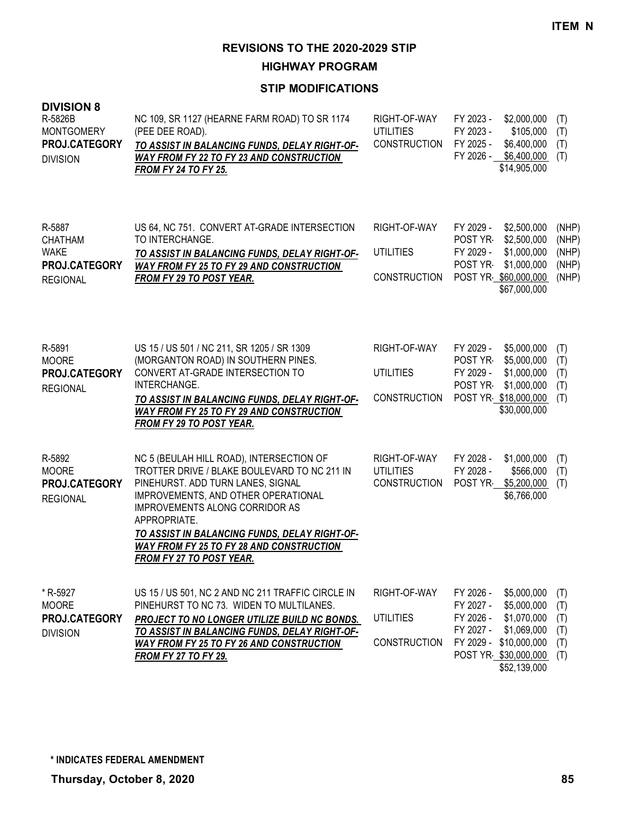**HIGHWAY PROGRAM**

| <b>DIVISION 8</b><br>R-5826B<br><b>MONTGOMERY</b><br>PROJ.CATEGORY<br><b>DIVISION</b> | NC 109, SR 1127 (HEARNE FARM ROAD) TO SR 1174<br>(PEE DEE ROAD).<br>TO ASSIST IN BALANCING FUNDS, DELAY RIGHT-OF-<br><b>WAY FROM FY 22 TO FY 23 AND CONSTRUCTION</b><br><b>FROM FY 24 TO FY 25.</b>                                                                                                                                                           | RIGHT-OF-WAY<br><b>UTILITIES</b><br><b>CONSTRUCTION</b> | FY 2023 -<br>\$2,000,000<br>FY 2023 -<br>\$105,000<br>FY 2025 -<br>\$6,400,000<br>FY 2026 - \$6,400,000<br>\$14,905,000                                                        | (T)<br>(T)<br>(T)<br>(T)                  |
|---------------------------------------------------------------------------------------|---------------------------------------------------------------------------------------------------------------------------------------------------------------------------------------------------------------------------------------------------------------------------------------------------------------------------------------------------------------|---------------------------------------------------------|--------------------------------------------------------------------------------------------------------------------------------------------------------------------------------|-------------------------------------------|
| R-5887<br><b>CHATHAM</b><br><b>WAKE</b><br>PROJ.CATEGORY<br><b>REGIONAL</b>           | US 64, NC 751. CONVERT AT-GRADE INTERSECTION<br>TO INTERCHANGE.<br>TO ASSIST IN BALANCING FUNDS, DELAY RIGHT-OF-<br><b>WAY FROM FY 25 TO FY 29 AND CONSTRUCTION</b><br><b>FROM FY 29 TO POST YEAR.</b>                                                                                                                                                        | RIGHT-OF-WAY<br><b>UTILITIES</b><br><b>CONSTRUCTION</b> | FY 2029 -<br>\$2,500,000<br>POST YR<br>\$2,500,000<br>FY 2029 -<br>\$1,000,000<br>POST YR-<br>\$1,000,000<br>POST YR \$60,000,000<br>\$67,000,000                              | (NHP)<br>(NHP)<br>(NHP)<br>(NHP)<br>(NHP) |
| R-5891<br><b>MOORE</b><br>PROJ.CATEGORY<br><b>REGIONAL</b>                            | US 15 / US 501 / NC 211, SR 1205 / SR 1309<br>(MORGANTON ROAD) IN SOUTHERN PINES.<br>CONVERT AT-GRADE INTERSECTION TO<br>INTERCHANGE.<br>TO ASSIST IN BALANCING FUNDS, DELAY RIGHT-OF-<br><b>WAY FROM FY 25 TO FY 29 AND CONSTRUCTION</b><br><b>FROM FY 29 TO POST YEAR.</b>                                                                                  | RIGHT-OF-WAY<br><b>UTILITIES</b><br>CONSTRUCTION        | FY 2029 -<br>\$5,000,000<br>POST YR<br>\$5,000,000<br>FY 2029 -<br>\$1,000,000<br>POST YR<br>\$1,000,000<br>POST YR \$18,000,000<br>\$30,000,000                               | (T)<br>(T)<br>(T)<br>(T)<br>(T)           |
| R-5892<br><b>MOORE</b><br>PROJ.CATEGORY<br><b>REGIONAL</b>                            | NC 5 (BEULAH HILL ROAD), INTERSECTION OF<br>TROTTER DRIVE / BLAKE BOULEVARD TO NC 211 IN<br>PINEHURST. ADD TURN LANES, SIGNAL<br>IMPROVEMENTS, AND OTHER OPERATIONAL<br>IMPROVEMENTS ALONG CORRIDOR AS<br>APPROPRIATE.<br>TO ASSIST IN BALANCING FUNDS, DELAY RIGHT-OF-<br><b>WAY FROM FY 25 TO FY 28 AND CONSTRUCTION</b><br><b>FROM FY 27 TO POST YEAR.</b> | RIGHT-OF-WAY<br><b>UTILITIES</b><br><b>CONSTRUCTION</b> | FY 2028 -<br>\$1,000,000<br>FY 2028 -<br>\$566,000<br>POST YR<br>\$5,200,000<br>\$6,766,000                                                                                    | (T)<br>(T)<br>(T)                         |
| * R-5927<br><b>MOORE</b><br>PROJ.CATEGORY<br><b>DIVISION</b>                          | US 15 / US 501, NC 2 AND NC 211 TRAFFIC CIRCLE IN<br>PINEHURST TO NC 73. WIDEN TO MULTILANES.<br>PROJECT TO NO LONGER UTILIZE BUILD NC BONDS.<br>TO ASSIST IN BALANCING FUNDS, DELAY RIGHT-OF-<br><b>WAY FROM FY 25 TO FY 26 AND CONSTRUCTION</b><br><b>FROM FY 27 TO FY 29.</b>                                                                              | RIGHT-OF-WAY<br><b>UTILITIES</b><br>CONSTRUCTION        | FY 2026 -<br>\$5,000,000<br>FY 2027 -<br>\$5,000,000<br>FY 2026 -<br>\$1,070,000<br>FY 2027 -<br>\$1,069,000<br>FY 2029 - \$10,000,000<br>POST YR \$30,000,000<br>\$52,139,000 | (T)<br>(T)<br>(T)<br>(T)<br>(T)<br>(T)    |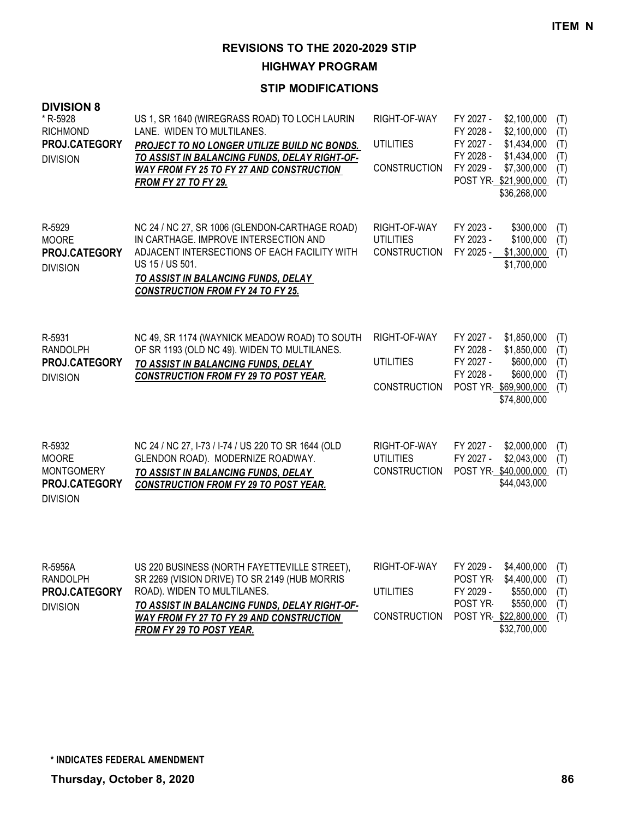**HIGHWAY PROGRAM**

| <b>DIVISION 8</b><br>* R-5928<br><b>RICHMOND</b><br>PROJ.CATEGORY<br><b>DIVISION</b> | US 1, SR 1640 (WIREGRASS ROAD) TO LOCH LAURIN<br>LANE. WIDEN TO MULTILANES.<br>PROJECT TO NO LONGER UTILIZE BUILD NC BONDS.<br>TO ASSIST IN BALANCING FUNDS, DELAY RIGHT-OF-<br>WAY FROM FY 25 TO FY 27 AND CONSTRUCTION<br><b>FROM FY 27 TO FY 29.</b>      | RIGHT-OF-WAY<br><b>UTILITIES</b><br><b>CONSTRUCTION</b> | FY 2027 -<br>\$2,100,000<br>(T)<br>\$2,100,000<br>FY 2028 -<br>(T)<br>FY 2027 -<br>\$1,434,000<br>(T)<br>FY 2028 -<br>\$1,434,000<br>(T)<br>FY 2029 -<br>\$7,300,000<br>(T)<br>POST YR \$21,900,000<br>(T)<br>\$36,268,000 |  |
|--------------------------------------------------------------------------------------|--------------------------------------------------------------------------------------------------------------------------------------------------------------------------------------------------------------------------------------------------------------|---------------------------------------------------------|----------------------------------------------------------------------------------------------------------------------------------------------------------------------------------------------------------------------------|--|
| R-5929<br><b>MOORE</b><br>PROJ.CATEGORY<br><b>DIVISION</b>                           | NC 24 / NC 27, SR 1006 (GLENDON-CARTHAGE ROAD)<br>IN CARTHAGE. IMPROVE INTERSECTION AND<br>ADJACENT INTERSECTIONS OF EACH FACILITY WITH<br>US 15 / US 501.<br>TO ASSIST IN BALANCING FUNDS, DELAY<br><b>CONSTRUCTION FROM FY 24 TO FY 25.</b>                | RIGHT-OF-WAY<br><b>UTILITIES</b><br><b>CONSTRUCTION</b> | FY 2023 -<br>\$300,000<br>(T)<br>FY 2023 -<br>\$100,000<br>(T)<br>FY 2025 -<br>\$1,300,000<br>(T)<br>\$1,700,000                                                                                                           |  |
| R-5931<br><b>RANDOLPH</b><br>PROJ.CATEGORY<br><b>DIVISION</b>                        | NC 49, SR 1174 (WAYNICK MEADOW ROAD) TO SOUTH<br>OF SR 1193 (OLD NC 49). WIDEN TO MULTILANES.<br>TO ASSIST IN BALANCING FUNDS, DELAY<br><b>CONSTRUCTION FROM FY 29 TO POST YEAR.</b>                                                                         | RIGHT-OF-WAY<br><b>UTILITIES</b><br><b>CONSTRUCTION</b> | FY 2027 -<br>\$1,850,000<br>(T)<br>FY 2028 -<br>\$1,850,000<br>(T)<br>FY 2027 -<br>\$600,000<br>(T)<br>FY 2028 -<br>\$600,000<br>(T)<br>POST YR \$69,900,000<br>(T)<br>\$74,800,000                                        |  |
| R-5932<br><b>MOORE</b><br><b>MONTGOMERY</b><br>PROJ.CATEGORY<br><b>DIVISION</b>      | NC 24 / NC 27, I-73 / I-74 / US 220 TO SR 1644 (OLD<br>GLENDON ROAD). MODERNIZE ROADWAY.<br>TO ASSIST IN BALANCING FUNDS, DELAY<br><b>CONSTRUCTION FROM FY 29 TO POST YEAR.</b>                                                                              | RIGHT-OF-WAY<br><b>UTILITIES</b><br><b>CONSTRUCTION</b> | FY 2027 -<br>\$2,000,000<br>(T)<br>\$2,043,000<br>FY 2027 -<br>(T)<br>POST YR \$40,000,000<br>(T)<br>\$44,043,000                                                                                                          |  |
| R-5956A<br><b>RANDOLPH</b><br>PROJ.CATEGORY<br><b>DIVISION</b>                       | US 220 BUSINESS (NORTH FAYETTEVILLE STREET),<br>SR 2269 (VISION DRIVE) TO SR 2149 (HUB MORRIS<br>ROAD). WIDEN TO MULTILANES.<br>TO ASSIST IN BALANCING FUNDS, DELAY RIGHT-OF-<br>WAY FROM FY 27 TO FY 29 AND CONSTRUCTION<br><b>FROM FY 29 TO POST YEAR.</b> | RIGHT-OF-WAY<br><b>UTILITIES</b><br><b>CONSTRUCTION</b> | FY 2029 -<br>\$4,400,000<br>(T)<br>POST YR<br>\$4,400,000<br>(T)<br>FY 2029 -<br>\$550,000<br>(T)<br>POST YR-<br>\$550,000<br>(T)<br>POST YR \$22,800,000<br>(T)<br>\$32,700,000                                           |  |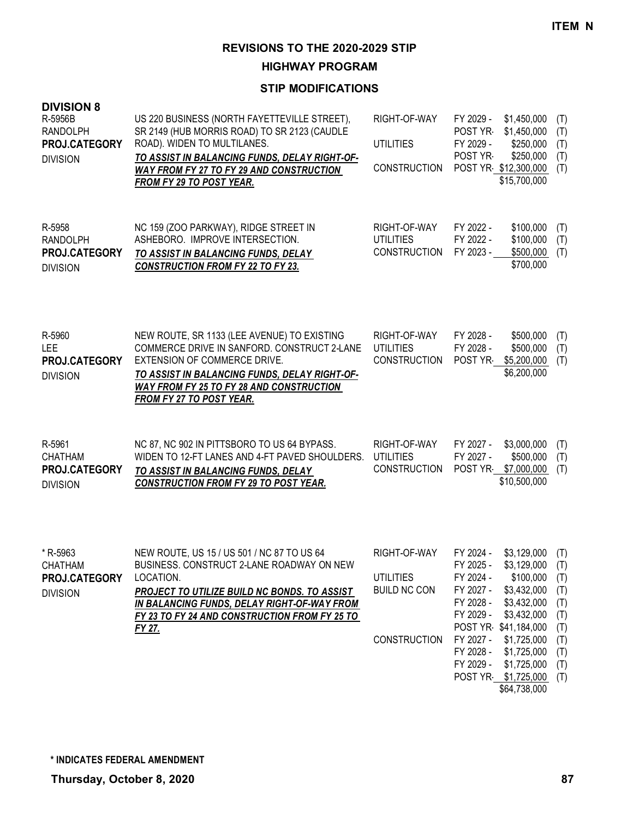**HIGHWAY PROGRAM**

| <b>DIVISION 8</b><br>R-5956B<br><b>RANDOLPH</b><br>PROJ.CATEGORY<br><b>DIVISION</b> | US 220 BUSINESS (NORTH FAYETTEVILLE STREET),<br>SR 2149 (HUB MORRIS ROAD) TO SR 2123 (CAUDLE<br>ROAD). WIDEN TO MULTILANES.<br>TO ASSIST IN BALANCING FUNDS, DELAY RIGHT-OF-<br><b>WAY FROM FY 27 TO FY 29 AND CONSTRUCTION</b><br><b>FROM FY 29 TO POST YEAR.</b> | RIGHT-OF-WAY<br><b>UTILITIES</b><br><b>CONSTRUCTION</b>                        | FY 2029 -<br>\$1,450,000<br>\$1,450,000<br>POST YR<br>FY 2029 -<br>\$250,000<br>POST YR<br>\$250,000<br>POST YR \$12,300,000<br>\$15,700,000                                                                                                                                                                          | (T)<br>(T)<br>(T)<br>(T)<br>(T)                                           |
|-------------------------------------------------------------------------------------|--------------------------------------------------------------------------------------------------------------------------------------------------------------------------------------------------------------------------------------------------------------------|--------------------------------------------------------------------------------|-----------------------------------------------------------------------------------------------------------------------------------------------------------------------------------------------------------------------------------------------------------------------------------------------------------------------|---------------------------------------------------------------------------|
| R-5958<br><b>RANDOLPH</b><br>PROJ.CATEGORY<br><b>DIVISION</b>                       | NC 159 (ZOO PARKWAY), RIDGE STREET IN<br>ASHEBORO. IMPROVE INTERSECTION.<br>TO ASSIST IN BALANCING FUNDS, DELAY<br><b>CONSTRUCTION FROM FY 22 TO FY 23.</b>                                                                                                        | RIGHT-OF-WAY<br><b>UTILITIES</b><br><b>CONSTRUCTION</b>                        | FY 2022 -<br>\$100,000<br>FY 2022 -<br>\$100,000<br>FY 2023 -<br>\$500,000<br>\$700,000                                                                                                                                                                                                                               | (T)<br>(T)<br>(T)                                                         |
| R-5960<br><b>LEE</b><br>PROJ.CATEGORY<br><b>DIVISION</b>                            | NEW ROUTE, SR 1133 (LEE AVENUE) TO EXISTING<br>COMMERCE DRIVE IN SANFORD. CONSTRUCT 2-LANE<br>EXTENSION OF COMMERCE DRIVE.<br>TO ASSIST IN BALANCING FUNDS, DELAY RIGHT-OF-<br>WAY FROM FY 25 TO FY 28 AND CONSTRUCTION<br><b>FROM FY 27 TO POST YEAR.</b>         | RIGHT-OF-WAY<br><b>UTILITIES</b><br><b>CONSTRUCTION</b>                        | FY 2028 -<br>\$500,000<br>FY 2028 -<br>\$500,000<br>POST YR-<br>\$5,200,000<br>\$6,200,000                                                                                                                                                                                                                            | (T)<br>(T)<br>(T)                                                         |
| R-5961<br><b>CHATHAM</b><br>PROJ.CATEGORY<br><b>DIVISION</b>                        | NC 87, NC 902 IN PITTSBORO TO US 64 BYPASS.<br>WIDEN TO 12-FT LANES AND 4-FT PAVED SHOULDERS.<br>TO ASSIST IN BALANCING FUNDS, DELAY<br><b>CONSTRUCTION FROM FY 29 TO POST YEAR.</b>                                                                               | RIGHT-OF-WAY<br><b>UTILITIES</b><br><b>CONSTRUCTION</b>                        | FY 2027 -<br>\$3,000,000<br>FY 2027 -<br>\$500,000<br>POST YR \$7,000,000<br>\$10,500,000                                                                                                                                                                                                                             | (T)<br>(T)<br>(T)                                                         |
| * R-5963<br>CHATHAM<br>PROJ.CATEGORY<br><b>DIVISION</b>                             | NEW ROUTE, US 15 / US 501 / NC 87 TO US 64<br>BUSINESS. CONSTRUCT 2-LANE ROADWAY ON NEW<br>LOCATION.<br>PROJECT TO UTILIZE BUILD NC BONDS. TO ASSIST<br>IN BALANCING FUNDS, DELAY RIGHT-OF-WAY FROM<br>FY 23 TO FY 24 AND CONSTRUCTION FROM FY 25 TO<br>FY 27.     | RIGHT-OF-WAY<br><b>UTILITIES</b><br><b>BUILD NC CON</b><br><b>CONSTRUCTION</b> | FY 2024 -<br>\$3,129,000<br>FY 2025 -<br>\$3,129,000<br>FY 2024 -<br>\$100,000<br>\$3,432,000<br>FY 2027 -<br>FY 2028 -<br>\$3,432,000<br>FY 2029 -<br>\$3,432,000<br>POST YR \$41,184,000<br>FY 2027 -<br>\$1,725,000<br>FY 2028 -<br>\$1,725,000<br>FY 2029 -<br>\$1,725,000<br>POST YR \$1,725,000<br>\$64,738,000 | (T)<br>(T)<br>(T)<br>(T)<br>(T)<br>(T)<br>(T)<br>(T)<br>(T)<br>(T)<br>(T) |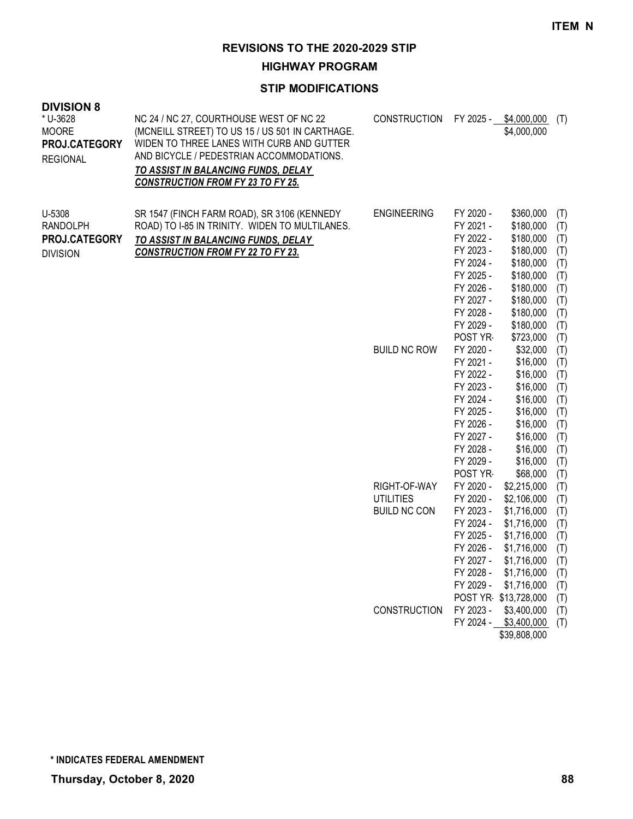**HIGHWAY PROGRAM**

| <b>DIVISION 8</b><br>* U-3628<br><b>MOORE</b><br>PROJ.CATEGORY<br><b>REGIONAL</b> | NC 24 / NC 27, COURTHOUSE WEST OF NC 22<br>(MCNEILL STREET) TO US 15 / US 501 IN CARTHAGE.<br>WIDEN TO THREE LANES WITH CURB AND GUTTER<br>AND BICYCLE / PEDESTRIAN ACCOMMODATIONS.<br><b>TO ASSIST IN BALANCING FUNDS, DELAY</b><br><b>CONSTRUCTION FROM FY 23 TO FY 25.</b> | CONSTRUCTION FY 2025 - \$4,000,000                      |                                                                                                                                            | \$4,000,000                                                                                                                                                 | (T)                                                                       |
|-----------------------------------------------------------------------------------|-------------------------------------------------------------------------------------------------------------------------------------------------------------------------------------------------------------------------------------------------------------------------------|---------------------------------------------------------|--------------------------------------------------------------------------------------------------------------------------------------------|-------------------------------------------------------------------------------------------------------------------------------------------------------------|---------------------------------------------------------------------------|
| U-5308<br><b>RANDOLPH</b><br>PROJ.CATEGORY<br><b>DIVISION</b>                     | SR 1547 (FINCH FARM ROAD), SR 3106 (KENNEDY<br>ROAD) TO I-85 IN TRINITY. WIDEN TO MULTILANES.<br>TO ASSIST IN BALANCING FUNDS, DELAY<br><b>CONSTRUCTION FROM FY 22 TO FY 23.</b>                                                                                              | <b>ENGINEERING</b>                                      | FY 2020 -<br>FY 2021 -<br>FY 2022 -<br>FY 2023 -<br>FY 2024 -<br>FY 2025 -<br>FY 2026 -<br>FY 2027 -<br>FY 2028 -<br>FY 2029 -<br>POST YR  | \$360,000<br>\$180,000<br>\$180,000<br>\$180,000<br>\$180,000<br>\$180,000<br>\$180,000<br>\$180,000<br>\$180,000<br>\$180,000<br>\$723,000                 | (T)<br>(T)<br>(T)<br>(T)<br>(T)<br>(T)<br>(T)<br>(T)<br>(T)<br>(T)<br>(T) |
|                                                                                   |                                                                                                                                                                                                                                                                               | <b>BUILD NC ROW</b>                                     | FY 2020 -<br>FY 2021 -<br>FY 2022 -<br>FY 2023 -<br>FY 2024 -<br>FY 2025 -<br>FY 2026 -<br>FY 2027 -<br>FY 2028 -<br>FY 2029 -<br>POST YR- | \$32,000<br>\$16,000<br>\$16,000<br>\$16,000<br>\$16,000<br>\$16,000<br>\$16,000<br>\$16,000<br>\$16,000<br>\$16,000<br>\$68,000                            | (T)<br>(T)<br>(T)<br>(T)<br>(T)<br>(T)<br>(T)<br>(T)<br>(T)<br>(T)<br>(T) |
|                                                                                   |                                                                                                                                                                                                                                                                               | RIGHT-OF-WAY<br><b>UTILITIES</b><br><b>BUILD NC CON</b> | FY 2020 -<br>FY 2020 -<br>FY 2023 -<br>FY 2024 -<br>FY 2025 -<br>FY 2026 -<br>FY 2027 -<br>FY 2028 -<br>FY 2029 -                          | \$2,215,000<br>\$2,106,000<br>\$1,716,000<br>\$1,716,000<br>\$1,716,000<br>\$1,716,000<br>\$1,716,000<br>\$1,716,000<br>\$1,716,000<br>POST YR \$13,728,000 | (T)<br>(T)<br>(T)<br>(T)<br>(T)<br>(T)<br>(T)<br>(T)<br>(T)               |
|                                                                                   |                                                                                                                                                                                                                                                                               | <b>CONSTRUCTION</b>                                     | FY 2023 -                                                                                                                                  | \$3,400,000<br>FY 2024 - \$3,400,000<br>\$39,808,000                                                                                                        | (T)<br>(T)<br>(T)                                                         |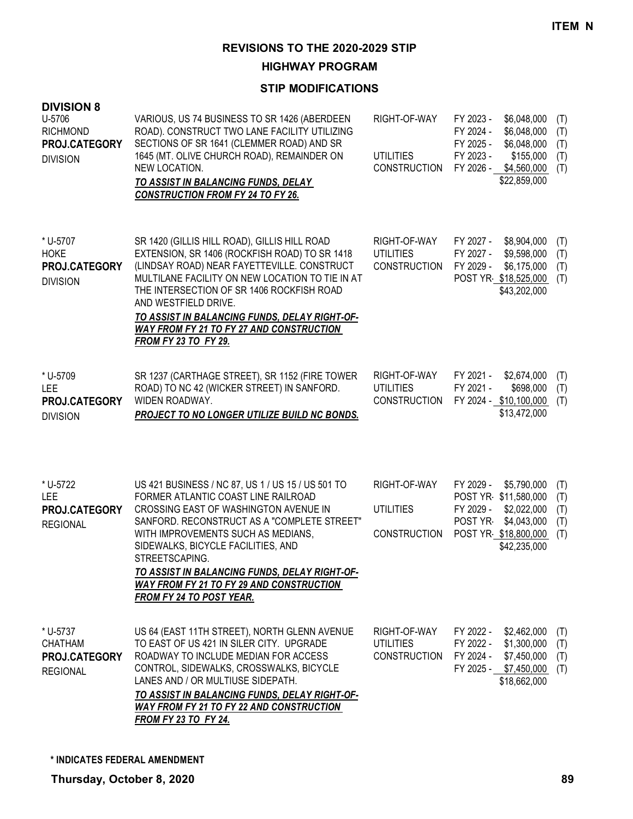**HIGHWAY PROGRAM**

| <b>DIVISION 8</b><br>U-5706<br><b>RICHMOND</b><br>PROJ.CATEGORY<br><b>DIVISION</b> | VARIOUS, US 74 BUSINESS TO SR 1426 (ABERDEEN<br>ROAD). CONSTRUCT TWO LANE FACILITY UTILIZING<br>SECTIONS OF SR 1641 (CLEMMER ROAD) AND SR<br>1645 (MT. OLIVE CHURCH ROAD), REMAINDER ON<br>NEW LOCATION.<br>TO ASSIST IN BALANCING FUNDS, DELAY<br><b>CONSTRUCTION FROM FY 24 TO FY 26.</b>                                                                                                                    | RIGHT-OF-WAY<br><b>UTILITIES</b><br><b>CONSTRUCTION</b> | FY 2023 -<br>FY 2024 -<br>FY 2025 -<br>FY 2023 - | \$6,048,000<br>\$6,048,000<br>\$6,048,000<br>\$155,000<br>FY 2026 - \$4,560,000<br>\$22,859,000           | (T)<br>(T)<br>(T)<br>(T)<br>(T) |
|------------------------------------------------------------------------------------|----------------------------------------------------------------------------------------------------------------------------------------------------------------------------------------------------------------------------------------------------------------------------------------------------------------------------------------------------------------------------------------------------------------|---------------------------------------------------------|--------------------------------------------------|-----------------------------------------------------------------------------------------------------------|---------------------------------|
| * U-5707<br><b>HOKE</b><br>PROJ.CATEGORY<br><b>DIVISION</b>                        | SR 1420 (GILLIS HILL ROAD), GILLIS HILL ROAD<br>EXTENSION, SR 1406 (ROCKFISH ROAD) TO SR 1418<br>(LINDSAY ROAD) NEAR FAYETTEVILLE. CONSTRUCT<br>MULTILANE FACILITY ON NEW LOCATION TO TIE IN AT<br>THE INTERSECTION OF SR 1406 ROCKFISH ROAD<br>AND WESTFIELD DRIVE.<br>TO ASSIST IN BALANCING FUNDS, DELAY RIGHT-OF-<br><b>WAY FROM FY 21 TO FY 27 AND CONSTRUCTION</b><br>FROM FY 23 TO FY 29.               | RIGHT-OF-WAY<br><b>UTILITIES</b><br><b>CONSTRUCTION</b> | FY 2027 -<br>FY 2027 -<br>FY 2029 -              | \$8,904,000<br>\$9,598,000<br>\$6,175,000<br>POST YR \$18,525,000<br>\$43,202,000                         | (T)<br>(T)<br>(T)<br>(T)        |
| * U-5709<br><b>LEE</b><br>PROJ.CATEGORY<br><b>DIVISION</b>                         | SR 1237 (CARTHAGE STREET), SR 1152 (FIRE TOWER<br>ROAD) TO NC 42 (WICKER STREET) IN SANFORD.<br>WIDEN ROADWAY.<br><b>PROJECT TO NO LONGER UTILIZE BUILD NC BONDS.</b>                                                                                                                                                                                                                                          | RIGHT-OF-WAY<br><b>UTILITIES</b><br><b>CONSTRUCTION</b> | FY 2021 -<br>FY 2021 -                           | \$2,674,000<br>\$698,000<br>FY 2024 - \$10,100,000<br>\$13,472,000                                        | (T)<br>(T)<br>(T)               |
| * U-5722<br><b>LEE</b><br>PROJ.CATEGORY<br><b>REGIONAL</b>                         | US 421 BUSINESS / NC 87, US 1 / US 15 / US 501 TO<br>FORMER ATLANTIC COAST LINE RAILROAD<br>CROSSING EAST OF WASHINGTON AVENUE IN<br>SANFORD. RECONSTRUCT AS A "COMPLETE STREET"<br>WITH IMPROVEMENTS SUCH AS MEDIANS,<br>SIDEWALKS, BICYCLE FACILITIES, AND<br>STREETSCAPING.<br>TO ASSIST IN BALANCING FUNDS, DELAY RIGHT-OF-<br><b>WAY FROM FY 21 TO FY 29 AND CONSTRUCTION</b><br>FROM FY 24 TO POST YEAR. | RIGHT-OF-WAY<br><b>UTILITIES</b><br><b>CONSTRUCTION</b> | FY 2029 -<br>FY 2029 -<br>POST YR                | \$5,790,000<br>POST YR \$11,580,000<br>\$2,022,000<br>\$4,043,000<br>POST YR \$18,800,000<br>\$42,235,000 | (T)<br>(T)<br>(T)<br>(T)<br>(T) |
| * U-5737<br><b>CHATHAM</b><br>PROJ.CATEGORY<br><b>REGIONAL</b>                     | US 64 (EAST 11TH STREET), NORTH GLENN AVENUE<br>TO EAST OF US 421 IN SILER CITY. UPGRADE<br>ROADWAY TO INCLUDE MEDIAN FOR ACCESS<br>CONTROL, SIDEWALKS, CROSSWALKS, BICYCLE<br>LANES AND / OR MULTIUSE SIDEPATH.<br>TO ASSIST IN BALANCING FUNDS, DELAY RIGHT-OF-<br><b>WAY FROM FY 21 TO FY 22 AND CONSTRUCTION</b><br><b>FROM FY 23 TO FY 24.</b>                                                            | RIGHT-OF-WAY<br><b>UTILITIES</b><br><b>CONSTRUCTION</b> | FY 2022 -<br>FY 2022 -<br>FY 2024 -              | \$2,462,000<br>\$1,300,000<br>\$7,450,000<br>FY 2025 - \$7,450,000<br>\$18,662,000                        | (T)<br>(T)<br>(T)<br>(T)        |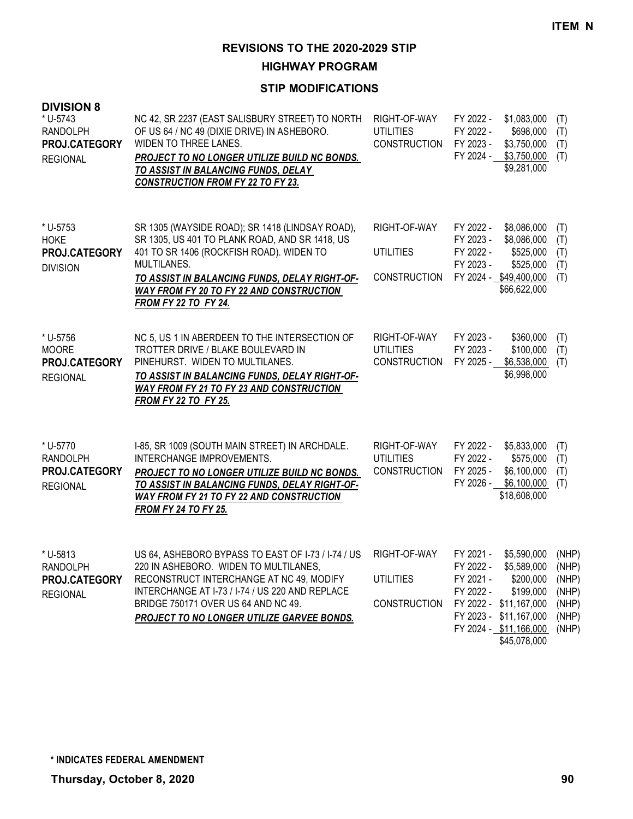**HIGHWAY PROGRAM**

| <b>DIVISION 8</b><br>* U-5743<br><b>RANDOLPH</b><br>PROJ.CATEGORY<br><b>REGIONAL</b> | NC 42, SR 2237 (EAST SALISBURY STREET) TO NORTH<br>OF US 64 / NC 49 (DIXIE DRIVE) IN ASHEBORO.<br>WIDEN TO THREE LANES.<br>PROJECT TO NO LONGER UTILIZE BUILD NC BONDS.<br>TO ASSIST IN BALANCING FUNDS, DELAY<br><b>CONSTRUCTION FROM FY 22 TO FY 23.</b>                                      | RIGHT-OF-WAY<br><b>UTILITIES</b><br><b>CONSTRUCTION</b> | FY 2022 -<br>\$1,083,000<br>FY 2022 -<br>\$698,000<br>FY 2023 -<br>\$3,750,000<br>FY 2024 - \$3,750,000<br>\$9,281,000                                                                                       | (T)<br>(T)<br>(T)<br>(T)                           |
|--------------------------------------------------------------------------------------|-------------------------------------------------------------------------------------------------------------------------------------------------------------------------------------------------------------------------------------------------------------------------------------------------|---------------------------------------------------------|--------------------------------------------------------------------------------------------------------------------------------------------------------------------------------------------------------------|----------------------------------------------------|
| * U-5753<br><b>HOKE</b><br>PROJ.CATEGORY<br><b>DIVISION</b>                          | SR 1305 (WAYSIDE ROAD); SR 1418 (LINDSAY ROAD),<br>SR 1305, US 401 TO PLANK ROAD, AND SR 1418, US<br>401 TO SR 1406 (ROCKFISH ROAD). WIDEN TO<br>MULTILANES.<br>TO ASSIST IN BALANCING FUNDS, DELAY RIGHT-OF-<br><b>WAY FROM FY 20 TO FY 22 AND CONSTRUCTION</b><br><b>FROM FY 22 TO FY 24.</b> | RIGHT-OF-WAY<br><b>UTILITIES</b><br><b>CONSTRUCTION</b> | FY 2022 -<br>\$8,086,000<br>\$8,086,000<br>FY 2023 -<br>FY 2022 -<br>\$525,000<br>FY 2023 -<br>\$525,000<br>FY 2024 - \$49,400,000<br>\$66,622,000                                                           | (T)<br>(T)<br>(T)<br>(T)<br>(T)                    |
| * U-5756<br><b>MOORE</b><br>PROJ.CATEGORY<br><b>REGIONAL</b>                         | NC 5, US 1 IN ABERDEEN TO THE INTERSECTION OF<br>TROTTER DRIVE / BLAKE BOULEVARD IN<br>PINEHURST. WIDEN TO MULTILANES.<br>TO ASSIST IN BALANCING FUNDS, DELAY RIGHT-OF-<br><b>WAY FROM FY 21 TO FY 23 AND CONSTRUCTION</b><br><b>FROM FY 22 TO FY 25.</b>                                       | RIGHT-OF-WAY<br><b>UTILITIES</b><br><b>CONSTRUCTION</b> | FY 2023 -<br>\$360,000<br>FY 2023 -<br>\$100,000<br>\$6,538,000<br>FY 2025 -<br>\$6,998,000                                                                                                                  | (T)<br>(T)<br>(T)                                  |
| * U-5770<br>RANDOLPH<br>PROJ.CATEGORY<br><b>REGIONAL</b>                             | I-85, SR 1009 (SOUTH MAIN STREET) IN ARCHDALE.<br>INTERCHANGE IMPROVEMENTS.<br><b>PROJECT TO NO LONGER UTILIZE BUILD NC BONDS.</b><br>TO ASSIST IN BALANCING FUNDS, DELAY RIGHT-OF-<br><b>WAY FROM FY 21 TO FY 22 AND CONSTRUCTION</b><br><b>FROM FY 24 TO FY 25.</b>                           | RIGHT-OF-WAY<br><b>UTILITIES</b><br><b>CONSTRUCTION</b> | FY 2022 -<br>\$5,833,000<br>FY 2022 -<br>\$575,000<br>\$6,100,000<br>FY 2025 -<br>\$6,100,000<br>FY 2026 -<br>\$18,608,000                                                                                   | (T)<br>(T)<br>(T)<br>(T)                           |
| * U-5813<br>RANDOLPH<br>PROJ.CATEGORY<br><b>REGIONAL</b>                             | US 64, ASHEBORO BYPASS TO EAST OF 1-73 / 1-74 / US<br>220 IN ASHEBORO. WIDEN TO MULTILANES,<br>RECONSTRUCT INTERCHANGE AT NC 49, MODIFY<br>INTERCHANGE AT I-73 / I-74 / US 220 AND REPLACE<br>BRIDGE 750171 OVER US 64 AND NC 49.<br>PROJECT TO NO LONGER UTILIZE GARVEE BONDS.                 | RIGHT-OF-WAY<br>UTILITIES<br><b>CONSTRUCTION</b>        | FY 2021 -<br>\$5,590,000<br>\$5,589,000 (NHP)<br>FY 2022 -<br>FY 2021 -<br>\$200,000<br>\$199,000<br>FY 2022 -<br>FY 2022 - \$11,167,000<br>FY 2023 - \$11,167,000<br>FY 2024 - \$11,166,000<br>\$45,078,000 | (NHP)<br>(NHP)<br>(NHP)<br>(NHP)<br>(NHP)<br>(NHP) |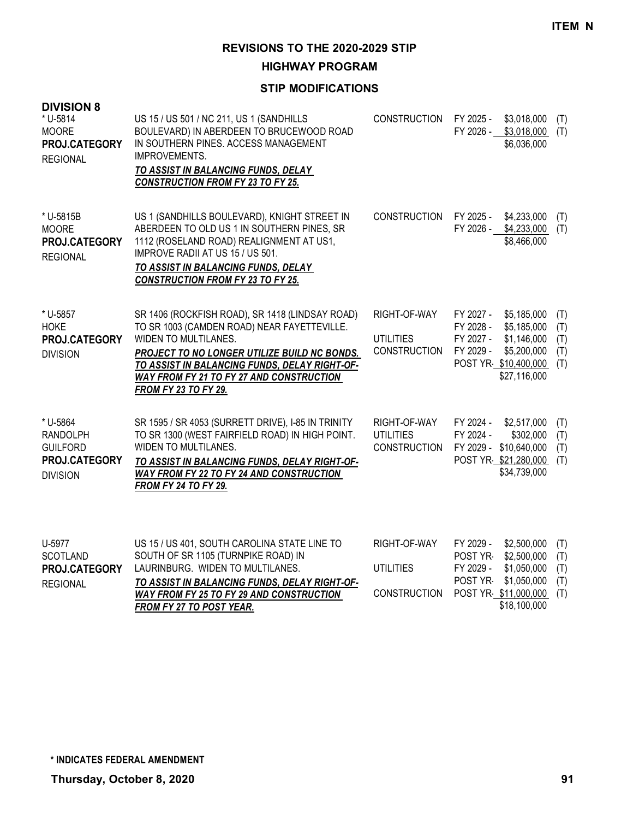**HIGHWAY PROGRAM**

### **STIP MODIFICATIONS**

| <b>DIVISION 8</b><br>* U-5814<br><b>MOORE</b><br>PROJ.CATEGORY<br><b>REGIONAL</b>  | US 15 / US 501 / NC 211, US 1 (SANDHILLS<br>BOULEVARD) IN ABERDEEN TO BRUCEWOOD ROAD<br>IN SOUTHERN PINES. ACCESS MANAGEMENT<br>IMPROVEMENTS.<br>TO ASSIST IN BALANCING FUNDS, DELAY<br><b>CONSTRUCTION FROM FY 23 TO FY 25.</b>                                                                   | <b>CONSTRUCTION</b>                                     | FY 2025 -<br>\$3,018,000<br>(T)<br>FY 2026 -<br>\$3,018,000<br>(T)<br>\$6,036,000                                                                                                       |
|------------------------------------------------------------------------------------|----------------------------------------------------------------------------------------------------------------------------------------------------------------------------------------------------------------------------------------------------------------------------------------------------|---------------------------------------------------------|-----------------------------------------------------------------------------------------------------------------------------------------------------------------------------------------|
| * U-5815B<br><b>MOORE</b><br>PROJ.CATEGORY<br><b>REGIONAL</b>                      | US 1 (SANDHILLS BOULEVARD), KNIGHT STREET IN<br>ABERDEEN TO OLD US 1 IN SOUTHERN PINES, SR<br>1112 (ROSELAND ROAD) REALIGNMENT AT US1,<br>IMPROVE RADII AT US 15 / US 501.<br>TO ASSIST IN BALANCING FUNDS, DELAY<br><b>CONSTRUCTION FROM FY 23 TO FY 25.</b>                                      | <b>CONSTRUCTION</b>                                     | FY 2025 -<br>\$4,233,000<br>(T)<br>FY 2026 - \$4,233,000<br>(T)<br>\$8,466,000                                                                                                          |
| * U-5857<br><b>HOKE</b><br>PROJ.CATEGORY<br><b>DIVISION</b>                        | SR 1406 (ROCKFISH ROAD), SR 1418 (LINDSAY ROAD)<br>TO SR 1003 (CAMDEN ROAD) NEAR FAYETTEVILLE.<br>WIDEN TO MULTILANES.<br>PROJECT TO NO LONGER UTILIZE BUILD NC BONDS.<br>TO ASSIST IN BALANCING FUNDS, DELAY RIGHT-OF-<br>WAY FROM FY 21 TO FY 27 AND CONSTRUCTION<br><b>FROM FY 23 TO FY 29.</b> | RIGHT-OF-WAY<br><b>UTILITIES</b><br><b>CONSTRUCTION</b> | FY 2027 -<br>\$5,185,000<br>(T)<br>FY 2028 -<br>\$5,185,000<br>(T)<br>FY 2027 -<br>\$1,146,000<br>(T)<br>FY 2029 -<br>\$5,200,000<br>(T)<br>POST YR \$10,400,000<br>(T)<br>\$27,116,000 |
| * U-5864<br><b>RANDOLPH</b><br><b>GUILFORD</b><br>PROJ.CATEGORY<br><b>DIVISION</b> | SR 1595 / SR 4053 (SURRETT DRIVE), I-85 IN TRINITY<br>TO SR 1300 (WEST FAIRFIELD ROAD) IN HIGH POINT.<br>WIDEN TO MULTILANES.<br>TO ASSIST IN BALANCING FUNDS, DELAY RIGHT-OF-<br>WAY FROM FY 22 TO FY 24 AND CONSTRUCTION<br><b>FROM FY 24 TO FY 29.</b>                                          | RIGHT-OF-WAY<br><b>UTILITIES</b><br><b>CONSTRUCTION</b> | FY 2024 -<br>\$2,517,000<br>(T)<br>FY 2024 -<br>\$302,000<br>(T)<br>FY 2029 - \$10,640,000<br>(T)<br>POST YR \$21,280,000<br>(T)<br>\$34,739,000                                        |
| U-5977<br><b>SCOTLAND</b><br>PROJ.CATEGORY<br><b>REGIONAL</b>                      | US 15 / US 401, SOUTH CAROLINA STATE LINE TO<br>SOUTH OF SR 1105 (TURNPIKE ROAD) IN<br>LAURINBURG. WIDEN TO MULTILANES.<br>TO ASSIST IN BALANCING FUNDS, DELAY RIGHT-OF-<br><b>WAY FROM FY 25 TO FY 29 AND CONSTRUCTION</b><br>FROM FY 27 TO POST YEAR.                                            | RIGHT-OF-WAY<br><b>UTILITIES</b><br><b>CONSTRUCTION</b> | FY 2029 -<br>\$2,500,000<br>(T)<br>\$2,500,000<br>POST YR<br>(T)<br>FY 2029 -<br>\$1,050,000<br>(T)<br>POST YR<br>\$1,050,000<br>(T)<br>POST YR \$11,000,000<br>(T)<br>\$18,100,000     |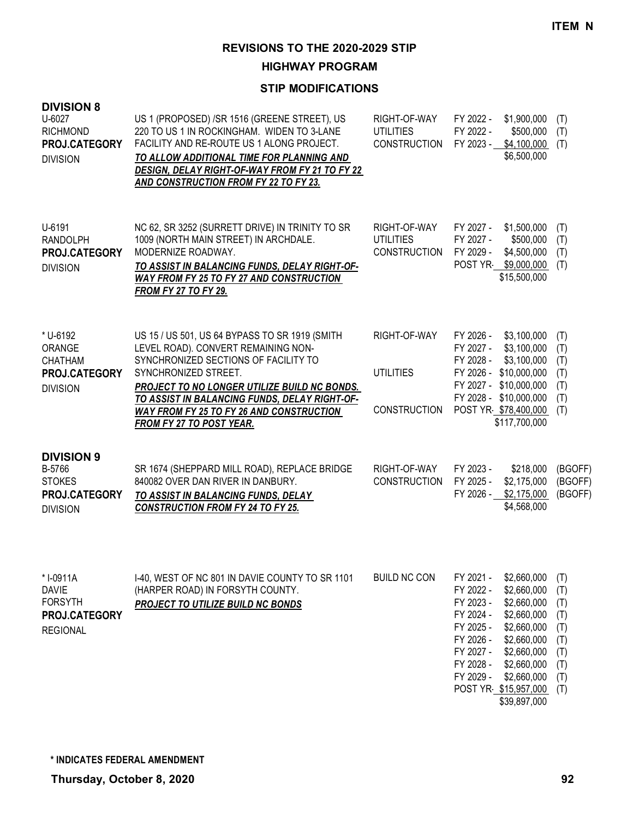**HIGHWAY PROGRAM**

| <b>DIVISION 8</b><br>U-6027<br><b>RICHMOND</b><br>PROJ.CATEGORY<br><b>DIVISION</b> | US 1 (PROPOSED) /SR 1516 (GREENE STREET), US<br>220 TO US 1 IN ROCKINGHAM. WIDEN TO 3-LANE<br>FACILITY AND RE-ROUTE US 1 ALONG PROJECT.<br>TO ALLOW ADDITIONAL TIME FOR PLANNING AND<br>DESIGN, DELAY RIGHT-OF-WAY FROM FY 21 TO FY 22<br>AND CONSTRUCTION FROM FY 22 TO FY 23.                                                       | RIGHT-OF-WAY<br><b>UTILITIES</b><br><b>CONSTRUCTION</b> | FY 2022 -<br>\$1,900,000<br>FY 2022 -<br>\$500,000<br>FY 2023 -<br>\$4,100,000<br>\$6,500,000                                                                                                                                                                                                    | (T)<br>(T)<br>(T)                                                  |
|------------------------------------------------------------------------------------|---------------------------------------------------------------------------------------------------------------------------------------------------------------------------------------------------------------------------------------------------------------------------------------------------------------------------------------|---------------------------------------------------------|--------------------------------------------------------------------------------------------------------------------------------------------------------------------------------------------------------------------------------------------------------------------------------------------------|--------------------------------------------------------------------|
| U-6191<br>RANDOLPH<br>PROJ.CATEGORY<br><b>DIVISION</b>                             | NC 62, SR 3252 (SURRETT DRIVE) IN TRINITY TO SR<br>1009 (NORTH MAIN STREET) IN ARCHDALE.<br>MODERNIZE ROADWAY.<br>TO ASSIST IN BALANCING FUNDS, DELAY RIGHT-OF-<br><b>WAY FROM FY 25 TO FY 27 AND CONSTRUCTION</b><br><b>FROM FY 27 TO FY 29.</b>                                                                                     | RIGHT-OF-WAY<br><b>UTILITIES</b><br><b>CONSTRUCTION</b> | FY 2027 -<br>\$1,500,000<br>FY 2027 -<br>\$500,000<br>FY 2029 -<br>\$4,500,000<br>POST YR \$9,000,000<br>\$15,500,000                                                                                                                                                                            | (T)<br>(T)<br>(T)<br>(T)                                           |
| * U-6192<br>ORANGE<br><b>CHATHAM</b><br>PROJ.CATEGORY<br><b>DIVISION</b>           | US 15 / US 501, US 64 BYPASS TO SR 1919 (SMITH<br>LEVEL ROAD). CONVERT REMAINING NON-<br>SYNCHRONIZED SECTIONS OF FACILITY TO<br>SYNCHRONIZED STREET.<br>PROJECT TO NO LONGER UTILIZE BUILD NC BONDS.<br>TO ASSIST IN BALANCING FUNDS, DELAY RIGHT-OF-<br><b>WAY FROM FY 25 TO FY 26 AND CONSTRUCTION</b><br>FROM FY 27 TO POST YEAR. | RIGHT-OF-WAY<br><b>UTILITIES</b><br><b>CONSTRUCTION</b> | FY 2026 -<br>\$3,100,000<br>FY 2027 -<br>\$3,100,000<br>FY 2028 -<br>\$3,100,000<br>FY 2026 - \$10,000,000<br>FY 2027 - \$10,000,000<br>FY 2028 - \$10,000,000<br>POST YR \$78,400,000<br>\$117,700,000                                                                                          | (T)<br>(T)<br>(T)<br>(T)<br>(T)<br>(T)<br>(T)                      |
| <b>DIVISION 9</b><br>B-5766<br><b>STOKES</b><br>PROJ.CATEGORY<br><b>DIVISION</b>   | SR 1674 (SHEPPARD MILL ROAD), REPLACE BRIDGE<br>840082 OVER DAN RIVER IN DANBURY.<br>TO ASSIST IN BALANCING FUNDS, DELAY<br><b>CONSTRUCTION FROM FY 24 TO FY 25.</b>                                                                                                                                                                  | RIGHT-OF-WAY<br><b>CONSTRUCTION</b>                     | FY 2023 -<br>\$218,000<br>FY 2025 -<br>\$2,175,000<br>FY 2026 -<br>\$2,175,000<br>\$4,568,000                                                                                                                                                                                                    | (BGOFF)<br>(BGOFF)<br>(BGOFF)                                      |
| *I-0911A<br><b>DAVIE</b><br><b>FORSYTH</b><br>PROJ.CATEGORY<br><b>REGIONAL</b>     | I-40, WEST OF NC 801 IN DAVIE COUNTY TO SR 1101<br>(HARPER ROAD) IN FORSYTH COUNTY.<br>PROJECT TO UTILIZE BUILD NC BONDS                                                                                                                                                                                                              | <b>BUILD NC CON</b>                                     | FY 2021 -<br>\$2,660,000<br>FY 2022 -<br>\$2,660,000<br>FY 2023 -<br>\$2,660,000<br>FY 2024 -<br>\$2,660,000<br>FY 2025 -<br>\$2,660,000<br>FY 2026 -<br>\$2,660,000<br>FY 2027 -<br>\$2,660,000<br>FY 2028 -<br>\$2,660,000<br>FY 2029 -<br>\$2,660,000<br>POST YR \$15,957,000<br>\$39,897,000 | (T)<br>(T)<br>(T)<br>(T)<br>(T)<br>(T)<br>(T)<br>(T)<br>(T)<br>(T) |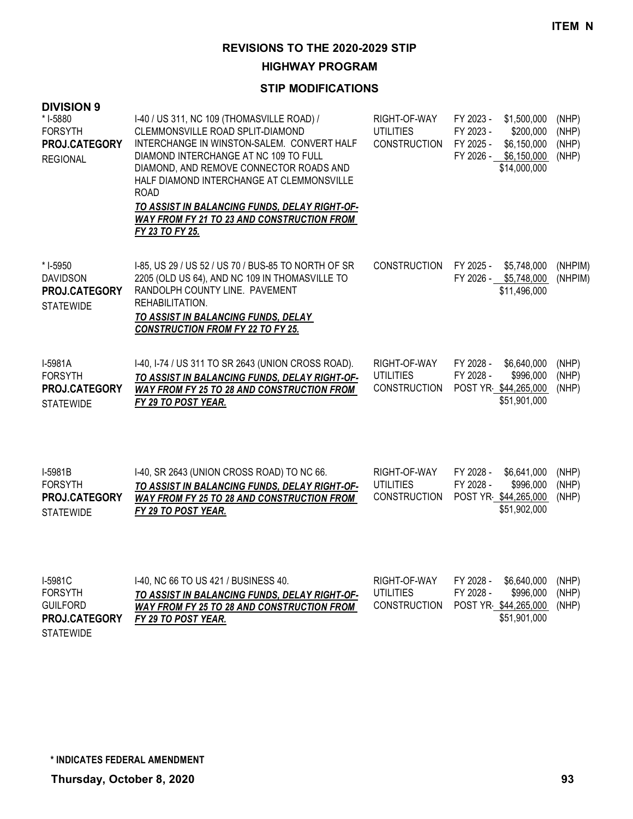**HIGHWAY PROGRAM**

| <b>DIVISION 9</b><br>* I-5880<br><b>FORSYTH</b><br><b>PROJ.CATEGORY</b><br><b>REGIONAL</b> | I-40 / US 311, NC 109 (THOMASVILLE ROAD) /<br>CLEMMONSVILLE ROAD SPLIT-DIAMOND<br>INTERCHANGE IN WINSTON-SALEM. CONVERT HALF<br>DIAMOND INTERCHANGE AT NC 109 TO FULL<br>DIAMOND, AND REMOVE CONNECTOR ROADS AND<br>HALF DIAMOND INTERCHANGE AT CLEMMONSVILLE<br><b>ROAD</b><br>TO ASSIST IN BALANCING FUNDS, DELAY RIGHT-OF-<br><b>WAY FROM FY 21 TO 23 AND CONSTRUCTION FROM</b><br>FY 23 TO FY 25. | RIGHT-OF-WAY<br><b>UTILITIES</b><br><b>CONSTRUCTION</b> | FY 2023 -<br>\$1,500,000<br>FY 2023 -<br>\$200,000<br>\$6,150,000<br>FY 2025 -<br>FY 2026 -<br>\$6,150,000<br>\$14,000,000 | (NHP)<br>(NHP)<br>(NHP)<br>(NHP) |
|--------------------------------------------------------------------------------------------|-------------------------------------------------------------------------------------------------------------------------------------------------------------------------------------------------------------------------------------------------------------------------------------------------------------------------------------------------------------------------------------------------------|---------------------------------------------------------|----------------------------------------------------------------------------------------------------------------------------|----------------------------------|
| * I-5950<br><b>DAVIDSON</b><br><b>PROJ.CATEGORY</b><br><b>STATEWIDE</b>                    | 1-85, US 29 / US 52 / US 70 / BUS-85 TO NORTH OF SR<br>2205 (OLD US 64), AND NC 109 IN THOMASVILLE TO<br>RANDOLPH COUNTY LINE. PAVEMENT<br>REHABILITATION.<br>TO ASSIST IN BALANCING FUNDS, DELAY<br><b>CONSTRUCTION FROM FY 22 TO FY 25.</b>                                                                                                                                                         | <b>CONSTRUCTION</b>                                     | FY 2025 -<br>\$5,748,000<br>FY 2026 - \$5,748,000<br>\$11,496,000                                                          | (NHPIM)<br>(NHPIM)               |
| I-5981A<br><b>FORSYTH</b><br><b>PROJ.CATEGORY</b><br><b>STATEWIDE</b>                      | 1-40, 1-74 / US 311 TO SR 2643 (UNION CROSS ROAD).<br>TO ASSIST IN BALANCING FUNDS. DELAY RIGHT-OF-<br><b>WAY FROM FY 25 TO 28 AND CONSTRUCTION FROM</b><br>FY 29 TO POST YEAR.                                                                                                                                                                                                                       | RIGHT-OF-WAY<br>UTILITIES<br><b>CONSTRUCTION</b>        | FY 2028 -<br>\$6.640,000<br>FY 2028 -<br>\$996,000<br>POST YR \$44,265,000<br>\$51,901,000                                 | (NHP)<br>(NHP)<br>(NHP)          |

| $I-5981B$            | 1-40, SR 2643 (UNION CROSS ROAD) TO NC 66.        | RIGHT-OF-WAY | FY 2028 - | \$6.641.000          | (NHP) |
|----------------------|---------------------------------------------------|--------------|-----------|----------------------|-------|
| <b>FORSYTH</b>       | TO ASSIST IN BALANCING FUNDS, DELAY RIGHT-OF-     | UTILITIES    | FY 2028 - | \$996,000 (NHP)      |       |
| <b>PROJ.CATEGORY</b> | <b>WAY FROM FY 25 TO 28 AND CONSTRUCTION FROM</b> | CONSTRUCTION |           | POST YR \$44,265,000 | (NHP) |
| <b>STATEWIDE</b>     | FY 29 TO POST YEAR.                               |              |           | \$51,902,000         |       |

| I-5981C              | 1-40. NC 66 TO US 421 / BUSINESS 40.          | RIGHT-OF-WAY | FY 2028 - | \$6,640,000 (NHP)          |  |
|----------------------|-----------------------------------------------|--------------|-----------|----------------------------|--|
| FORSYTH              | TO ASSIST IN BALANCING FUNDS, DELAY RIGHT-OF- | UTILITIES    | FY 2028 - | \$996,000 (NHP)            |  |
| GUILFORD             | WAY FROM FY 25 TO 28 AND CONSTRUCTION FROM    | CONSTRUCTION |           | POST YR \$44,265,000 (NHP) |  |
| <b>PROJ.CATEGORY</b> | FY 29 TO POST YEAR.                           |              |           | \$51.901.000               |  |
| STATEWIDE            |                                               |              |           |                            |  |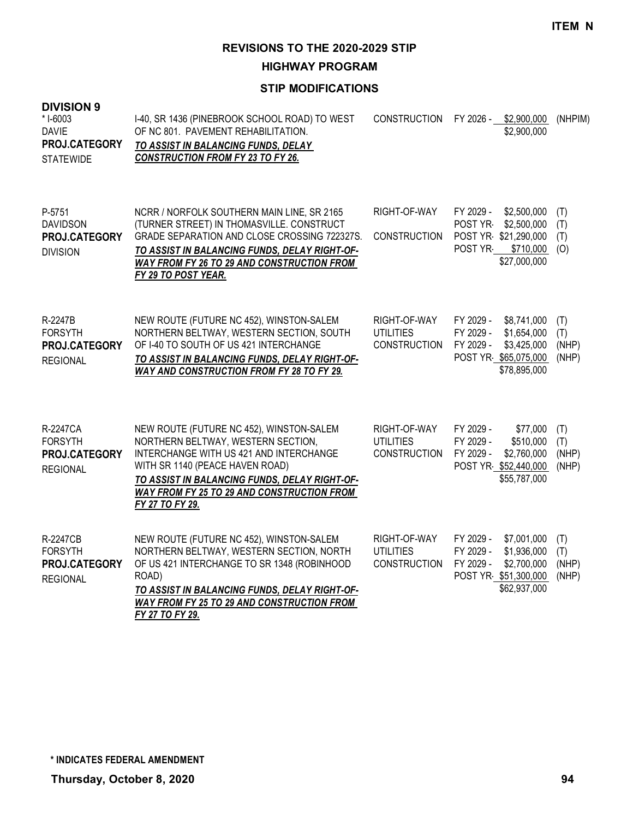**HIGHWAY PROGRAM**

| <b>DIVISION 9</b><br>* I-6003<br><b>DAVIE</b><br>PROJ.CATEGORY<br><b>STATEWIDE</b> | I-40, SR 1436 (PINEBROOK SCHOOL ROAD) TO WEST<br>OF NC 801. PAVEMENT REHABILITATION.<br>TO ASSIST IN BALANCING FUNDS, DELAY<br><b>CONSTRUCTION FROM FY 23 TO FY 26.</b>                                                                                                        | <b>CONSTRUCTION</b>                                     | FY 2026 -                           | \$2,900,000<br>\$2,900,000                                                        | (NHPIM)                      |
|------------------------------------------------------------------------------------|--------------------------------------------------------------------------------------------------------------------------------------------------------------------------------------------------------------------------------------------------------------------------------|---------------------------------------------------------|-------------------------------------|-----------------------------------------------------------------------------------|------------------------------|
| P-5751<br><b>DAVIDSON</b><br>PROJ.CATEGORY<br><b>DIVISION</b>                      | NCRR / NORFOLK SOUTHERN MAIN LINE, SR 2165<br>(TURNER STREET) IN THOMASVILLE. CONSTRUCT<br>GRADE SEPARATION AND CLOSE CROSSING 722327S.<br>TO ASSIST IN BALANCING FUNDS, DELAY RIGHT-OF-<br><b>WAY FROM FY 26 TO 29 AND CONSTRUCTION FROM</b><br><b>FY 29 TO POST YEAR.</b>    | RIGHT-OF-WAY<br><b>CONSTRUCTION</b>                     | FY 2029 -<br>POST YR-<br>POST YR-   | \$2,500,000<br>\$2,500,000<br>POST YR \$21,290,000<br>\$710,000<br>\$27,000,000   | (T)<br>(T)<br>(T)<br>(O)     |
| R-2247B<br><b>FORSYTH</b><br>PROJ.CATEGORY<br><b>REGIONAL</b>                      | NEW ROUTE (FUTURE NC 452), WINSTON-SALEM<br>NORTHERN BELTWAY, WESTERN SECTION, SOUTH<br>OF I-40 TO SOUTH OF US 421 INTERCHANGE<br>TO ASSIST IN BALANCING FUNDS, DELAY RIGHT-OF-<br><b>WAY AND CONSTRUCTION FROM FY 28 TO FY 29.</b>                                            | RIGHT-OF-WAY<br><b>UTILITIES</b><br><b>CONSTRUCTION</b> | FY 2029 -<br>FY 2029 -<br>FY 2029 - | \$8,741,000<br>\$1,654,000<br>\$3,425,000<br>POST YR \$65,075,000<br>\$78,895,000 | (T)<br>(T)<br>(NHP)<br>(NHP) |
| R-2247CA<br><b>FORSYTH</b><br>PROJ.CATEGORY<br><b>REGIONAL</b>                     | NEW ROUTE (FUTURE NC 452), WINSTON-SALEM<br>NORTHERN BELTWAY, WESTERN SECTION,<br>INTERCHANGE WITH US 421 AND INTERCHANGE<br>WITH SR 1140 (PEACE HAVEN ROAD)<br>TO ASSIST IN BALANCING FUNDS, DELAY RIGHT-OF-<br>WAY FROM FY 25 TO 29 AND CONSTRUCTION FROM<br>FY 27 TO FY 29. | RIGHT-OF-WAY<br><b>UTILITIES</b><br><b>CONSTRUCTION</b> | FY 2029 -<br>FY 2029 -<br>FY 2029 - | \$77,000<br>\$510,000<br>\$2,760,000<br>POST YR \$52,440,000<br>\$55,787,000      | (T)<br>(T)<br>(NHP)<br>(NHP) |
| <b>R-2247CB</b><br><b>FORSYTH</b><br>PROJ.CATEGORY<br><b>REGIONAL</b>              | NEW ROUTE (FUTURE NC 452), WINSTON-SALEM<br>NORTHERN BELTWAY, WESTERN SECTION, NORTH<br>OF US 421 INTERCHANGE TO SR 1348 (ROBINHOOD<br>ROAD)<br>TO ASSIST IN BALANCING FUNDS, DELAY RIGHT-OF-<br><b>WAY FROM FY 25 TO 29 AND CONSTRUCTION FROM</b><br>FY 27 TO FY 29.          | RIGHT-OF-WAY<br><b>UTILITIES</b><br><b>CONSTRUCTION</b> | FY 2029 -<br>FY 2029 -<br>FY 2029 - | \$7,001,000<br>\$1,936,000<br>\$2,700,000<br>POST YR \$51,300,000<br>\$62,937,000 | (T)<br>(T)<br>(NHP)<br>(NHP) |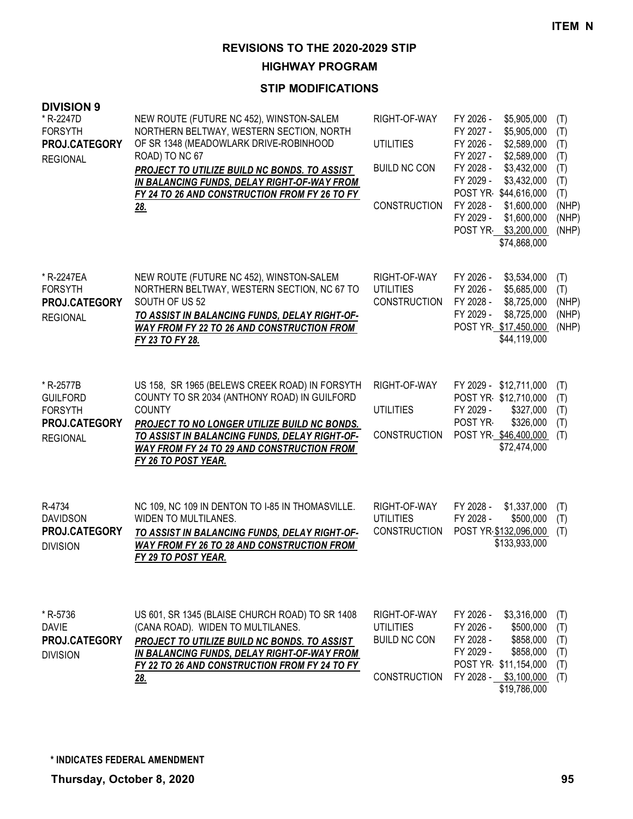**HIGHWAY PROGRAM**

| <b>DIVISION 9</b><br>* R-2247D<br><b>FORSYTH</b><br>PROJ.CATEGORY<br><b>REGIONAL</b> | NEW ROUTE (FUTURE NC 452), WINSTON-SALEM<br>NORTHERN BELTWAY, WESTERN SECTION, NORTH<br>OF SR 1348 (MEADOWLARK DRIVE-ROBINHOOD<br>ROAD) TO NC 67<br>PROJECT TO UTILIZE BUILD NC BONDS. TO ASSIST<br>IN BALANCING FUNDS, DELAY RIGHT-OF-WAY FROM<br>FY 24 TO 26 AND CONSTRUCTION FROM FY 26 TO FY<br><u>28.</u> | RIGHT-OF-WAY<br><b>UTILITIES</b><br><b>BUILD NC CON</b><br><b>CONSTRUCTION</b> | FY 2026 -<br>\$5,905,000<br>FY 2027 -<br>\$5,905,000<br>FY 2026 -<br>\$2,589,000<br>FY 2027 -<br>\$2,589,000<br>FY 2028 -<br>\$3,432,000<br>FY 2029 -<br>\$3,432,000<br>POST YR \$44,616,000<br>FY 2028 -<br>\$1,600,000<br>FY 2029 -<br>\$1,600,000<br>POST YR \$3,200,000<br>\$74,868,000 | (T)<br>(T)<br>(T)<br>(T)<br>(T)<br>(T)<br>(T)<br>(NHP)<br>(NHP)<br>(NHP) |
|--------------------------------------------------------------------------------------|----------------------------------------------------------------------------------------------------------------------------------------------------------------------------------------------------------------------------------------------------------------------------------------------------------------|--------------------------------------------------------------------------------|---------------------------------------------------------------------------------------------------------------------------------------------------------------------------------------------------------------------------------------------------------------------------------------------|--------------------------------------------------------------------------|
| * R-2247EA<br><b>FORSYTH</b><br>PROJ.CATEGORY<br><b>REGIONAL</b>                     | NEW ROUTE (FUTURE NC 452), WINSTON-SALEM<br>NORTHERN BELTWAY, WESTERN SECTION, NC 67 TO<br>SOUTH OF US 52<br>TO ASSIST IN BALANCING FUNDS, DELAY RIGHT-OF-<br><b>WAY FROM FY 22 TO 26 AND CONSTRUCTION FROM</b><br>FY 23 TO FY 28.                                                                             | RIGHT-OF-WAY<br><b>UTILITIES</b><br><b>CONSTRUCTION</b>                        | FY 2026 -<br>\$3,534,000<br>FY 2026 -<br>\$5,685,000<br>FY 2028 -<br>\$8,725,000<br>FY 2029 -<br>\$8,725,000<br>POST YR \$17,450,000<br>\$44,119,000                                                                                                                                        | (T)<br>(T)<br>(NHP)<br>(NHP)<br>(NHP)                                    |
| * R-2577B<br><b>GUILFORD</b><br><b>FORSYTH</b><br>PROJ.CATEGORY<br><b>REGIONAL</b>   | US 158, SR 1965 (BELEWS CREEK ROAD) IN FORSYTH<br>COUNTY TO SR 2034 (ANTHONY ROAD) IN GUILFORD<br><b>COUNTY</b><br>PROJECT TO NO LONGER UTILIZE BUILD NC BONDS.<br>TO ASSIST IN BALANCING FUNDS, DELAY RIGHT-OF-<br><b>WAY FROM FY 24 TO 29 AND CONSTRUCTION FROM</b><br>FY 26 TO POST YEAR.                   | RIGHT-OF-WAY<br><b>UTILITIES</b><br><b>CONSTRUCTION</b>                        | FY 2029 - \$12,711,000<br>POST YR \$12,710,000<br>FY 2029 -<br>\$327,000<br>POST YR-<br>\$326,000<br>POST YR \$46,400,000<br>\$72,474,000                                                                                                                                                   | (T)<br>(T)<br>(T)<br>(T)<br>(T)                                          |
| R-4734<br><b>DAVIDSON</b><br>PROJ.CATEGORY<br><b>DIVISION</b>                        | NC 109, NC 109 IN DENTON TO I-85 IN THOMASVILLE.<br><b>WIDEN TO MULTILANES.</b><br>TO ASSIST IN BALANCING FUNDS, DELAY RIGHT-OF-<br><b>WAY FROM FY 26 TO 28 AND CONSTRUCTION FROM</b><br><b>FY 29 TO POST YEAR.</b>                                                                                            | RIGHT-OF-WAY<br><b>UTILITIES</b><br><b>CONSTRUCTION</b>                        | FY 2028 -<br>\$1,337,000<br>FY 2028 -<br>\$500,000<br>POST YR \$132,096,000<br>\$133,933,000                                                                                                                                                                                                | (T)<br>(T)<br>(T)                                                        |
| * R-5736<br><b>DAVIE</b><br><b>PROJ.CATEGORY</b><br><b>DIVISION</b>                  | US 601, SR 1345 (BLAISE CHURCH ROAD) TO SR 1408<br>(CANA ROAD). WIDEN TO MULTILANES.<br>PROJECT TO UTILIZE BUILD NC BONDS. TO ASSIST<br>IN BALANCING FUNDS, DELAY RIGHT-OF-WAY FROM<br>FY 22 TO 26 AND CONSTRUCTION FROM FY 24 TO FY<br><u>28.</u>                                                             | RIGHT-OF-WAY<br><b>UTILITIES</b><br><b>BUILD NC CON</b><br><b>CONSTRUCTION</b> | FY 2026 -<br>\$3,316,000<br>FY 2026 -<br>\$500,000<br>FY 2028 -<br>\$858,000<br>FY 2029 -<br>\$858,000<br>POST YR \$11,154,000<br>FY 2028 - \$3,100,000<br>\$19,786,000                                                                                                                     | (T)<br>(T)<br>(T)<br>(T)<br>(T)<br>(T)                                   |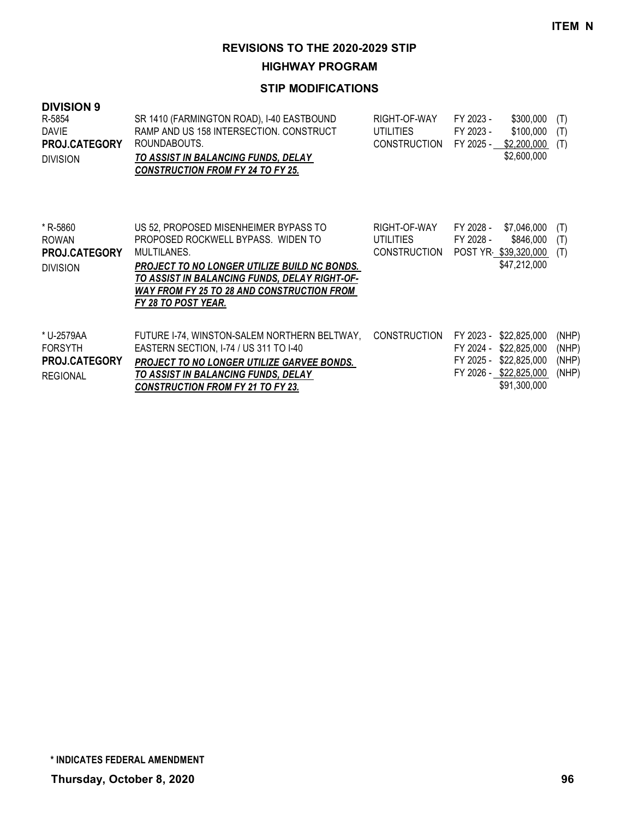**HIGHWAY PROGRAM**

| <b>DIVISION 9</b><br>R-5854<br>DAVIE<br>PROJ.CATEGORY<br><b>DIVISION</b> | SR 1410 (FARMINGTON ROAD), I-40 EASTBOUND<br>RAMP AND US 158 INTERSECTION, CONSTRUCT<br>ROUNDABOUTS.<br>TO ASSIST IN BALANCING FUNDS, DELAY<br><b>CONSTRUCTION FROM FY 24 TO FY 25.</b>                                                                                 | RIGHT-OF-WAY<br><b>UTILITIES</b><br><b>CONSTRUCTION</b> | FY 2023 -<br>\$300,000<br>FY 2023 -<br>\$100,000<br>FY 2025 -<br>\$2,200,000<br>\$2,600,000                                   | (T)<br>(T)<br>(T)                |
|--------------------------------------------------------------------------|-------------------------------------------------------------------------------------------------------------------------------------------------------------------------------------------------------------------------------------------------------------------------|---------------------------------------------------------|-------------------------------------------------------------------------------------------------------------------------------|----------------------------------|
| * R-5860<br><b>ROWAN</b><br><b>PROJ.CATEGORY</b><br><b>DIVISION</b>      | US 52, PROPOSED MISENHEIMER BYPASS TO<br>PROPOSED ROCKWELL BYPASS. WIDEN TO<br>MULTILANES.<br>PROJECT TO NO LONGER UTILIZE BUILD NC BONDS.<br>TO ASSIST IN BALANCING FUNDS, DELAY RIGHT-OF-<br><b>WAY FROM FY 25 TO 28 AND CONSTRUCTION FROM</b><br>FY 28 TO POST YEAR. | RIGHT-OF-WAY<br><b>UTILITIES</b><br><b>CONSTRUCTION</b> | FY 2028 -<br>\$7,046,000<br>FY 2028 -<br>\$846,000<br>POST YR \$39,320,000<br>\$47,212,000                                    | (T)<br>(T)<br>(T)                |
| * U-2579AA<br><b>FORSYTH</b><br><b>PROJ.CATEGORY</b><br><b>REGIONAL</b>  | FUTURE I-74, WINSTON-SALEM NORTHERN BELTWAY,<br>EASTERN SECTION, I-74 / US 311 TO I-40<br>PROJECT TO NO LONGER UTILIZE GARVEE BONDS.<br>TO ASSIST IN BALANCING FUNDS, DELAY<br><b>CONSTRUCTION FROM FY 21 TO FY 23.</b>                                                 | <b>CONSTRUCTION</b>                                     | FY 2023 -<br>\$22,825,000<br>FY 2024 -<br>\$22,825,000<br>\$22,825,000<br>FY 2025 -<br>FY 2026 - \$22,825,000<br>\$91,300,000 | (NHP)<br>(NHP)<br>(NHP)<br>(NHP) |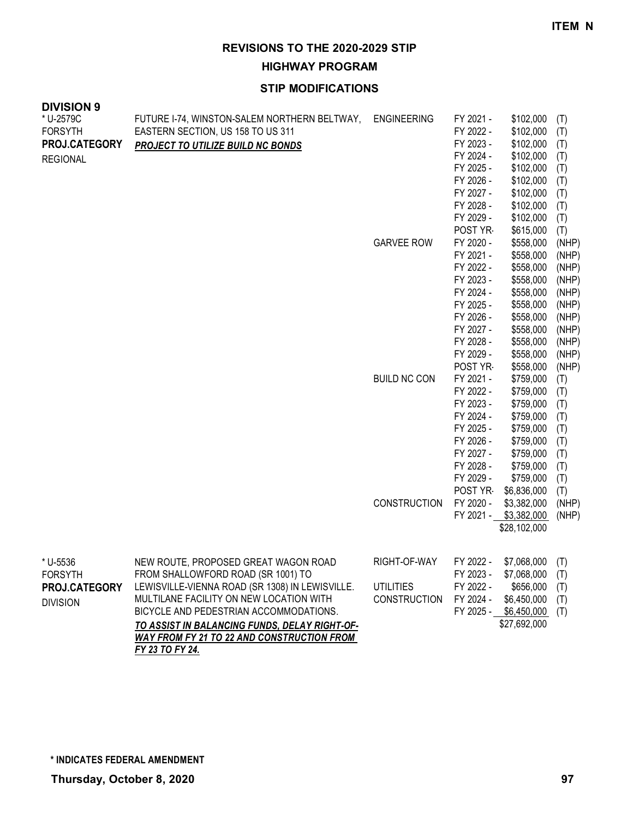**HIGHWAY PROGRAM**

### **STIP MODIFICATIONS**

| <b>DIVISION 9</b><br>* U-2579C<br><b>FORSYTH</b><br>PROJ.CATEGORY<br><b>REGIONAL</b> | FUTURE I-74, WINSTON-SALEM NORTHERN BELTWAY,<br>EASTERN SECTION, US 158 TO US 311<br>PROJECT TO UTILIZE BUILD NC BONDS                                                                                                                                                                                                   | <b>ENGINEERING</b>                                      | FY 2021 -<br>FY 2022 -<br>FY 2023 -<br>FY 2024 -<br>FY 2025 -<br>FY 2026 -<br>FY 2027 -                                                   | \$102,000<br>\$102,000<br>\$102,000<br>\$102,000<br>\$102,000<br>\$102,000<br>\$102,000                                                     | (T)<br>(T)<br>(T)<br>(T)<br>(T)<br>(T)<br>(T)                                         |
|--------------------------------------------------------------------------------------|--------------------------------------------------------------------------------------------------------------------------------------------------------------------------------------------------------------------------------------------------------------------------------------------------------------------------|---------------------------------------------------------|-------------------------------------------------------------------------------------------------------------------------------------------|---------------------------------------------------------------------------------------------------------------------------------------------|---------------------------------------------------------------------------------------|
|                                                                                      |                                                                                                                                                                                                                                                                                                                          | <b>GARVEE ROW</b>                                       | FY 2028 -<br>FY 2029 -<br>POST YR<br>FY 2020 -<br>FY 2021 -<br>FY 2022 -<br>FY 2023 -<br>FY 2024 -                                        | \$102,000<br>\$102,000<br>\$615,000<br>\$558,000<br>\$558,000<br>\$558,000<br>\$558,000<br>\$558,000                                        | (T)<br>(T)<br>(T)<br>(NHP)<br>(NHP)<br>(NHP)<br>(NHP)<br>(NHP)                        |
|                                                                                      |                                                                                                                                                                                                                                                                                                                          | <b>BUILD NC CON</b>                                     | FY 2025 -<br>FY 2026 -<br>FY 2027 -<br>FY 2028 -<br>FY 2029 -<br>POST YR<br>FY 2021 -<br>FY 2022 -<br>FY 2023 -<br>FY 2024 -<br>FY 2025 - | \$558,000<br>\$558,000<br>\$558,000<br>\$558,000<br>\$558,000<br>\$558,000<br>\$759,000<br>\$759,000<br>\$759,000<br>\$759,000<br>\$759,000 | (NHP)<br>(NHP)<br>(NHP)<br>(NHP)<br>(NHP)<br>(NHP)<br>(T)<br>(T)<br>(T)<br>(T)<br>(T) |
|                                                                                      |                                                                                                                                                                                                                                                                                                                          | <b>CONSTRUCTION</b>                                     | FY 2026 -<br>FY 2027 -<br>FY 2028 -<br>FY 2029 -<br>POST YR<br>FY 2020 -<br>FY 2021 -                                                     | \$759,000<br>\$759,000<br>\$759,000<br>\$759,000<br>\$6,836,000<br>\$3,382,000<br>\$3,382,000<br>\$28,102,000                               | (T)<br>(T)<br>(T)<br>(T)<br>(T)<br>(NHP)<br>(NHP)                                     |
| * U-5536<br><b>FORSYTH</b><br>PROJ.CATEGORY<br><b>DIVISION</b>                       | NEW ROUTE, PROPOSED GREAT WAGON ROAD<br>FROM SHALLOWFORD ROAD (SR 1001) TO<br>LEWISVILLE-VIENNA ROAD (SR 1308) IN LEWISVILLE.<br>MULTILANE FACILITY ON NEW LOCATION WITH<br>BICYCLE AND PEDESTRIAN ACCOMMODATIONS.<br>TO ASSIST IN BALANCING FUNDS, DELAY RIGHT-OF-<br><b>WAY FROM FY 21 TO 22 AND CONSTRUCTION FROM</b> | RIGHT-OF-WAY<br><b>UTILITIES</b><br><b>CONSTRUCTION</b> | FY 2022 -<br>FY 2023 -<br>FY 2022 -<br>FY 2024 -<br>FY 2025 -                                                                             | $$7,068,000$ (T)<br>\$7,068,000<br>\$656,000<br>\$6,450,000<br>\$6,450,000<br>\$27,692,000                                                  | (T)<br>(T)<br>(T)<br>(T)                                                              |

*FY 23 TO FY 24.*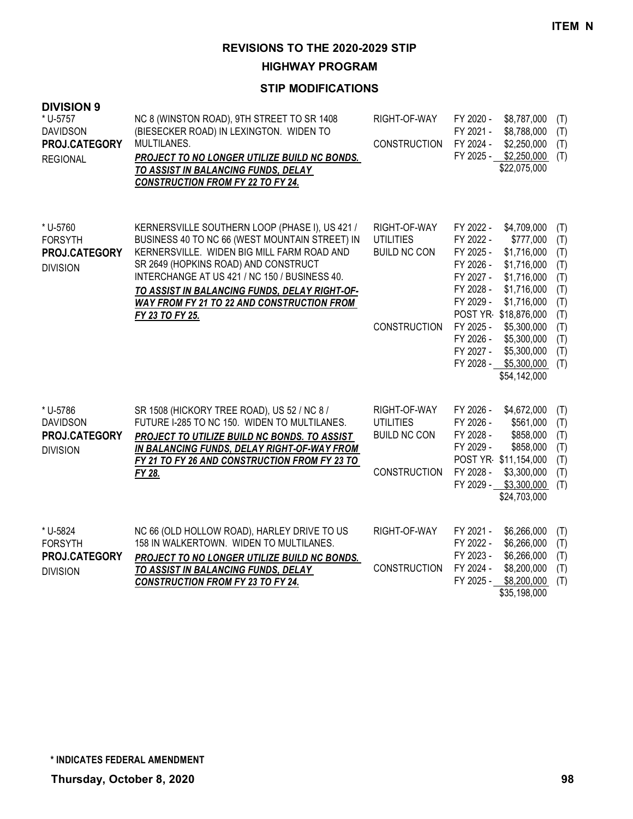**HIGHWAY PROGRAM**

| <b>DIVISION 9</b><br>* U-5757<br><b>DAVIDSON</b><br>PROJ.CATEGORY<br><b>REGIONAL</b> | NC 8 (WINSTON ROAD), 9TH STREET TO SR 1408<br>(BIESECKER ROAD) IN LEXINGTON. WIDEN TO<br>MULTILANES.<br><b>PROJECT TO NO LONGER UTILIZE BUILD NC BONDS.</b><br>TO ASSIST IN BALANCING FUNDS, DELAY<br><b>CONSTRUCTION FROM FY 22 TO FY 24.</b>                                                                                                                   | RIGHT-OF-WAY<br><b>CONSTRUCTION</b>                                            | FY 2020 -<br>\$8,787,000<br>(T)<br>FY 2021 -<br>\$8,788,000<br>(T)<br>FY 2024 -<br>\$2,250,000<br>(T)<br>FY 2025 - \$2,250,000<br>(T)<br>\$22,075,000                                                                                                                                                                                                                                                                                      |
|--------------------------------------------------------------------------------------|------------------------------------------------------------------------------------------------------------------------------------------------------------------------------------------------------------------------------------------------------------------------------------------------------------------------------------------------------------------|--------------------------------------------------------------------------------|--------------------------------------------------------------------------------------------------------------------------------------------------------------------------------------------------------------------------------------------------------------------------------------------------------------------------------------------------------------------------------------------------------------------------------------------|
| * U-5760<br><b>FORSYTH</b><br>PROJ.CATEGORY<br><b>DIVISION</b>                       | KERNERSVILLE SOUTHERN LOOP (PHASE I), US 421 /<br>BUSINESS 40 TO NC 66 (WEST MOUNTAIN STREET) IN<br>KERNERSVILLE. WIDEN BIG MILL FARM ROAD AND<br>SR 2649 (HOPKINS ROAD) AND CONSTRUCT<br>INTERCHANGE AT US 421 / NC 150 / BUSINESS 40.<br>TO ASSIST IN BALANCING FUNDS, DELAY RIGHT-OF-<br><b>WAY FROM FY 21 TO 22 AND CONSTRUCTION FROM</b><br>FY 23 TO FY 25. | RIGHT-OF-WAY<br><b>UTILITIES</b><br><b>BUILD NC CON</b><br><b>CONSTRUCTION</b> | FY 2022 -<br>\$4,709,000<br>(T)<br>FY 2022 -<br>\$777,000<br>(T)<br>FY 2025 -<br>\$1,716,000<br>(T)<br>FY 2026 -<br>\$1,716,000<br>(T)<br>FY 2027 -<br>\$1,716,000<br>(T)<br>FY 2028 -<br>\$1,716,000<br>(T)<br>FY 2029 -<br>\$1,716,000<br>(T)<br>POST YR \$18,876,000<br>(T)<br>FY 2025 -<br>\$5,300,000<br>(T)<br>FY 2026 -<br>\$5,300,000<br>(T)<br>FY 2027 -<br>\$5,300,000<br>(T)<br>FY 2028 -<br>\$5,300,000<br>(T)<br>\$54,142,000 |
| * U-5786<br><b>DAVIDSON</b><br>PROJ.CATEGORY<br><b>DIVISION</b>                      | SR 1508 (HICKORY TREE ROAD), US 52 / NC 8 /<br>FUTURE I-285 TO NC 150. WIDEN TO MULTILANES.<br>PROJECT TO UTILIZE BUILD NC BONDS. TO ASSIST<br>IN BALANCING FUNDS, DELAY RIGHT-OF-WAY FROM<br>FY 21 TO FY 26 AND CONSTRUCTION FROM FY 23 TO<br>FY 28.                                                                                                            | RIGHT-OF-WAY<br><b>UTILITIES</b><br><b>BUILD NC CON</b><br><b>CONSTRUCTION</b> | FY 2026 -<br>\$4,672,000<br>(T)<br>FY 2026 -<br>\$561,000<br>(T)<br>FY 2028 -<br>\$858,000<br>(T)<br>FY 2029 -<br>\$858,000<br>(T)<br>POST YR \$11,154,000<br>(T)<br>FY 2028 -<br>\$3,300,000<br>(T)<br>FY 2029 - \$3,300,000<br>(T)<br>\$24,703,000                                                                                                                                                                                       |
| * U-5824<br><b>FORSYTH</b><br>PROJ.CATEGORY<br><b>DIVISION</b>                       | NC 66 (OLD HOLLOW ROAD), HARLEY DRIVE TO US<br>158 IN WALKERTOWN. WIDEN TO MULTILANES.<br>PROJECT TO NO LONGER UTILIZE BUILD NC BONDS.<br>TO ASSIST IN BALANCING FUNDS, DELAY<br><b>CONSTRUCTION FROM FY 23 TO FY 24.</b>                                                                                                                                        | RIGHT-OF-WAY<br><b>CONSTRUCTION</b>                                            | FY 2021 -<br>\$6,266,000<br>(T)<br>\$6,266,000<br>FY 2022 -<br>(T)<br>FY 2023 -<br>\$6,266,000<br>(T)<br>FY 2024 -<br>\$8,200,000<br>(T)<br>FY 2025 -<br>\$8,200,000<br>(T)<br>\$35,198,000                                                                                                                                                                                                                                                |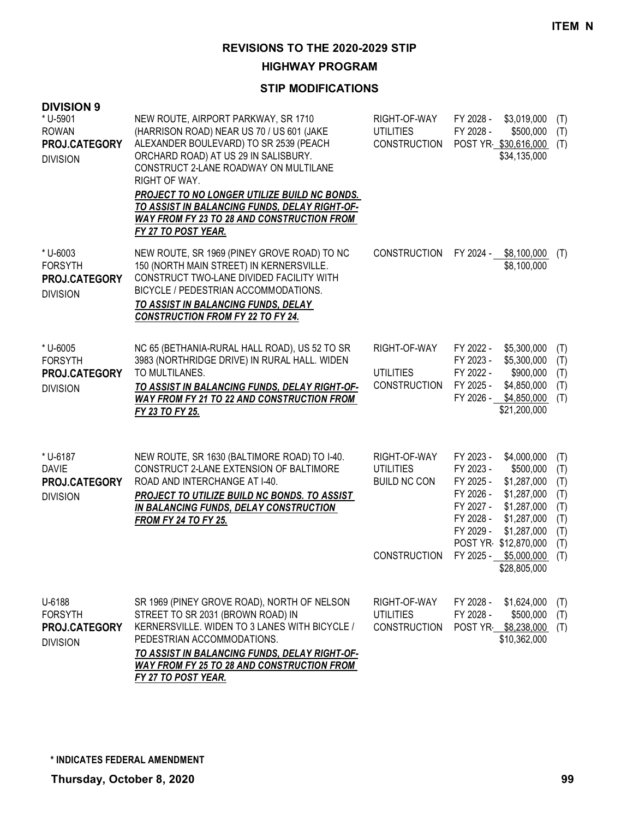**HIGHWAY PROGRAM**

| <b>DIVISION 9</b><br>* U-5901<br><b>ROWAN</b><br>PROJ.CATEGORY<br><b>DIVISION</b> | NEW ROUTE, AIRPORT PARKWAY, SR 1710<br>(HARRISON ROAD) NEAR US 70 / US 601 (JAKE<br>ALEXANDER BOULEVARD) TO SR 2539 (PEACH<br>ORCHARD ROAD) AT US 29 IN SALISBURY.<br>CONSTRUCT 2-LANE ROADWAY ON MULTILANE<br>RIGHT OF WAY.<br>PROJECT TO NO LONGER UTILIZE BUILD NC BONDS.<br>TO ASSIST IN BALANCING FUNDS, DELAY RIGHT-OF-<br><b>WAY FROM FY 23 TO 28 AND CONSTRUCTION FROM</b><br>FY 27 TO POST YEAR. | RIGHT-OF-WAY<br><b>UTILITIES</b><br><b>CONSTRUCTION</b> | \$3,019,000<br>FY 2028 -<br>(T)<br>FY 2028 -<br>\$500,000<br>(T)<br>POST YR \$30,616,000<br>(T)<br>\$34,135,000                                                                                                                                                                |
|-----------------------------------------------------------------------------------|-----------------------------------------------------------------------------------------------------------------------------------------------------------------------------------------------------------------------------------------------------------------------------------------------------------------------------------------------------------------------------------------------------------|---------------------------------------------------------|--------------------------------------------------------------------------------------------------------------------------------------------------------------------------------------------------------------------------------------------------------------------------------|
| * U-6003<br><b>FORSYTH</b><br>PROJ.CATEGORY<br><b>DIVISION</b>                    | NEW ROUTE, SR 1969 (PINEY GROVE ROAD) TO NC<br>150 (NORTH MAIN STREET) IN KERNERSVILLE.<br>CONSTRUCT TWO-LANE DIVIDED FACILITY WITH<br>BICYCLE / PEDESTRIAN ACCOMMODATIONS.<br>TO ASSIST IN BALANCING FUNDS, DELAY<br><b>CONSTRUCTION FROM FY 22 TO FY 24.</b>                                                                                                                                            | <b>CONSTRUCTION</b>                                     | FY 2024 -<br>\$8,100,000<br>(T)<br>\$8,100,000                                                                                                                                                                                                                                 |
| * U-6005<br><b>FORSYTH</b><br>PROJ.CATEGORY<br><b>DIVISION</b>                    | NC 65 (BETHANIA-RURAL HALL ROAD), US 52 TO SR<br>3983 (NORTHRIDGE DRIVE) IN RURAL HALL. WIDEN<br>TO MULTILANES.<br>TO ASSIST IN BALANCING FUNDS, DELAY RIGHT-OF-<br><b>WAY FROM FY 21 TO 22 AND CONSTRUCTION FROM</b><br>FY 23 TO FY 25.                                                                                                                                                                  | RIGHT-OF-WAY<br><b>UTILITIES</b><br><b>CONSTRUCTION</b> | \$5,300,000<br>FY 2022 -<br>(T)<br>FY 2023 -<br>\$5,300,000<br>(T)<br>FY 2022 -<br>\$900,000<br>(T)<br>FY 2025 -<br>\$4,850,000<br>(T)<br>FY 2026 - \$4,850,000<br>(T)<br>\$21,200,000                                                                                         |
| * U-6187<br><b>DAVIE</b><br>PROJ.CATEGORY<br><b>DIVISION</b>                      | NEW ROUTE, SR 1630 (BALTIMORE ROAD) TO I-40.<br>CONSTRUCT 2-LANE EXTENSION OF BALTIMORE<br>ROAD AND INTERCHANGE AT I-40.<br>PROJECT TO UTILIZE BUILD NC BONDS. TO ASSIST<br>IN BALANCING FUNDS, DELAY CONSTRUCTION<br><b>FROM FY 24 TO FY 25.</b>                                                                                                                                                         | RIGHT-OF-WAY<br><b>UTILITIES</b><br><b>BUILD NC CON</b> | FY 2023 -<br>\$4,000,000<br>(T)<br>FY 2023 -<br>\$500,000<br>(T)<br>FY 2025 -<br>\$1,287,000<br>(T)<br>FY 2026 -<br>\$1,287,000<br>(T)<br>FY 2027 -<br>\$1,287,000<br>(T)<br>FY 2028 -<br>\$1,287,000<br>(T)<br>FY 2029 -<br>\$1,287,000<br>(T)<br>POST YR \$12,870,000<br>(T) |
|                                                                                   |                                                                                                                                                                                                                                                                                                                                                                                                           | <b>CONSTRUCTION</b>                                     | FY 2025 - \$5,000,000<br>(T)<br>\$28,805,000                                                                                                                                                                                                                                   |
| U-6188<br><b>FORSYTH</b><br>PROJ.CATEGORY<br><b>DIVISION</b>                      | SR 1969 (PINEY GROVE ROAD), NORTH OF NELSON<br>STREET TO SR 2031 (BROWN ROAD) IN<br>KERNERSVILLE. WIDEN TO 3 LANES WITH BICYCLE /<br>PEDESTRIAN ACCOMMODATIONS.<br>TO ASSIST IN BALANCING FUNDS, DELAY RIGHT-OF-<br><b>WAY FROM FY 25 TO 28 AND CONSTRUCTION FROM</b><br>FY 27 TO POST YEAR.                                                                                                              | RIGHT-OF-WAY<br><b>UTILITIES</b><br><b>CONSTRUCTION</b> | FY 2028 -<br>\$1,624,000<br>(T)<br>\$500,000<br>FY 2028 -<br>(T)<br>POST YR \$8,238,000<br>(T)<br>\$10,362,000                                                                                                                                                                 |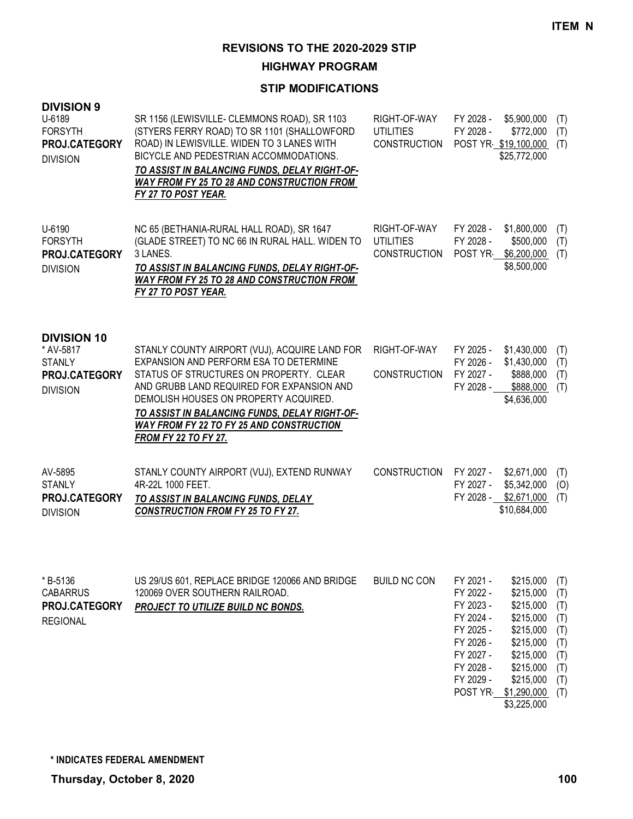**HIGHWAY PROGRAM**

| <b>DIVISION 9</b><br>U-6189<br><b>FORSYTH</b><br>PROJ.CATEGORY<br><b>DIVISION</b>    | SR 1156 (LEWISVILLE- CLEMMONS ROAD), SR 1103<br>(STYERS FERRY ROAD) TO SR 1101 (SHALLOWFORD<br>ROAD) IN LEWISVILLE. WIDEN TO 3 LANES WITH<br>BICYCLE AND PEDESTRIAN ACCOMMODATIONS.<br>TO ASSIST IN BALANCING FUNDS, DELAY RIGHT-OF-<br><b>WAY FROM FY 25 TO 28 AND CONSTRUCTION FROM</b><br><b>FY 27 TO POST YEAR.</b>                                     | RIGHT-OF-WAY<br><b>UTILITIES</b><br><b>CONSTRUCTION</b> | FY 2028 -<br>FY 2028 -                                                                                                       | \$5,900,000<br>\$772,000<br>POST YR \$19,100,000<br>\$25,772,000                                                                                | (T)<br>(T)<br>(T)                                                  |
|--------------------------------------------------------------------------------------|-------------------------------------------------------------------------------------------------------------------------------------------------------------------------------------------------------------------------------------------------------------------------------------------------------------------------------------------------------------|---------------------------------------------------------|------------------------------------------------------------------------------------------------------------------------------|-------------------------------------------------------------------------------------------------------------------------------------------------|--------------------------------------------------------------------|
| U-6190<br><b>FORSYTH</b><br>PROJ.CATEGORY<br><b>DIVISION</b>                         | NC 65 (BETHANIA-RURAL HALL ROAD), SR 1647<br>(GLADE STREET) TO NC 66 IN RURAL HALL. WIDEN TO<br>3 LANES.<br>TO ASSIST IN BALANCING FUNDS, DELAY RIGHT-OF-<br><b>WAY FROM FY 25 TO 28 AND CONSTRUCTION FROM</b><br><b>FY 27 TO POST YEAR.</b>                                                                                                                | RIGHT-OF-WAY<br><b>UTILITIES</b><br><b>CONSTRUCTION</b> | FY 2028 -<br>FY 2028 -<br>POST YR                                                                                            | \$1,800,000<br>\$500,000<br>\$6,200,000<br>\$8,500,000                                                                                          | (T)<br>(T)<br>(T)                                                  |
| <b>DIVISION 10</b><br>* AV-5817<br><b>STANLY</b><br>PROJ.CATEGORY<br><b>DIVISION</b> | STANLY COUNTY AIRPORT (VUJ), ACQUIRE LAND FOR<br>EXPANSION AND PERFORM ESA TO DETERMINE<br>STATUS OF STRUCTURES ON PROPERTY. CLEAR<br>AND GRUBB LAND REQUIRED FOR EXPANSION AND<br>DEMOLISH HOUSES ON PROPERTY ACQUIRED.<br>TO ASSIST IN BALANCING FUNDS, DELAY RIGHT-OF-<br><b>WAY FROM FY 22 TO FY 25 AND CONSTRUCTION</b><br><b>FROM FY 22 TO FY 27.</b> | RIGHT-OF-WAY<br><b>CONSTRUCTION</b>                     | FY 2025 -<br>FY 2026 -<br>FY 2027 -<br>FY 2028 -                                                                             | \$1,430,000<br>\$1,430,000<br>\$888,000<br>\$888,000<br>\$4,636,000                                                                             | (T)<br>(T)<br>(T)<br>(T)                                           |
| AV-5895<br><b>STANLY</b><br>PROJ.CATEGORY<br><b>DIVISION</b>                         | STANLY COUNTY AIRPORT (VUJ), EXTEND RUNWAY<br>4R-22L 1000 FEET.<br>TO ASSIST IN BALANCING FUNDS, DELAY<br><b>CONSTRUCTION FROM FY 25 TO FY 27.</b>                                                                                                                                                                                                          | <b>CONSTRUCTION</b>                                     | FY 2027 -<br>FY 2027 -<br>FY 2028 -                                                                                          | \$2,671,000<br>\$5,342,000<br>\$2,671,000<br>\$10,684,000                                                                                       | (T)<br>(O)<br>(T)                                                  |
| *B-5136<br><b>CABARRUS</b><br>PROJ.CATEGORY<br><b>REGIONAL</b>                       | US 29/US 601, REPLACE BRIDGE 120066 AND BRIDGE<br>120069 OVER SOUTHERN RAILROAD.<br>PROJECT TO UTILIZE BUILD NC BONDS.                                                                                                                                                                                                                                      | <b>BUILD NC CON</b>                                     | FY 2021 -<br>FY 2022 -<br>FY 2023 -<br>FY 2024 -<br>FY 2025 -<br>FY 2026 -<br>FY 2027 -<br>FY 2028 -<br>FY 2029 -<br>POST YR | \$215,000<br>\$215,000<br>\$215,000<br>\$215,000<br>\$215,000<br>\$215,000<br>\$215,000<br>\$215,000<br>\$215,000<br>\$1,290,000<br>\$3,225,000 | (T)<br>(T)<br>(T)<br>(T)<br>(T)<br>(T)<br>(T)<br>(T)<br>(T)<br>(T) |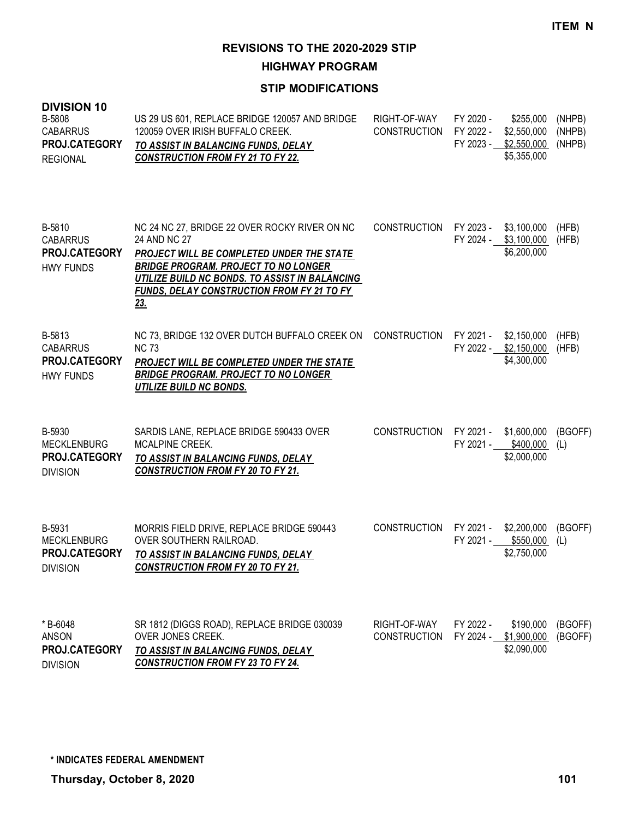**HIGHWAY PROGRAM**

| <b>DIVISION 10</b><br>B-5808<br><b>CABARRUS</b><br>PROJ.CATEGORY<br><b>REGIONAL</b> | US 29 US 601, REPLACE BRIDGE 120057 AND BRIDGE<br>120059 OVER IRISH BUFFALO CREEK.<br>TO ASSIST IN BALANCING FUNDS, DELAY<br><b>CONSTRUCTION FROM FY 21 TO FY 22.</b>                                                                                                   | RIGHT-OF-WAY<br><b>CONSTRUCTION</b> | FY 2020 -<br>FY 2022 - | \$255,000<br>\$2,550,000<br>FY 2023 - \$2,550,000<br>\$5,355,000 | (NHPB)<br>(NHPB)<br>(NHPB) |
|-------------------------------------------------------------------------------------|-------------------------------------------------------------------------------------------------------------------------------------------------------------------------------------------------------------------------------------------------------------------------|-------------------------------------|------------------------|------------------------------------------------------------------|----------------------------|
| B-5810<br><b>CABARRUS</b><br>PROJ.CATEGORY<br><b>HWY FUNDS</b>                      | NC 24 NC 27, BRIDGE 22 OVER ROCKY RIVER ON NC<br>24 AND NC 27<br>PROJECT WILL BE COMPLETED UNDER THE STATE<br><b>BRIDGE PROGRAM. PROJECT TO NO LONGER</b><br>UTILIZE BUILD NC BONDS. TO ASSIST IN BALANCING<br><b>FUNDS, DELAY CONSTRUCTION FROM FY 21 TO FY</b><br>23. | <b>CONSTRUCTION</b>                 | FY 2023 -              | \$3,100,000<br>FY 2024 - \$3,100,000<br>\$6,200,000              | (HFB)<br>(HFB)             |
| B-5813<br><b>CABARRUS</b><br>PROJ.CATEGORY<br><b>HWY FUNDS</b>                      | NC 73, BRIDGE 132 OVER DUTCH BUFFALO CREEK ON<br><b>NC 73</b><br>PROJECT WILL BE COMPLETED UNDER THE STATE<br><b>BRIDGE PROGRAM. PROJECT TO NO LONGER</b><br>UTILIZE BUILD NC BONDS.                                                                                    | <b>CONSTRUCTION</b>                 | FY 2021 -              | \$2,150,000<br>FY 2022 - \$2,150,000<br>\$4,300,000              | (HFB)<br>(HFB)             |
| B-5930<br><b>MECKLENBURG</b><br>PROJ.CATEGORY<br><b>DIVISION</b>                    | SARDIS LANE, REPLACE BRIDGE 590433 OVER<br>MCALPINE CREEK.<br>TO ASSIST IN BALANCING FUNDS, DELAY<br><b>CONSTRUCTION FROM FY 20 TO FY 21.</b>                                                                                                                           | <b>CONSTRUCTION</b>                 |                        | FY 2021 - \$1,600,000<br>FY 2021 - \$400,000<br>\$2,000,000      | (BGOFF)<br>(L)             |
| B-5931<br><b>MECKLENBURG</b><br>PROJ.CATEGORY<br><b>DIVISION</b>                    | MORRIS FIELD DRIVE, REPLACE BRIDGE 590443<br>OVER SOUTHERN RAILROAD.<br>TO ASSIST IN BALANCING FUNDS, DELAY<br><b>CONSTRUCTION FROM FY 20 TO FY 21.</b>                                                                                                                 | <b>CONSTRUCTION</b>                 | FY 2021 -              | FY 2021 - \$2,200,000<br>\$550,000<br>\$2,750,000                | (BGOFF)<br>(L)             |
| * B-6048<br>ANSON<br>PROJ.CATEGORY<br><b>DIVISION</b>                               | SR 1812 (DIGGS ROAD), REPLACE BRIDGE 030039<br>OVER JONES CREEK.<br><b>TO ASSIST IN BALANCING FUNDS, DELAY</b><br><b>CONSTRUCTION FROM FY 23 TO FY 24.</b>                                                                                                              | RIGHT-OF-WAY<br><b>CONSTRUCTION</b> | FY 2022 -              | \$190,000<br>FY 2024 - \$1,900,000<br>\$2,090,000                | (BGOFF)<br>(BGOFF)         |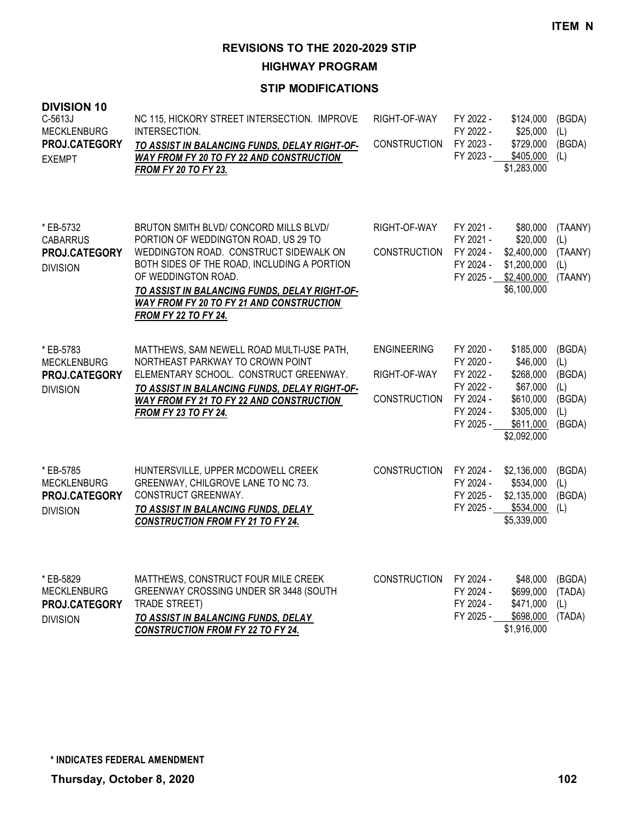**HIGHWAY PROGRAM**

| <b>DIVISION 10</b><br>C-5613J<br><b>MECKLENBURG</b><br>PROJ.CATEGORY<br><b>EXEMPT</b> | NC 115, HICKORY STREET INTERSECTION. IMPROVE<br>INTERSECTION.<br>TO ASSIST IN BALANCING FUNDS, DELAY RIGHT-OF-<br>WAY FROM FY 20 TO FY 22 AND CONSTRUCTION<br><b>FROM FY 20 TO FY 23.</b>                                                                                                                                         | RIGHT-OF-WAY<br><b>CONSTRUCTION</b>                       | FY 2022 -<br>FY 2022 -<br>FY 2023 -<br>FY 2023 -                                        | \$124,000<br>\$25,000<br>\$729,000<br>\$405,000<br>\$1,283,000                                       | (BGDA)<br>(L)<br>(BGDA)<br>(L)                            |
|---------------------------------------------------------------------------------------|-----------------------------------------------------------------------------------------------------------------------------------------------------------------------------------------------------------------------------------------------------------------------------------------------------------------------------------|-----------------------------------------------------------|-----------------------------------------------------------------------------------------|------------------------------------------------------------------------------------------------------|-----------------------------------------------------------|
| * EB-5732<br><b>CABARRUS</b><br>PROJ.CATEGORY<br><b>DIVISION</b>                      | BRUTON SMITH BLVD/ CONCORD MILLS BLVD/<br>PORTION OF WEDDINGTON ROAD, US 29 TO<br>WEDDINGTON ROAD. CONSTRUCT SIDEWALK ON<br>BOTH SIDES OF THE ROAD, INCLUDING A PORTION<br>OF WEDDINGTON ROAD.<br>TO ASSIST IN BALANCING FUNDS, DELAY RIGHT-OF-<br><b>WAY FROM FY 20 TO FY 21 AND CONSTRUCTION</b><br><b>FROM FY 22 TO FY 24.</b> | RIGHT-OF-WAY<br><b>CONSTRUCTION</b>                       | FY 2021 -<br>FY 2021 -<br>FY 2024 -<br>FY 2024 -<br>FY 2025 -                           | \$80,000<br>\$20,000<br>\$2,400,000<br>\$1,200,000<br>\$2,400,000<br>\$6,100,000                     | (TAANY)<br>(L)<br>(TAANY)<br>(L)<br>(TAANY)               |
| * EB-5783<br><b>MECKLENBURG</b><br>PROJ.CATEGORY<br><b>DIVISION</b>                   | MATTHEWS, SAM NEWELL ROAD MULTI-USE PATH,<br>NORTHEAST PARKWAY TO CROWN POINT<br>ELEMENTARY SCHOOL. CONSTRUCT GREENWAY.<br>TO ASSIST IN BALANCING FUNDS, DELAY RIGHT-OF-<br>WAY FROM FY 21 TO FY 22 AND CONSTRUCTION<br><b>FROM FY 23 TO FY 24.</b>                                                                               | <b>ENGINEERING</b><br>RIGHT-OF-WAY<br><b>CONSTRUCTION</b> | FY 2020 -<br>FY 2020 -<br>FY 2022 -<br>FY 2022 -<br>FY 2024 -<br>FY 2024 -<br>FY 2025 - | \$185,000<br>\$46,000<br>\$268,000<br>\$67,000<br>\$610,000<br>\$305,000<br>\$611,000<br>\$2,092,000 | (BGDA)<br>(L)<br>(BGDA)<br>(L)<br>(BGDA)<br>(L)<br>(BGDA) |
| * EB-5785<br><b>MECKLENBURG</b><br>PROJ.CATEGORY<br><b>DIVISION</b>                   | HUNTERSVILLE, UPPER MCDOWELL CREEK<br>GREENWAY, CHILGROVE LANE TO NC 73.<br>CONSTRUCT GREENWAY.<br>TO ASSIST IN BALANCING FUNDS, DELAY<br><b>CONSTRUCTION FROM FY 21 TO FY 24.</b>                                                                                                                                                | <b>CONSTRUCTION</b>                                       | FY 2024 -<br>FY 2024 -<br>FY 2025 -<br>FY 2025 -                                        | \$2,136,000<br>\$534,000<br>\$2,135,000<br>\$534,000<br>\$5,339,000                                  | (BGDA)<br>(L)<br>(BGDA)<br>(L)                            |
| * EB-5829<br><b>MECKLENBURG</b><br>PROJ.CATEGORY<br><b>DIVISION</b>                   | MATTHEWS, CONSTRUCT FOUR MILE CREEK<br>GREENWAY CROSSING UNDER SR 3448 (SOUTH<br><b>TRADE STREET)</b><br>TO ASSIST IN BALANCING FUNDS, DELAY<br><b>CONSTRUCTION FROM FY 22 TO FY 24.</b>                                                                                                                                          | <b>CONSTRUCTION</b>                                       | FY 2024 -<br>FY 2024 -<br>FY 2024 -<br>FY 2025 -                                        | \$48,000<br>\$699,000<br>\$471,000<br>\$698,000<br>\$1,916,000                                       | (BGDA)<br>(TADA)<br>(L)<br>(TADA)                         |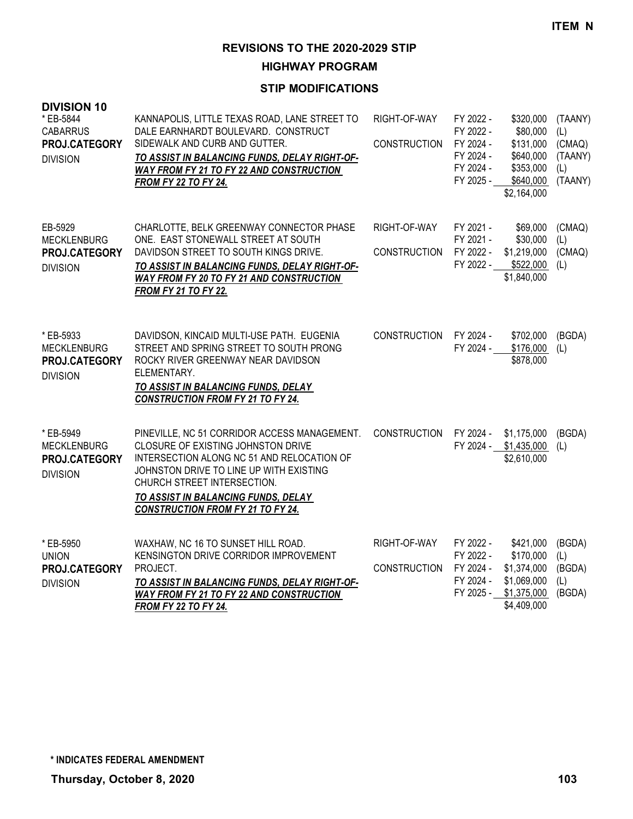**HIGHWAY PROGRAM**

| <b>DIVISION 10</b><br>* EB-5844<br><b>CABARRUS</b><br>PROJ.CATEGORY<br><b>DIVISION</b> | KANNAPOLIS, LITTLE TEXAS ROAD, LANE STREET TO<br>DALE EARNHARDT BOULEVARD. CONSTRUCT<br>SIDEWALK AND CURB AND GUTTER.<br>TO ASSIST IN BALANCING FUNDS, DELAY RIGHT-OF-<br>WAY FROM FY 21 TO FY 22 AND CONSTRUCTION<br><b>FROM FY 22 TO FY 24.</b>                                             | RIGHT-OF-WAY<br><b>CONSTRUCTION</b> | FY 2022 -<br>FY 2022 -<br>FY 2024 -<br>FY 2024 -<br>FY 2024 -<br>FY 2025 - | \$320,000<br>\$80,000<br>\$131,000<br>\$640,000<br>\$353,000<br>\$640,000<br>\$2,164,000 | (TAANY)<br>(L)<br>(CMAQ)<br>(TAANY)<br>(L)<br>(TAANY) |
|----------------------------------------------------------------------------------------|-----------------------------------------------------------------------------------------------------------------------------------------------------------------------------------------------------------------------------------------------------------------------------------------------|-------------------------------------|----------------------------------------------------------------------------|------------------------------------------------------------------------------------------|-------------------------------------------------------|
| EB-5929<br><b>MECKLENBURG</b><br>PROJ.CATEGORY<br><b>DIVISION</b>                      | CHARLOTTE, BELK GREENWAY CONNECTOR PHASE<br>ONE. EAST STONEWALL STREET AT SOUTH<br>DAVIDSON STREET TO SOUTH KINGS DRIVE.<br>TO ASSIST IN BALANCING FUNDS, DELAY RIGHT-OF-<br>WAY FROM FY 20 TO FY 21 AND CONSTRUCTION<br><b>FROM FY 21 TO FY 22.</b>                                          | RIGHT-OF-WAY<br><b>CONSTRUCTION</b> | FY 2021 -<br>FY 2021 -<br>FY 2022 -<br>FY 2022 -                           | \$69,000<br>\$30,000<br>\$1,219,000<br>\$522,000<br>\$1,840,000                          | (CMAQ)<br>(L)<br>(CMAQ)<br>(L)                        |
| * EB-5933<br><b>MECKLENBURG</b><br>PROJ.CATEGORY<br><b>DIVISION</b>                    | DAVIDSON, KINCAID MULTI-USE PATH. EUGENIA<br>STREET AND SPRING STREET TO SOUTH PRONG<br>ROCKY RIVER GREENWAY NEAR DAVIDSON<br>ELEMENTARY.<br>TO ASSIST IN BALANCING FUNDS, DELAY<br><b>CONSTRUCTION FROM FY 21 TO FY 24.</b>                                                                  | <b>CONSTRUCTION</b>                 | FY 2024 -<br>FY 2024 -                                                     | \$702,000<br>\$176,000<br>\$878,000                                                      | (BGDA)<br>(L)                                         |
| * EB-5949<br><b>MECKLENBURG</b><br>PROJ.CATEGORY<br><b>DIVISION</b>                    | PINEVILLE, NC 51 CORRIDOR ACCESS MANAGEMENT.<br>CLOSURE OF EXISTING JOHNSTON DRIVE<br>INTERSECTION ALONG NC 51 AND RELOCATION OF<br>JOHNSTON DRIVE TO LINE UP WITH EXISTING<br>CHURCH STREET INTERSECTION.<br>TO ASSIST IN BALANCING FUNDS, DELAY<br><b>CONSTRUCTION FROM FY 21 TO FY 24.</b> | <b>CONSTRUCTION</b>                 | FY 2024 -                                                                  | \$1,175,000<br>FY 2024 - \$1,435,000<br>\$2,610,000                                      | (BGDA)<br>(L)                                         |
| * EB-5950<br><b>UNION</b><br>PROJ.CATEGORY<br><b>DIVISION</b>                          | WAXHAW, NC 16 TO SUNSET HILL ROAD.<br>KENSINGTON DRIVE CORRIDOR IMPROVEMENT<br>PROJECT.<br>TO ASSIST IN BALANCING FUNDS, DELAY RIGHT-OF-<br><b>WAY FROM FY 21 TO FY 22 AND CONSTRUCTION</b><br><b>FROM FY 22 TO FY 24.</b>                                                                    | RIGHT-OF-WAY<br><b>CONSTRUCTION</b> | FY 2022 -<br>FY 2022 -<br>FY 2024 -<br>FY 2024 -<br>FY 2025 -              | \$421,000<br>\$170,000<br>\$1,374,000<br>\$1,069,000<br>\$1,375,000<br>\$4,409,000       | (BGDA)<br>(L)<br>(BGDA)<br>(L)<br>(BGDA)              |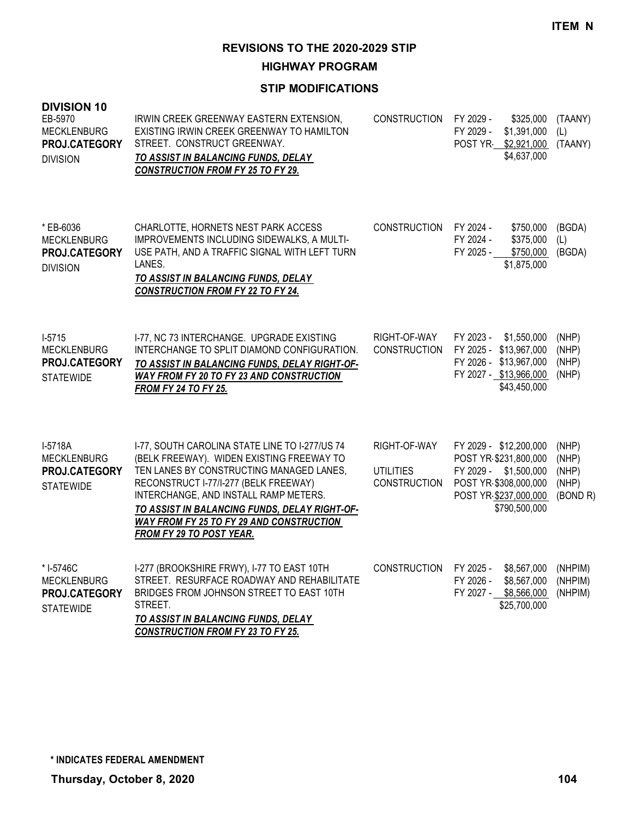**HIGHWAY PROGRAM**

| <b>DIVISION 10</b><br>EB-5970<br><b>MECKLENBURG</b><br>PROJ.CATEGORY<br><b>DIVISION</b> | IRWIN CREEK GREENWAY EASTERN EXTENSION,<br>EXISTING IRWIN CREEK GREENWAY TO HAMILTON<br>STREET. CONSTRUCT GREENWAY.<br>TO ASSIST IN BALANCING FUNDS, DELAY<br><b>CONSTRUCTION FROM FY 25 TO FY 29.</b>                                                                                                                                             | <b>CONSTRUCTION</b>                                     | FY 2029 -<br>\$325,000<br>FY 2029 -<br>\$1,391,000<br>POST YR \$2,921,000<br>\$4,637,000                                                    | (TAANY)<br>(L)<br>(TAANY)                    |
|-----------------------------------------------------------------------------------------|----------------------------------------------------------------------------------------------------------------------------------------------------------------------------------------------------------------------------------------------------------------------------------------------------------------------------------------------------|---------------------------------------------------------|---------------------------------------------------------------------------------------------------------------------------------------------|----------------------------------------------|
| * EB-6036<br><b>MECKLENBURG</b><br>PROJ.CATEGORY<br><b>DIVISION</b>                     | CHARLOTTE, HORNETS NEST PARK ACCESS<br>IMPROVEMENTS INCLUDING SIDEWALKS, A MULTI-<br>USE PATH, AND A TRAFFIC SIGNAL WITH LEFT TURN<br>LANES.<br>TO ASSIST IN BALANCING FUNDS, DELAY<br><b>CONSTRUCTION FROM FY 22 TO FY 24.</b>                                                                                                                    | <b>CONSTRUCTION</b>                                     | FY 2024 -<br>\$750,000<br>FY 2024 -<br>\$375,000<br>\$750,000<br>FY 2025 -<br>\$1,875,000                                                   | (BGDA)<br>(L)<br>(BGDA)                      |
| $1-5715$<br><b>MECKLENBURG</b><br>PROJ.CATEGORY<br><b>STATEWIDE</b>                     | I-77, NC 73 INTERCHANGE. UPGRADE EXISTING<br>INTERCHANGE TO SPLIT DIAMOND CONFIGURATION.<br>TO ASSIST IN BALANCING FUNDS, DELAY RIGHT-OF-<br>WAY FROM FY 20 TO FY 23 AND CONSTRUCTION<br><b>FROM FY 24 TO FY 25.</b>                                                                                                                               | RIGHT-OF-WAY<br><b>CONSTRUCTION</b>                     | FY 2023 -<br>\$1,550,000<br>FY 2025 - \$13,967,000<br>FY 2026 - \$13,967,000<br>FY 2027 - \$13,966,000<br>\$43,450,000                      | (NHP)<br>(NHP)<br>(NHP)<br>(NHP)             |
| I-5718A<br><b>MECKLENBURG</b><br>PROJ.CATEGORY<br><b>STATEWIDE</b>                      | I-77, SOUTH CAROLINA STATE LINE TO I-277/US 74<br>(BELK FREEWAY). WIDEN EXISTING FREEWAY TO<br>TEN LANES BY CONSTRUCTING MANAGED LANES,<br>RECONSTRUCT I-77/I-277 (BELK FREEWAY)<br>INTERCHANGE, AND INSTALL RAMP METERS.<br>TO ASSIST IN BALANCING FUNDS, DELAY RIGHT-OF-<br>WAY FROM FY 25 TO FY 29 AND CONSTRUCTION<br>FROM FY 29 TO POST YEAR. | RIGHT-OF-WAY<br><b>UTILITIES</b><br><b>CONSTRUCTION</b> | FY 2029 - \$12,200,000<br>POST YR \$231,800,000<br>FY 2029 - \$1,500,000<br>POST YR \$308,000,000<br>POST YR \$237,000,000<br>\$790,500,000 | (NHP)<br>(NHP)<br>(NHP)<br>(NHP)<br>(BOND R) |
| * I-5746C<br><b>MECKLENBURG</b><br>PROJ.CATEGORY<br><b>STATEWIDE</b>                    | I-277 (BROOKSHIRE FRWY), I-77 TO EAST 10TH<br>STREET. RESURFACE ROADWAY AND REHABILITATE<br>BRIDGES FROM JOHNSON STREET TO EAST 10TH<br>STREET.<br>TO ASSIST IN BALANCING FUNDS, DELAY<br><b>CONSTRUCTION FROM FY 23 TO FY 25.</b>                                                                                                                 | <b>CONSTRUCTION</b>                                     | FY 2025 -<br>\$8,567,000<br>FY 2026 -<br>\$8,567,000<br>FY 2027 - \$8,566,000<br>\$25,700,000                                               | (NHPIM)<br>(NHPIM)<br>(NHPIM)                |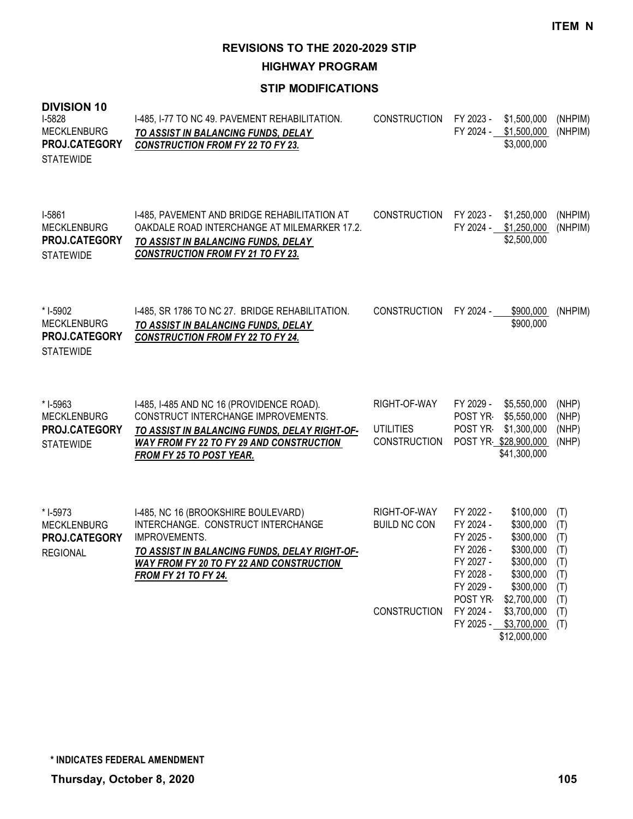**HIGHWAY PROGRAM**

| <b>DIVISION 10</b><br>I-5828<br><b>MECKLENBURG</b><br>PROJ.CATEGORY<br><b>STATEWIDE</b> | I-485, I-77 TO NC 49. PAVEMENT REHABILITATION.<br><b>TO ASSIST IN BALANCING FUNDS, DELAY</b><br><b>CONSTRUCTION FROM FY 22 TO FY 23.</b>                                                                                             | <b>CONSTRUCTION</b>                                     | FY 2023 -<br>FY 2024 -                                                                                          | \$1,500,000<br>\$1,500,000<br>\$3,000,000                                                                                                                      | (NHPIM)<br>(NHPIM)                                                 |
|-----------------------------------------------------------------------------------------|--------------------------------------------------------------------------------------------------------------------------------------------------------------------------------------------------------------------------------------|---------------------------------------------------------|-----------------------------------------------------------------------------------------------------------------|----------------------------------------------------------------------------------------------------------------------------------------------------------------|--------------------------------------------------------------------|
| I-5861<br><b>MECKLENBURG</b><br>PROJ.CATEGORY<br><b>STATEWIDE</b>                       | I-485, PAVEMENT AND BRIDGE REHABILITATION AT<br>OAKDALE ROAD INTERCHANGE AT MILEMARKER 17.2.<br>TO ASSIST IN BALANCING FUNDS, DELAY<br><b>CONSTRUCTION FROM FY 21 TO FY 23.</b>                                                      | <b>CONSTRUCTION</b>                                     | FY 2023 -<br>FY 2024 -                                                                                          | \$1,250,000<br>\$1,250,000<br>\$2,500,000                                                                                                                      | (NHPIM)<br>(NHPIM)                                                 |
| * I-5902<br><b>MECKLENBURG</b><br>PROJ.CATEGORY<br><b>STATEWIDE</b>                     | I-485, SR 1786 TO NC 27. BRIDGE REHABILITATION.<br>TO ASSIST IN BALANCING FUNDS, DELAY<br><b>CONSTRUCTION FROM FY 22 TO FY 24.</b>                                                                                                   | <b>CONSTRUCTION</b>                                     | FY 2024 -                                                                                                       | \$900,000<br>\$900,000                                                                                                                                         | (NHPIM)                                                            |
| * I-5963<br><b>MECKLENBURG</b><br>PROJ.CATEGORY<br><b>STATEWIDE</b>                     | I-485, I-485 AND NC 16 (PROVIDENCE ROAD).<br>CONSTRUCT INTERCHANGE IMPROVEMENTS.<br>TO ASSIST IN BALANCING FUNDS, DELAY RIGHT-OF-<br><b>WAY FROM FY 22 TO FY 29 AND CONSTRUCTION</b><br><b>FROM FY 25 TO POST YEAR.</b>              | RIGHT-OF-WAY<br><b>UTILITIES</b><br><b>CONSTRUCTION</b> | FY 2029 -<br>POST YR<br>POST YR-                                                                                | \$5,550,000<br>\$5,550,000<br>\$1,300,000<br>POST YR \$28,900,000<br>\$41,300,000                                                                              | (NHP)<br>(NHP)<br>(NHP)<br>(NHP)                                   |
| * I-5973<br><b>MECKLENBURG</b><br>PROJ.CATEGORY<br><b>REGIONAL</b>                      | I-485, NC 16 (BROOKSHIRE BOULEVARD)<br>INTERCHANGE. CONSTRUCT INTERCHANGE<br>IMPROVEMENTS.<br><u>TO ASSIST IN BALANCING FUNDS, DELAY RIGHT-OF-</u><br><b>WAY FROM FY 20 TO FY 22 AND CONSTRUCTION</b><br><b>FROM FY 21 TO FY 24.</b> | RIGHT-OF-WAY<br><b>BUILD NC CON</b><br>CONSTRUCTION     | FY 2022 -<br>FY 2024 -<br>FY 2025 -<br>FY 2026 -<br>FY 2027 -<br>FY 2028 -<br>FY 2029 -<br>POST YR<br>FY 2024 - | \$100,000<br>\$300,000<br>\$300,000<br>\$300,000<br>\$300,000<br>\$300,000<br>\$300,000<br>\$2,700,000<br>\$3,700,000<br>FY 2025 - \$3,700,000<br>\$12,000,000 | (T)<br>(T)<br>(T)<br>(T)<br>(T)<br>(T)<br>(T)<br>(T)<br>(T)<br>(T) |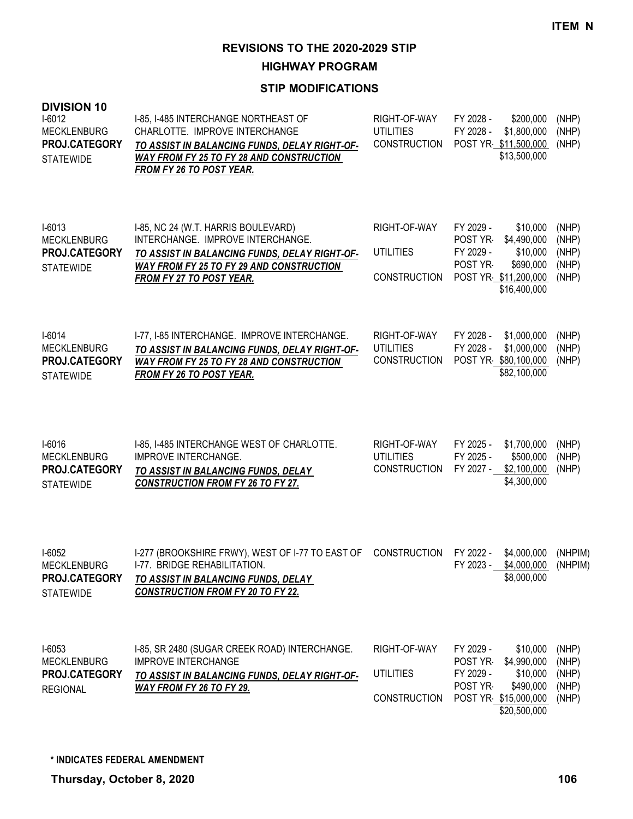**HIGHWAY PROGRAM**

| <b>DIVISION 10</b><br>$1-6012$<br><b>MECKLENBURG</b><br>PROJ.CATEGORY<br><b>STATEWIDE</b> | I-85, I-485 INTERCHANGE NORTHEAST OF<br>CHARLOTTE. IMPROVE INTERCHANGE<br>TO ASSIST IN BALANCING FUNDS, DELAY RIGHT-OF-<br><b>WAY FROM FY 25 TO FY 28 AND CONSTRUCTION</b><br>FROM FY 26 TO POST YEAR.          | RIGHT-OF-WAY<br><b>UTILITIES</b><br><b>CONSTRUCTION</b> | FY 2028 -<br>FY 2028 -<br>POST YR \$11,500,000                         | \$200,000<br>\$1,800,000<br>\$13,500,000                         | (NHP)<br>(NHP)<br>(NHP)                   |
|-------------------------------------------------------------------------------------------|-----------------------------------------------------------------------------------------------------------------------------------------------------------------------------------------------------------------|---------------------------------------------------------|------------------------------------------------------------------------|------------------------------------------------------------------|-------------------------------------------|
| $I-6013$<br><b>MECKLENBURG</b><br>PROJ.CATEGORY<br><b>STATEWIDE</b>                       | I-85, NC 24 (W.T. HARRIS BOULEVARD)<br>INTERCHANGE. IMPROVE INTERCHANGE.<br>TO ASSIST IN BALANCING FUNDS, DELAY RIGHT-OF-<br><b>WAY FROM FY 25 TO FY 29 AND CONSTRUCTION</b><br><b>FROM FY 27 TO POST YEAR.</b> | RIGHT-OF-WAY<br><b>UTILITIES</b><br><b>CONSTRUCTION</b> | FY 2029 -<br>POST YR-<br>FY 2029 -<br>POST YR-<br>POST YR \$11,200,000 | \$10,000<br>\$4,490,000<br>\$10,000<br>\$690,000<br>\$16,400,000 | (NHP)<br>(NHP)<br>(NHP)<br>(NHP)<br>(NHP) |
| $I-6014$<br><b>MECKLENBURG</b><br>PROJ.CATEGORY<br><b>STATEWIDE</b>                       | I-77, I-85 INTERCHANGE. IMPROVE INTERCHANGE.<br>TO ASSIST IN BALANCING FUNDS, DELAY RIGHT-OF-<br><b>WAY FROM FY 25 TO FY 28 AND CONSTRUCTION</b><br><b>FROM FY 26 TO POST YEAR.</b>                             | RIGHT-OF-WAY<br><b>UTILITIES</b><br><b>CONSTRUCTION</b> | FY 2028 -<br>FY 2028 -<br>POST YR \$80,100,000                         | \$1,000,000<br>\$1,000,000<br>\$82,100,000                       | (NHP)<br>(NHP)<br>(NHP)                   |
| I-6016<br><b>MECKLENBURG</b><br>PROJ.CATEGORY<br><b>STATEWIDE</b>                         | I-85, I-485 INTERCHANGE WEST OF CHARLOTTE.<br><b>IMPROVE INTERCHANGE.</b><br>TO ASSIST IN BALANCING FUNDS, DELAY<br><b>CONSTRUCTION FROM FY 26 TO FY 27.</b>                                                    | RIGHT-OF-WAY<br><b>UTILITIES</b><br><b>CONSTRUCTION</b> | FY 2025 -<br>FY 2025 -<br>FY 2027 - \$2,100,000                        | \$1,700,000<br>\$500,000<br>\$4,300,000                          | (NHP)<br>(NHP)<br>(NHP)                   |
| $I-6052$<br><b>MECKLENBURG</b><br>PROJ.CATEGORY<br><b>STATEWIDE</b>                       | I-277 (BROOKSHIRE FRWY), WEST OF I-77 TO EAST OF<br>1-77. BRIDGE REHABILITATION.<br>TO ASSIST IN BALANCING FUNDS, DELAY<br><b>CONSTRUCTION FROM FY 20 TO FY 22.</b>                                             | <b>CONSTRUCTION</b>                                     | FY 2022 -<br>FY 2023 - \$4,000,000                                     | \$4,000,000<br>\$8,000,000                                       | (NHPIM)<br>(NHPIM)                        |
| $I-6053$<br><b>MECKLENBURG</b><br>PROJ.CATEGORY<br><b>REGIONAL</b>                        | I-85, SR 2480 (SUGAR CREEK ROAD) INTERCHANGE.<br><b>IMPROVE INTERCHANGE</b><br>TO ASSIST IN BALANCING FUNDS, DELAY RIGHT-OF-<br><b>WAY FROM FY 26 TO FY 29.</b>                                                 | RIGHT-OF-WAY<br><b>UTILITIES</b><br><b>CONSTRUCTION</b> | FY 2029 -<br>POST YR-<br>FY 2029 -<br>POST YR<br>POST YR \$15,000,000  | \$10,000<br>\$4,990,000<br>\$10,000<br>\$490,000<br>\$20,500,000 | (NHP)<br>(NHP)<br>(NHP)<br>(NHP)<br>(NHP) |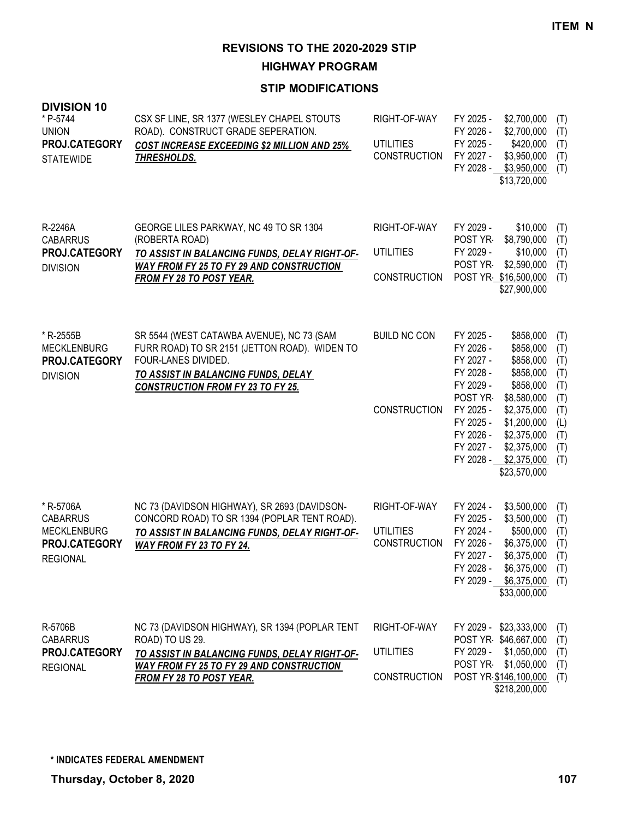**HIGHWAY PROGRAM**

| <b>DIVISION 10</b><br>* P-5744<br><b>UNION</b><br>PROJ.CATEGORY<br><b>STATEWIDE</b>    | CSX SF LINE, SR 1377 (WESLEY CHAPEL STOUTS<br>ROAD). CONSTRUCT GRADE SEPERATION.<br><b>COST INCREASE EXCEEDING \$2 MILLION AND 25%</b><br><b>THRESHOLDS.</b>                                             | RIGHT-OF-WAY<br><b>UTILITIES</b><br><b>CONSTRUCTION</b> | FY 2025 -<br>\$2,700,000<br>FY 2026 -<br>\$2,700,000<br>FY 2025 -<br>\$420,000<br>FY 2027 -<br>\$3,950,000<br>FY 2028 - \$3,950,000<br>\$13,720,000                                                                                                                                                                | (T)<br>(T)<br>(T)<br>(T)<br>(T)                                           |
|----------------------------------------------------------------------------------------|----------------------------------------------------------------------------------------------------------------------------------------------------------------------------------------------------------|---------------------------------------------------------|--------------------------------------------------------------------------------------------------------------------------------------------------------------------------------------------------------------------------------------------------------------------------------------------------------------------|---------------------------------------------------------------------------|
| R-2246A<br><b>CABARRUS</b><br>PROJ.CATEGORY<br><b>DIVISION</b>                         | GEORGE LILES PARKWAY, NC 49 TO SR 1304<br>(ROBERTA ROAD)<br>TO ASSIST IN BALANCING FUNDS, DELAY RIGHT-OF-<br><b>WAY FROM FY 25 TO FY 29 AND CONSTRUCTION</b><br><b>FROM FY 28 TO POST YEAR.</b>          | RIGHT-OF-WAY<br><b>UTILITIES</b><br><b>CONSTRUCTION</b> | FY 2029 -<br>\$10,000<br>POST YR<br>\$8,790,000<br>FY 2029 -<br>\$10,000<br>POST YR<br>\$2,590,000<br>POST YR \$16,500,000<br>\$27,900,000                                                                                                                                                                         | (T)<br>(T)<br>(T)<br>(T)<br>(T)                                           |
| * R-2555B<br><b>MECKLENBURG</b><br>PROJ.CATEGORY<br><b>DIVISION</b>                    | SR 5544 (WEST CATAWBA AVENUE), NC 73 (SAM<br>FURR ROAD) TO SR 2151 (JETTON ROAD). WIDEN TO<br>FOUR-LANES DIVIDED.<br>TO ASSIST IN BALANCING FUNDS, DELAY<br><b>CONSTRUCTION FROM FY 23 TO FY 25.</b>     | <b>BUILD NC CON</b><br><b>CONSTRUCTION</b>              | FY 2025 -<br>\$858,000<br>FY 2026 -<br>\$858,000<br>FY 2027 -<br>\$858,000<br>FY 2028 -<br>\$858,000<br>FY 2029 -<br>\$858,000<br>POST YR-<br>\$8,580,000<br>FY 2025 -<br>\$2,375,000<br>FY 2025 -<br>\$1,200,000<br>FY 2026 -<br>\$2,375,000<br>FY 2027 -<br>\$2,375,000<br>FY 2028 - \$2,375,000<br>\$23,570,000 | (T)<br>(T)<br>(T)<br>(T)<br>(T)<br>(T)<br>(T)<br>(L)<br>(T)<br>(T)<br>(T) |
| * R-5706A<br><b>CABARRUS</b><br><b>MECKLENBURG</b><br>PROJ.CATEGORY<br><b>REGIONAL</b> | NC 73 (DAVIDSON HIGHWAY), SR 2693 (DAVIDSON-<br>CONCORD ROAD) TO SR 1394 (POPLAR TENT ROAD).<br>TO ASSIST IN BALANCING FUNDS, DELAY RIGHT-OF-<br><b>WAY FROM FY 23 TO FY 24.</b>                         | RIGHT-OF-WAY<br><b>UTILITIES</b><br><b>CONSTRUCTION</b> | FY 2024 -<br>\$3,500,000<br>FY 2025 -<br>\$3,500,000<br>FY 2024 -<br>\$500,000<br>FY 2026 -<br>\$6,375,000<br>FY 2027 -<br>\$6,375,000<br>FY 2028 -<br>\$6,375,000<br>FY 2029 - \$6,375,000<br>\$33,000,000                                                                                                        | (T)<br>(T)<br>(T)<br>(T)<br>(T)<br>(T)<br>(T)                             |
| R-5706B<br><b>CABARRUS</b><br>PROJ.CATEGORY<br><b>REGIONAL</b>                         | NC 73 (DAVIDSON HIGHWAY), SR 1394 (POPLAR TENT<br>ROAD) TO US 29.<br>TO ASSIST IN BALANCING FUNDS, DELAY RIGHT-OF-<br><b>WAY FROM FY 25 TO FY 29 AND CONSTRUCTION</b><br><b>FROM FY 28 TO POST YEAR.</b> | RIGHT-OF-WAY<br><b>UTILITIES</b><br><b>CONSTRUCTION</b> | FY 2029 - \$23,333,000<br>POST YR \$46,667,000<br>FY 2029 -<br>\$1,050,000<br>POST YR<br>\$1,050,000<br>POST YR \$146,100,000<br>\$218,200,000                                                                                                                                                                     | (T)<br>(T)<br>(T)<br>(T)<br>(T)                                           |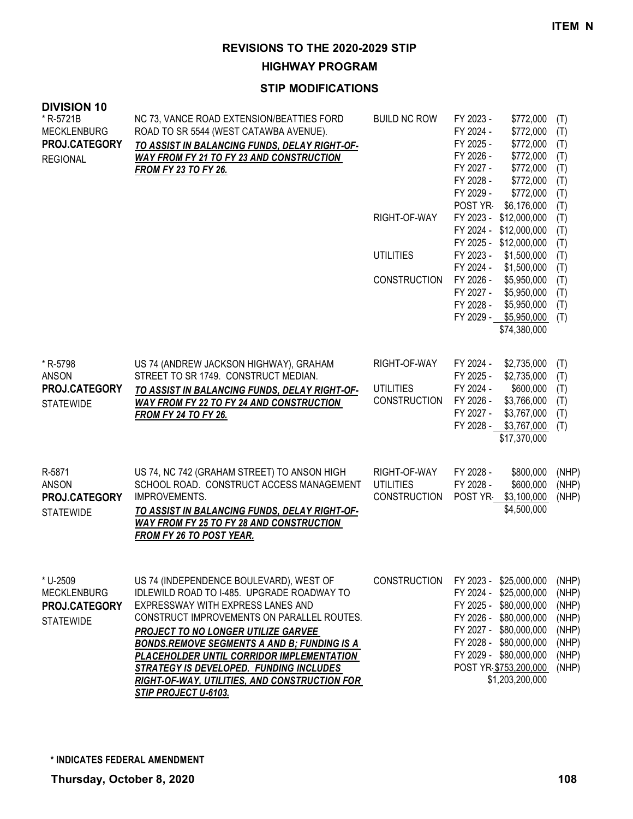**HIGHWAY PROGRAM**

### **STIP MODIFICATIONS**

| טו זוטוטואוע<br>* R-5721B<br><b>MECKLENBURG</b><br>PROJ.CATEGORY<br><b>REGIONAL</b> | NC 73, VANCE ROAD EXTENSION/BEATTIES FORD<br>ROAD TO SR 5544 (WEST CATAWBA AVENUE).<br>TO ASSIST IN BALANCING FUNDS, DELAY RIGHT-OF-<br><b>WAY FROM FY 21 TO FY 23 AND CONSTRUCTION</b><br><b>FROM FY 23 TO FY 26.</b>                                                                                                                                                                                                                 | <b>BUILD NC ROW</b>                                     | FY 2023 -<br>\$772,000<br>FY 2024 -<br>\$772,000<br>FY 2025 -<br>\$772,000<br>FY 2026 -<br>\$772,000<br>FY 2027 -<br>\$772,000<br>FY 2028 -<br>\$772,000<br>FY 2029 -<br>\$772,000                                             | (T)<br>(T)<br>(T)<br>(T)<br>(T)<br>(T)<br>(T)                        |
|-------------------------------------------------------------------------------------|----------------------------------------------------------------------------------------------------------------------------------------------------------------------------------------------------------------------------------------------------------------------------------------------------------------------------------------------------------------------------------------------------------------------------------------|---------------------------------------------------------|--------------------------------------------------------------------------------------------------------------------------------------------------------------------------------------------------------------------------------|----------------------------------------------------------------------|
|                                                                                     |                                                                                                                                                                                                                                                                                                                                                                                                                                        | RIGHT-OF-WAY                                            | POST YR<br>\$6,176,000<br>\$12,000,000<br>FY 2023 -<br>FY 2024 -<br>\$12,000,000<br>FY 2025 - \$12,000,000                                                                                                                     | (T)<br>(T)<br>(T)<br>(T)                                             |
|                                                                                     |                                                                                                                                                                                                                                                                                                                                                                                                                                        | <b>UTILITIES</b>                                        | FY 2023 -<br>\$1,500,000<br>FY 2024 -<br>\$1,500,000                                                                                                                                                                           | (T)<br>(T)                                                           |
|                                                                                     |                                                                                                                                                                                                                                                                                                                                                                                                                                        | <b>CONSTRUCTION</b>                                     | FY 2026 -<br>\$5,950,000<br>FY 2027 -<br>\$5,950,000<br>FY 2028 -<br>\$5,950,000<br>FY 2029 - \$5,950,000<br>\$74,380,000                                                                                                      | (T)<br>(T)<br>(T)<br>(T)                                             |
| * R-5798<br><b>ANSON</b><br>PROJ.CATEGORY<br><b>STATEWIDE</b>                       | US 74 (ANDREW JACKSON HIGHWAY), GRAHAM<br>STREET TO SR 1749. CONSTRUCT MEDIAN.<br>TO ASSIST IN BALANCING FUNDS, DELAY RIGHT-OF-<br><b>WAY FROM FY 22 TO FY 24 AND CONSTRUCTION</b><br><b>FROM FY 24 TO FY 26.</b>                                                                                                                                                                                                                      | RIGHT-OF-WAY<br><b>UTILITIES</b><br><b>CONSTRUCTION</b> | FY 2024 -<br>\$2,735,000<br>FY 2025 -<br>\$2,735,000<br>FY 2024 -<br>\$600,000<br>FY 2026 -<br>\$3,766,000<br>FY 2027 -<br>\$3,767,000<br>FY 2028 - \$3,767,000<br>\$17,370,000                                                | (T)<br>(T)<br>(T)<br>(T)<br>(T)<br>(T)                               |
| R-5871<br><b>ANSON</b><br>PROJ.CATEGORY<br><b>STATEWIDE</b>                         | US 74, NC 742 (GRAHAM STREET) TO ANSON HIGH<br>SCHOOL ROAD. CONSTRUCT ACCESS MANAGEMENT<br>IMPROVEMENTS.<br>TO ASSIST IN BALANCING FUNDS, DELAY RIGHT-OF-<br><b>WAY FROM FY 25 TO FY 28 AND CONSTRUCTION</b><br><b>FROM FY 26 TO POST YEAR.</b>                                                                                                                                                                                        | RIGHT-OF-WAY<br><b>UTILITIES</b><br><b>CONSTRUCTION</b> | FY 2028 -<br>\$800,000<br>FY 2028 -<br>\$600,000<br>POST YR-<br>\$3,100,000<br>\$4,500,000                                                                                                                                     | (NHP)<br>(NHP)<br>(NHP)                                              |
| * U-2509<br><b>MECKLENBURG</b><br>PROJ.CATEGORY<br><b>STATEWIDE</b>                 | US 74 (INDEPENDENCE BOULEVARD), WEST OF<br>IDLEWILD ROAD TO I-485. UPGRADE ROADWAY TO<br>EXPRESSWAY WITH EXPRESS LANES AND<br>CONSTRUCT IMPROVEMENTS ON PARALLEL ROUTES.<br>PROJECT TO NO LONGER UTILIZE GARVEE<br><b>BONDS.REMOVE SEGMENTS A AND B; FUNDING IS A</b><br>PLACEHOLDER UNTIL CORRIDOR IMPLEMENTATION<br>STRATEGY IS DEVELOPED. FUNDING INCLUDES<br>RIGHT-OF-WAY, UTILITIES, AND CONSTRUCTION FOR<br>STIP PROJECT U-6103. | <b>CONSTRUCTION</b>                                     | FY 2023 - \$25,000,000<br>FY 2024 - \$25,000,000<br>FY 2025 - \$80,000,000<br>FY 2026 - \$80,000,000<br>FY 2027 - \$80,000,000<br>FY 2028 - \$80,000,000<br>FY 2029 - \$80,000,000<br>POST YR \$753,200,000<br>\$1,203,200,000 | (NHP)<br>(NHP)<br>(NHP)<br>(NHP)<br>(NHP)<br>(NHP)<br>(NHP)<br>(NHP) |

**DIVISION 10**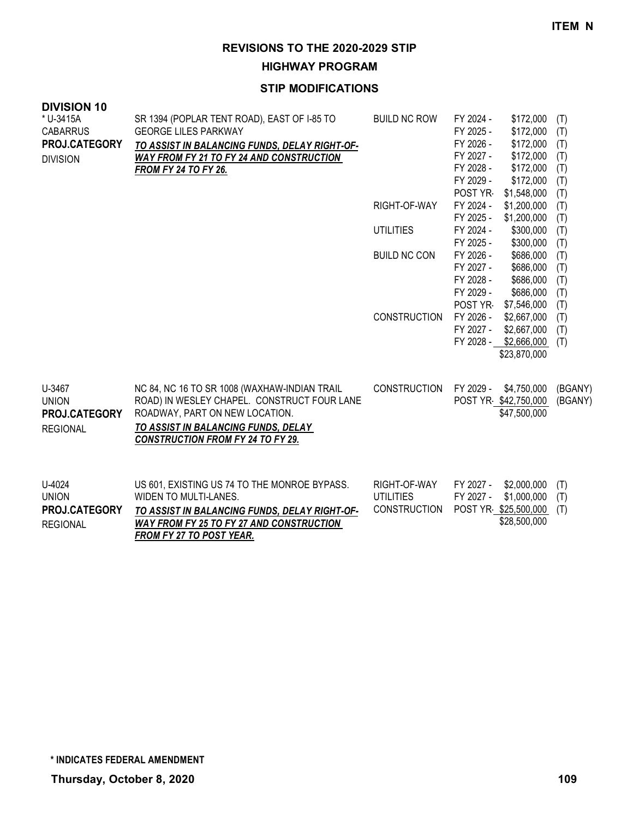**HIGHWAY PROGRAM**

## **STIP MODIFICATIONS**

| <b>DIVISION 10</b><br>* U-3415A | SR 1394 (POPLAR TENT ROAD), EAST OF I-85 TO     | <b>BUILD NC ROW</b> | FY 2024 - | \$172,000            | (T)     |
|---------------------------------|-------------------------------------------------|---------------------|-----------|----------------------|---------|
| <b>CABARRUS</b>                 | <b>GEORGE LILES PARKWAY</b>                     |                     | FY 2025 - | \$172,000            | (T)     |
| PROJ.CATEGORY                   | TO ASSIST IN BALANCING FUNDS, DELAY RIGHT-OF-   |                     | FY 2026 - | \$172,000            | (T)     |
| <b>DIVISION</b>                 | <b>WAY FROM FY 21 TO FY 24 AND CONSTRUCTION</b> |                     | FY 2027 - | \$172,000            | (T)     |
|                                 | <b>FROM FY 24 TO FY 26.</b>                     |                     | FY 2028 - | \$172,000            | (T)     |
|                                 |                                                 |                     | FY 2029 - | \$172,000            | (T)     |
|                                 |                                                 |                     | POST YR-  | \$1,548,000          | (T)     |
|                                 |                                                 | RIGHT-OF-WAY        | FY 2024 - | \$1,200,000          | (T)     |
|                                 |                                                 |                     | FY 2025 - | \$1,200,000          | (T)     |
|                                 |                                                 | <b>UTILITIES</b>    | FY 2024 - | \$300,000            | (T)     |
|                                 |                                                 |                     | FY 2025 - | \$300,000            | (T)     |
|                                 |                                                 | <b>BUILD NC CON</b> | FY 2026 - | \$686,000            | (T)     |
|                                 |                                                 |                     | FY 2027 - | \$686,000            | (T)     |
|                                 |                                                 |                     | FY 2028 - | \$686,000            | (T)     |
|                                 |                                                 |                     | FY 2029 - | \$686,000            | (T)     |
|                                 |                                                 |                     | POST YR   | \$7,546,000          | (T)     |
|                                 |                                                 | <b>CONSTRUCTION</b> | FY 2026 - | \$2,667,000          | (T)     |
|                                 |                                                 |                     | FY 2027 - | \$2,667,000          | (T)     |
|                                 |                                                 |                     | FY 2028 - | \$2,666,000          | (T)     |
|                                 |                                                 |                     |           | \$23,870,000         |         |
| U-3467                          | NC 84, NC 16 TO SR 1008 (WAXHAW-INDIAN TRAIL    | <b>CONSTRUCTION</b> | FY 2029 - | \$4,750,000          | (BGANY) |
| <b>UNION</b>                    | ROAD) IN WESLEY CHAPEL. CONSTRUCT FOUR LANE     |                     |           | POST YR \$42,750,000 | (BGANY) |
| PROJ.CATEGORY                   | ROADWAY, PART ON NEW LOCATION.                  |                     |           | \$47,500,000         |         |
| <b>REGIONAL</b>                 | TO ASSIST IN BALANCING FUNDS, DELAY             |                     |           |                      |         |
|                                 | <b>CONSTRUCTION FROM FY 24 TO FY 29.</b>        |                     |           |                      |         |
|                                 |                                                 |                     |           |                      |         |
| U-4024                          | US 601, EXISTING US 74 TO THE MONROE BYPASS.    | RIGHT-OF-WAY        | FY 2027 - | \$2,000,000          | (T)     |
| <b>UNION</b>                    | WIDEN TO MULTI-LANES.                           | <b>UTILITIES</b>    | FY 2027 - | \$1,000,000          | (T)     |
| PROJ.CATEGORY                   | TO ASSIST IN BALANCING FUNDS, DELAY RIGHT-OF-   | <b>CONSTRUCTION</b> |           | POST YR \$25,500,000 | (T)     |
| <b>REGIONAL</b>                 | <b>WAY FROM FY 25 TO FY 27 AND CONSTRUCTION</b> |                     |           | \$28,500,000         |         |

*FROM FY 27 TO POST YEAR.*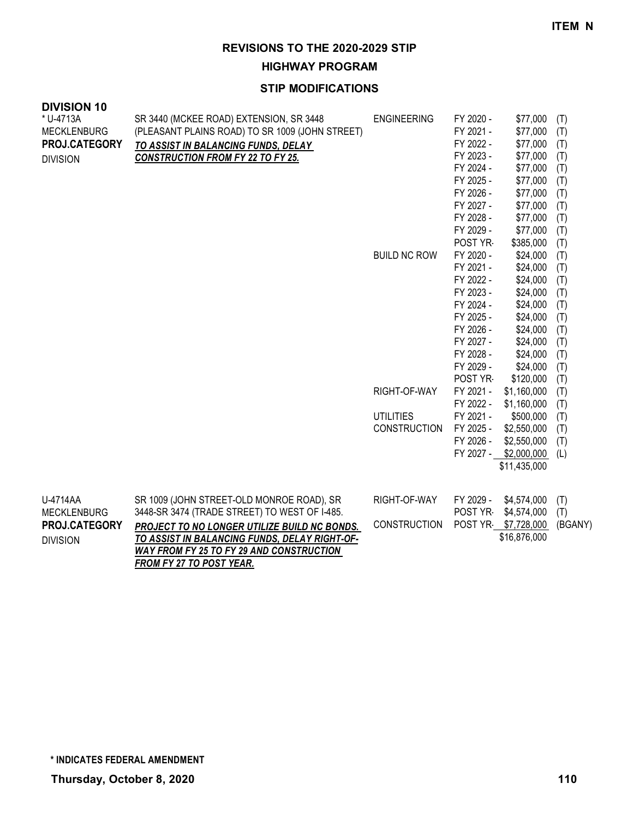**HIGHWAY PROGRAM**

| <b>DIVISION 10</b><br>* U-4713A | SR 3440 (MCKEE ROAD) EXTENSION, SR 3448         | <b>ENGINEERING</b>  | FY 2020 - | \$77,000            | (T)     |
|---------------------------------|-------------------------------------------------|---------------------|-----------|---------------------|---------|
| <b>MECKLENBURG</b>              | (PLEASANT PLAINS ROAD) TO SR 1009 (JOHN STREET) |                     | FY 2021 - | \$77,000            | (T)     |
| PROJ.CATEGORY                   | TO ASSIST IN BALANCING FUNDS, DELAY             |                     | FY 2022 - | \$77,000            | (T)     |
| <b>DIVISION</b>                 | <b>CONSTRUCTION FROM FY 22 TO FY 25.</b>        |                     | FY 2023 - | \$77,000            | (T)     |
|                                 |                                                 |                     | FY 2024 - | \$77,000            | (T)     |
|                                 |                                                 |                     | FY 2025 - | \$77,000            | (T)     |
|                                 |                                                 |                     | FY 2026 - | \$77,000            | (T)     |
|                                 |                                                 |                     | FY 2027 - | \$77,000            | (T)     |
|                                 |                                                 |                     | FY 2028 - | \$77,000            | (T)     |
|                                 |                                                 |                     | FY 2029 - | \$77,000            | (T)     |
|                                 |                                                 |                     | POST YR   | \$385,000           | (T)     |
|                                 |                                                 | <b>BUILD NC ROW</b> | FY 2020 - | \$24,000            | (T)     |
|                                 |                                                 |                     | FY 2021 - | \$24,000            | (T)     |
|                                 |                                                 |                     | FY 2022 - | \$24,000            | (T)     |
|                                 |                                                 |                     | FY 2023 - | \$24,000            | (T)     |
|                                 |                                                 |                     | FY 2024 - | \$24,000            | (T)     |
|                                 |                                                 |                     | FY 2025 - | \$24,000            | (T)     |
|                                 |                                                 |                     | FY 2026 - | \$24,000            | (T)     |
|                                 |                                                 |                     | FY 2027 - | \$24,000            | (T)     |
|                                 |                                                 |                     | FY 2028 - | \$24,000            | (T)     |
|                                 |                                                 |                     | FY 2029 - | \$24,000            | (T)     |
|                                 |                                                 |                     | POST YR-  | \$120,000           | (T)     |
|                                 |                                                 | RIGHT-OF-WAY        | FY 2021 - | \$1,160,000         | (T)     |
|                                 |                                                 |                     | FY 2022 - | \$1,160,000         | (T)     |
|                                 |                                                 | <b>UTILITIES</b>    | FY 2021 - | \$500,000           | (T)     |
|                                 |                                                 | <b>CONSTRUCTION</b> | FY 2025 - | \$2,550,000         | (T)     |
|                                 |                                                 |                     | FY 2026 - | \$2,550,000         | (T)     |
|                                 |                                                 |                     | FY 2027 - | \$2,000,000         | (L)     |
|                                 |                                                 |                     |           | \$11,435,000        |         |
|                                 |                                                 |                     |           |                     |         |
| U-4714AA                        | SR 1009 (JOHN STREET-OLD MONROE ROAD), SR       | RIGHT-OF-WAY        | FY 2029 - | \$4,574,000         | (T)     |
| <b>MECKLENBURG</b>              | 3448-SR 3474 (TRADE STREET) TO WEST OF I-485.   |                     | POST YR-  | \$4,574,000         | (T)     |
| PROJ.CATEGORY                   | PROJECT TO NO LONGER UTILIZE BUILD NC BONDS.    | <b>CONSTRUCTION</b> |           | POST YR \$7,728,000 | (BGANY) |
| <b>DIVISION</b>                 | TO ASSIST IN BALANCING FUNDS, DELAY RIGHT-OF-   |                     |           | \$16,876,000        |         |
|                                 | <b>WAY FROM FY 25 TO FY 29 AND CONSTRUCTION</b> |                     |           |                     |         |
|                                 | <b>FROM FY 27 TO POST YEAR.</b>                 |                     |           |                     |         |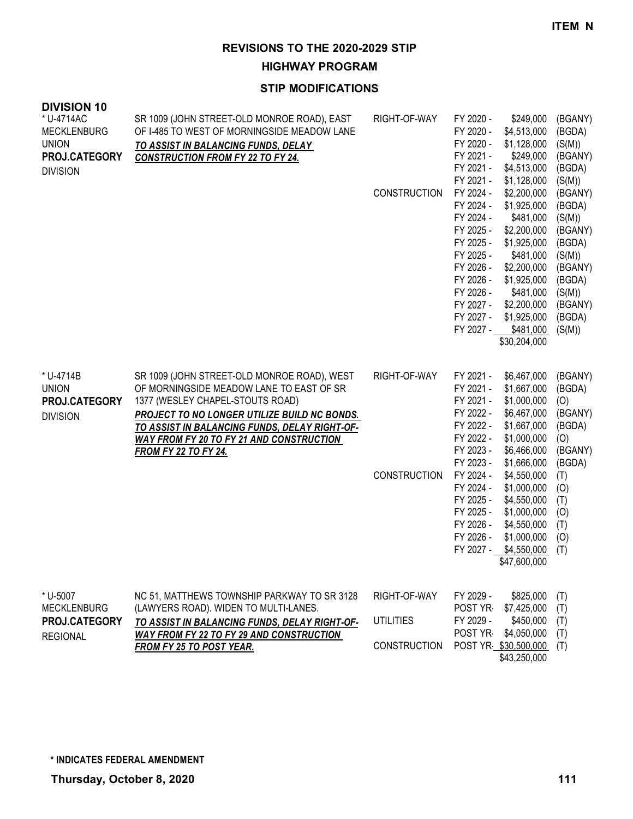**HIGHWAY PROGRAM**

| <b>DIVISION 10</b><br>* U-4714AC<br><b>MECKLENBURG</b><br><b>UNION</b><br>PROJ.CATEGORY<br><b>DIVISION</b> | SR 1009 (JOHN STREET-OLD MONROE ROAD), EAST<br>OF I-485 TO WEST OF MORNINGSIDE MEADOW LANE<br>TO ASSIST IN BALANCING FUNDS, DELAY<br><b>CONSTRUCTION FROM FY 22 TO FY 24.</b>                                                                                                                                  | RIGHT-OF-WAY<br><b>CONSTRUCTION</b>                     | FY 2020 -<br>\$249,000<br>FY 2020 -<br>\$4,513,000<br>FY 2020 -<br>\$1,128,000<br>FY 2021 -<br>\$249,000<br>FY 2021 -<br>\$4,513,000<br>FY 2021 -<br>\$1,128,000<br>FY 2024 -<br>\$2,200,000<br>FY 2024 -<br>\$1,925,000<br>FY 2024 -<br>\$481,000<br>FY 2025 -<br>\$2,200,000<br>FY 2025 -<br>\$1,925,000<br>FY 2025 -<br>\$481,000<br>FY 2026 -<br>\$2,200,000<br>FY 2026 -<br>\$1,925,000<br>FY 2026 -<br>\$481,000<br>FY 2027 -<br>\$2,200,000<br>\$1,925,000<br>FY 2027 -<br>FY 2027 - \$481,000<br>\$30,204,000 | (BGANY)<br>(BGDA)<br>(S(M))<br>(BGANY)<br>(BGDA)<br>(S(M))<br>(BGANY)<br>(BGDA)<br>(S(M))<br>(BGANY)<br>(BGDA)<br>(S(M))<br>(BGANY)<br>(BGDA)<br>(S(M))<br>(BGANY)<br>(BGDA)<br>(S(M)) |
|------------------------------------------------------------------------------------------------------------|----------------------------------------------------------------------------------------------------------------------------------------------------------------------------------------------------------------------------------------------------------------------------------------------------------------|---------------------------------------------------------|-----------------------------------------------------------------------------------------------------------------------------------------------------------------------------------------------------------------------------------------------------------------------------------------------------------------------------------------------------------------------------------------------------------------------------------------------------------------------------------------------------------------------|----------------------------------------------------------------------------------------------------------------------------------------------------------------------------------------|
| * U-4714B<br><b>UNION</b><br>PROJ.CATEGORY<br><b>DIVISION</b>                                              | SR 1009 (JOHN STREET-OLD MONROE ROAD), WEST<br>OF MORNINGSIDE MEADOW LANE TO EAST OF SR<br>1377 (WESLEY CHAPEL-STOUTS ROAD)<br>PROJECT TO NO LONGER UTILIZE BUILD NC BONDS.<br>TO ASSIST IN BALANCING FUNDS, DELAY RIGHT-OF-<br><b>WAY FROM FY 20 TO FY 21 AND CONSTRUCTION</b><br><u>FROM FY 22 TO FY 24.</u> | RIGHT-OF-WAY<br><b>CONSTRUCTION</b>                     | FY 2021 -<br>\$6,467,000<br>FY 2021 -<br>\$1,667,000<br>FY 2021 -<br>\$1,000,000<br>FY 2022 -<br>\$6,467,000<br>FY 2022 -<br>\$1,667,000<br>FY 2022 -<br>\$1,000,000<br>FY 2023 -<br>\$6,466,000<br>FY 2023 -<br>\$1,666,000<br>FY 2024 -<br>\$4,550,000<br>FY 2024 -<br>\$1,000,000<br>FY 2025 -<br>\$4,550,000<br>FY 2025 -<br>\$1,000,000<br>FY 2026 -<br>\$4,550,000<br>FY 2026 -<br>\$1,000,000<br>FY 2027 - \$4,550,000<br>\$47,600,000                                                                         | (BGANY)<br>(BGDA)<br>(O)<br>(BGANY)<br>(BGDA)<br>(O)<br>(BGANY)<br>(BGDA)<br>(T)<br>(0)<br>(T)<br>(O)<br>(T)<br>(0)<br>(T)                                                             |
| * U-5007<br><b>MECKLENBURG</b><br>PROJ.CATEGORY<br><b>REGIONAL</b>                                         | NC 51, MATTHEWS TOWNSHIP PARKWAY TO SR 3128<br>(LAWYERS ROAD). WIDEN TO MULTI-LANES.<br>TO ASSIST IN BALANCING FUNDS, DELAY RIGHT-OF-<br>WAY FROM FY 22 TO FY 29 AND CONSTRUCTION<br>FROM FY 25 TO POST YEAR.                                                                                                  | RIGHT-OF-WAY<br><b>UTILITIES</b><br><b>CONSTRUCTION</b> | FY 2029 -<br>\$825,000<br>POST YR<br>\$7,425,000<br>FY 2029 -<br>\$450,000<br>POST YR<br>\$4,050,000<br>POST YR \$30,500,000<br>\$43,250,000                                                                                                                                                                                                                                                                                                                                                                          | (T)<br>(T)<br>(T)<br>(T)<br>(T)                                                                                                                                                        |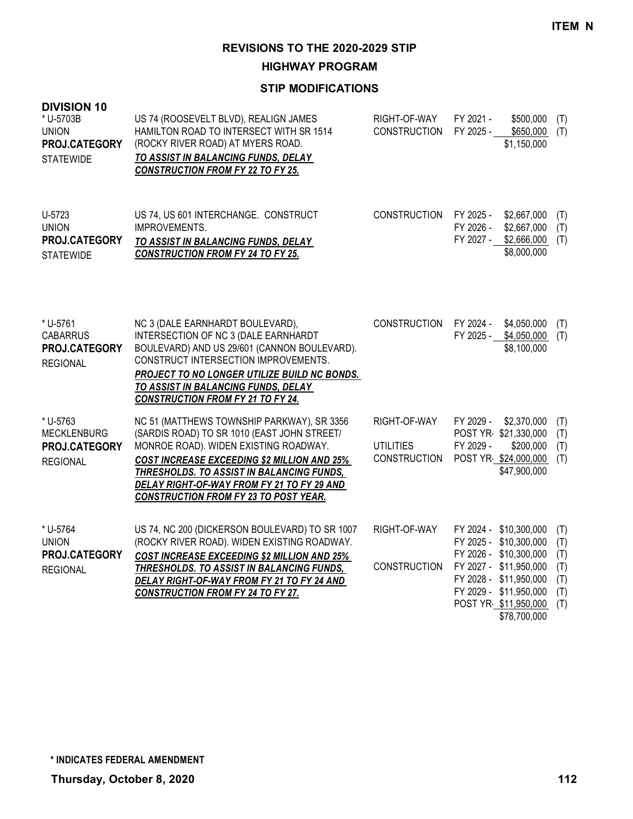**HIGHWAY PROGRAM**

| <b>DIVISION 10</b><br>* U-5703B<br><b>UNION</b><br>PROJ.CATEGORY<br><b>STATEWIDE</b> | US 74 (ROOSEVELT BLVD), REALIGN JAMES<br>HAMILTON ROAD TO INTERSECT WITH SR 1514<br>(ROCKY RIVER ROAD) AT MYERS ROAD.<br>TO ASSIST IN BALANCING FUNDS, DELAY<br><b>CONSTRUCTION FROM FY 22 TO FY 25.</b>                                                                                                                                   | RIGHT-OF-WAY<br><b>CONSTRUCTION</b>                     | FY 2021 -<br>\$500,000<br>(T)<br>FY 2025 -<br>\$650,000<br>(T)<br>\$1,150,000                                                                                                                                                                     |
|--------------------------------------------------------------------------------------|--------------------------------------------------------------------------------------------------------------------------------------------------------------------------------------------------------------------------------------------------------------------------------------------------------------------------------------------|---------------------------------------------------------|---------------------------------------------------------------------------------------------------------------------------------------------------------------------------------------------------------------------------------------------------|
| U-5723<br><b>UNION</b><br>PROJ.CATEGORY<br><b>STATEWIDE</b>                          | US 74, US 601 INTERCHANGE. CONSTRUCT<br>IMPROVEMENTS.<br>TO ASSIST IN BALANCING FUNDS, DELAY<br><b>CONSTRUCTION FROM FY 24 TO FY 25.</b>                                                                                                                                                                                                   | <b>CONSTRUCTION</b>                                     | FY 2025 -<br>\$2,667,000<br>(T)<br>FY 2026 -<br>\$2,667,000<br>(T)<br>FY 2027 - \$2,666,000<br>(T)<br>\$8,000,000                                                                                                                                 |
| * U-5761<br><b>CABARRUS</b><br>PROJ.CATEGORY<br><b>REGIONAL</b>                      | NC 3 (DALE EARNHARDT BOULEVARD),<br>INTERSECTION OF NC 3 (DALE EARNHARDT<br>BOULEVARD) AND US 29/601 (CANNON BOULEVARD).<br>CONSTRUCT INTERSECTION IMPROVEMENTS.<br>PROJECT TO NO LONGER UTILIZE BUILD NC BONDS.<br>TO ASSIST IN BALANCING FUNDS, DELAY<br><b>CONSTRUCTION FROM FY 21 TO FY 24.</b>                                        | CONSTRUCTION FY 2024 -                                  | \$4,050,000<br>(T)<br>FY 2025 - \$4,050,000<br>(T)<br>\$8,100,000                                                                                                                                                                                 |
| * U-5763<br><b>MECKLENBURG</b><br>PROJ.CATEGORY<br><b>REGIONAL</b>                   | NC 51 (MATTHEWS TOWNSHIP PARKWAY), SR 3356<br>(SARDIS ROAD) TO SR 1010 (EAST JOHN STREET/<br>MONROE ROAD). WIDEN EXISTING ROADWAY.<br><b>COST INCREASE EXCEEDING \$2 MILLION AND 25%</b><br><b>THRESHOLDS. TO ASSIST IN BALANCING FUNDS,</b><br>DELAY RIGHT-OF-WAY FROM FY 21 TO FY 29 AND<br><b>CONSTRUCTION FROM FY 23 TO POST YEAR.</b> | RIGHT-OF-WAY<br><b>UTILITIES</b><br><b>CONSTRUCTION</b> | FY 2029 -<br>\$2,370,000<br>(T)<br>POST YR \$21,330,000<br>(T)<br>FY 2029 -<br>\$200,000<br>(T)<br>POST YR \$24,000,000<br>(T)<br>\$47,900,000                                                                                                    |
| * U-5764<br><b>UNION</b><br>PROJ.CATEGORY<br><b>REGIONAL</b>                         | US 74, NC 200 (DICKERSON BOULEVARD) TO SR 1007<br>(ROCKY RIVER ROAD). WIDEN EXISTING ROADWAY.<br>COST INCREASE EXCEEDING \$2 MILLION AND 25%<br>THRESHOLDS. TO ASSIST IN BALANCING FUNDS,<br>DELAY RIGHT-OF-WAY FROM FY 21 TO FY 24 AND<br><b>CONSTRUCTION FROM FY 24 TO FY 27.</b>                                                        | RIGHT-OF-WAY<br><b>CONSTRUCTION</b>                     | FY 2024 - \$10,300,000<br>(T)<br>FY 2025 - \$10,300,000<br>(T)<br>FY 2026 - \$10,300,000<br>(T)<br>FY 2027 - \$11,950,000<br>(T)<br>FY 2028 - \$11,950,000<br>(T)<br>FY 2029 - \$11,950,000<br>(T)<br>(T)<br>POST YR \$11,950,000<br>\$78,700,000 |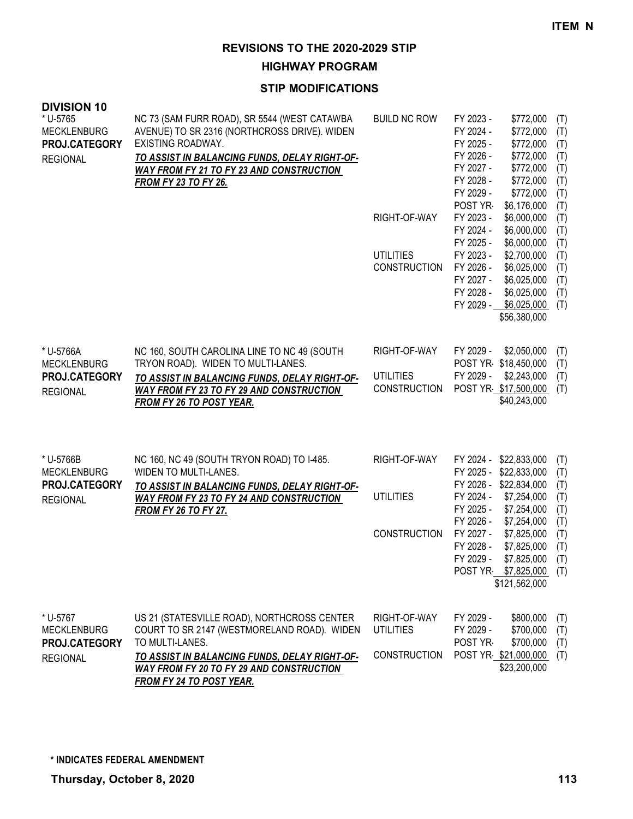**HIGHWAY PROGRAM**

| <b>DIVISION 10</b><br>* U-5765<br><b>MECKLENBURG</b><br>PROJ.CATEGORY<br><b>REGIONAL</b> | NC 73 (SAM FURR ROAD), SR 5544 (WEST CATAWBA<br>AVENUE) TO SR 2316 (NORTHCROSS DRIVE). WIDEN<br>EXISTING ROADWAY.<br>TO ASSIST IN BALANCING FUNDS, DELAY RIGHT-OF-<br><b>WAY FROM FY 21 TO FY 23 AND CONSTRUCTION</b><br><b>FROM FY 23 TO FY 26.</b>        | <b>BUILD NC ROW</b><br>RIGHT-OF-WAY                     | FY 2023 -<br>\$772,000<br>FY 2024 -<br>\$772,000<br>FY 2025 -<br>\$772,000<br>FY 2026 -<br>\$772,000<br>FY 2027 -<br>\$772,000<br>FY 2028 -<br>\$772,000<br>FY 2029 -<br>\$772,000<br>POST YR<br>\$6,176,000<br>FY 2023 -<br>\$6,000,000                                                   | (T)<br>(T)<br>(T)<br>(T)<br>(T)<br>(T)<br>(T)<br>(T)<br>(T)        |
|------------------------------------------------------------------------------------------|-------------------------------------------------------------------------------------------------------------------------------------------------------------------------------------------------------------------------------------------------------------|---------------------------------------------------------|--------------------------------------------------------------------------------------------------------------------------------------------------------------------------------------------------------------------------------------------------------------------------------------------|--------------------------------------------------------------------|
|                                                                                          |                                                                                                                                                                                                                                                             | <b>UTILITIES</b><br><b>CONSTRUCTION</b>                 | FY 2024 -<br>\$6,000,000<br>FY 2025 -<br>\$6,000,000<br>FY 2023 -<br>\$2,700,000<br>FY 2026 -<br>\$6,025,000<br>FY 2027 -<br>\$6,025,000<br>FY 2028 -<br>\$6,025,000<br>FY 2029 -<br>\$6,025,000<br>\$56,380,000                                                                           | (T)<br>(T)<br>(T)<br>(T)<br>(T)<br>(T)<br>(T)                      |
| * U-5766A<br><b>MECKLENBURG</b><br>PROJ.CATEGORY<br><b>REGIONAL</b>                      | NC 160, SOUTH CAROLINA LINE TO NC 49 (SOUTH<br>TRYON ROAD). WIDEN TO MULTI-LANES.<br>TO ASSIST IN BALANCING FUNDS, DELAY RIGHT-OF-<br><b>WAY FROM FY 23 TO FY 29 AND CONSTRUCTION</b><br><b>FROM FY 26 TO POST YEAR.</b>                                    | RIGHT-OF-WAY<br><b>UTILITIES</b><br><b>CONSTRUCTION</b> | FY 2029 -<br>\$2,050,000<br>POST YR \$18,450,000<br>FY 2029 -<br>\$2,243,000<br>POST YR \$17,500,000<br>\$40,243,000                                                                                                                                                                       | (T)<br>(T)<br>(T)<br>(T)                                           |
| * U-5766B<br><b>MECKLENBURG</b><br>PROJ.CATEGORY<br><b>REGIONAL</b>                      | NC 160, NC 49 (SOUTH TRYON ROAD) TO I-485.<br>WIDEN TO MULTI-LANES.<br>TO ASSIST IN BALANCING FUNDS, DELAY RIGHT-OF-<br><b>WAY FROM FY 23 TO FY 24 AND CONSTRUCTION</b><br><b>FROM FY 26 TO FY 27.</b>                                                      | RIGHT-OF-WAY<br><b>UTILITIES</b><br><b>CONSTRUCTION</b> | FY 2024 - \$22,833,000<br>FY 2025 - \$22,833,000<br>FY 2026 - \$22,834,000<br>FY 2024 -<br>\$7,254,000<br>FY 2025 -<br>\$7,254,000<br>FY 2026 -<br>\$7,254,000<br>FY 2027 -<br>\$7,825,000<br>FY 2028 -<br>\$7,825,000<br>FY 2029 -<br>\$7,825,000<br>POST YR \$7,825,000<br>\$121,562,000 | (T)<br>(T)<br>(T)<br>(T)<br>(T)<br>(T)<br>(T)<br>(T)<br>(T)<br>(T) |
| * U-5767<br><b>MECKLENBURG</b><br>PROJ.CATEGORY<br><b>REGIONAL</b>                       | US 21 (STATESVILLE ROAD), NORTHCROSS CENTER<br>COURT TO SR 2147 (WESTMORELAND ROAD). WIDEN<br>TO MULTI-LANES.<br><u>TO ASSIST IN BALANCING FUNDS, DELAY RIGHT-OF-</u><br><b>WAY FROM FY 20 TO FY 29 AND CONSTRUCTION</b><br><b>FROM FY 24 TO POST YEAR.</b> | RIGHT-OF-WAY<br><b>UTILITIES</b><br>CONSTRUCTION        | FY 2029 -<br>\$800,000<br>FY 2029 -<br>\$700,000<br>POST YR<br>\$700,000<br>POST YR \$21,000,000<br>\$23,200,000                                                                                                                                                                           | (T)<br>(T)<br>(T)<br>(T)                                           |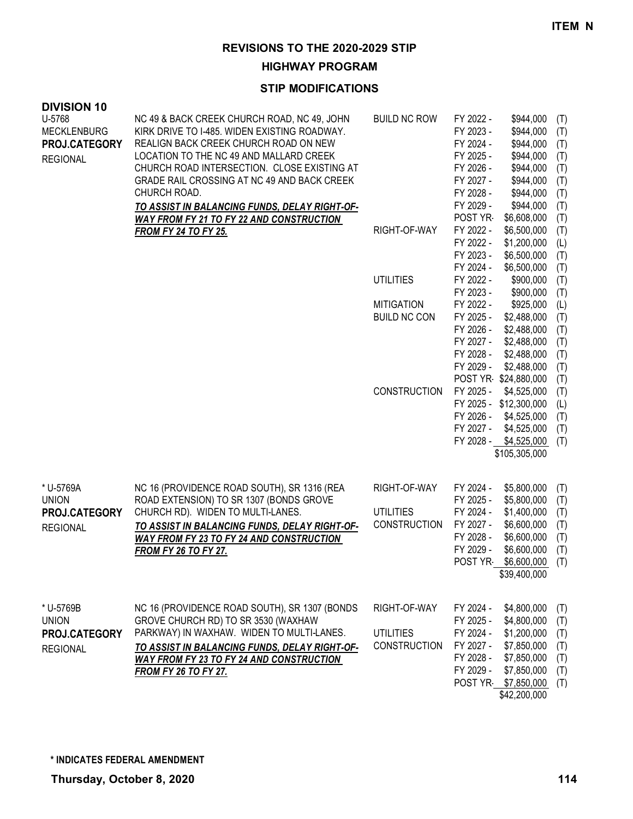**HIGHWAY PROGRAM**

| <b>DIVISION 10</b> |                                                                                                  |                     |                        |                         |            |
|--------------------|--------------------------------------------------------------------------------------------------|---------------------|------------------------|-------------------------|------------|
| U-5768             | NC 49 & BACK CREEK CHURCH ROAD, NC 49, JOHN                                                      | <b>BUILD NC ROW</b> | FY 2022 -              | \$944,000               | (T)        |
| <b>MECKLENBURG</b> | KIRK DRIVE TO I-485. WIDEN EXISTING ROADWAY.                                                     |                     | FY 2023 -              | \$944,000               | (T)        |
| PROJ.CATEGORY      | REALIGN BACK CREEK CHURCH ROAD ON NEW<br>LOCATION TO THE NC 49 AND MALLARD CREEK                 |                     | FY 2024 -<br>FY 2025 - | \$944,000               | (T)        |
| <b>REGIONAL</b>    | CHURCH ROAD INTERSECTION. CLOSE EXISTING AT                                                      |                     | FY 2026 -              | \$944,000<br>\$944,000  | (T)        |
|                    | GRADE RAIL CROSSING AT NC 49 AND BACK CREEK                                                      |                     | FY 2027 -              | \$944,000               | (T)        |
|                    | CHURCH ROAD.                                                                                     |                     | FY 2028 -              | \$944,000               | (T)<br>(T) |
|                    |                                                                                                  |                     | FY 2029 -              | \$944,000               | (T)        |
|                    | TO ASSIST IN BALANCING FUNDS, DELAY RIGHT-OF-<br><b>WAY FROM FY 21 TO FY 22 AND CONSTRUCTION</b> |                     | POST YR                | \$6,608,000             | (T)        |
|                    | <b>FROM FY 24 TO FY 25.</b>                                                                      | RIGHT-OF-WAY        | FY 2022 -              | \$6,500,000             | (T)        |
|                    |                                                                                                  |                     | FY 2022 -              | \$1,200,000             | (L)        |
|                    |                                                                                                  |                     | FY 2023 -              | \$6,500,000             | (T)        |
|                    |                                                                                                  |                     | FY 2024 -              | \$6,500,000             | (T)        |
|                    |                                                                                                  | <b>UTILITIES</b>    | FY 2022 -              | \$900,000               | (T)        |
|                    |                                                                                                  |                     | FY 2023 -              | \$900,000               | (T)        |
|                    |                                                                                                  | <b>MITIGATION</b>   | FY 2022 -              | \$925,000               | (L)        |
|                    |                                                                                                  | <b>BUILD NC CON</b> | FY 2025 -              | \$2,488,000             | (T)        |
|                    |                                                                                                  |                     | FY 2026 -              | \$2,488,000             | (T)        |
|                    |                                                                                                  |                     | FY 2027 -              | \$2,488,000             | (T)        |
|                    |                                                                                                  |                     | FY 2028 -              | \$2,488,000             | (T)        |
|                    |                                                                                                  |                     | FY 2029 -              | \$2,488,000             | (T)        |
|                    |                                                                                                  |                     |                        | POST YR \$24,880,000    | (T)        |
|                    |                                                                                                  | <b>CONSTRUCTION</b> | FY 2025 -              | \$4,525,000             | (T)        |
|                    |                                                                                                  |                     |                        | FY 2025 - \$12,300,000  | (L)        |
|                    |                                                                                                  |                     | FY 2026 -              | \$4,525,000             | (T)        |
|                    |                                                                                                  |                     | FY 2027 -              | \$4,525,000             | (T)        |
|                    |                                                                                                  |                     |                        | FY 2028 - \$4,525,000   | (T)        |
|                    |                                                                                                  |                     |                        | \$105,305,000           |            |
| * U-5769A          | NC 16 (PROVIDENCE ROAD SOUTH), SR 1316 (REA                                                      | RIGHT-OF-WAY        | FY 2024 -              | \$5,800,000             | (T)        |
| <b>UNION</b>       | ROAD EXTENSION) TO SR 1307 (BONDS GROVE                                                          |                     | FY 2025 -              | \$5,800,000             | (T)        |
| PROJ.CATEGORY      | CHURCH RD). WIDEN TO MULTI-LANES.                                                                | <b>UTILITIES</b>    | FY 2024 -              | \$1,400,000             | (T)        |
| <b>REGIONAL</b>    | TO ASSIST IN BALANCING FUNDS, DELAY RIGHT-OF-                                                    | <b>CONSTRUCTION</b> | FY 2027 -              | \$6,600,000             | (T)        |
|                    | <b>WAY FROM FY 23 TO FY 24 AND CONSTRUCTION</b>                                                  |                     | FY 2028 -              | \$6,600,000             | (T)        |
|                    | <b>FROM FY 26 TO FY 27.</b>                                                                      |                     | FY 2029 -              | \$6,600,000             | (T)        |
|                    |                                                                                                  |                     |                        | POST YR \$6,600,000 (T) |            |
|                    |                                                                                                  |                     |                        | \$39,400,000            |            |
| * U-5769B          | NC 16 (PROVIDENCE ROAD SOUTH), SR 1307 (BONDS                                                    | RIGHT-OF-WAY        | FY 2024 -              | \$4,800,000             | (T)        |
| <b>UNION</b>       | GROVE CHURCH RD) TO SR 3530 (WAXHAW                                                              |                     | FY 2025 -              | \$4,800,000             | (T)        |
| PROJ.CATEGORY      | PARKWAY) IN WAXHAW. WIDEN TO MULTI-LANES.                                                        | <b>UTILITIES</b>    | FY 2024 -              | \$1,200,000             | (T)        |
| <b>REGIONAL</b>    | TO ASSIST IN BALANCING FUNDS, DELAY RIGHT-OF-                                                    | <b>CONSTRUCTION</b> | FY 2027 -              | \$7,850,000             | (T)        |
|                    | <b>WAY FROM FY 23 TO FY 24 AND CONSTRUCTION</b>                                                  |                     | FY 2028 -              | \$7,850,000             | (T)        |
|                    | <b>FROM FY 26 TO FY 27.</b>                                                                      |                     | FY 2029 -              | \$7,850,000             | (T)        |
|                    |                                                                                                  |                     |                        | POST YR \$7,850,000     | (T)        |
|                    |                                                                                                  |                     |                        | \$42,200,000            |            |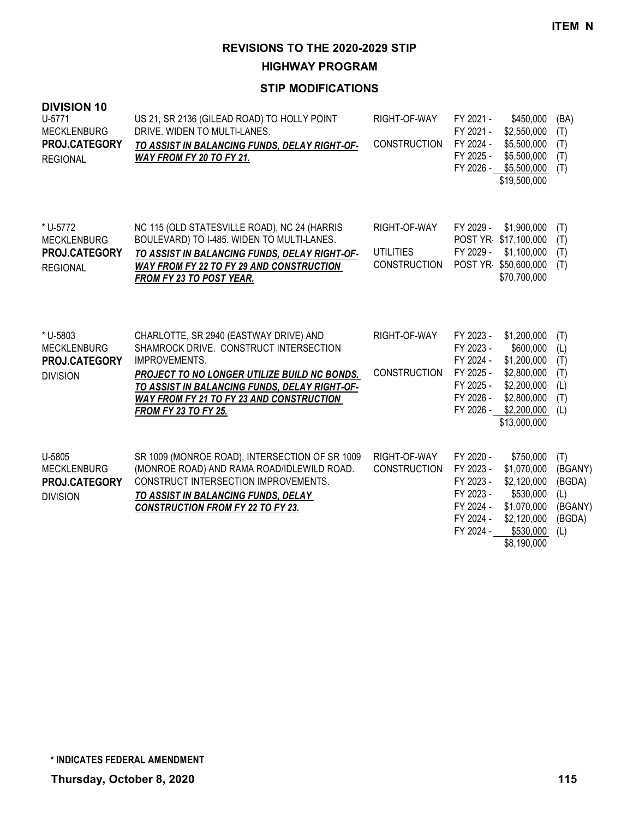**HIGHWAY PROGRAM**

| <b>DIVISION 10</b><br>U-5771<br><b>MECKLENBURG</b><br><b>PROJ.CATEGORY</b><br><b>REGIONAL</b> | US 21, SR 2136 (GILEAD ROAD) TO HOLLY POINT<br>DRIVE. WIDEN TO MULTI-LANES.<br>TO ASSIST IN BALANCING FUNDS, DELAY RIGHT-OF-<br>WAY FROM FY 20 TO FY 21.                                                                                                                             | RIGHT-OF-WAY<br><b>CONSTRUCTION</b>                     | FY 2021 -<br>\$450,000<br>\$2,550,000<br>FY 2021 -<br>\$5,500,000<br>FY 2024 -<br>\$5,500,000<br>FY 2025 -<br>\$5,500,000<br>FY 2026 -<br>\$19,500,000                                                         | (BA)<br>(T)<br>(T)<br>(T)<br>(T)                            |
|-----------------------------------------------------------------------------------------------|--------------------------------------------------------------------------------------------------------------------------------------------------------------------------------------------------------------------------------------------------------------------------------------|---------------------------------------------------------|----------------------------------------------------------------------------------------------------------------------------------------------------------------------------------------------------------------|-------------------------------------------------------------|
| * U-5772<br><b>MECKLENBURG</b><br>PROJ.CATEGORY<br><b>REGIONAL</b>                            | NC 115 (OLD STATESVILLE ROAD), NC 24 (HARRIS<br>BOULEVARD) TO I-485. WIDEN TO MULTI-LANES.<br>TO ASSIST IN BALANCING FUNDS, DELAY RIGHT-OF-<br><b>WAY FROM FY 22 TO FY 29 AND CONSTRUCTION</b><br><b>FROM FY 23 TO POST YEAR.</b>                                                    | RIGHT-OF-WAY<br><b>UTILITIES</b><br><b>CONSTRUCTION</b> | FY 2029 -<br>\$1,900,000<br>POST YR \$17,100,000<br>FY 2029 -<br>\$1,100,000<br>POST YR \$50,600,000<br>\$70,700,000                                                                                           | (T)<br>(T)<br>(T)<br>(T)                                    |
| * U-5803<br><b>MECKLENBURG</b><br>PROJ.CATEGORY<br><b>DIVISION</b>                            | CHARLOTTE, SR 2940 (EASTWAY DRIVE) AND<br>SHAMROCK DRIVE. CONSTRUCT INTERSECTION<br>IMPROVEMENTS.<br>PROJECT TO NO LONGER UTILIZE BUILD NC BONDS.<br>TO ASSIST IN BALANCING FUNDS, DELAY RIGHT-OF-<br><b>WAY FROM FY 21 TO FY 23 AND CONSTRUCTION</b><br><b>FROM FY 23 TO FY 25.</b> | RIGHT-OF-WAY<br><b>CONSTRUCTION</b>                     | FY 2023 -<br>\$1,200,000<br>FY 2023 -<br>\$600,000<br>FY 2024 -<br>\$1,200,000<br>FY 2025 -<br>\$2,800,000<br>FY 2025 -<br>\$2,200,000<br>FY 2026 -<br>\$2,800,000<br>FY 2026 -<br>\$2,200,000<br>\$13,000,000 | (T)<br>(L)<br>(T)<br>(T)<br>(L)<br>(T)<br>(L)               |
| U-5805<br><b>MECKLENBURG</b><br>PROJ.CATEGORY<br><b>DIVISION</b>                              | SR 1009 (MONROE ROAD), INTERSECTION OF SR 1009<br>(MONROE ROAD) AND RAMA ROAD/IDLEWILD ROAD.<br><b>CONSTRUCT INTERSECTION IMPROVEMENTS.</b><br>TO ASSIST IN BALANCING FUNDS, DELAY<br><b>CONSTRUCTION FROM FY 22 TO FY 23.</b>                                                       | RIGHT-OF-WAY<br><b>CONSTRUCTION</b>                     | FY 2020 -<br>\$750,000<br>FY 2023 -<br>\$1,070,000<br>FY 2023 -<br>\$2,120,000<br>FY 2023 -<br>\$530,000<br>FY 2024 -<br>\$1,070,000<br>\$2,120,000<br>FY 2024 -<br>\$530,000<br>FY 2024 -<br>\$8,190,000      | (T)<br>(BGANY)<br>(BGDA)<br>(L)<br>(BGANY)<br>(BGDA)<br>(L) |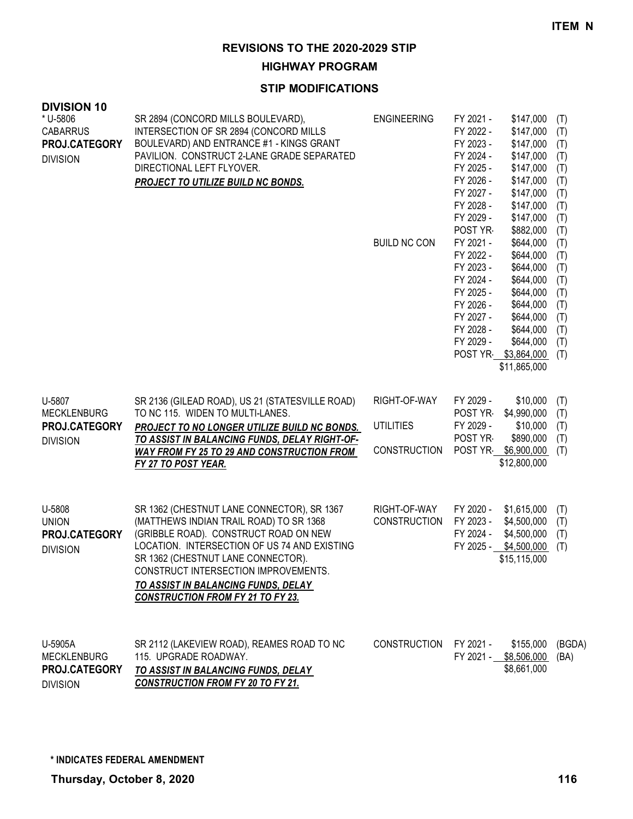**HIGHWAY PROGRAM**

| <b>DIVISION 10</b><br>* U-5806<br><b>CABARRUS</b><br>PROJ.CATEGORY<br><b>DIVISION</b> | SR 2894 (CONCORD MILLS BOULEVARD),<br>INTERSECTION OF SR 2894 (CONCORD MILLS<br>BOULEVARD) AND ENTRANCE #1 - KINGS GRANT<br>PAVILION. CONSTRUCT 2-LANE GRADE SEPARATED<br>DIRECTIONAL LEFT FLYOVER.<br>PROJECT TO UTILIZE BUILD NC BONDS.                                                                                                              | <b>ENGINEERING</b><br><b>BUILD NC CON</b>        | FY 2021 -<br>FY 2022 -<br>FY 2023 -<br>FY 2024 -<br>FY 2025 -<br>FY 2026 -<br>FY 2027 -<br>FY 2028 -<br>FY 2029 -<br>POST YR-<br>FY 2021 -<br>FY 2022 -<br>FY 2023 -<br>FY 2024 -<br>FY 2025 -<br>FY 2026 -<br>FY 2027 -<br>FY 2028 -<br>FY 2029 -<br>POST YR I | \$147,000<br>(T)<br>\$147,000<br>(T)<br>\$147,000<br>(T)<br>\$147,000<br>(T)<br>\$147,000<br>(T)<br>\$147,000<br>(T)<br>\$147,000<br>(T)<br>\$147,000<br>(T)<br>\$147,000<br>(T)<br>\$882,000<br>(T)<br>\$644,000<br>(T)<br>\$644,000<br>(T)<br>\$644,000<br>(T)<br>\$644,000<br>(T)<br>\$644,000<br>(T)<br>\$644,000<br>(T)<br>\$644,000<br>(T)<br>\$644,000<br>(T)<br>\$644,000<br>(T)<br>\$3,864,000<br>(T)<br>\$11,865,000 |                |
|---------------------------------------------------------------------------------------|--------------------------------------------------------------------------------------------------------------------------------------------------------------------------------------------------------------------------------------------------------------------------------------------------------------------------------------------------------|--------------------------------------------------|-----------------------------------------------------------------------------------------------------------------------------------------------------------------------------------------------------------------------------------------------------------------|--------------------------------------------------------------------------------------------------------------------------------------------------------------------------------------------------------------------------------------------------------------------------------------------------------------------------------------------------------------------------------------------------------------------------------|----------------|
| U-5807<br><b>MECKLENBURG</b><br>PROJ.CATEGORY<br><b>DIVISION</b>                      | SR 2136 (GILEAD ROAD), US 21 (STATESVILLE ROAD)<br>TO NC 115. WIDEN TO MULTI-LANES.<br><b>PROJECT TO NO LONGER UTILIZE BUILD NC BONDS.</b><br><u>TO ASSIST IN BALANCING FUNDS, DELAY RIGHT-OF-</u><br>WAY FROM FY 25 TO 29 AND CONSTRUCTION FROM<br>FY 27 TO POST YEAR.                                                                                | RIGHT-OF-WAY<br>UTILITIES<br><b>CONSTRUCTION</b> | FY 2029 -<br>POST YR-<br>FY 2029 -<br>POST YR<br>POST YR                                                                                                                                                                                                        | \$10,000<br>(T)<br>\$4,990,000<br>(T)<br>\$10,000<br>(T)<br>\$890,000<br>(T)<br>\$6,900,000<br>(T)<br>\$12,800,000                                                                                                                                                                                                                                                                                                             |                |
| U-5808<br><b>UNION</b><br>PROJ.CATEGORY<br><b>DIVISION</b>                            | SR 1362 (CHESTNUT LANE CONNECTOR), SR 1367<br>(MATTHEWS INDIAN TRAIL ROAD) TO SR 1368<br>(GRIBBLE ROAD). CONSTRUCT ROAD ON NEW<br>LOCATION. INTERSECTION OF US 74 AND EXISTING<br>SR 1362 (CHESTNUT LANE CONNECTOR).<br>CONSTRUCT INTERSECTION IMPROVEMENTS.<br><u>TO ASSIST IN BALANCING FUNDS, DELAY</u><br><b>CONSTRUCTION FROM FY 21 TO FY 23.</b> | RIGHT-OF-WAY<br><b>CONSTRUCTION</b>              | FY 2020 -<br>FY 2023 -<br>FY 2024 -<br>FY 2025 -                                                                                                                                                                                                                | \$1,615,000<br>(T)<br>\$4,500,000<br>(T)<br>\$4,500,000<br>(T)<br>\$4,500,000<br>(T)<br>\$15,115,000                                                                                                                                                                                                                                                                                                                           |                |
| U-5905A<br><b>MECKLENBURG</b><br>PROJ.CATEGORY<br><b>DIVISION</b>                     | SR 2112 (LAKEVIEW ROAD), REAMES ROAD TO NC<br>115. UPGRADE ROADWAY.<br>TO ASSIST IN BALANCING FUNDS, DELAY<br><b>CONSTRUCTION FROM FY 20 TO FY 21.</b>                                                                                                                                                                                                 | CONSTRUCTION                                     | FY 2021 -<br>FY 2021 - \$8,506,000                                                                                                                                                                                                                              | \$155,000<br>\$8,661,000                                                                                                                                                                                                                                                                                                                                                                                                       | (BGDA)<br>(BA) |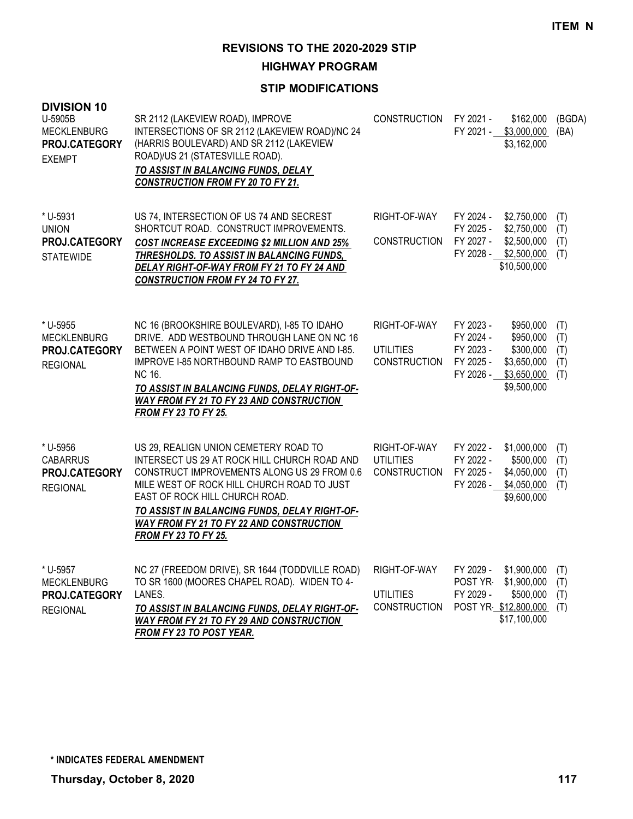**HIGHWAY PROGRAM**

| <b>DIVISION 10</b><br>U-5905B<br><b>MECKLENBURG</b><br>PROJ.CATEGORY<br><b>EXEMPT</b> | SR 2112 (LAKEVIEW ROAD), IMPROVE<br>INTERSECTIONS OF SR 2112 (LAKEVIEW ROAD)/NC 24<br>(HARRIS BOULEVARD) AND SR 2112 (LAKEVIEW<br>ROAD)/US 21 (STATESVILLE ROAD).<br>TO ASSIST IN BALANCING FUNDS, DELAY<br><b>CONSTRUCTION FROM FY 20 TO FY 21.</b>                                                                                             | <b>CONSTRUCTION</b>                                     | FY 2021 -                                                     | \$162,000<br>FY 2021 - \$3,000,000<br>\$3,162,000                                  | (BGDA)<br>(BA)                  |
|---------------------------------------------------------------------------------------|--------------------------------------------------------------------------------------------------------------------------------------------------------------------------------------------------------------------------------------------------------------------------------------------------------------------------------------------------|---------------------------------------------------------|---------------------------------------------------------------|------------------------------------------------------------------------------------|---------------------------------|
| * U-5931<br><b>UNION</b><br>PROJ.CATEGORY<br><b>STATEWIDE</b>                         | US 74, INTERSECTION OF US 74 AND SECREST<br>SHORTCUT ROAD. CONSTRUCT IMPROVEMENTS.<br><b>COST INCREASE EXCEEDING \$2 MILLION AND 25%</b><br>THRESHOLDS. TO ASSIST IN BALANCING FUNDS,<br>DELAY RIGHT-OF-WAY FROM FY 21 TO FY 24 AND<br><b>CONSTRUCTION FROM FY 24 TO FY 27.</b>                                                                  | RIGHT-OF-WAY<br><b>CONSTRUCTION</b>                     | FY 2024 -<br>FY 2025 -<br>FY 2027 -                           | \$2,750,000<br>\$2,750,000<br>\$2,500,000<br>FY 2028 - \$2,500,000<br>\$10,500,000 | (T)<br>(T)<br>(T)<br>(T)        |
| * U-5955<br><b>MECKLENBURG</b><br>PROJ.CATEGORY<br><b>REGIONAL</b>                    | NC 16 (BROOKSHIRE BOULEVARD), I-85 TO IDAHO<br>DRIVE. ADD WESTBOUND THROUGH LANE ON NC 16<br>BETWEEN A POINT WEST OF IDAHO DRIVE AND I-85.<br><b>IMPROVE I-85 NORTHBOUND RAMP TO EASTBOUND</b><br>NC 16.<br>TO ASSIST IN BALANCING FUNDS, DELAY RIGHT-OF-<br>WAY FROM FY 21 TO FY 23 AND CONSTRUCTION<br><b>FROM FY 23 TO FY 25.</b>             | RIGHT-OF-WAY<br><b>UTILITIES</b><br><b>CONSTRUCTION</b> | FY 2023 -<br>FY 2024 -<br>FY 2023 -<br>FY 2025 -<br>FY 2026 - | \$950,000<br>\$950,000<br>\$300,000<br>\$3,650,000<br>\$3,650,000<br>\$9,500,000   | (T)<br>(T)<br>(T)<br>(T)<br>(T) |
| * U-5956<br><b>CABARRUS</b><br>PROJ.CATEGORY<br><b>REGIONAL</b>                       | US 29, REALIGN UNION CEMETERY ROAD TO<br>INTERSECT US 29 AT ROCK HILL CHURCH ROAD AND<br>CONSTRUCT IMPROVEMENTS ALONG US 29 FROM 0.6<br>MILE WEST OF ROCK HILL CHURCH ROAD TO JUST<br>EAST OF ROCK HILL CHURCH ROAD.<br>TO ASSIST IN BALANCING FUNDS, DELAY RIGHT-OF-<br>WAY FROM FY 21 TO FY 22 AND CONSTRUCTION<br><b>FROM FY 23 TO FY 25.</b> | RIGHT-OF-WAY<br><b>UTILITIES</b><br><b>CONSTRUCTION</b> | FY 2022 -<br>FY 2022 -<br>FY 2025 -                           | \$1,000,000<br>\$500,000<br>\$4,050,000<br>FY 2026 - \$4,050,000<br>\$9,600,000    | (T)<br>(T)<br>(T)<br>(T)        |
| * U-5957<br><b>MECKLENBURG</b><br>PROJ.CATEGORY<br><b>REGIONAL</b>                    | NC 27 (FREEDOM DRIVE), SR 1644 (TODDVILLE ROAD)<br>TO SR 1600 (MOORES CHAPEL ROAD). WIDEN TO 4-<br>LANES.<br>TO ASSIST IN BALANCING FUNDS, DELAY RIGHT-OF-<br>WAY FROM FY 21 TO FY 29 AND CONSTRUCTION<br><b>FROM FY 23 TO POST YEAR.</b>                                                                                                        | RIGHT-OF-WAY<br><b>UTILITIES</b><br><b>CONSTRUCTION</b> | FY 2029 -<br>POST YR-<br>FY 2029 -                            | \$1,900,000<br>\$1,900,000<br>\$500,000<br>POST YR \$12,800,000<br>\$17,100,000    | (T)<br>(T)<br>(T)<br>(T)        |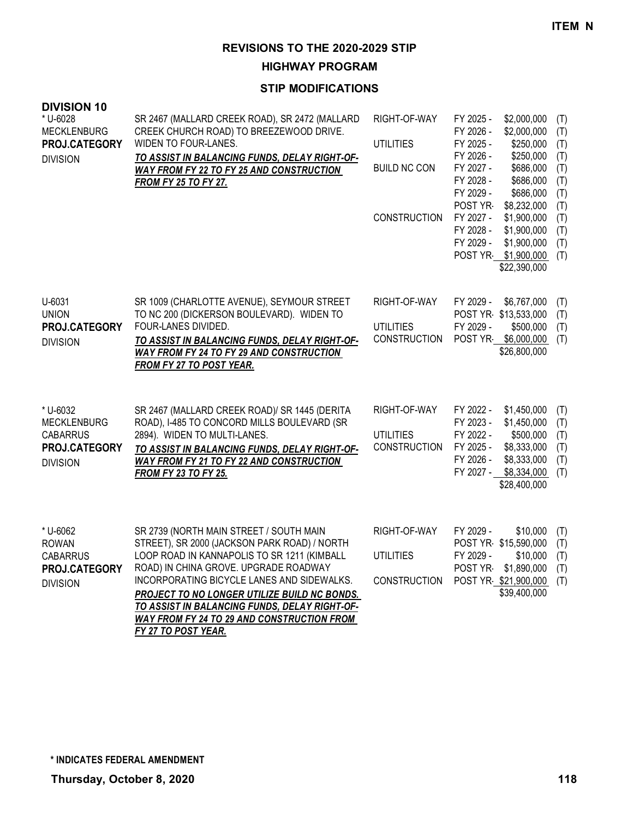**HIGHWAY PROGRAM**

| <b>DIVISION 10</b><br>* U-6028<br><b>MECKLENBURG</b><br>PROJ.CATEGORY<br><b>DIVISION</b> | SR 2467 (MALLARD CREEK ROAD), SR 2472 (MALLARD<br>CREEK CHURCH ROAD) TO BREEZEWOOD DRIVE.<br>WIDEN TO FOUR-LANES.<br>TO ASSIST IN BALANCING FUNDS, DELAY RIGHT-OF-<br>WAY FROM FY 22 TO FY 25 AND CONSTRUCTION<br>FROM FY 25 TO FY 27.                                                                                                                                                                     | RIGHT-OF-WAY<br><b>UTILITIES</b><br><b>BUILD NC CON</b><br><b>CONSTRUCTION</b> | FY 2025 -<br>\$2,000,000<br>(T)<br>FY 2026 -<br>\$2,000,000<br>(T)<br>FY 2025 -<br>\$250,000<br>(T)<br>FY 2026 -<br>\$250,000<br>(T)<br>FY 2027 -<br>\$686,000<br>(T)<br>FY 2028 -<br>\$686,000<br>(T)<br>FY 2029 -<br>\$686,000<br>(T)<br>POST YR<br>\$8,232,000<br>(T)<br>FY 2027 -<br>\$1,900,000<br>(T)<br>FY 2028 -<br>\$1,900,000<br>(T)<br>FY 2029 -<br>\$1,900,000<br>(T)<br>POST YR \$1,900,000<br>(T)<br>\$22,390,000 |
|------------------------------------------------------------------------------------------|------------------------------------------------------------------------------------------------------------------------------------------------------------------------------------------------------------------------------------------------------------------------------------------------------------------------------------------------------------------------------------------------------------|--------------------------------------------------------------------------------|---------------------------------------------------------------------------------------------------------------------------------------------------------------------------------------------------------------------------------------------------------------------------------------------------------------------------------------------------------------------------------------------------------------------------------|
| U-6031<br><b>UNION</b><br>PROJ.CATEGORY<br><b>DIVISION</b>                               | SR 1009 (CHARLOTTE AVENUE), SEYMOUR STREET<br>TO NC 200 (DICKERSON BOULEVARD). WIDEN TO<br>FOUR-LANES DIVIDED.<br>TO ASSIST IN BALANCING FUNDS, DELAY RIGHT-OF-<br>WAY FROM FY 24 TO FY 29 AND CONSTRUCTION<br><b>FROM FY 27 TO POST YEAR.</b>                                                                                                                                                             | RIGHT-OF-WAY<br><b>UTILITIES</b><br><b>CONSTRUCTION</b>                        | FY 2029 -<br>\$6,767,000<br>(T)<br>POST YR \$13,533,000<br>(T)<br>FY 2029 -<br>\$500,000<br>(T)<br>POST YR \$6,000,000<br>(T)<br>\$26,800,000                                                                                                                                                                                                                                                                                   |
| * U-6032<br><b>MECKLENBURG</b><br><b>CABARRUS</b><br>PROJ.CATEGORY<br><b>DIVISION</b>    | SR 2467 (MALLARD CREEK ROAD)/ SR 1445 (DERITA<br>ROAD), I-485 TO CONCORD MILLS BOULEVARD (SR<br>2894). WIDEN TO MULTI-LANES.<br>TO ASSIST IN BALANCING FUNDS, DELAY RIGHT-OF-<br><b>WAY FROM FY 21 TO FY 22 AND CONSTRUCTION</b><br><b>FROM FY 23 TO FY 25.</b>                                                                                                                                            | RIGHT-OF-WAY<br><b>UTILITIES</b><br><b>CONSTRUCTION</b>                        | FY 2022 -<br>\$1,450,000<br>(T)<br>FY 2023 -<br>\$1,450,000<br>(T)<br>FY 2022 -<br>\$500,000<br>(T)<br>FY 2025 -<br>\$8,333,000<br>(T)<br>FY 2026 -<br>\$8,333,000<br>(T)<br>FY 2027 -<br>\$8,334,000<br>(T)<br>\$28,400,000                                                                                                                                                                                                    |
| * U-6062<br><b>ROWAN</b><br><b>CABARRUS</b><br>PROJ.CATEGORY<br><b>DIVISION</b>          | SR 2739 (NORTH MAIN STREET / SOUTH MAIN<br>STREET), SR 2000 (JACKSON PARK ROAD) / NORTH<br>LOOP ROAD IN KANNAPOLIS TO SR 1211 (KIMBALL<br>ROAD) IN CHINA GROVE. UPGRADE ROADWAY<br>INCORPORATING BICYCLE LANES AND SIDEWALKS.<br>PROJECT TO NO LONGER UTILIZE BUILD NC BONDS.<br>TO ASSIST IN BALANCING FUNDS, DELAY RIGHT-OF-<br><b>WAY FROM FY 24 TO 29 AND CONSTRUCTION FROM</b><br>FY 27 TO POST YEAR. | RIGHT-OF-WAY<br><b>UTILITIES</b><br><b>CONSTRUCTION</b>                        | FY 2029 -<br>\$10,000<br>(T)<br>POST YR \$15,590,000<br>(T)<br>FY 2029 -<br>\$10,000<br>(T)<br>POST YR-<br>\$1,890,000<br>(T)<br>POST YR \$21,900,000<br>(T)<br>\$39,400,000                                                                                                                                                                                                                                                    |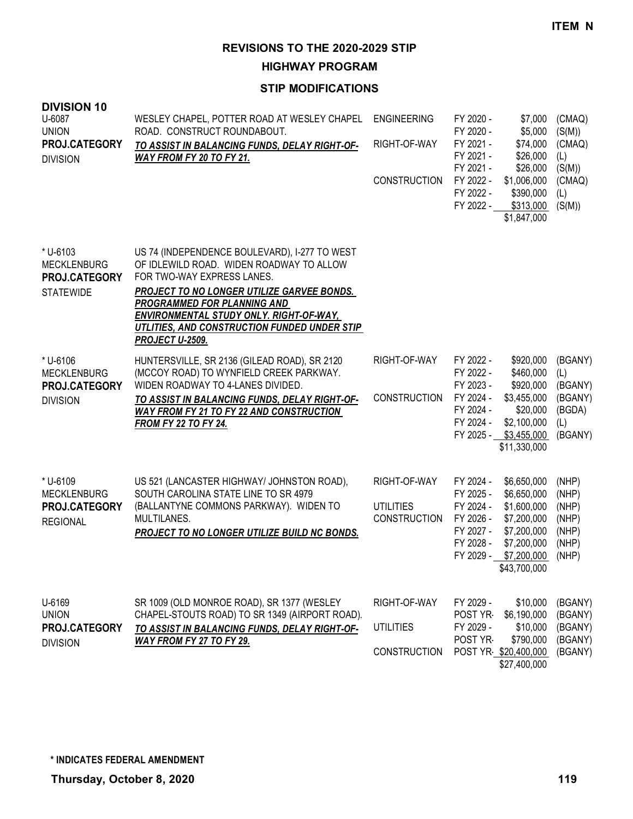**HIGHWAY PROGRAM**

| <b>DIVISION 10</b><br>U-6087<br><b>UNION</b><br>PROJ.CATEGORY<br><b>DIVISION</b> | WESLEY CHAPEL, POTTER ROAD AT WESLEY CHAPEL<br>ROAD. CONSTRUCT ROUNDABOUT.<br>TO ASSIST IN BALANCING FUNDS, DELAY RIGHT-OF-<br>WAY FROM FY 20 TO FY 21.                                                                                                                                                                                 | <b>ENGINEERING</b><br>RIGHT-OF-WAY<br><b>CONSTRUCTION</b> | FY 2020 -<br>\$7,000<br>FY 2020 -<br>\$5,000<br>FY 2021 -<br>\$74,000<br>FY 2021 -<br>\$26,000<br>FY 2021 -<br>\$26,000<br>FY 2022 -<br>\$1,006,000<br>FY 2022 -<br>\$390,000<br>FY 2022 -<br>\$313,000<br>\$1,847,000 | (CMAQ)<br>(S(M))<br>(CMAQ)<br>(L)<br>(S(M))<br>(CMAQ)<br>(L)<br>(S(M)) |
|----------------------------------------------------------------------------------|-----------------------------------------------------------------------------------------------------------------------------------------------------------------------------------------------------------------------------------------------------------------------------------------------------------------------------------------|-----------------------------------------------------------|------------------------------------------------------------------------------------------------------------------------------------------------------------------------------------------------------------------------|------------------------------------------------------------------------|
| * U-6103<br><b>MECKLENBURG</b><br>PROJ.CATEGORY<br><b>STATEWIDE</b>              | US 74 (INDEPENDENCE BOULEVARD), I-277 TO WEST<br>OF IDLEWILD ROAD. WIDEN ROADWAY TO ALLOW<br>FOR TWO-WAY EXPRESS LANES.<br>PROJECT TO NO LONGER UTILIZE GARVEE BONDS.<br><b>PROGRAMMED FOR PLANNING AND</b><br><b>ENVIRONMENTAL STUDY ONLY. RIGHT-OF-WAY,</b><br>UTLITIES, AND CONSTRUCTION FUNDED UNDER STIP<br><b>PROJECT U-2509.</b> |                                                           |                                                                                                                                                                                                                        |                                                                        |
| * U-6106<br><b>MECKLENBURG</b><br>PROJ.CATEGORY<br><b>DIVISION</b>               | HUNTERSVILLE, SR 2136 (GILEAD ROAD), SR 2120<br>(MCCOY ROAD) TO WYNFIELD CREEK PARKWAY.<br>WIDEN ROADWAY TO 4-LANES DIVIDED.<br>TO ASSIST IN BALANCING FUNDS, DELAY RIGHT-OF-<br><b>WAY FROM FY 21 TO FY 22 AND CONSTRUCTION</b><br><b>FROM FY 22 TO FY 24.</b>                                                                         | RIGHT-OF-WAY<br><b>CONSTRUCTION</b>                       | FY 2022 -<br>\$920,000<br>FY 2022 -<br>\$460,000<br>FY 2023 -<br>\$920,000<br>FY 2024 -<br>\$3,455,000<br>FY 2024 -<br>\$20,000<br>FY 2024 -<br>\$2,100,000<br>FY 2025 - \$3,455,000<br>\$11,330,000                   | (BGANY)<br>(L)<br>(BGANY)<br>(BGANY)<br>(BGDA)<br>(L)<br>(BGANY)       |
| * U-6109<br><b>MECKLENBURG</b><br>PROJ.CATEGORY<br><b>REGIONAL</b>               | US 521 (LANCASTER HIGHWAY/ JOHNSTON ROAD),<br>SOUTH CAROLINA STATE LINE TO SR 4979<br>(BALLANTYNE COMMONS PARKWAY). WIDEN TO<br>MULTILANES.<br>PROJECT TO NO LONGER UTILIZE BUILD NC BONDS.                                                                                                                                             | RIGHT-OF-WAY<br><b>UTILITIES</b><br><b>CONSTRUCTION</b>   | FY 2024 -<br>\$6,650,000<br>FY 2025 -<br>\$6,650,000<br>FY 2024 -<br>\$1,600,000<br>FY 2026 -<br>\$7,200,000<br>FY 2027 -<br>\$7,200,000<br>FY 2028 -<br>\$7,200,000<br>FY 2029 - \$7,200,000<br>\$43,700,000          | (NHP)<br>(NHP)<br>(NHP)<br>(NHP)<br>(NHP)<br>(NHP)<br>(NHP)            |
| U-6169<br><b>UNION</b><br>PROJ.CATEGORY<br><b>DIVISION</b>                       | SR 1009 (OLD MONROE ROAD), SR 1377 (WESLEY<br>CHAPEL-STOUTS ROAD) TO SR 1349 (AIRPORT ROAD).<br>TO ASSIST IN BALANCING FUNDS, DELAY RIGHT-OF-<br>WAY FROM FY 27 TO FY 29.                                                                                                                                                               | RIGHT-OF-WAY<br><b>UTILITIES</b><br><b>CONSTRUCTION</b>   | FY 2029 -<br>\$10,000<br>POST YR-<br>\$6,190,000<br>FY 2029 -<br>\$10,000<br>POST YR<br>\$790,000<br>POST YR \$20,400,000<br>\$27,400,000                                                                              | (BGANY)<br>(BGANY)<br>(BGANY)<br>(BGANY)<br>(BGANY)                    |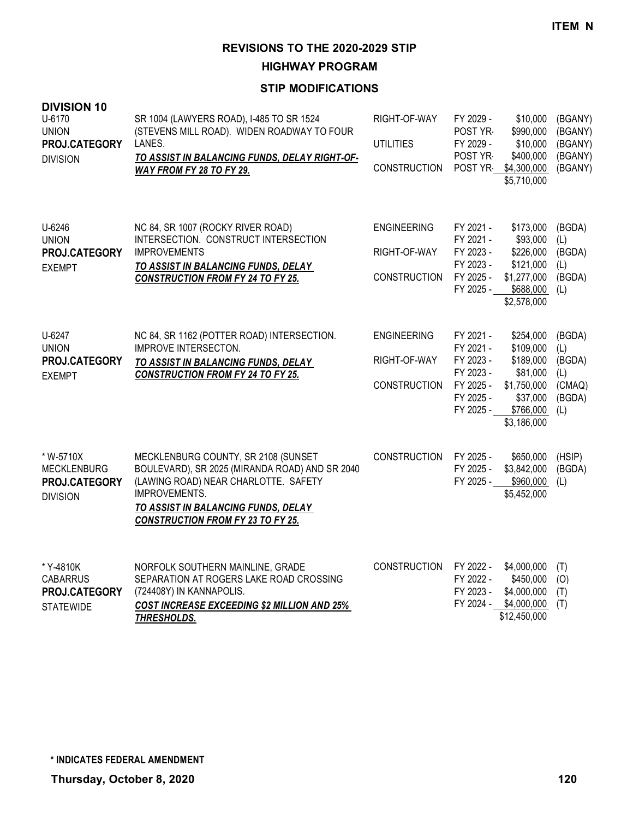**HIGHWAY PROGRAM**

| <b>DIVISION 10</b><br>U-6170<br><b>UNION</b><br>PROJ.CATEGORY<br><b>DIVISION</b> | SR 1004 (LAWYERS ROAD), I-485 TO SR 1524<br>(STEVENS MILL ROAD). WIDEN ROADWAY TO FOUR<br>LANES.<br>TO ASSIST IN BALANCING FUNDS, DELAY RIGHT-OF-<br>WAY FROM FY 28 TO FY 29.                                                     | RIGHT-OF-WAY<br><b>UTILITIES</b><br><b>CONSTRUCTION</b>   | FY 2029 -<br>POST YR-<br>FY 2029 -<br>POST YR-<br>POST YR                               | \$10,000<br>\$990,000<br>\$10,000<br>\$400,000<br>\$4,300,000<br>\$5,710,000                           | (BGANY)<br>(BGANY)<br>(BGANY)<br>(BGANY)<br>(BGANY)       |
|----------------------------------------------------------------------------------|-----------------------------------------------------------------------------------------------------------------------------------------------------------------------------------------------------------------------------------|-----------------------------------------------------------|-----------------------------------------------------------------------------------------|--------------------------------------------------------------------------------------------------------|-----------------------------------------------------------|
| U-6246<br><b>UNION</b><br>PROJ.CATEGORY<br><b>EXEMPT</b>                         | NC 84, SR 1007 (ROCKY RIVER ROAD)<br>INTERSECTION. CONSTRUCT INTERSECTION<br><b>IMPROVEMENTS</b><br>TO ASSIST IN BALANCING FUNDS, DELAY<br><b>CONSTRUCTION FROM FY 24 TO FY 25.</b>                                               | <b>ENGINEERING</b><br>RIGHT-OF-WAY<br><b>CONSTRUCTION</b> | FY 2021 -<br>FY 2021 -<br>FY 2023 -<br>FY 2023 -<br>FY 2025 -<br>FY 2025 -              | \$173,000<br>\$93,000<br>\$226,000<br>\$121,000<br>\$1,277,000<br>\$688,000<br>\$2,578,000             | (BGDA)<br>(L)<br>(BGDA)<br>(L)<br>(BGDA)<br>(L)           |
| U-6247<br><b>UNION</b><br>PROJ.CATEGORY<br><b>EXEMPT</b>                         | NC 84, SR 1162 (POTTER ROAD) INTERSECTION.<br><b>IMPROVE INTERSECTON.</b><br>TO ASSIST IN BALANCING FUNDS, DELAY<br><b>CONSTRUCTION FROM FY 24 TO FY 25.</b>                                                                      | <b>ENGINEERING</b><br>RIGHT-OF-WAY<br><b>CONSTRUCTION</b> | FY 2021 -<br>FY 2021 -<br>FY 2023 -<br>FY 2023 -<br>FY 2025 -<br>FY 2025 -<br>FY 2025 - | \$254,000<br>\$109,000<br>\$189,000<br>\$81,000<br>\$1,750,000<br>\$37,000<br>\$766,000<br>\$3,186,000 | (BGDA)<br>(L)<br>(BGDA)<br>(L)<br>(CMAQ)<br>(BGDA)<br>(L) |
| * W-5710X<br><b>MECKLENBURG</b><br>PROJ.CATEGORY<br><b>DIVISION</b>              | MECKLENBURG COUNTY, SR 2108 (SUNSET<br>BOULEVARD), SR 2025 (MIRANDA ROAD) AND SR 2040<br>(LAWING ROAD) NEAR CHARLOTTE. SAFETY<br>IMPROVEMENTS.<br>TO ASSIST IN BALANCING FUNDS, DELAY<br><b>CONSTRUCTION FROM FY 23 TO FY 25.</b> | <b>CONSTRUCTION</b>                                       | FY 2025 -<br>FY 2025 -<br>FY 2025 -                                                     | \$650,000<br>\$3,842,000<br>\$960,000<br>\$5,452,000                                                   | (HSIP)<br>(BGDA)<br>(L)                                   |
| * Y-4810K<br><b>CABARRUS</b><br>PROJ.CATEGORY<br><b>STATEWIDE</b>                | NORFOLK SOUTHERN MAINLINE, GRADE<br>SEPARATION AT ROGERS LAKE ROAD CROSSING<br>(724408Y) IN KANNAPOLIS.<br><b>COST INCREASE EXCEEDING \$2 MILLION AND 25%</b><br><b>THRESHOLDS.</b>                                               | <b>CONSTRUCTION</b>                                       | FY 2022 -<br>FY 2022 -<br>FY 2023 -<br>FY 2024 -                                        | \$4,000,000<br>\$450,000<br>\$4,000,000<br>\$4,000,000<br>\$12,450,000                                 | (T)<br>(O)<br>(T)<br>(T)                                  |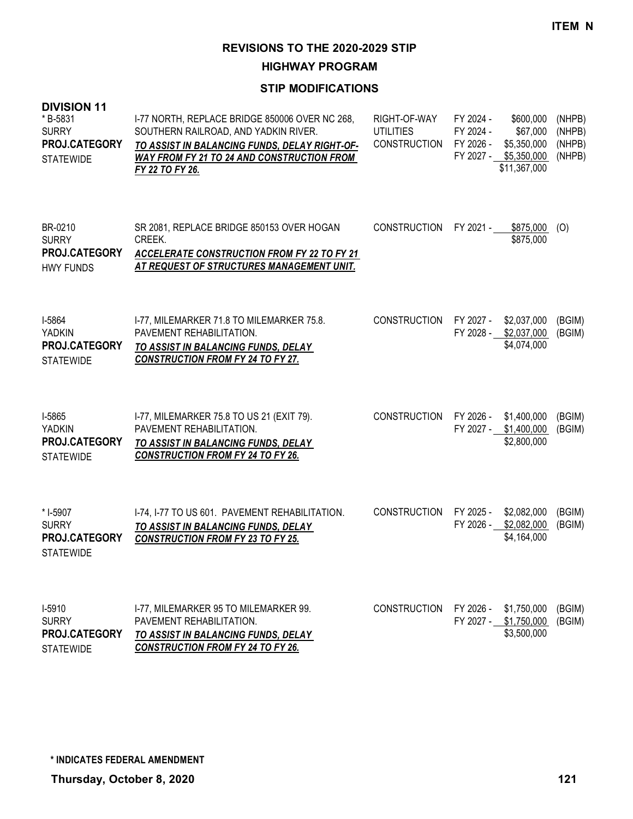**HIGHWAY PROGRAM**

| <b>DIVISION 11</b><br>*B-5831<br><b>SURRY</b><br>PROJ.CATEGORY<br><b>STATEWIDE</b> | I-77 NORTH, REPLACE BRIDGE 850006 OVER NC 268,<br>SOUTHERN RAILROAD, AND YADKIN RIVER.<br>TO ASSIST IN BALANCING FUNDS, DELAY RIGHT-OF-<br><b>WAY FROM FY 21 TO 24 AND CONSTRUCTION FROM</b><br>FY 22 TO FY 26. | RIGHT-OF-WAY<br><b>UTILITIES</b><br>CONSTRUCTION FY 2026 - | FY 2024 -<br>FY 2024 -                         | \$600,000<br>\$67,000<br>\$5,350,000<br>FY 2027 - \$5,350,000<br>\$11,367,000 | (NHPB)<br>(NHPB)<br>(NHPB)<br>(NHPB) |
|------------------------------------------------------------------------------------|-----------------------------------------------------------------------------------------------------------------------------------------------------------------------------------------------------------------|------------------------------------------------------------|------------------------------------------------|-------------------------------------------------------------------------------|--------------------------------------|
| BR-0210<br><b>SURRY</b><br><b>PROJ.CATEGORY</b><br><b>HWY FUNDS</b>                | SR 2081, REPLACE BRIDGE 850153 OVER HOGAN<br>CREEK.<br><b>ACCELERATE CONSTRUCTION FROM FY 22 TO FY 21</b><br>AT REQUEST OF STRUCTURES MANAGEMENT UNIT.                                                          | <b>CONSTRUCTION</b>                                        | FY 2021 -                                      | \$875,000<br>\$875,000                                                        | (O)                                  |
| I-5864<br>YADKIN<br>PROJ.CATEGORY<br><b>STATEWIDE</b>                              | I-77, MILEMARKER 71.8 TO MILEMARKER 75.8.<br>PAVEMENT REHABILITATION.<br>TO ASSIST IN BALANCING FUNDS, DELAY<br><b>CONSTRUCTION FROM FY 24 TO FY 27.</b>                                                        | <b>CONSTRUCTION</b>                                        | FY 2027 - \$2,037,000<br>FY 2028 - \$2,037,000 | \$4,074,000                                                                   | (BGIM)<br>(BGIM)                     |
| I-5865<br>YADKIN<br>PROJ.CATEGORY<br><b>STATEWIDE</b>                              | I-77, MILEMARKER 75.8 TO US 21 (EXIT 79).<br>PAVEMENT REHABILITATION.<br>TO ASSIST IN BALANCING FUNDS, DELAY<br><b>CONSTRUCTION FROM FY 24 TO FY 26.</b>                                                        | <b>CONSTRUCTION</b>                                        | FY 2026 -<br>FY 2027 - \$1,400,000             | \$1,400,000<br>\$2,800,000                                                    | (BGIM)<br>(BGIM)                     |
| * I-5907<br><b>SURRY</b><br>PROJ.CATEGORY<br><b>STATEWIDE</b>                      | I-74, I-77 TO US 601. PAVEMENT REHABILITATION.<br>TO ASSIST IN BALANCING FUNDS, DELAY<br><b>CONSTRUCTION FROM FY 23 TO FY 25.</b>                                                                               | <b>CONSTRUCTION</b>                                        | FY 2025 -                                      | \$2,082,000<br>FY 2026 - \$2,082,000<br>\$4,164,000                           | (BGIM)<br>(BGIM)                     |
| I-5910<br><b>SURRY</b><br>PROJ.CATEGORY<br><b>STATEWIDE</b>                        | I-77, MILEMARKER 95 TO MILEMARKER 99.<br>PAVEMENT REHABILITATION.<br>TO ASSIST IN BALANCING FUNDS, DELAY<br><b>CONSTRUCTION FROM FY 24 TO FY 26.</b>                                                            | <b>CONSTRUCTION</b>                                        | FY 2026 -<br>FY 2027 - \$1,750,000             | \$1,750,000<br>\$3,500,000                                                    | (BGIM)<br>(BGIM)                     |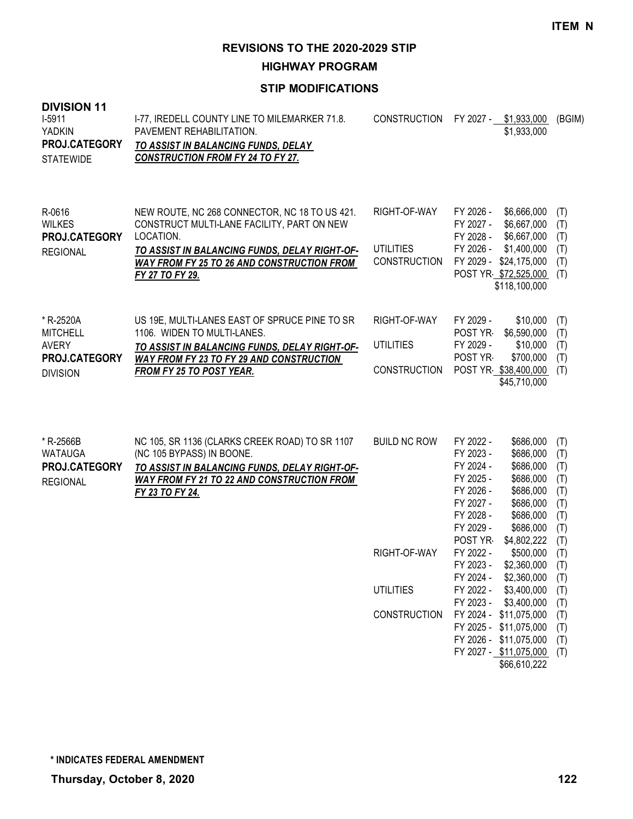**HIGHWAY PROGRAM**

| <b>DIVISION 11</b><br>$I-5911$<br><b>YADKIN</b><br>PROJ.CATEGORY<br><b>STATEWIDE</b> | I-77, IREDELL COUNTY LINE TO MILEMARKER 71.8.<br>PAVEMENT REHABILITATION.<br>TO ASSIST IN BALANCING FUNDS, DELAY<br><b>CONSTRUCTION FROM FY 24 TO FY 27.</b>                                                                      | <b>CONSTRUCTION</b>                                                            |                                                                                                                                                                                  | FY 2027 - \$1,933,000<br>\$1,933,000                                                                                                                                                                                                             | (BGIM)                                                                                                       |
|--------------------------------------------------------------------------------------|-----------------------------------------------------------------------------------------------------------------------------------------------------------------------------------------------------------------------------------|--------------------------------------------------------------------------------|----------------------------------------------------------------------------------------------------------------------------------------------------------------------------------|--------------------------------------------------------------------------------------------------------------------------------------------------------------------------------------------------------------------------------------------------|--------------------------------------------------------------------------------------------------------------|
| R-0616<br><b>WILKES</b><br>PROJ.CATEGORY<br><b>REGIONAL</b>                          | NEW ROUTE, NC 268 CONNECTOR, NC 18 TO US 421.<br>CONSTRUCT MULTI-LANE FACILITY, PART ON NEW<br>LOCATION.<br>TO ASSIST IN BALANCING FUNDS, DELAY RIGHT-OF-<br><b>WAY FROM FY 25 TO 26 AND CONSTRUCTION FROM</b><br>FY 27 TO FY 29. | RIGHT-OF-WAY<br><b>UTILITIES</b><br><b>CONSTRUCTION</b>                        | FY 2026 -<br>FY 2027 -<br>FY 2028 -<br>FY 2026 -                                                                                                                                 | \$6,666,000<br>\$6,667,000<br>\$6,667,000<br>\$1,400,000<br>FY 2029 - \$24,175,000<br>POST YR \$72,525,000<br>\$118,100,000                                                                                                                      | (T)<br>(T)<br>(T)<br>(T)<br>(T)<br>(T)                                                                       |
| * R-2520A<br><b>MITCHELL</b><br><b>AVERY</b><br>PROJ.CATEGORY<br><b>DIVISION</b>     | US 19E, MULTI-LANES EAST OF SPRUCE PINE TO SR<br>1106. WIDEN TO MULTI-LANES.<br>TO ASSIST IN BALANCING FUNDS, DELAY RIGHT-OF-<br><b>WAY FROM FY 23 TO FY 29 AND CONSTRUCTION</b><br><b>FROM FY 25 TO POST YEAR.</b>               | RIGHT-OF-WAY<br><b>UTILITIES</b><br><b>CONSTRUCTION</b>                        | FY 2029 -<br>POST YR-<br>FY 2029 -<br>POST YR                                                                                                                                    | \$10,000<br>\$6,590,000<br>\$10,000<br>\$700,000<br>POST YR \$38,400,000<br>\$45,710,000                                                                                                                                                         | (T)<br>(T)<br>(T)<br>(T)<br>(T)                                                                              |
| * R-2566B<br><b>WATAUGA</b><br>PROJ.CATEGORY<br><b>REGIONAL</b>                      | NC 105, SR 1136 (CLARKS CREEK ROAD) TO SR 1107<br>(NC 105 BYPASS) IN BOONE.<br>TO ASSIST IN BALANCING FUNDS, DELAY RIGHT-OF-<br>WAY FROM FY 21 TO 22 AND CONSTRUCTION FROM<br>FY 23 TO FY 24.                                     | <b>BUILD NC ROW</b><br>RIGHT-OF-WAY<br><b>UTILITIES</b><br><b>CONSTRUCTION</b> | FY 2022 -<br>FY 2023 -<br>FY 2024 -<br>FY 2025 -<br>FY 2026 -<br>FY 2027 -<br>FY 2028 -<br>FY 2029 -<br>POST YR<br>FY 2022 -<br>FY 2023 -<br>FY 2024 -<br>FY 2022 -<br>FY 2023 - | \$686,000<br>\$686,000<br>\$686,000<br>\$686,000<br>\$686,000<br>\$686,000<br>\$686,000<br>\$686,000<br>\$4,802,222<br>\$500,000<br>\$2,360,000<br>\$2,360,000<br>\$3,400,000<br>\$3,400,000<br>FY 2024 - \$11,075,000<br>FY 2025 - \$11,075,000 | (T)<br>(T)<br>(T)<br>(T)<br>(T)<br>(T)<br>(T)<br>(T)<br>(T)<br>(T)<br>(T)<br>(T)<br>(T)<br>(T)<br>(T)<br>(T) |
|                                                                                      |                                                                                                                                                                                                                                   |                                                                                |                                                                                                                                                                                  | FY 2026 - \$11,075,000<br>FY 2027 - \$11,075,000<br>\$66,610,222                                                                                                                                                                                 | (T)<br>(T)                                                                                                   |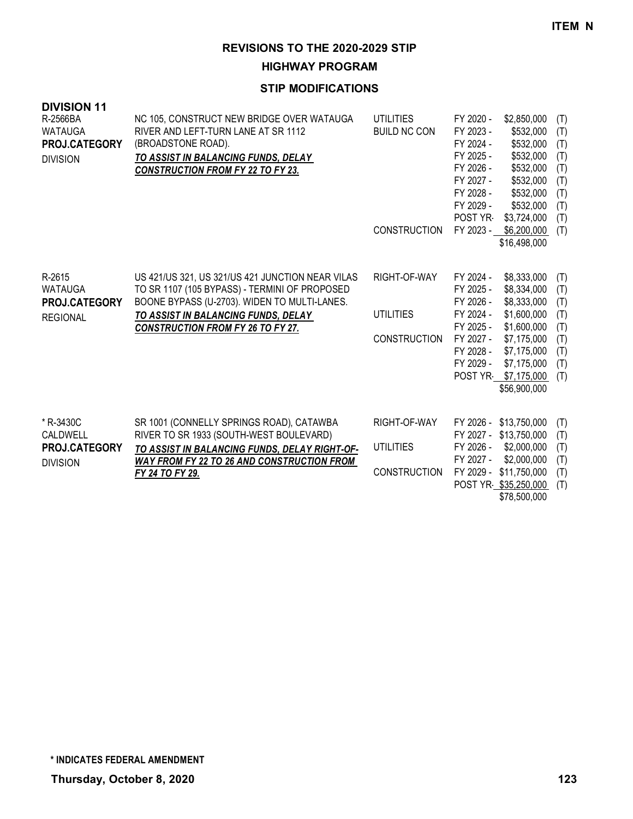**HIGHWAY PROGRAM**

#### **STIP MODIFICATIONS**

| <b>DIVISION 11</b><br>R-2566BA<br><b>WATAUGA</b><br>PROJ.CATEGORY<br><b>DIVISION</b> | NC 105, CONSTRUCT NEW BRIDGE OVER WATAUGA<br>RIVER AND LEFT-TURN LANE AT SR 1112<br>(BROADSTONE ROAD).<br>TO ASSIST IN BALANCING FUNDS, DELAY<br><b>CONSTRUCTION FROM FY 22 TO FY 23.</b>                                            | <b>UTILITIES</b><br><b>BUILD NC CON</b><br><b>CONSTRUCTION</b> | FY 2020 -<br>FY 2023 -<br>FY 2024 -<br>FY 2025 -<br>FY 2026 -<br>FY 2027 -<br>FY 2028 -<br>FY 2029 -<br>POST YR-<br>FY 2023 - | \$2,850,000<br>\$532,000<br>\$532,000<br>\$532,000<br>\$532,000<br>\$532,000<br>\$532,000<br>\$532,000<br>\$3,724,000<br>\$6,200,000<br>\$16,498,000 | (T)<br>(T)<br>(T)<br>(T)<br>(T)<br>(T)<br>(T)<br>(T)<br>(T)<br>(T) |
|--------------------------------------------------------------------------------------|--------------------------------------------------------------------------------------------------------------------------------------------------------------------------------------------------------------------------------------|----------------------------------------------------------------|-------------------------------------------------------------------------------------------------------------------------------|------------------------------------------------------------------------------------------------------------------------------------------------------|--------------------------------------------------------------------|
| R-2615<br><b>WATAUGA</b><br>PROJ.CATEGORY<br><b>REGIONAL</b>                         | US 421/US 321, US 321/US 421 JUNCTION NEAR VILAS<br>TO SR 1107 (105 BYPASS) - TERMINI OF PROPOSED<br>BOONE BYPASS (U-2703). WIDEN TO MULTI-LANES.<br>TO ASSIST IN BALANCING FUNDS, DELAY<br><b>CONSTRUCTION FROM FY 26 TO FY 27.</b> | RIGHT-OF-WAY<br><b>UTILITIES</b><br><b>CONSTRUCTION</b>        | FY 2024 -<br>FY 2025 -<br>FY 2026 -<br>FY 2024 -<br>FY 2025 -<br>FY 2027 -<br>FY 2028 -<br>FY 2029 -<br>POST YR               | \$8,333,000<br>\$8,334,000<br>\$8,333,000<br>\$1,600,000<br>\$1,600,000<br>\$7,175,000<br>\$7,175,000<br>\$7,175,000<br>\$7,175,000<br>\$56,900,000  | (T)<br>(T)<br>(T)<br>(T)<br>(T)<br>(T)<br>(T)<br>(T)<br>(T)        |
| * R-3430C<br>CALDWELL<br><b>PROJ.CATEGORY</b><br><b>DIVISION</b>                     | SR 1001 (CONNELLY SPRINGS ROAD), CATAWBA<br>RIVER TO SR 1933 (SOUTH-WEST BOULEVARD)<br>TO ASSIST IN BALANCING FUNDS, DELAY RIGHT-OF-<br><b>WAY FROM FY 22 TO 26 AND CONSTRUCTION FROM</b><br><b>FY 24 TO FY 29.</b>                  | RIGHT-OF-WAY<br><b>UTILITIES</b><br><b>CONSTRUCTION</b>        | FY 2026 -<br>FY 2027 -<br>FY 2026 -<br>FY 2027 -<br>FY 2029 -                                                                 | \$13,750,000<br>\$13,750,000<br>\$2,000,000<br>\$2,000,000<br>\$11,750,000<br>POST YR \$35,250,000                                                   | (T)<br>(T)<br>(T)<br>(T)<br>(T)<br>(T)                             |

\$78,500,000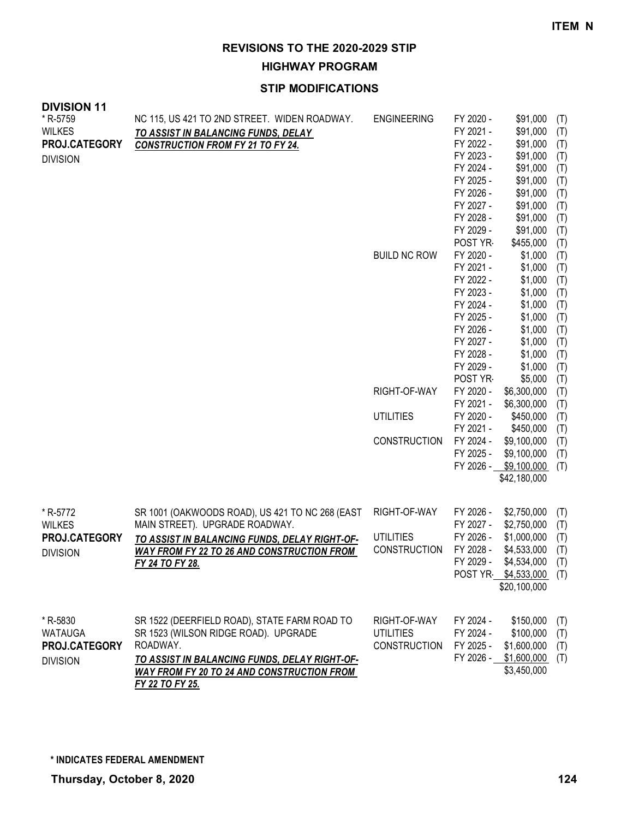**HIGHWAY PROGRAM**

## **STIP MODIFICATIONS**

| <b>UIVIUIUI</b> II<br>* R-5759<br><b>WILKES</b><br>PROJ.CATEGORY<br><b>DIVISION</b> | NC 115, US 421 TO 2ND STREET. WIDEN ROADWAY.<br>TO ASSIST IN BALANCING FUNDS, DELAY<br><b>CONSTRUCTION FROM FY 21 TO FY 24.</b>                                                                                                  | <b>ENGINEERING</b>                                      | FY 2020 -<br>FY 2021 -<br>FY 2022 -<br>FY 2023 -<br>FY 2024 -<br>FY 2025 -<br>FY 2026 -<br>FY 2027 -<br>FY 2028 -<br>FY 2029 -                       | \$91,000<br>\$91,000<br>\$91,000<br>\$91,000<br>\$91,000<br>\$91,000<br>\$91,000<br>\$91,000<br>\$91,000<br>\$91,000               | (T)<br>(T)<br>(T)<br>(T)<br>(T)<br>(T)<br>(T)<br>(T)<br>(T)<br>(T)               |
|-------------------------------------------------------------------------------------|----------------------------------------------------------------------------------------------------------------------------------------------------------------------------------------------------------------------------------|---------------------------------------------------------|------------------------------------------------------------------------------------------------------------------------------------------------------|------------------------------------------------------------------------------------------------------------------------------------|----------------------------------------------------------------------------------|
|                                                                                     |                                                                                                                                                                                                                                  | <b>BUILD NC ROW</b>                                     | POST YR<br>FY 2020 -<br>FY 2021 -<br>FY 2022 -<br>FY 2023 -<br>FY 2024 -<br>FY 2025 -<br>FY 2026 -<br>FY 2027 -<br>FY 2028 -<br>FY 2029 -<br>POST YR | \$455,000<br>\$1,000<br>\$1,000<br>\$1,000<br>\$1,000<br>\$1,000<br>\$1,000<br>\$1,000<br>\$1,000<br>\$1,000<br>\$1,000<br>\$5,000 | (T)<br>(T)<br>(T)<br>(T)<br>(T)<br>(T)<br>(T)<br>(T)<br>(T)<br>(T)<br>(T)<br>(T) |
|                                                                                     |                                                                                                                                                                                                                                  | RIGHT-OF-WAY                                            | FY 2020 -<br>FY 2021 -                                                                                                                               | \$6,300,000<br>\$6,300,000                                                                                                         | (T)<br>(T)                                                                       |
|                                                                                     |                                                                                                                                                                                                                                  | <b>UTILITIES</b>                                        | FY 2020 -                                                                                                                                            | \$450,000                                                                                                                          | (T)                                                                              |
|                                                                                     |                                                                                                                                                                                                                                  |                                                         | FY 2021 -                                                                                                                                            | \$450,000                                                                                                                          | (T)                                                                              |
|                                                                                     |                                                                                                                                                                                                                                  | <b>CONSTRUCTION</b>                                     | FY 2024 -<br>FY 2025 -                                                                                                                               | \$9,100,000<br>\$9,100,000<br>FY 2026 - \$9,100,000<br>\$42,180,000                                                                | (T)<br>(T)<br>(T)                                                                |
| * R-5772                                                                            | SR 1001 (OAKWOODS ROAD), US 421 TO NC 268 (EAST                                                                                                                                                                                  | RIGHT-OF-WAY                                            | FY 2026 -                                                                                                                                            | \$2,750,000                                                                                                                        | (T)                                                                              |
| <b>WILKES</b>                                                                       | MAIN STREET). UPGRADE ROADWAY.                                                                                                                                                                                                   |                                                         | FY 2027 -                                                                                                                                            | \$2,750,000                                                                                                                        | (T)                                                                              |
| PROJ.CATEGORY                                                                       | TO ASSIST IN BALANCING FUNDS, DELAY RIGHT-OF-                                                                                                                                                                                    | <b>UTILITIES</b>                                        | FY 2026 -                                                                                                                                            | \$1,000,000                                                                                                                        | (T)                                                                              |
| <b>DIVISION</b>                                                                     | <b>WAY FROM FY 22 TO 26 AND CONSTRUCTION FROM</b><br>FY 24 TO FY 28.                                                                                                                                                             | CONSTRUCTION                                            | FY 2028 -<br>FY 2029 -                                                                                                                               | \$4,533,000<br>\$4,534,000<br>POST YR \$4,533,000 (T)<br>\$20,100,000                                                              | (T)<br>(T)                                                                       |
| * R-5830<br>WATAUGA<br>PROJ.CATEGORY<br><b>DIVISION</b>                             | SR 1522 (DEERFIELD ROAD), STATE FARM ROAD TO<br>SR 1523 (WILSON RIDGE ROAD). UPGRADE<br>ROADWAY.<br><u>TO ASSIST IN BALANCING FUNDS, DELAY RIGHT-OF-</u><br><b>WAY FROM FY 20 TO 24 AND CONSTRUCTION FROM</b><br>FY 22 TO FY 25. | RIGHT-OF-WAY<br><b>UTILITIES</b><br><b>CONSTRUCTION</b> | FY 2024 -<br>FY 2024 -<br>FY 2025 -                                                                                                                  | \$150,000<br>\$100,000<br>\$1,600,000<br>FY 2026 - \$1,600,000<br>\$3,450,000                                                      | (T)<br>(T)<br>(T)<br>(T)                                                         |

**DIVISION 11**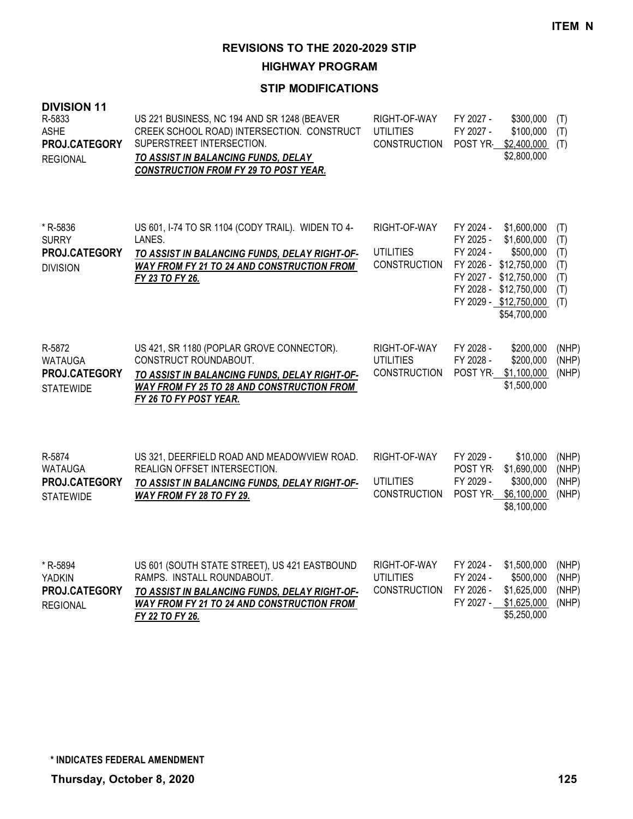**HIGHWAY PROGRAM**

| <b>DIVISION 11</b><br>R-5833<br><b>ASHE</b><br>PROJ.CATEGORY<br><b>REGIONAL</b> | US 221 BUSINESS, NC 194 AND SR 1248 (BEAVER<br>CREEK SCHOOL ROAD) INTERSECTION. CONSTRUCT<br>SUPERSTREET INTERSECTION.<br>TO ASSIST IN BALANCING FUNDS, DELAY<br><b>CONSTRUCTION FROM FY 29 TO POST YEAR.</b> | RIGHT-OF-WAY<br><b>UTILITIES</b><br><b>CONSTRUCTION</b> | FY 2027 -<br>\$300,000<br>FY 2027 -<br>\$100,000<br>POST YR<br>\$2,400,000<br>\$2,800,000                                                                                                                       | (T)<br>(T)<br>(T)                             |
|---------------------------------------------------------------------------------|---------------------------------------------------------------------------------------------------------------------------------------------------------------------------------------------------------------|---------------------------------------------------------|-----------------------------------------------------------------------------------------------------------------------------------------------------------------------------------------------------------------|-----------------------------------------------|
| * R-5836<br><b>SURRY</b><br>PROJ.CATEGORY<br><b>DIVISION</b>                    | US 601, I-74 TO SR 1104 (CODY TRAIL). WIDEN TO 4-<br>LANES.<br>TO ASSIST IN BALANCING FUNDS, DELAY RIGHT-OF-<br>WAY FROM FY 21 TO 24 AND CONSTRUCTION FROM<br>FY 23 TO FY 26.                                 | RIGHT-OF-WAY<br><b>UTILITIES</b><br><b>CONSTRUCTION</b> | FY 2024 -<br>\$1,600,000<br>FY 2025 -<br>\$1,600,000<br>FY 2024 -<br>\$500,000<br>FY 2026 -<br>\$12,750,000<br>FY 2027 -<br>\$12,750,000<br>FY 2028 -<br>\$12,750,000<br>FY 2029 - \$12,750,000<br>\$54,700,000 | (T)<br>(T)<br>(T)<br>(T)<br>(T)<br>(T)<br>(T) |
| R-5872<br><b>WATAUGA</b><br>PROJ.CATEGORY<br><b>STATEWIDE</b>                   | US 421, SR 1180 (POPLAR GROVE CONNECTOR).<br>CONSTRUCT ROUNDABOUT.<br>TO ASSIST IN BALANCING FUNDS, DELAY RIGHT-OF-<br><b>WAY FROM FY 25 TO 28 AND CONSTRUCTION FROM</b><br>FY 26 TO FY POST YEAR.            | RIGHT-OF-WAY<br><b>UTILITIES</b><br><b>CONSTRUCTION</b> | FY 2028 -<br>\$200,000<br>FY 2028 -<br>\$200,000<br>\$1,100,000<br>POST YR<br>\$1,500,000                                                                                                                       | (NHP)<br>(NHP)<br>(NHP)                       |
| R-5874<br><b>WATAUGA</b><br>PROJ.CATEGORY<br><b>STATEWIDE</b>                   | US 321, DEERFIELD ROAD AND MEADOWVIEW ROAD.<br>REALIGN OFFSET INTERSECTION.<br>TO ASSIST IN BALANCING FUNDS, DELAY RIGHT-OF-<br>WAY FROM FY 28 TO FY 29.                                                      | RIGHT-OF-WAY<br><b>UTILITIES</b><br><b>CONSTRUCTION</b> | FY 2029 -<br>\$10,000<br>POST YR-<br>\$1,690,000<br>FY 2029 -<br>\$300,000<br>POST YR-<br>\$6,100,000<br>\$8,100,000                                                                                            | (NHP)<br>(NHP)<br>(NHP)<br>(NHP)              |
| * R-5894<br><b>YADKIN</b><br>PROJ.CATEGORY<br><b>REGIONAL</b>                   | US 601 (SOUTH STATE STREET), US 421 EASTBOUND<br>RAMPS. INSTALL ROUNDABOUT.<br>TO ASSIST IN BALANCING FUNDS, DELAY RIGHT-OF-<br><b>WAY FROM FY 21 TO 24 AND CONSTRUCTION FROM</b><br>FY 22 TO FY 26.          | RIGHT-OF-WAY<br><b>UTILITIES</b><br><b>CONSTRUCTION</b> | FY 2024 -<br>\$1,500,000<br>FY 2024 -<br>\$500,000<br>FY 2026 -<br>\$1,625,000<br>FY 2027 -<br>\$1,625,000<br>\$5,250,000                                                                                       | (NHP)<br>(NHP)<br>(NHP)<br>(NHP)              |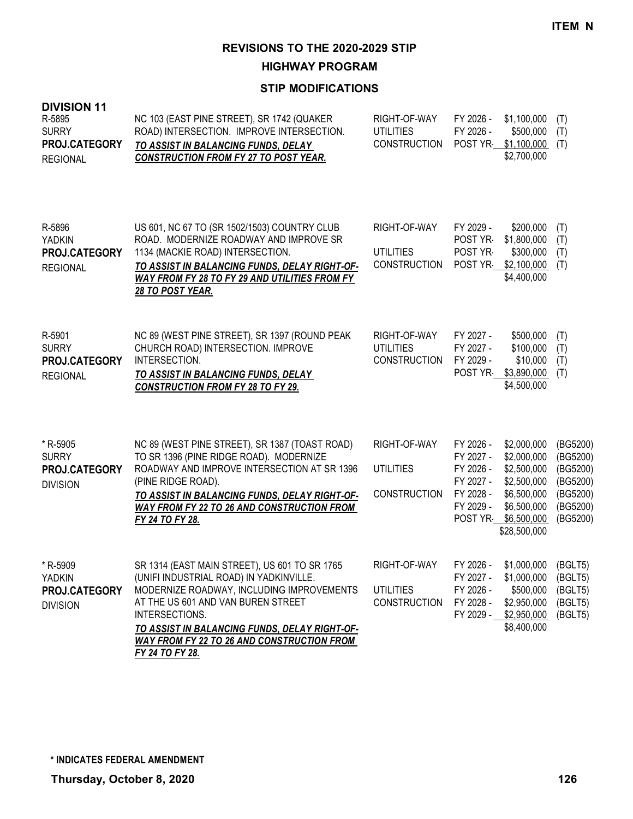**HIGHWAY PROGRAM**

| <b>DIVISION 11</b><br>R-5895<br><b>SURRY</b><br>PROJ.CATEGORY<br><b>REGIONAL</b> | NC 103 (EAST PINE STREET), SR 1742 (QUAKER<br>ROAD) INTERSECTION. IMPROVE INTERSECTION.<br>TO ASSIST IN BALANCING FUNDS, DELAY<br><b>CONSTRUCTION FROM FY 27 TO POST YEAR.</b>                                                                                                                                         | RIGHT-OF-WAY<br><b>UTILITIES</b><br><b>CONSTRUCTION</b> | FY 2026 -<br>FY 2026 -<br>POST YR                                                      | \$1,100,000<br>\$500,000<br>\$1,100,000<br>\$2,700,000                                                                | (T)<br>(T)<br>(T)                                                                |
|----------------------------------------------------------------------------------|------------------------------------------------------------------------------------------------------------------------------------------------------------------------------------------------------------------------------------------------------------------------------------------------------------------------|---------------------------------------------------------|----------------------------------------------------------------------------------------|-----------------------------------------------------------------------------------------------------------------------|----------------------------------------------------------------------------------|
| R-5896<br>YADKIN<br>PROJ.CATEGORY<br><b>REGIONAL</b>                             | US 601, NC 67 TO (SR 1502/1503) COUNTRY CLUB<br>ROAD. MODERNIZE ROADWAY AND IMPROVE SR<br>1134 (MACKIE ROAD) INTERSECTION.<br>TO ASSIST IN BALANCING FUNDS, DELAY RIGHT-OF-<br>WAY FROM FY 28 TO FY 29 AND UTILITIES FROM FY<br><b>28 TO POST YEAR.</b>                                                                | RIGHT-OF-WAY<br><b>UTILITIES</b><br><b>CONSTRUCTION</b> | FY 2029 -<br>POST YR<br>POST YR                                                        | \$200,000<br>\$1,800,000<br>\$300,000<br>POST YR \$2,100,000<br>\$4,400,000                                           | (T)<br>(T)<br>(T)<br>(T)                                                         |
| R-5901<br><b>SURRY</b><br>PROJ.CATEGORY<br><b>REGIONAL</b>                       | NC 89 (WEST PINE STREET), SR 1397 (ROUND PEAK<br>CHURCH ROAD) INTERSECTION. IMPROVE<br>INTERSECTION.<br>TO ASSIST IN BALANCING FUNDS, DELAY<br><b>CONSTRUCTION FROM FY 28 TO FY 29.</b>                                                                                                                                | RIGHT-OF-WAY<br><b>UTILITIES</b><br><b>CONSTRUCTION</b> | FY 2027 -<br>FY 2027 -<br>FY 2029 -<br>POST YR-                                        | \$500,000<br>\$100,000<br>\$10,000<br>\$3,890,000<br>\$4,500,000                                                      | (T)<br>(T)<br>(T)<br>(T)                                                         |
| * R-5905<br><b>SURRY</b><br>PROJ.CATEGORY<br><b>DIVISION</b>                     | NC 89 (WEST PINE STREET), SR 1387 (TOAST ROAD)<br>TO SR 1396 (PINE RIDGE ROAD). MODERNIZE<br>ROADWAY AND IMPROVE INTERSECTION AT SR 1396<br>(PINE RIDGE ROAD).<br>TO ASSIST IN BALANCING FUNDS, DELAY RIGHT-OF-<br>WAY FROM FY 22 TO 26 AND CONSTRUCTION FROM<br>FY 24 TO FY 28.                                       | RIGHT-OF-WAY<br><b>UTILITIES</b><br><b>CONSTRUCTION</b> | FY 2026 -<br>FY 2027 -<br>FY 2026 -<br>FY 2027 -<br>FY 2028 -<br>FY 2029 -<br>POST YR- | \$2,000,000<br>\$2,000,000<br>\$2,500,000<br>\$2,500,000<br>\$6,500,000<br>\$6,500,000<br>\$6,500,000<br>\$28,500,000 | (BG5200)<br>(BG5200)<br>(BG5200)<br>(BG5200)<br>(BG5200)<br>(BG5200)<br>(BG5200) |
| * R-5909<br>YADKIN<br>PROJ.CATEGORY<br><b>DIVISION</b>                           | SR 1314 (EAST MAIN STREET), US 601 TO SR 1765<br>(UNIFI INDUSTRIAL ROAD) IN YADKINVILLE.<br>MODERNIZE ROADWAY, INCLUDING IMPROVEMENTS<br>AT THE US 601 AND VAN BUREN STREET<br>INTERSECTIONS.<br>TO ASSIST IN BALANCING FUNDS, DELAY RIGHT-OF-<br><b>WAY FROM FY 22 TO 26 AND CONSTRUCTION FROM</b><br>FY 24 TO FY 28. | RIGHT-OF-WAY<br><b>UTILITIES</b><br><b>CONSTRUCTION</b> | FY 2026 -<br>FY 2027 -<br>FY 2026 -<br>FY 2028 -                                       | \$1,000,000 (BGLT5)<br>\$1,000,000<br>\$500,000<br>\$2,950,000<br>FY 2029 - \$2,950,000<br>\$8,400,000                | (BGLT5)<br>(BGLT5)<br>(BGLT5)<br>(BGLT5)                                         |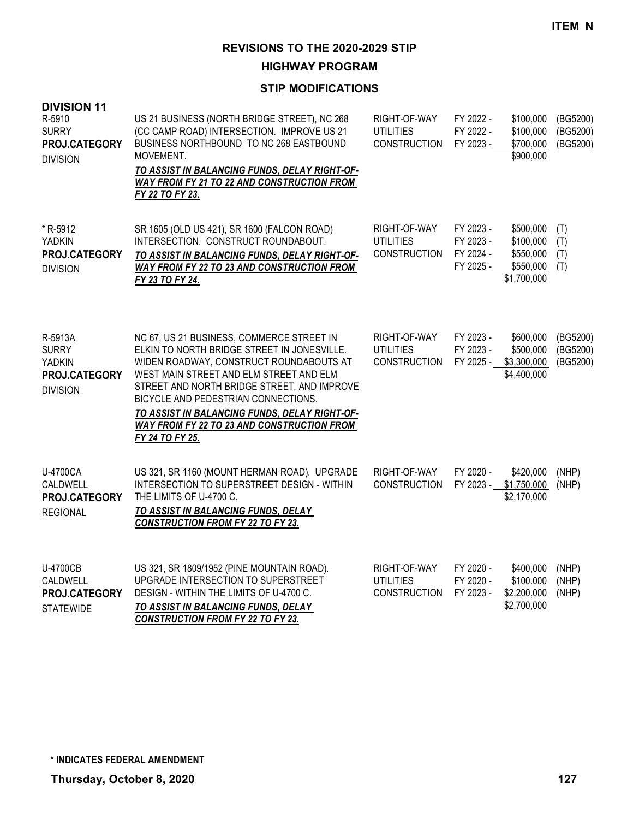**HIGHWAY PROGRAM**

| <b>DIVISION 11</b><br>R-5910<br><b>SURRY</b><br>PROJ.CATEGORY<br><b>DIVISION</b> | US 21 BUSINESS (NORTH BRIDGE STREET), NC 268<br>(CC CAMP ROAD) INTERSECTION. IMPROVE US 21<br>BUSINESS NORTHBOUND TO NC 268 EASTBOUND<br>MOVEMENT.<br>TO ASSIST IN BALANCING FUNDS, DELAY RIGHT-OF-<br>WAY FROM FY 21 TO 22 AND CONSTRUCTION FROM<br>FY 22 TO FY 23.                                                                                                                          | RIGHT-OF-WAY<br><b>UTILITIES</b><br><b>CONSTRUCTION</b> | FY 2022 -<br>FY 2022 -<br>FY 2023 -              | \$100,000<br>\$100,000<br>\$700,000<br>\$900,000                | (BG5200)<br>(BG5200)<br>(BG5200) |
|----------------------------------------------------------------------------------|-----------------------------------------------------------------------------------------------------------------------------------------------------------------------------------------------------------------------------------------------------------------------------------------------------------------------------------------------------------------------------------------------|---------------------------------------------------------|--------------------------------------------------|-----------------------------------------------------------------|----------------------------------|
| *R-5912<br>YADKIN<br>PROJ.CATEGORY<br><b>DIVISION</b>                            | SR 1605 (OLD US 421), SR 1600 (FALCON ROAD)<br>INTERSECTION. CONSTRUCT ROUNDABOUT.<br>TO ASSIST IN BALANCING FUNDS, DELAY RIGHT-OF-<br><b>WAY FROM FY 22 TO 23 AND CONSTRUCTION FROM</b><br>FY 23 TO FY 24.                                                                                                                                                                                   | RIGHT-OF-WAY<br><b>UTILITIES</b><br><b>CONSTRUCTION</b> | FY 2023 -<br>FY 2023 -<br>FY 2024 -<br>FY 2025 - | \$500,000<br>\$100,000<br>\$550,000<br>\$550,000<br>\$1,700,000 | (T)<br>(T)<br>(T)<br>(T)         |
| R-5913A<br><b>SURRY</b><br>YADKIN<br>PROJ.CATEGORY<br><b>DIVISION</b>            | NC 67, US 21 BUSINESS, COMMERCE STREET IN<br>ELKIN TO NORTH BRIDGE STREET IN JONESVILLE.<br>WIDEN ROADWAY, CONSTRUCT ROUNDABOUTS AT<br>WEST MAIN STREET AND ELM STREET AND ELM<br>STREET AND NORTH BRIDGE STREET, AND IMPROVE<br>BICYCLE AND PEDESTRIAN CONNECTIONS.<br>TO ASSIST IN BALANCING FUNDS, DELAY RIGHT-OF-<br><b>WAY FROM FY 22 TO 23 AND CONSTRUCTION FROM</b><br>FY 24 TO FY 25. | RIGHT-OF-WAY<br><b>UTILITIES</b><br><b>CONSTRUCTION</b> | FY 2023 -<br>FY 2023 -<br>FY 2025 -              | \$600,000<br>\$500,000<br>\$3,300,000<br>\$4,400,000            | (BG5200)<br>(BG5200)<br>(BG5200) |
| U-4700CA<br>CALDWELL<br>PROJ.CATEGORY<br><b>REGIONAL</b>                         | US 321, SR 1160 (MOUNT HERMAN ROAD). UPGRADE<br>INTERSECTION TO SUPERSTREET DESIGN - WITHIN<br>THE LIMITS OF U-4700 C.<br>TO ASSIST IN BALANCING FUNDS, DELAY<br><b>CONSTRUCTION FROM FY 22 TO FY 23.</b>                                                                                                                                                                                     | RIGHT-OF-WAY<br><b>CONSTRUCTION</b>                     | FY 2020 -<br>FY 2023 -                           | \$420,000<br>\$1,750,000<br>\$2,170,000                         | (NHP)<br>(NHP)                   |
| U-4700CB<br>CALDWELL<br>PROJ.CATEGORY<br><b>STATEWIDE</b>                        | US 321, SR 1809/1952 (PINE MOUNTAIN ROAD).<br>UPGRADE INTERSECTION TO SUPERSTREET<br>DESIGN - WITHIN THE LIMITS OF U-4700 C.<br>TO ASSIST IN BALANCING FUNDS, DELAY<br><b>CONSTRUCTION FROM FY 22 TO FY 23.</b>                                                                                                                                                                               | RIGHT-OF-WAY<br><b>UTILITIES</b><br><b>CONSTRUCTION</b> | FY 2020 -<br>FY 2020 -<br>FY 2023 -              | \$400,000<br>\$100,000<br>\$2,200,000<br>\$2,700,000            | (NHP)<br>(NHP)<br>(NHP)          |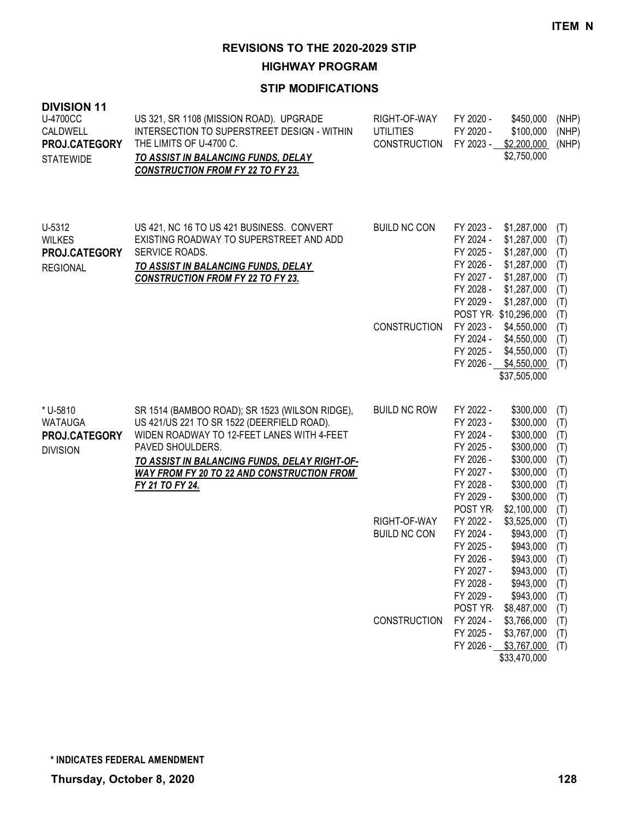**HIGHWAY PROGRAM**

| <b>DIVISION 11</b><br>U-4700CC<br>CALDWELL<br>PROJ.CATEGORY<br><b>STATEWIDE</b> | US 321, SR 1108 (MISSION ROAD). UPGRADE<br>INTERSECTION TO SUPERSTREET DESIGN - WITHIN<br>THE LIMITS OF U-4700 C.<br>TO ASSIST IN BALANCING FUNDS, DELAY<br><b>CONSTRUCTION FROM FY 22 TO FY 23.</b>                                                                                    | RIGHT-OF-WAY<br><b>UTILITIES</b><br>CONSTRUCTION | FY 2020 -<br>\$450,000<br>FY 2020 -<br>\$100,000<br>FY 2023 - \$2,200,000<br>\$2,750,000                                                                                                                                               | (NHP)<br>(NHP)<br>(NHP)                              |
|---------------------------------------------------------------------------------|-----------------------------------------------------------------------------------------------------------------------------------------------------------------------------------------------------------------------------------------------------------------------------------------|--------------------------------------------------|----------------------------------------------------------------------------------------------------------------------------------------------------------------------------------------------------------------------------------------|------------------------------------------------------|
| U-5312<br><b>WILKES</b><br>PROJ.CATEGORY<br><b>REGIONAL</b>                     | US 421, NC 16 TO US 421 BUSINESS. CONVERT<br>EXISTING ROADWAY TO SUPERSTREET AND ADD<br>SERVICE ROADS.<br>TO ASSIST IN BALANCING FUNDS, DELAY<br><b>CONSTRUCTION FROM FY 22 TO FY 23.</b>                                                                                               | <b>BUILD NC CON</b>                              | FY 2023 -<br>\$1,287,000<br>FY 2024 -<br>\$1,287,000<br>FY 2025 -<br>\$1,287,000<br>FY 2026 -<br>\$1,287,000<br>FY 2027 -<br>\$1,287,000<br>FY 2028 -<br>\$1,287,000<br>FY 2029 -<br>\$1,287,000<br>POST YR \$10,296,000               | (T)<br>(T)<br>(T)<br>(T)<br>(T)<br>(T)<br>(T)<br>(T) |
|                                                                                 |                                                                                                                                                                                                                                                                                         | <b>CONSTRUCTION</b>                              | FY 2023 -<br>\$4,550,000<br>FY 2024 -<br>\$4,550,000<br>FY 2025 -<br>\$4,550,000<br>FY 2026 - \$4,550,000<br>\$37,505,000                                                                                                              | (T)<br>(T)<br>(T)<br>(T)                             |
| * U-5810<br><b>WATAUGA</b><br>PROJ.CATEGORY<br><b>DIVISION</b>                  | SR 1514 (BAMBOO ROAD); SR 1523 (WILSON RIDGE),<br>US 421/US 221 TO SR 1522 (DEERFIELD ROAD).<br>WIDEN ROADWAY TO 12-FEET LANES WITH 4-FEET<br>PAVED SHOULDERS.<br>TO ASSIST IN BALANCING FUNDS, DELAY RIGHT-OF-<br><b>WAY FROM FY 20 TO 22 AND CONSTRUCTION FROM</b><br>FY 21 TO FY 24. | <b>BUILD NC ROW</b>                              | FY 2022 -<br>\$300,000<br>FY 2023 -<br>\$300,000<br>FY 2024 -<br>\$300,000<br>FY 2025 -<br>\$300,000<br>FY 2026 -<br>\$300,000<br>FY 2027 -<br>\$300,000<br>FY 2028 -<br>\$300,000<br>FY 2029 -<br>\$300,000<br>POST YR<br>\$2,100,000 | (T)<br>(T)<br>(T)<br>(T)<br>(T)<br>(T)<br>(T)<br>(T) |
|                                                                                 |                                                                                                                                                                                                                                                                                         | RIGHT-OF-WAY<br><b>BUILD NC CON</b>              | FY 2022 -<br>\$3,525,000<br>FY 2024 -<br>\$943,000<br>FY 2025 -<br>\$943,000<br>FY 2026 -<br>\$943,000<br>\$943,000<br>FY 2027 -<br>FY 2028 -<br>\$943,000<br>FY 2029 -<br>\$943,000                                                   | (T)<br>(T)<br>(T)<br>(T)<br>(T)<br>(T)<br>(T)<br>(T) |
|                                                                                 |                                                                                                                                                                                                                                                                                         | CONSTRUCTION                                     | POST YR-<br>\$8,487,000<br>FY 2024 -<br>\$3,766,000<br>FY 2025 -<br>\$3,767,000<br>FY 2026 - \$3,767,000<br>\$33,470,000                                                                                                               | (T)<br>(T)<br>(T)<br>(T)                             |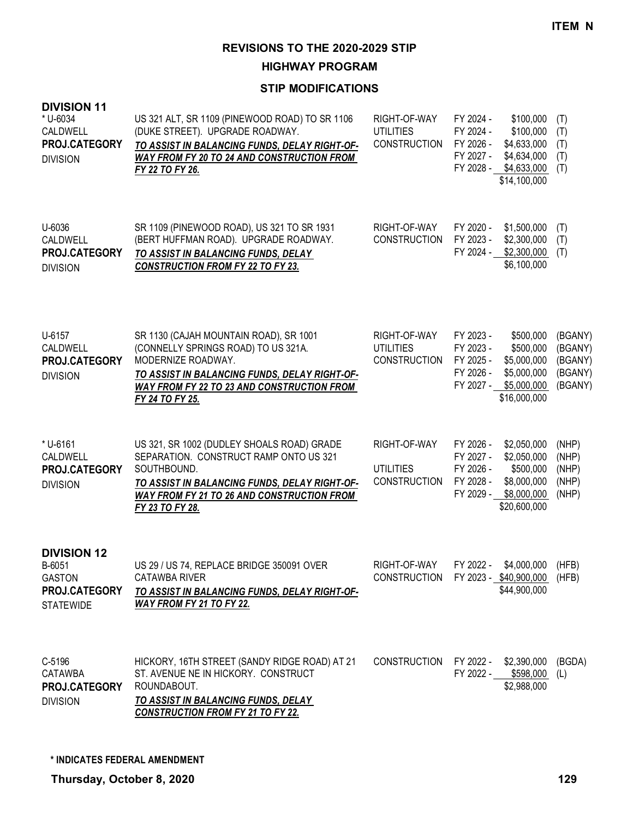**HIGHWAY PROGRAM**

| <b>DIVISION 11</b><br>* U-6034<br>CALDWELL<br>PROJ.CATEGORY<br><b>DIVISION</b>     | US 321 ALT, SR 1109 (PINEWOOD ROAD) TO SR 1106<br>(DUKE STREET). UPGRADE ROADWAY.<br>TO ASSIST IN BALANCING FUNDS, DELAY RIGHT-OF-<br><b>WAY FROM FY 20 TO 24 AND CONSTRUCTION FROM</b><br>FY 22 TO FY 26.                   | RIGHT-OF-WAY<br><b>UTILITIES</b><br><b>CONSTRUCTION</b> | FY 2024 -<br>\$100,000<br>FY 2024 -<br>\$100,000<br>FY 2026 -<br>\$4,633,000<br>FY 2027 -<br>\$4,634,000<br>FY 2028 -<br>\$4,633,000<br>\$14,100,000   | (T)<br>(T)<br>(T)<br>(T)<br>(T)                     |
|------------------------------------------------------------------------------------|------------------------------------------------------------------------------------------------------------------------------------------------------------------------------------------------------------------------------|---------------------------------------------------------|--------------------------------------------------------------------------------------------------------------------------------------------------------|-----------------------------------------------------|
| U-6036<br>CALDWELL<br>PROJ.CATEGORY<br><b>DIVISION</b>                             | SR 1109 (PINEWOOD ROAD), US 321 TO SR 1931<br>(BERT HUFFMAN ROAD). UPGRADE ROADWAY.<br>TO ASSIST IN BALANCING FUNDS, DELAY<br><b>CONSTRUCTION FROM FY 22 TO FY 23.</b>                                                       | RIGHT-OF-WAY<br><b>CONSTRUCTION</b>                     | FY 2020 -<br>\$1,500,000<br>FY 2023 -<br>\$2,300,000<br>FY 2024 -<br>\$2,300,000<br>\$6,100,000                                                        | (T)<br>(T)<br>(T)                                   |
| U-6157<br>CALDWELL<br>PROJ.CATEGORY<br><b>DIVISION</b>                             | SR 1130 (CAJAH MOUNTAIN ROAD), SR 1001<br>(CONNELLY SPRINGS ROAD) TO US 321A.<br>MODERNIZE ROADWAY.<br>TO ASSIST IN BALANCING FUNDS, DELAY RIGHT-OF-<br><b>WAY FROM FY 22 TO 23 AND CONSTRUCTION FROM</b><br>FY 24 TO FY 25. | RIGHT-OF-WAY<br><b>UTILITIES</b><br><b>CONSTRUCTION</b> | FY 2023 -<br>\$500,000<br>FY 2023 -<br>\$500,000<br>FY 2025 -<br>\$5,000,000<br>FY 2026 -<br>\$5,000,000<br>FY 2027 -<br>\$5,000,000<br>\$16,000,000   | (BGANY)<br>(BGANY)<br>(BGANY)<br>(BGANY)<br>(BGANY) |
| * U-6161<br>CALDWELL<br>PROJ.CATEGORY<br><b>DIVISION</b>                           | US 321, SR 1002 (DUDLEY SHOALS ROAD) GRADE<br>SEPARATION. CONSTRUCT RAMP ONTO US 321<br>SOUTHBOUND.<br>TO ASSIST IN BALANCING FUNDS, DELAY RIGHT-OF-<br><b>WAY FROM FY 21 TO 26 AND CONSTRUCTION FROM</b><br>FY 23 TO FY 28. | RIGHT-OF-WAY<br><b>UTILITIES</b><br><b>CONSTRUCTION</b> | FY 2026 -<br>\$2,050,000<br>\$2,050,000<br>FY 2027 -<br>FY 2026 -<br>\$500,000<br>FY 2028 -<br>\$8,000,000<br>FY 2029 -<br>\$8,000,000<br>\$20,600,000 | (NHP)<br>(NHP)<br>(NHP)<br>(NHP)<br>(NHP)           |
| <b>DIVISION 12</b><br>B-6051<br><b>GASTON</b><br>PROJ.CATEGORY<br><b>STATEWIDE</b> | US 29 / US 74, REPLACE BRIDGE 350091 OVER<br><b>CATAWBA RIVER</b><br>TO ASSIST IN BALANCING FUNDS, DELAY RIGHT-OF-<br><b>WAY FROM FY 21 TO FY 22.</b>                                                                        | RIGHT-OF-WAY<br><b>CONSTRUCTION</b>                     | FY 2022 -<br>\$4,000,000<br>FY 2023 - \$40,900,000<br>\$44,900,000                                                                                     | (HFB)<br>(HFB)                                      |
| C-5196<br><b>CATAWBA</b><br>PROJ.CATEGORY<br><b>DIVISION</b>                       | HICKORY, 16TH STREET (SANDY RIDGE ROAD) AT 21<br>ST. AVENUE NE IN HICKORY. CONSTRUCT<br>ROUNDABOUT.<br><b>TO ASSIST IN BALANCING FUNDS, DELAY</b><br><b>CONSTRUCTION FROM FY 21 TO FY 22.</b>                                | <b>CONSTRUCTION</b>                                     | FY 2022 -<br>\$2,390,000<br>FY 2022 - \$598,000<br>\$2,988,000                                                                                         | (BGDA)<br>(L)                                       |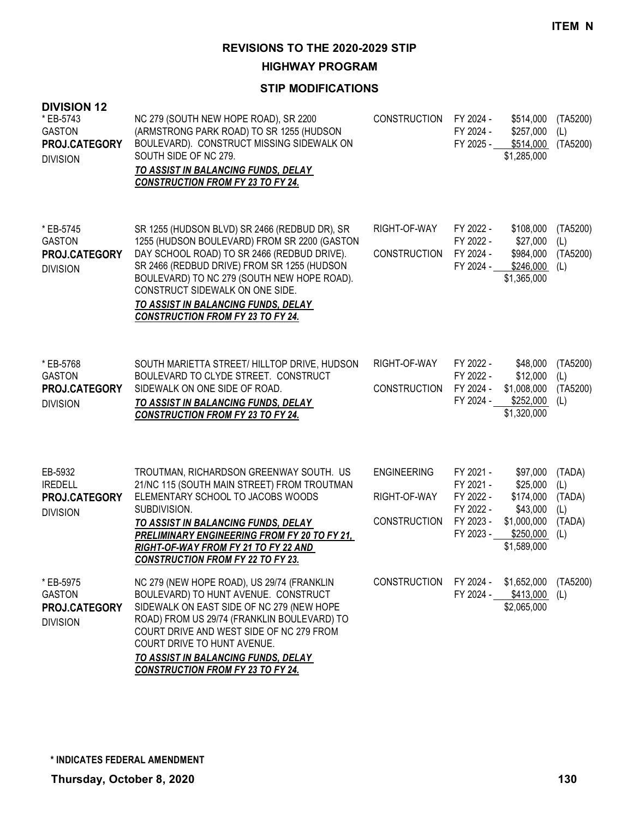**HIGHWAY PROGRAM**

| <b>DIVISION 12</b><br>* EB-5743<br><b>GASTON</b><br>PROJ.CATEGORY<br><b>DIVISION</b> | NC 279 (SOUTH NEW HOPE ROAD), SR 2200<br>(ARMSTRONG PARK ROAD) TO SR 1255 (HUDSON<br>BOULEVARD). CONSTRUCT MISSING SIDEWALK ON<br>SOUTH SIDE OF NC 279.<br>TO ASSIST IN BALANCING FUNDS, DELAY<br><b>CONSTRUCTION FROM FY 23 TO FY 24.</b>                                                                                                                       | <b>CONSTRUCTION</b>                                       | FY 2024 -<br>FY 2024 -<br>FY 2025 -                                        | \$514,000<br>\$257,000<br>\$514,000<br>\$1,285,000                                       | (TA5200)<br>(L)<br>(TA5200)                     |
|--------------------------------------------------------------------------------------|------------------------------------------------------------------------------------------------------------------------------------------------------------------------------------------------------------------------------------------------------------------------------------------------------------------------------------------------------------------|-----------------------------------------------------------|----------------------------------------------------------------------------|------------------------------------------------------------------------------------------|-------------------------------------------------|
| * EB-5745<br><b>GASTON</b><br>PROJ.CATEGORY<br><b>DIVISION</b>                       | SR 1255 (HUDSON BLVD) SR 2466 (REDBUD DR), SR<br>1255 (HUDSON BOULEVARD) FROM SR 2200 (GASTON<br>DAY SCHOOL ROAD) TO SR 2466 (REDBUD DRIVE).<br>SR 2466 (REDBUD DRIVE) FROM SR 1255 (HUDSON<br>BOULEVARD) TO NC 279 (SOUTH NEW HOPE ROAD).<br>CONSTRUCT SIDEWALK ON ONE SIDE.<br>TO ASSIST IN BALANCING FUNDS, DELAY<br><b>CONSTRUCTION FROM FY 23 TO FY 24.</b> | RIGHT-OF-WAY<br><b>CONSTRUCTION</b>                       | FY 2022 -<br>FY 2022 -<br>FY 2024 -<br>FY 2024 -                           | \$108,000<br>\$27,000<br>\$984,000<br>\$246,000<br>\$1,365,000                           | (TA5200)<br>(L)<br>(TA5200)<br>(L)              |
| * EB-5768<br><b>GASTON</b><br>PROJ.CATEGORY<br><b>DIVISION</b>                       | SOUTH MARIETTA STREET/ HILLTOP DRIVE, HUDSON<br>BOULEVARD TO CLYDE STREET. CONSTRUCT<br>SIDEWALK ON ONE SIDE OF ROAD.<br>TO ASSIST IN BALANCING FUNDS, DELAY<br><b>CONSTRUCTION FROM FY 23 TO FY 24.</b>                                                                                                                                                         | RIGHT-OF-WAY<br>CONSTRUCTION                              | FY 2022 -<br>FY 2022 -<br>FY 2024 -<br>FY 2024 -                           | \$48,000<br>\$12,000<br>\$1,008,000<br>\$252,000<br>\$1,320,000                          | (TA5200)<br>(L)<br>(TA5200)<br>(L)              |
| EB-5932<br><b>IREDELL</b><br>PROJ.CATEGORY<br><b>DIVISION</b>                        | TROUTMAN, RICHARDSON GREENWAY SOUTH. US<br>21/NC 115 (SOUTH MAIN STREET) FROM TROUTMAN<br>ELEMENTARY SCHOOL TO JACOBS WOODS<br>SUBDIVISION.<br>TO ASSIST IN BALANCING FUNDS, DELAY<br><b>PRELIMINARY ENGINEERING FROM FY 20 TO FY 21,</b><br>RIGHT-OF-WAY FROM FY 21 TO FY 22 AND<br><b>CONSTRUCTION FROM FY 22 TO FY 23.</b>                                    | <b>ENGINEERING</b><br>RIGHT-OF-WAY<br><b>CONSTRUCTION</b> | FY 2021 -<br>FY 2021 -<br>FY 2022 -<br>FY 2022 -<br>FY 2023 -<br>FY 2023 - | \$97,000<br>\$25,000<br>\$174,000<br>\$43,000<br>\$1,000,000<br>\$250,000<br>\$1,589,000 | (TADA)<br>(L)<br>(TADA)<br>(L)<br>(TADA)<br>(L) |
| * EB-5975<br><b>GASTON</b><br>PROJ.CATEGORY<br><b>DIVISION</b>                       | NC 279 (NEW HOPE ROAD), US 29/74 (FRANKLIN<br>BOULEVARD) TO HUNT AVENUE. CONSTRUCT<br>SIDEWALK ON EAST SIDE OF NC 279 (NEW HOPE<br>ROAD) FROM US 29/74 (FRANKLIN BOULEVARD) TO<br>COURT DRIVE AND WEST SIDE OF NC 279 FROM<br>COURT DRIVE TO HUNT AVENUE.<br>TO ASSIST IN BALANCING FUNDS, DELAY<br><b>CONSTRUCTION FROM FY 23 TO FY 24.</b>                     | <b>CONSTRUCTION</b>                                       | FY 2024 -<br>FY 2024 -                                                     | \$1,652,000<br>\$413,000<br>\$2,065,000                                                  | (TA5200)<br>(L)                                 |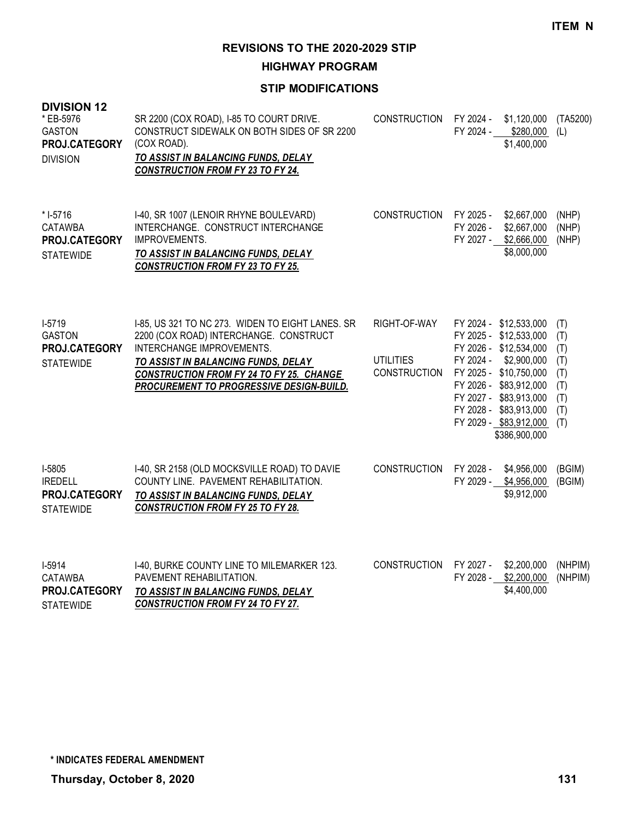**HIGHWAY PROGRAM**

| <b>DIVISION 12</b><br>* EB-5976<br><b>GASTON</b><br>PROJ.CATEGORY<br><b>DIVISION</b> | SR 2200 (COX ROAD), I-85 TO COURT DRIVE.<br>CONSTRUCT SIDEWALK ON BOTH SIDES OF SR 2200<br>(COX ROAD).<br>TO ASSIST IN BALANCING FUNDS, DELAY<br><b>CONSTRUCTION FROM FY 23 TO FY 24.</b>                                                                            | <b>CONSTRUCTION</b>                                     | FY 2024 -<br>\$1,120,000<br>FY 2024 - \$280,000<br>\$1,400,000                                                                                                                                                                                            | (TA5200)<br>(L)                                             |
|--------------------------------------------------------------------------------------|----------------------------------------------------------------------------------------------------------------------------------------------------------------------------------------------------------------------------------------------------------------------|---------------------------------------------------------|-----------------------------------------------------------------------------------------------------------------------------------------------------------------------------------------------------------------------------------------------------------|-------------------------------------------------------------|
| $* I-5716$<br><b>CATAWBA</b><br>PROJ.CATEGORY<br><b>STATEWIDE</b>                    | I-40, SR 1007 (LENOIR RHYNE BOULEVARD)<br>INTERCHANGE. CONSTRUCT INTERCHANGE<br><b>IMPROVEMENTS.</b><br>TO ASSIST IN BALANCING FUNDS, DELAY<br><b>CONSTRUCTION FROM FY 23 TO FY 25.</b>                                                                              | <b>CONSTRUCTION</b>                                     | FY 2025 -<br>\$2,667,000<br>FY 2026 -<br>\$2,667,000<br>FY 2027 - \$2,666,000<br>\$8,000,000                                                                                                                                                              | (NHP)<br>(NHP)<br>(NHP)                                     |
| $I-5719$<br><b>GASTON</b><br>PROJ.CATEGORY<br><b>STATEWIDE</b>                       | I-85, US 321 TO NC 273. WIDEN TO EIGHT LANES. SR<br>2200 (COX ROAD) INTERCHANGE. CONSTRUCT<br>INTERCHANGE IMPROVEMENTS.<br>TO ASSIST IN BALANCING FUNDS, DELAY<br><b>CONSTRUCTION FROM FY 24 TO FY 25. CHANGE</b><br><b>PROCUREMENT TO PROGRESSIVE DESIGN-BUILD.</b> | RIGHT-OF-WAY<br><b>UTILITIES</b><br><b>CONSTRUCTION</b> | FY 2024 - \$12,533,000<br>FY 2025 - \$12,533,000<br>FY 2026 - \$12,534,000<br>FY 2024 -<br>\$2,900,000<br>FY 2025 - \$10,750,000<br>FY 2026 - \$83,912,000<br>FY 2027 - \$83,913,000<br>FY 2028 - \$83,913,000<br>FY 2029 - \$83,912,000<br>\$386,900,000 | (T)<br>(T)<br>(T)<br>(T)<br>(T)<br>(T)<br>(T)<br>(T)<br>(T) |
| I-5805<br><b>IREDELL</b><br>PROJ.CATEGORY<br><b>STATEWIDE</b>                        | I-40, SR 2158 (OLD MOCKSVILLE ROAD) TO DAVIE<br>COUNTY LINE. PAVEMENT REHABILITATION.<br>TO ASSIST IN BALANCING FUNDS, DELAY<br><b>CONSTRUCTION FROM FY 25 TO FY 28.</b>                                                                                             | <b>CONSTRUCTION</b>                                     | FY 2028 -<br>\$4,956,000<br>FY 2029 - \$4,956,000<br>\$9,912,000                                                                                                                                                                                          | (BGIM)<br>(BGIM)                                            |
| I-5914<br><b>CATAWBA</b><br>PROJ.CATEGORY<br><b>STATEWIDE</b>                        | I-40, BURKE COUNTY LINE TO MILEMARKER 123.<br>PAVEMENT REHABILITATION.<br>TO ASSIST IN BALANCING FUNDS, DELAY<br><b>CONSTRUCTION FROM FY 24 TO FY 27.</b>                                                                                                            | <b>CONSTRUCTION</b>                                     | FY 2027 -<br>\$2,200,000<br>FY 2028 - \$2,200,000<br>\$4,400,000                                                                                                                                                                                          | (NHPIM)<br>(NHPIM)                                          |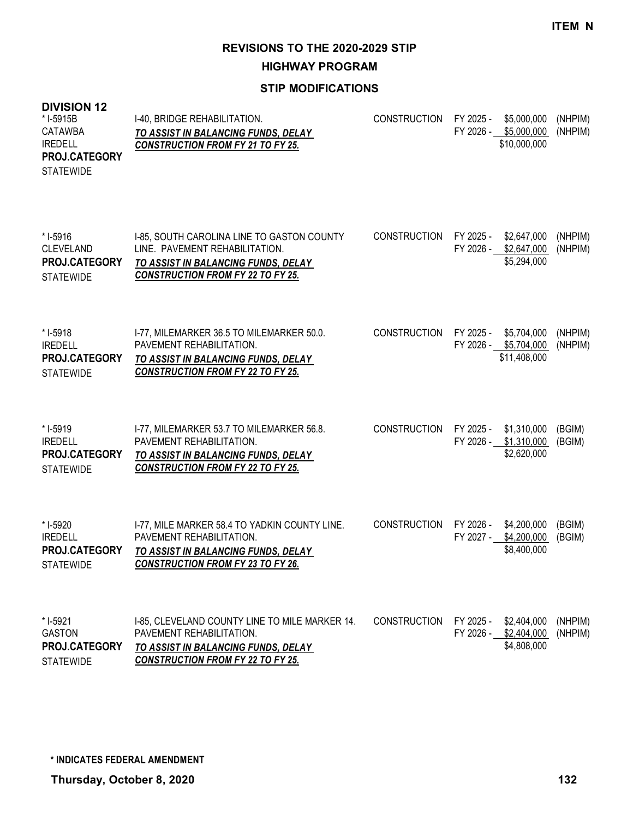**HIGHWAY PROGRAM**

#### **STIP MODIFICATIONS**

#### **DIVISION 12** I-40, BRIDGE REHABILITATION. *TO ASSIST IN BALANCING FUNDS, DELAY CONSTRUCTION FROM FY 21 TO FY 25.* CONSTRUCTION FY 2025 - \$5,000,000 (NHPIM) FY 2026 - \$5,000,000 (NHPIM) \$10,000,000 \* I-5915B CATAWBA IREDELL **STATEWIDE PROJ.CATEGORY** I-85, SOUTH CAROLINA LINE TO GASTON COUNTY LINE. PAVEMENT REHABILITATION. *TO ASSIST IN BALANCING FUNDS, DELAY CONSTRUCTION FROM FY 22 TO FY 25.* CONSTRUCTION FY 2025 - \$2,647,000 (NHPIM) FY 2026 - \$2,647,000 (NHPIM) \$5,294,000 \* I-5916 CLEVELAND **STATEWIDE PROJ.CATEGORY** I-77, MILEMARKER 36.5 TO MILEMARKER 50.0. PAVEMENT REHABILITATION. *TO ASSIST IN BALANCING FUNDS, DELAY CONSTRUCTION FROM FY 22 TO FY 25.* CONSTRUCTION FY 2025 - \$5,704,000 (NHPIM) FY 2026 - \$5,704,000 (NHPIM) \$11,408,000 \* I-5918 IREDELL **STATEWIDE PROJ.CATEGORY** I-77, MILEMARKER 53.7 TO MILEMARKER 56.8. PAVEMENT REHABILITATION. *TO ASSIST IN BALANCING FUNDS, DELAY CONSTRUCTION FROM FY 22 TO FY 25.* CONSTRUCTION FY 2025 - \$1,310,000 (BGIM) FY 2026 - \$1,310,000 (BGIM) \$2,620,000 \* I-5919 IREDELL **STATEWIDE PROJ.CATEGORY** I-77, MILE MARKER 58.4 TO YADKIN COUNTY LINE. PAVEMENT REHABILITATION. *TO ASSIST IN BALANCING FUNDS, DELAY CONSTRUCTION FROM FY 23 TO FY 26.* CONSTRUCTION FY 2026 - \$4,200,000 (BGIM) FY 2027 - \$4,200,000 (BGIM) \$8,400,000 \* I-5920 IREDELL **STATEWIDE PROJ.CATEGORY** I-85, CLEVELAND COUNTY LINE TO MILE MARKER 14. PAVEMENT REHABILITATION. *TO ASSIST IN BALANCING FUNDS, DELAY*  CONSTRUCTION FY 2025 - \$2,404,000 (NHPIM) FY 2026 - \$2,404,000 (NHPIM) \$4,808,000 \* I-5921 GASTON **PROJ.CATEGORY**

*CONSTRUCTION FROM FY 22 TO FY 25.* **STATEWIDE**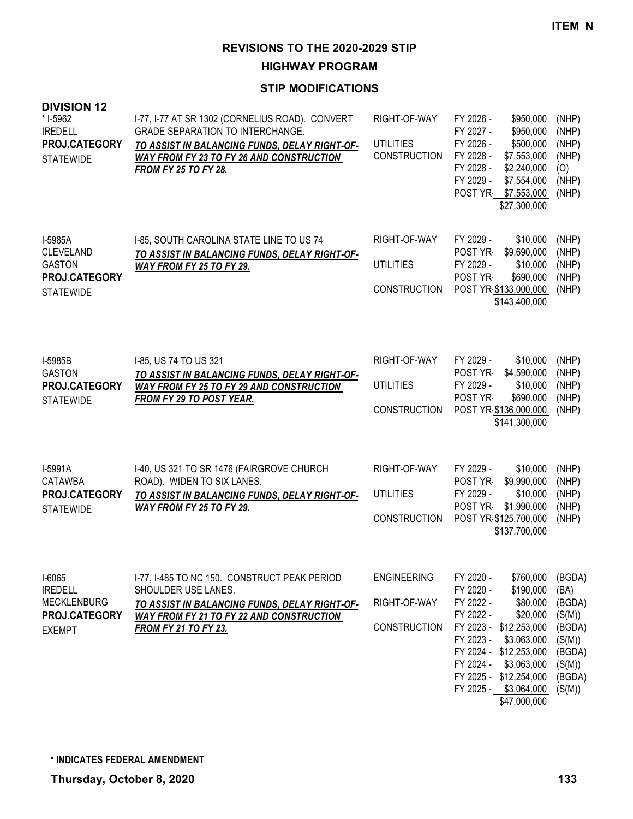**HIGHWAY PROGRAM**

| <b>DIVISION 12</b><br>* I-5962<br><b>IREDELL</b><br>PROJ.CATEGORY<br><b>STATEWIDE</b> | I-77, I-77 AT SR 1302 (CORNELIUS ROAD). CONVERT<br><b>GRADE SEPARATION TO INTERCHANGE.</b><br>TO ASSIST IN BALANCING FUNDS, DELAY RIGHT-OF-<br>WAY FROM FY 23 TO FY 26 AND CONSTRUCTION<br><b>FROM FY 25 TO FY 28.</b> | RIGHT-OF-WAY<br><b>UTILITIES</b><br><b>CONSTRUCTION</b>   | FY 2026 -<br>\$950,000<br>FY 2027 -<br>\$950,000<br>FY 2026 -<br>\$500,000<br>FY 2028 -<br>\$7,553,000<br>FY 2028 -<br>\$2,240,000<br>FY 2029 -<br>\$7,554,000<br>POST YR \$7,553,000<br>\$27,300,000                                                                             | (NHP)<br>(NHP)<br>(NHP)<br>(NHP)<br>(O)<br>(NHP)<br>(NHP)                                      |
|---------------------------------------------------------------------------------------|------------------------------------------------------------------------------------------------------------------------------------------------------------------------------------------------------------------------|-----------------------------------------------------------|-----------------------------------------------------------------------------------------------------------------------------------------------------------------------------------------------------------------------------------------------------------------------------------|------------------------------------------------------------------------------------------------|
| I-5985A<br>CLEVELAND<br><b>GASTON</b><br>PROJ.CATEGORY<br><b>STATEWIDE</b>            | I-85, SOUTH CAROLINA STATE LINE TO US 74<br>TO ASSIST IN BALANCING FUNDS, DELAY RIGHT-OF-<br>WAY FROM FY 25 TO FY 29.                                                                                                  | RIGHT-OF-WAY<br><b>UTILITIES</b><br><b>CONSTRUCTION</b>   | FY 2029 -<br>\$10,000<br>POST YR<br>\$9,690,000<br>FY 2029 -<br>\$10,000<br>POST YR<br>\$690,000<br>POST YR \$133,000,000<br>\$143,400,000                                                                                                                                        | (NHP)<br>(NHP)<br>(NHP)<br>(NHP)<br>(NHP)                                                      |
| I-5985B<br><b>GASTON</b><br>PROJ.CATEGORY<br><b>STATEWIDE</b>                         | I-85, US 74 TO US 321<br>TO ASSIST IN BALANCING FUNDS, DELAY RIGHT-OF-<br><b>WAY FROM FY 25 TO FY 29 AND CONSTRUCTION</b><br><b>FROM FY 29 TO POST YEAR.</b>                                                           | RIGHT-OF-WAY<br><b>UTILITIES</b><br><b>CONSTRUCTION</b>   | FY 2029 -<br>\$10,000<br>POST YR<br>\$4,590,000<br>FY 2029 -<br>\$10,000<br>POST YR<br>\$690,000<br>POST YR \$136,000,000<br>\$141,300,000                                                                                                                                        | (NHP)<br>(NHP)<br>(NHP)<br>(NHP)<br>(NHP)                                                      |
| I-5991A<br>CATAWBA<br>PROJ.CATEGORY<br><b>STATEWIDE</b>                               | I-40, US 321 TO SR 1476 (FAIRGROVE CHURCH<br>ROAD). WIDEN TO SIX LANES.<br>TO ASSIST IN BALANCING FUNDS, DELAY RIGHT-OF-<br><b>WAY FROM FY 25 TO FY 29.</b>                                                            | RIGHT-OF-WAY<br><b>UTILITIES</b><br><b>CONSTRUCTION</b>   | FY 2029 -<br>\$10,000<br>POST YR<br>\$9,990,000<br>FY 2029 -<br>\$10,000<br>POST YR-<br>\$1,990,000<br>POST YR \$125,700,000<br>\$137,700,000                                                                                                                                     | (NHP)<br>(NHP)<br>(NHP)<br>(NHP)<br>(NHP)                                                      |
| $I-6065$<br><b>IREDELL</b><br><b>MECKLENBURG</b><br>PROJ.CATEGORY<br><b>EXEMPT</b>    | I-77, I-485 TO NC 150. CONSTRUCT PEAK PERIOD<br>SHOULDER USE LANES.<br>TO ASSIST IN BALANCING FUNDS, DELAY RIGHT-OF-<br><b>WAY FROM FY 21 TO FY 22 AND CONSTRUCTION</b><br><b>FROM FY 21 TO FY 23.</b>                 | <b>ENGINEERING</b><br>RIGHT-OF-WAY<br><b>CONSTRUCTION</b> | \$760,000<br>FY 2020 -<br>FY 2020 -<br>\$190,000<br>FY 2022 -<br>\$80,000<br>FY 2022 -<br>\$20,000<br>FY 2023 - \$12,253,000<br>FY 2023 -<br>\$3,063,000<br>FY 2024 - \$12,253,000<br>FY 2024 -<br>\$3,063,000<br>FY 2025 - \$12,254,000<br>FY 2025 - \$3,064,000<br>\$47,000,000 | (BGDA)<br>(BA)<br>(BGDA)<br>(S(M))<br>(BGDA)<br>(S(M))<br>(BGDA)<br>(S(M))<br>(BGDA)<br>(S(M)) |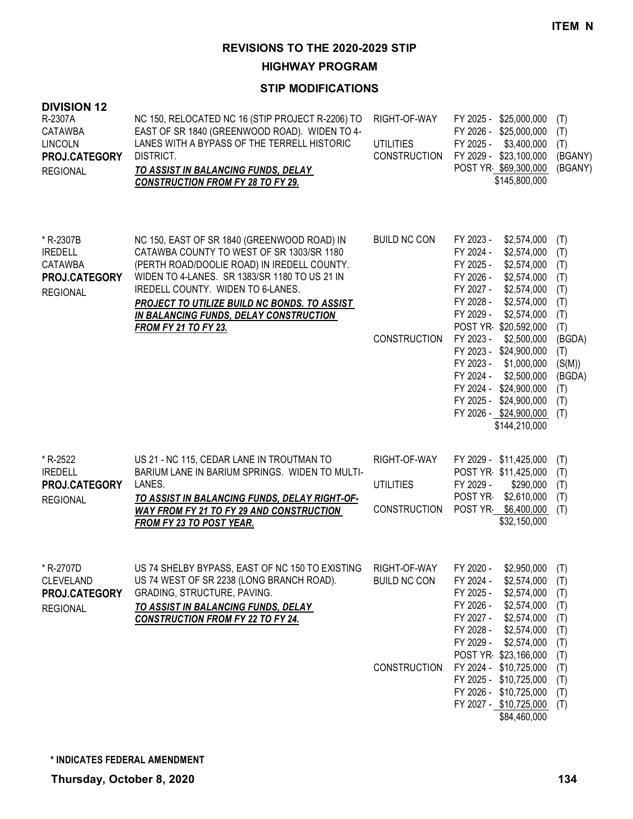**HIGHWAY PROGRAM**

| <b>DIVISION 12</b><br>R-2307A<br><b>CATAWBA</b><br><b>LINCOLN</b><br>PROJ.CATEGORY<br><b>REGIONAL</b> | NC 150, RELOCATED NC 16 (STIP PROJECT R-2206) TO<br>EAST OF SR 1840 (GREENWOOD ROAD). WIDEN TO 4-<br>LANES WITH A BYPASS OF THE TERRELL HISTORIC<br>DISTRICT.<br>TO ASSIST IN BALANCING FUNDS, DELAY<br><b>CONSTRUCTION FROM FY 28 TO FY 29.</b>                                                                                                       | RIGHT-OF-WAY<br><b>UTILITIES</b><br><b>CONSTRUCTION</b> | FY 2025 - \$25,000,000<br>FY 2026 - \$25,000,000<br>FY 2025 -<br>\$3,400,000<br>FY 2029 - \$23,100,000<br>POST YR \$69,300,000<br>\$145,800,000                                                                                                                                                                                                                                                                                       | (T)<br>(T)<br>(T)<br>(BGANY)<br>(BGANY)                                                                        |
|-------------------------------------------------------------------------------------------------------|--------------------------------------------------------------------------------------------------------------------------------------------------------------------------------------------------------------------------------------------------------------------------------------------------------------------------------------------------------|---------------------------------------------------------|---------------------------------------------------------------------------------------------------------------------------------------------------------------------------------------------------------------------------------------------------------------------------------------------------------------------------------------------------------------------------------------------------------------------------------------|----------------------------------------------------------------------------------------------------------------|
| * R-2307B<br><b>IREDELL</b><br><b>CATAWBA</b><br>PROJ.CATEGORY<br><b>REGIONAL</b>                     | NC 150, EAST OF SR 1840 (GREENWOOD ROAD) IN<br>CATAWBA COUNTY TO WEST OF SR 1303/SR 1180<br>(PERTH ROAD/DOOLIE ROAD) IN IREDELL COUNTY.<br>WIDEN TO 4-LANES. SR 1383/SR 1180 TO US 21 IN<br>IREDELL COUNTY. WIDEN TO 6-LANES.<br>PROJECT TO UTILIZE BUILD NC BONDS. TO ASSIST<br>IN BALANCING FUNDS, DELAY CONSTRUCTION<br><b>FROM FY 21 TO FY 23.</b> | <b>BUILD NC CON</b><br><b>CONSTRUCTION</b>              | FY 2023 -<br>\$2,574,000<br>FY 2024 -<br>\$2,574,000<br>FY 2025 -<br>\$2,574,000<br>FY 2026 -<br>\$2,574,000<br>FY 2027 -<br>\$2,574,000<br>FY 2028 -<br>\$2,574,000<br>FY 2029 -<br>\$2,574,000<br>POST YR \$20,592,000<br>FY 2023 -<br>\$2,500,000<br>FY 2023 - \$24,900,000<br>FY 2023 -<br>\$1,000,000<br>FY 2024 -<br>\$2,500,000<br>FY 2024 - \$24,900,000<br>FY 2025 - \$24,900,000<br>FY 2026 - \$24,900,000<br>\$144,210,000 | (T)<br>(T)<br>(T)<br>(T)<br>(T)<br>(T)<br>(T)<br>(T)<br>(BGDA)<br>(T)<br>(S(M))<br>(BGDA)<br>(T)<br>(T)<br>(T) |
| * R-2522<br><b>IREDELL</b><br>PROJ.CATEGORY<br><b>REGIONAL</b>                                        | US 21 - NC 115, CEDAR LANE IN TROUTMAN TO<br>BARIUM LANE IN BARIUM SPRINGS. WIDEN TO MULTI-<br>LANES.<br>TO ASSIST IN BALANCING FUNDS, DELAY RIGHT-OF-<br><b>WAY FROM FY 21 TO FY 29 AND CONSTRUCTION</b><br>FROM FY 23 TO POST YEAR.                                                                                                                  | RIGHT-OF-WAY<br><b>UTILITIES</b><br><b>CONSTRUCTION</b> | FY 2029 - \$11,425,000<br>POST YR \$11,425,000<br>FY 2029 -<br>\$290,000<br>POST YR<br>\$2,610,000<br>POST YR \$6,400,000<br>\$32,150,000                                                                                                                                                                                                                                                                                             | (T)<br>(T)<br>(T)<br>(T)<br>(T)                                                                                |
| * R-2707D<br><b>CLEVELAND</b><br>PROJ.CATEGORY<br><b>REGIONAL</b>                                     | US 74 SHELBY BYPASS, EAST OF NC 150 TO EXISTING RIGHT-OF-WAY<br>US 74 WEST OF SR 2238 (LONG BRANCH ROAD).<br>GRADING, STRUCTURE, PAVING.<br>TO ASSIST IN BALANCING FUNDS, DELAY<br><b>CONSTRUCTION FROM FY 22 TO FY 24.</b>                                                                                                                            | <b>BUILD NC CON</b><br><b>CONSTRUCTION</b>              | FY 2020 -<br>\$2,950,000<br>FY 2024 -<br>\$2,574,000<br>FY 2025 -<br>\$2,574,000<br>FY 2026 -<br>\$2,574,000<br>FY 2027 -<br>\$2,574,000<br>FY 2028 -<br>\$2,574,000<br>FY 2029 -<br>\$2,574,000<br>POST YR \$23,166,000<br>FY 2024 - \$10,725,000<br>FY 2025 - \$10,725,000<br>FY 2026 - \$10,725,000<br>FY 2027 - \$10,725,000<br>\$84,460,000                                                                                      | (T)<br>(T)<br>(T)<br>(T)<br>(T)<br>(T)<br>(T)<br>(T)<br>(T)<br>(T)<br>(T)<br>(T)                               |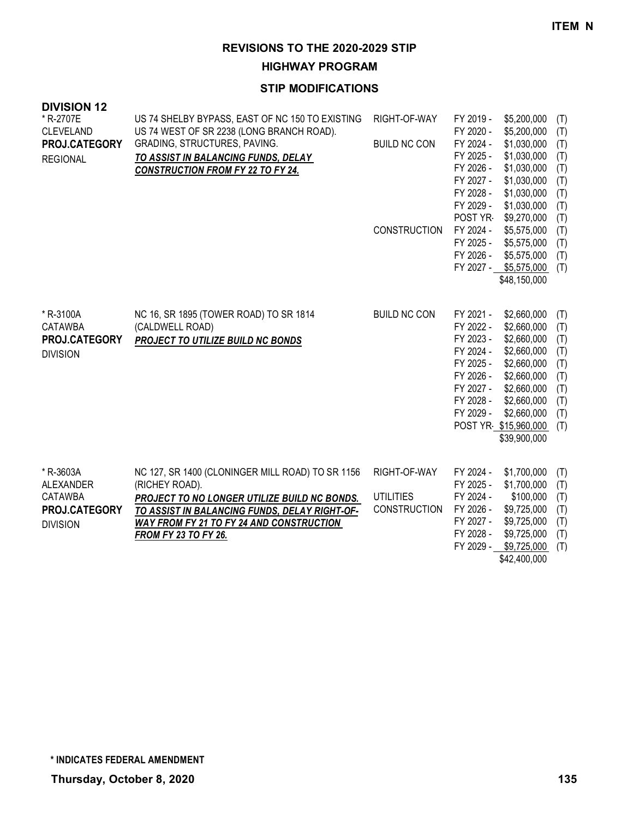**HIGHWAY PROGRAM**

#### **STIP MODIFICATIONS**

| <b>DIVISION 12</b> |                                                  |                     |                        |                            |            |
|--------------------|--------------------------------------------------|---------------------|------------------------|----------------------------|------------|
| * R-2707E          | US 74 SHELBY BYPASS, EAST OF NC 150 TO EXISTING  | RIGHT-OF-WAY        | FY 2019 -              | \$5,200,000                | (T)        |
| <b>CLEVELAND</b>   | US 74 WEST OF SR 2238 (LONG BRANCH ROAD).        |                     | FY 2020 -              | \$5,200,000                | (T)        |
| PROJ.CATEGORY      | GRADING, STRUCTURES, PAVING.                     | <b>BUILD NC CON</b> | FY 2024 -              | \$1,030,000                | (T)        |
| <b>REGIONAL</b>    | TO ASSIST IN BALANCING FUNDS, DELAY              |                     | FY 2025 -              | \$1,030,000                | (T)        |
|                    | <b>CONSTRUCTION FROM FY 22 TO FY 24.</b>         |                     | FY 2026 -              | \$1,030,000                | (T)        |
|                    |                                                  |                     | FY 2027 -<br>FY 2028 - | \$1,030,000<br>\$1,030,000 | (T)<br>(T) |
|                    |                                                  |                     | FY 2029 -              | \$1,030,000                | (T)        |
|                    |                                                  |                     | POST YR                | \$9,270,000                | (T)        |
|                    |                                                  | <b>CONSTRUCTION</b> | FY 2024 -              | \$5,575,000                | (T)        |
|                    |                                                  |                     | FY 2025 -              | \$5,575,000                | (T)        |
|                    |                                                  |                     | FY 2026 -              | \$5,575,000                | (T)        |
|                    |                                                  |                     |                        | FY 2027 - \$5,575,000      | (T)        |
|                    |                                                  |                     |                        | \$48,150,000               |            |
|                    |                                                  |                     |                        |                            |            |
| * R-3100A          | NC 16, SR 1895 (TOWER ROAD) TO SR 1814           | <b>BUILD NC CON</b> | FY 2021 -              | \$2,660,000                | (T)        |
| <b>CATAWBA</b>     | (CALDWELL ROAD)                                  |                     | FY 2022 -              | \$2,660,000                | (T)        |
| PROJ.CATEGORY      | PROJECT TO UTILIZE BUILD NC BONDS                |                     | FY 2023 -              | \$2,660,000                | (T)        |
| <b>DIVISION</b>    |                                                  |                     | FY 2024 -              | \$2,660,000                | (T)        |
|                    |                                                  |                     | FY 2025 -              | \$2,660,000                | (T)        |
|                    |                                                  |                     | FY 2026 -<br>FY 2027 - | \$2,660,000<br>\$2,660,000 | (T)        |
|                    |                                                  |                     | FY 2028 -              | \$2,660,000                | (T)<br>(T) |
|                    |                                                  |                     | FY 2029 -              | \$2,660,000                | (T)        |
|                    |                                                  |                     |                        | POST YR \$15,960,000       | (T)        |
|                    |                                                  |                     |                        | \$39,900,000               |            |
|                    |                                                  |                     |                        |                            |            |
| * R-3603A          | NC 127, SR 1400 (CLONINGER MILL ROAD) TO SR 1156 | RIGHT-OF-WAY        | FY 2024 -              | \$1,700,000                | (T)        |
| ALEXANDER          | (RICHEY ROAD).                                   |                     | FY 2025 -              | \$1,700,000                | (T)        |
| CATAWBA            | PROJECT TO NO LONGER UTILIZE BUILD NC BONDS.     | <b>UTILITIES</b>    | FY 2024 -              | \$100,000                  | (T)        |
| PROJ.CATEGORY      | TO ASSIST IN BALANCING FUNDS, DELAY RIGHT-OF-    | <b>CONSTRUCTION</b> | FY 2026 -              | \$9,725,000                | (T)        |
| <b>DIVISION</b>    | <b>WAY FROM FY 21 TO FY 24 AND CONSTRUCTION</b>  |                     | FY 2027 -              | \$9,725,000                | (T)        |
|                    | <b>FROM FY 23 TO FY 26.</b>                      |                     | FY 2028 -              | \$9,725,000                | (T)        |
|                    |                                                  |                     | FY 2029 -              | \$9,725,000                | (T)        |

\$42,400,000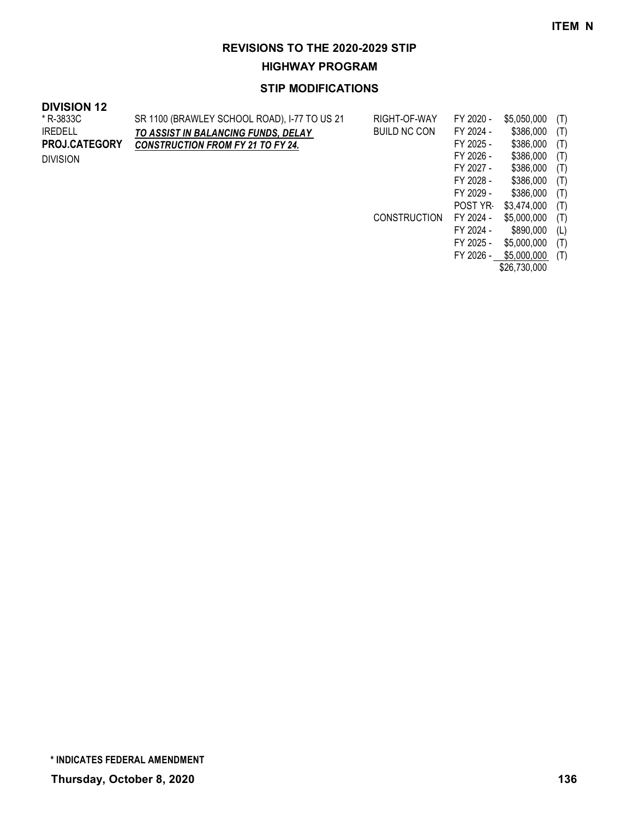**HIGHWAY PROGRAM**

#### **STIP MODIFICATIONS**

| <b>DIVISION 12</b>   |                                              |                     |           |             |     |
|----------------------|----------------------------------------------|---------------------|-----------|-------------|-----|
| * R-3833C            | SR 1100 (BRAWLEY SCHOOL ROAD), I-77 TO US 21 | RIGHT-OF-WAY        | FY 2020 - | \$5,050,000 | (T) |
| IREDELL              | TO ASSIST IN BALANCING FUNDS, DELAY          | <b>BUILD NC CON</b> | FY 2024 - | \$386,000   | (T) |
| <b>PROJ.CATEGORY</b> | <b>CONSTRUCTION FROM FY 21 TO FY 24.</b>     |                     | FY 2025 - | \$386,000   | (T) |
| <b>DIVISION</b>      |                                              |                     | FY 2026 - | \$386,000   | (T) |
|                      |                                              |                     | FY 2027 - | \$386,000   | (T) |
|                      |                                              |                     | FY 2028 - | \$386,000   | (T) |
|                      |                                              |                     | FY 2029 - | \$386.000   | (T) |
|                      |                                              |                     | POST YR   | \$3,474,000 | (T) |
|                      |                                              | <b>CONSTRUCTION</b> | FY 2024 - | \$5,000,000 | (T) |

FY 2025 - \$5,000,000 (T) FY 2026 - \$5,000,000 (T) \$26,730,000

FY 2024 - \$890,000 (L)

**Thursday, October 8, 2020 136 \* INDICATES FEDERAL AMENDMENT**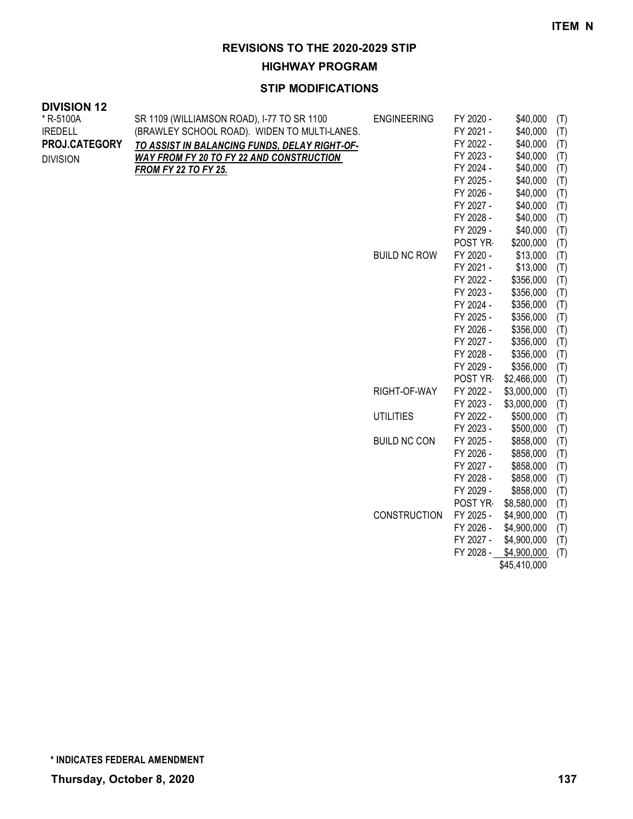**HIGHWAY PROGRAM**

## **STIP MODIFICATIONS**

| <b>DIVISION 12</b> |                                                 |                     |                        |                            |     |
|--------------------|-------------------------------------------------|---------------------|------------------------|----------------------------|-----|
| * R-5100A          | SR 1109 (WILLIAMSON ROAD), I-77 TO SR 1100      | <b>ENGINEERING</b>  | FY 2020 -              | \$40,000                   | (T) |
| <b>IREDELL</b>     | (BRAWLEY SCHOOL ROAD). WIDEN TO MULTI-LANES.    |                     | FY 2021 -              | \$40,000                   | (T) |
| PROJ.CATEGORY      | TO ASSIST IN BALANCING FUNDS, DELAY RIGHT-OF-   |                     | FY 2022 -              | \$40,000                   | (T) |
| <b>DIVISION</b>    | <b>WAY FROM FY 20 TO FY 22 AND CONSTRUCTION</b> |                     | FY 2023 -              | \$40,000                   | (T) |
|                    | <b>FROM FY 22 TO FY 25.</b>                     |                     | FY 2024 -              | \$40,000                   | (T) |
|                    |                                                 |                     | FY 2025 -              | \$40,000                   | (T) |
|                    |                                                 |                     | FY 2026 -              | \$40,000                   | (T) |
|                    |                                                 |                     | FY 2027 -              | \$40,000                   | (T) |
|                    |                                                 |                     | FY 2028 -              | \$40,000                   | (T) |
|                    |                                                 |                     | FY 2029 -              | \$40,000                   | (T) |
|                    |                                                 |                     | POST YR                | \$200,000                  | (T) |
|                    |                                                 | <b>BUILD NC ROW</b> | FY 2020 -              | \$13,000                   | (T) |
|                    |                                                 |                     | FY 2021 -              | \$13,000                   | (T) |
|                    |                                                 |                     | FY 2022 -              | \$356,000                  | (T) |
|                    |                                                 |                     | FY 2023 -              | \$356,000                  | (T) |
|                    |                                                 |                     | FY 2024 -              | \$356,000                  | (T) |
|                    |                                                 |                     | FY 2025 -              | \$356,000                  | (T) |
|                    |                                                 |                     | FY 2026 -              | \$356,000                  | (T) |
|                    |                                                 |                     | FY 2027 -              | \$356,000                  | (T) |
|                    |                                                 |                     | FY 2028 -              | \$356,000                  | (T) |
|                    |                                                 |                     | FY 2029 -              | \$356,000                  | (T) |
|                    |                                                 |                     | POST YR                | \$2,466,000                | (T) |
|                    |                                                 | RIGHT-OF-WAY        | FY 2022 -              | \$3,000,000                | (T) |
|                    |                                                 |                     | FY 2023 -              | \$3,000,000                | (T) |
|                    |                                                 | <b>UTILITIES</b>    | FY 2022 -              | \$500,000                  | (T) |
|                    |                                                 |                     | FY 2023 -              | \$500,000                  | (T) |
|                    |                                                 | <b>BUILD NC CON</b> | FY 2025 -              | \$858,000                  | (T) |
|                    |                                                 |                     | FY 2026 -              | \$858,000                  | (T) |
|                    |                                                 |                     | FY 2027 -              | \$858,000                  | (T) |
|                    |                                                 |                     | FY 2028 -              | \$858,000                  | (T) |
|                    |                                                 |                     | FY 2029 -              | \$858,000                  | (T) |
|                    |                                                 |                     | POST YR-               | \$8,580,000                | (T) |
|                    |                                                 | CONSTRUCTION        | FY 2025 -<br>FY 2026 - | \$4,900,000                | (T) |
|                    |                                                 |                     | FY 2027 -              | \$4,900,000<br>\$4,900,000 | (T) |
|                    |                                                 |                     |                        |                            | (T) |
|                    |                                                 |                     | FY 2028 -              | \$4,900,000                | (T) |

\$45,410,000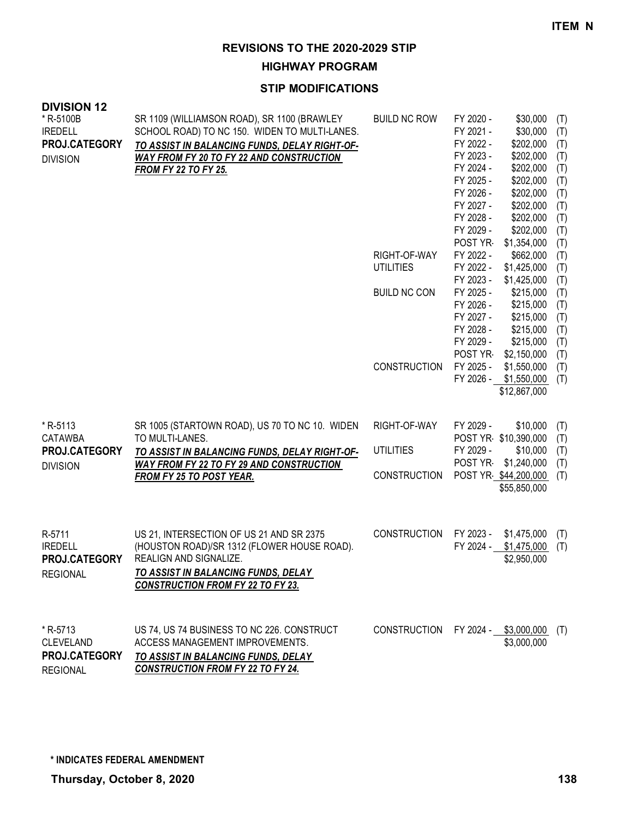**HIGHWAY PROGRAM**

| <b>DIVISION 12</b><br>* R-5100B                    | SR 1109 (WILLIAMSON ROAD), SR 1100 (BRAWLEY                                                                                                       | <b>BUILD NC ROW</b> | FY 2020 -<br>\$30,000                                                     | (T)               |
|----------------------------------------------------|---------------------------------------------------------------------------------------------------------------------------------------------------|---------------------|---------------------------------------------------------------------------|-------------------|
| <b>IREDELL</b><br>PROJ.CATEGORY<br><b>DIVISION</b> | SCHOOL ROAD) TO NC 150. WIDEN TO MULTI-LANES.<br>TO ASSIST IN BALANCING FUNDS, DELAY RIGHT-OF-<br><b>WAY FROM FY 20 TO FY 22 AND CONSTRUCTION</b> |                     | \$30,000<br>FY 2021 -<br>FY 2022 -<br>\$202,000<br>FY 2023 -<br>\$202,000 | (T)<br>(T)<br>(T) |
|                                                    | <b>FROM FY 22 TO FY 25.</b>                                                                                                                       |                     | FY 2024 -<br>\$202,000<br>FY 2025 -<br>\$202,000                          | (T)               |
|                                                    |                                                                                                                                                   |                     | FY 2026 -<br>\$202,000                                                    | (T)<br>(T)        |
|                                                    |                                                                                                                                                   |                     | FY 2027 -<br>\$202,000<br>FY 2028 -<br>\$202,000                          | (T)<br>(T)        |
|                                                    |                                                                                                                                                   |                     | FY 2029 -<br>\$202,000                                                    | (T)               |
|                                                    |                                                                                                                                                   | RIGHT-OF-WAY        | POST YR<br>\$1,354,000<br>FY 2022 -<br>\$662,000                          | (T)<br>(T)        |
|                                                    |                                                                                                                                                   | <b>UTILITIES</b>    | FY 2022 -<br>\$1,425,000<br>FY 2023 -<br>\$1,425,000                      | (T)<br>(T)        |
|                                                    |                                                                                                                                                   | <b>BUILD NC CON</b> | FY 2025 -<br>\$215,000                                                    | (T)               |
|                                                    |                                                                                                                                                   |                     | FY 2026 -<br>\$215,000<br>FY 2027 -<br>\$215,000                          | (T)<br>(T)        |
|                                                    |                                                                                                                                                   |                     | FY 2028 -<br>\$215,000<br>FY 2029 -<br>\$215,000                          | (T)<br>(T)        |
|                                                    |                                                                                                                                                   |                     | POST YR-<br>\$2,150,000                                                   | (T)               |
|                                                    |                                                                                                                                                   | <b>CONSTRUCTION</b> | FY 2025 -<br>\$1,550,000<br>FY 2026 -<br>\$1,550,000                      | (T)<br>(T)        |
|                                                    |                                                                                                                                                   |                     | \$12,867,000                                                              |                   |
| *R-5113<br><b>CATAWBA</b>                          | SR 1005 (STARTOWN ROAD), US 70 TO NC 10. WIDEN<br>TO MULTI-LANES.                                                                                 | RIGHT-OF-WAY        | FY 2029 -<br>\$10,000<br>POST YR \$10,390,000                             | (T)<br>(T)        |
| PROJ.CATEGORY                                      | TO ASSIST IN BALANCING FUNDS, DELAY RIGHT-OF-                                                                                                     | <b>UTILITIES</b>    | FY 2029 -<br>\$10,000                                                     | (T)               |
| <b>DIVISION</b>                                    | <b>WAY FROM FY 22 TO FY 29 AND CONSTRUCTION</b><br>FROM FY 25 TO POST YEAR.                                                                       | <b>CONSTRUCTION</b> | POST YR-<br>\$1,240,000<br>POST YR \$44,200,000<br>\$55,850,000           | (T)<br>(T)        |
|                                                    |                                                                                                                                                   |                     |                                                                           |                   |
| R-5711<br><b>IREDELL</b><br>PROJ.CATEGORY          | US 21, INTERSECTION OF US 21 AND SR 2375<br>(HOUSTON ROAD)/SR 1312 (FLOWER HOUSE ROAD).<br>REALIGN AND SIGNALIZE.                                 | <b>CONSTRUCTION</b> | FY 2023 -<br>\$1,475,000<br>FY 2024 -<br>\$1,475,000<br>\$2,950,000       | (T)<br>(T)        |
| <b>REGIONAL</b>                                    | <b>TO ASSIST IN BALANCING FUNDS, DELAY</b><br><b>CONSTRUCTION FROM FY 22 TO FY 23.</b>                                                            |                     |                                                                           |                   |
| * R-5713<br><b>CLEVELAND</b>                       | US 74, US 74 BUSINESS TO NC 226. CONSTRUCT<br>ACCESS MANAGEMENT IMPROVEMENTS.                                                                     | <b>CONSTRUCTION</b> | FY 2024 - \$3,000,000<br>\$3,000,000                                      | (T)               |
| PROJ.CATEGORY<br><b>REGIONAL</b>                   | TO ASSIST IN BALANCING FUNDS, DELAY<br><b>CONSTRUCTION FROM FY 22 TO FY 24.</b>                                                                   |                     |                                                                           |                   |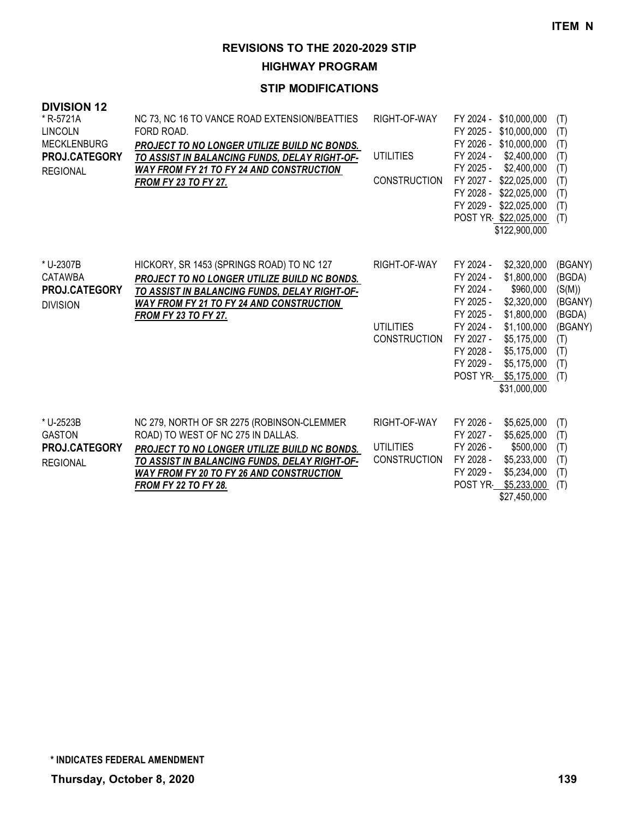**HIGHWAY PROGRAM**

| <b>DIVISION 12</b><br>* R-5721A<br><b>LINCOLN</b><br><b>MECKLENBURG</b><br>PROJ.CATEGORY<br><b>REGIONAL</b> | NC 73, NC 16 TO VANCE ROAD EXTENSION/BEATTIES<br>FORD ROAD.<br>PROJECT TO NO LONGER UTILIZE BUILD NC BONDS.<br>TO ASSIST IN BALANCING FUNDS, DELAY RIGHT-OF-<br><b>WAY FROM FY 21 TO FY 24 AND CONSTRUCTION</b><br><b>FROM FY 23 TO FY 27.</b>                      | RIGHT-OF-WAY<br><b>UTILITIES</b><br><b>CONSTRUCTION</b> | FY 2024 -<br>\$10,000,000<br>FY 2025 -<br>\$10,000,000<br>FY 2026 - \$10,000,000<br>FY 2024 -<br>\$2,400,000<br>FY 2025 -<br>\$2,400,000<br>FY 2027 - \$22,025,000<br>FY 2028 - \$22,025,000<br>FY 2029 - \$22,025,000<br>POST YR \$22,025,000<br>\$122,900,000                                  | (T)<br>(T)<br>(T)<br>(T)<br>(T)<br>(T)<br>(T)<br>(T)<br>(T)                             |
|-------------------------------------------------------------------------------------------------------------|---------------------------------------------------------------------------------------------------------------------------------------------------------------------------------------------------------------------------------------------------------------------|---------------------------------------------------------|--------------------------------------------------------------------------------------------------------------------------------------------------------------------------------------------------------------------------------------------------------------------------------------------------|-----------------------------------------------------------------------------------------|
| * U-2307B<br>CATAWBA<br><b>PROJ.CATEGORY</b><br><b>DIVISION</b>                                             | HICKORY, SR 1453 (SPRINGS ROAD) TO NC 127<br>PROJECT TO NO LONGER UTILIZE BUILD NC BONDS.<br>TO ASSIST IN BALANCING FUNDS, DELAY RIGHT-OF-<br><b>WAY FROM FY 21 TO FY 24 AND CONSTRUCTION</b><br><b>FROM FY 23 TO FY 27.</b>                                        | RIGHT-OF-WAY<br><b>UTILITIES</b><br><b>CONSTRUCTION</b> | FY 2024 -<br>\$2,320,000<br>FY 2024 -<br>\$1,800,000<br>FY 2024 -<br>\$960,000<br>FY 2025 -<br>\$2,320,000<br>FY 2025 -<br>\$1,800,000<br>FY 2024 -<br>\$1,100,000<br>FY 2027 -<br>\$5,175,000<br>FY 2028 -<br>\$5,175,000<br>\$5,175,000<br>FY 2029 -<br>POST YR<br>\$5,175,000<br>\$31,000,000 | (BGANY)<br>(BGDA)<br>(S(M))<br>(BGANY)<br>(BGDA)<br>(BGANY)<br>(T)<br>(T)<br>(T)<br>(T) |
| * U-2523B<br><b>GASTON</b><br>PROJ.CATEGORY<br><b>REGIONAL</b>                                              | NC 279, NORTH OF SR 2275 (ROBINSON-CLEMMER<br>ROAD) TO WEST OF NC 275 IN DALLAS.<br>PROJECT TO NO LONGER UTILIZE BUILD NC BONDS.<br>TO ASSIST IN BALANCING FUNDS, DELAY RIGHT-OF-<br><b>WAY FROM FY 20 TO FY 26 AND CONSTRUCTION</b><br><b>FROM FY 22 TO FY 28.</b> | RIGHT-OF-WAY<br><b>UTILITIES</b><br><b>CONSTRUCTION</b> | FY 2026 -<br>\$5,625,000<br>FY 2027 -<br>\$5,625,000<br>FY 2026 -<br>\$500,000<br>\$5,233,000<br>FY 2028 -<br>FY 2029 -<br>\$5,234,000<br><b>POST YR</b><br>\$5,233,000<br>\$27,450,000                                                                                                          | (T)<br>(T)<br>(T)<br>(T)<br>(T)<br>(T)                                                  |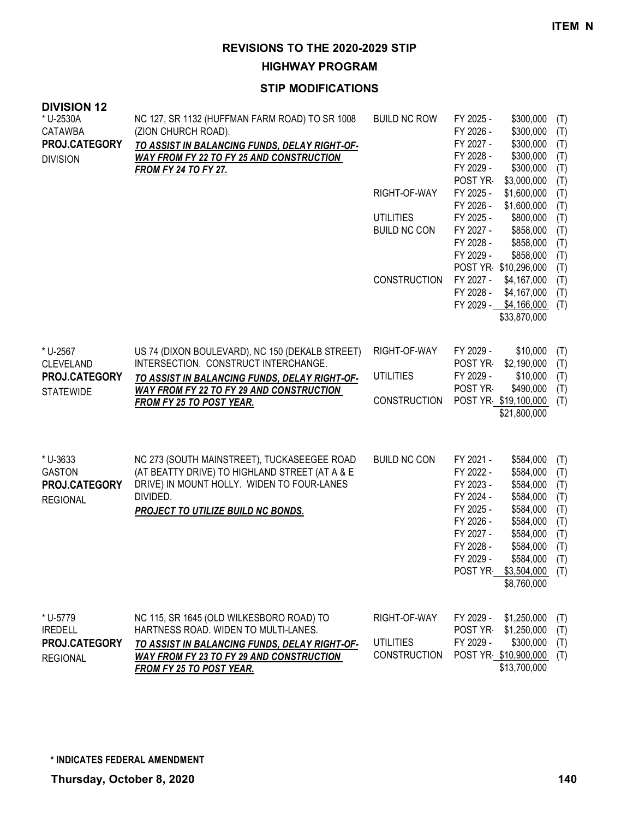**HIGHWAY PROGRAM**

| <b>DIVISION 12</b><br>* U-2530A  | NC 127, SR 1132 (HUFFMAN FARM ROAD) TO SR 1008                                                   | <b>BUILD NC ROW</b>                     | FY 2025 -<br>\$300,000<br>(T)                                     |
|----------------------------------|--------------------------------------------------------------------------------------------------|-----------------------------------------|-------------------------------------------------------------------|
| <b>CATAWBA</b>                   | (ZION CHURCH ROAD).                                                                              |                                         | \$300,000<br>FY 2026 -<br>(T)                                     |
| PROJ.CATEGORY                    | TO ASSIST IN BALANCING FUNDS, DELAY RIGHT-OF-<br>WAY FROM FY 22 TO FY 25 AND CONSTRUCTION        |                                         | \$300,000<br>FY 2027 -<br>(T)<br>\$300,000<br>FY 2028 -<br>(T)    |
| <b>DIVISION</b>                  | <b>FROM FY 24 TO FY 27.</b>                                                                      |                                         | \$300,000<br>FY 2029 -<br>(T)                                     |
|                                  |                                                                                                  | RIGHT-OF-WAY                            | \$3,000,000<br>POST YR-<br>(T)<br>\$1,600,000<br>FY 2025 -<br>(T) |
|                                  |                                                                                                  |                                         | FY 2026 -<br>\$1,600,000<br>(T)                                   |
|                                  |                                                                                                  | <b>UTILITIES</b><br><b>BUILD NC CON</b> | FY 2025 -<br>\$800,000<br>(T)<br>\$858,000<br>FY 2027 -<br>(T)    |
|                                  |                                                                                                  |                                         | \$858,000<br>FY 2028 -<br>(T)                                     |
|                                  |                                                                                                  |                                         | \$858,000<br>FY 2029 -<br>(T)<br>POST YR \$10,296,000<br>(T)      |
|                                  |                                                                                                  | <b>CONSTRUCTION</b>                     | \$4,167,000<br>FY 2027 -<br>(T)                                   |
|                                  |                                                                                                  |                                         | \$4,167,000<br>FY 2028 -<br>(T)<br>FY 2029 - \$4,166,000<br>(T)   |
|                                  |                                                                                                  |                                         | \$33,870,000                                                      |
|                                  |                                                                                                  |                                         |                                                                   |
| * U-2567<br><b>CLEVELAND</b>     | US 74 (DIXON BOULEVARD), NC 150 (DEKALB STREET)<br>INTERSECTION. CONSTRUCT INTERCHANGE.          | RIGHT-OF-WAY                            | FY 2029 -<br>\$10,000<br>(T)<br>POST YR<br>\$2,190,000<br>(T)     |
| PROJ.CATEGORY                    | TO ASSIST IN BALANCING FUNDS, DELAY RIGHT-OF-                                                    | <b>UTILITIES</b>                        | FY 2029 -<br>\$10,000<br>(T)                                      |
| <b>STATEWIDE</b>                 | <b>WAY FROM FY 22 TO FY 29 AND CONSTRUCTION</b><br><b>FROM FY 25 TO POST YEAR.</b>               | <b>CONSTRUCTION</b>                     | POST YR<br>\$490,000<br>(T)<br>POST YR \$19,100,000<br>(T)        |
|                                  |                                                                                                  |                                         | \$21,800,000                                                      |
|                                  |                                                                                                  |                                         |                                                                   |
| * U-3633                         | NC 273 (SOUTH MAINSTREET), TUCKASEEGEE ROAD                                                      | <b>BUILD NC CON</b>                     | FY 2021 -<br>\$584,000<br>(T)                                     |
| <b>GASTON</b><br>PROJ.CATEGORY   | (AT BEATTY DRIVE) TO HIGHLAND STREET (AT A & E<br>DRIVE) IN MOUNT HOLLY. WIDEN TO FOUR-LANES     |                                         | FY 2022 -<br>\$584,000<br>(T)<br>FY 2023 -<br>\$584,000           |
| <b>REGIONAL</b>                  | DIVIDED.                                                                                         |                                         | (T)<br>FY 2024 -<br>\$584,000<br>(T)                              |
|                                  | <b>PROJECT TO UTILIZE BUILD NC BONDS.</b>                                                        |                                         | FY 2025 -<br>\$584,000<br>(T)<br>FY 2026 -<br>\$584,000           |
|                                  |                                                                                                  |                                         | (T)<br>FY 2027 -<br>\$584,000<br>(T)                              |
|                                  |                                                                                                  |                                         | FY 2028 -<br>\$584,000<br>(T)<br>FY 2029 -<br>\$584,000           |
|                                  |                                                                                                  |                                         | (T)<br>POST YR \$3,504,000<br>(T)                                 |
|                                  |                                                                                                  |                                         | \$8,760,000                                                       |
| * U-5779                         | NC 115, SR 1645 (OLD WILKESBORO ROAD) TO                                                         | RIGHT-OF-WAY                            | FY 2029 -<br>\$1,250,000<br>(T)                                   |
| <b>IREDELL</b>                   | HARTNESS ROAD. WIDEN TO MULTI-LANES.                                                             |                                         | \$1,250,000<br>POST YR-<br>(T)                                    |
| PROJ.CATEGORY<br><b>REGIONAL</b> | TO ASSIST IN BALANCING FUNDS, DELAY RIGHT-OF-<br><b>WAY FROM FY 23 TO FY 29 AND CONSTRUCTION</b> | <b>UTILITIES</b><br><b>CONSTRUCTION</b> | FY 2029 -<br>\$300,000<br>(T)<br>POST YR \$10,900,000<br>(T)      |
|                                  | <u>FROM FY 25 TO POST YEAR.</u>                                                                  |                                         | \$13,700,000                                                      |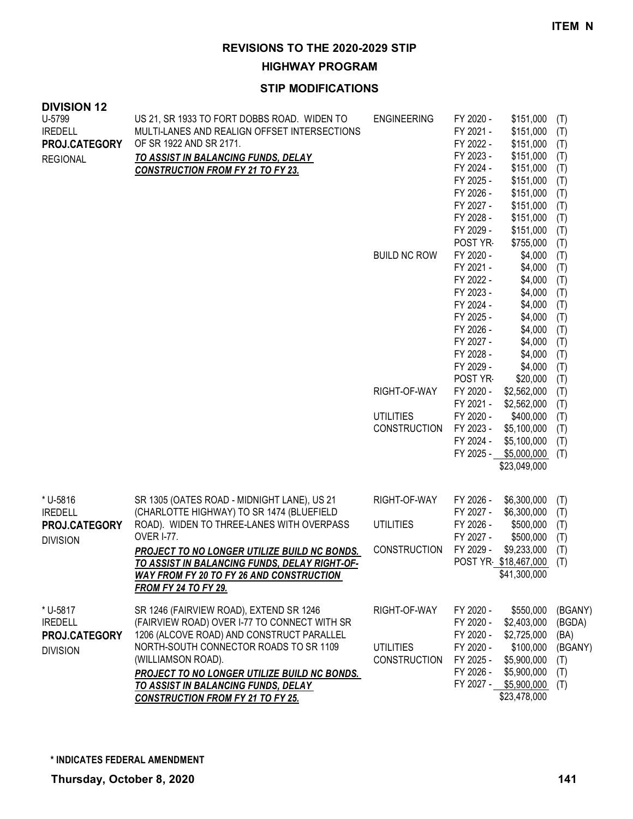**HIGHWAY PROGRAM**

| <b>DIVISION 12</b><br>U-5799<br><b>IREDELL</b><br>PROJ.CATEGORY<br><b>REGIONAL</b> | US 21, SR 1933 TO FORT DOBBS ROAD. WIDEN TO<br>MULTI-LANES AND REALIGN OFFSET INTERSECTIONS<br>OF SR 1922 AND SR 2171.<br><b>TO ASSIST IN BALANCING FUNDS, DELAY</b><br><b>CONSTRUCTION FROM FY 21 TO FY 23.</b> | <b>ENGINEERING</b><br><b>BUILD NC ROW</b> | FY 2020 -<br>FY 2021 -<br>FY 2022 -<br>FY 2023 -<br>FY 2024 -<br>FY 2025 -<br>FY 2026 -<br>FY 2027 -<br>FY 2028 -<br>FY 2029 -<br>POST YR-<br>FY 2020 -<br>FY 2021 -<br>FY 2022 -<br>FY 2023 -<br>FY 2024 - | \$151,000<br>\$151,000<br>\$151,000<br>\$151,000<br>\$151,000<br>\$151,000<br>\$151,000<br>\$151,000<br>\$151,000<br>\$151,000<br>\$755,000<br>\$4,000<br>\$4,000<br>\$4,000<br>\$4,000<br>\$4,000 | (T)<br>(T)<br>(T)<br>(T)<br>(T)<br>(T)<br>(T)<br>(T)<br>(T)<br>(T)<br>(T)<br>(T)<br>(T)<br>(T)<br>(T)<br>(T) |
|------------------------------------------------------------------------------------|------------------------------------------------------------------------------------------------------------------------------------------------------------------------------------------------------------------|-------------------------------------------|-------------------------------------------------------------------------------------------------------------------------------------------------------------------------------------------------------------|----------------------------------------------------------------------------------------------------------------------------------------------------------------------------------------------------|--------------------------------------------------------------------------------------------------------------|
|                                                                                    |                                                                                                                                                                                                                  |                                           | FY 2025 -<br>FY 2026 -<br>FY 2027 -<br>FY 2028 -<br>FY 2029 -<br>POST YR                                                                                                                                    | \$4,000<br>\$4,000<br>\$4,000<br>\$4,000<br>\$4,000<br>\$20,000                                                                                                                                    | (T)<br>(T)<br>(T)<br>(T)<br>(T)<br>(T)                                                                       |
|                                                                                    |                                                                                                                                                                                                                  | RIGHT-OF-WAY                              | FY 2020 -                                                                                                                                                                                                   | \$2,562,000                                                                                                                                                                                        | (T)                                                                                                          |
|                                                                                    |                                                                                                                                                                                                                  |                                           | FY 2021 -                                                                                                                                                                                                   | \$2,562,000                                                                                                                                                                                        | (T)                                                                                                          |
|                                                                                    |                                                                                                                                                                                                                  | <b>UTILITIES</b>                          | FY 2020 -                                                                                                                                                                                                   | \$400,000                                                                                                                                                                                          | (T)                                                                                                          |
|                                                                                    |                                                                                                                                                                                                                  | <b>CONSTRUCTION</b>                       | FY 2023 -                                                                                                                                                                                                   | \$5,100,000                                                                                                                                                                                        | (T)                                                                                                          |
|                                                                                    |                                                                                                                                                                                                                  |                                           | FY 2024 -                                                                                                                                                                                                   | \$5,100,000                                                                                                                                                                                        | (T)                                                                                                          |
|                                                                                    |                                                                                                                                                                                                                  |                                           | FY 2025 -                                                                                                                                                                                                   | \$5,000,000                                                                                                                                                                                        | (T)                                                                                                          |
|                                                                                    |                                                                                                                                                                                                                  |                                           |                                                                                                                                                                                                             | \$23,049,000                                                                                                                                                                                       |                                                                                                              |
| * U-5816<br><b>IREDELL</b>                                                         | SR 1305 (OATES ROAD - MIDNIGHT LANE), US 21<br>(CHARLOTTE HIGHWAY) TO SR 1474 (BLUEFIELD                                                                                                                         | RIGHT-OF-WAY                              | FY 2026 -<br>FY 2027 -                                                                                                                                                                                      | \$6,300,000<br>\$6,300,000                                                                                                                                                                         | (T)<br>(T)                                                                                                   |
| PROJ.CATEGORY                                                                      | ROAD). WIDEN TO THREE-LANES WITH OVERPASS                                                                                                                                                                        | <b>UTILITIES</b>                          | FY 2026 -                                                                                                                                                                                                   | \$500,000                                                                                                                                                                                          | (T)                                                                                                          |
| <b>DIVISION</b>                                                                    | <b>OVER I-77.</b>                                                                                                                                                                                                |                                           | FY 2027 -                                                                                                                                                                                                   | \$500,000                                                                                                                                                                                          | (T)                                                                                                          |
|                                                                                    | PROJECT TO NO LONGER UTILIZE BUILD NC BONDS.                                                                                                                                                                     | <b>CONSTRUCTION</b>                       | FY 2029 -                                                                                                                                                                                                   | \$9,233,000                                                                                                                                                                                        | (T)                                                                                                          |
|                                                                                    | TO ASSIST IN BALANCING FUNDS, DELAY RIGHT-OF-<br><b>WAY FROM FY 20 TO FY 26 AND CONSTRUCTION</b><br><b>FROM FY 24 TO FY 29.</b>                                                                                  |                                           | POST YR \$18,467,000 (T)                                                                                                                                                                                    | \$41,300,000                                                                                                                                                                                       |                                                                                                              |
| * U-5817<br><b>IREDELL</b>                                                         | SR 1246 (FAIRVIEW ROAD), EXTEND SR 1246<br>(FAIRVIEW ROAD) OVER I-77 TO CONNECT WITH SR                                                                                                                          | RIGHT-OF-WAY                              | FY 2020 -<br>FY 2020 -                                                                                                                                                                                      | \$550,000<br>\$2,403,000                                                                                                                                                                           | (BGANY)<br>(BGDA)                                                                                            |
| PROJ.CATEGORY                                                                      | 1206 (ALCOVE ROAD) AND CONSTRUCT PARALLEL                                                                                                                                                                        |                                           | FY 2020 -                                                                                                                                                                                                   | \$2,725,000                                                                                                                                                                                        | (BA)                                                                                                         |
| <b>DIVISION</b>                                                                    | NORTH-SOUTH CONNECTOR ROADS TO SR 1109                                                                                                                                                                           | <b>UTILITIES</b>                          | FY 2020 -                                                                                                                                                                                                   | \$100,000                                                                                                                                                                                          | (BGANY)                                                                                                      |
|                                                                                    | (WILLIAMSON ROAD).                                                                                                                                                                                               | <b>CONSTRUCTION</b>                       | FY 2025 -                                                                                                                                                                                                   | \$5,900,000                                                                                                                                                                                        | (T)                                                                                                          |
|                                                                                    | <b>PROJECT TO NO LONGER UTILIZE BUILD NC BONDS.</b>                                                                                                                                                              |                                           | FY 2026 -                                                                                                                                                                                                   | \$5,900,000                                                                                                                                                                                        | (T)                                                                                                          |
|                                                                                    | <b>TO ASSIST IN BALANCING FUNDS, DELAY</b>                                                                                                                                                                       |                                           | FY 2027 - \$5,900,000                                                                                                                                                                                       |                                                                                                                                                                                                    | (T)                                                                                                          |
|                                                                                    | <b>CONSTRUCTION FROM FY 21 TO FY 25.</b>                                                                                                                                                                         |                                           |                                                                                                                                                                                                             | \$23,478,000                                                                                                                                                                                       |                                                                                                              |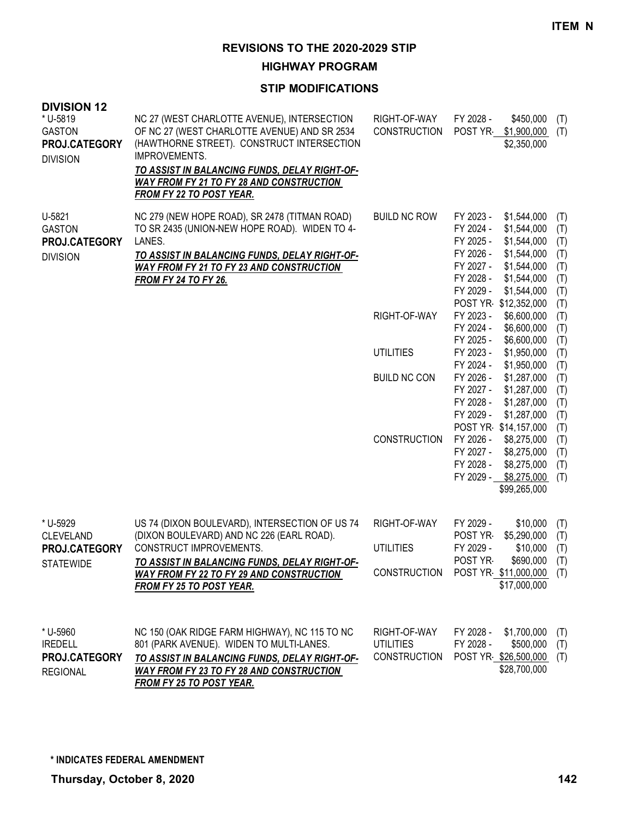**HIGHWAY PROGRAM**

| <b>DIVISION 12</b><br>* U-5819<br><b>GASTON</b><br>PROJ.CATEGORY<br><b>DIVISION</b> | NC 27 (WEST CHARLOTTE AVENUE), INTERSECTION<br>OF NC 27 (WEST CHARLOTTE AVENUE) AND SR 2534<br>(HAWTHORNE STREET). CONSTRUCT INTERSECTION<br>IMPROVEMENTS.<br>TO ASSIST IN BALANCING FUNDS, DELAY RIGHT-OF-<br><b>WAY FROM FY 21 TO FY 28 AND CONSTRUCTION</b><br><b>FROM FY 22 TO POST YEAR.</b> | RIGHT-OF-WAY<br><b>CONSTRUCTION</b>                     | FY 2028 -<br>\$450,000<br>(T)<br>POST YR \$1,900,000<br>(T)<br>\$2,350,000                                                                                                                                                                                                       |  |
|-------------------------------------------------------------------------------------|---------------------------------------------------------------------------------------------------------------------------------------------------------------------------------------------------------------------------------------------------------------------------------------------------|---------------------------------------------------------|----------------------------------------------------------------------------------------------------------------------------------------------------------------------------------------------------------------------------------------------------------------------------------|--|
| U-5821<br><b>GASTON</b><br>PROJ.CATEGORY<br><b>DIVISION</b>                         | NC 279 (NEW HOPE ROAD), SR 2478 (TITMAN ROAD)<br>TO SR 2435 (UNION-NEW HOPE ROAD). WIDEN TO 4-<br>LANES.<br>TO ASSIST IN BALANCING FUNDS, DELAY RIGHT-OF-<br><b>WAY FROM FY 21 TO FY 23 AND CONSTRUCTION</b><br><b>FROM FY 24 TO FY 26.</b>                                                       | <b>BUILD NC ROW</b>                                     | FY 2023 -<br>\$1,544,000<br>(T)<br>\$1,544,000<br>FY 2024 -<br>(T)<br>FY 2025 -<br>\$1,544,000<br>(T)<br>\$1,544,000<br>FY 2026 -<br>(T)<br>\$1,544,000<br>FY 2027 -<br>(T)<br>FY 2028 -<br>\$1,544,000<br>(T)<br>FY 2029 -<br>\$1,544,000<br>(T)<br>POST YR \$12,352,000<br>(T) |  |
|                                                                                     |                                                                                                                                                                                                                                                                                                   | RIGHT-OF-WAY                                            | FY 2023 -<br>\$6,600,000<br>(T)<br>FY 2024 -<br>\$6,600,000<br>(T)<br>\$6,600,000<br>FY 2025 -<br>(T)                                                                                                                                                                            |  |
|                                                                                     |                                                                                                                                                                                                                                                                                                   | <b>UTILITIES</b>                                        | FY 2023 -<br>\$1,950,000<br>(T)<br>FY 2024 -<br>\$1,950,000<br>(T)                                                                                                                                                                                                               |  |
|                                                                                     |                                                                                                                                                                                                                                                                                                   | <b>BUILD NC CON</b>                                     | FY 2026 -<br>\$1,287,000<br>(T)<br>FY 2027 -<br>\$1,287,000<br>(T)<br>FY 2028 -<br>\$1,287,000<br>(T)<br>FY 2029 -<br>\$1,287,000<br>(T)<br>POST YR \$14,157,000<br>(T)                                                                                                          |  |
|                                                                                     |                                                                                                                                                                                                                                                                                                   | <b>CONSTRUCTION</b>                                     | FY 2026 -<br>\$8,275,000<br>(T)<br>FY 2027 -<br>\$8,275,000<br>(T)<br>FY 2028 -<br>\$8,275,000<br>(T)<br>FY 2029 - \$8,275,000<br>(T)<br>\$99,265,000                                                                                                                            |  |
| * U-5929<br><b>CLEVELAND</b><br>PROJ.CATEGORY                                       | US 74 (DIXON BOULEVARD), INTERSECTION OF US 74<br>(DIXON BOULEVARD) AND NC 226 (EARL ROAD).<br>CONSTRUCT IMPROVEMENTS.                                                                                                                                                                            | RIGHT-OF-WAY<br><b>UTILITIES</b>                        | FY 2029 -<br>\$10,000<br>(T)<br>\$5,290,000<br>POST YR-<br>(T)<br>FY 2029 -<br>\$10,000<br>(T)                                                                                                                                                                                   |  |
| <b>STATEWIDE</b>                                                                    | TO ASSIST IN BALANCING FUNDS, DELAY RIGHT-OF-<br><b>WAY FROM FY 22 TO FY 29 AND CONSTRUCTION</b><br><b>FROM FY 25 TO POST YEAR.</b>                                                                                                                                                               | <b>CONSTRUCTION</b>                                     | POST YR-<br>\$690,000<br>(T)<br>POST YR \$11,000,000 (T)<br>\$17,000,000                                                                                                                                                                                                         |  |
| * U-5960<br><b>IREDELL</b><br>PROJ.CATEGORY<br><b>REGIONAL</b>                      | NC 150 (OAK RIDGE FARM HIGHWAY), NC 115 TO NC<br>801 (PARK AVENUE). WIDEN TO MULTI-LANES.<br>TO ASSIST IN BALANCING FUNDS, DELAY RIGHT-OF-<br><b>WAY FROM FY 23 TO FY 28 AND CONSTRUCTION</b><br>FROM FY 25 TO POST YEAR.                                                                         | RIGHT-OF-WAY<br><b>UTILITIES</b><br><b>CONSTRUCTION</b> | FY 2028 -<br>\$1,700,000<br>(T)<br>FY 2028 -<br>\$500,000<br>(T)<br>POST YR \$26,500,000<br>(T)<br>\$28,700,000                                                                                                                                                                  |  |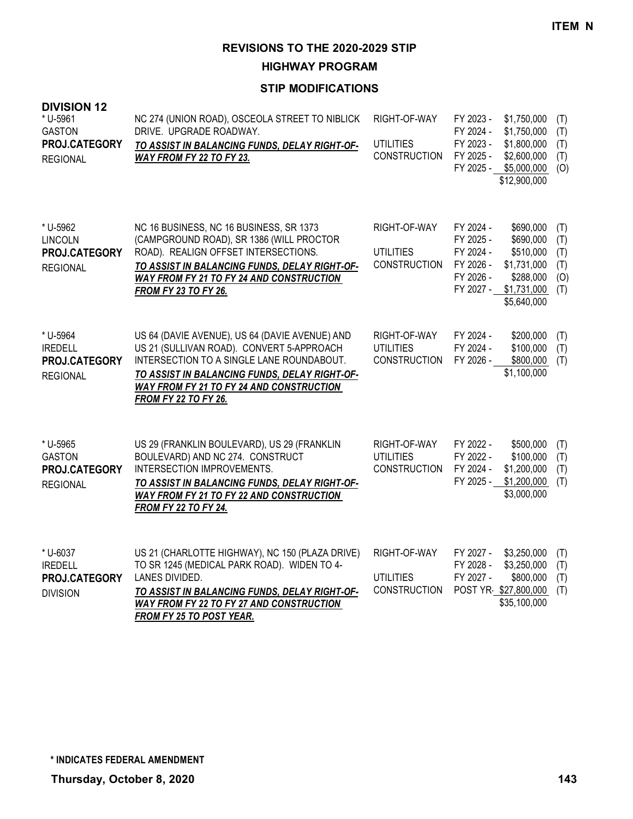**HIGHWAY PROGRAM**

| <b>DIVISION 12</b><br>* U-5961<br><b>GASTON</b><br>PROJ.CATEGORY<br><b>REGIONAL</b> | NC 274 (UNION ROAD), OSCEOLA STREET TO NIBLICK<br>DRIVE. UPGRADE ROADWAY.<br>TO ASSIST IN BALANCING FUNDS, DELAY RIGHT-OF-<br>WAY FROM FY 22 TO FY 23.                                                                                                               | RIGHT-OF-WAY<br><b>UTILITIES</b><br><b>CONSTRUCTION</b> | FY 2023 -<br>\$1,750,000<br>(T)<br>FY 2024 -<br>\$1,750,000<br>(T)<br>FY 2023 -<br>\$1,800,000<br>(T)<br>FY 2025 -<br>\$2,600,000<br>(T)<br>FY 2025 -<br>\$5,000,000<br>(O)<br>\$12,900,000                           |
|-------------------------------------------------------------------------------------|----------------------------------------------------------------------------------------------------------------------------------------------------------------------------------------------------------------------------------------------------------------------|---------------------------------------------------------|-----------------------------------------------------------------------------------------------------------------------------------------------------------------------------------------------------------------------|
| * U-5962<br><b>LINCOLN</b><br>PROJ.CATEGORY<br><b>REGIONAL</b>                      | NC 16 BUSINESS, NC 16 BUSINESS, SR 1373<br>(CAMPGROUND ROAD), SR 1386 (WILL PROCTOR<br>ROAD). REALIGN OFFSET INTERSECTIONS.<br>TO ASSIST IN BALANCING FUNDS, DELAY RIGHT-OF-<br><b>WAY FROM FY 21 TO FY 24 AND CONSTRUCTION</b><br><b>FROM FY 23 TO FY 26.</b>       | RIGHT-OF-WAY<br><b>UTILITIES</b><br><b>CONSTRUCTION</b> | FY 2024 -<br>\$690,000<br>(T)<br>FY 2025 -<br>\$690,000<br>(T)<br>FY 2024 -<br>\$510,000<br>(T)<br>FY 2026 -<br>\$1,731,000<br>(T)<br>FY 2026 -<br>\$288,000<br>(O)<br>FY 2027 -<br>\$1,731,000<br>(T)<br>\$5,640,000 |
| * U-5964<br><b>IREDELL</b><br>PROJ.CATEGORY<br><b>REGIONAL</b>                      | US 64 (DAVIE AVENUE), US 64 (DAVIE AVENUE) AND<br>US 21 (SULLIVAN ROAD). CONVERT 5-APPROACH<br>INTERSECTION TO A SINGLE LANE ROUNDABOUT.<br>TO ASSIST IN BALANCING FUNDS, DELAY RIGHT-OF-<br>WAY FROM FY 21 TO FY 24 AND CONSTRUCTION<br><b>FROM FY 22 TO FY 26.</b> | RIGHT-OF-WAY<br><b>UTILITIES</b><br><b>CONSTRUCTION</b> | FY 2024 -<br>\$200,000<br>(T)<br>FY 2024 -<br>\$100,000<br>(T)<br>FY 2026 -<br>\$800,000<br>(T)<br>\$1,100,000                                                                                                        |
| * U-5965<br><b>GASTON</b><br>PROJ.CATEGORY<br><b>REGIONAL</b>                       | US 29 (FRANKLIN BOULEVARD), US 29 (FRANKLIN<br>BOULEVARD) AND NC 274. CONSTRUCT<br>INTERSECTION IMPROVEMENTS.<br>TO ASSIST IN BALANCING FUNDS, DELAY RIGHT-OF-<br>WAY FROM FY 21 TO FY 22 AND CONSTRUCTION<br><b>FROM FY 22 TO FY 24.</b>                            | RIGHT-OF-WAY<br><b>UTILITIES</b><br><b>CONSTRUCTION</b> | FY 2022 -<br>\$500,000<br>(T)<br>FY 2022 -<br>\$100,000<br>(T)<br>FY 2024 -<br>\$1,200,000<br>(T)<br>FY 2025 -<br>\$1,200,000<br>(T)<br>\$3,000,000                                                                   |
| * U-6037<br><b>IREDELL</b><br>PROJ.CATEGORY<br><b>DIVISION</b>                      | US 21 (CHARLOTTE HIGHWAY), NC 150 (PLAZA DRIVE)<br>TO SR 1245 (MEDICAL PARK ROAD). WIDEN TO 4-<br>LANES DIVIDED.<br>TO ASSIST IN BALANCING FUNDS, DELAY RIGHT-OF-<br><b>WAY FROM FY 22 TO FY 27 AND CONSTRUCTION</b><br>FROM FY 25 TO POST YEAR.                     | RIGHT-OF-WAY<br><b>UTILITIES</b><br><b>CONSTRUCTION</b> | FY 2027 -<br>\$3,250,000<br>(T)<br>FY 2028 -<br>\$3,250,000<br>(T)<br>FY 2027 -<br>\$800,000<br>(T)<br>POST YR \$27,800,000<br>(T)<br>\$35,100,000                                                                    |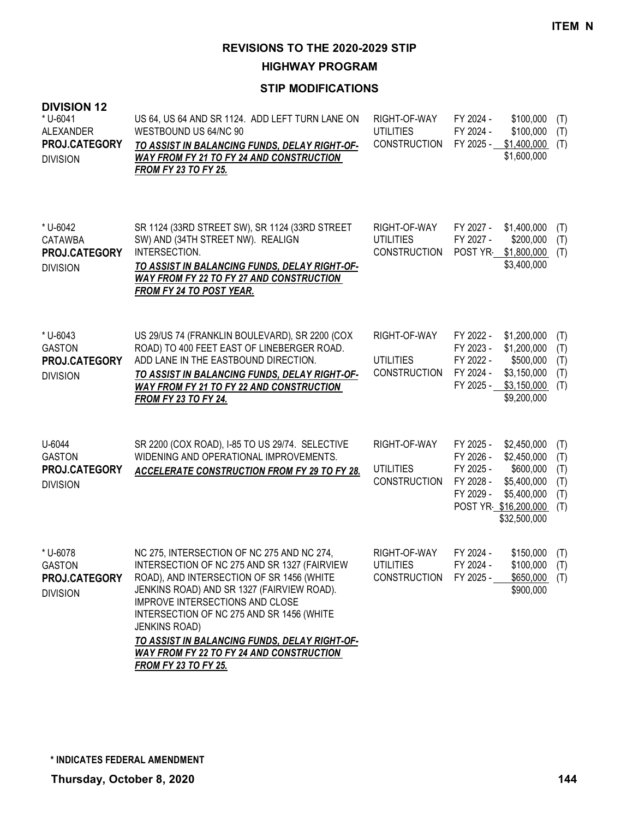**HIGHWAY PROGRAM**

| <b>DIVISION 12</b><br>* U-6041<br><b>ALEXANDER</b><br>PROJ.CATEGORY<br><b>DIVISION</b> | US 64, US 64 AND SR 1124. ADD LEFT TURN LANE ON<br>WESTBOUND US 64/NC 90<br>TO ASSIST IN BALANCING FUNDS, DELAY RIGHT-OF-<br>WAY FROM FY 21 TO FY 24 AND CONSTRUCTION<br><b>FROM FY 23 TO FY 25.</b>                                                                                                                                                                                                                                    | RIGHT-OF-WAY<br><b>UTILITIES</b><br><b>CONSTRUCTION</b> | FY 2024 -<br>FY 2024 -<br>FY 2025 -                                                   | \$100,000<br>\$100,000<br>\$1,400,000<br>\$1,600,000                                  | (T)<br>(T)<br>(T)                      |
|----------------------------------------------------------------------------------------|-----------------------------------------------------------------------------------------------------------------------------------------------------------------------------------------------------------------------------------------------------------------------------------------------------------------------------------------------------------------------------------------------------------------------------------------|---------------------------------------------------------|---------------------------------------------------------------------------------------|---------------------------------------------------------------------------------------|----------------------------------------|
| * U-6042<br><b>CATAWBA</b><br>PROJ.CATEGORY<br><b>DIVISION</b>                         | SR 1124 (33RD STREET SW), SR 1124 (33RD STREET<br>SW) AND (34TH STREET NW). REALIGN<br>INTERSECTION.<br>TO ASSIST IN BALANCING FUNDS, DELAY RIGHT-OF-<br><b>WAY FROM FY 22 TO FY 27 AND CONSTRUCTION</b><br><b>FROM FY 24 TO POST YEAR.</b>                                                                                                                                                                                             | RIGHT-OF-WAY<br><b>UTILITIES</b><br><b>CONSTRUCTION</b> | FY 2027 -<br>FY 2027 -<br>POST YR                                                     | \$1,400,000<br>\$200,000<br>\$1,800,000<br>\$3,400,000                                | (T)<br>(T)<br>(T)                      |
| * U-6043<br><b>GASTON</b><br>PROJ.CATEGORY<br><b>DIVISION</b>                          | US 29/US 74 (FRANKLIN BOULEVARD), SR 2200 (COX<br>ROAD) TO 400 FEET EAST OF LINEBERGER ROAD.<br>ADD LANE IN THE EASTBOUND DIRECTION.<br>TO ASSIST IN BALANCING FUNDS, DELAY RIGHT-OF-<br><b>WAY FROM FY 21 TO FY 22 AND CONSTRUCTION</b><br>FROM FY 23 TO FY 24.                                                                                                                                                                        | RIGHT-OF-WAY<br><b>UTILITIES</b><br><b>CONSTRUCTION</b> | FY 2022 -<br>FY 2023 -<br>FY 2022 -<br>FY 2024 -<br>FY 2025 -                         | \$1,200,000<br>\$1,200,000<br>\$500,000<br>\$3,150,000<br>\$3,150,000<br>\$9,200,000  | (T)<br>(T)<br>(T)<br>(T)<br>(T)        |
| U-6044<br><b>GASTON</b><br>PROJ.CATEGORY<br><b>DIVISION</b>                            | SR 2200 (COX ROAD), I-85 TO US 29/74. SELECTIVE<br>WIDENING AND OPERATIONAL IMPROVEMENTS.<br><b>ACCELERATE CONSTRUCTION FROM FY 29 TO FY 28.</b>                                                                                                                                                                                                                                                                                        | RIGHT-OF-WAY<br><b>UTILITIES</b><br><b>CONSTRUCTION</b> | FY 2025 -<br>FY 2026 -<br>FY 2025 -<br>FY 2028 -<br>FY 2029 -<br>POST YR \$16,200,000 | \$2,450,000<br>\$2,450,000<br>\$600,000<br>\$5,400,000<br>\$5,400,000<br>\$32,500,000 | (T)<br>(T)<br>(T)<br>(T)<br>(T)<br>(T) |
| * U-6078<br><b>GASTON</b><br>PROJ.CATEGORY<br><b>DIVISION</b>                          | NC 275, INTERSECTION OF NC 275 AND NC 274,<br>INTERSECTION OF NC 275 AND SR 1327 (FAIRVIEW<br>ROAD), AND INTERSECTION OF SR 1456 (WHITE<br>JENKINS ROAD) AND SR 1327 (FAIRVIEW ROAD).<br>IMPROVE INTERSECTIONS AND CLOSE<br>INTERSECTION OF NC 275 AND SR 1456 (WHITE<br><b>JENKINS ROAD)</b><br><u>TO ASSIST IN BALANCING FUNDS, DELAY RIGHT-OF-</u><br><b>WAY FROM FY 22 TO FY 24 AND CONSTRUCTION</b><br><b>FROM FY 23 TO FY 25.</b> | RIGHT-OF-WAY<br><b>UTILITIES</b><br><b>CONSTRUCTION</b> | FY 2024 -<br>FY 2024 -<br>FY 2025 -                                                   | \$150,000<br>\$100,000<br>\$650,000<br>\$900,000                                      | (T)<br>(T)<br>(T)                      |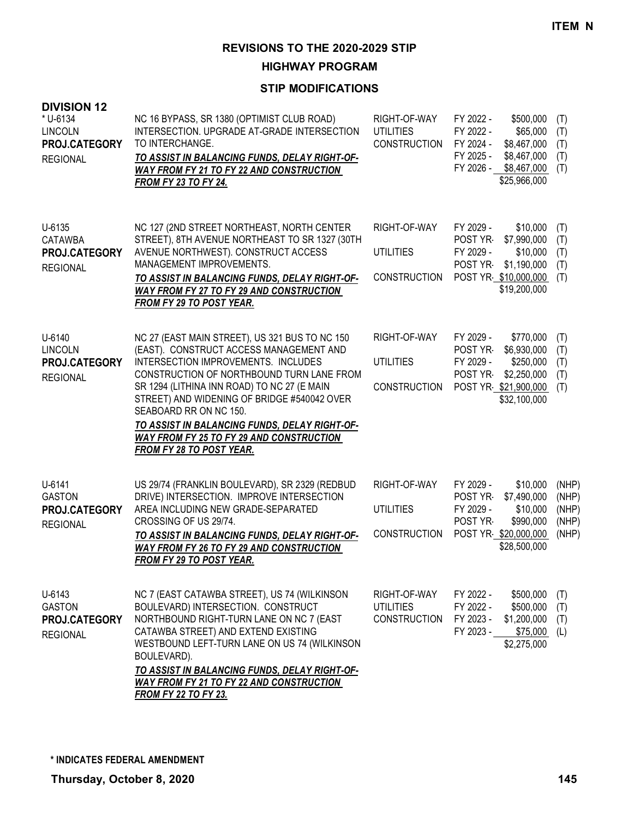**HIGHWAY PROGRAM**

| <b>DIVISION 12</b><br>* U-6134<br><b>LINCOLN</b><br>PROJ.CATEGORY<br><b>REGIONAL</b> | NC 16 BYPASS, SR 1380 (OPTIMIST CLUB ROAD)<br>INTERSECTION, UPGRADE AT-GRADE INTERSECTION<br>TO INTERCHANGE.<br><u>TO ASSIST IN BALANCING FUNDS, DELAY RIGHT-OF-</u><br><b>WAY FROM FY 21 TO FY 22 AND CONSTRUCTION</b><br><b>FROM FY 23 TO FY 24.</b>                                                                                                                                                                                | RIGHT-OF-WAY<br><b>UTILITIES</b><br><b>CONSTRUCTION</b> | FY 2022 -<br>FY 2022 -<br>FY 2024 -<br>FY 2025 -<br>FY 2026 - | \$500,000<br>\$65,000<br>\$8,467,000<br>\$8,467,000<br>\$8,467,000<br>\$25,966,000           | (T)<br>(T)<br>(T)<br>(T)<br>(T)           |
|--------------------------------------------------------------------------------------|---------------------------------------------------------------------------------------------------------------------------------------------------------------------------------------------------------------------------------------------------------------------------------------------------------------------------------------------------------------------------------------------------------------------------------------|---------------------------------------------------------|---------------------------------------------------------------|----------------------------------------------------------------------------------------------|-------------------------------------------|
| U-6135<br><b>CATAWBA</b><br>PROJ.CATEGORY<br><b>REGIONAL</b>                         | NC 127 (2ND STREET NORTHEAST, NORTH CENTER<br>STREET), 8TH AVENUE NORTHEAST TO SR 1327 (30TH<br>AVENUE NORTHWEST). CONSTRUCT ACCESS<br>MANAGEMENT IMPROVEMENTS.<br>TO ASSIST IN BALANCING FUNDS, DELAY RIGHT-OF-<br><b>WAY FROM FY 27 TO FY 29 AND CONSTRUCTION</b><br><b>FROM FY 29 TO POST YEAR.</b>                                                                                                                                | RIGHT-OF-WAY<br><b>UTILITIES</b><br><b>CONSTRUCTION</b> | FY 2029 -<br>POST YR<br>FY 2029 -<br>POST YR                  | \$10,000<br>\$7,990,000<br>\$10,000<br>\$1,190,000<br>POST YR \$10,000,000<br>\$19,200,000   | (T)<br>(T)<br>(T)<br>(T)<br>(T)           |
| U-6140<br><b>LINCOLN</b><br>PROJ.CATEGORY<br><b>REGIONAL</b>                         | NC 27 (EAST MAIN STREET), US 321 BUS TO NC 150<br>(EAST). CONSTRUCT ACCESS MANAGEMENT AND<br>INTERSECTION IMPROVEMENTS. INCLUDES<br>CONSTRUCTION OF NORTHBOUND TURN LANE FROM<br>SR 1294 (LITHINA INN ROAD) TO NC 27 (E MAIN<br>STREET) AND WIDENING OF BRIDGE #540042 OVER<br>SEABOARD RR ON NC 150.<br>TO ASSIST IN BALANCING FUNDS, DELAY RIGHT-OF-<br><b>WAY FROM FY 25 TO FY 29 AND CONSTRUCTION</b><br>FROM FY 28 TO POST YEAR. | RIGHT-OF-WAY<br><b>UTILITIES</b><br><b>CONSTRUCTION</b> | FY 2029 -<br>POST YR-<br>FY 2029 -<br>POST YR                 | \$770,000<br>\$6,930,000<br>\$250,000<br>\$2,250,000<br>POST YR \$21,900,000<br>\$32,100,000 | (T)<br>(T)<br>(T)<br>(T)<br>(T)           |
| U-6141<br><b>GASTON</b><br>PROJ.CATEGORY<br><b>REGIONAL</b>                          | US 29/74 (FRANKLIN BOULEVARD), SR 2329 (REDBUD<br>DRIVE) INTERSECTION. IMPROVE INTERSECTION<br>AREA INCLUDING NEW GRADE-SEPARATED<br>CROSSING OF US 29/74.<br>TO ASSIST IN BALANCING FUNDS, DELAY RIGHT-OF-<br><b>WAY FROM FY 26 TO FY 29 AND CONSTRUCTION</b><br><b>FROM FY 29 TO POST YEAR.</b>                                                                                                                                     | RIGHT-OF-WAY<br><b>UTILITIES</b><br>CONSTRUCTION        | FY 2029 -<br>POST YR-<br>FY 2029 -<br>POST YR-                | \$10,000<br>\$7,490,000<br>\$10,000<br>\$990,000<br>POST YR \$20,000,000<br>\$28,500,000     | (NHP)<br>(NHP)<br>(NHP)<br>(NHP)<br>(NHP) |
| U-6143<br><b>GASTON</b><br>PROJ.CATEGORY<br><b>REGIONAL</b>                          | NC 7 (EAST CATAWBA STREET), US 74 (WILKINSON<br>BOULEVARD) INTERSECTION. CONSTRUCT<br>NORTHBOUND RIGHT-TURN LANE ON NC 7 (EAST<br>CATAWBA STREET) AND EXTEND EXISTING<br>WESTBOUND LEFT-TURN LANE ON US 74 (WILKINSON<br>BOULEVARD).<br><u>TO ASSIST IN BALANCING FUNDS, DELAY RIGHT-OF-</u><br><b>WAY FROM FY 21 TO FY 22 AND CONSTRUCTION</b><br><b>FROM FY 22 TO FY 23.</b>                                                        | RIGHT-OF-WAY<br><b>UTILITIES</b><br><b>CONSTRUCTION</b> | FY 2022 -<br>FY 2022 -<br>FY 2023 -<br>FY 2023 -              | \$500,000<br>\$500,000<br>\$1,200,000<br>\$75,000<br>\$2,275,000                             | (T)<br>(T)<br>(T)<br>(L)                  |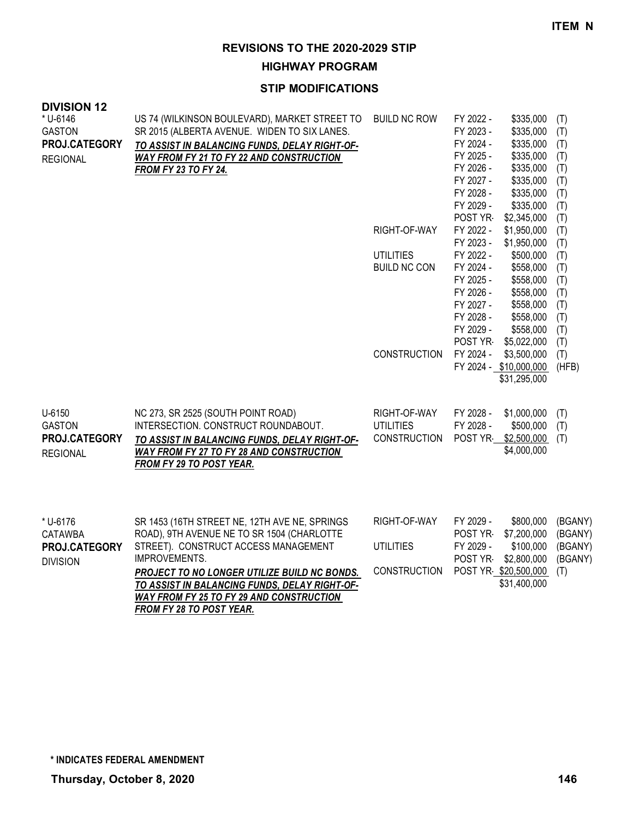**HIGHWAY PROGRAM**

## **STIP MODIFICATIONS**

| <b>DIVISION 12</b><br>* U-6146 | US 74 (WILKINSON BOULEVARD), MARKET STREET TO        | <b>BUILD NC ROW</b> | FY 2022 -              | \$335,000                  |              |
|--------------------------------|------------------------------------------------------|---------------------|------------------------|----------------------------|--------------|
| <b>GASTON</b>                  | SR 2015 (ALBERTA AVENUE. WIDEN TO SIX LANES.         |                     | FY 2023 -              | \$335,000                  | (T)<br>(T)   |
| PROJ.CATEGORY                  | TO ASSIST IN BALANCING FUNDS, DELAY RIGHT-OF-        |                     | FY 2024 -              | \$335,000                  | (T)          |
| <b>REGIONAL</b>                | <b>WAY FROM FY 21 TO FY 22 AND CONSTRUCTION</b>      |                     | FY 2025 -              | \$335,000                  | (T)          |
|                                | <b>FROM FY 23 TO FY 24.</b>                          |                     | FY 2026 -              | \$335,000                  | (T)          |
|                                |                                                      |                     | FY 2027 -              | \$335,000                  | (T)          |
|                                |                                                      |                     | FY 2028 -              | \$335,000                  | (T)          |
|                                |                                                      |                     | FY 2029 -              | \$335,000                  | (T)          |
|                                |                                                      |                     | POST YR                | \$2,345,000                | (T)          |
|                                |                                                      | RIGHT-OF-WAY        | FY 2022 -              | \$1,950,000                | (T)          |
|                                |                                                      |                     | FY 2023 -              | \$1,950,000                | (T)          |
|                                |                                                      | <b>UTILITIES</b>    | FY 2022 -              | \$500,000                  | (T)          |
|                                |                                                      | <b>BUILD NC CON</b> | FY 2024 -              | \$558,000                  | (T)          |
|                                |                                                      |                     | FY 2025 -              | \$558,000                  | (T)          |
|                                |                                                      |                     | FY 2026 -              | \$558,000                  | (T)          |
|                                |                                                      |                     | FY 2027 -              | \$558,000                  | (T)          |
|                                |                                                      |                     | FY 2028 -              | \$558,000                  | (T)          |
|                                |                                                      |                     | FY 2029 -              | \$558,000                  | (T)          |
|                                |                                                      | <b>CONSTRUCTION</b> | POST YR<br>FY 2024 -   | \$5,022,000<br>\$3,500,000 | (T)          |
|                                |                                                      |                     | FY 2024 - \$10,000,000 |                            | (T)<br>(HFB) |
|                                |                                                      |                     |                        | \$31,295,000               |              |
|                                |                                                      |                     |                        |                            |              |
| U-6150                         | NC 273, SR 2525 (SOUTH POINT ROAD)                   | RIGHT-OF-WAY        | FY 2028 -              | \$1,000,000                | (T)          |
| <b>GASTON</b>                  | INTERSECTION. CONSTRUCT ROUNDABOUT.                  | <b>UTILITIES</b>    | FY 2028 -              | \$500,000                  | (T)          |
| PROJ.CATEGORY                  | TO ASSIST IN BALANCING FUNDS, DELAY RIGHT-OF-        | <b>CONSTRUCTION</b> | POST YR                | \$2,500,000                | (T)          |
| <b>REGIONAL</b>                | WAY FROM FY 27 TO FY 28 AND CONSTRUCTION             |                     |                        | \$4,000,000                |              |
|                                | FROM FY 29 TO POST YEAR.                             |                     |                        |                            |              |
|                                |                                                      |                     |                        |                            |              |
|                                |                                                      |                     |                        |                            |              |
| * U-6176                       | SR 1453 (16TH STREET NE, 12TH AVE NE, SPRINGS        | RIGHT-OF-WAY        | FY 2029 -              | \$800,000                  | (BGANY)      |
| <b>CATAWBA</b>                 | ROAD), 9TH AVENUE NE TO SR 1504 (CHARLOTTE           |                     | POST YR-               | \$7,200,000                | (BGANY)      |
| PROJ.CATEGORY                  | STREET). CONSTRUCT ACCESS MANAGEMENT                 | <b>UTILITIES</b>    | FY 2029 -              | \$100,000                  | (BGANY)      |
| <b>DIVISION</b>                | IMPROVEMENTS.                                        |                     | POST YR-               | \$2,800,000                | (BGANY)      |
|                                | PROJECT TO NO LONGER UTILIZE BUILD NC BONDS.         | <b>CONSTRUCTION</b> | POST YR \$20,500,000   |                            | (T)          |
|                                | <u>TO ASSIST IN BALANCING FUNDS, DELAY RIGHT-OF-</u> |                     |                        | \$31,400,000               |              |
|                                | <b>WAY FROM FY 25 TO FY 29 AND CONSTRUCTION</b>      |                     |                        |                            |              |

*FROM FY 28 TO POST YEAR.*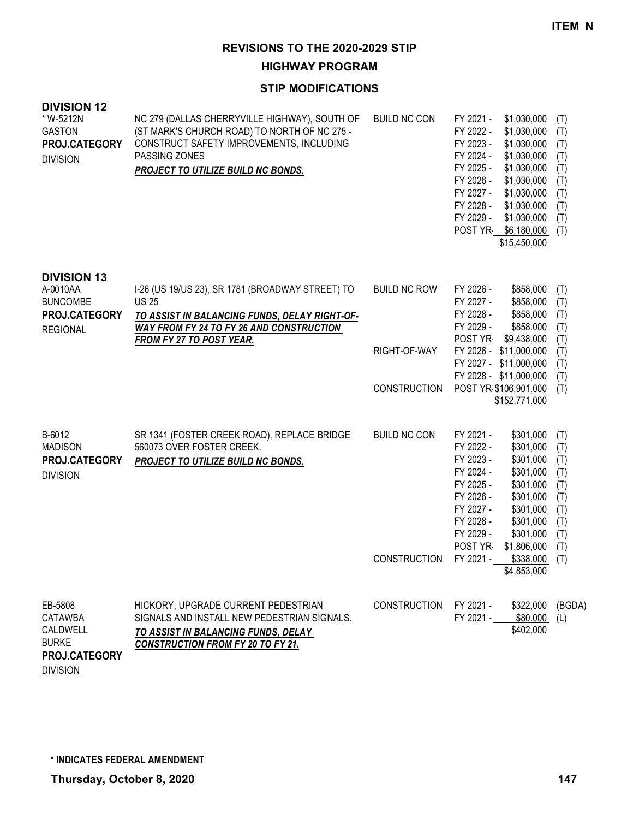**HIGHWAY PROGRAM**

## **STIP MODIFICATIONS**

| <b>DIVISION 12</b><br>* W-5212N<br><b>GASTON</b><br>PROJ.CATEGORY<br><b>DIVISION</b>  | NC 279 (DALLAS CHERRYVILLE HIGHWAY), SOUTH OF<br>(ST MARK'S CHURCH ROAD) TO NORTH OF NC 275 -<br>CONSTRUCT SAFETY IMPROVEMENTS, INCLUDING<br>PASSING ZONES<br><b>PROJECT TO UTILIZE BUILD NC BONDS.</b> | <b>BUILD NC CON</b> | FY 2021 -<br>\$1,030,000<br>FY 2022 -<br>\$1,030,000<br>FY 2023 -<br>\$1,030,000<br>FY 2024 -<br>\$1,030,000<br>FY 2025 -<br>\$1,030,000<br>FY 2026 -<br>\$1,030,000<br>FY 2027 -<br>\$1,030,000<br>FY 2028 -<br>\$1,030,000<br>FY 2029 -<br>\$1,030,000<br>POST YR \$6,180,000<br>\$15,450,000 | (T)<br>(T)<br>(T)<br>(T)<br>(T)<br>(T)<br>(T)<br>(T)<br>(T)<br>(T) |
|---------------------------------------------------------------------------------------|---------------------------------------------------------------------------------------------------------------------------------------------------------------------------------------------------------|---------------------|-------------------------------------------------------------------------------------------------------------------------------------------------------------------------------------------------------------------------------------------------------------------------------------------------|--------------------------------------------------------------------|
| <b>DIVISION 13</b><br>A-0010AA<br><b>BUNCOMBE</b><br>PROJ.CATEGORY<br><b>REGIONAL</b> | I-26 (US 19/US 23), SR 1781 (BROADWAY STREET) TO<br><b>US 25</b><br>TO ASSIST IN BALANCING FUNDS, DELAY RIGHT-OF-<br><b>WAY FROM FY 24 TO FY 26 AND CONSTRUCTION</b>                                    | <b>BUILD NC ROW</b> | FY 2026 -<br>\$858,000<br>FY 2027 -<br>\$858,000<br>FY 2028 -<br>\$858,000<br>FY 2029 -<br>\$858,000                                                                                                                                                                                            | (T)<br>(T)<br>(T)<br>(T)                                           |
|                                                                                       | <b>FROM FY 27 TO POST YEAR.</b>                                                                                                                                                                         | RIGHT-OF-WAY        | \$9,438,000<br>POST YR<br>FY 2026 - \$11,000,000<br>FY 2027 - \$11,000,000                                                                                                                                                                                                                      | (T)<br>(T)<br>(T)                                                  |
|                                                                                       |                                                                                                                                                                                                         | <b>CONSTRUCTION</b> | FY 2028 - \$11,000,000<br>POST YR \$106,901,000<br>\$152,771,000                                                                                                                                                                                                                                | (T)<br>(T)                                                         |
| B-6012<br><b>MADISON</b><br>PROJ.CATEGORY<br><b>DIVISION</b>                          | SR 1341 (FOSTER CREEK ROAD), REPLACE BRIDGE<br>560073 OVER FOSTER CREEK.<br>PROJECT TO UTILIZE BUILD NC BONDS.                                                                                          | <b>BUILD NC CON</b> | FY 2021 -<br>\$301,000<br>FY 2022 -<br>\$301,000<br>FY 2023 -<br>\$301,000<br>FY 2024 -<br>\$301,000<br>FY 2025 -<br>\$301,000<br>FY 2026 -<br>\$301,000<br>FY 2027 -<br>\$301,000<br>FY 2028 -<br>\$301,000<br>\$301,000<br>FY 2029 -<br>POST YR<br>\$1,806,000                                | (T)<br>(T)<br>(T)<br>(T)<br>(T)<br>(T)<br>(T)<br>(T)<br>(T)<br>(T) |
|                                                                                       |                                                                                                                                                                                                         | <b>CONSTRUCTION</b> | FY 2021 -<br>\$338,000<br>\$4,853,000                                                                                                                                                                                                                                                           | (T)                                                                |
| EB-5808<br><b>CATAWBA</b><br>CALDWELL<br><b>BURKE</b>                                 | HICKORY, UPGRADE CURRENT PEDESTRIAN<br>SIGNALS AND INSTALL NEW PEDESTRIAN SIGNALS.<br>TO ASSIST IN BALANCING FUNDS, DELAY<br><b>CONSTRUCTION FROM FY 20 TO FY 21.</b>                                   | <b>CONSTRUCTION</b> | FY 2021 -<br>\$322,000<br>FY 2021 -<br>\$80,000<br>\$402,000                                                                                                                                                                                                                                    | (BGDA)<br>(L)                                                      |

DIVISION **PROJ.CATEGORY**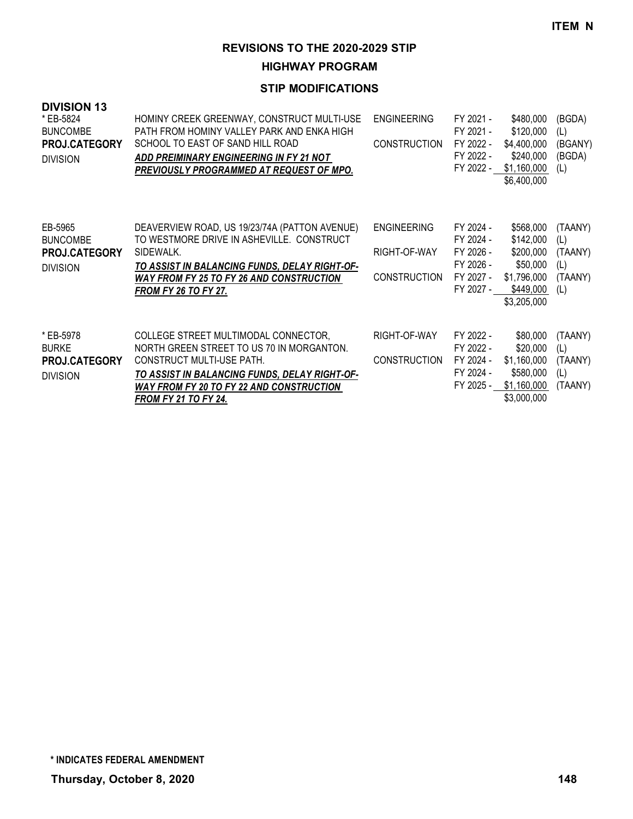**HIGHWAY PROGRAM**

| <b>DIVISION 13</b><br>* EB-5824<br><b>BUNCOMBE</b><br><b>PROJ.CATEGORY</b><br><b>DIVISION</b> | HOMINY CREEK GREENWAY, CONSTRUCT MULTI-USE<br>PATH FROM HOMINY VALLEY PARK AND ENKA HIGH<br>SCHOOL TO EAST OF SAND HILL ROAD<br>ADD PREIMINARY ENGINEERING IN FY 21 NOT<br>PREVIOUSLY PROGRAMMED AT REQUEST OF MPO.                               | <b>ENGINEERING</b><br><b>CONSTRUCTION</b>                 | FY 2021 -<br>FY 2021 -<br>FY 2022 -<br>FY 2022 -<br>FY 2022 -              | \$480,000<br>\$120,000<br>\$4,400,000<br>\$240,000<br>\$1,160,000<br>\$6,400,000           | (BGDA)<br>(L)<br>(BGANY)<br>(BGDA)<br>(L)          |
|-----------------------------------------------------------------------------------------------|---------------------------------------------------------------------------------------------------------------------------------------------------------------------------------------------------------------------------------------------------|-----------------------------------------------------------|----------------------------------------------------------------------------|--------------------------------------------------------------------------------------------|----------------------------------------------------|
| EB-5965<br><b>BUNCOMBE</b><br><b>PROJ.CATEGORY</b><br><b>DIVISION</b>                         | DEAVERVIEW ROAD, US 19/23/74A (PATTON AVENUE)<br>TO WESTMORE DRIVE IN ASHEVILLE. CONSTRUCT<br>SIDEWALK.<br>TO ASSIST IN BALANCING FUNDS, DELAY RIGHT-OF-<br><b>WAY FROM FY 25 TO FY 26 AND CONSTRUCTION</b><br><b>FROM FY 26 TO FY 27.</b>        | <b>ENGINEERING</b><br>RIGHT-OF-WAY<br><b>CONSTRUCTION</b> | FY 2024 -<br>FY 2024 -<br>FY 2026 -<br>FY 2026 -<br>FY 2027 -<br>FY 2027 - | \$568,000<br>\$142,000<br>\$200,000<br>\$50,000<br>\$1,796,000<br>\$449,000<br>\$3,205,000 | (TAANY)<br>(L)<br>(TAANY)<br>(L)<br>(TAANY)<br>(L) |
| * EB-5978<br><b>BURKE</b><br>PROJ.CATEGORY<br><b>DIVISION</b>                                 | COLLEGE STREET MULTIMODAL CONNECTOR,<br>NORTH GREEN STREET TO US 70 IN MORGANTON.<br>CONSTRUCT MULTI-USE PATH.<br>TO ASSIST IN BALANCING FUNDS, DELAY RIGHT-OF-<br><b>WAY FROM FY 20 TO FY 22 AND CONSTRUCTION</b><br><b>FROM FY 21 TO FY 24.</b> | RIGHT-OF-WAY<br><b>CONSTRUCTION</b>                       | FY 2022 -<br>FY 2022 -<br>FY 2024 -<br>FY 2024 -<br>FY 2025 -              | \$80,000<br>\$20,000<br>\$1,160,000<br>\$580,000<br>\$1,160,000<br>\$3,000,000             | (TAANY)<br>(L)<br>(TAANY)<br>(L)<br>(TAANY)        |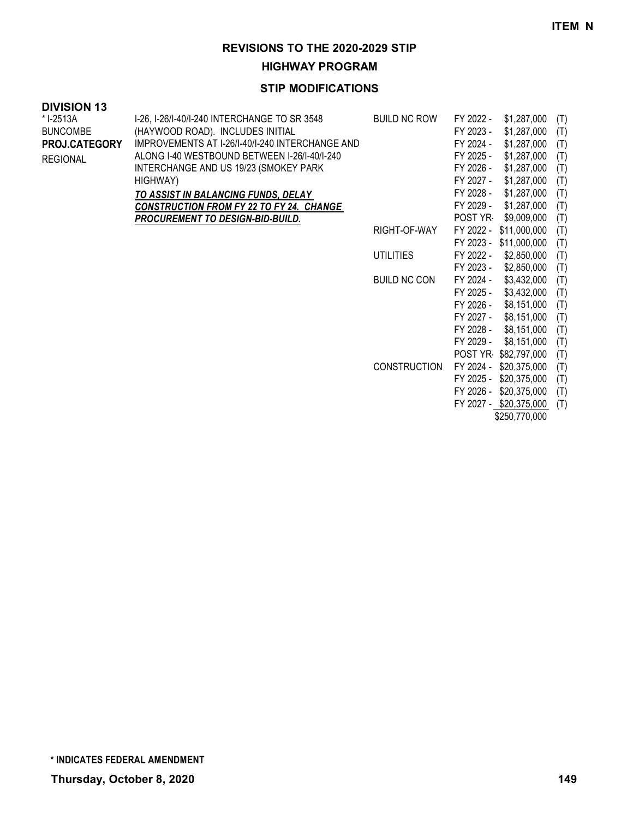**HIGHWAY PROGRAM**

## **STIP MODIFICATIONS**

# **DIVISION 13**

| * I-2513A            | I-26, I-26/I-40/I-240 INTERCHANGE TO SR 3548    | <b>BUILD NC ROW</b> | FY 2022 - | \$1,287,000            | (T) |
|----------------------|-------------------------------------------------|---------------------|-----------|------------------------|-----|
| <b>BUNCOMBE</b>      | (HAYWOOD ROAD). INCLUDES INITIAL                |                     | FY 2023 - | \$1,287,000            | (T) |
| <b>PROJ.CATEGORY</b> | IMPROVEMENTS AT I-26/I-40/I-240 INTERCHANGE AND |                     | FY 2024 - | \$1,287,000            | (T) |
| <b>REGIONAL</b>      | ALONG I-40 WESTBOUND BETWEEN I-26/I-40/I-240    |                     | FY 2025 - | \$1,287,000            | (T) |
|                      | INTERCHANGE AND US 19/23 (SMOKEY PARK           |                     | FY 2026 - | \$1,287,000            | (T) |
|                      | HIGHWAY)                                        |                     | FY 2027 - | \$1,287,000            | (T) |
|                      | TO ASSIST IN BALANCING FUNDS, DELAY             |                     | FY 2028 - | \$1,287,000            | (T) |
|                      | <b>CONSTRUCTION FROM FY 22 TO FY 24. CHANGE</b> |                     | FY 2029 - | \$1,287,000            | (T) |
|                      | <b>PROCUREMENT TO DESIGN-BID-BUILD.</b>         |                     | POST YR-  | \$9,009,000            | (T) |
|                      |                                                 | RIGHT-OF-WAY        |           | FY 2022 - \$11,000,000 | (T) |
|                      |                                                 |                     |           | FY 2023 - \$11,000,000 | (T) |
|                      |                                                 | <b>UTILITIES</b>    | FY 2022 - | \$2,850,000            | (T) |
|                      |                                                 |                     | FY 2023 - | \$2,850,000            | (T) |
|                      |                                                 | <b>BUILD NC CON</b> | FY 2024 - | \$3,432,000            | (T) |
|                      |                                                 |                     | FY 2025 - | \$3,432,000            | (T) |
|                      |                                                 |                     | FY 2026 - | \$8,151,000            | (T) |
|                      |                                                 |                     | FY 2027 - | \$8,151,000            | (T) |
|                      |                                                 |                     | FY 2028 - | \$8,151,000            | (T) |
|                      |                                                 |                     | FY 2029 - | \$8,151,000            | (T) |
|                      |                                                 |                     |           | POST YR \$82,797,000   | (T) |
|                      |                                                 | <b>CONSTRUCTION</b> |           | FY 2024 - \$20,375,000 | (T) |
|                      |                                                 |                     | FY 2025 - | \$20,375,000           | (T) |
|                      |                                                 |                     | FY 2026 - | \$20,375,000           | (T) |
|                      |                                                 |                     |           | FY 2027 - \$20,375,000 | (T) |

\$250,770,000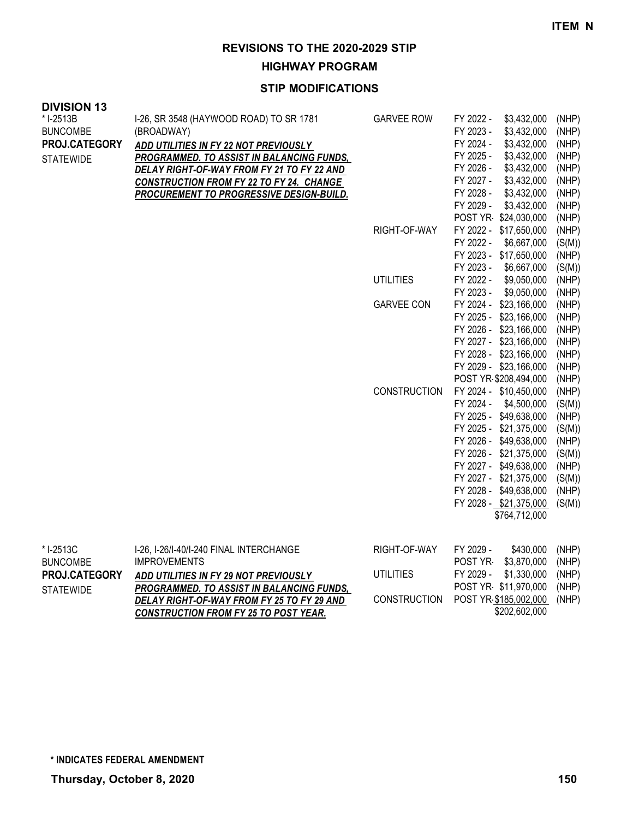**HIGHWAY PROGRAM**

| <b>DIVISION 13</b><br>* I-2513B | I-26, SR 3548 (HAYWOOD ROAD) TO SR 1781          | <b>GARVEE ROW</b>   | FY 2022 -<br>\$3,432,000                           | (NHP)           |
|---------------------------------|--------------------------------------------------|---------------------|----------------------------------------------------|-----------------|
| <b>BUNCOMBE</b>                 | (BROADWAY)                                       |                     | FY 2023 -<br>\$3,432,000                           | (NHP)           |
| PROJ.CATEGORY                   | ADD UTILITIES IN FY 22 NOT PREVIOUSLY            |                     | FY 2024 -<br>\$3,432,000                           | (NHP)           |
| <b>STATEWIDE</b>                | <b>PROGRAMMED. TO ASSIST IN BALANCING FUNDS,</b> |                     | FY 2025 -<br>\$3,432,000                           | (NHP)           |
|                                 | DELAY RIGHT-OF-WAY FROM FY 21 TO FY 22 AND       |                     | FY 2026 -<br>\$3,432,000                           | (NHP)           |
|                                 | <b>CONSTRUCTION FROM FY 22 TO FY 24. CHANGE</b>  |                     | \$3,432,000<br>FY 2027 -                           | (NHP)           |
|                                 | <b>PROCUREMENT TO PROGRESSIVE DESIGN-BUILD.</b>  |                     | \$3,432,000<br>FY 2028 -                           | (NHP)           |
|                                 |                                                  |                     | FY 2029 -<br>\$3,432,000                           | (NHP)           |
|                                 |                                                  |                     | POST YR \$24,030,000                               | (NHP)           |
|                                 |                                                  | RIGHT-OF-WAY        | FY 2022 - \$17,650,000                             | (NHP)           |
|                                 |                                                  |                     | FY 2022 -<br>\$6,667,000                           | (S(M))          |
|                                 |                                                  |                     | FY 2023 - \$17,650,000                             | (NHP)           |
|                                 |                                                  |                     | FY 2023 -<br>\$6,667,000                           | (S(M))          |
|                                 |                                                  | <b>UTILITIES</b>    | FY 2022 -<br>\$9,050,000                           | (NHP)           |
|                                 |                                                  |                     | FY 2023 -<br>\$9,050,000                           | (NHP)           |
|                                 |                                                  | <b>GARVEE CON</b>   | FY 2024 - \$23,166,000                             | (NHP)           |
|                                 |                                                  |                     | FY 2025 - \$23,166,000                             | (NHP)           |
|                                 |                                                  |                     | FY 2026 - \$23,166,000                             | (NHP)           |
|                                 |                                                  |                     | FY 2027 - \$23,166,000                             | (NHP)           |
|                                 |                                                  |                     | FY 2028 - \$23,166,000                             | (NHP)           |
|                                 |                                                  |                     | FY 2029 - \$23,166,000                             | (NHP)           |
|                                 |                                                  | <b>CONSTRUCTION</b> | POST YR \$208,494,000                              | (NHP)           |
|                                 |                                                  |                     | FY 2024 - \$10,450,000<br>FY 2024 -<br>\$4,500,000 | (NHP)           |
|                                 |                                                  |                     | FY 2025 - \$49,638,000                             | (S(M))<br>(NHP) |
|                                 |                                                  |                     | FY 2025 - \$21,375,000                             | (S(M))          |
|                                 |                                                  |                     | FY 2026 - \$49,638,000                             | (NHP)           |
|                                 |                                                  |                     | FY 2026 - \$21,375,000                             |                 |
|                                 |                                                  |                     | FY 2027 - \$49,638,000                             | (S(M))<br>(NHP) |
|                                 |                                                  |                     | FY 2027 - \$21,375,000                             | (S(M))          |
|                                 |                                                  |                     | FY 2028 - \$49,638,000                             | (NHP)           |
|                                 |                                                  |                     | FY 2028 - \$21,375,000                             | (S(M))          |
|                                 |                                                  |                     | \$764,712,000                                      |                 |
|                                 |                                                  |                     |                                                    |                 |
| * I-2513C                       | I-26, I-26/I-40/I-240 FINAL INTERCHANGE          | RIGHT-OF-WAY        | FY 2029 -<br>\$430,000                             | (NHP)           |
| <b>BUNCOMBE</b>                 | <b>IMPROVEMENTS</b>                              |                     | POST YR-<br>\$3,870,000                            | (NHP)           |
| PROJ.CATEGORY                   | ADD UTILITIES IN FY 29 NOT PREVIOUSLY            | <b>UTILITIES</b>    | FY 2029 -<br>\$1,330,000                           | (NHP)           |
| <b>STATEWIDE</b>                | PROGRAMMED. TO ASSIST IN BALANCING FUNDS,        |                     | POST YR \$11,970,000                               | (NHP)           |
|                                 | DELAY RIGHT-OF-WAY FROM FY 25 TO FY 29 AND       | <b>CONSTRUCTION</b> | POST YR \$185,002,000                              | (NHP)           |
|                                 | <b>CONSTRUCTION FROM FY 25 TO POST YEAR.</b>     |                     | \$202,602,000                                      |                 |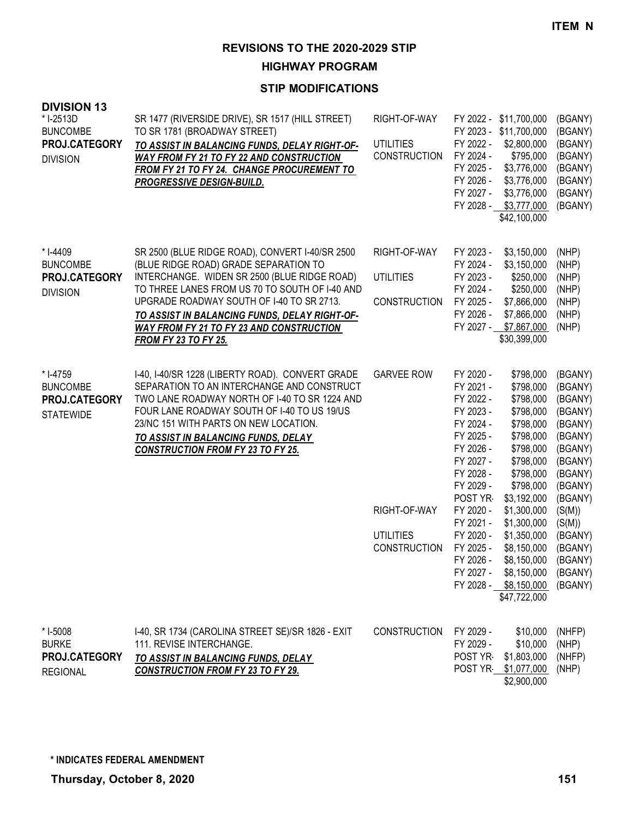**HIGHWAY PROGRAM**

| <b>DIVISION 13</b><br>* I-2513D<br><b>BUNCOMBE</b><br>PROJ.CATEGORY<br><b>DIVISION</b> | SR 1477 (RIVERSIDE DRIVE), SR 1517 (HILL STREET)<br>TO SR 1781 (BROADWAY STREET)<br>TO ASSIST IN BALANCING FUNDS, DELAY RIGHT-OF-<br><b>WAY FROM FY 21 TO FY 22 AND CONSTRUCTION</b><br>FROM FY 21 TO FY 24. CHANGE PROCUREMENT TO<br><b>PROGRESSIVE DESIGN-BUILD.</b>                                                                                                     | RIGHT-OF-WAY<br><b>UTILITIES</b><br>CONSTRUCTION                             | FY 2022 - \$11,700,000<br>FY 2023 - \$11,700,000<br>FY 2022 -<br>\$2,800,000<br>FY 2024 -<br>\$795,000<br>\$3,776,000<br>FY 2025 -<br>FY 2026 -<br>\$3,776,000<br>FY 2027 -<br>\$3,776,000<br>FY 2028 -<br>\$3,777,000<br>\$42,100,000                                                                                                                                                                                                                                                                   | (BGANY)<br>(BGANY)<br>(BGANY)<br>(BGANY)<br>(BGANY)<br>(BGANY)<br>(BGANY)<br>(BGANY)                                                                                                             |
|----------------------------------------------------------------------------------------|----------------------------------------------------------------------------------------------------------------------------------------------------------------------------------------------------------------------------------------------------------------------------------------------------------------------------------------------------------------------------|------------------------------------------------------------------------------|----------------------------------------------------------------------------------------------------------------------------------------------------------------------------------------------------------------------------------------------------------------------------------------------------------------------------------------------------------------------------------------------------------------------------------------------------------------------------------------------------------|--------------------------------------------------------------------------------------------------------------------------------------------------------------------------------------------------|
| * I-4409<br><b>BUNCOMBE</b><br>PROJ.CATEGORY<br><b>DIVISION</b>                        | SR 2500 (BLUE RIDGE ROAD), CONVERT I-40/SR 2500<br>(BLUE RIDGE ROAD) GRADE SEPARATION TO<br>INTERCHANGE. WIDEN SR 2500 (BLUE RIDGE ROAD)<br>TO THREE LANES FROM US 70 TO SOUTH OF I-40 AND<br>UPGRADE ROADWAY SOUTH OF 1-40 TO SR 2713.<br>TO ASSIST IN BALANCING FUNDS, DELAY RIGHT-OF-<br><b>WAY FROM FY 21 TO FY 23 AND CONSTRUCTION</b><br><b>FROM FY 23 TO FY 25.</b> | RIGHT-OF-WAY<br><b>UTILITIES</b><br><b>CONSTRUCTION</b>                      | FY 2023 -<br>\$3,150,000<br>FY 2024 -<br>\$3,150,000<br>FY 2023 -<br>\$250,000<br>FY 2024 -<br>\$250,000<br>FY 2025 -<br>\$7,866,000<br>FY 2026 -<br>\$7,866,000<br>FY 2027 - \$7,867,000<br>\$30,399,000                                                                                                                                                                                                                                                                                                | (NHP)<br>(NHP)<br>(NHP)<br>(NHP)<br>(NHP)<br>(NHP)<br>(NHP)                                                                                                                                      |
| * I-4759<br><b>BUNCOMBE</b><br>PROJ.CATEGORY<br><b>STATEWIDE</b>                       | I-40, I-40/SR 1228 (LIBERTY ROAD). CONVERT GRADE<br>SEPARATION TO AN INTERCHANGE AND CONSTRUCT<br>TWO LANE ROADWAY NORTH OF I-40 TO SR 1224 AND<br>FOUR LANE ROADWAY SOUTH OF I-40 TO US 19/US<br>23/NC 151 WITH PARTS ON NEW LOCATION.<br>TO ASSIST IN BALANCING FUNDS, DELAY<br><b>CONSTRUCTION FROM FY 23 TO FY 25.</b>                                                 | <b>GARVEE ROW</b><br>RIGHT-OF-WAY<br><b>UTILITIES</b><br><b>CONSTRUCTION</b> | FY 2020 -<br>\$798,000<br>FY 2021 -<br>\$798,000<br>FY 2022 -<br>\$798,000<br>FY 2023 -<br>\$798,000<br>FY 2024 -<br>\$798,000<br>FY 2025 -<br>\$798,000<br>FY 2026 -<br>\$798,000<br>FY 2027 -<br>\$798,000<br>FY 2028 -<br>\$798,000<br>FY 2029 -<br>\$798,000<br>POST YR<br>\$3,192,000<br>FY 2020 -<br>\$1,300,000<br>FY 2021 -<br>\$1,300,000<br>FY 2020 -<br>\$1,350,000<br>FY 2025 -<br>\$8,150,000<br>FY 2026 -<br>\$8,150,000<br>FY 2027 - \$8,150,000<br>FY 2028 - \$8,150,000<br>\$47,722,000 | (BGANY)<br>(BGANY)<br>(BGANY)<br>(BGANY)<br>(BGANY)<br>(BGANY)<br>(BGANY)<br>(BGANY)<br>(BGANY)<br>(BGANY)<br>(BGANY)<br>(S(M))<br>(S(M))<br>(BGANY)<br>(BGANY)<br>(BGANY)<br>(BGANY)<br>(BGANY) |
| * I-5008<br><b>BURKE</b><br>PROJ.CATEGORY<br><b>REGIONAL</b>                           | I-40, SR 1734 (CAROLINA STREET SE)/SR 1826 - EXIT<br>111. REVISE INTERCHANGE.<br>TO ASSIST IN BALANCING FUNDS, DELAY<br><b>CONSTRUCTION FROM FY 23 TO FY 29.</b>                                                                                                                                                                                                           | <b>CONSTRUCTION</b>                                                          | FY 2029 -<br>\$10,000<br>FY 2029 -<br>\$10,000<br>POST YR-<br>\$1,803,000<br>POST YR \$1,077,000<br>\$2,900,000                                                                                                                                                                                                                                                                                                                                                                                          | (NHFP)<br>(NHP)<br>(NHFP)<br>(NHP)                                                                                                                                                               |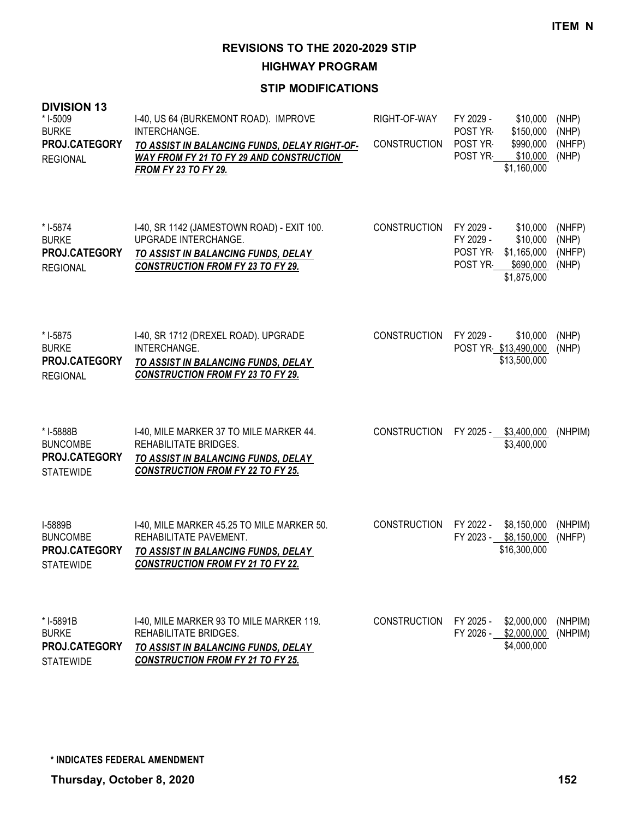**HIGHWAY PROGRAM**

| <b>DIVISION 13</b><br>* I-5009<br><b>BURKE</b><br>PROJ.CATEGORY<br><b>REGIONAL</b> | I-40, US 64 (BURKEMONT ROAD). IMPROVE<br>INTERCHANGE.<br>TO ASSIST IN BALANCING FUNDS, DELAY RIGHT-OF-<br><b>WAY FROM FY 21 TO FY 29 AND CONSTRUCTION</b><br>FROM FY 23 TO FY 29. | RIGHT-OF-WAY<br><b>CONSTRUCTION</b> | FY 2029 -<br>\$10,000<br>POST YR<br>\$150,000<br>POST YR-<br>\$990,000<br>POST YR<br>\$10,000<br>\$1,160,000    | (NHP)<br>(NHP)<br>(NHFP)<br>(NHP)  |
|------------------------------------------------------------------------------------|-----------------------------------------------------------------------------------------------------------------------------------------------------------------------------------|-------------------------------------|-----------------------------------------------------------------------------------------------------------------|------------------------------------|
| * I-5874<br><b>BURKE</b><br>PROJ.CATEGORY<br><b>REGIONAL</b>                       | I-40, SR 1142 (JAMESTOWN ROAD) - EXIT 100.<br><b>UPGRADE INTERCHANGE.</b><br>TO ASSIST IN BALANCING FUNDS, DELAY<br><b>CONSTRUCTION FROM FY 23 TO FY 29.</b>                      | <b>CONSTRUCTION</b>                 | FY 2029 -<br>\$10,000<br>FY 2029 -<br>\$10,000<br>POST YR<br>\$1,165,000<br>POST YR<br>\$690,000<br>\$1,875,000 | (NHFP)<br>(NHP)<br>(NHFP)<br>(NHP) |
| * I-5875<br><b>BURKE</b><br>PROJ.CATEGORY<br><b>REGIONAL</b>                       | I-40, SR 1712 (DREXEL ROAD). UPGRADE<br>INTERCHANGE.<br>TO ASSIST IN BALANCING FUNDS, DELAY<br><b>CONSTRUCTION FROM FY 23 TO FY 29.</b>                                           | <b>CONSTRUCTION</b>                 | FY 2029 -<br>\$10,000<br>POST YR \$13,490,000<br>\$13,500,000                                                   | (NHP)<br>(NHP)                     |
| * I-5888B<br><b>BUNCOMBE</b><br>PROJ.CATEGORY<br><b>STATEWIDE</b>                  | 1-40, MILE MARKER 37 TO MILE MARKER 44.<br>REHABILITATE BRIDGES.<br>TO ASSIST IN BALANCING FUNDS, DELAY<br><b>CONSTRUCTION FROM FY 22 TO FY 25.</b>                               | <b>CONSTRUCTION</b>                 | FY 2025 - \$3,400,000<br>\$3,400,000                                                                            | (NHPIM)                            |
| I-5889B<br><b>BUNCOMBE</b><br>PROJ.CATEGORY<br><b>STATEWIDE</b>                    | I-40, MILE MARKER 45.25 TO MILE MARKER 50.<br>REHABILITATE PAVEMENT.<br>TO ASSIST IN BALANCING FUNDS, DELAY<br><b>CONSTRUCTION FROM FY 21 TO FY 22.</b>                           | <b>CONSTRUCTION</b>                 | FY 2022 -<br>\$8,150,000<br>FY 2023 - \$8,150,000<br>\$16,300,000                                               | (NHPIM)<br>(NHFP)                  |
| * I-5891B<br><b>BURKE</b><br>PROJ.CATEGORY<br><b>STATEWIDE</b>                     | I-40, MILE MARKER 93 TO MILE MARKER 119.<br>REHABILITATE BRIDGES.<br>TO ASSIST IN BALANCING FUNDS, DELAY<br><b>CONSTRUCTION FROM FY 21 TO FY 25.</b>                              | <b>CONSTRUCTION</b>                 | FY 2025 -<br>\$2,000,000<br>FY 2026 - \$2,000,000<br>\$4,000,000                                                | (NHPIM)<br>(NHPIM)                 |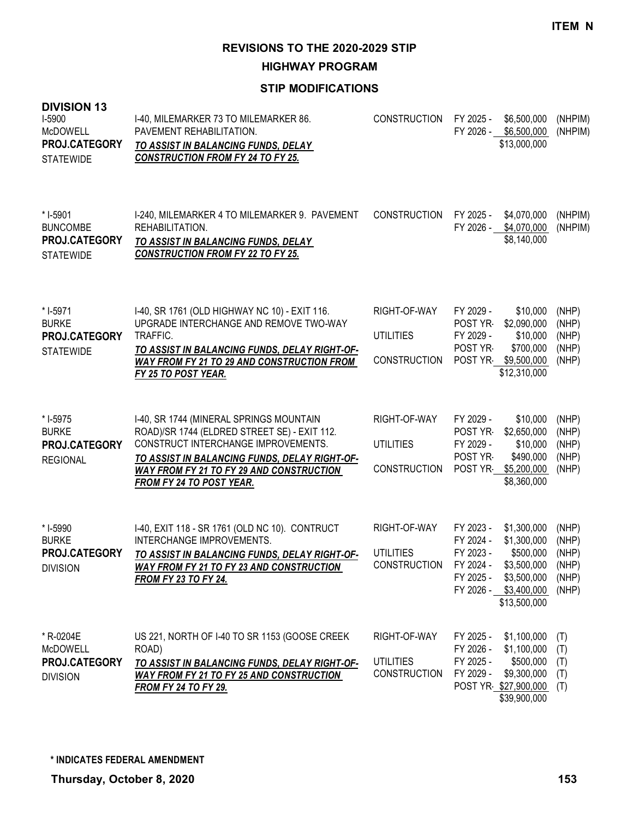**HIGHWAY PROGRAM**

| <b>DIVISION 13</b><br>I-5900<br><b>McDOWELL</b><br>PROJ.CATEGORY<br><b>STATEWIDE</b> | I-40, MILEMARKER 73 TO MILEMARKER 86.<br>PAVEMENT REHABILITATION.<br>TO ASSIST IN BALANCING FUNDS, DELAY<br><b>CONSTRUCTION FROM FY 24 TO FY 25.</b>                                                                                                           | <b>CONSTRUCTION</b>                                     | FY 2025 -                                                     | \$6,500,000<br>FY 2026 - \$6,500,000<br>\$13,000,000                                                           | (NHPIM)<br>(NHPIM)                                 |
|--------------------------------------------------------------------------------------|----------------------------------------------------------------------------------------------------------------------------------------------------------------------------------------------------------------------------------------------------------------|---------------------------------------------------------|---------------------------------------------------------------|----------------------------------------------------------------------------------------------------------------|----------------------------------------------------|
| * I-5901<br><b>BUNCOMBE</b><br>PROJ.CATEGORY<br><b>STATEWIDE</b>                     | I-240, MILEMARKER 4 TO MILEMARKER 9. PAVEMENT<br>REHABILITATION.<br>TO ASSIST IN BALANCING FUNDS, DELAY<br><b>CONSTRUCTION FROM FY 22 TO FY 25.</b>                                                                                                            | <b>CONSTRUCTION</b>                                     | FY 2025 -<br>FY 2026 -                                        | \$4,070,000<br>\$4,070,000<br>\$8,140,000                                                                      | (NHPIM)<br>(NHPIM)                                 |
| * I-5971<br><b>BURKE</b><br>PROJ.CATEGORY<br><b>STATEWIDE</b>                        | I-40, SR 1761 (OLD HIGHWAY NC 10) - EXIT 116.<br>UPGRADE INTERCHANGE AND REMOVE TWO-WAY<br>TRAFFIC.<br>TO ASSIST IN BALANCING FUNDS, DELAY RIGHT-OF-<br><b>WAY FROM FY 21 TO 29 AND CONSTRUCTION FROM</b><br>FY 25 TO POST YEAR.                               | RIGHT-OF-WAY<br><b>UTILITIES</b><br><b>CONSTRUCTION</b> | FY 2029 -<br>POST YR-<br>FY 2029 -<br>POST YR-                | \$10,000<br>\$2,090,000<br>\$10,000<br>\$700,000<br>POST YR \$9,500,000<br>\$12,310,000                        | (NHP)<br>(NHP)<br>(NHP)<br>(NHP)<br>(NHP)          |
| * I-5975<br><b>BURKE</b><br>PROJ.CATEGORY<br><b>REGIONAL</b>                         | I-40, SR 1744 (MINERAL SPRINGS MOUNTAIN<br>ROAD)/SR 1744 (ELDRED STREET SE) - EXIT 112.<br>CONSTRUCT INTERCHANGE IMPROVEMENTS.<br>TO ASSIST IN BALANCING FUNDS, DELAY RIGHT-OF-<br><b>WAY FROM FY 21 TO FY 29 AND CONSTRUCTION</b><br>FROM FY 24 TO POST YEAR. | RIGHT-OF-WAY<br><b>UTILITIES</b><br><b>CONSTRUCTION</b> | FY 2029 -<br>POST YR<br>FY 2029 -<br>POST YR-                 | \$10,000<br>\$2,650,000<br>\$10,000<br>\$490,000<br>POST YR \$5,200,000<br>\$8,360,000                         | (NHP)<br>(NHP)<br>(NHP)<br>(NHP)<br>(NHP)          |
| * I-5990<br><b>BURKE</b><br>PROJ.CATEGORY<br><b>DIVISION</b>                         | I-40, EXIT 118 - SR 1761 (OLD NC 10). CONTRUCT<br>INTERCHANGE IMPROVEMENTS.<br>TO ASSIST IN BALANCING FUNDS, DELAY RIGHT-OF-<br><b>WAY FROM FY 21 TO FY 23 AND CONSTRUCTION</b><br><b>FROM FY 23 TO FY 24.</b>                                                 | RIGHT-OF-WAY<br><b>UTILITIES</b><br><b>CONSTRUCTION</b> | FY 2023 -<br>FY 2024 -<br>FY 2023 -<br>FY 2024 -<br>FY 2025 - | \$1,300,000<br>\$1,300,000<br>\$500,000<br>\$3,500,000<br>\$3,500,000<br>FY 2026 - \$3,400,000<br>\$13,500,000 | (NHP)<br>(NHP)<br>(NHP)<br>(NHP)<br>(NHP)<br>(NHP) |
| * R-0204E<br><b>McDOWELL</b><br>PROJ.CATEGORY<br><b>DIVISION</b>                     | US 221, NORTH OF 1-40 TO SR 1153 (GOOSE CREEK<br>ROAD)<br>TO ASSIST IN BALANCING FUNDS, DELAY RIGHT-OF-<br><b>WAY FROM FY 21 TO FY 25 AND CONSTRUCTION</b><br><b>FROM FY 24 TO FY 29.</b>                                                                      | RIGHT-OF-WAY<br><b>UTILITIES</b><br><b>CONSTRUCTION</b> | FY 2025 -<br>FY 2026 -<br>FY 2025 -<br>FY 2029 -              | \$1,100,000<br>\$1,100,000<br>\$500,000<br>\$9,300,000<br>POST YR \$27,900,000<br>\$39,900,000                 | (T)<br>(T)<br>(T)<br>(T)<br>(T)                    |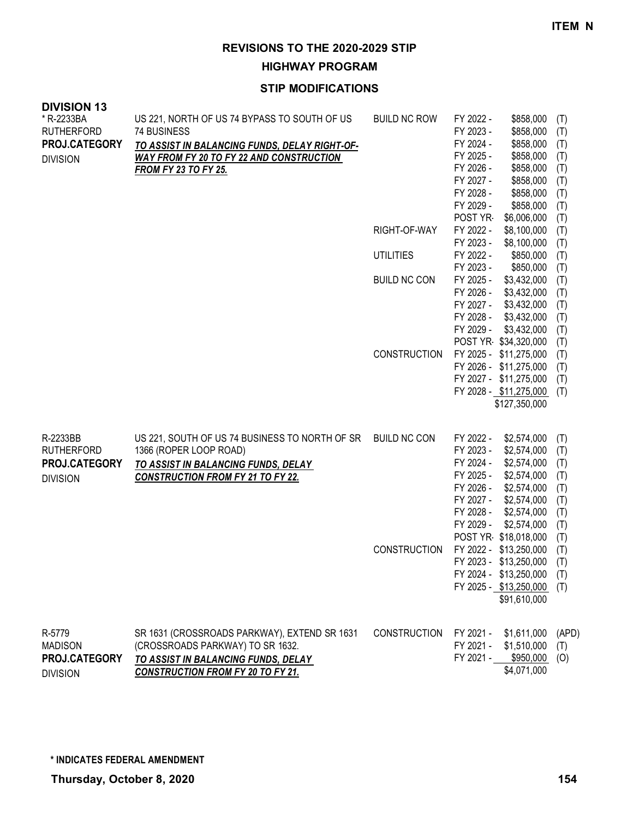**HIGHWAY PROGRAM**

| <b>DIVISION 13</b><br>* R-2233BA<br><b>RUTHERFORD</b><br>PROJ.CATEGORY<br><b>DIVISION</b> | US 221, NORTH OF US 74 BYPASS TO SOUTH OF US<br>74 BUSINESS<br>TO ASSIST IN BALANCING FUNDS, DELAY RIGHT-OF-<br><b>WAY FROM FY 20 TO FY 22 AND CONSTRUCTION</b><br><b>FROM FY 23 TO FY 25.</b> | <b>BUILD NC ROW</b><br>RIGHT-OF-WAY<br><b>UTILITIES</b><br><b>BUILD NC CON</b> | FY 2022 -<br>FY 2023 -<br>FY 2024 -<br>FY 2025 -<br>FY 2026 -<br>FY 2027 -<br>FY 2028 -<br>FY 2029 -<br>POST YR<br>FY 2022 -<br>FY 2023 -<br>FY 2022 -<br>FY 2023 -<br>FY 2025 -<br>FY 2026 -<br>FY 2027 -<br>FY 2028 - | \$858,000<br>\$858,000<br>\$858,000<br>\$858,000<br>\$858,000<br>\$858,000<br>\$858,000<br>\$858,000<br>\$6,006,000<br>\$8,100,000<br>\$8,100,000<br>\$850,000<br>\$850,000<br>\$3,432,000<br>\$3,432,000<br>\$3,432,000<br>\$3,432,000                                  | (T)<br>(T)<br>(T)<br>(T)<br>(T)<br>(T)<br>(T)<br>(T)<br>(T)<br>(T)<br>(T)<br>(T)<br>(T)<br>(T)<br>(T)<br>(T)<br>(T) |
|-------------------------------------------------------------------------------------------|------------------------------------------------------------------------------------------------------------------------------------------------------------------------------------------------|--------------------------------------------------------------------------------|-------------------------------------------------------------------------------------------------------------------------------------------------------------------------------------------------------------------------|--------------------------------------------------------------------------------------------------------------------------------------------------------------------------------------------------------------------------------------------------------------------------|---------------------------------------------------------------------------------------------------------------------|
|                                                                                           |                                                                                                                                                                                                | <b>CONSTRUCTION</b>                                                            | FY 2029 -<br>FY 2025 -                                                                                                                                                                                                  | \$3,432,000<br>POST YR \$34,320,000<br>\$11,275,000<br>FY 2026 - \$11,275,000<br>FY 2027 - \$11,275,000<br>FY 2028 - \$11,275,000<br>\$127,350,000                                                                                                                       | (T)<br>(T)<br>(T)<br>(T)<br>(T)<br>(T)                                                                              |
| R-2233BB<br><b>RUTHERFORD</b><br>PROJ.CATEGORY<br><b>DIVISION</b>                         | US 221, SOUTH OF US 74 BUSINESS TO NORTH OF SR BUILD NC CON<br>1366 (ROPER LOOP ROAD)<br>TO ASSIST IN BALANCING FUNDS, DELAY<br><b>CONSTRUCTION FROM FY 21 TO FY 22.</b>                       | CONSTRUCTION                                                                   | FY 2022 -<br>FY 2023 -<br>FY 2024 -<br>FY 2025 -<br>FY 2026 -<br>FY 2027 -<br>FY 2028 -<br>FY 2029 -                                                                                                                    | \$2,574,000<br>\$2,574,000<br>\$2,574,000<br>\$2,574,000<br>\$2,574,000<br>\$2,574,000<br>\$2,574,000<br>\$2,574,000<br>POST YR \$18,018,000<br>FY 2022 - \$13,250,000<br>FY 2023 - \$13,250,000 (T)<br>FY 2024 - \$13,250,000<br>FY 2025 - \$13,250,000<br>\$91,610,000 | (T)<br>(T)<br>(T)<br>(T)<br>(T)<br>(T)<br>(T)<br>(T)<br>(T)<br>(T)<br>(T)<br>(T)                                    |
| R-5779<br><b>MADISON</b><br>PROJ.CATEGORY<br><b>DIVISION</b>                              | SR 1631 (CROSSROADS PARKWAY), EXTEND SR 1631<br>(CROSSROADS PARKWAY) TO SR 1632.<br>TO ASSIST IN BALANCING FUNDS, DELAY<br><b>CONSTRUCTION FROM FY 20 TO FY 21.</b>                            | <b>CONSTRUCTION</b>                                                            | FY 2021 -<br>FY 2021 -                                                                                                                                                                                                  | \$1,611,000<br>\$1,510,000<br>FY 2021 - \$950,000<br>\$4,071,000                                                                                                                                                                                                         | (APD)<br>(T)<br>(O)                                                                                                 |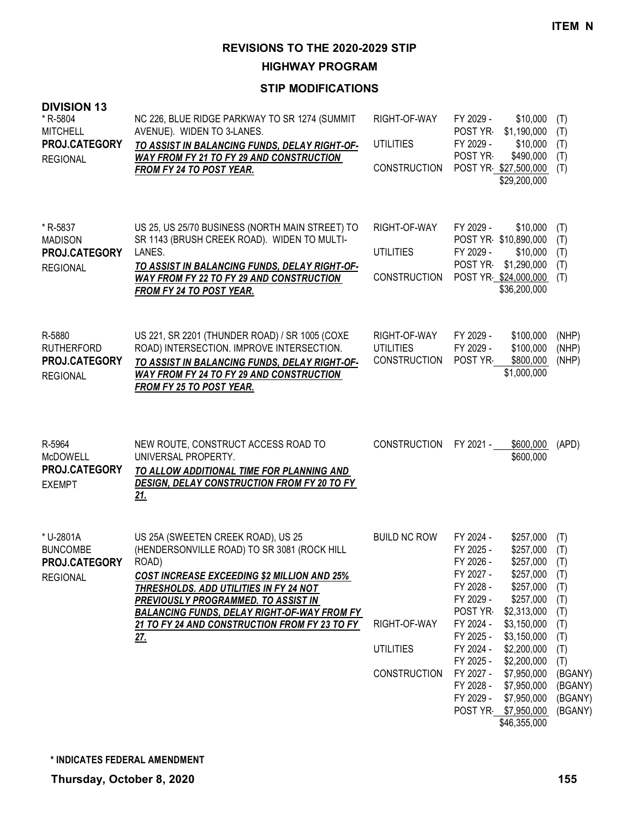**HIGHWAY PROGRAM**

| <b>DIVISION 13</b><br>* R-5804<br><b>MITCHELL</b><br>PROJ.CATEGORY<br><b>REGIONAL</b> | NC 226, BLUE RIDGE PARKWAY TO SR 1274 (SUMMIT<br>AVENUE). WIDEN TO 3-LANES.<br>TO ASSIST IN BALANCING FUNDS, DELAY RIGHT-OF-<br>WAY FROM FY 21 TO FY 29 AND CONSTRUCTION<br>FROM FY 24 TO POST YEAR.                                                                                                                                                          | RIGHT-OF-WAY<br><b>UTILITIES</b><br><b>CONSTRUCTION</b>                        | FY 2029 -<br>POST YR-<br>\$1,190,000<br>FY 2029 -<br>POST YR-<br>POST YR \$27,500,000<br>\$29,200,000                                                                                                                                                                                                                                           | \$10,000<br>(T)<br>(T)<br>\$10,000<br>(T)<br>\$490,000<br>(T)<br>(T)                                                                                                                              |
|---------------------------------------------------------------------------------------|---------------------------------------------------------------------------------------------------------------------------------------------------------------------------------------------------------------------------------------------------------------------------------------------------------------------------------------------------------------|--------------------------------------------------------------------------------|-------------------------------------------------------------------------------------------------------------------------------------------------------------------------------------------------------------------------------------------------------------------------------------------------------------------------------------------------|---------------------------------------------------------------------------------------------------------------------------------------------------------------------------------------------------|
| * R-5837<br><b>MADISON</b><br>PROJ.CATEGORY<br><b>REGIONAL</b>                        | US 25, US 25/70 BUSINESS (NORTH MAIN STREET) TO<br>SR 1143 (BRUSH CREEK ROAD). WIDEN TO MULTI-<br>LANES.<br>TO ASSIST IN BALANCING FUNDS, DELAY RIGHT-OF-<br><b>WAY FROM FY 22 TO FY 29 AND CONSTRUCTION</b><br><b>FROM FY 24 TO POST YEAR.</b>                                                                                                               | RIGHT-OF-WAY<br><b>UTILITIES</b><br><b>CONSTRUCTION</b>                        | FY 2029 -<br>POST YR \$10,890,000<br>FY 2029 -<br>POST YR<br>\$1,290,000<br>POST YR \$24,000,000<br>\$36,200,000                                                                                                                                                                                                                                | \$10,000<br>(T)<br>(T)<br>\$10,000<br>(T)<br>(T)<br>(T)                                                                                                                                           |
| R-5880<br><b>RUTHERFORD</b><br>PROJ.CATEGORY<br><b>REGIONAL</b>                       | US 221, SR 2201 (THUNDER ROAD) / SR 1005 (COXE<br>ROAD) INTERSECTION. IMPROVE INTERSECTION.<br>TO ASSIST IN BALANCING FUNDS, DELAY RIGHT-OF-<br><b>WAY FROM FY 24 TO FY 29 AND CONSTRUCTION</b><br><b>FROM FY 25 TO POST YEAR.</b>                                                                                                                            | RIGHT-OF-WAY<br><b>UTILITIES</b><br><b>CONSTRUCTION</b>                        | FY 2029 -<br>FY 2029 -<br>POST YR-<br>\$1,000,000                                                                                                                                                                                                                                                                                               | \$100,000<br>(NHP)<br>\$100,000<br>(NHP)<br>\$800,000<br>(NHP)                                                                                                                                    |
| R-5964<br><b>McDOWELL</b><br>PROJ.CATEGORY<br><b>EXEMPT</b>                           | NEW ROUTE, CONSTRUCT ACCESS ROAD TO<br>UNIVERSAL PROPERTY.<br>TO ALLOW ADDITIONAL TIME FOR PLANNING AND<br>DESIGN, DELAY CONSTRUCTION FROM FY 20 TO FY<br>21.                                                                                                                                                                                                 | <b>CONSTRUCTION</b>                                                            | FY 2021 -                                                                                                                                                                                                                                                                                                                                       | \$600,000<br>(APD)<br>\$600,000                                                                                                                                                                   |
| * U-2801A<br><b>BUNCOMBE</b><br>PROJ.CATEGORY<br><b>REGIONAL</b>                      | US 25A (SWEETEN CREEK ROAD), US 25<br>(HENDERSONVILLE ROAD) TO SR 3081 (ROCK HILL<br>ROAD)<br><b>COST INCREASE EXCEEDING \$2 MILLION AND 25%</b><br>THRESHOLDS. ADD UTILITIES IN FY 24 NOT<br><b>PREVIOUSLY PROGRAMMED. TO ASSIST IN</b><br><b>BALANCING FUNDS, DELAY RIGHT-OF-WAY FROM FY</b><br>21 TO FY 24 AND CONSTRUCTION FROM FY 23 TO FY<br><u>27.</u> | <b>BUILD NC ROW</b><br>RIGHT-OF-WAY<br><b>UTILITIES</b><br><b>CONSTRUCTION</b> | FY 2024 -<br>FY 2025 -<br>FY 2026 -<br>FY 2027 -<br>FY 2028 -<br>FY 2029 -<br>POST YR<br>\$2,313,000<br>FY 2024 -<br>\$3,150,000<br>FY 2025 -<br>\$3,150,000<br>FY 2024 -<br>\$2,200,000<br>FY 2025 -<br>\$2,200,000<br>FY 2027 -<br>\$7,950,000<br>FY 2028 -<br>\$7,950,000<br>FY 2029 -<br>\$7,950,000<br>POST YR \$7,950,000<br>\$46,355,000 | \$257,000<br>(T)<br>\$257,000<br>(T)<br>$$257,000$ (T)<br>\$257,000<br>(T)<br>\$257,000<br>(T)<br>\$257,000<br>(T)<br>(T)<br>(T)<br>(T)<br>(T)<br>(T)<br>(BGANY)<br>(BGANY)<br>(BGANY)<br>(BGANY) |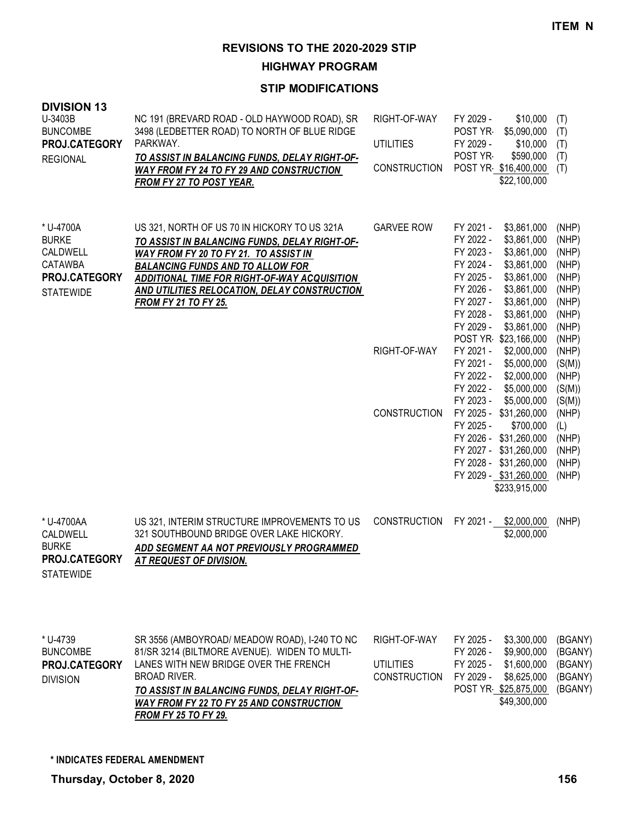**HIGHWAY PROGRAM**

| <b>DIVISION 13</b><br>U-3403B<br><b>BUNCOMBE</b><br>PROJ.CATEGORY<br><b>REGIONAL</b>         | NC 191 (BREVARD ROAD - OLD HAYWOOD ROAD), SR<br>3498 (LEDBETTER ROAD) TO NORTH OF BLUE RIDGE<br>PARKWAY.<br>TO ASSIST IN BALANCING FUNDS, DELAY RIGHT-OF-<br><b>WAY FROM FY 24 TO FY 29 AND CONSTRUCTION</b><br>FROM FY 27 TO POST YEAR.                                                                                | RIGHT-OF-WAY<br><b>UTILITIES</b><br><b>CONSTRUCTION</b> | FY 2029 -<br>\$10,000<br>POST YR-<br>\$5,090,000<br>FY 2029 -<br>\$10,000<br>POST YR<br>\$590,000<br>POST YR \$16,400,000<br>\$22,100,000                                                                                                                                        | (T)<br>(T)<br>(T)<br>(T)<br>(T)                                                        |
|----------------------------------------------------------------------------------------------|-------------------------------------------------------------------------------------------------------------------------------------------------------------------------------------------------------------------------------------------------------------------------------------------------------------------------|---------------------------------------------------------|----------------------------------------------------------------------------------------------------------------------------------------------------------------------------------------------------------------------------------------------------------------------------------|----------------------------------------------------------------------------------------|
| * U-4700A<br><b>BURKE</b><br>CALDWELL<br><b>CATAWBA</b><br>PROJ.CATEGORY<br><b>STATEWIDE</b> | US 321, NORTH OF US 70 IN HICKORY TO US 321A<br>TO ASSIST IN BALANCING FUNDS, DELAY RIGHT-OF-<br>WAY FROM FY 20 TO FY 21. TO ASSIST IN<br><b>BALANCING FUNDS AND TO ALLOW FOR</b><br><b>ADDITIONAL TIME FOR RIGHT-OF-WAY ACQUISITION</b><br>AND UTILITIES RELOCATION, DELAY CONSTRUCTION<br><b>FROM FY 21 TO FY 25.</b> | <b>GARVEE ROW</b>                                       | FY 2021 -<br>\$3,861,000<br>FY 2022 -<br>\$3,861,000<br>FY 2023 -<br>\$3,861,000<br>FY 2024 -<br>\$3,861,000<br>FY 2025 -<br>\$3,861,000<br>FY 2026 -<br>\$3,861,000<br>FY 2027 -<br>\$3,861,000<br>FY 2028 -<br>\$3,861,000<br>FY 2029 -<br>\$3,861,000<br>POST YR \$23,166,000 | (NHP)<br>(NHP)<br>(NHP)<br>(NHP)<br>(NHP)<br>(NHP)<br>(NHP)<br>(NHP)<br>(NHP)<br>(NHP) |
|                                                                                              |                                                                                                                                                                                                                                                                                                                         | RIGHT-OF-WAY                                            | FY 2021 -<br>\$2,000,000<br>FY 2021 -<br>\$5,000,000<br>FY 2022 -<br>\$2,000,000<br>FY 2022 -<br>\$5,000,000<br>FY 2023 -<br>\$5,000,000                                                                                                                                         | (NHP)<br>(S(M))<br>(NHP)<br>(S(M))<br>(S(M))                                           |
|                                                                                              |                                                                                                                                                                                                                                                                                                                         | <b>CONSTRUCTION</b>                                     | FY 2025 - \$31,260,000<br>FY 2025 -<br>\$700,000<br>FY 2026 - \$31,260,000<br>FY 2027 - \$31,260,000<br>FY 2028 - \$31,260,000<br>FY 2029 - \$31,260,000<br>\$233,915,000                                                                                                        | (NHP)<br>(L)<br>(NHP)<br>(NHP)<br>(NHP)<br>(NHP)                                       |
| * U-4700AA<br>CALDWELL<br><b>BURKE</b><br>PROJ.CATEGORY<br><b>STATEWIDE</b>                  | US 321, INTERIM STRUCTURE IMPROVEMENTS TO US<br>321 SOUTHBOUND BRIDGE OVER LAKE HICKORY.<br>ADD SEGMENT AA NOT PREVIOUSLY PROGRAMMED<br><b>AT REQUEST OF DIVISION.</b>                                                                                                                                                  | <b>CONSTRUCTION</b>                                     | FY 2021 -<br>\$2,000,000<br>\$2,000,000                                                                                                                                                                                                                                          | (NHP)                                                                                  |
| * U-4739<br><b>BUNCOMBE</b><br>PROJ.CATEGORY<br><b>DIVISION</b>                              | SR 3556 (AMBOYROAD/ MEADOW ROAD), I-240 TO NC<br>81/SR 3214 (BILTMORE AVENUE). WIDEN TO MULTI-<br>LANES WITH NEW BRIDGE OVER THE FRENCH<br><b>BROAD RIVER.</b><br>TO ASSIST IN BALANCING FUNDS, DELAY RIGHT-OF-<br><b>WAY FROM FY 22 TO FY 25 AND CONSTRUCTION</b><br><b>FROM FY 25 TO FY 29.</b>                       | RIGHT-OF-WAY<br><b>UTILITIES</b><br><b>CONSTRUCTION</b> | FY 2025 -<br>\$3,300,000<br>FY 2026 -<br>\$9,900,000<br>\$1,600,000<br>FY 2025 -<br>FY 2029 -<br>\$8,625,000<br>POST YR \$25,875,000<br>\$49,300,000                                                                                                                             | (BGANY)<br>(BGANY)<br>(BGANY)<br>(BGANY)<br>(BGANY)                                    |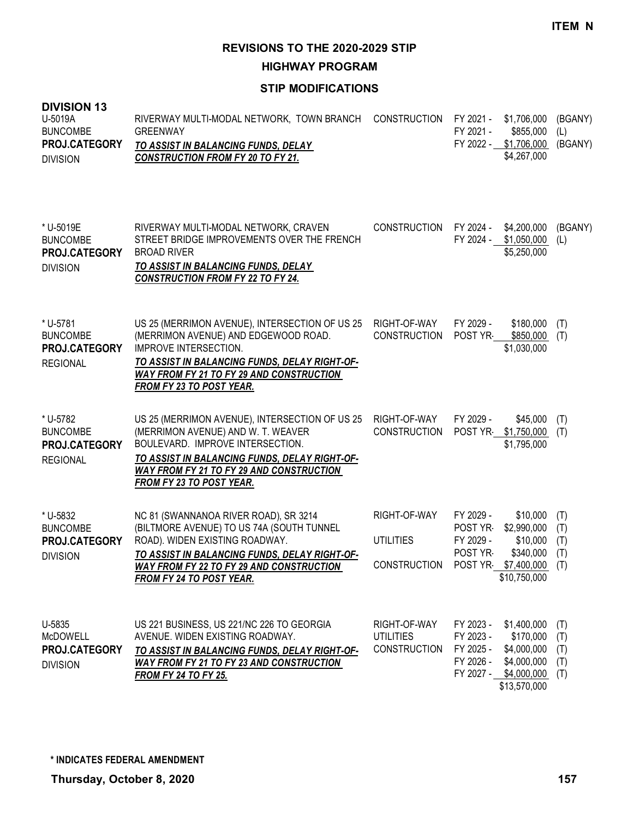**HIGHWAY PROGRAM**

| <b>DIVISION 13</b><br>U-5019A<br><b>BUNCOMBE</b><br>PROJ.CATEGORY<br><b>DIVISION</b> | RIVERWAY MULTI-MODAL NETWORK, TOWN BRANCH<br><b>GREENWAY</b><br><b>TO ASSIST IN BALANCING FUNDS, DELAY</b><br><b>CONSTRUCTION FROM FY 20 TO FY 21.</b>                                                                                                        | <b>CONSTRUCTION</b>                                     | FY 2021 -<br>FY 2021 -<br>FY 2022 - \$1,706,000                           | \$1,706,000<br>\$855,000<br>\$4,267,000                                             | (BGANY)<br>(L)<br>(BGANY)       |
|--------------------------------------------------------------------------------------|---------------------------------------------------------------------------------------------------------------------------------------------------------------------------------------------------------------------------------------------------------------|---------------------------------------------------------|---------------------------------------------------------------------------|-------------------------------------------------------------------------------------|---------------------------------|
| * U-5019E<br><b>BUNCOMBE</b><br>PROJ.CATEGORY<br><b>DIVISION</b>                     | RIVERWAY MULTI-MODAL NETWORK, CRAVEN<br>STREET BRIDGE IMPROVEMENTS OVER THE FRENCH<br><b>BROAD RIVER</b><br>TO ASSIST IN BALANCING FUNDS, DELAY<br><b>CONSTRUCTION FROM FY 22 TO FY 24.</b>                                                                   | <b>CONSTRUCTION</b>                                     | FY 2024 -<br>FY 2024 -                                                    | \$4,200,000<br>\$1,050,000<br>\$5,250,000                                           | (BGANY)<br>(L)                  |
| * U-5781<br><b>BUNCOMBE</b><br>PROJ.CATEGORY<br><b>REGIONAL</b>                      | US 25 (MERRIMON AVENUE), INTERSECTION OF US 25<br>(MERRIMON AVENUE) AND EDGEWOOD ROAD.<br><b>IMPROVE INTERSECTION.</b><br>TO ASSIST IN BALANCING FUNDS, DELAY RIGHT-OF-<br><b>WAY FROM FY 21 TO FY 29 AND CONSTRUCTION</b><br><b>FROM FY 23 TO POST YEAR.</b> | RIGHT-OF-WAY<br><b>CONSTRUCTION</b>                     | FY 2029 -<br>POST YR                                                      | \$180,000<br>\$850,000<br>\$1,030,000                                               | (T)<br>(T)                      |
| * U-5782<br><b>BUNCOMBE</b><br>PROJ.CATEGORY<br><b>REGIONAL</b>                      | US 25 (MERRIMON AVENUE), INTERSECTION OF US 25<br>(MERRIMON AVENUE) AND W. T. WEAVER<br>BOULEVARD. IMPROVE INTERSECTION.<br>TO ASSIST IN BALANCING FUNDS, DELAY RIGHT-OF-<br><b>WAY FROM FY 21 TO FY 29 AND CONSTRUCTION</b><br>FROM FY 23 TO POST YEAR.      | RIGHT-OF-WAY<br><b>CONSTRUCTION</b>                     | FY 2029 -<br>POST YR \$1,750,000                                          | \$45,000<br>\$1,795,000                                                             | (T)<br>(T)                      |
| * U-5832<br><b>BUNCOMBE</b><br>PROJ.CATEGORY<br><b>DIVISION</b>                      | NC 81 (SWANNANOA RIVER ROAD), SR 3214<br>(BILTMORE AVENUE) TO US 74A (SOUTH TUNNEL<br>ROAD). WIDEN EXISTING ROADWAY.<br>TO ASSIST IN BALANCING FUNDS, DELAY RIGHT-OF-<br><b>WAY FROM FY 22 TO FY 29 AND CONSTRUCTION</b><br>FROM FY 24 TO POST YEAR.          | RIGHT-OF-WAY<br><b>UTILITIES</b><br>CONSTRUCTION        | FY 2029 -<br>POST YR-<br>FY 2029 -<br>POST YR-<br>POST YR                 | \$10,000<br>\$2,990,000<br>\$10,000<br>\$340,000<br>\$7,400,000 (T)<br>\$10,750,000 | (T)<br>(T)<br>(T)<br>(T)        |
| U-5835<br>McDOWELL<br>PROJ.CATEGORY<br><b>DIVISION</b>                               | US 221 BUSINESS, US 221/NC 226 TO GEORGIA<br>AVENUE. WIDEN EXISTING ROADWAY.<br>TO ASSIST IN BALANCING FUNDS, DELAY RIGHT-OF-<br><b>WAY FROM FY 21 TO FY 23 AND CONSTRUCTION</b><br><b>FROM FY 24 TO FY 25.</b>                                               | RIGHT-OF-WAY<br><b>UTILITIES</b><br><b>CONSTRUCTION</b> | FY 2023 -<br>FY 2023 -<br>FY 2025 -<br>FY 2026 -<br>FY 2027 - \$4,000,000 | \$1,400,000<br>\$170,000<br>\$4,000,000<br>\$4,000,000<br>\$13,570,000              | (T)<br>(T)<br>(T)<br>(T)<br>(T) |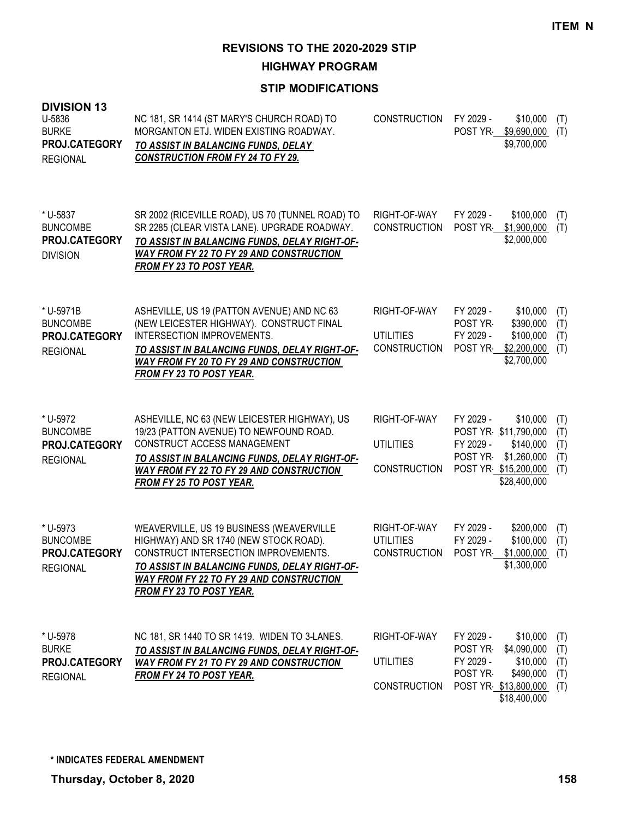**HIGHWAY PROGRAM**

| <b>DIVISION 13</b><br>U-5836<br><b>BURKE</b><br>PROJ.CATEGORY<br><b>REGIONAL</b> | NC 181, SR 1414 (ST MARY'S CHURCH ROAD) TO<br>MORGANTON ETJ. WIDEN EXISTING ROADWAY.<br>TO ASSIST IN BALANCING FUNDS, DELAY<br><b>CONSTRUCTION FROM FY 24 TO FY 29.</b>                                                                                              | <b>CONSTRUCTION</b>                                     | FY 2029 -<br>\$10,000<br>(T)<br>\$9,690,000<br>POST YR<br>(T)<br>\$9,700,000                                                                                                  |
|----------------------------------------------------------------------------------|----------------------------------------------------------------------------------------------------------------------------------------------------------------------------------------------------------------------------------------------------------------------|---------------------------------------------------------|-------------------------------------------------------------------------------------------------------------------------------------------------------------------------------|
| * U-5837<br><b>BUNCOMBE</b><br>PROJ.CATEGORY<br><b>DIVISION</b>                  | SR 2002 (RICEVILLE ROAD), US 70 (TUNNEL ROAD) TO<br>SR 2285 (CLEAR VISTA LANE). UPGRADE ROADWAY.<br>TO ASSIST IN BALANCING FUNDS, DELAY RIGHT-OF-<br><b>WAY FROM FY 22 TO FY 29 AND CONSTRUCTION</b><br><u>FROM FY 23 TO POST YEAR.</u>                              | RIGHT-OF-WAY<br><b>CONSTRUCTION</b>                     | FY 2029 -<br>\$100,000<br>(T)<br>POST YR \$1,900,000<br>(T)<br>\$2,000,000                                                                                                    |
| * U-5971B<br><b>BUNCOMBE</b><br>PROJ.CATEGORY<br><b>REGIONAL</b>                 | ASHEVILLE, US 19 (PATTON AVENUE) AND NC 63<br>(NEW LEICESTER HIGHWAY). CONSTRUCT FINAL<br>INTERSECTION IMPROVEMENTS.<br>TO ASSIST IN BALANCING FUNDS, DELAY RIGHT-OF-<br><b>WAY FROM FY 20 TO FY 29 AND CONSTRUCTION</b><br><b>FROM FY 23 TO POST YEAR.</b>          | RIGHT-OF-WAY<br><b>UTILITIES</b><br><b>CONSTRUCTION</b> | \$10,000<br>FY 2029 -<br>(T)<br>\$390,000<br>POST YR<br>(T)<br>\$100,000<br>FY 2029 -<br>(T)<br>POST YR<br>\$2,200,000<br>(T)<br>\$2,700,000                                  |
| * U-5972<br><b>BUNCOMBE</b><br>PROJ.CATEGORY<br><b>REGIONAL</b>                  | ASHEVILLE, NC 63 (NEW LEICESTER HIGHWAY), US<br>19/23 (PATTON AVENUE) TO NEWFOUND ROAD.<br>CONSTRUCT ACCESS MANAGEMENT<br><u>TO ASSIST IN BALANCING FUNDS, DELAY RIGHT-OF-</u><br><b>WAY FROM FY 22 TO FY 29 AND CONSTRUCTION</b><br><b>FROM FY 25 TO POST YEAR.</b> | RIGHT-OF-WAY<br><b>UTILITIES</b><br><b>CONSTRUCTION</b> | FY 2029 -<br>\$10,000<br>(T)<br>POST YR \$11,790,000<br>(T)<br>FY 2029 -<br>\$140,000<br>(T)<br>POST YR-<br>\$1,260,000<br>(T)<br>POST YR \$15,200,000<br>(T)<br>\$28,400,000 |
| * U-5973<br><b>BUNCOMBE</b><br>PROJ.CATEGORY<br><b>REGIONAL</b>                  | WEAVERVILLE, US 19 BUSINESS (WEAVERVILLE<br>HIGHWAY) AND SR 1740 (NEW STOCK ROAD).<br>CONSTRUCT INTERSECTION IMPROVEMENTS.<br>TO ASSIST IN BALANCING FUNDS, DELAY RIGHT-OF-<br><b>WAY FROM FY 22 TO FY 29 AND CONSTRUCTION</b><br>FROM FY 23 TO POST YEAR.           | RIGHT-OF-WAY<br><b>UTILITIES</b><br><b>CONSTRUCTION</b> | FY 2029 -<br>\$200,000<br>(T)<br>\$100,000<br>FY 2029 -<br>(T)<br>POST YR-<br>\$1,000,000<br>(T)<br>\$1,300,000                                                               |
| * U-5978<br><b>BURKE</b><br>PROJ.CATEGORY<br><b>REGIONAL</b>                     | NC 181, SR 1440 TO SR 1419. WIDEN TO 3-LANES.<br>TO ASSIST IN BALANCING FUNDS, DELAY RIGHT-OF-<br><b>WAY FROM FY 21 TO FY 29 AND CONSTRUCTION</b><br><b>FROM FY 24 TO POST YEAR.</b>                                                                                 | RIGHT-OF-WAY<br><b>UTILITIES</b><br><b>CONSTRUCTION</b> | FY 2029 -<br>\$10,000<br>(T)<br>\$4,090,000<br>POST YR-<br>(T)<br>\$10,000<br>FY 2029 -<br>(T)<br>POST YR-<br>\$490,000<br>(T)<br>POST YR \$13,800,000<br>(T)<br>\$18,400,000 |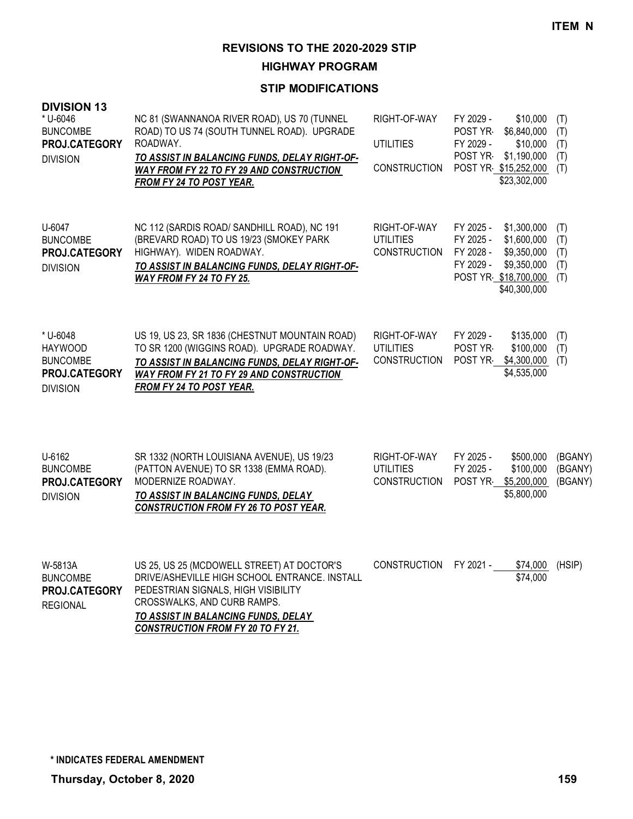**HIGHWAY PROGRAM**

## **STIP MODIFICATIONS**

| <b>DIVISION 13</b><br>* U-6046<br><b>BUNCOMBE</b><br>PROJ.CATEGORY<br><b>DIVISION</b> | NC 81 (SWANNANOA RIVER ROAD), US 70 (TUNNEL<br>ROAD) TO US 74 (SOUTH TUNNEL ROAD). UPGRADE<br>ROADWAY.<br>TO ASSIST IN BALANCING FUNDS, DELAY RIGHT-OF-<br><b>WAY FROM FY 22 TO FY 29 AND CONSTRUCTION</b><br>FROM FY 24 TO POST YEAR. | RIGHT-OF-WAY<br><b>UTILITIES</b><br><b>CONSTRUCTION</b> | FY 2029 -<br>\$10,000<br>POST YR<br>\$6,840,000<br>FY 2029 -<br>\$10,000<br><b>POST YR-</b><br>\$1,190,000<br>POST YR \$15,252,000<br>\$23,302,000   | (T)<br>(T)<br>(T)<br>(T)<br>(T) |
|---------------------------------------------------------------------------------------|----------------------------------------------------------------------------------------------------------------------------------------------------------------------------------------------------------------------------------------|---------------------------------------------------------|------------------------------------------------------------------------------------------------------------------------------------------------------|---------------------------------|
| U-6047<br><b>BUNCOMBE</b><br>PROJ.CATEGORY<br><b>DIVISION</b>                         | NC 112 (SARDIS ROAD/ SANDHILL ROAD), NC 191<br>(BREVARD ROAD) TO US 19/23 (SMOKEY PARK<br>HIGHWAY). WIDEN ROADWAY.<br>TO ASSIST IN BALANCING FUNDS, DELAY RIGHT-OF-<br><b>WAY FROM FY 24 TO FY 25.</b>                                 | RIGHT-OF-WAY<br><b>UTILITIES</b><br><b>CONSTRUCTION</b> | FY 2025 -<br>\$1,300,000<br>FY 2025 -<br>\$1,600,000<br>\$9,350,000<br>FY 2028 -<br>FY 2029 -<br>\$9,350,000<br>POST YR \$18,700,000<br>\$40,300,000 | (T)<br>(T)<br>(T)<br>(T)<br>(T) |
| * U-6048<br><b>HAYWOOD</b><br><b>BUNCOMBE</b><br>PROJ.CATEGORY<br><b>DIVISION</b>     | US 19, US 23, SR 1836 (CHESTNUT MOUNTAIN ROAD)<br>TO SR 1200 (WIGGINS ROAD). UPGRADE ROADWAY.<br>TO ASSIST IN BALANCING FUNDS, DELAY RIGHT-OF-<br><b>WAY FROM FY 21 TO FY 29 AND CONSTRUCTION</b><br><b>FROM FY 24 TO POST YEAR.</b>   | RIGHT-OF-WAY<br><b>UTILITIES</b><br><b>CONSTRUCTION</b> | FY 2029 -<br>\$135,000<br>\$100,000<br><b>POST YR-</b><br>\$4,300,000<br>POST YR<br>\$4,535,000                                                      | (T)<br>(T)<br>(T)               |
| U-6162<br><b>BUNCOMBE</b><br><b>PROJ.CATEGORY</b><br><b>DIVISION</b>                  | SR 1332 (NORTH LOUISIANA AVENUE), US 19/23<br>(PATTON AVENUE) TO SR 1338 (EMMA ROAD).<br>MODERNIZE ROADWAY.<br>TO ASSIST IN BALANCING FUNDS, DELAY<br><b>CONSTRUCTION FROM FY 26 TO POST YEAR.</b>                                     | RIGHT-OF-WAY<br><b>UTILITIES</b><br><b>CONSTRUCTION</b> | FY 2025 -<br>\$500,000<br>FY 2025 -<br>\$100,000<br>POST YR<br>\$5,200,000<br>\$5,800,000                                                            | (BGANY)<br>(BGANY)<br>(BGANY)   |
| W-5813A<br><b>BUNCOMBE</b><br>PROJ.CATEGORY<br><b>REGIONAL</b>                        | US 25, US 25 (MCDOWELL STREET) AT DOCTOR'S<br>DRIVE/ASHEVILLE HIGH SCHOOL ENTRANCE. INSTALL<br>PEDESTRIAN SIGNALS, HIGH VISIBILITY<br>CROSSWALKS, AND CURB RAMPS.<br>TO ASSIST IN BALANCING FUNDS, DELAY                               | <b>CONSTRUCTION</b>                                     | FY 2021 -<br>\$74,000<br>\$74,000                                                                                                                    | (HSIP)                          |

*CONSTRUCTION FROM FY 20 TO FY 21.*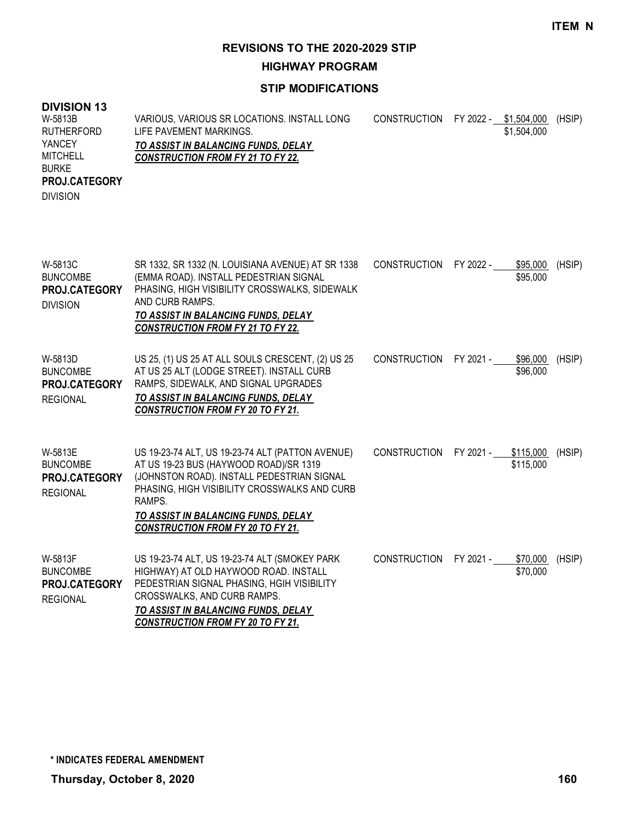**HIGHWAY PROGRAM**

**STIP MODIFICATIONS**

#### **DIVISION 13** VARIOUS, VARIOUS SR LOCATIONS. INSTALL LONG LIFE PAVEMENT MARKINGS. *TO ASSIST IN BALANCING FUNDS, DELAY CONSTRUCTION FROM FY 21 TO FY 22.* CONSTRUCTION FY 2022 - \$1,504,000 (HSIP) \$1,504,000 W-5813B RUTHERFORD **YANCEY** MITCHELL BURKE DIVISION **PROJ.CATEGORY** SR 1332, SR 1332 (N. LOUISIANA AVENUE) AT SR 1338 (EMMA ROAD). INSTALL PEDESTRIAN SIGNAL PHASING, HIGH VISIBILITY CROSSWALKS, SIDEWALK AND CURB RAMPS. *TO ASSIST IN BALANCING FUNDS, DELAY CONSTRUCTION FROM FY 21 TO FY 22.* CONSTRUCTION FY 2022 - \$95,000 (HSIP) \$95,000 W-5813C BUNCOMBE DIVISION **PROJ.CATEGORY** US 25, (1) US 25 AT ALL SOULS CRESCENT, (2) US 25 AT US 25 ALT (LODGE STREET). INSTALL CURB RAMPS, SIDEWALK, AND SIGNAL UPGRADES *TO ASSIST IN BALANCING FUNDS, DELAY CONSTRUCTION FROM FY 20 TO FY 21.* CONSTRUCTION FY 2021 - \$96,000 (HSIP) \$96,000 W-5813D BUNCOMBE REGIONAL **PROJ.CATEGORY** US 19-23-74 ALT, US 19-23-74 ALT (PATTON AVENUE) AT US 19-23 BUS (HAYWOOD ROAD)/SR 1319 (JOHNSTON ROAD). INSTALL PEDESTRIAN SIGNAL PHASING, HIGH VISIBILITY CROSSWALKS AND CURB RAMPS. *TO ASSIST IN BALANCING FUNDS, DELAY CONSTRUCTION FROM FY 20 TO FY 21.* CONSTRUCTION FY 2021 - \$115,000 (HSIP) \$115,000 W-5813E BUNCOMBE REGIONAL **PROJ.CATEGORY** US 19-23-74 ALT, US 19-23-74 ALT (SMOKEY PARK HIGHWAY) AT OLD HAYWOOD ROAD. INSTALL PEDESTRIAN SIGNAL PHASING, HGIH VISIBILITY CROSSWALKS, AND CURB RAMPS. *TO ASSIST IN BALANCING FUNDS, DELAY CONSTRUCTION FROM FY 20 TO FY 21.* CONSTRUCTION FY 2021 - \$70,000 (HSIP) \$70,000 W-5813F BUNCOMBE REGIONAL **PROJ.CATEGORY**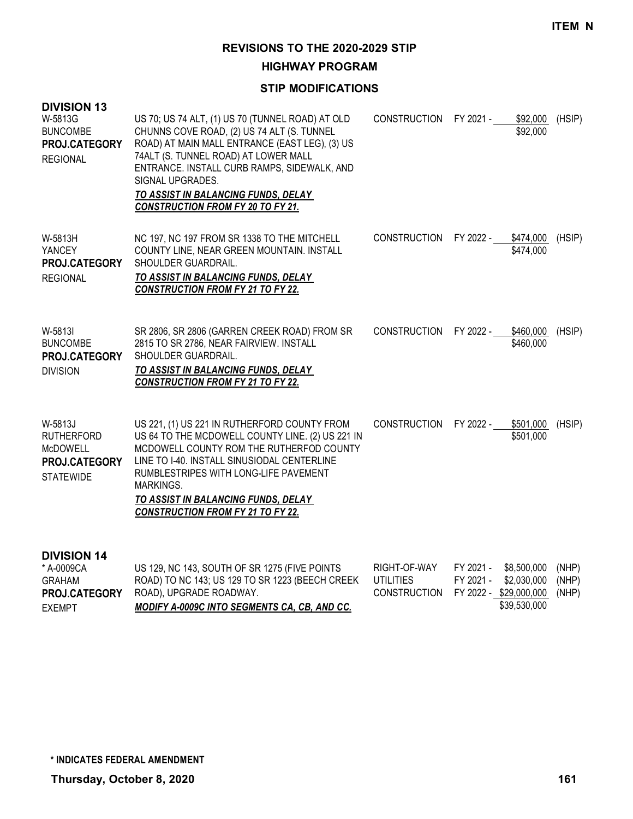**HIGHWAY PROGRAM**

#### **STIP MODIFICATIONS**

| <b>DIVISION 13</b><br>W-5813G<br><b>BUNCOMBE</b><br>PROJ.CATEGORY<br><b>REGIONAL</b> | US 70; US 74 ALT, (1) US 70 (TUNNEL ROAD) AT OLD<br>CHUNNS COVE ROAD, (2) US 74 ALT (S. TUNNEL<br>ROAD) AT MAIN MALL ENTRANCE (EAST LEG), (3) US<br>74ALT (S. TUNNEL ROAD) AT LOWER MALL<br>ENTRANCE. INSTALL CURB RAMPS, SIDEWALK, AND<br>SIGNAL UPGRADES.<br>TO ASSIST IN BALANCING FUNDS, DELAY<br><b>CONSTRUCTION FROM FY 20 TO FY 21.</b> | CONSTRUCTION FY 2021 -           |                        | \$92,000<br>\$92,000       | (HSIP)         |
|--------------------------------------------------------------------------------------|------------------------------------------------------------------------------------------------------------------------------------------------------------------------------------------------------------------------------------------------------------------------------------------------------------------------------------------------|----------------------------------|------------------------|----------------------------|----------------|
| W-5813H<br>YANCEY<br>PROJ.CATEGORY<br><b>REGIONAL</b>                                | NC 197, NC 197 FROM SR 1338 TO THE MITCHELL<br>COUNTY LINE, NEAR GREEN MOUNTAIN. INSTALL<br>SHOULDER GUARDRAIL.<br>TO ASSIST IN BALANCING FUNDS, DELAY<br><b>CONSTRUCTION FROM FY 21 TO FY 22.</b>                                                                                                                                             | CONSTRUCTION FY 2022 -           |                        | \$474,000<br>\$474,000     | (HSIP)         |
| W-5813I<br><b>BUNCOMBE</b><br>PROJ.CATEGORY<br><b>DIVISION</b>                       | SR 2806, SR 2806 (GARREN CREEK ROAD) FROM SR<br>2815 TO SR 2786, NEAR FAIRVIEW. INSTALL<br>SHOULDER GUARDRAIL.<br>TO ASSIST IN BALANCING FUNDS, DELAY<br><b>CONSTRUCTION FROM FY 21 TO FY 22.</b>                                                                                                                                              | CONSTRUCTION FY 2022 -           |                        | \$460,000<br>\$460,000     | (HSIP)         |
| W-5813J<br><b>RUTHERFORD</b><br><b>McDOWELL</b><br>PROJ.CATEGORY<br><b>STATEWIDE</b> | US 221, (1) US 221 IN RUTHERFORD COUNTY FROM<br>US 64 TO THE MCDOWELL COUNTY LINE. (2) US 221 IN<br>MCDOWELL COUNTY ROM THE RUTHERFOD COUNTY<br>LINE TO 1-40. INSTALL SINUSIODAL CENTERLINE<br>RUMBLESTRIPES WITH LONG-LIFE PAVEMENT<br><b>MARKINGS.</b><br>TO ASSIST IN BALANCING FUNDS, DELAY<br><b>CONSTRUCTION FROM FY 21 TO FY 22.</b>    | <b>CONSTRUCTION</b>              | FY 2022 -              | \$501,000<br>\$501,000     | (HSIP)         |
| <b>DIVISION 14</b><br>* A-0009CA<br><b>GRAHAM</b>                                    | US 129, NC 143, SOUTH OF SR 1275 (FIVE POINTS<br>ROAD) TO NC 143; US 129 TO SR 1223 (BEECH CREEK                                                                                                                                                                                                                                               | RIGHT-OF-WAY<br><b>UTILITIES</b> | FY 2021 -<br>FY 2021 - | \$8,500,000<br>\$2,030,000 | (NHP)<br>(NHP) |

**PROJ.CATEGORY** ROAD), UPGRADE ROADWAY.

EXEMPT

*MODIFY A-0009C INTO SEGMENTS CA, CB, AND CC.*

CONSTRUCTION FY 2022 - \$29,000,000 (NHP)

\$39,530,000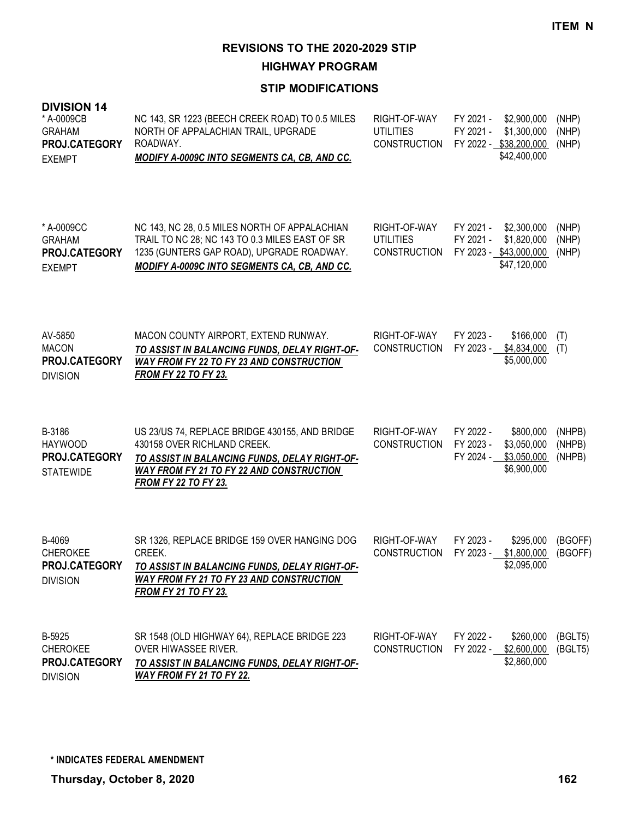**HIGHWAY PROGRAM**

| <b>DIVISION 14</b><br>* A-0009CB<br><b>GRAHAM</b><br>PROJ.CATEGORY<br><b>EXEMPT</b> | NC 143, SR 1223 (BEECH CREEK ROAD) TO 0.5 MILES<br>NORTH OF APPALACHIAN TRAIL, UPGRADE<br>ROADWAY.<br><b>MODIFY A-0009C INTO SEGMENTS CA, CB, AND CC.</b>                                                        | RIGHT-OF-WAY<br><b>UTILITIES</b><br><b>CONSTRUCTION</b> | FY 2021 -<br>\$2,900,000<br>FY 2021 -<br>\$1,300,000<br>FY 2022 - \$38,200,000<br>\$42,400,000 | (NHP)<br>(NHP)<br>(NHP)    |
|-------------------------------------------------------------------------------------|------------------------------------------------------------------------------------------------------------------------------------------------------------------------------------------------------------------|---------------------------------------------------------|------------------------------------------------------------------------------------------------|----------------------------|
| * A-0009CC<br><b>GRAHAM</b><br>PROJ.CATEGORY<br><b>EXEMPT</b>                       | NC 143, NC 28, 0.5 MILES NORTH OF APPALACHIAN<br>TRAIL TO NC 28; NC 143 TO 0.3 MILES EAST OF SR<br>1235 (GUNTERS GAP ROAD), UPGRADE ROADWAY.<br>MODIFY A-0009C INTO SEGMENTS CA, CB, AND CC.                     | RIGHT-OF-WAY<br><b>UTILITIES</b><br><b>CONSTRUCTION</b> | FY 2021 -<br>\$2,300,000<br>\$1,820,000<br>FY 2021 -<br>FY 2023 - \$43,000,000<br>\$47,120,000 | (NHP)<br>(NHP)<br>(NHP)    |
| AV-5850<br><b>MACON</b><br>PROJ.CATEGORY<br><b>DIVISION</b>                         | MACON COUNTY AIRPORT, EXTEND RUNWAY.<br>TO ASSIST IN BALANCING FUNDS, DELAY RIGHT-OF-<br><b>WAY FROM FY 22 TO FY 23 AND CONSTRUCTION</b><br><b>FROM FY 22 TO FY 23.</b>                                          | RIGHT-OF-WAY<br><b>CONSTRUCTION</b>                     | FY 2023 -<br>\$166,000<br>FY 2023 -<br>\$4,834,000<br>\$5,000,000                              | (T)<br>(T)                 |
| B-3186<br><b>HAYWOOD</b><br>PROJ.CATEGORY<br><b>STATEWIDE</b>                       | US 23/US 74, REPLACE BRIDGE 430155, AND BRIDGE<br>430158 OVER RICHLAND CREEK.<br>TO ASSIST IN BALANCING FUNDS, DELAY RIGHT-OF-<br><b>WAY FROM FY 21 TO FY 22 AND CONSTRUCTION</b><br><b>FROM FY 22 TO FY 23.</b> | RIGHT-OF-WAY<br><b>CONSTRUCTION</b>                     | FY 2022 -<br>\$800,000<br>FY 2023 -<br>\$3,050,000<br>FY 2024 -<br>\$3,050,000<br>\$6,900,000  | (NHPB)<br>(NHPB)<br>(NHPB) |
| B-4069<br><b>CHEROKEE</b><br>PROJ.CATEGORY<br><b>DIVISION</b>                       | SR 1326, REPLACE BRIDGE 159 OVER HANGING DOG<br>CREEK.<br>TO ASSIST IN BALANCING FUNDS, DELAY RIGHT-OF-<br><b>WAY FROM FY 21 TO FY 23 AND CONSTRUCTION</b><br><b>FROM FY 21 TO FY 23.</b>                        | RIGHT-OF-WAY<br><b>CONSTRUCTION</b>                     | FY 2023 -<br>\$295,000<br>FY 2023 -<br>\$1,800,000<br>\$2,095,000                              | (BGOFF)<br>(BGOFF)         |
| B-5925<br><b>CHEROKEE</b><br>PROJ.CATEGORY<br><b>DIVISION</b>                       | SR 1548 (OLD HIGHWAY 64), REPLACE BRIDGE 223<br>OVER HIWASSEE RIVER.<br><u>TO ASSIST IN BALANCING FUNDS, DELAY RIGHT-OF-</u><br><u>WAY FROM FY 21 TO FY 22.</u>                                                  | RIGHT-OF-WAY<br><b>CONSTRUCTION</b>                     | FY 2022 -<br>\$260,000<br>FY 2022 - \$2,600,000<br>\$2,860,000                                 | (BGLT5)<br>(BGLT5)         |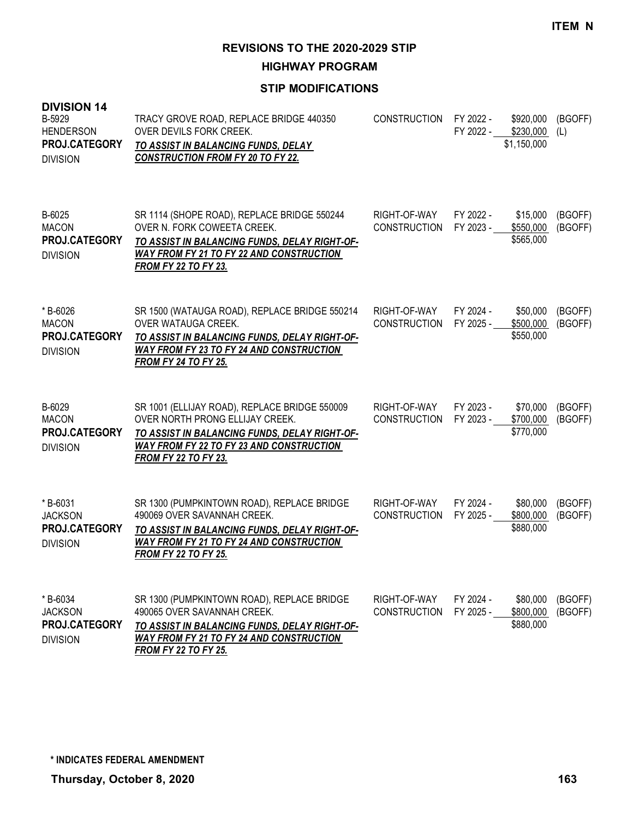**HIGHWAY PROGRAM**

## **STIP MODIFICATIONS**

| <b>DIVISION 14</b><br>B-5929<br><b>HENDERSON</b><br>PROJ.CATEGORY<br><b>DIVISION</b> | TRACY GROVE ROAD, REPLACE BRIDGE 440350<br><b>OVER DEVILS FORK CREEK.</b><br>TO ASSIST IN BALANCING FUNDS, DELAY<br><b>CONSTRUCTION FROM FY 20 TO FY 22.</b>                                                        | CONSTRUCTION                        | FY 2022 -<br>FY 2022 - | \$920,000<br>\$230,000<br>\$1,150,000 | (BGOFF)<br>(L)     |
|--------------------------------------------------------------------------------------|---------------------------------------------------------------------------------------------------------------------------------------------------------------------------------------------------------------------|-------------------------------------|------------------------|---------------------------------------|--------------------|
| B-6025<br><b>MACON</b><br>PROJ.CATEGORY<br><b>DIVISION</b>                           | SR 1114 (SHOPE ROAD), REPLACE BRIDGE 550244<br>OVER N. FORK COWEETA CREEK.<br>TO ASSIST IN BALANCING FUNDS, DELAY RIGHT-OF-<br><b>WAY FROM FY 21 TO FY 22 AND CONSTRUCTION</b><br><b>FROM FY 22 TO FY 23.</b>       | RIGHT-OF-WAY<br><b>CONSTRUCTION</b> | FY 2022 -<br>FY 2023 - | \$15,000<br>\$550,000<br>\$565,000    | (BGOFF)<br>(BGOFF) |
| *B-6026<br><b>MACON</b><br>PROJ.CATEGORY<br><b>DIVISION</b>                          | SR 1500 (WATAUGA ROAD), REPLACE BRIDGE 550214<br>OVER WATAUGA CREEK.<br>TO ASSIST IN BALANCING FUNDS, DELAY RIGHT-OF-<br>WAY FROM FY 23 TO FY 24 AND CONSTRUCTION<br><b>FROM FY 24 TO FY 25.</b>                    | RIGHT-OF-WAY<br><b>CONSTRUCTION</b> | FY 2024 -<br>FY 2025 - | \$50,000<br>\$500,000<br>\$550,000    | (BGOFF)<br>(BGOFF) |
| B-6029<br><b>MACON</b><br>PROJ.CATEGORY<br><b>DIVISION</b>                           | SR 1001 (ELLIJAY ROAD), REPLACE BRIDGE 550009<br>OVER NORTH PRONG ELLIJAY CREEK.<br>TO ASSIST IN BALANCING FUNDS, DELAY RIGHT-OF-<br><b>WAY FROM FY 22 TO FY 23 AND CONSTRUCTION</b><br><b>FROM FY 22 TO FY 23.</b> | RIGHT-OF-WAY<br><b>CONSTRUCTION</b> | FY 2023 -<br>FY 2023 - | \$70,000<br>\$700,000<br>\$770,000    | (BGOFF)<br>(BGOFF) |
| *B-6031<br><b>JACKSON</b><br>PROJ.CATEGORY<br><b>DIVISION</b>                        | SR 1300 (PUMPKINTOWN ROAD), REPLACE BRIDGE<br>490069 OVER SAVANNAH CREEK.<br>TO ASSIST IN BALANCING FUNDS, DELAY RIGHT-OF-<br><b>WAY FROM FY 21 TO FY 24 AND CONSTRUCTION</b><br><b>FROM FY 22 TO FY 25.</b>        | RIGHT-OF-WAY<br><b>CONSTRUCTION</b> | FY 2024 -<br>FY 2025 - | \$80,000<br>\$800,000<br>\$880,000    | (BGOFF)<br>(BGOFF) |
| *B-6034<br><b>JACKSON</b><br>PROJ.CATEGORY<br><b>DIVISION</b>                        | SR 1300 (PUMPKINTOWN ROAD), REPLACE BRIDGE<br>490065 OVER SAVANNAH CREEK.<br>TO ASSIST IN BALANCING FUNDS, DELAY RIGHT-OF-<br><b>WAY FROM FY 21 TO FY 24 AND CONSTRUCTION</b><br><b>FROM FY 22 TO FY 25.</b>        | RIGHT-OF-WAY<br><b>CONSTRUCTION</b> | FY 2024 -<br>FY 2025 - | \$80,000<br>\$800,000<br>\$880,000    | (BGOFF)<br>(BGOFF) |

**Thursday, October 8, 2020 163 \* INDICATES FEDERAL AMENDMENT**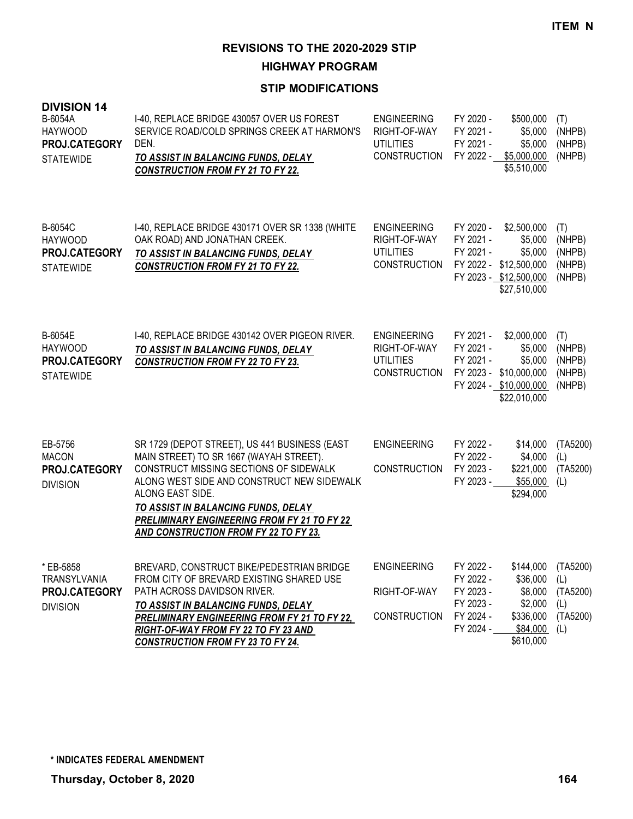**HIGHWAY PROGRAM**

| <b>DIVISION 14</b><br>B-6054A<br><b>HAYWOOD</b><br>PROJ.CATEGORY<br><b>STATEWIDE</b> | I-40, REPLACE BRIDGE 430057 OVER US FOREST<br>SERVICE ROAD/COLD SPRINGS CREEK AT HARMON'S<br>DEN.<br>TO ASSIST IN BALANCING FUNDS, DELAY<br><b>CONSTRUCTION FROM FY 21 TO FY 22.</b>                                                                                                                                                              | <b>ENGINEERING</b><br>RIGHT-OF-WAY<br><b>UTILITIES</b><br><b>CONSTRUCTION</b> | FY 2020 -<br>\$500,000<br>FY 2021 -<br>\$5,000<br>FY 2021 -<br>\$5,000<br>FY 2022 -<br>\$5,000,000<br>\$5,510,000                                                        | (T)<br>(NHPB)<br>(NHPB)<br>(NHPB)           |
|--------------------------------------------------------------------------------------|---------------------------------------------------------------------------------------------------------------------------------------------------------------------------------------------------------------------------------------------------------------------------------------------------------------------------------------------------|-------------------------------------------------------------------------------|--------------------------------------------------------------------------------------------------------------------------------------------------------------------------|---------------------------------------------|
| B-6054C<br><b>HAYWOOD</b><br>PROJ.CATEGORY<br><b>STATEWIDE</b>                       | I-40, REPLACE BRIDGE 430171 OVER SR 1338 (WHITE<br>OAK ROAD) AND JONATHAN CREEK.<br>TO ASSIST IN BALANCING FUNDS, DELAY<br><b>CONSTRUCTION FROM FY 21 TO FY 22.</b>                                                                                                                                                                               | <b>ENGINEERING</b><br>RIGHT-OF-WAY<br><b>UTILITIES</b><br><b>CONSTRUCTION</b> | FY 2020 -<br>\$2,500,000<br>FY 2021 -<br>\$5,000<br>FY 2021 -<br>\$5,000<br>FY 2022 - \$12,500,000<br>FY 2023 - \$12,500,000<br>\$27,510,000                             | (T)<br>(NHPB)<br>(NHPB)<br>(NHPB)<br>(NHPB) |
| B-6054E<br><b>HAYWOOD</b><br>PROJ.CATEGORY<br><b>STATEWIDE</b>                       | 1-40, REPLACE BRIDGE 430142 OVER PIGEON RIVER.<br>TO ASSIST IN BALANCING FUNDS, DELAY<br><b>CONSTRUCTION FROM FY 22 TO FY 23.</b>                                                                                                                                                                                                                 | <b>ENGINEERING</b><br>RIGHT-OF-WAY<br><b>UTILITIES</b><br><b>CONSTRUCTION</b> | FY 2021 -<br>\$2,000,000<br>FY 2021 -<br>\$5,000<br>FY 2021 -<br>\$5,000<br>FY 2023 - \$10,000,000<br>FY 2024 - \$10,000,000<br>\$22,010,000                             | (T)<br>(NHPB)<br>(NHPB)<br>(NHPB)<br>(NHPB) |
| EB-5756<br><b>MACON</b><br>PROJ.CATEGORY<br><b>DIVISION</b>                          | SR 1729 (DEPOT STREET), US 441 BUSINESS (EAST<br>MAIN STREET) TO SR 1667 (WAYAH STREET).<br>CONSTRUCT MISSING SECTIONS OF SIDEWALK<br>ALONG WEST SIDE AND CONSTRUCT NEW SIDEWALK<br>ALONG EAST SIDE.<br>TO ASSIST IN BALANCING FUNDS, DELAY<br><b>PRELIMINARY ENGINEERING FROM FY 21 TO FY 22</b><br><b>AND CONSTRUCTION FROM FY 22 TO FY 23.</b> | <b>ENGINEERING</b><br>CONSTRUCTION                                            | FY 2022 -<br>\$14,000<br>FY 2022 -<br>\$4,000<br>FY 2023 -<br>\$221,000<br>FY 2023 -<br>\$55,000<br>\$294,000                                                            | (TA5200)<br>(L)<br>(TA5200)<br>(L)          |
| * EB-5858<br>TRANSYLVANIA<br>PROJ.CATEGORY<br><b>DIVISION</b>                        | BREVARD, CONSTRUCT BIKE/PEDESTRIAN BRIDGE<br>FROM CITY OF BREVARD EXISTING SHARED USE<br>PATH ACROSS DAVIDSON RIVER.<br>TO ASSIST IN BALANCING FUNDS, DELAY<br><b>PRELIMINARY ENGINEERING FROM FY 21 TO FY 22,</b><br>RIGHT-OF-WAY FROM FY 22 TO FY 23 AND<br><b>CONSTRUCTION FROM FY 23 TO FY 24.</b>                                            | <b>ENGINEERING</b><br>RIGHT-OF-WAY<br><b>CONSTRUCTION</b>                     | FY 2022 -<br>\$144,000 (TA5200)<br>FY 2022 -<br>\$36,000<br>\$8,000<br>FY 2023 -<br>\$2,000<br>FY 2023 -<br>FY 2024 -<br>\$336,000<br>FY 2024 -<br>\$84,000<br>\$610,000 | (L)<br>(TA5200)<br>(L)<br>(TA5200)<br>(L)   |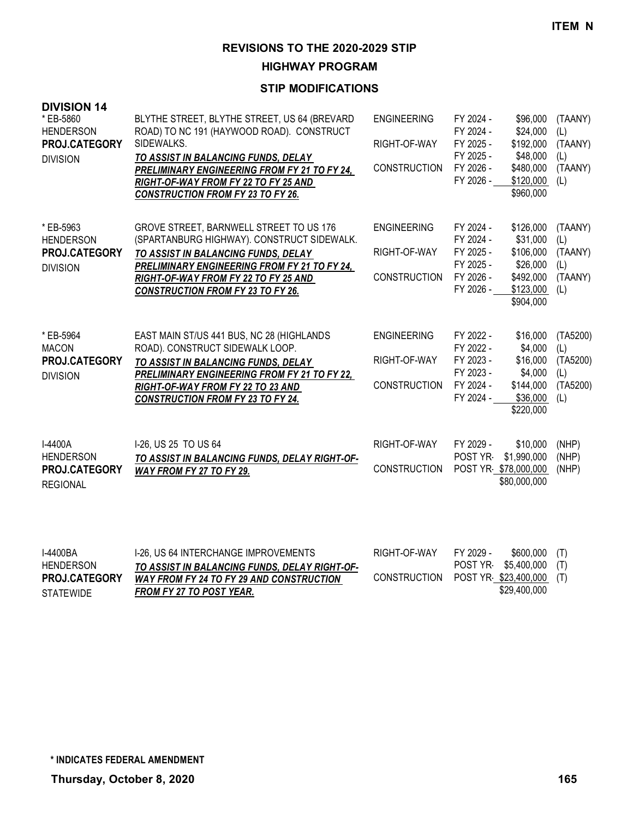**HIGHWAY PROGRAM**

| <b>DIVISION 14</b><br>* EB-5860<br><b>HENDERSON</b><br>PROJ.CATEGORY<br><b>DIVISION</b> | BLYTHE STREET, BLYTHE STREET, US 64 (BREVARD<br>ROAD) TO NC 191 (HAYWOOD ROAD). CONSTRUCT<br>SIDEWALKS.<br>TO ASSIST IN BALANCING FUNDS, DELAY<br><b>PRELIMINARY ENGINEERING FROM FY 21 TO FY 24,</b><br>RIGHT-OF-WAY FROM FY 22 TO FY 25 AND<br><b>CONSTRUCTION FROM FY 23 TO FY 26.</b> | <b>ENGINEERING</b><br>RIGHT-OF-WAY<br><b>CONSTRUCTION</b> | FY 2024 -<br>FY 2024 -<br>FY 2025 -<br>FY 2025 -<br>FY 2026 -<br>FY 2026 - | \$96,000<br>\$24,000<br>\$192,000<br>\$48,000<br>\$480,000<br>\$120,000<br>\$960,000  | (TAANY)<br>(L)<br>(TAANY)<br>(L)<br>(TAANY)<br>(L)    |
|-----------------------------------------------------------------------------------------|-------------------------------------------------------------------------------------------------------------------------------------------------------------------------------------------------------------------------------------------------------------------------------------------|-----------------------------------------------------------|----------------------------------------------------------------------------|---------------------------------------------------------------------------------------|-------------------------------------------------------|
| * EB-5963<br><b>HENDERSON</b><br>PROJ.CATEGORY<br><b>DIVISION</b>                       | GROVE STREET, BARNWELL STREET TO US 176<br>(SPARTANBURG HIGHWAY). CONSTRUCT SIDEWALK.<br>TO ASSIST IN BALANCING FUNDS, DELAY<br><b>PRELIMINARY ENGINEERING FROM FY 21 TO FY 24,</b><br>RIGHT-OF-WAY FROM FY 22 TO FY 25 AND<br><b>CONSTRUCTION FROM FY 23 TO FY 26.</b>                   | <b>ENGINEERING</b><br>RIGHT-OF-WAY<br><b>CONSTRUCTION</b> | FY 2024 -<br>FY 2024 -<br>FY 2025 -<br>FY 2025 -<br>FY 2026 -<br>FY 2026 - | \$126,000<br>\$31,000<br>\$106,000<br>\$26,000<br>\$492,000<br>\$123,000<br>\$904,000 | (TAANY)<br>(L)<br>(TAANY)<br>(L)<br>(TAANY)<br>(L)    |
| * EB-5964<br><b>MACON</b><br>PROJ.CATEGORY<br><b>DIVISION</b>                           | EAST MAIN ST/US 441 BUS, NC 28 (HIGHLANDS<br>ROAD). CONSTRUCT SIDEWALK LOOP.<br>TO ASSIST IN BALANCING FUNDS, DELAY<br><b>PRELIMINARY ENGINEERING FROM FY 21 TO FY 22,</b><br>RIGHT-OF-WAY FROM FY 22 TO 23 AND<br><b>CONSTRUCTION FROM FY 23 TO FY 24.</b>                               | <b>ENGINEERING</b><br>RIGHT-OF-WAY<br><b>CONSTRUCTION</b> | FY 2022 -<br>FY 2022 -<br>FY 2023 -<br>FY 2023 -<br>FY 2024 -<br>FY 2024 - | \$16,000<br>\$4,000<br>\$16,000<br>\$4,000<br>\$144,000<br>\$36,000<br>\$220,000      | (TA5200)<br>(L)<br>(TA5200)<br>(L)<br>(TA5200)<br>(L) |
| <b>I-4400A</b><br><b>HENDERSON</b><br>PROJ.CATEGORY<br><b>REGIONAL</b>                  | 1-26, US 25 TO US 64<br>TO ASSIST IN BALANCING FUNDS, DELAY RIGHT-OF-<br>WAY FROM FY 27 TO FY 29.                                                                                                                                                                                         | RIGHT-OF-WAY<br><b>CONSTRUCTION</b>                       | FY 2029 -<br>POST YR                                                       | \$10,000<br>\$1,990,000<br>POST YR \$78,000,000<br>\$80,000,000                       | (NHP)<br>(NHP)<br>(NHP)                               |

| 1-4400BA             | 1-26. US 64 INTERCHANGE IMPROVEMENTS            | RIGHT-OF-WAY | FY 2029 - | $$600,000$ (T)           |  |
|----------------------|-------------------------------------------------|--------------|-----------|--------------------------|--|
| <b>HENDERSON</b>     | TO ASSIST IN BALANCING FUNDS, DELAY RIGHT-OF-   |              |           | POST YR \$5,400,000 (T)  |  |
| <b>PROJ.CATEGORY</b> | <b>WAY FROM FY 24 TO FY 29 AND CONSTRUCTION</b> | CONSTRUCTION |           | POST YR \$23,400,000 (T) |  |
| <b>STATEWIDE</b>     | FROM FY 27 TO POST YEAR.                        |              |           | \$29,400,000             |  |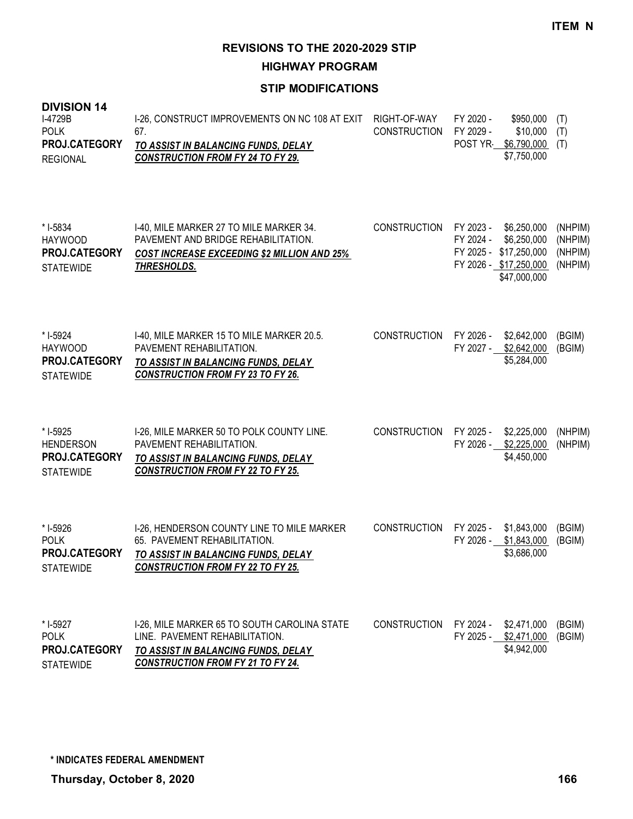**HIGHWAY PROGRAM**

#### **STIP MODIFICATIONS**

| <b>DIVISION 14</b><br>I-4729B<br><b>POLK</b><br>PROJ.CATEGORY<br><b>REGIONAL</b> | I-26, CONSTRUCT IMPROVEMENTS ON NC 108 AT EXIT<br>67.<br><b>TO ASSIST IN BALANCING FUNDS, DELAY</b><br><b>CONSTRUCTION FROM FY 24 TO FY 29.</b>                   | RIGHT-OF-WAY<br><b>CONSTRUCTION</b> | FY 2020 -<br>FY 2029 -<br>POST YR | \$950,000<br>\$10,000<br>\$6,790,000<br>\$7,750,000                                            | (T)<br>(T)<br>(T)                        |
|----------------------------------------------------------------------------------|-------------------------------------------------------------------------------------------------------------------------------------------------------------------|-------------------------------------|-----------------------------------|------------------------------------------------------------------------------------------------|------------------------------------------|
| * I-5834<br><b>HAYWOOD</b><br>PROJ.CATEGORY<br><b>STATEWIDE</b>                  | 1-40, MILE MARKER 27 TO MILE MARKER 34.<br>PAVEMENT AND BRIDGE REHABILITATION.<br><b>COST INCREASE EXCEEDING \$2 MILLION AND 25%</b><br><b>THRESHOLDS.</b>        | <b>CONSTRUCTION</b>                 | FY 2023 -<br>FY 2024 -            | \$6,250,000<br>\$6,250,000<br>FY 2025 - \$17,250,000<br>FY 2026 - \$17,250,000<br>\$47,000,000 | (NHPIM)<br>(NHPIM)<br>(NHPIM)<br>(NHPIM) |
| * I-5924<br><b>HAYWOOD</b><br>PROJ.CATEGORY<br><b>STATEWIDE</b>                  | I-40, MILE MARKER 15 TO MILE MARKER 20.5.<br>PAVEMENT REHABILITATION.<br>TO ASSIST IN BALANCING FUNDS, DELAY<br><b>CONSTRUCTION FROM FY 23 TO FY 26.</b>          | <b>CONSTRUCTION</b>                 | FY 2026 -<br>FY 2027 -            | \$2,642,000<br>\$2,642,000<br>\$5,284,000                                                      | (BGIM)<br>(BGIM)                         |
| * I-5925<br><b>HENDERSON</b><br>PROJ.CATEGORY<br><b>STATEWIDE</b>                | I-26, MILE MARKER 50 TO POLK COUNTY LINE.<br>PAVEMENT REHABILITATION.<br>TO ASSIST IN BALANCING FUNDS, DELAY<br><b>CONSTRUCTION FROM FY 22 TO FY 25.</b>          | <b>CONSTRUCTION</b>                 | FY 2025 -                         | \$2,225,000<br>FY 2026 - \$2,225,000<br>\$4,450,000                                            | (NHPIM)<br>(NHPIM)                       |
| * I-5926<br><b>POLK</b><br>PROJ.CATEGORY<br><b>STATEWIDE</b>                     | I-26, HENDERSON COUNTY LINE TO MILE MARKER<br>65. PAVEMENT REHABILITATION.<br>TO ASSIST IN BALANCING FUNDS, DELAY<br><b>CONSTRUCTION FROM FY 22 TO FY 25.</b>     | <b>CONSTRUCTION</b>                 | FY 2025 -<br>FY 2026 -            | \$1,843,000<br>\$1,843,000<br>\$3,686,000                                                      | (BGIM)<br>(BGIM)                         |
| * I-5927<br><b>POLK</b><br>PROJ.CATEGORY<br><b>STATEWIDE</b>                     | I-26, MILE MARKER 65 TO SOUTH CAROLINA STATE<br>LINE. PAVEMENT REHABILITATION.<br>TO ASSIST IN BALANCING FUNDS, DELAY<br><b>CONSTRUCTION FROM FY 21 TO FY 24.</b> | <b>CONSTRUCTION</b>                 | FY 2024 -                         | \$2,471,000<br>FY 2025 - \$2,471,000<br>\$4,942,000                                            | (BGIM)<br>(BGIM)                         |

**STATEWIDE**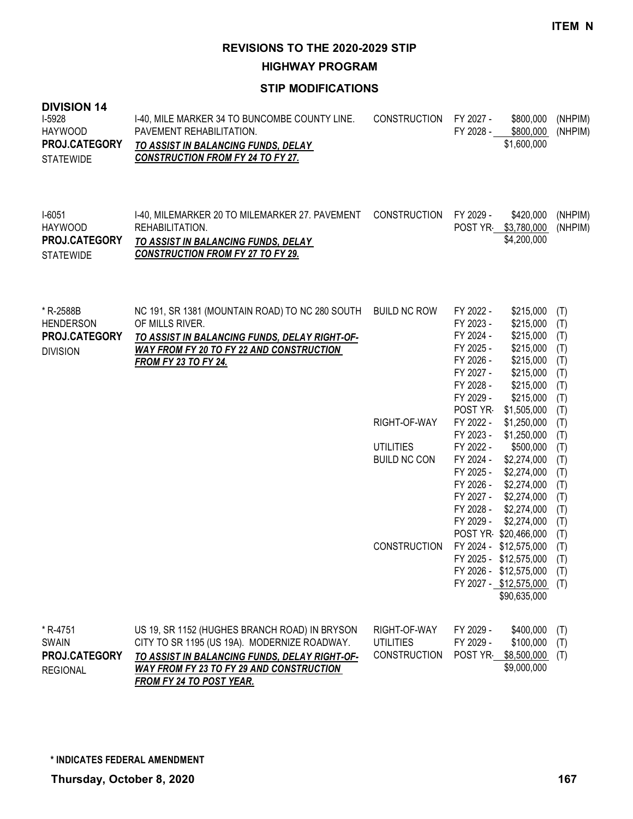**HIGHWAY PROGRAM**

| <b>DIVISION 14</b><br>I-5928<br><b>HAYWOOD</b><br>PROJ.CATEGORY<br><b>STATEWIDE</b> | 1-40, MILE MARKER 34 TO BUNCOMBE COUNTY LINE.<br>PAVEMENT REHABILITATION.<br>TO ASSIST IN BALANCING FUNDS, DELAY<br><b>CONSTRUCTION FROM FY 24 TO FY 27.</b>                                                           | <b>CONSTRUCTION</b>                                     | FY 2027 -<br>FY 2028 -                                                                                          | \$800,000<br>\$800,000<br>\$1,600,000                                                                                | (NHPIM)<br>(NHPIM)                                          |
|-------------------------------------------------------------------------------------|------------------------------------------------------------------------------------------------------------------------------------------------------------------------------------------------------------------------|---------------------------------------------------------|-----------------------------------------------------------------------------------------------------------------|----------------------------------------------------------------------------------------------------------------------|-------------------------------------------------------------|
| $I-6051$<br><b>HAYWOOD</b><br>PROJ.CATEGORY<br><b>STATEWIDE</b>                     | I-40, MILEMARKER 20 TO MILEMARKER 27. PAVEMENT<br>REHABILITATION.<br>TO ASSIST IN BALANCING FUNDS, DELAY<br><b>CONSTRUCTION FROM FY 27 TO FY 29.</b>                                                                   | <b>CONSTRUCTION</b>                                     | FY 2029 -                                                                                                       | \$420,000<br>POST YR \$3,780,000<br>\$4,200,000                                                                      | (NHPIM)<br>(NHPIM)                                          |
| * R-2588B<br><b>HENDERSON</b><br>PROJ.CATEGORY<br><b>DIVISION</b>                   | NC 191, SR 1381 (MOUNTAIN ROAD) TO NC 280 SOUTH<br>OF MILLS RIVER.<br>TO ASSIST IN BALANCING FUNDS, DELAY RIGHT-OF-<br><b>WAY FROM FY 20 TO FY 22 AND CONSTRUCTION</b><br><b>FROM FY 23 TO FY 24.</b>                  | <b>BUILD NC ROW</b>                                     | FY 2022 -<br>FY 2023 -<br>FY 2024 -<br>FY 2025 -<br>FY 2026 -<br>FY 2027 -<br>FY 2028 -<br>FY 2029 -<br>POST YR | \$215,000<br>\$215,000<br>\$215,000<br>\$215,000<br>\$215,000<br>\$215,000<br>\$215,000<br>\$215,000<br>\$1,505,000  | (T)<br>(T)<br>(T)<br>(T)<br>(T)<br>(T)<br>(T)<br>(T)<br>(T) |
|                                                                                     |                                                                                                                                                                                                                        | RIGHT-OF-WAY                                            | FY 2022 -<br>FY 2023 -                                                                                          | \$1,250,000<br>\$1,250,000                                                                                           | (T)<br>(T)                                                  |
|                                                                                     |                                                                                                                                                                                                                        | <b>UTILITIES</b>                                        | FY 2022 -                                                                                                       | \$500,000                                                                                                            | (T)                                                         |
|                                                                                     |                                                                                                                                                                                                                        | <b>BUILD NC CON</b>                                     | FY 2024 -<br>FY 2025 -<br>FY 2026 -<br>FY 2027 -<br>FY 2028 -<br>FY 2029 -                                      | \$2,274,000<br>\$2,274,000<br>\$2,274,000<br>\$2,274,000<br>\$2,274,000<br>\$2,274,000<br>POST YR \$20,466,000       | (T)<br>(T)<br>(T)<br>(T)<br>(T)<br>(T)<br>(T)               |
|                                                                                     |                                                                                                                                                                                                                        | <b>CONSTRUCTION</b>                                     |                                                                                                                 | FY 2024 - \$12,575,000<br>FY 2025 - \$12,575,000<br>FY 2026 - \$12,575,000<br>FY 2027 - \$12,575,000<br>\$90,635,000 | (T)<br>(T)<br>(T)<br>(T)                                    |
| * R-4751<br><b>SWAIN</b><br>PROJ.CATEGORY<br><b>REGIONAL</b>                        | US 19, SR 1152 (HUGHES BRANCH ROAD) IN BRYSON<br>CITY TO SR 1195 (US 19A). MODERNIZE ROADWAY.<br>TO ASSIST IN BALANCING FUNDS, DELAY RIGHT-OF-<br>WAY FROM FY 23 TO FY 29 AND CONSTRUCTION<br>FROM FY 24 TO POST YEAR. | RIGHT-OF-WAY<br><b>UTILITIES</b><br><b>CONSTRUCTION</b> | FY 2029 -<br>FY 2029 -<br>POST YR                                                                               | \$400,000<br>\$100,000<br>\$8,500,000<br>\$9,000,000                                                                 | (T)<br>(T)<br>(T)                                           |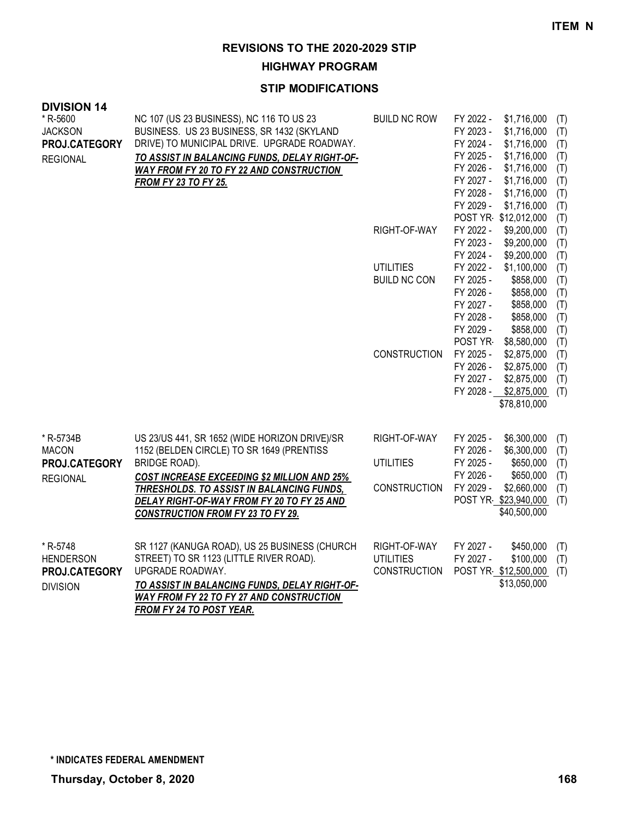**HIGHWAY PROGRAM**

| <b>DIVISION 14</b><br>* R-5600 | NC 107 (US 23 BUSINESS), NC 116 TO US 23                                    | <b>BUILD NC ROW</b> | FY 2022 -              | \$1,716,000                          | (T)        |
|--------------------------------|-----------------------------------------------------------------------------|---------------------|------------------------|--------------------------------------|------------|
| <b>JACKSON</b>                 | BUSINESS. US 23 BUSINESS, SR 1432 (SKYLAND                                  |                     | FY 2023 -              | \$1,716,000                          | (T)        |
| PROJ.CATEGORY                  | DRIVE) TO MUNICIPAL DRIVE. UPGRADE ROADWAY.                                 |                     | FY 2024 -              | \$1,716,000                          | (T)        |
| <b>REGIONAL</b>                | TO ASSIST IN BALANCING FUNDS, DELAY RIGHT-OF-                               |                     | FY 2025 -              | \$1,716,000                          | (T)        |
|                                | WAY FROM FY 20 TO FY 22 AND CONSTRUCTION                                    |                     | FY 2026 -              | \$1,716,000                          | (T)        |
|                                | <b>FROM FY 23 TO FY 25.</b>                                                 |                     | FY 2027 -              | \$1,716,000                          | (T)        |
|                                |                                                                             |                     | FY 2028 -<br>FY 2029 - | \$1,716,000<br>\$1,716,000           | (T)<br>(T) |
|                                |                                                                             |                     |                        | POST YR \$12,012,000                 | (T)        |
|                                |                                                                             | RIGHT-OF-WAY        | FY 2022 -              | \$9,200,000                          | (T)        |
|                                |                                                                             |                     | FY 2023 -              | \$9,200,000                          | (T)        |
|                                |                                                                             |                     | FY 2024 -              | \$9,200,000                          | (T)        |
|                                |                                                                             | <b>UTILITIES</b>    | FY 2022 -              | \$1,100,000                          | (T)        |
|                                |                                                                             | <b>BUILD NC CON</b> | FY 2025 -              | \$858,000                            | (T)        |
|                                |                                                                             |                     | FY 2026 -              | \$858,000                            | (T)        |
|                                |                                                                             |                     | FY 2027 -              | \$858,000                            | (T)        |
|                                |                                                                             |                     | FY 2028 -<br>FY 2029 - | \$858,000<br>\$858,000               | (T)<br>(T) |
|                                |                                                                             |                     | POST YR                | \$8,580,000                          | (T)        |
|                                |                                                                             | <b>CONSTRUCTION</b> | FY 2025 -              | \$2,875,000                          | (T)        |
|                                |                                                                             |                     | FY 2026 -              | \$2,875,000                          | (T)        |
|                                |                                                                             |                     | FY 2027 -              | \$2,875,000                          | (T)        |
|                                |                                                                             |                     | FY 2028 -              | \$2,875,000                          | (T)        |
|                                |                                                                             |                     |                        | \$78,810,000                         |            |
|                                |                                                                             |                     |                        |                                      |            |
| * R-5734B                      | US 23/US 441, SR 1652 (WIDE HORIZON DRIVE)/SR                               | RIGHT-OF-WAY        | FY 2025 -              | \$6,300,000                          | (T)        |
| <b>MACON</b>                   | 1152 (BELDEN CIRCLE) TO SR 1649 (PRENTISS                                   |                     | FY 2026 -              | \$6,300,000                          | (T)        |
| PROJ.CATEGORY                  | BRIDGE ROAD).                                                               | <b>UTILITIES</b>    | FY 2025 -              | \$650,000                            | (T)        |
| <b>REGIONAL</b>                | <b>COST INCREASE EXCEEDING \$2 MILLION AND 25%</b>                          |                     | FY 2026 -              | \$650,000                            | (T)        |
|                                | THRESHOLDS. TO ASSIST IN BALANCING FUNDS,                                   | <b>CONSTRUCTION</b> | FY 2029 -              | \$2,660,000                          | (T)        |
|                                | DELAY RIGHT-OF-WAY FROM FY 20 TO FY 25 AND                                  |                     |                        | POST YR \$23,940,000<br>\$40,500,000 | (T)        |
|                                | <b>CONSTRUCTION FROM FY 23 TO FY 29.</b>                                    |                     |                        |                                      |            |
|                                |                                                                             |                     |                        |                                      |            |
| * R-5748                       | SR 1127 (KANUGA ROAD), US 25 BUSINESS (CHURCH                               | RIGHT-OF-WAY        | FY 2027 -              | \$450,000                            | (T)        |
| <b>HENDERSON</b>               | STREET) TO SR 1123 (LITTLE RIVER ROAD).                                     | <b>UTILITIES</b>    | FY 2027 -              | \$100,000                            | (T)        |
| PROJ.CATEGORY                  | UPGRADE ROADWAY.                                                            | <b>CONSTRUCTION</b> |                        | POST YR \$12,500,000                 | (T)        |
| <b>DIVISION</b>                | TO ASSIST IN BALANCING FUNDS, DELAY RIGHT-OF-                               |                     |                        | \$13,050,000                         |            |
|                                | <b>WAY FROM FY 22 TO FY 27 AND CONSTRUCTION</b><br>FROM FY 24 TO POST YEAR. |                     |                        |                                      |            |
|                                |                                                                             |                     |                        |                                      |            |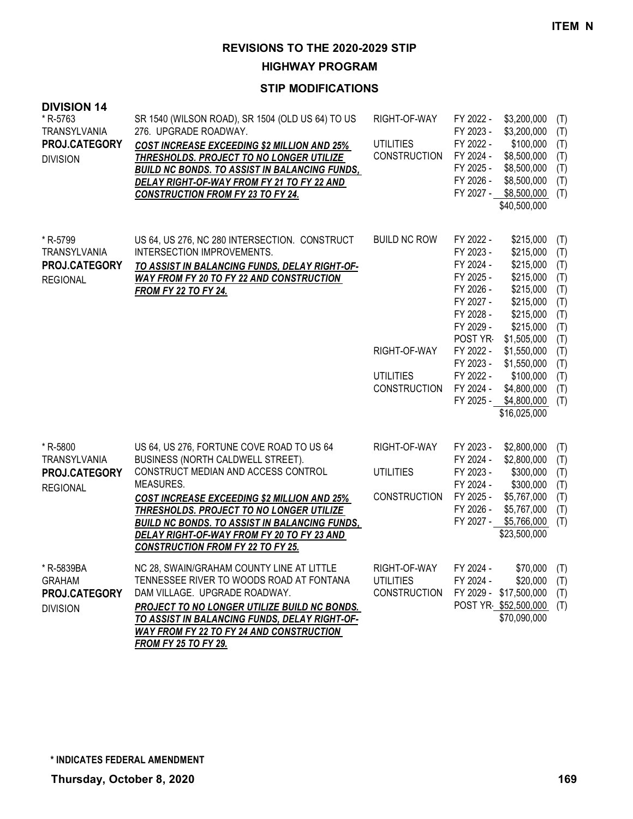**HIGHWAY PROGRAM**

## **STIP MODIFICATIONS**

| <b>DIVISION 14</b>       |                                                                                                  |                                         |                        |                            |            |
|--------------------------|--------------------------------------------------------------------------------------------------|-----------------------------------------|------------------------|----------------------------|------------|
| * R-5763<br>TRANSYLVANIA | SR 1540 (WILSON ROAD), SR 1504 (OLD US 64) TO US<br>276. UPGRADE ROADWAY.                        | RIGHT-OF-WAY                            | FY 2022 -<br>FY 2023 - | \$3,200,000                | (T)        |
| PROJ.CATEGORY            | <b>COST INCREASE EXCEEDING \$2 MILLION AND 25%</b>                                               | <b>UTILITIES</b>                        | FY 2022 -              | \$3,200,000<br>\$100,000   | (T)<br>(T) |
| <b>DIVISION</b>          | THRESHOLDS. PROJECT TO NO LONGER UTILIZE                                                         | <b>CONSTRUCTION</b>                     | FY 2024 -              | \$8,500,000                | (T)        |
|                          | <b>BUILD NC BONDS. TO ASSIST IN BALANCING FUNDS,</b>                                             |                                         | FY 2025 -              | \$8,500,000                | (T)        |
|                          | DELAY RIGHT-OF-WAY FROM FY 21 TO FY 22 AND                                                       |                                         | FY 2026 -<br>FY 2027 - | \$8,500,000<br>\$8,500,000 | (T)<br>(T) |
|                          | <b>CONSTRUCTION FROM FY 23 TO FY 24.</b>                                                         |                                         |                        | \$40,500,000               |            |
|                          |                                                                                                  |                                         |                        |                            |            |
| * R-5799                 | US 64, US 276, NC 280 INTERSECTION. CONSTRUCT                                                    | <b>BUILD NC ROW</b>                     | FY 2022 -              | \$215,000                  | (T)        |
| <b>TRANSYLVANIA</b>      | INTERSECTION IMPROVEMENTS.                                                                       |                                         | FY 2023 -              | \$215,000                  | (T)        |
| <b>PROJ.CATEGORY</b>     | TO ASSIST IN BALANCING FUNDS, DELAY RIGHT-OF-                                                    |                                         | FY 2024 -              | \$215,000                  | (T)        |
| <b>REGIONAL</b>          | <b>WAY FROM FY 20 TO FY 22 AND CONSTRUCTION</b>                                                  |                                         | FY 2025 -<br>FY 2026 - | \$215,000                  | (T)        |
|                          | <b>FROM FY 22 TO FY 24.</b>                                                                      |                                         | FY 2027 -              | \$215,000<br>\$215,000     | (T)<br>(T) |
|                          |                                                                                                  |                                         | FY 2028 -              | \$215,000                  | (T)        |
|                          |                                                                                                  |                                         | FY 2029 -              | \$215,000                  | (T)        |
|                          |                                                                                                  |                                         | POST YR-               | \$1,505,000                | (T)        |
|                          |                                                                                                  | RIGHT-OF-WAY                            | FY 2022 -              | \$1,550,000                | (T)        |
|                          |                                                                                                  |                                         | FY 2023 -              | \$1,550,000                | (T)        |
|                          |                                                                                                  | <b>UTILITIES</b><br><b>CONSTRUCTION</b> | FY 2022 -<br>FY 2024 - | \$100,000<br>\$4,800,000   | (T)        |
|                          |                                                                                                  |                                         | FY 2025 -              | \$4,800,000                | (T)<br>(T) |
|                          |                                                                                                  |                                         |                        | \$16,025,000               |            |
|                          |                                                                                                  |                                         |                        |                            |            |
| * R-5800                 | US 64, US 276, FORTUNE COVE ROAD TO US 64                                                        | RIGHT-OF-WAY                            | FY 2023 -              | \$2,800,000                | (T)        |
| <b>TRANSYLVANIA</b>      | BUSINESS (NORTH CALDWELL STREET).                                                                |                                         | FY 2024 -              | \$2,800,000                | (T)        |
| PROJ.CATEGORY            | CONSTRUCT MEDIAN AND ACCESS CONTROL<br>MEASURES.                                                 | <b>UTILITIES</b>                        | FY 2023 -              | \$300,000                  | (T)        |
| <b>REGIONAL</b>          |                                                                                                  | <b>CONSTRUCTION</b>                     | FY 2024 -<br>FY 2025 - | \$300,000<br>\$5,767,000   | (T)<br>(T) |
|                          | <b>COST INCREASE EXCEEDING \$2 MILLION AND 25%</b><br>THRESHOLDS. PROJECT TO NO LONGER UTILIZE   |                                         | FY 2026 -              | \$5,767,000                | (T)        |
|                          | BUILD NC BONDS. TO ASSIST IN BALANCING FUNDS,                                                    |                                         | FY 2027 -              | \$5,766,000                | (T)        |
|                          | DELAY RIGHT-OF-WAY FROM FY 20 TO FY 23 AND                                                       |                                         |                        | \$23,500,000               |            |
|                          | <b>CONSTRUCTION FROM FY 22 TO FY 25.</b>                                                         |                                         |                        |                            |            |
| * R-5839BA               | NC 28, SWAIN/GRAHAM COUNTY LINE AT LITTLE                                                        | RIGHT-OF-WAY                            | FY 2024 -              | \$70,000                   | (T)        |
| <b>GRAHAM</b>            | TENNESSEE RIVER TO WOODS ROAD AT FONTANA                                                         | <b>UTILITIES</b>                        | FY 2024 -              | \$20,000                   | (T)        |
| PROJ.CATEGORY            | DAM VILLAGE. UPGRADE ROADWAY.                                                                    | <b>CONSTRUCTION</b>                     |                        | FY 2029 - \$17,500,000     | (T)        |
| <b>DIVISION</b>          | PROJECT TO NO LONGER UTILIZE BUILD NC BONDS.                                                     |                                         |                        | POST YR \$52,500,000       | (T)        |
|                          | TO ASSIST IN BALANCING FUNDS, DELAY RIGHT-OF-<br><b>WAY FROM FY 22 TO FY 24 AND CONSTRUCTION</b> |                                         |                        | \$70,090,000               |            |
|                          |                                                                                                  |                                         |                        |                            |            |

*FROM FY 25 TO FY 29.*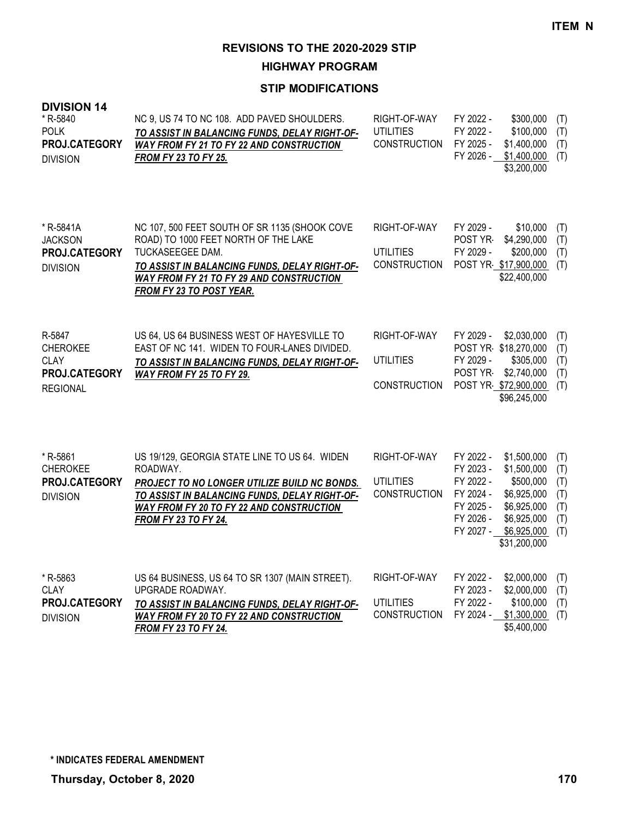**HIGHWAY PROGRAM**

| <b>DIVISION 14</b><br>* R-5840<br><b>POLK</b><br>PROJ.CATEGORY<br><b>DIVISION</b> | NC 9, US 74 TO NC 108. ADD PAVED SHOULDERS.<br>TO ASSIST IN BALANCING FUNDS, DELAY RIGHT-OF-<br>WAY FROM FY 21 TO FY 22 AND CONSTRUCTION<br><b>FROM FY 23 TO FY 25.</b>                                                                   | RIGHT-OF-WAY<br><b>UTILITIES</b><br><b>CONSTRUCTION</b> | FY 2022 -<br>FY 2022 -<br>FY 2025 -<br>FY 2026 -                                        | \$300,000<br>\$100,000<br>\$1,400,000<br>\$1,400,000<br>\$3,200,000                                                 | (T)<br>(T)<br>(T)<br>(T)                      |
|-----------------------------------------------------------------------------------|-------------------------------------------------------------------------------------------------------------------------------------------------------------------------------------------------------------------------------------------|---------------------------------------------------------|-----------------------------------------------------------------------------------------|---------------------------------------------------------------------------------------------------------------------|-----------------------------------------------|
| * R-5841A<br><b>JACKSON</b><br>PROJ.CATEGORY<br><b>DIVISION</b>                   | NC 107, 500 FEET SOUTH OF SR 1135 (SHOOK COVE<br>ROAD) TO 1000 FEET NORTH OF THE LAKE<br>TUCKASEEGEE DAM.<br>TO ASSIST IN BALANCING FUNDS, DELAY RIGHT-OF-<br>WAY FROM FY 21 TO FY 29 AND CONSTRUCTION<br><b>FROM FY 23 TO POST YEAR.</b> | RIGHT-OF-WAY<br><b>UTILITIES</b><br><b>CONSTRUCTION</b> | FY 2029 -<br>POST YR-<br>FY 2029 -                                                      | \$10,000<br>\$4,290,000<br>\$200,000<br>POST YR \$17,900,000<br>\$22,400,000                                        | (T)<br>(T)<br>(T)<br>(T)                      |
| R-5847<br><b>CHEROKEE</b><br><b>CLAY</b><br>PROJ.CATEGORY<br><b>REGIONAL</b>      | US 64, US 64 BUSINESS WEST OF HAYESVILLE TO<br>EAST OF NC 141. WIDEN TO FOUR-LANES DIVIDED.<br>TO ASSIST IN BALANCING FUNDS, DELAY RIGHT-OF-<br>WAY FROM FY 25 TO FY 29.                                                                  | RIGHT-OF-WAY<br><b>UTILITIES</b><br><b>CONSTRUCTION</b> | FY 2029 -<br>FY 2029 -<br>POST YR-                                                      | \$2,030,000<br>POST YR \$18,270,000<br>\$305,000<br>\$2,740,000<br>POST YR \$72,900,000<br>\$96,245,000             | (T)<br>(T)<br>(T)<br>(T)<br>(T)               |
| * R-5861<br><b>CHEROKEE</b><br>PROJ.CATEGORY<br><b>DIVISION</b>                   | US 19/129, GEORGIA STATE LINE TO US 64. WIDEN<br>ROADWAY.<br>PROJECT TO NO LONGER UTILIZE BUILD NC BONDS.<br>TO ASSIST IN BALANCING FUNDS, DELAY RIGHT-OF-<br>WAY FROM FY 20 TO FY 22 AND CONSTRUCTION<br><b>FROM FY 23 TO FY 24.</b>     | RIGHT-OF-WAY<br><b>UTILITIES</b><br><b>CONSTRUCTION</b> | FY 2022 -<br>FY 2023 -<br>FY 2022 -<br>FY 2024 -<br>FY 2025 -<br>FY 2026 -<br>FY 2027 - | \$1,500,000<br>\$1,500,000<br>\$500,000<br>\$6,925,000<br>\$6,925,000<br>\$6,925,000<br>\$6,925,000<br>\$31,200,000 | (T)<br>(T)<br>(T)<br>(T)<br>(T)<br>(T)<br>(T) |
| * R-5863<br><b>CLAY</b><br>PROJ.CATEGORY<br><b>DIVISION</b>                       | US 64 BUSINESS, US 64 TO SR 1307 (MAIN STREET).<br>UPGRADE ROADWAY.<br>TO ASSIST IN BALANCING FUNDS, DELAY RIGHT-OF-<br>WAY FROM FY 20 TO FY 22 AND CONSTRUCTION<br><b>FROM FY 23 TO FY 24.</b>                                           | RIGHT-OF-WAY<br><b>UTILITIES</b><br><b>CONSTRUCTION</b> | FY 2022 -<br>FY 2023 -<br>FY 2022 -                                                     | \$2,000,000<br>\$2,000,000<br>\$100,000<br>FY 2024 - \$1,300,000<br>\$5,400,000                                     | (T)<br>(T)<br>(T)<br>(T)                      |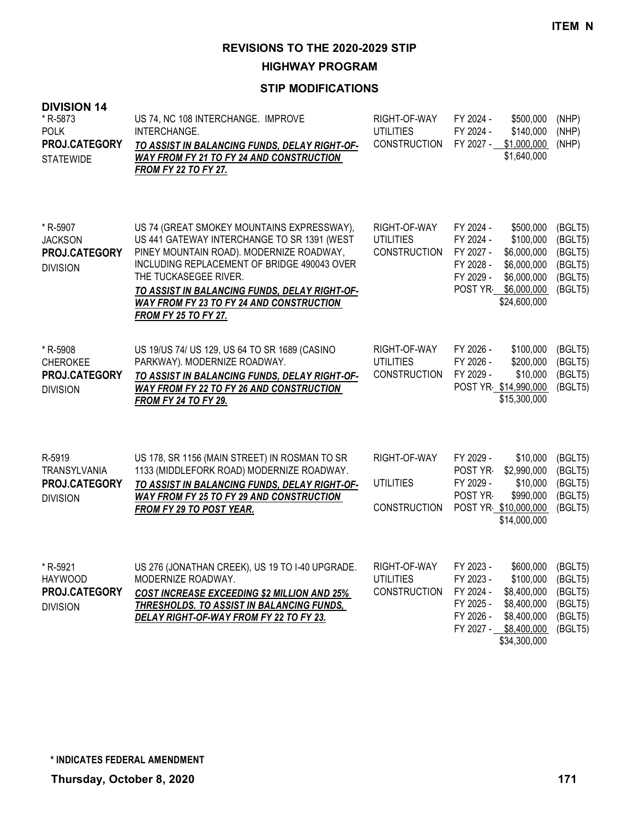**HIGHWAY PROGRAM**

| <b>DIVISION 14</b><br>* R-5873<br><b>POLK</b><br>PROJ.CATEGORY<br><b>STATEWIDE</b> | US 74, NC 108 INTERCHANGE. IMPROVE<br>INTERCHANGE.<br>TO ASSIST IN BALANCING FUNDS, DELAY RIGHT-OF-<br>WAY FROM FY 21 TO FY 24 AND CONSTRUCTION<br><b>FROM FY 22 TO FY 27.</b>                                                                                                                                                                   | RIGHT-OF-WAY<br><b>UTILITIES</b><br><b>CONSTRUCTION</b> | FY 2024 -<br>\$500,000<br>FY 2024 -<br>\$140,000<br>FY 2027 -<br>\$1,000,000<br>\$1,640,000                                                                                    | (NHP)<br>(NHP)<br>(NHP)                                        |
|------------------------------------------------------------------------------------|--------------------------------------------------------------------------------------------------------------------------------------------------------------------------------------------------------------------------------------------------------------------------------------------------------------------------------------------------|---------------------------------------------------------|--------------------------------------------------------------------------------------------------------------------------------------------------------------------------------|----------------------------------------------------------------|
| * R-5907<br><b>JACKSON</b><br>PROJ.CATEGORY<br><b>DIVISION</b>                     | US 74 (GREAT SMOKEY MOUNTAINS EXPRESSWAY),<br>US 441 GATEWAY INTERCHANGE TO SR 1391 (WEST<br>PINEY MOUNTAIN ROAD). MODERNIZE ROADWAY,<br>INCLUDING REPLACEMENT OF BRIDGE 490043 OVER<br>THE TUCKASEGEE RIVER.<br>TO ASSIST IN BALANCING FUNDS, DELAY RIGHT-OF-<br><b>WAY FROM FY 23 TO FY 24 AND CONSTRUCTION</b><br><b>FROM FY 25 TO FY 27.</b> | RIGHT-OF-WAY<br><b>UTILITIES</b><br><b>CONSTRUCTION</b> | FY 2024 -<br>\$500,000<br>FY 2024 -<br>\$100,000<br>FY 2027 -<br>\$6,000,000<br>FY 2028 -<br>\$6,000,000<br>FY 2029 -<br>\$6,000,000<br>POST YR<br>\$6,000,000<br>\$24,600,000 | (BGLT5)<br>(BGLT5)<br>(BGLT5)<br>(BGLT5)<br>(BGLT5)<br>(BGLT5) |
| * R-5908<br><b>CHEROKEE</b><br>PROJ.CATEGORY<br><b>DIVISION</b>                    | US 19/US 74/ US 129, US 64 TO SR 1689 (CASINO<br>PARKWAY). MODERNIZE ROADWAY.<br>TO ASSIST IN BALANCING FUNDS, DELAY RIGHT-OF-<br><b>WAY FROM FY 22 TO FY 26 AND CONSTRUCTION</b><br><b>FROM FY 24 TO FY 29.</b>                                                                                                                                 | RIGHT-OF-WAY<br><b>UTILITIES</b><br><b>CONSTRUCTION</b> | FY 2026 -<br>\$100,000<br>FY 2026 -<br>\$200,000<br>FY 2029 -<br>\$10,000<br>POST YR \$14,990,000<br>\$15,300,000                                                              | (BGLT5)<br>(BGLT5)<br>(BGLT5)<br>(BGLT5)                       |
| R-5919<br>TRANSYLVANIA<br>PROJ.CATEGORY<br><b>DIVISION</b>                         | US 178, SR 1156 (MAIN STREET) IN ROSMAN TO SR<br>1133 (MIDDLEFORK ROAD) MODERNIZE ROADWAY.<br>TO ASSIST IN BALANCING FUNDS, DELAY RIGHT-OF-<br><b>WAY FROM FY 25 TO FY 29 AND CONSTRUCTION</b><br>FROM FY 29 TO POST YEAR.                                                                                                                       | RIGHT-OF-WAY<br><b>UTILITIES</b><br><b>CONSTRUCTION</b> | FY 2029 -<br>\$10,000<br>POST YR-<br>\$2,990,000<br>FY 2029 -<br>\$10,000<br>POST YR-<br>\$990,000<br>POST YR \$10,000,000<br>\$14,000,000                                     | (BGLT5)<br>(BGLT5)<br>(BGLT5)<br>(BGLT5)<br>(BGLT5)            |
| * R-5921<br><b>HAYWOOD</b><br>PROJ.CATEGORY<br><b>DIVISION</b>                     | US 276 (JONATHAN CREEK), US 19 TO I-40 UPGRADE.<br>MODERNIZE ROADWAY.<br><b>COST INCREASE EXCEEDING \$2 MILLION AND 25%</b><br><b>THRESHOLDS. TO ASSIST IN BALANCING FUNDS.</b><br><b>DELAY RIGHT-OF-WAY FROM FY 22 TO FY 23.</b>                                                                                                                | RIGHT-OF-WAY<br><b>UTILITIES</b><br><b>CONSTRUCTION</b> | \$600,000<br>FY 2023 -<br>FY 2023 -<br>\$100,000<br>FY 2024 -<br>\$8,400,000<br>FY 2025 -<br>\$8,400,000<br>FY 2026 -<br>\$8,400,000<br>FY 2027 - \$8,400,000<br>\$34,300,000  | (BGLT5)<br>(BGLT5)<br>(BGLT5)<br>(BGLT5)<br>(BGLT5)<br>(BGLT5) |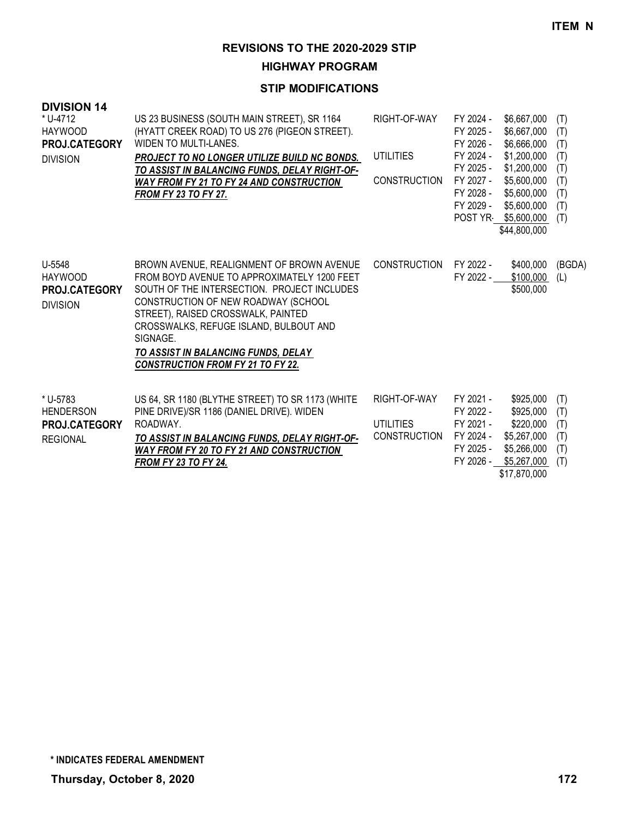**HIGHWAY PROGRAM**

| <b>DIVISION 14</b><br>* U-4712<br><b>HAYWOOD</b><br><b>PROJ.CATEGORY</b><br><b>DIVISION</b> | US 23 BUSINESS (SOUTH MAIN STREET), SR 1164<br>(HYATT CREEK ROAD) TO US 276 (PIGEON STREET).<br>WIDEN TO MULTI-LANES.<br>PROJECT TO NO LONGER UTILIZE BUILD NC BONDS.<br>TO ASSIST IN BALANCING FUNDS, DELAY RIGHT-OF-<br><b>WAY FROM FY 21 TO FY 24 AND CONSTRUCTION</b><br><b>FROM FY 23 TO FY 27.</b>                                                      | RIGHT-OF-WAY<br><b>UTILITIES</b><br><b>CONSTRUCTION</b> | FY 2024 -<br>FY 2025 -<br>FY 2026 -<br>FY 2024 -<br>FY 2025 -<br>FY 2027 -<br>FY 2028 -<br>FY 2029 - | \$6,667,000<br>\$6,667,000<br>\$6,666,000<br>\$1,200,000<br>\$1,200,000<br>\$5,600,000<br>\$5,600,000<br>\$5,600,000<br>POST YR \$5,600,000<br>\$44,800,000 | (T)<br>(T)<br>(T)<br>(T)<br>(T)<br>(T)<br>(T)<br>(T)<br>(T) |
|---------------------------------------------------------------------------------------------|---------------------------------------------------------------------------------------------------------------------------------------------------------------------------------------------------------------------------------------------------------------------------------------------------------------------------------------------------------------|---------------------------------------------------------|------------------------------------------------------------------------------------------------------|-------------------------------------------------------------------------------------------------------------------------------------------------------------|-------------------------------------------------------------|
| U-5548<br><b>HAYWOOD</b><br><b>PROJ.CATEGORY</b><br><b>DIVISION</b>                         | BROWN AVENUE, REALIGNMENT OF BROWN AVENUE<br>FROM BOYD AVENUE TO APPROXIMATELY 1200 FEET<br>SOUTH OF THE INTERSECTION. PROJECT INCLUDES<br>CONSTRUCTION OF NEW ROADWAY (SCHOOL<br>STREET), RAISED CROSSWALK, PAINTED<br>CROSSWALKS, REFUGE ISLAND, BULBOUT AND<br>SIGNAGE.<br>TO ASSIST IN BALANCING FUNDS, DELAY<br><b>CONSTRUCTION FROM FY 21 TO FY 22.</b> | <b>CONSTRUCTION</b>                                     | FY 2022 -<br>FY 2022 -                                                                               | \$400,000<br>\$100,000<br>\$500,000                                                                                                                         | (BGDA)<br>(L)                                               |
| * U-5783<br><b>HENDERSON</b><br><b>PROJ.CATEGORY</b><br><b>REGIONAL</b>                     | US 64, SR 1180 (BLYTHE STREET) TO SR 1173 (WHITE<br>PINE DRIVE)/SR 1186 (DANIEL DRIVE). WIDEN<br>ROADWAY.<br>TO ASSIST IN BALANCING FUNDS, DELAY RIGHT-OF-<br><b>WAY FROM FY 20 TO FY 21 AND CONSTRUCTION</b><br><b>FROM FY 23 TO FY 24.</b>                                                                                                                  | RIGHT-OF-WAY<br><b>UTILITIES</b><br><b>CONSTRUCTION</b> | FY 2021 -<br>FY 2022 -<br>FY 2021 -<br>FY 2024 -<br>FY 2025 -<br>FY 2026 -                           | \$925,000<br>\$925,000<br>\$220,000<br>\$5,267,000<br>\$5,266,000<br>\$5,267,000<br>\$17,870,000                                                            | (T)<br>(T)<br>(T)<br>(T)<br>(T)<br>(T)                      |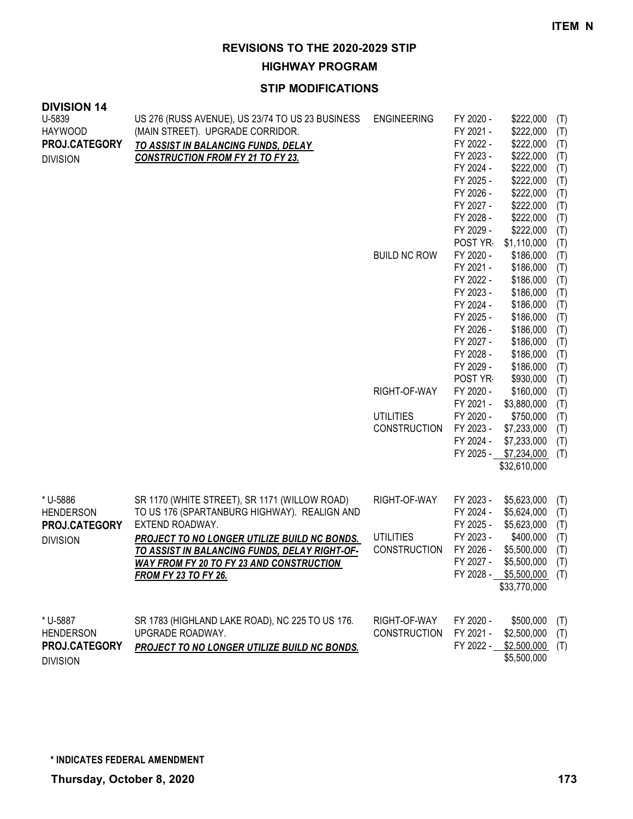**HIGHWAY PROGRAM**

| <b>DIVISION 14</b> |                                                                 |                     |           |                                                    |     |
|--------------------|-----------------------------------------------------------------|---------------------|-----------|----------------------------------------------------|-----|
| U-5839             | US 276 (RUSS AVENUE), US 23/74 TO US 23 BUSINESS                | <b>ENGINEERING</b>  | FY 2020 - | \$222,000                                          | (T) |
| <b>HAYWOOD</b>     | (MAIN STREET). UPGRADE CORRIDOR.                                |                     | FY 2021 - | \$222,000                                          | (T) |
| PROJ.CATEGORY      | TO ASSIST IN BALANCING FUNDS, DELAY                             |                     | FY 2022 - | \$222,000                                          | (T) |
| <b>DIVISION</b>    | <b>CONSTRUCTION FROM FY 21 TO FY 23.</b>                        |                     | FY 2023 - | \$222,000                                          | (T) |
|                    |                                                                 |                     | FY 2024 - | \$222,000                                          | (T) |
|                    |                                                                 |                     | FY 2025 - | \$222,000                                          | (T) |
|                    |                                                                 |                     | FY 2026 - | \$222,000                                          | (T) |
|                    |                                                                 |                     | FY 2027 - | \$222,000                                          | (T) |
|                    |                                                                 |                     | FY 2028 - | \$222,000                                          | (T) |
|                    |                                                                 |                     | FY 2029 - | \$222,000                                          | (T) |
|                    |                                                                 |                     | POST YR   | \$1,110,000                                        | (T) |
|                    |                                                                 | <b>BUILD NC ROW</b> | FY 2020 - | \$186,000                                          | (T) |
|                    |                                                                 |                     | FY 2021 - | \$186,000                                          | (T) |
|                    |                                                                 |                     | FY 2022 - | \$186,000                                          | (T) |
|                    |                                                                 |                     | FY 2023 - | \$186,000                                          | (T) |
|                    |                                                                 |                     | FY 2024 - | \$186,000                                          | (T) |
|                    |                                                                 |                     | FY 2025 - | \$186,000                                          | (T) |
|                    |                                                                 |                     | FY 2026 - | \$186,000                                          | (T) |
|                    |                                                                 |                     | FY 2027 - | \$186,000                                          | (T) |
|                    |                                                                 |                     | FY 2028 - | \$186,000                                          | (T) |
|                    |                                                                 |                     | FY 2029 - | \$186,000                                          | (T) |
|                    |                                                                 |                     | POST YR   | \$930,000                                          | (T) |
|                    |                                                                 | RIGHT-OF-WAY        | FY 2020 - | \$160,000                                          | (T) |
|                    |                                                                 |                     | FY 2021 - | \$3,880,000                                        | (T) |
|                    |                                                                 | <b>UTILITIES</b>    | FY 2020 - | \$750,000                                          | (T) |
|                    |                                                                 | <b>CONSTRUCTION</b> | FY 2023 - | \$7,233,000                                        | (T) |
|                    |                                                                 |                     | FY 2024 - | \$7,233,000                                        | (T) |
|                    |                                                                 |                     | FY 2025 - | \$7,234,000                                        | (T) |
|                    |                                                                 |                     |           | \$32,610,000                                       |     |
|                    |                                                                 |                     |           |                                                    |     |
| * U-5886           |                                                                 | RIGHT-OF-WAY        | FY 2023 - |                                                    |     |
| <b>HENDERSON</b>   | SR 1170 (WHITE STREET), SR 1171 (WILLOW ROAD)                   |                     | FY 2024 - | \$5,623,000<br>\$5,624,000                         | (T) |
|                    | TO US 176 (SPARTANBURG HIGHWAY). REALIGN AND<br>EXTEND ROADWAY. |                     | FY 2025 - |                                                    | (T) |
| PROJ.CATEGORY      |                                                                 | <b>UTILITIES</b>    | FY 2023 - | \$5,623,000                                        | (T) |
| <b>DIVISION</b>    | <b>PROJECT TO NO LONGER UTILIZE BUILD NC BONDS.</b>             | <b>CONSTRUCTION</b> | FY 2026 - | \$400,000                                          | (T) |
|                    | TO ASSIST IN BALANCING FUNDS, DELAY RIGHT-OF-                   |                     |           | \$5,500,000                                        | (T) |
|                    | <b>WAY FROM FY 20 TO FY 23 AND CONSTRUCTION</b>                 |                     |           | FY 2027 - \$5,500,000 (T)<br>FY 2028 - \$5,500,000 |     |
|                    | <b>FROM FY 23 TO FY 26.</b>                                     |                     |           | \$33,770,000                                       | (T) |
|                    |                                                                 |                     |           |                                                    |     |
|                    |                                                                 |                     |           |                                                    |     |
| * U-5887           | SR 1783 (HIGHLAND LAKE ROAD), NC 225 TO US 176.                 | RIGHT-OF-WAY        | FY 2020 - | \$500,000                                          | (T) |
| <b>HENDERSON</b>   | UPGRADE ROADWAY.                                                | <b>CONSTRUCTION</b> | FY 2021 - | \$2,500,000                                        | (T) |
| PROJ.CATEGORY      | PROJECT TO NO LONGER UTILIZE BUILD NC BONDS.                    |                     |           | FY 2022 - \$2,500,000                              | (T) |
| <b>DIVISION</b>    |                                                                 |                     |           | \$5,500,000                                        |     |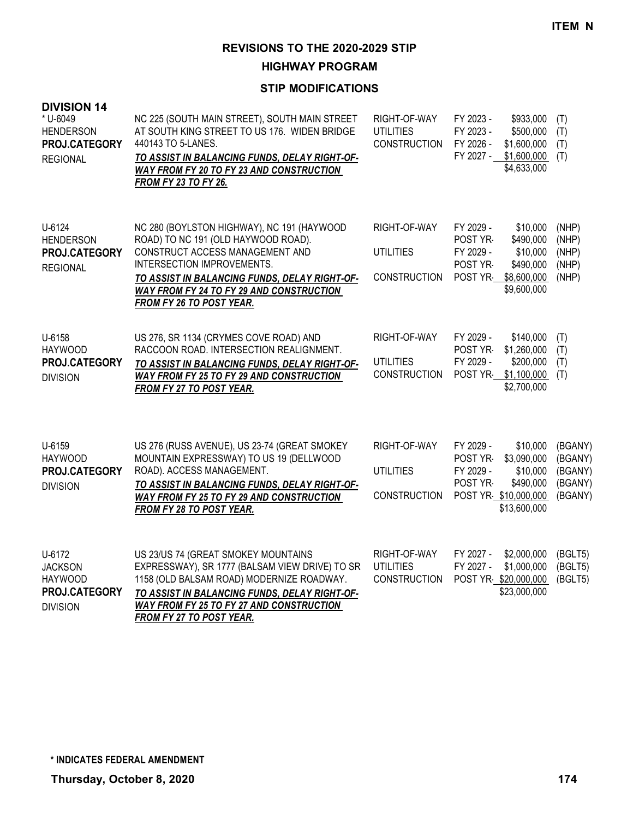**HIGHWAY PROGRAM**

| <b>DIVISION 14</b><br>* U-6049<br><b>HENDERSON</b><br>PROJ.CATEGORY<br><b>REGIONAL</b> | NC 225 (SOUTH MAIN STREET), SOUTH MAIN STREET<br>AT SOUTH KING STREET TO US 176. WIDEN BRIDGE<br>440143 TO 5-LANES.<br>TO ASSIST IN BALANCING FUNDS, DELAY RIGHT-OF-<br><b>WAY FROM FY 20 TO FY 23 AND CONSTRUCTION</b><br><b>FROM FY 23 TO FY 26.</b>                                    | RIGHT-OF-WAY<br><b>UTILITIES</b><br>CONSTRUCTION        | FY 2023 -<br>FY 2023 -<br>FY 2026 -<br>FY 2027 -                       | \$933,000<br>\$500,000<br>\$1,600,000<br>\$1,600,000<br>\$4,633,000          | (T)<br>(T)<br>(T)<br>(T)                            |
|----------------------------------------------------------------------------------------|-------------------------------------------------------------------------------------------------------------------------------------------------------------------------------------------------------------------------------------------------------------------------------------------|---------------------------------------------------------|------------------------------------------------------------------------|------------------------------------------------------------------------------|-----------------------------------------------------|
| U-6124<br><b>HENDERSON</b><br>PROJ.CATEGORY<br><b>REGIONAL</b>                         | NC 280 (BOYLSTON HIGHWAY), NC 191 (HAYWOOD<br>ROAD) TO NC 191 (OLD HAYWOOD ROAD).<br>CONSTRUCT ACCESS MANAGEMENT AND<br>INTERSECTION IMPROVEMENTS.<br>TO ASSIST IN BALANCING FUNDS, DELAY RIGHT-OF-<br><b>WAY FROM FY 24 TO FY 29 AND CONSTRUCTION</b><br><b>FROM FY 26 TO POST YEAR.</b> | RIGHT-OF-WAY<br><b>UTILITIES</b><br><b>CONSTRUCTION</b> | FY 2029 -<br>POST YR-<br>FY 2029 -<br>POST YR-<br>POST YR              | \$10,000<br>\$490,000<br>\$10,000<br>\$490,000<br>\$8,600,000<br>\$9,600,000 | (NHP)<br>(NHP)<br>(NHP)<br>(NHP)<br>(NHP)           |
| U-6158<br><b>HAYWOOD</b><br>PROJ.CATEGORY<br><b>DIVISION</b>                           | US 276, SR 1134 (CRYMES COVE ROAD) AND<br>RACCOON ROAD. INTERSECTION REALIGNMENT.<br>TO ASSIST IN BALANCING FUNDS, DELAY RIGHT-OF-<br>WAY FROM FY 25 TO FY 29 AND CONSTRUCTION<br>FROM FY 27 TO POST YEAR.                                                                                | RIGHT-OF-WAY<br>UTILITIES<br><b>CONSTRUCTION</b>        | FY 2029 -<br>POST YR-<br>FY 2029 -<br>POST YR                          | \$140,000<br>\$1,260,000<br>\$200,000<br>\$1,100,000<br>\$2,700,000          | (T)<br>(T)<br>(T)<br>(T)                            |
| U-6159<br><b>HAYWOOD</b><br>PROJ.CATEGORY<br><b>DIVISION</b>                           | US 276 (RUSS AVENUE), US 23-74 (GREAT SMOKEY<br>MOUNTAIN EXPRESSWAY) TO US 19 (DELLWOOD<br>ROAD). ACCESS MANAGEMENT.<br>TO ASSIST IN BALANCING FUNDS, DELAY RIGHT-OF-<br>WAY FROM FY 25 TO FY 29 AND CONSTRUCTION<br><b>FROM FY 28 TO POST YEAR.</b>                                      | RIGHT-OF-WAY<br><b>UTILITIES</b><br>CONSTRUCTION        | FY 2029 -<br>POST YR-<br>FY 2029 -<br>POST YR-<br>POST YR \$10,000,000 | \$10,000<br>\$3,090,000<br>\$10,000<br>\$490,000<br>\$13,600,000             | (BGANY)<br>(BGANY)<br>(BGANY)<br>(BGANY)<br>(BGANY) |
| U-6172<br><b>JACKSON</b><br><b>HAYWOOD</b><br>PROJ.CATEGORY<br><b>DIVISION</b>         | US 23/US 74 (GREAT SMOKEY MOUNTAINS<br>EXPRESSWAY), SR 1777 (BALSAM VIEW DRIVE) TO SR<br>1158 (OLD BALSAM ROAD) MODERNIZE ROADWAY.<br>TO ASSIST IN BALANCING FUNDS, DELAY RIGHT-OF-<br><b>WAY FROM FY 25 TO FY 27 AND CONSTRUCTION</b><br><b>FROM FY 27 TO POST YEAR.</b>                 | RIGHT-OF-WAY<br><b>UTILITIES</b><br><b>CONSTRUCTION</b> | FY 2027 -<br>FY 2027 -<br>POST YR \$20,000,000                         | \$2,000,000<br>\$1,000,000<br>\$23,000,000                                   | (BGLT5)<br>(BGLT5)<br>(BGLT5)                       |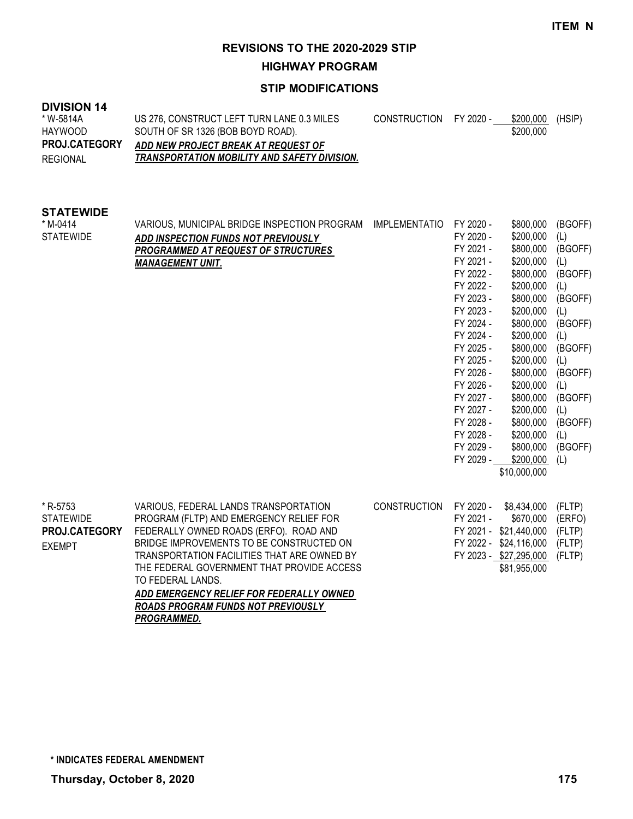FY 2024 - \$200,000 (L) FY 2025 - \$800,000 (BGOFF) FY 2025 - \$200,000 (L) FY 2026 - \$800,000 (BGOFF) FY 2026 - \$200,000 (L) FY 2027 - \$800,000 (BGOFF) FY 2027 - \$200,000 (L) FY 2028 - \$800,000 (BGOFF) FY 2028 - \$200,000 (L)

FY 2029 - \$800,000 (BGOFF)<br>FY 2029 - \$200.000 (L)  $$200,000$  (L) \$10,000,000

**REVISIONS TO THE 2020-2029 STIP**

**HIGHWAY PROGRAM**

#### **STIP MODIFICATIONS**

#### **DIVISION 14** US 276, CONSTRUCT LEFT TURN LANE 0.3 MILES SOUTH OF SR 1326 (BOB BOYD ROAD). *ADD NEW PROJECT BREAK AT REQUEST OF TRANSPORTATION MOBILITY AND SAFETY DIVISION.* CONSTRUCTION FY 2020 - \$200,000 (HSIP) \$200,000 \* W-5814A HAYWOOD REGIONAL **PROJ.CATEGORY STATEWIDE** VARIOUS, MUNICIPAL BRIDGE INSPECTION PROGRAM IMPLEMENTATIO FY 2020 - \$800,000 (BGOFF) *ADD INSPECTION FUNDS NOT PREVIOUSLY PROGRAMMED AT REQUEST OF STRUCTURES MANAGEMENT UNIT.* FY 2020 - \$200,000 (L) FY 2021 - \$800,000 (BGOFF) FY 2021 - \$200,000 (L) FY 2022 - \$800,000 (BGOFF) FY 2022 - \$200,000 (L) FY 2023 - \$800,000 (BGOFF) FY 2023 - \$200,000 (L) FY 2024 - \$800,000 (BGOFF) \* M-0414 **STATEWIDE**

| * R-5753             | VARIOUS, FEDERAL LANDS TRANSPORTATION       | CONSTRUCTION FY 2020 - \$8,434,000 (FLTP) |           |                               |  |
|----------------------|---------------------------------------------|-------------------------------------------|-----------|-------------------------------|--|
| <b>STATEWIDE</b>     | PROGRAM (FLTP) AND EMERGENCY RELIEF FOR     |                                           | FY 2021 - | \$670,000 (ERFO)              |  |
| <b>PROJ.CATEGORY</b> | FEDERALLY OWNED ROADS (ERFO). ROAD AND      |                                           |           | FY 2021 - \$21,440,000 (FLTP) |  |
| <b>EXEMPT</b>        | BRIDGE IMPROVEMENTS TO BE CONSTRUCTED ON    |                                           |           | FY 2022 - \$24,116,000 (FLTP) |  |
|                      | TRANSPORTATION FACILITIES THAT ARE OWNED BY |                                           |           | FY 2023 - \$27,295,000 (FLTP) |  |
|                      | THE FEDERAL GOVERNMENT THAT PROVIDE ACCESS  |                                           |           | \$81,955,000                  |  |
|                      | TO FEDERAL LANDS.                           |                                           |           |                               |  |
|                      | ADD EMERGENCY RELIEF FOR FEDERALLY OWNED    |                                           |           |                               |  |
|                      | 88.188.888.88.111.2111188.1187.8821.1181.11 |                                           |           |                               |  |

*ROADS PROGRAM FUNDS NOT PREVIOUSLY PROGRAMMED.*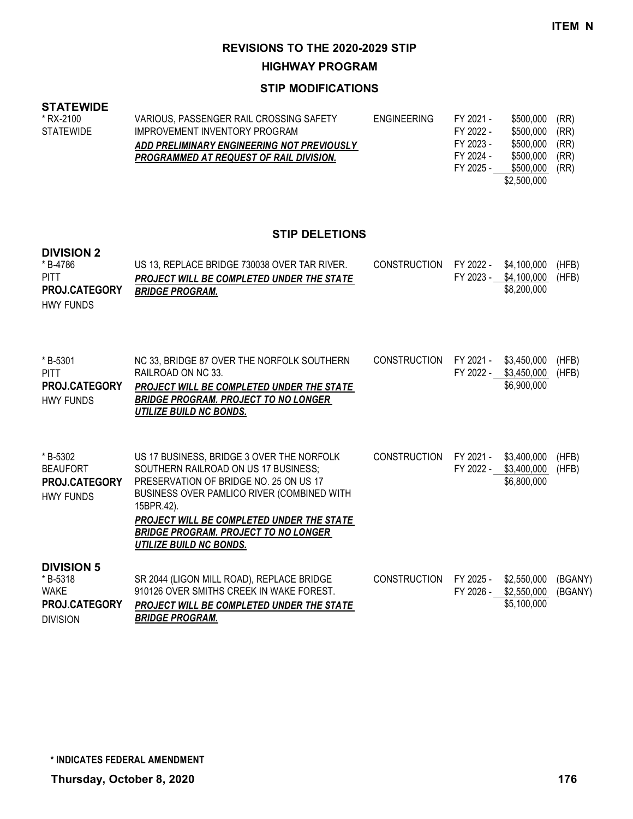**HIGHWAY PROGRAM**

## **STIP MODIFICATIONS**

#### **STATEWIDE**

| * RX-2100        | VARIOUS, PASSENGER RAIL CROSSING SAFETY        | ENGINEERING | FY 2021 - | \$500.000   | (RR) |
|------------------|------------------------------------------------|-------------|-----------|-------------|------|
| <b>STATEWIDE</b> | IMPROVEMENT INVENTORY PROGRAM                  |             | FY 2022 - | \$500.000   | (RR) |
|                  | ADD PRELIMINARY ENGINEERING NOT PREVIOUSLY     |             | FY 2023 - | \$500.000   | (RR) |
|                  | <b>PROGRAMMED AT REQUEST OF RAIL DIVISION.</b> |             | FY 2024 - | \$500.000   | (RR) |
|                  |                                                |             | FY 2025 - | \$500.000   | (RR) |
|                  |                                                |             |           | \$2,500,000 |      |

## **STIP DELETIONS**

#### **DIVISION 2**

| *B-4786<br><b>PITT</b><br><b>PROJ.CATEGORY</b><br><b>HWY FUNDS</b>                     | US 13, REPLACE BRIDGE 730038 OVER TAR RIVER.<br>PROJECT WILL BE COMPLETED UNDER THE STATE<br><b>BRIDGE PROGRAM.</b>                                                                                                                                                                                            | <b>CONSTRUCTION</b> | FY 2022 -              | \$4,100,000<br>FY 2023 - \$4,100,000<br>\$8,200,000 | (HFB)<br>(HFB)     |
|----------------------------------------------------------------------------------------|----------------------------------------------------------------------------------------------------------------------------------------------------------------------------------------------------------------------------------------------------------------------------------------------------------------|---------------------|------------------------|-----------------------------------------------------|--------------------|
| *B-5301<br><b>PITT</b><br><b>PROJ.CATEGORY</b><br><b>HWY FUNDS</b>                     | NC 33, BRIDGE 87 OVER THE NORFOLK SOUTHERN<br>RAILROAD ON NC 33.<br>PROJECT WILL BE COMPLETED UNDER THE STATE<br><b>BRIDGE PROGRAM. PROJECT TO NO LONGER</b><br>UTILIZE BUILD NC BONDS.                                                                                                                        | <b>CONSTRUCTION</b> | FY 2021 -<br>FY 2022 - | \$3,450,000<br>\$3,450,000<br>\$6,900,000           | (HFB)<br>(HFB)     |
| *B-5302<br><b>BEAUFORT</b><br><b>PROJ.CATEGORY</b><br><b>HWY FUNDS</b>                 | US 17 BUSINESS, BRIDGE 3 OVER THE NORFOLK<br>SOUTHERN RAILROAD ON US 17 BUSINESS:<br>PRESERVATION OF BRIDGE NO. 25 ON US 17<br>BUSINESS OVER PAMLICO RIVER (COMBINED WITH<br>15BPR.42).<br>PROJECT WILL BE COMPLETED UNDER THE STATE<br><b>BRIDGE PROGRAM. PROJECT TO NO LONGER</b><br>UTILIZE BUILD NC BONDS. | <b>CONSTRUCTION</b> | FY 2021 -              | \$3,400,000<br>FY 2022 - \$3,400,000<br>\$6,800,000 | (HFB)<br>(HFB)     |
| <b>DIVISION 5</b><br>*B-5318<br><b>WAKE</b><br><b>PROJ.CATEGORY</b><br><b>DIVISION</b> | SR 2044 (LIGON MILL ROAD), REPLACE BRIDGE<br>910126 OVER SMITHS CREEK IN WAKE FOREST.<br><b>PROJECT WILL BE COMPLETED UNDER THE STATE</b><br><b>BRIDGE PROGRAM.</b>                                                                                                                                            | <b>CONSTRUCTION</b> | FY 2025 -<br>FY 2026 - | \$2,550,000<br>\$2,550,000<br>\$5,100,000           | (BGANY)<br>(BGANY) |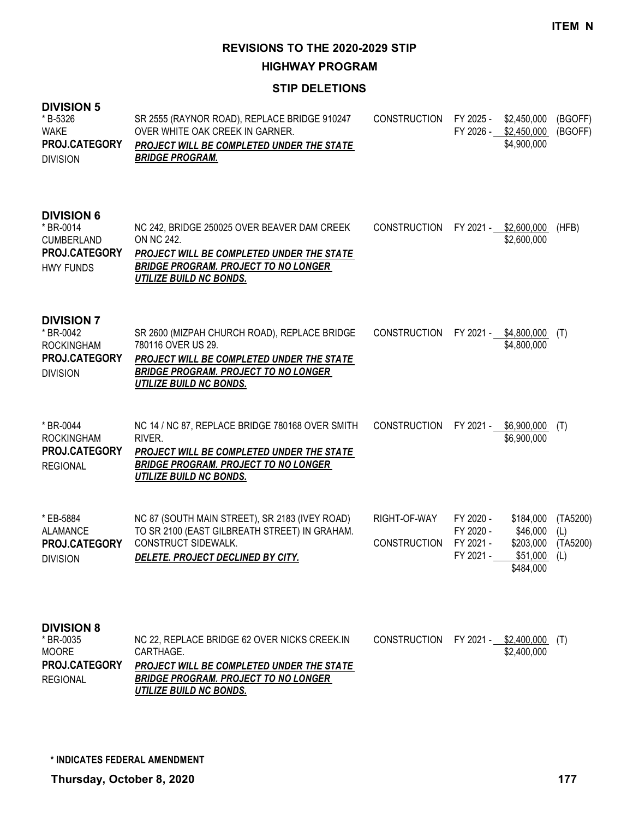**HIGHWAY PROGRAM**

### **STIP DELETIONS**

| <b>DIVISION 5</b><br>* B-5326<br><b>WAKE</b><br>PROJ.CATEGORY<br><b>DIVISION</b>         | SR 2555 (RAYNOR ROAD), REPLACE BRIDGE 910247<br>OVER WHITE OAK CREEK IN GARNER.<br>PROJECT WILL BE COMPLETED UNDER THE STATE<br><b>BRIDGE PROGRAM.</b>                                           | <b>CONSTRUCTION</b>                 | FY 2025 -                                        | \$2,450,000<br>FY 2026 - \$2,450,000<br>\$4,900,000         | (BGOFF)<br>(BGOFF)                 |
|------------------------------------------------------------------------------------------|--------------------------------------------------------------------------------------------------------------------------------------------------------------------------------------------------|-------------------------------------|--------------------------------------------------|-------------------------------------------------------------|------------------------------------|
| <b>DIVISION 6</b><br>* BR-0014<br><b>CUMBERLAND</b><br>PROJ.CATEGORY<br><b>HWY FUNDS</b> | NC 242, BRIDGE 250025 OVER BEAVER DAM CREEK<br>ON NC 242.<br>PROJECT WILL BE COMPLETED UNDER THE STATE<br><b>BRIDGE PROGRAM. PROJECT TO NO LONGER</b><br><b>UTILIZE BUILD NC BONDS.</b>          | <b>CONSTRUCTION</b>                 |                                                  | FY 2021 - \$2,600,000<br>\$2,600,000                        | (HFB)                              |
| <b>DIVISION 7</b><br>* BR-0042<br><b>ROCKINGHAM</b><br>PROJ.CATEGORY<br><b>DIVISION</b>  | SR 2600 (MIZPAH CHURCH ROAD), REPLACE BRIDGE<br>780116 OVER US 29.<br>PROJECT WILL BE COMPLETED UNDER THE STATE<br><b>BRIDGE PROGRAM. PROJECT TO NO LONGER</b><br><b>UTILIZE BUILD NC BONDS.</b> | <b>CONSTRUCTION</b>                 |                                                  | FY 2021 - \$4,800,000<br>\$4,800,000                        | (T)                                |
| * BR-0044<br><b>ROCKINGHAM</b><br>PROJ.CATEGORY<br><b>REGIONAL</b>                       | NC 14 / NC 87, REPLACE BRIDGE 780168 OVER SMITH<br>RIVER.<br>PROJECT WILL BE COMPLETED UNDER THE STATE<br><b>BRIDGE PROGRAM. PROJECT TO NO LONGER</b><br>UTILIZE BUILD NC BONDS.                 | <b>CONSTRUCTION</b>                 |                                                  | FY 2021 - \$6,900,000<br>\$6,900,000                        | (T)                                |
| * EB-5884<br>ALAMANCE<br>PROJ.CATEGORY<br><b>DIVISION</b>                                | NC 87 (SOUTH MAIN STREET), SR 2183 (IVEY ROAD)<br>TO SR 2100 (EAST GILBREATH STREET) IN GRAHAM.<br><b>CONSTRUCT SIDEWALK.</b><br>DELETE. PROJECT DECLINED BY CITY.                               | RIGHT-OF-WAY<br><b>CONSTRUCTION</b> | FY 2020 -<br>FY 2020 -<br>FY 2021 -<br>FY 2021 - | \$184,000<br>\$46,000<br>\$203,000<br>\$51,000<br>\$484,000 | (TA5200)<br>(L)<br>(TA5200)<br>(L) |
| <b>DIVISION 8</b><br>* BR-0035<br><b>MOORE</b><br>PROJ.CATEGORY<br><b>REGIONAL</b>       | NC 22, REPLACE BRIDGE 62 OVER NICKS CREEK.IN<br>CARTHAGE.<br>PROJECT WILL BE COMPLETED UNDER THE STATE<br><b>BRIDGE PROGRAM. PROJECT TO NO LONGER</b>                                            | CONSTRUCTION                        |                                                  | FY 2021 - \$2,400,000<br>\$2,400,000                        | (1)                                |

*UTILIZE BUILD NC BONDS.*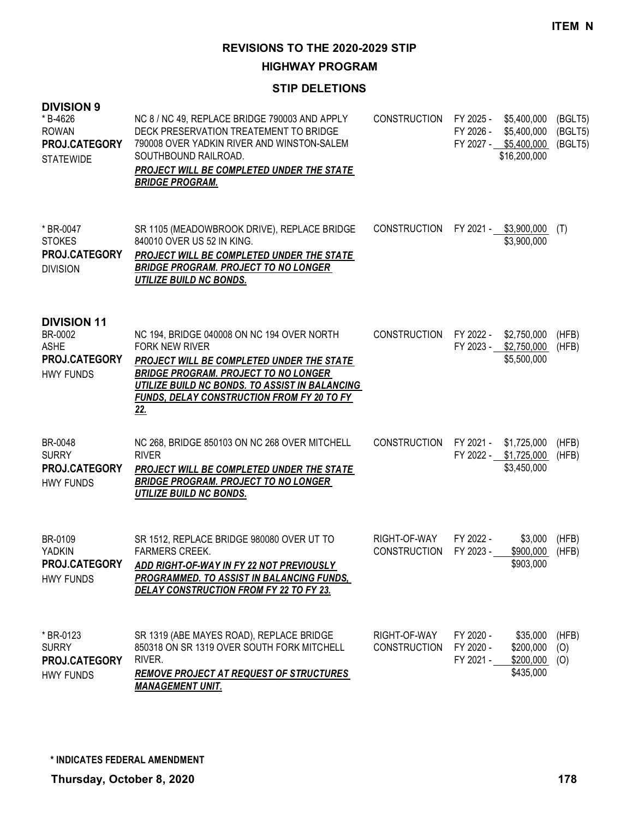**HIGHWAY PROGRAM**

### **STIP DELETIONS**

| <b>DIVISION 9</b><br>* B-4626<br><b>ROWAN</b><br>PROJ.CATEGORY<br><b>STATEWIDE</b> | NC 8 / NC 49, REPLACE BRIDGE 790003 AND APPLY<br>DECK PRESERVATION TREATEMENT TO BRIDGE<br>790008 OVER YADKIN RIVER AND WINSTON-SALEM<br>SOUTHBOUND RAILROAD.<br>PROJECT WILL BE COMPLETED UNDER THE STATE<br><b>BRIDGE PROGRAM.</b>                                                 | CONSTRUCTION FY 2025 -              | FY 2026 -                           | \$5,400,000<br>\$5,400,000<br>FY 2027 - \$5,400,000 (BGLT5)<br>\$16,200,000 | (BGLT5)<br>(BGLT5)  |
|------------------------------------------------------------------------------------|--------------------------------------------------------------------------------------------------------------------------------------------------------------------------------------------------------------------------------------------------------------------------------------|-------------------------------------|-------------------------------------|-----------------------------------------------------------------------------|---------------------|
| * BR-0047<br><b>STOKES</b><br>PROJ.CATEGORY<br><b>DIVISION</b>                     | SR 1105 (MEADOWBROOK DRIVE), REPLACE BRIDGE<br>840010 OVER US 52 IN KING.<br>PROJECT WILL BE COMPLETED UNDER THE STATE<br><b>BRIDGE PROGRAM. PROJECT TO NO LONGER</b><br><b>UTILIZE BUILD NC BONDS.</b>                                                                              | CONSTRUCTION FY 2021 - \$3,900,000  |                                     | \$3,900,000                                                                 | (T)                 |
| <b>DIVISION 11</b><br>BR-0002<br><b>ASHE</b><br>PROJ.CATEGORY<br><b>HWY FUNDS</b>  | NC 194, BRIDGE 040008 ON NC 194 OVER NORTH<br><b>FORK NEW RIVER</b><br>PROJECT WILL BE COMPLETED UNDER THE STATE<br><b>BRIDGE PROGRAM. PROJECT TO NO LONGER</b><br>UTILIZE BUILD NC BONDS. TO ASSIST IN BALANCING<br><b>FUNDS, DELAY CONSTRUCTION FROM FY 20 TO FY</b><br><u>22.</u> | <b>CONSTRUCTION</b>                 |                                     | FY 2022 - \$2,750,000<br>FY 2023 - \$2,750,000<br>\$5,500,000               | (HFB)<br>(HFB)      |
| BR-0048<br><b>SURRY</b><br>PROJ.CATEGORY<br><b>HWY FUNDS</b>                       | NC 268, BRIDGE 850103 ON NC 268 OVER MITCHELL<br><b>RIVER</b><br>PROJECT WILL BE COMPLETED UNDER THE STATE<br><b>BRIDGE PROGRAM. PROJECT TO NO LONGER</b><br><b>UTILIZE BUILD NC BONDS.</b>                                                                                          | <b>CONSTRUCTION</b>                 |                                     | FY 2021 - \$1,725,000<br>FY 2022 - \$1,725,000<br>\$3,450,000               | (HFB)<br>(HFB)      |
| BR-0109<br><b>YADKIN</b><br>PROJ.CATEGORY<br><b>HWY FUNDS</b>                      | SR 1512, REPLACE BRIDGE 980080 OVER UT TO<br><b>FARMERS CREEK.</b><br>ADD RIGHT-OF-WAY IN FY 22 NOT PREVIOUSLY<br>PROGRAMMED. TO ASSIST IN BALANCING FUNDS.<br><b>DELAY CONSTRUCTION FROM FY 22 TO FY 23.</b>                                                                        | RIGHT-OF-WAY<br><b>CONSTRUCTION</b> | FY 2022 -<br>FY 2023 -              | \$3,000<br>\$900,000<br>\$903,000                                           | (HFB)<br>(HFB)      |
| * BR-0123<br><b>SURRY</b><br>PROJ.CATEGORY<br><b>HWY FUNDS</b>                     | SR 1319 (ABE MAYES ROAD), REPLACE BRIDGE<br>850318 ON SR 1319 OVER SOUTH FORK MITCHELL<br>RIVER.<br>REMOVE PROJECT AT REQUEST OF STRUCTURES<br><b>MANAGEMENT UNIT.</b>                                                                                                               | RIGHT-OF-WAY<br><b>CONSTRUCTION</b> | FY 2020 -<br>FY 2020 -<br>FY 2021 - | \$35,000<br>\$200,000<br>\$200,000<br>\$435,000                             | (HFB)<br>(0)<br>(0) |